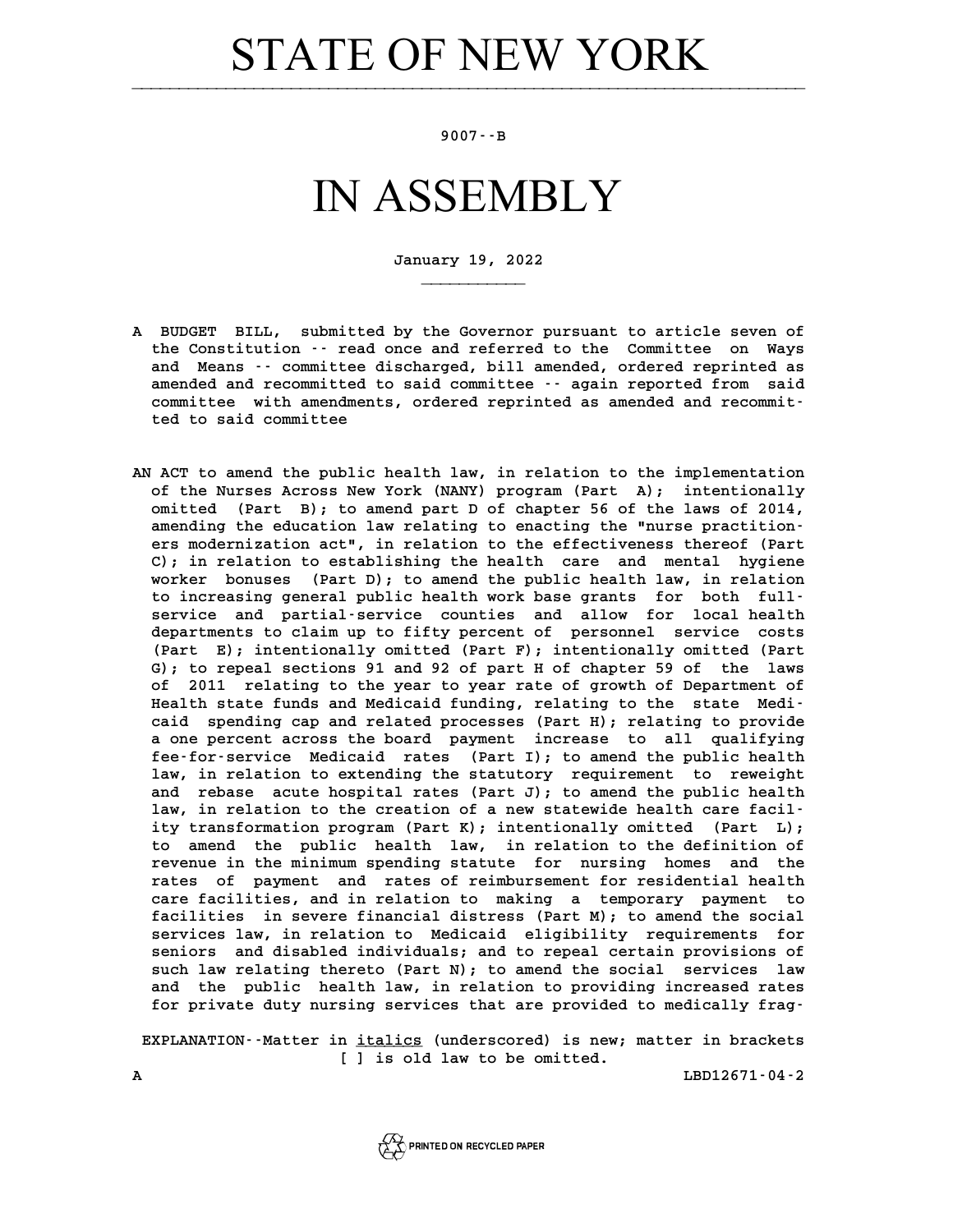### **STATE OF NEW YORK**

### **9007--B**

### IN ASSEMBLY

**January 19, 2022**

**\_\_\_\_\_\_\_\_\_\_\_**

- **A BUDGET BILL, submitted by the Governor pursuant to article seven of** BUDGET BILL, submitted by the Governor pursuant to article seven of<br>the Constitution -- read once and referred to the Committee on Ways BUDGET BILL, submitted by the Governor pursuant to article seven of<br>the Constitution -- read once and referred to the Committee on Ways<br>and Means -- committee discharged, bill amended, ordered reprinted as<br>areaded and reco the Constitution -- read once and referred to the Committee on Ways<br>and Means -- committee discharged, bill amended, ordered reprinted as<br>amended and recommitted to said committee -- again reported from said<br>committee with and Means  $\cdot$  committee discharged, bill amended, ordered reprinted as amended and recommitted to said committee  $\cdot$  again reported from said committee with amendments, ordered reprinted as amended and recommitted to sai amended and recommitted<br>committee with amendmen<br>ted to said committee
- **AN ACT to amend the public health law, in relation to the implementation** ACT to amend the public health law, in relation to the implementation<br>of the Nurses Across New York (NANY) program (Part A); intentionally<br>cmitted (Part B): to amond part D of ghaptor 56 of the laws of 2014 ACT to amend the public health law, in relation to the implementation<br>of the Nurses Across New York (NANY) program (Part A); intentionally<br>omitted (Part B); to amend part D of chapter 56 of the laws of 2014,<br>amending the e of the Nurses Across New York (NANY) program (Part A); intentionally omitted (Part B); to amend part D of chapter 56 of the laws of 2014, amending the education law relating to enacting the "nurse practition-<br>are moderniza ers modernization act", in relating to enacting the laws of 2014,<br>amending the education law relating to enacting the "nurse practition-<br>ers modernization act", in relation to the effectiveness thereof (Part<br>C), in relatio amending the education law relating to enacting the "nurse practition-<br>ers modernization act", in relation to the effectiveness thereof (Part<br>C); in relation to establishing the health care and mental hygiene<br>prophen house ers modernization act", in relation to the effectiveness thereof (Part C); in relation to establishing the health care and mental hygiene<br>worker bonuses (Part D); to amend the public health law, in relation<br>to increasing c C); in relation to establishing the health care and mental hygiene<br>worker bonuses (Part D); to amend the public health law, in relation<br>to increasing general public health work base grants for both full-<br>convice and partia worker bonuses (Part D); to amend the public health law, in relation<br>to increasing general public health work base grants for both full-<br>service and partial-service counties and allow for local health<br>departments to glaim to increasing general public health work base grants for both full-<br>service and partial-service counties and allow for local health<br>departments to claim up to fifty percent of personnel service costs<br>(Part F), intentionall service and partial-service counties and allow for local health<br>departments to claim up to fifty percent of personnel service costs<br>(Part E); intentionally omitted (Part F); intentionally omitted (Part<br>C), to repeal sectio departments to claim up to fifty percent of personnel service costs (Part E); intentionally omitted (Part G); to repeal sections 91 and 92 of part H of chapter 59 of the laws of 2011 relating to the year to year rate of gr (Part E); intentionally omitted (Part F); intentionally omitted (Part G); to repeal sections 91 and 92 of part H of chapter 59 of the laws of 2011 relating to the year to year rate of growth of Department of Health state f G); to repeal sections 91 and 92 of part H of chapter 59 of the laws of 2011 relating to the year to year rate of growth of Department of<br>Health state funds and Medicaid funding, relating to the state Medi-<br>caid spending cap and related processes (Part H); relating to provide<br>a one persont Health state funds and Medicaid funding, relating to the state Medi-<br>caid spending cap and related processes (Part H); relating to provide<br>a one percent across the board payment increase to all qualifying<br>for sexuice Medic relation of the pending cap and related processes (Part H); relating to provide<br>a one percent across the board payment increase to all qualifying<br>fee-for-service Medicaid rates (Part I); to amend the public health<br>law in r a one percent across the board payment increase to all qualifying<br>fee-for-service Medicaid rates (Part I); to amend the public health<br>law, in relation to extending the statutory requirement to reweight<br>and rebase suite bor fee-for-service Medicaid rates (Part I); to amend the public health<br>law, in relation to extending the statutory requirement to reweight<br>and rebase acute hospital rates (Part J); to amend the public health<br>law in relation t law, in relation to extending the statutory requirement to reweight and rebase acute hospital rates (Part J); to amend the public health law, in relation to the creation of a new statewide health care facil**ity transformation program (Part K); intentionally omitted (Part L); to amend the public health law, in relation to the definition of** ity transformation program (Part K); intentionally omitted (Part L);<br>to amend the public health law, in relation to the definition of<br>revenue in the minimum spending statute for nursing homes and the<br>rates of naument and r to amend the public health law, in relation to the definition of<br>revenue in the minimum spending statute for nursing homes and the<br>rates of payment and rates of reimbursement for residential health<br>care forilition and in r revenue in the minimum spending statute for nursing homes and the<br>rates of payment and rates of reimbursement for residential health<br>care facilities, and in relation to making a temporary payment to<br>facilities in asymore f rates of payment and rates of reimbursement for residential health<br>care facilities, and in relation to making a temporary payment to<br>facilities in severe financial distress (Part M); to amend the social<br>services law, in re care facilities, and in relation to making a temporary payment to<br>facilities in severe financial distress (Part M); to amend the social<br>services law, in relation to Medicaid eligibility requirements for<br>services and displa facilities in severe financial distress (Part M); to amend the social<br>services law, in relation to Medicaid eligibility requirements for<br>seniors and disabled individuals; and to repeal certain provisions of<br>such law relati services law, in relation to Medicaid eligibility requirements for<br>seniors and disabled individuals; and to repeal certain provisions of<br>such law relating thereto (Part N); to amend the social services law<br>and the public h seniors and disabled individuals; and to repeal certain provisions of<br>such law relating thereto (Part N); to amend the social services law<br>and the public health law, in relation to providing increased rates<br>for private dut such law relating thereto (Part N); to amend the social services law<br>and the public health law, in relation to providing increased rates<br>for private duty nursing services that are provided to medically frag-

for private duty nursing services that are provided to medically frag-<br>EXPLANATION--Matter in *italics* (underscored) is new; matter in brackets **figmer**<br>**p** <u>italics</u> (underscored) is new;<br>[ ] is old law to be omitted. EXPLANATION<sup>-</sup>-Matter in <u>italics</u> (underscored) is new; matter in brackets<br>[ ] is old law to be omitted.<br>**A** LBD12671-04-2

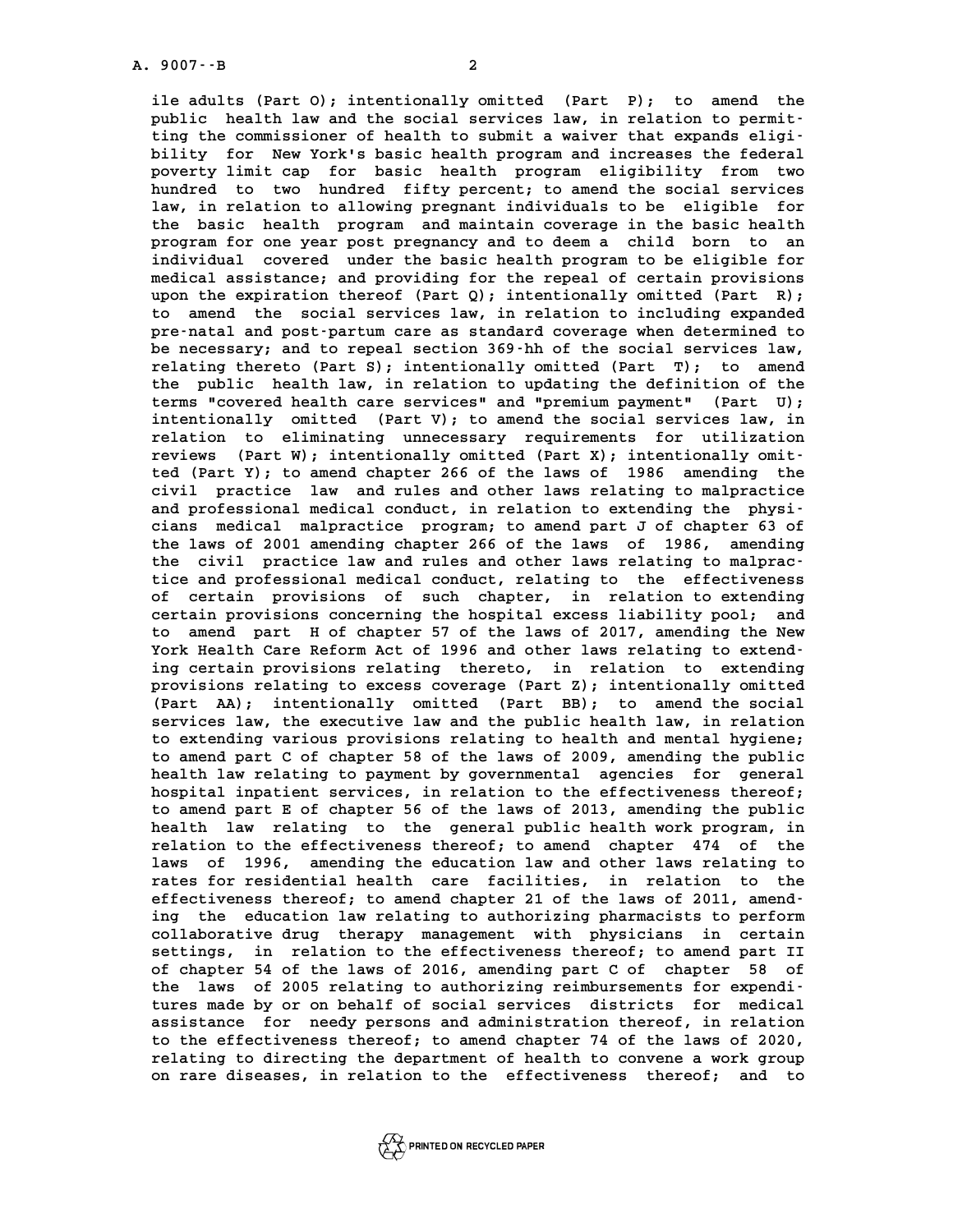**ile adults (Part O); intentionally omitted (Part P); to amend the** ile adults (Part O); intentionally omitted (Part P); to amend the public health law and the social services law, in relation to permit-<br>ting the commissioner of bealth to submit a vaiver that expands eligiile adults (Part O); intentionally omitted (Part P); to amend the public health law and the social services law, in relation to permitting the commissioner of health to submit a waiver that expands eligi-<br>hility for Now Yo public health law and the social services law, in relation to permit-<br>ting the commissioner of health to submit a waiver that expands eligi-<br>bility for New York's basic health program and increases the federal<br>poverty limi ting the commissioner of health to submit a waiver that expands eligi-<br>bility for New York's basic health program and increases the federal<br>poverty limit cap for basic health program eligibility from two<br>hundred to two hun bility for New York's basic health program and increases the federal<br>poverty limit cap for basic health program eligibility from two<br>hundred to two hundred fifty percent; to amend the social services<br>law in relation to all poverty limit cap for basic health program eligibility from two<br>hundred to two hundred fifty percent; to amend the social services<br>law, in relation to allowing pregnant individuals to be eligible for<br>the basic bally progra hundred to two hundred fifty percent; to amend the social services law, in relation to allowing pregnant individuals to be eligible for the basic health program and maintain coverage in the basic health program for one yea law, in relation to allowing pregnant individuals to be eligible for the basic health program and maintain coverage in the basic health<br>program for one year post pregnancy and to deem a child born to an<br>individual covered under the basic health program to be eligible for<br>medical assistance: program for one year post pregnancy and to deem a child born to an individual covered under the basic health program to be eligible for medical assistance; and providing for the repeal of certain provisions<br>upon the evaina individual covered under the basic health program to be eligible for<br>medical assistance; and providing for the repeal of certain provisions<br>upon the expiration thereof (Part Q); intentionally omitted (Part R);<br>to amend the medical assistance; and providing for the repeal of certain provisions<br>upon the expiration thereof (Part Q); intentionally omitted (Part R);<br>to amend the social services law, in relation to including expanded<br>procental and upon the expiration thereof (Part Q); intentionally omitted (Part R);<br>to amend the social services law, in relation to including expanded<br>pre-natal and post-partum care as standard coverage when determined to<br>be possessive to amend the social services law, in relation to including expanded<br>pre-natal and post-partum care as standard coverage when determined to<br>be necessary; and to repeal section 369-hh of the social services law,<br>relating the pre-natal and post-partum care as standard coverage when determined to<br>be necessary; and to repeal section 369-hh of the social services law,<br>relating thereto (Part S); intentionally omitted (Part T); to amend<br>the public b be necessary; and to repeal section 369 hh of the social services law,<br>relating thereto (Part S); intentionally omitted (Part T); to amend<br>the public health law, in relation to updating the definition of the<br>terms "severad relating thereto (Part S); intentionally omitted (Part T); to amend<br>the public health law, in relation to updating the definition of the<br>terms "covered health care services" and "premium payment" (Part U);<br>intentionally em the public health law, in relation to updating the definition of the terms "covered health care services" and "premium payment" (Part U); intentionally omitted (Part V); to amend the social services law, in relation to eli terms "covered health care services" and "premium payment" (Part U);<br>intentionally omitted (Part V); to amend the social services law, in<br>relation to eliminating unnecessary requirements for utilization<br>reviews (Part W); i intentionally omitted (Part V); to amend the social services law, in<br>relation to eliminating unnecessary requirements for utilization<br>reviews (Part W); intentionally omitted (Part X); intentionally omit-<br>tod (Part Y); to a relation to eliminating unnecessary requirements for utilization<br>reviews (Part W); intentionally omitted (Part X); intentionally omit-<br>ted (Part Y); to amend chapter 266 of the laws of 1986 amending the<br>civil practice law reviews (Part W); intentionally omitted (Part X); intentionally omit-<br>ted (Part Y); to amend chapter 266 of the laws of 1986 amending the<br>civil practice law and rules and other laws relating to malpractice<br>and professional ted (Part Y); to amend chapter 266 of the laws of 1986 amending the civil practice law and rules and other laws relating to malpractice<br>and professional medical conduct, in relation to extending the physi-<br>ciang medical ma civil practice law and rules and other laws relating to malpractice<br>and professional medical conduct, in relation to extending the physiand professional medical conduct, in relation to extending the physi-<br>cians medical malpractice program; to amend part J of chapter 63 of<br>the laws of 2001 amending chapter 266 of the laws of 1986, amending<br>the civil progra cians medical malpractice program; to amend part J of chapter 63 of<br>the laws of 2001 amending chapter 266 of the laws of 1986, amending<br>the civil practice law and rules and other laws relating to malpracthe laws of 2001 amending chapter 266 of the laws of 1986, amending<br>the civil practice law and rules and other laws relating to malprac-<br>tice and professional medical conduct, relating to the effectiveness<br>of cortain provi tice and professional medical conduct, relating to the effectiveness<br>of certain provisions of such chapter, in relation to extending tice and professional medical conduct, relating to the effectiveness<br>of certain provisions of such chapter, in relation to extending<br>certain provisions concerning the hospital excess liability pool; and<br>to amend part H of of certain provisions of such chapter, in relation to extending<br>certain provisions concerning the hospital excess liability pool; and<br>to amend part H of chapter 57 of the laws of 2017, amending the New<br>York Hoalth Care Bef **Certain provisions concerning the hospital excess liability pool; and<br>
to amend part H of chapter 57 of the laws of 2017, amending the New<br>
York Health Care Reform Act of 1996 and other laws relating to extend-<br>
in relati** to amend part H of chapter 57 of the laws of 2017, amending the New<br>York Health Care Reform Act of 1996 and other laws relating to extending<br>ing certain provisions relating thereto, in relation to extending<br>provisions rela York Health Care Reform Act of 1996 and other laws relating to extend-<br>ing certain provisions relating thereto, in relation to extending<br>provisions relating to excess coverage (Part Z); intentionally omitted<br>(Part AA), int ing certain provisions relating thereto, in relation to extending<br>provisions relating to excess coverage (Part Z); intentionally omitted<br>(Part AA); intentionally omitted (Part BB); to amend the social<br>convices law the exec provisions relating to excess coverage (Part Z); intentionally omitted (Part AA); intentionally omitted (Part BB); to amend the social services law, the executive law and the public health law, in relation to extending unr (Part AA); intentionally omitted (Part BB); to amend the social<br>services law, the executive law and the public health law, in relation<br>to extending various provisions relating to health and mental hygiene;<br>to amend part f services law, the executive law and the public health law, in relation<br>to extending various provisions relating to health and mental hygiene;<br>to amend part C of chapter 58 of the laws of 2009, amending the public<br>health la to extending various provisions relating to health and mental hygiene;<br>to amend part C of chapter 58 of the laws of 2009, amending the public<br>health law relating to payment by governmental agencies for general<br>heapital inn to amend part C of chapter 58 of the laws of 2009, amending the public<br>health law relating to payment by governmental agencies for general<br>hospital inpatient services, in relation to the effectiveness thereof;<br>to amend par health law relating to payment by governmental agencies for general<br>hospital inpatient services, in relation to the effectiveness thereof;<br>to amend part E of chapter 56 of the laws of 2013, amending the public<br>hoalth law r hospital inpatient services, in relation to the effectiveness thereof;<br>to amend part E of chapter 56 of the laws of 2013, amending the public<br>health law relating to the general public health work program, in<br>relation to th to amend part E of chapter 56 of the laws of 2013, amending the public<br>health law relating to the general public health work program, in<br>relation to the effectiveness thereof; to amend chapter 474 of the<br>laws of 1996, amen health law relating to the general public health work program, in relation to the effectiveness thereof; to amend chapter 474 of the relation to the effectiveness thereof; to amend chapter 474 of the<br>laws of 1996, amending the education law and other laws relating to<br>rates for residential health care facilities, in relation to the<br>offectiveness thereof, laws of 1996, amending the education law and other laws relating to<br>rates for residential health care facilities, in relation to the<br>effectiveness thereof; to amend chapter 21 of the laws of 2011, amend-<br>ing the education rates for residential health care facilities, in relation to the effectiveness thereof; to amend chapter 21 of the laws of 2011, amendeffectiveness thereof; to amend chapter 21 of the laws of 2011, amend-<br>ing the education law relating to authorizing pharmacists to perform<br>collaborative drug therapy management with physicians in certain<br>sottings in relat ing the education law relating to authorizing pharmacists to perform<br>collaborative drug therapy management with physicians in certain<br>settings, in relation to the effectiveness thereof; to amend part II<br>of chantor 54 of th collaborative drug therapy management with physicians in certain settings, in relation to the effectiveness thereof; to amend part II of chapter 54 of the laws of 2016, amending part C of chapter 58 of the laws of 2005 rel settings, in relation to the effectiveness thereof; to amend part II<br>of chapter 54 of the laws of 2016, amending part C of chapter 58 of<br>the laws of 2005 relating to authorizing reimbursements for expendi-<br>tures made by er of chapter 54 of the laws of 2016, amending part C of chapter 58 of<br>the laws of 2005 relating to authorizing reimbursements for expendi-<br>tures made by or on behalf of social services districts for medical<br>assistance for ne the laws of 2005 relating to authorizing reimbursements for expenditures made by or on behalf of social services districts for medical assistance for needy persons and administration thereof, in relation the effectiveness tures made by or on behalf of social services districts for medical<br>assistance for needy persons and administration thereof, in relation<br>to the effectiveness thereof; to amend chapter 74 of the laws of 2020,

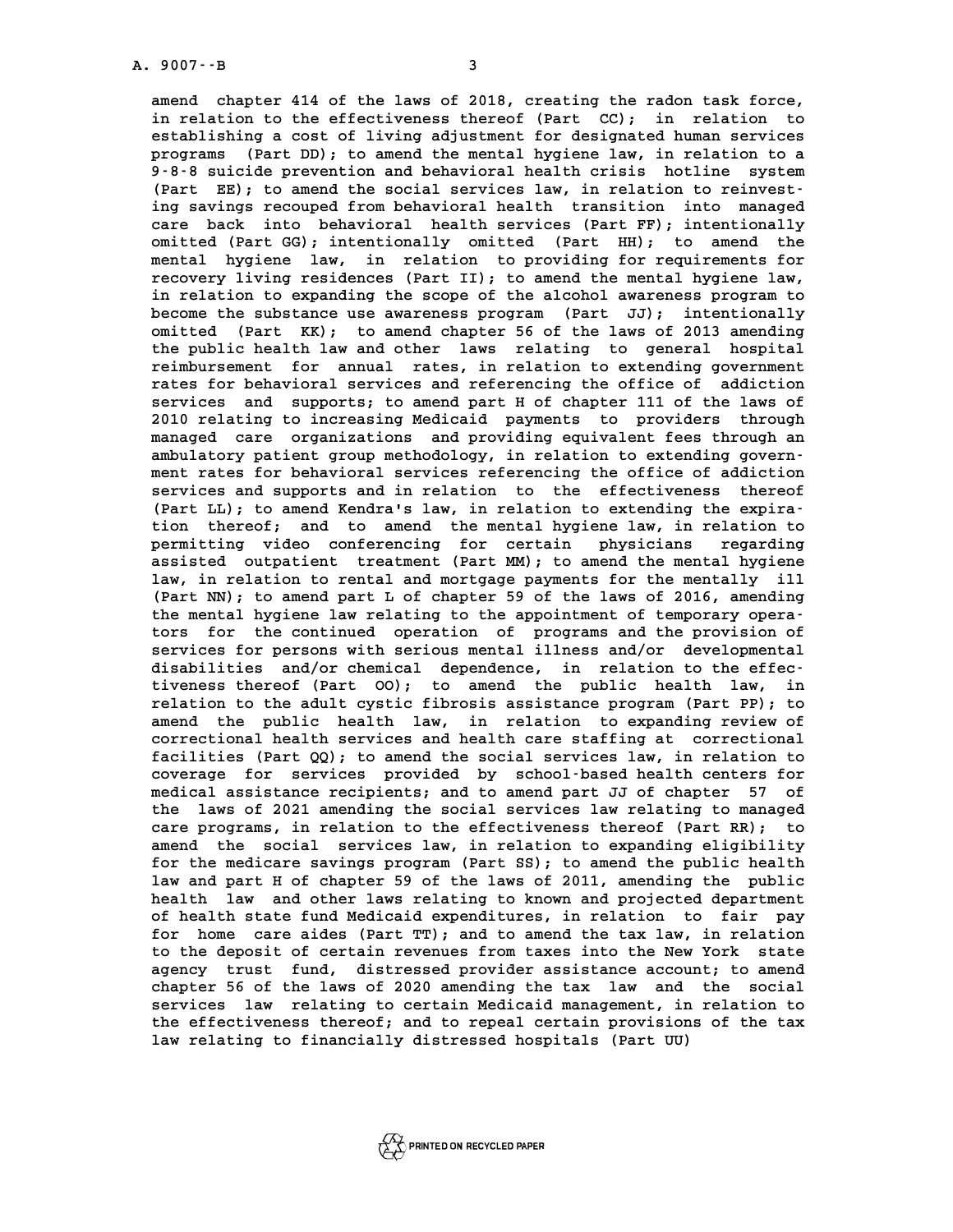**A. 9007--B 3 amend chapter 414 of the laws of 2018, creating the radon task force,** amend chapter 414 of the laws of 2018, creating the radon task force,<br>in relation to the effectiveness thereof (Part CC); in relation to in relation to the effectiveness thereof (Part CC); in relation to establishing a cost of living adjustment for designated human services in relation to the effectiveness thereof (Part CC); in relation to<br>establishing a cost of living adjustment for designated human services<br>programs (Part DD); to amend the mental hygiene law, in relation to a<br>0.9.9 quiside establishing a cost of living adjustment for designated human services<br>programs (Part DD); to amend the mental hygiene law, in relation to a<br>9-8-8 suicide prevention and behavioral health crisis hotline system<br>(Part FF): t programs (Part DD); to amend the mental hygiene law, in relation to a<br>9-8-8 suicide prevention and behavioral health crisis hotline system<br>(Part EE); to amend the social services law, in relation to reinvest-<br>ing suings re 9-8-8 suicide prevention and behavioral health crisis hotline system (Part EE); to amend the social services law, in relation to reinvesting savings recouped from behavioral health transition into managed care back into be (Part EE); to amend the social services law, in relation to reinvest-<br>ing savings recouped from behavioral health transition into managed<br>care back into behavioral health services (Part FF); intentionally<br>omitted (Part CC) ing savings recouped from behavioral health transition into managed<br>care back into behavioral health services (Part FF); intentionally<br>omitted (Part GG); intentionally omitted (Part HH); to amend the<br>montal bugione law in care back into behavioral health services (Part FF); intentionally<br>omitted (Part GG); intentionally omitted (Part HH); to amend the<br>mental hygiene law, in relation to providing for requirements for<br>recovery living residenc omitted (Part GG); intentionally omitted (Part HH); to amend the mental hygiene law, in relation to providing for requirements for recovery living residences (Part II); to amend the mental hygiene law, in relation to expan mental hygiene law, in relation to providing for requirements for<br>recovery living residences (Part II); to amend the mental hygiene law,<br>in relation to expanding the scope of the alcohol awareness program to<br>become the sub **become the substance (Part II); to amend the mental hygiene law,**<br>in relation to expanding the scope of the alcohol awareness program to<br>become the substance use awareness program (Part JJ); intentionally<br>cmitted (Part XX in relation to expanding the scope of the alcohol awareness program to<br>become the substance use awareness program (Part JJ); intentionally<br>omitted (Part KK); to amend chapter 56 of the laws of 2013 amending<br>the public boat become the substance use awareness program (Part JJ); intentionally<br>omitted (Part KK); to amend chapter 56 of the laws of 2013 amending<br>the public health law and other laws relating to general hospital<br>reimburgerant for an omitted (Part KK); to amend chapter 56 of the laws of 2013 amending<br>the public health law and other laws relating to general hospital<br>reimbursement for annual rates, in relation to extending government the public health law and other laws relating to general hospital<br>reimbursement for annual rates, in relation to extending government<br>rates for behavioral services and referencing the office of addiction<br>convices and curre reimbursement for annual rates, in relation to extending government<br>rates for behavioral services and referencing the office of addiction<br>services and supports; to amend part H of chapter 111 of the laws of<br>2010 relating t rates for behavioral services and referencing the office of addiction<br>services and supports; to amend part H of chapter 111 of the laws of<br>2010 relating to increasing Medicaid payments to providers through<br>managed same exa **services** and supports; to amend part H of chapter 111 of the laws of 2010 relating to increasing Medicaid payments to providers through an managed care organizations and providing equivalent fees through an ambulatory pa 2010 relating to increasing Medicaid payments to providers through<br>managed care organizations and providing equivalent fees through an<br>ambulatory patient group methodology, in relation to extending govern-<br>mont rates for b

managed care organizations and providing equivalent fees through an<br>ambulatory patient group methodology, in relation to extending govern-<br>ment rates for behavioral services referencing the office of addiction<br>services and ambulatory patient group methodology, in relation to extending government rates for behavioral services referencing the office of addiction services and supports and in relation to the effectiveness thereof (Part II), to a ment rates for behavioral services referencing the office of addiction<br>services and supports and in relation to the effectiveness thereof<br>(Part LL); to amend Kendra's law, in relation to extending the expira-<br>tion thereof, services and supports and in relation to the effectiveness thereof (Part LL); to amend Kendra's law, in relation to extending the expiration thereof; and to amend the mental hygiene law, in relation to pormition wideo conf (Part LL); to amend Kendra's law, in relation to extending the expiration thereof; and to amend the mental hygiene law, in relation to permitting video conferencing for certain physicians regarding tion thereof; and to amend the mental hygiene law, in relation to<br>permitting video conferencing for certain physicians regarding<br>assisted outpatient treatment (Part MM); to amend the mental hygiene<br>law in relation to renta permitting video conferencing for certain physicians regarding<br>assisted outpatient treatment (Part MM); to amend the mental hygiene<br>law, in relation to rental and mortgage payments for the mentally ill<br>(Part NM); to amond assisted outpatient treatment (Part MM); to amend the mental hygiene<br>law, in relation to rental and mortgage payments for the mentally ill<br>(Part NN); to amend part L of chapter 59 of the laws of 2016, amending<br>the montal h law, in relation to rental and mortgage payments for the mentally ill<br>(Part NN); to amend part L of chapter 59 of the laws of 2016, amending<br>the mental hygiene law relating to the appointment of temporary opera-<br>tors for t (Part NN); to amend part L of chapter 59 of the laws of 2016, amending<br>the mental hygiene law relating to the appointment of temporary opera-<br>tors for the continued operation of programs and the provision of<br>convices for p the mental hygiene law relating to the appointment of temporary opera-<br>tors for the continued operation of programs and the provision of<br>services for persons with serious mental illness and/or developmental<br>disabilities an tors for the continued operation of programs and the provision of<br>services for persons with serious mental illness and/or developmental<br>disabilities and/or chemical dependence, in relation to the effec-<br>tiveness thereof (B services for persons with serious mental illness and/or developmental disabilities and/or chemical dependence, in relation to the effectiveness thereof (Part 00); to amend the public health law, in **relation to the adult cystic fibrosis assistance program (Part PP); to** tiveness thereof (Part 00); to amend the public health law, in relation to the adult cystic fibrosis assistance program (Part PP); to amend the public health law, in relation to expanding review of correctional boalth corr relation to the adult cystic fibrosis assistance program (Part PP); to<br>amend the public health law, in relation to expanding review of<br>correctional health services and health care staffing at correctional<br>facilities (Part amend the public health law, in relation to expanding review of<br>correctional health services and health care staffing at correctional<br>facilities (Part QQ); to amend the social services law, in relation to<br>coverage for serv correctional health services and health care staffing at correctional<br>facilities (Part QQ); to amend the social services law, in relation to<br>coverage for services provided by school-based health centers for<br>modical assista facilities (Part QQ); to amend the social services law, in relation to coverage for services provided by school-based health centers for medical assistance recipients; and to amend part JJ of chapter 57 of the laws of 2021 coverage for services provided by school-based health centers for<br>medical assistance recipients; and to amend part JJ of chapter 57 of<br>the laws of 2021 amending the social services law relating to managed **care programs, in relation to the effectiveness thereof (Part RR); to amend the social services law, in relation to expanding eligibility** care programs, in relation to the effectiveness thereof (Part RR); to amend the social services law, in relation to expanding eligibility<br>for the medicare savings program (Part SS); to amend the public health<br>law and part amend the social services law, in relation to expanding eligibility<br>for the medicare savings program (Part SS); to amend the public health<br>law and part H of chapter 59 of the laws of 2011, amending the public<br>health law an for the medicare savings program (Part SS); to amend the public health<br>law and part H of chapter 59 of the laws of 2011, amending the public<br>health law and other laws relating to known and projected department<br>of boalth st law and part H of chapter 59 of the laws of 2011, amending the public<br>health law and other laws relating to known and projected department<br>of health state fund Medicaid expenditures, in relation to fair pay<br>for home care a health law and other laws relating to known and projected department<br>of health state fund Medicaid expenditures, in relation to fair pay<br>for home care aides (Part TT); and to amend the tax law, in relation<br>to the depesit o of health state fund Medicaid expenditures, in relation to fair pay<br>for home care aides (Part TT); and to amend the tax law, in relation<br>to the deposit of certain revenues from taxes into the New York state<br>proper trust fu for home care aides (Part TT); and to amend the tax law, in relation<br>to the deposit of certain revenues from taxes into the New York state<br>agency trust fund, distressed provider assistance account; to amend<br>chapter 56 of t to the deposit of certain revenues from taxes into the New York state<br>agency trust fund, distressed provider assistance account; to amend<br>chapter 56 of the laws of 2020 amending the tax law and the social<br>corrigos law rela agency trust fund, distressed provider assistance account; to amend<br>chapter 56 of the laws of 2020 amending the tax law and the social<br>services law relating to certain Medicaid management, in relation to<br>the effectiveness chapter 56 of the laws of 2020 amending the tax law and the social<br>services law relating to certain Medicaid management, in relation to<br>the effectiveness thereof; and to repeal certain provisions of the tax **law relating to financially distressed hospitals (Part UU)**

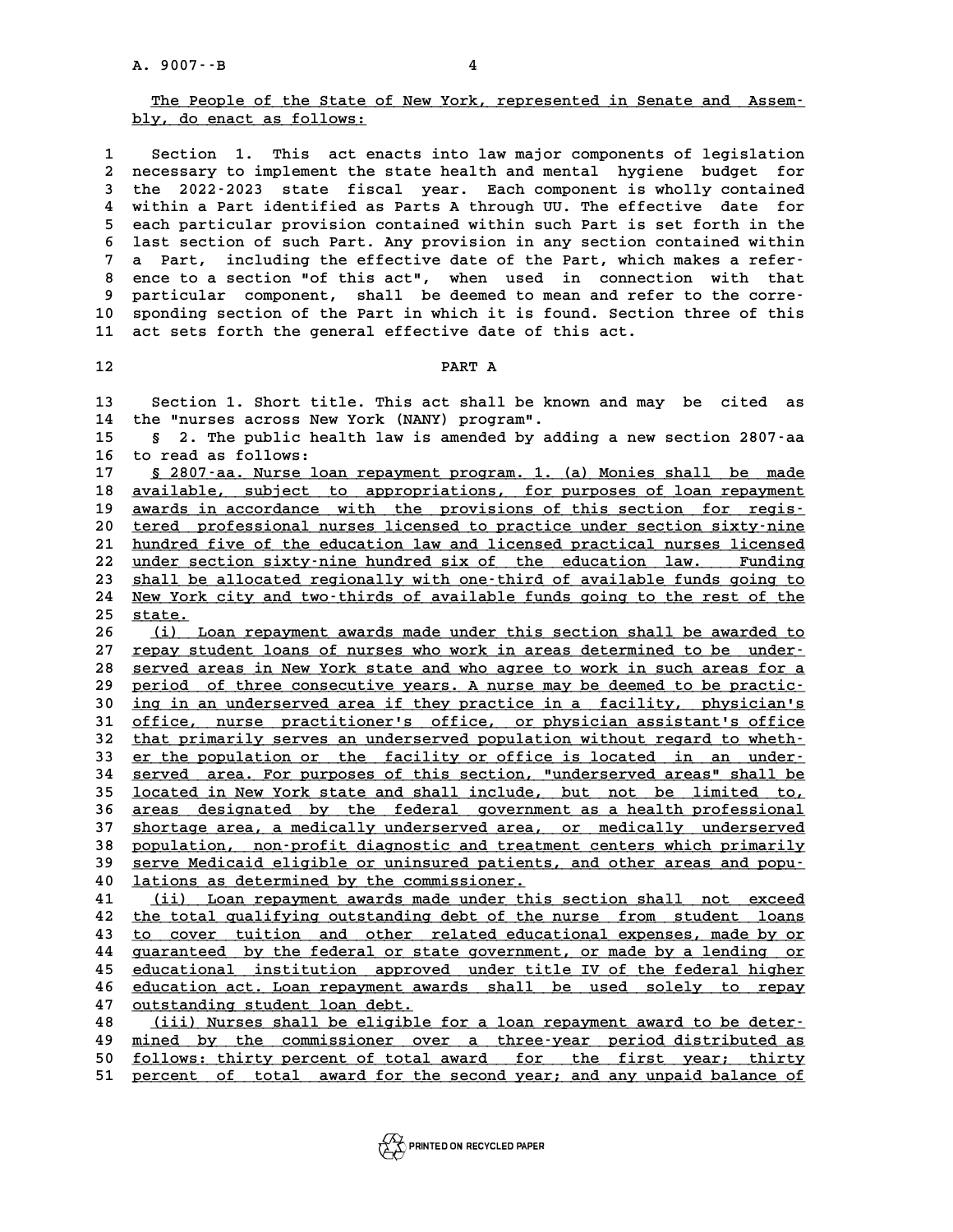### 9007 --B<br>The People of the State of New York, represented in Senate and Assem-<br>**We dedenge to a follows:** <u>The People of the State of the State</u><br>bly, do enact as follows:

**1 Section 1. This act enacts into law major components of legislation 2 necessary to implement the state health and mental hygiene budget for 3 1 Section 1. This act enacts into law major components of legislation**<br>2 necessary to implement the state health and mental hygiene budget for<br>3 the 2022-2023 state fiscal year. Each component is wholly contained<br>4 with a necessary to implement the state health and mental hygiene budget for<br>
4 within a Part identified as Parts A through UU. The effective date for<br>
2022 - 2023 state fiscal year. Each component is wholly contained<br>
4 within **5 the 2022-2023 state fiscal year. Each component is wholly contained<br>
4 within a Part identified as Parts A through UU. The effective date for<br>
5 each particular provision contained within such Part is set forth in the<br>** 4 within a Part identified as Parts A through UU. The effective date for<br>5 each particular provision contained within such Part is set forth in the<br>6 last section of such Part. Any provision in any section contained within **7 a Part, including the effective date of the Part, which makes a refer-8 last section of such Part. Any provision in any section contained within**<br> **8 Part, including the effective date of the Part, which makes a refer-**<br> **8 ence to a section "of this act", when used in connection with that a** Part, including the effective date of the Part, which makes a refer-<br> **9 particular component, shall be deemed to mean and refer to the corre-**<br> **9 particular component, shall be deemed to mean and refer to the corre-**8 ence to a section "of this act", when used in connection with that<br>9 particular component, shall be deemed to mean and refer to the corre-<br>10 sponding section of the Part in which it is found. Section three of this<br>21 ac 9 particular component, shall be deemed to mean and refer to the corre-<br>10 sponding section of the Part in which it is found. Section three of this<br>11 act sets forth the general effective date of this act. 11 act sets forth the general effective date of this act.<br>12

**12**<br>**13** Section 1. Short title. This act shall be known and may be cited as<br>14 the Unurges asress Now York (NANY) program! **13** Section 1. Short title. This act shall be know<br>14 the "nurses across New York (NANY) program".<br>15 5 3 The publis boalth law is arranded by add **13** Section 1. Short title. This act shall be known and may be cited as<br>14 the "nurses across New York (NANY) program".<br>15 § 2. The public health law is amended by adding a new section 2807-aa<br>16 to read as follows:

14 the "nurses across New<br>15 § 2. The public hea<br>16 to read as follows:<br><sup>17</sup> § 2807-22. Nurse loss **8** 2. The public health law is amended by adding a new section 2807-aa<br>16 to read as follows:<br>17 <u>§ 2807-aa. Nurse loan repayment program. 1. (a) Monies shall be made</u><br>18 available, subject to appropriations, for purposes

**16 to read as follows:<br>17 <u>§ 2807–aa. Nurse loan repayment program. 1. (a) Monies shall be made<br>18 available, subject to appropriations, for purposes of loan repayment<br>19 avaids in aggordange, with the provisions of t**</u> 16 to read as follows:<br>
17 <u>§ 2807–aa. Nurse loan repayment program. 1. (a) Monies shall be made</u><br>
18 <u>available, subject to appropriations, for purposes of loan repayment</u><br>
19 <u>awards in accordance with the provisions of </u> 20 tered professional nurses licensed to practice under section sixty-nine<br>21 hundred five of the education law and licensed practical nurses licensed awards in accordance with the provisions of this section for regis-<br>
20 <u>tered professional nurses licensed to practice under section sixty-nine</u><br>
21 hundred five of the education law and licensed practical nurses licensed **20** tered professional nurses licensed to practice under section sixty-nine hundred five of the education law and licensed practical nurses licensed under section sixty-nine hundred six of the education law. Funding about 21 <u>hundred five of the education law and licensed practical nurses licensed</u><br>22 <u>under section sixty-nine hundred six of the education law. Funding</u><br>23 <u>shall be allocated regionally with one-third of available funds goin</u> 22 <u>under section sixty-nine hundred six of the education law. Funding<br>23 shall be allocated regionally with one-third of available funds going to<br>24 New York city and two-thirds of available funds going to the rest of the</u> 23 <u>shall be</u><br>24 <u>New York</u><br>25 <u>state.</u><br>26 (i) LO

Xew York city and two-thirds of available funds going to the rest of the state.<br>
26 (i) Loan repayment awards made under this section shall be awarded to<br>
27 repay student loans of nurses who work in areas determined to be 25 <u>state.</u><br>26 (i) Loan repayment awards made under this section shall be awarded to<br>27 repay student loans of nurses who work in areas determined to be under-<br>28 served areas in New York state and who agree to work in suc 16 (i) Loan repayment awards made under this section shall be awarded to<br>27 <u>repay student loans of nurses who work in areas determined to be under-</u><br>28 served areas in New York state and who agree to work in such areas fo 27 <u>repay student loans of nurses who work in areas determined to be under-</u><br>28 <u>served areas in New York state and who agree to work in such areas for a</u><br><u>period of three consecutive years. A nurse may be deemed to be pra</u> **38** served areas in New York state and who agree to work in such areas for a<br> **period** of three consecutive years. A nurse may be deemed to be practic-<br> **ing in an underserved area if they practice in a facility, physicia** period of three consecutive years. A nurse may be deemed to be practic-<br>30 <u>ing in an underserved area if they practice in a facility, physician's<br>31 office, nurse practitioner's office, or physician assistant's office<br>tha</u> **30** ing in an underserved area if they practice in a facility, physician's<br> **31** office, nurse practitioner's office, or physician assistant's office<br> **32** that primarily serves an underserved population without regard to 31 office, nurse practitioner's office, or physician assistant's office<br>32 that primarily serves an underserved population without regard to wheth-<br>33 er the population or the facility or office is located in an under-<br>34 33 <u>er the population or the facility or office is located in an under-</u><br>34 <u>served area. For purposes of this section, "underserved areas" shall be</u><br>35 located in New York state and shall include, but not be limited to, 35 <u>located in New York state and shall include, but not be limited to,</u><br>36 areas designated by the federal government as a health professional **34** served area. For purposes of this section, "underserved areas" shall be<br>
<u>located in New York state and shall include, but not be limited to,</u><br> **areas designated by the federal government as a health professional**<br> **a 10cated in New York state and shall include, but not be limited to,**<br>36 areas designated by the federal government as a health professional<br>37 shortage area, a medically underserved area, or medically underserved<br>28 popul 36 <u>areas designated by the federal government as a health professional<br>37 <u>shortage area, a medically underserved area, or medically underserved</u><br>28 population, non-profit diagnostic and treatment centers which primarily<br></u> 37 <u>shortage area, a medically underserved area, or medically underserved</u><br>38 <u>population, non-profit diagnostic and treatment centers which primarily</u><br>39 serve Medicaid eligible or uninsured patients, and other areas and **40 lations as determined by the commissioner. \_\_\_\_\_\_\_\_\_\_\_\_\_\_\_\_\_\_\_\_\_\_\_\_\_\_\_\_\_\_\_\_\_\_\_\_\_\_\_\_\_\_ 40** serve Medicaid eligible or uninsured patients, and other areas and popu-<br> **40** lations as determined by the commissioner.<br> **41** (ii) Loan repayment awards made under this section shall not exceed<br>
the total qualifying

**40** lations as determined by the commissioner.<br> **41** (ii) Loan repayment awards made under this section shall not exceed<br>
<u>the total qualifying outstanding debt of the nurse from student loans</u><br>
to course tuition and othe 41 (ii) Loan repayment awards made under this section shall not exceed<br>42 the total qualifying outstanding debt of the nurse from student loans<br>43 to cover tuition and other related educational expenses, made by or<br>44 guar 42 <u>the total qualifying outstanding debt of the nurse from student loans<br>43 to cover tuition and other related educational expenses, made by or<br><u>quaranteed by the federal or state government, or made by a lending or</u><br>educ</u> to cover tuition and other related educational expenses, made by or<br>
44 guaranteed by the federal or state government, or made by a lending or<br>
45 educational institution approved under title IV of the federal higher<br>
46 e 44 guaranteed by the federal or state government, or made by a lending or educational institution approved under title IV of the federal higher education act. Loan repayment awards shall be used solely to repay <u>educational institution approved under title IV of the federal higher</u><br>46 <u>education act. Loan repayment awards shall be used solely to repay</u><br>47 <u>outstanding student loan debt.</u><br>48 (iii) Nurses shall be eligible for a lo 46 <u>education act. Loan repayment awards shall be used solely to repay</u><br>47 <u>Outstanding student loan debt.</u><br>48 (iii) Nurses shall be eligible for a loan repayment award to be deter-<br>49 mined by the commissioner over a thre

**47** <u>outstanding student loan debt.</u><br> **48** (iii) Nurses shall be eligible for a loan repayment award to be deter-<br>
<u>mined by the commissioner over a three-year period distributed as</u><br> **50** follows, thirty porsont of total 48 (iii) Nurses shall be eligible for a loan repayment award to be deter-<br>49 <u>mined by the commissioner over a three-year period distributed as</u><br>50 <u>follows: thirty percent of total award</u> for the first year; thirty<br>percen 49 <u>mined by the commissioner over a three-year period-distributed-as</u><br>50 <u>follows: thirty percent of total award for the first year; thirty</u><br>51 <u>percent of total award for the second-year; and any unpaid-balance of</u>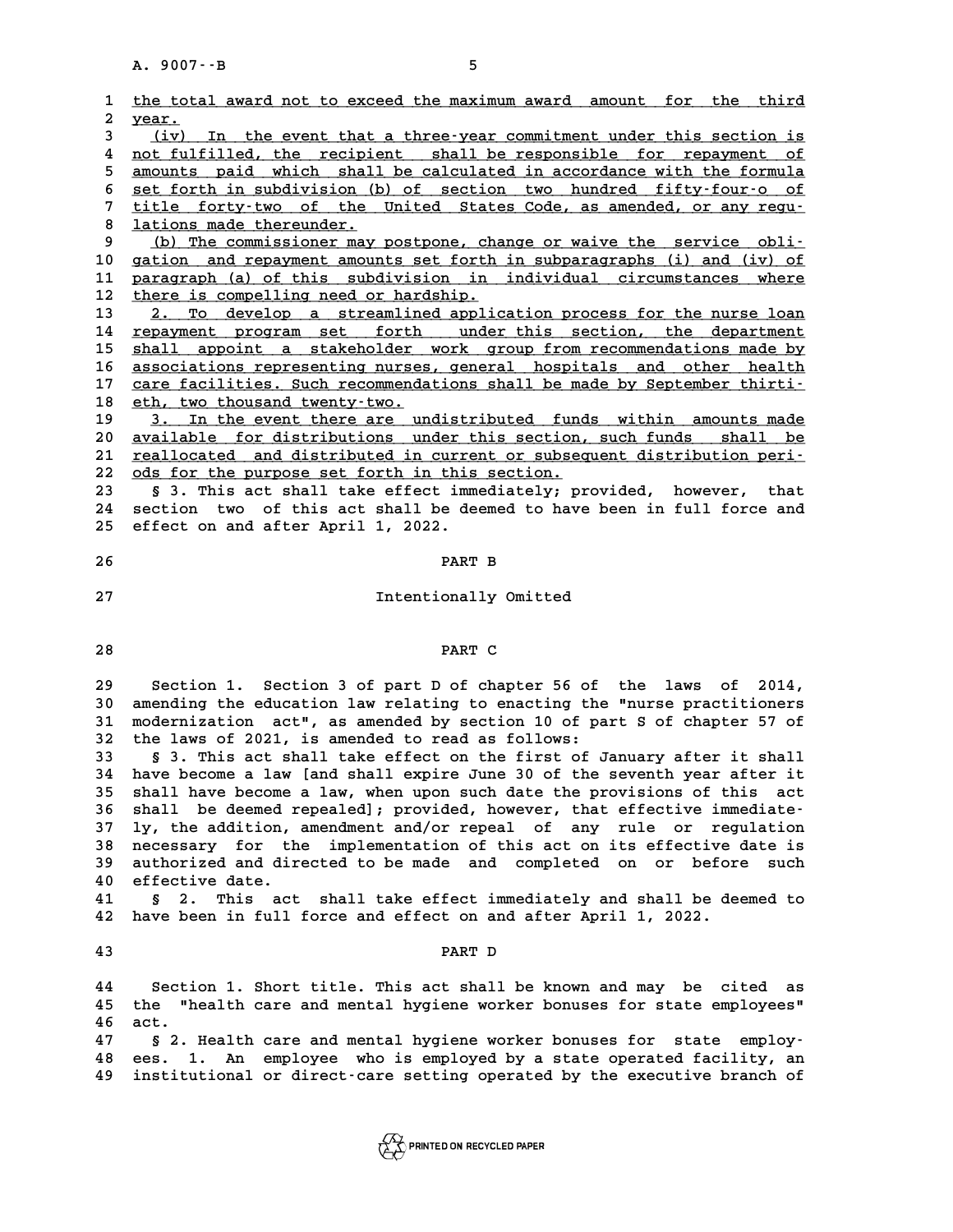|                         | A. 9007 -- B<br>5                                                                                                                                |
|-------------------------|--------------------------------------------------------------------------------------------------------------------------------------------------|
| 1                       | the total award not to exceed the maximum award amount for the third                                                                             |
| $\overline{\mathbf{2}}$ | year.                                                                                                                                            |
| 3                       | (iv) In the event that a three-year commitment under this section is                                                                             |
| 4                       | not fulfilled, the recipient shall be responsible for repayment of                                                                               |
| 5                       | amounts paid which shall be calculated in accordance with the formula                                                                            |
| 6<br>7                  | set forth in subdivision (b) of section two hundred fifty-four-o of<br>title forty-two of the United States Code, as amended, or any regu-       |
| 8                       | lations made thereunder.                                                                                                                         |
| 9                       | (b) The commissioner may postpone, change or waive the service obli-                                                                             |
| 10                      | gation and repayment amounts set forth in subparagraphs (i) and (iv) of                                                                          |
| 11                      | paragraph (a) of this subdivision in individual circumstances where                                                                              |
| 12<br>13                | there is compelling need or hardship.                                                                                                            |
| 14                      | 2. To develop a streamlined application process for the nurse loan<br>repayment program set forth under this section, the department             |
| 15                      | shall appoint a stakeholder work group from recommendations made by                                                                              |
| 16                      | associations representing nurses, general hospitals and other health                                                                             |
| 17                      | care facilities. Such recommendations shall be made by September thirti-                                                                         |
| 18                      | eth, two thousand twenty-two.                                                                                                                    |
| 19<br>20                | 3. In the event there are undistributed funds within amounts made<br>available for distributions under this section, such funds<br>shall be      |
| 21                      | reallocated and distributed in current or subsequent distribution peri-                                                                          |
| 22                      | ods for the purpose set forth in this section.                                                                                                   |
| 23                      | § 3. This act shall take effect immediately; provided, however, that                                                                             |
| 24                      | section two of this act shall be deemed to have been in full force and                                                                           |
| 25                      | effect on and after April 1, 2022.                                                                                                               |
| 26                      | PART B                                                                                                                                           |
|                         |                                                                                                                                                  |
| 27                      | Intentionally Omitted                                                                                                                            |
|                         |                                                                                                                                                  |
| 28                      | PART C                                                                                                                                           |
|                         |                                                                                                                                                  |
| 29<br>30                | Section 1. Section 3 of part D of chapter 56 of the laws of<br>2014,<br>amending the education law relating to enacting the "nurse practitioners |
| 31                      | modernization act", as amended by section 10 of part S of chapter 57 of                                                                          |
| 32                      | the laws of 2021, is amended to read as follows:                                                                                                 |
| 33                      | § 3. This act shall take effect on the first of January after it shall                                                                           |
| 34                      | have become a law [and shall expire June 30 of the seventh year after it                                                                         |
| 35                      | shall have become a law, when upon such date the provisions of this act                                                                          |
| 36<br>37                | shall be deemed repealed]; provided, however, that effective immediate-<br>ly, the addition, amendment and/or repeal of any rule or regulation   |
| 38                      | necessary for the implementation of this act on its effective date is                                                                            |
| 39                      | authorized and directed to be made and completed on or before such                                                                               |
| 40                      | effective date.                                                                                                                                  |
| 41                      | 2.<br>This act shall take effect immediately and shall be deemed to<br>Ş.                                                                        |
| 42                      | have been in full force and effect on and after April 1, 2022.                                                                                   |
| 43                      | PART D                                                                                                                                           |
| 44                      | Section 1. Short title. This act shall be known and may be cited as                                                                              |
| 45                      | "health care and mental hygiene worker bonuses for state employees"<br>the                                                                       |
| 46                      | act.                                                                                                                                             |
| 47                      | § 2. Health care and mental hygiene worker bonuses for state employ-                                                                             |
| 48                      | An employee who is employed by a state operated facility, an<br>ees.<br>1.                                                                       |
| 49                      | institutional or direct-care setting operated by the executive branch of                                                                         |
|                         |                                                                                                                                                  |
|                         |                                                                                                                                                  |

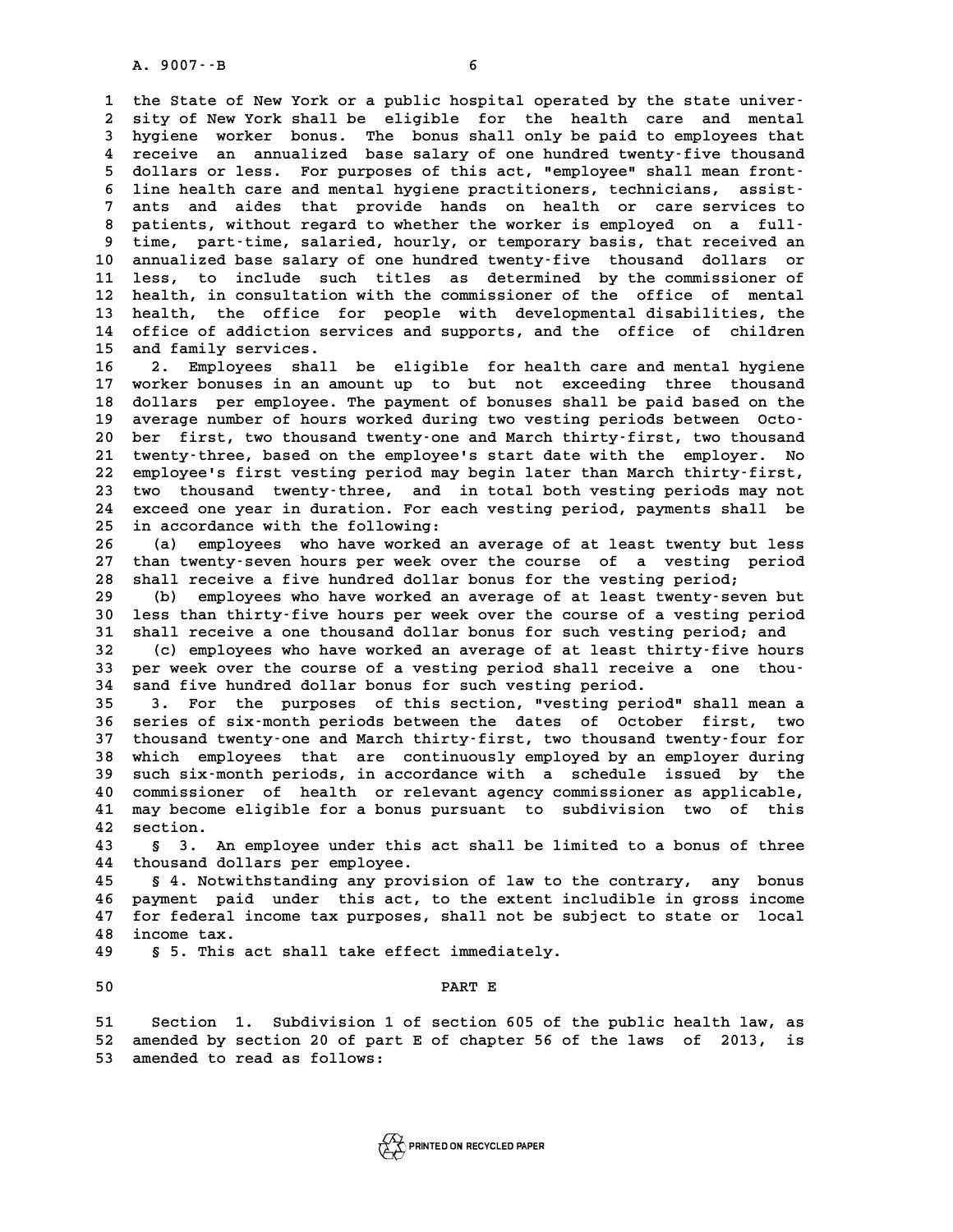A. 9007 - - B<br>1 the State of New York or a public hospital operated by the state univer-<br>2 sity of New York shall be eligible for the bealth sare and mental 1 the State of New York or a public hospital operated by the state univer-<br>2 sity of New York shall be eligible for the health care and mental<br>3 bygiene worker bonus, The bonus shall only be paid to employees that **3 hygiene worker bonus. The bonus shall only be paid to employees that** 2 sity of New York shall be eligible for the health care and mental<br>3 hygiene worker bonus. The bonus shall only be paid to employees that<br>4 receive an annualized base salary of one hundred twenty-five thousand<br>5 dollars o 3 hygiene worker bonus. The bonus shall only be paid to employees that<br>4 receive an annualized base salary of one hundred twenty-five thousand<br>5 dollars or less. For purposes of this act, "employee" shall mean front-<br><sup>5</sup> l 4 receive an annualized base salary of one hundred twenty-five thousand<br>
5 dollars or less. For purposes of this act, "employee" shall mean front-<br>
6 line health care and mental hygiene practitioners, technicians, assist-<br> 5 dollars or less. For purposes of this act, "employee" shall mean front-<br>6 line health care and mental hygiene practitioners, technicians, assist-<br>7 ants and aides that provide hands on health or care services to<br>8 patien 6 line health care and mental hygiene practitioners, technicians, assist-<br>
7 ants and aides that provide hands on health or care services to<br>
8 patients, without regard to whether the worker is employed on a full-<br>
<sup>8</sup> tim 7 ants and aides that provide hands on health or care services to<br>8 patients, without regard to whether the worker is employed on a full-<br>9 time, part-time, salaried, hourly, or temporary basis, that received an 8 patients, without regard to whether the worker is employed on a full-<br>9 time, part-time, salaried, hourly, or temporary basis, that received an<br>10 annualized base salary of one hundred twenty-five thousand dollars or<br>11 <sup>9</sup> time, part-time, salaried, hourly, or temporary basis, that received an annualized base salary of one hundred twenty-five thousand dollars or 11 less, to include such titles as determined by the commissioner of health 10 annualized base salary of one hundred twenty-five thousand dollars or<br>11 less, to include such titles as determined by the commissioner of<br>12 health, in consultation with the commissioner of the office of mental<br>13 heal 11 less, to include such titles as determined by the commissioner of<br>12 health, in consultation with the commissioner of the office of mental<br>13 health, the office for people with developmental disabilities, the<br>14 office 12 health, in consultation with the commissioner of the office of mental<br>13 health, the office for people with developmental disabilities, the<br>14 office of addiction services and supports, and the office of children<br>15 and 13 health, the office f<br>14 office of addiction ser<br>15 and family services.<br>16 **15 16** Funlouses shall 14 office of addiction services and supports, and the office of children<br>15 and family services.<br>16 2. Employees shall be eligible for health care and mental hygiene<br>17 worker bouges in an amount up to but not exceeding th

15 and family services.<br>16 2. Employees shall be eligible for health care and mental hygiene<br>17 worker bonuses in an amount up to but not exceeding three thousand<br>18 dollars per employee. The payment of bonuses shall be pa 16 2. Employees shall be eligible for health care and mental hygiene<br>17 worker bonuses in an amount up to but not exceeding three thousand<br>18 dollars per employee. The payment of bonuses shall be paid based on the<br>19 avera 17 worker bonuses in an amount up to but not exceeding three thousand<br>
18 dollars per employee. The payment of bonuses shall be paid based on the<br>
19 average number of hours worked during two vesting periods between Octo-<br> **20 dollars per employee. The payment of bonuses shall be paid based on the average number of hours worked during two vesting periods between Octo-**<br>**20 ber first, two thousand twenty-one and March thirty-first, two thousa** 19 average number of hours worked during two vesting periods between Octo-<br>20 ber first, two thousand twenty-one and March thirty-first, two thousand<br>21 twenty-three, based on the employee's start date with the employer. N 20 ber first, two thousand twenty-one and March thirty-first, two thousand<br>21 twenty-three, based on the employee's start date with the employer. No<br>22 employee's first vesting period may begin later than March thirty-firs 21 twenty-three, based on the employee's start date with the employer. No<br>22 employee's first vesting period may begin later than March thirty-first,<br>23 two thousand twenty-three, and in total both vesting periods may not<br> 22 employee's first vesting period may begin later than March thirty-first,<br>23 two thousand twenty-three, and in total both vesting periods may not<br>24 exceed one year in duration. For each vesting period, payments shall be 23 two thousand twenty-three, and i<br>24 exceed one year in duration. For each<br>25 in accordance with the following:<br>26 (a) employees the baye werked and 24 exceed one year in duration. For each vesting period, payments shall be<br>25 in accordance with the following:<br>26 (a) employees who have worked an average of at least twenty but less<br>27 than twenty-gover bours por yok ove

25 in accordance with the following:<br>
26 (a) employees who have worked an average of at least twenty but less<br>
27 than twenty-seven hours per week over the course of a vesting period<br>
28 shall receive a five hundred dollar **28 shall receive a five hundred dollar bonus for the vesting period;** 27 than twenty-seven hours per week over the course of a vesting period<br>28 shall receive a five hundred dollar bonus for the vesting period;<br>(b) employees who have worked an average of at least twenty-seven but<br>20 loss tha

**30 shall receive a five hundred dollar bonus for the vesting period;**<br>
(b) employees who have worked an average of at least twenty-seven but<br>
30 less than thirty-five hours per week over the course of a vesting period<br>
31 (b) employees who have worked an average of at least twenty-seven but<br>30 less than thirty-five hours per week over the course of a vesting period<br>31 shall receive a one thousand dollar bonus for such vesting period; and<br><sup>3</sup> **30** less than thirty-five hours per week over the course of a vesting period<br> **31** shall receive a one thousand dollar bonus for such vesting period; and<br> **32** (c) employees who have worked an average of at least thirty-f

31 shall receive a one thousand dollar bonus for such vesting period; and<br>
32 (c) employees who have worked an average of at least thirty-five hours<br>
33 per week over the course of a vesting period shall receive a one thou 32 (c) employees who have worked an average of at least thirty-five hours<br>33 per week over the course of a vesting period shall receive a one thou-<br>34 sand five hundred dollar bonus for such vesting period.<br>35 3. For the p 33 per week over the course of a vesting period shall receive a one thou-<br>34 sand five hundred dollar bonus for such vesting period.<br>35 3. For the purposes of this section, "vesting period" shall mean a<br>26 section of six m

**34** sand five hundred dollar bonus for such vesting period.<br>
35 3. For the purposes of this section, "vesting period" shall mean a<br>
36 series of six-month periods between the dates of October first, two<br>
27 thougand typet **35 3. For the purposes of this section, "vesting period" shall mean a**<br>**36 series of six-month periods between the dates of October first, two thousand twenty-one and March thirty-first, two thousand twenty-four for** 36 series of six-month periods between the dates of October first, two<br>37 thousand twenty-one and March thirty-first, two thousand twenty-four for<br>38 which employees that are continuously employed by an employer during<br>39 37 thousand twenty-one and March thirty-first, two thousand twenty-four for<br>38 which employees that are continuously employed by an employer during<br>39 such six-month periods, in accordance with a schedule issued by the<br>20 which employees that are continuously employed by an employer during<br>39 such six-month periods, in accordance with a schedule issued by the<br>40 commissioner of health or relevant agency commissioner as applicable,<br><sup>41</sup> may 39 such six-month periods, in accordance with a schedule issued by the commissioner of health or relevant agency commissioner as applicable,<br>41 may become eligible for a bonus pursuant to subdivision two of this<br><sup>42</sup> socti 40 commissione<br>41 may become<br>42 section. 41 may become eligible for a bonus pursuant to subdivision two of this<br>42 section.<br>43 § 3. An employee under this act shall be limited to a bonus of three<br>44 thousand dollars per employee.

**42 section.**<br> **43 § 3. An employee under this a**<br> **44 thousand dollars per employee.**<br> **45 § 4 Notwithstanding any provis 43 § 3. An employee under this act shall be limited to a bonus of three**<br>**44 thousand dollars per employee.**<br>**45 § 4. Notwithstanding any provision of law to the contrary, any bonus**<br>**46 pointing in this act, to the quich** 

44 thousand dollars per employee.<br>45 § 4. Notwithstanding any provision of law to the contrary, any bonus<br>46 payment paid under this act, to the extent includible in gross income<br>47 for federal income tax purposes, shall n 45 § 4. Notwithstanding any provision of law to the contrary, any bonus<br>46 payment paid under this act, to the extent includible in gross income<br>47 for federal income tax purposes, shall not be subject to state or local<br>48 % 46 payment paid under this act, to the extent includible in gross income 47 for federal income tax purposes, shall not be subject to state or local 48 income tax.<br>**49** \$5. This act shall take effect immediately. 47 for federal income tax purposes, shall not be sub<br>48 income tax.<br>49 § 5. This act shall take effect immediately.

50 **5. This act shall take effect immediately.**<br>50 **PART E** 

**51 Section 1. Subdivision 1 of section 605 of the public health law, as** 51 Section 1. Subdivision 1 of section 605 of the public health law, as<br>52 amended by section 20 of part E of chapter 56 of the laws of 2013, is 51 Section 1. Subdivision<br>52 amended by section 20 of pa<br>53 amended to read as follows:

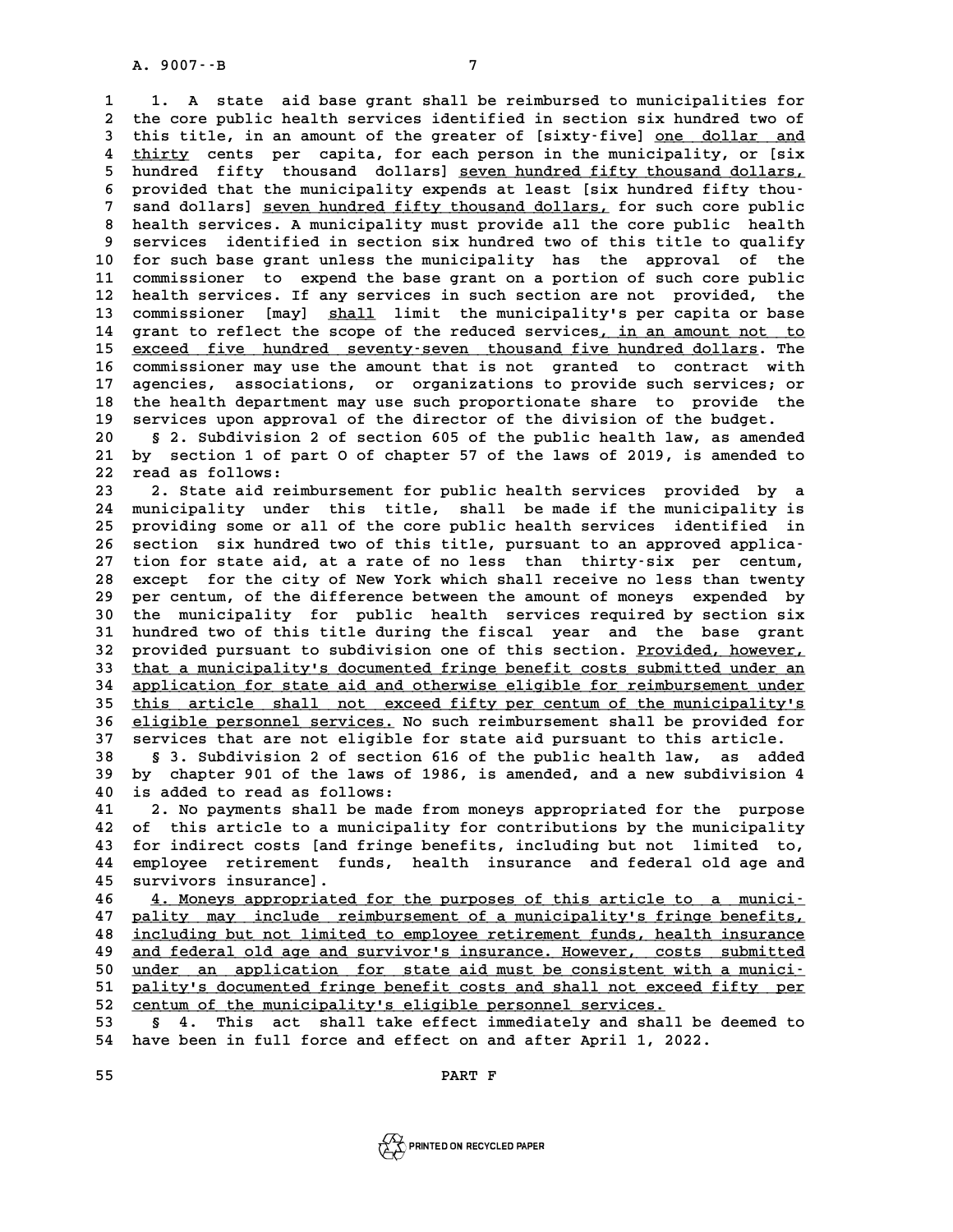**1 1. A state aid base grant shall be reimbursed to municipalities for 2 1.** A state aid base grant shall be reimbursed to municipalities for<br>2 the core public health services identified in section six hundred two of<br>3 this title in an amount of the greater of [sixty-five] one dollar, and 1 1. A state aid base grant shall be reimbursed to municipalities for<br>2 the core public health services identified in section six hundred two of<br>3 this title, in an amount of the greater of [sixty-five] <u>one dollar and</u><br>4 the core public health services identified in section six hundred two of<br>
this title, in an amount of the greater of [sixty-five] <u>one dollar and</u><br>
4 thirty cents per capita, for each person in the municipality, or [six<br>
h 5 this title, in an amount of the greater of [sixty-five] <u>one dollar and</u><br>4 <u>thirty</u> cents per capita, for each person in the municipality, or [six<br>5 hundred fifty thousand dollars] <u>seven hundred fifty thousand dollars,</u> 4 <u>thirty</u> cents per capita, for each person in the municipality, or [six<br>
5 hundred fifty thousand dollars] <u>seven hundred fifty thousand dollars,</u><br>
6 provided that the municipality expends at least [six hundred fifty tho 5 hundred fifty thousand dollars] <u>seven hundred fifty thousand dollars,</u><br>6 provided that the municipality expends at least [six hundred fifty thou-<br>7 sand dollars] <u>seven hundred fifty thousand dollars</u>, for such core pub 8 provided that the municipality expends at least [six hundred fifty thousand dollars] <u>seven hundred fifty thousand dollars</u>, for such core public health services. A municipality must provide all the core public health<br>a **9** sand dollars] <u>seven hundred fifty thousand dollars</u>, for such core public<br>
8 health services. A municipality must provide all the core public health<br>
9 services identified in section six hundred two of this title to q 8 health services. A municipality must provide all the core public health<br>9 services identified in section six hundred two of this title to qualify<br>10 for such base grant unless the municipality has the approval of the<br>11 9 services identified in section six hundred two of this title to qualify<br>10 for such base grant unless the municipality has the approval of the<br>11 commissioner to expend the base grant on a portion of such core public<br>12 10 for such base grant unless the municipality has the approval of the<br>11 commissioner to expend the base grant on a portion of such core public<br>12 health services. If any services in such section are not provided, the<br>23 11 commissioner to expend the base grant on a portion of such core public<br>12 health services. If any services in such section are not provided, the<br>13 commissioner [may] <u>shall</u> limit the municipality's per capita or base<br> 12 health services. If any services in such section are not provided, the<br>13 commissioner [may] <u>shall</u> limit the municipality's per capita or base<br>14 grant to reflect the scope of the reduced services, in an amount not to 13 commissioner [may] <u>shall</u> limit the municipality's per capita or base<br>14 grant to reflect the scope of the reduced services, in an amount not to<br>15 exceed five hundred seventy-seven thousand five hundred dollars. The<br>c 14 grant to reflect the scope of the reduced services, in an amount not to<br>15 <u>exceed five hundred seventy-seven thousand five hundred dollars</u>. The<br>16 commissioner may use the amount that is not granted to contract with<br>1 15 exceed five hundred seventy-seven thousand five hundred dollars. The commissioner may use the amount that is not granted to contract with agencies, associations, or organizations to provide such services; or the health 16 commissioner may use the amount that is not granted to contract with<br>17 agencies, associations, or organizations to provide such services; or<br>18 the health department may use such proportionate share to provide the<br>19 s 17 agencies, associations, or organizations to provide such services; or<br>18 the health department may use such proportionate share to provide the<br>19 services upon approval of the director of the division of the budget.<br>20 20 **18** the health department may use such proportionate share to provide the 19 services upon approval of the director of the division of the budget.<br>20 § 2. Subdivision 2 of section 605 of the public health law, as amend

**21 by services upon approval of the director of the division of the budget.**<br>**20 g** 2. Subdivision 2 of section 605 of the public health law, as amended by section 1 of part 0 of chapter 57 of the laws of 2019, is amend 20 § 2. Subdivision<br>
21 by section 1 of pa<br>
22 read as follows:<br>
23 <sup>2</sup> State aid reim 21 by section 1 of part 0 of chapter 57 of the laws of 2019, is amended to<br>22 read as follows:<br>23 2. State aid reimbursement for public health services provided by a<br>24 municipality under this title, shall be made if the m

22 read as follows:<br>23 2. State aid reimbursement for public health services provided by a<br>24 municipality under this title, shall be made if the municipality is<br>25 providing some areall of the sere public bealth services 23 2. State aid reimbursement for public health services provided by a<br>24 municipality under this title, shall be made if the municipality is<br>25 providing some or all of the core public health services identified in<br>26 acc 24 municipality under this title, shall be made if the municipality is<br>25 providing some or all of the core public health services identified in<br>26 section six hundred two of this title, pursuant to an approved applica-<br>27 25 providing some or all of the core public health services identified in<br>26 section six hundred two of this title, pursuant to an approved applica-<br>27 tion for state aid, at a rate of no less than thirty-six per centum,<br>2 26 section six hundred two of this title, pursuant to an approved applica-<br>27 tion for state aid, at a rate of no less than thirty-six per centum,<br>28 except for the city of New York which shall receive no less than twenty<br> 27 tion for state aid, at a rate of no less than thirty-six per centum,<br>28 except for the city of New York which shall receive no less than twenty<br>29 per centum, of the difference between the amount of moneys expended by<br>2 28 except for the city of New York which shall receive no less than twenty<br>29 per centum, of the difference between the amount of moneys expended by<br>30 the municipality for public health services required by section six<br>31 29 per centum, of the difference between the amount of moneys expended by<br>30 the municipality for public health services required by section six<br>31 hundred two of this title during the fiscal year and the base grant<br>32 pro 30 the municipality for public health services required by section six<br>31 hundred two of this title during the fiscal year and the base grant<br>32 provided pursuant to subdivision one of this section. <u>Provided, however,</u><br>33 31 hundred two of this title during the fiscal year and the base grant<br>32 provided pursuant to subdivision one of this section. <u>Provided, however,</u><br>33 <u>that a municipality's documented fringe benefit costs submitted under</u> 32 provided pursuant to subdivision one of this section. <u>Provided, however,</u><br>33 <u>that a municipality's documented fringe benefit costs submitted under an<br>34 application for state aid and otherwise eligible for reimburseme</u> 33 that a municipality's documented fringe benefit costs submitted under an application for state aid and otherwise eligible for reimbursement under this article shall not exceed fifty per centum of the municipality's clig 34 application for state aid and otherwise eligible for reimbursement under<br>35 this article shall not exceed fifty per centum of the municipality's<br>36 eligible personnel services. No such reimbursement shall be provided fo **35** this article shall not exceed fifty per centum of the municipality's<br>36 eligible personnel services. No such reimbursement shall be provided for<br>37 services that are not eligible for state aid pursuant to this article **88 8 38 eligible personnel services.** No such reimbursement shall be provided for services that are not eligible for state aid pursuant to this article.<br> **89 8** 3. Subdivision 2 of section 616 of the public health law

**37 services that are not eligible for state aid pursuant to this article.**<br>**38** § 3. Subdivision 2 of section 616 of the public health law, as added<br>**39** by chapter 901 of the laws of 1986, is amended, and a new subdivisi **40 is added to read as follows:**<br> **40 is added to read as follows:**<br> **40 is added to read as follows:**<br> **41 2** No payments shall be made **41 2. No payments shall be made from moneys appropriated for the purpose**<br>**41 2. No payments shall be made from moneys appropriated for the purpose**<br>**42 of this article to a municipality for contributions by the municipal** 

**40** is added to read as follows:<br> **41** 2. No payments shall be made from moneys appropriated for the purpose<br> **42** of this article to a municipality for contributions by the municipality<br> **13** for indirect costs [and frin 2. No payments shall be made from moneys appropriated for the purpose<br>42 of this article to a municipality for contributions by the municipality<br>43 for indirect costs [and fringe benefits, including but not limited to,<br>44 42 of this article to a municipality for contributions by the municipality<br>43 for indirect costs [and fringe benefits, including but not limited to,<br>44 employee retirement funds, health insurance and federal old age and<br>45 43 for indirect costs [and<br>44 employee retirement fu:<br>45 survivors insurance]. 44 employee retirement funds, health insurance and federal old age and<br>45 survivors insurance].<br>46 <u>4. Moneys appropriated for the purposes of this article to a munici-</u><br>47 pality may include reimburgement of a municipalit

**45 survivors insurance].**<br>46 <u>4. Moneys appropriated for the purposes of this article to a munici-</u><br>47 <u>pality may include reimbursement of a municipality's fringe benefits,</u><br>including but not limited to employee potireme **46**  <u>4. Moneys appropriated for the purposes of this article to a munici-</u><br>47 <u>pality may include reimbursement of a municipality's fringe benefits,</u><br>48 <u>including but not limited to employee retirement funds, health ins</u> **47 pality may include reimbursement of a municipality's fringe benefits,**<br>48 <u>including but not limited to employee retirement funds, health insurance</u><br><u>and federal old age and survivor's insurance. However, costs submitt</u> including but not limited to employee retirement funds, health insurance<br> **49** and federal old age and survivor's insurance. However, costs submitted<br>
50 under an application for state aid must be consistent with a municiand federal old age and survivor's insurance. However, costs submitted<br>50 <u>under an application for state aid must be consistent with a munici-</u><br>51 pality's documented fringe benefit costs and shall not exceed fifty per<br>52 50 <u>under an application for state aid must be consistent with a munici-<br>51 pality's documented fringe benefit costs and shall not exceed fifty per<br>52 centum of the municipality's eligible personnel services.<br>53 § 4. This </u> 51 <u>pality's documented fringe benefit costs and shall not exceed fifty per</u><br>52 <u>centum of the municipality's eligible personnel services.</u><br>53 § 4. This act shall take effect immediately and shall be deemed to<br>54 have been

52 centum of the municipality's eligible personnel services.<br>53 § 4. This act shall take effect immediately and shall be de<br>54 have been in full force and effect on and after April 1, 2022. 54 have been in full force and effect on and<br>55 **PART F** 

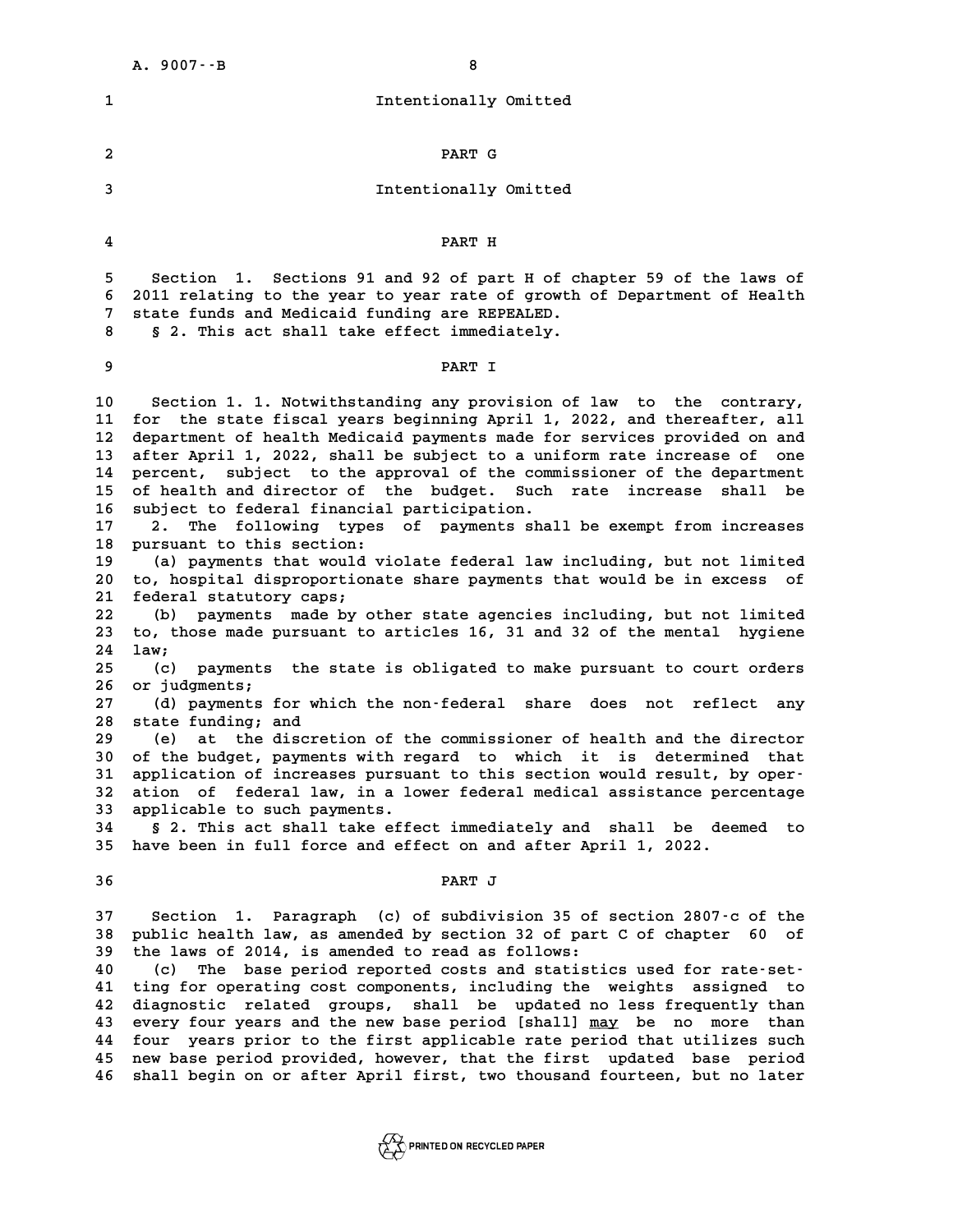|                                                                                                                                                          | 8<br>$A. 9007 - B$                                                                                                                                                                                                                                                                                                                                                                                                                                                                                                                                                                                                                                                                                                                                                                                                                                                                                                                                                                                                                                                                                                                                                                                                                                                                                                                                                                                                                                                                                                                                                                                                                                   |
|----------------------------------------------------------------------------------------------------------------------------------------------------------|------------------------------------------------------------------------------------------------------------------------------------------------------------------------------------------------------------------------------------------------------------------------------------------------------------------------------------------------------------------------------------------------------------------------------------------------------------------------------------------------------------------------------------------------------------------------------------------------------------------------------------------------------------------------------------------------------------------------------------------------------------------------------------------------------------------------------------------------------------------------------------------------------------------------------------------------------------------------------------------------------------------------------------------------------------------------------------------------------------------------------------------------------------------------------------------------------------------------------------------------------------------------------------------------------------------------------------------------------------------------------------------------------------------------------------------------------------------------------------------------------------------------------------------------------------------------------------------------------------------------------------------------------|
| 1                                                                                                                                                        | Intentionally Omitted                                                                                                                                                                                                                                                                                                                                                                                                                                                                                                                                                                                                                                                                                                                                                                                                                                                                                                                                                                                                                                                                                                                                                                                                                                                                                                                                                                                                                                                                                                                                                                                                                                |
| 2                                                                                                                                                        | PART G                                                                                                                                                                                                                                                                                                                                                                                                                                                                                                                                                                                                                                                                                                                                                                                                                                                                                                                                                                                                                                                                                                                                                                                                                                                                                                                                                                                                                                                                                                                                                                                                                                               |
| 3                                                                                                                                                        | Intentionally Omitted                                                                                                                                                                                                                                                                                                                                                                                                                                                                                                                                                                                                                                                                                                                                                                                                                                                                                                                                                                                                                                                                                                                                                                                                                                                                                                                                                                                                                                                                                                                                                                                                                                |
| 4                                                                                                                                                        | PART H                                                                                                                                                                                                                                                                                                                                                                                                                                                                                                                                                                                                                                                                                                                                                                                                                                                                                                                                                                                                                                                                                                                                                                                                                                                                                                                                                                                                                                                                                                                                                                                                                                               |
| 5.<br>6<br>7<br>8                                                                                                                                        | Sections 91 and 92 of part H of chapter 59 of the laws of<br>Section 1.<br>2011 relating to the year to year rate of growth of Department of Health<br>state funds and Medicaid funding are REPEALED.<br>§ 2. This act shall take effect immediately.                                                                                                                                                                                                                                                                                                                                                                                                                                                                                                                                                                                                                                                                                                                                                                                                                                                                                                                                                                                                                                                                                                                                                                                                                                                                                                                                                                                                |
| 9                                                                                                                                                        | PART I                                                                                                                                                                                                                                                                                                                                                                                                                                                                                                                                                                                                                                                                                                                                                                                                                                                                                                                                                                                                                                                                                                                                                                                                                                                                                                                                                                                                                                                                                                                                                                                                                                               |
| 10<br>11<br>12<br>13<br>14<br>15<br>16<br>17<br>18<br>19<br>20<br>21<br>22<br>23<br>24<br>25<br>26<br>27<br>28<br>29<br>30<br>31<br>32<br>33<br>34<br>35 | Section 1. 1. Notwithstanding any provision of law to the contrary,<br>for the state fiscal years beginning April 1, 2022, and thereafter, all<br>department of health Medicaid payments made for services provided on and<br>after April 1, 2022, shall be subject to a uniform rate increase of one<br>percent, subject to the approval of the commissioner of the department<br>of health and director of the budget. Such rate<br>shall be<br>increase<br>subject to federal financial participation.<br>following types of payments shall be exempt from increases<br>2.<br>The<br>pursuant to this section:<br>(a) payments that would violate federal law including, but not limited<br>to, hospital disproportionate share payments that would be in excess<br>оf<br>federal statutory caps;<br>payments made by other state agencies including, but not limited<br>(b)<br>to, those made pursuant to articles 16, 31 and 32 of the mental hygiene<br>law;<br>payments the state is obligated to make pursuant to court orders<br>(c)<br>or judgments;<br>(d) payments for which the non-federal share does<br>reflect<br>not<br>any<br>state funding; and<br>the discretion of the commissioner of health and the director<br>(e)<br>at<br>of the budget, payments with regard to which it is determined that<br>application of increases pursuant to this section would result, by oper-<br>ation of federal law, in a lower federal medical assistance percentage<br>applicable to such payments.<br>§ 2. This act shall take effect immediately and shall be deemed to<br>have been in full force and effect on and after April 1, 2022. |
| 36                                                                                                                                                       | PART J                                                                                                                                                                                                                                                                                                                                                                                                                                                                                                                                                                                                                                                                                                                                                                                                                                                                                                                                                                                                                                                                                                                                                                                                                                                                                                                                                                                                                                                                                                                                                                                                                                               |
| 37<br>38<br>39<br>40<br>41<br>42<br>43<br>44<br>45<br>46                                                                                                 | Paragraph (c) of subdivision 35 of section 2807-c of the<br>Section 1.<br>public health law, as amended by section 32 of part C of chapter 60<br>οf<br>the laws of 2014, is amended to read as follows:<br>The base period reported costs and statistics used for rate-set-<br>(c)<br>ting for operating cost components, including the weights assigned to<br>diagnostic related groups, shall be updated no less frequently than<br>every four years and the new base period [shall] may be no more than<br>four years prior to the first applicable rate period that utilizes such<br>new base period provided, however, that the first updated base period<br>shall begin on or after April first, two thousand fourteen, but no later                                                                                                                                                                                                                                                                                                                                                                                                                                                                                                                                                                                                                                                                                                                                                                                                                                                                                                           |

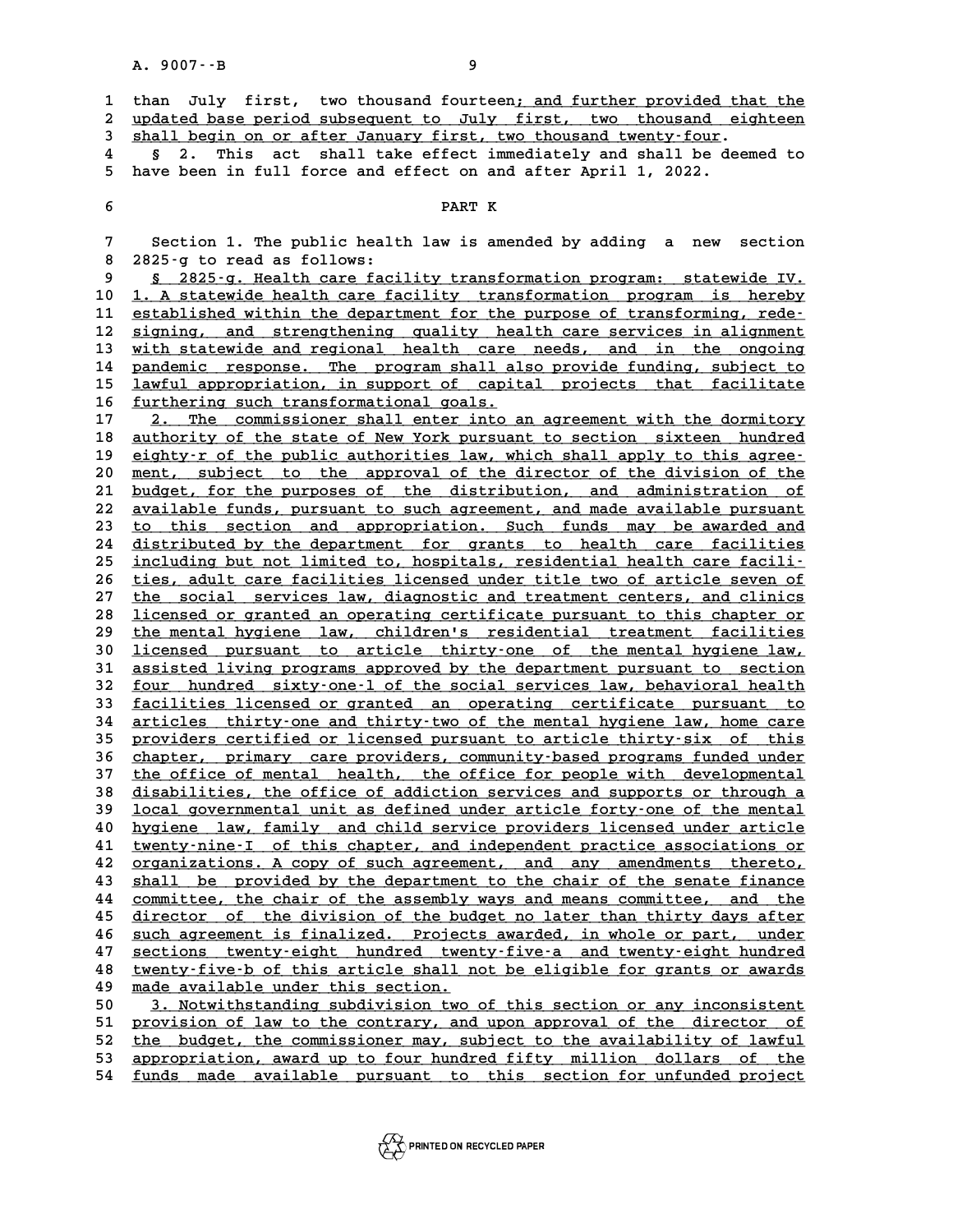|                                            | A. 9007 -- B<br>9                                                                                                                                                                                                                                                                                |
|--------------------------------------------|--------------------------------------------------------------------------------------------------------------------------------------------------------------------------------------------------------------------------------------------------------------------------------------------------|
| $\mathbf{1}$<br>$\boldsymbol{2}$<br>3<br>4 | than July first, two thousand fourteen; and further provided that the<br>updated base period subsequent to July first, two thousand eighteen<br>shall begin on or after January first, two thousand twenty-four.<br>act shall take effect immediately and shall be deemed to<br>This<br>Ş.<br>2. |
| 5                                          | have been in full force and effect on and after April 1, 2022.                                                                                                                                                                                                                                   |
| 6                                          | PART K                                                                                                                                                                                                                                                                                           |
| 7                                          | Section 1. The public health law is amended by adding a new<br>section                                                                                                                                                                                                                           |
| 8                                          | 2825-g to read as follows:                                                                                                                                                                                                                                                                       |
| 9<br>10                                    | § 2825-g. Health care facility transformation program: statewide IV.<br>1. A statewide health care facility transformation program is hereby                                                                                                                                                     |
| 11                                         | established within the department for the purpose of transforming, rede-                                                                                                                                                                                                                         |
| 12                                         | signing, and strengthening quality health care services in alignment                                                                                                                                                                                                                             |
| 13                                         | with statewide and regional health care needs, and in the ongoing                                                                                                                                                                                                                                |
| 14                                         | pandemic response. The program shall also provide funding, subject to                                                                                                                                                                                                                            |
| 15                                         | lawful appropriation, in support of capital projects that facilitate                                                                                                                                                                                                                             |
| 16                                         | furthering such transformational goals.                                                                                                                                                                                                                                                          |
| 17                                         | The commissioner shall enter into an agreement with the dormitory                                                                                                                                                                                                                                |
| 18<br>19                                   | authority of the state of New York pursuant to section sixteen hundred                                                                                                                                                                                                                           |
| 20                                         | eighty-r of the public authorities law, which shall apply to this agree-<br>ment, subject to the approval of the director of the division of the                                                                                                                                                 |
| 21                                         | budget, for the purposes of the distribution, and administration of                                                                                                                                                                                                                              |
| 22                                         | available funds, pursuant to such agreement, and made available pursuant                                                                                                                                                                                                                         |
| 23                                         | to this section and appropriation. Such funds may be awarded and                                                                                                                                                                                                                                 |
| 24                                         | distributed by the department for grants to health care facilities                                                                                                                                                                                                                               |
| 25                                         | including but not limited to, hospitals, residential health care facili-                                                                                                                                                                                                                         |
| 26                                         | ties, adult care facilities licensed under title two of article seven of                                                                                                                                                                                                                         |
| 27                                         | the social services law, diagnostic and treatment centers, and clinics                                                                                                                                                                                                                           |
| 28                                         | licensed or granted an operating certificate pursuant to this chapter or                                                                                                                                                                                                                         |
| 29<br>30                                   | the mental hygiene law, children's residential treatment facilities<br>licensed pursuant to article thirty-one of the mental hygiene law,                                                                                                                                                        |
| 31                                         | assisted living programs approved by the department pursuant to section                                                                                                                                                                                                                          |
| 32                                         | four hundred sixty-one-1 of the social services law, behavioral health                                                                                                                                                                                                                           |
| 33                                         | facilities licensed or granted an operating certificate pursuant to                                                                                                                                                                                                                              |
| 34                                         | articles thirty-one and thirty-two of the mental hygiene law, home care                                                                                                                                                                                                                          |
| 35                                         | providers certified or licensed pursuant to article thirty-six of this                                                                                                                                                                                                                           |
| 36                                         | <u>chapter, primary care providers, community-based programs funded under</u>                                                                                                                                                                                                                    |
| 37                                         | the office of mental health, the office for people with developmental                                                                                                                                                                                                                            |
| 38<br>39                                   | disabilities, the office of addiction services and supports or through a<br>local governmental unit as defined under article forty-one of the mental                                                                                                                                             |
| 40                                         | hygiene law, family and child service providers licensed under article                                                                                                                                                                                                                           |
| 41                                         | twenty-nine-I of this chapter, and independent practice associations or                                                                                                                                                                                                                          |
| 42                                         | organizations. A copy of such agreement, and any amendments thereto,                                                                                                                                                                                                                             |
| 43                                         | shall be provided by the department to the chair of the senate finance                                                                                                                                                                                                                           |
| 44                                         | committee, the chair of the assembly ways and means committee, and the                                                                                                                                                                                                                           |
| 45                                         | director of the division of the budget no later than thirty days after                                                                                                                                                                                                                           |
| 46                                         | such agreement is finalized. Projects awarded, in whole or part, under                                                                                                                                                                                                                           |
| 47                                         | sections twenty-eight hundred twenty-five-a and twenty-eight hundred                                                                                                                                                                                                                             |
| 48                                         | twenty-five-b of this article shall not be eligible for grants or awards                                                                                                                                                                                                                         |
| 49                                         | made available under this section.                                                                                                                                                                                                                                                               |
| 50<br>51                                   | 3. Notwithstanding subdivision two of this section or any inconsistent<br>provision of law to the contrary, and upon approval of the director of                                                                                                                                                 |
| 52                                         | the budget, the commissioner may, subject to the availability of lawful                                                                                                                                                                                                                          |
| 53                                         | appropriation, award up to four hundred fifty million dollars of the                                                                                                                                                                                                                             |
| 54                                         | funds made available pursuant to this section for unfunded project                                                                                                                                                                                                                               |
|                                            |                                                                                                                                                                                                                                                                                                  |

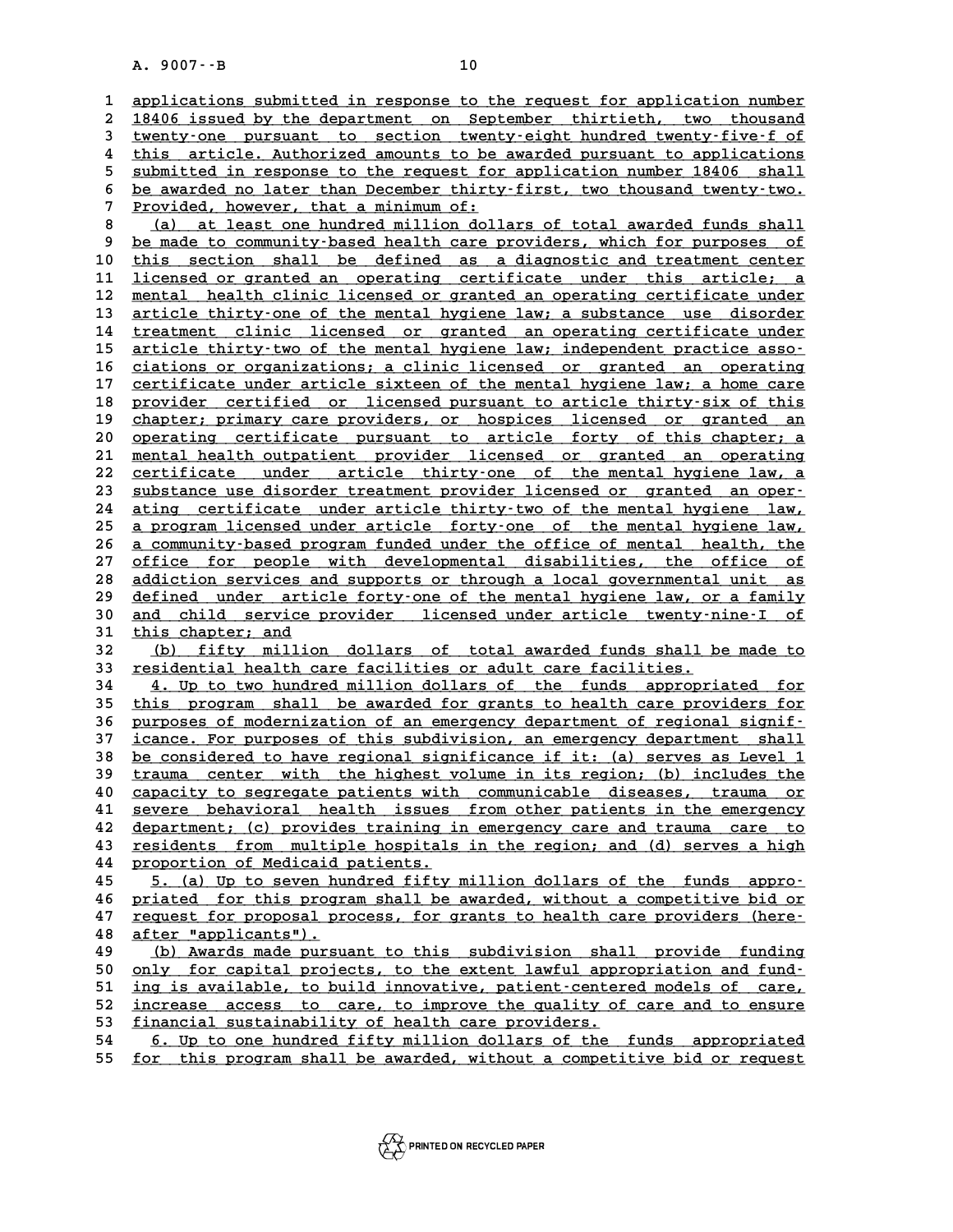A. 9007 · -B<br> **10**<br> **1** applications submitted in response to the request for application number<br>
2 19406 issued by the department on September, thirticth, two theusand 2 <u>applications submitted in response to the request for application number</u><br>2 18406 issued by the department on September thirtieth, two thousand<br>3 tyenty.one pursuant to section tyenty.eight hundred tyenty.five.f of 3 applications submitted in response to the request for application number<br>
2 18406 issued by the department on September thirtieth, two thousand<br>
3 <u>twenty-one</u> pursuant to section twenty-eight hundred twenty-five-f of<br>
<sup></sup> 1 8406 issued by the department on September thirtieth, two thousand<br>
<del>twenty one</del> pursuant to section twenty eight hundred twenty five for<br>
4 this article. Authorized amounts to be awarded pursuant to applications<br>
submit For the pursuant to section twenty-eight hundred twenty-five-f of<br>
this article. Authorized amounts to be awarded pursuant to applications<br>
submitted in response to the request for application number 18406 shall<br>
be avarde 4 this article. Authorized amounts to be awarded pursuant to applications<br>5 <u>submitted in response to the request for application number 18406 shall</u><br>6 <u>be awarded no later than December thirty-first</u>, two thousand twenty-5 <u>submitted in response to the request for application number 18406 shall</u><br>6 <u>be awarded no later than December thirty-first, two thousand twenty-two.</u><br>7 <u>Provided, however, that a minimum of:</u><br>(a) at least one hundred mi 8 <u>be awarded no later than December thirty-first, two thousand twenty-two.<br>
8 (a) at least one hundred million dollars of total awarded funds shall<br>
9 be made to community-based health care providers, which for purposes o</u> 9 <u>be made to community-based health care providers, which for purposes of</u><br>10 this section shall be defined as a diagnostic and treatment center 10 this section shall be defined as a diagnostic and treatment center<br>11 licensed or granted an operating certificate under this article; a 9 <u>be made to community-based health care providers, which for purposes of</u><br>10 <u>this section shall be defined as a diagnostic and treatment center</u><br>11 <u>licensed or granted an operating certificate under this article;</u> a<br>mo this section shall be defined as a diagnostic and treatment center<br>
11 <u>licensed or granted an operating certificate under this article; a<br>
12 mental health clinic licensed or granted an operating certificate under<br>
13 art</u> 11 <u>licensed or granted an operating certificate under this article; a</u><br>12 <u>mental health clinic licensed or granted an operating certificate under</u><br>13 <u>article thirty-one of the mental hygiene law; a substance use disorde</u> 12 <u>mental health clinic licensed or granted an operating certificate under</u><br>13 <u>article thirty one of the mental hygiene law; a substance use disorder</u><br>14 <u>treatment clinic licensed or granted an operating certificate und</u> **15** article thirty-two of the mental hygiene law; independent practice asso-<br>16 ciations or organizations: a clinic licensed or granted an operating 14 <u>treatment clinic licensed or granted an operating certificate under<br>
15 article thirty-two of the mental hygiene law; independent practice asso-<br>
16 ciations or organizations; a clinic licensed or granted an operating<br></u> article thirty two of the mental hygiene law; independent practice asso-<br>16 ciations or organizations; a clinic licensed or granted an operating<br>17 certificate under article sixteen of the mental hygiene law; a home care<br>p 16 ciations or organizations; a clinic licensed or granted an operating<br>17 <u>certificate under article sixteen of the mental hygiene law; a home care</u><br>18 provider certified or licensed pursuant to article thirty-six of this 17 certificate under article sixteen of the mental hygiene law; a home care<br>18 provider certified or licensed pursuant to article thirty-six of this<br>20 <u>chapter; primary</u> care providers, or hospices licensed or granted an<br> 18 <u>provider certified or licensed pursuant to article thirty six of this</u><br>19 <u>chapter; primary care providers, or hospices licensed or granted an</u><br>20 <u>operating certificate pursuant to article forty of this chapter; a</u><br>21 21 <u>chapter; primary care providers, or hospices licensed or granted an</u><br>20 <u>operating certificate pursuant to article forty of this chapter; a</u><br>21 <u>mental health outpatient provider licensed or granted an operating</u><br>22 ce 22 <u>certificate under article thirty-one of the mental hygiene law, a</u><br>23 <u>substance use disorder treatment provider licensed or granted an oper-</u> 21 <u>mental health outpatient provider licensed or granted an operating<br>22 <u>certificate under article thirty-one of the mental hygiene law, a</u><br>23 <u>substance use disorder treatment provider licensed or granted an oper-</u><br>24 a</u> 22 <u>certificate under article thirty-one of the mental hygiene law, a</u><br>23 <u>substance use disorder treatment provider licensed or granted an oper-</u><br>24 <u>ating certificate under article thirty-two of the mental hygiene law,</u><br> <sup>23</sup> substance use disorder treatment provider licensed or granted an oper-<br><sup>24</sup> ating certificate under article thirty-two of the mental hygiene law,<br><sup>25</sup> a program licensed under article forty-one of the mental hygiene l 24 ating certificate under article thirty-two of the mental hygiene law,<br>25 <u>a program licensed under article forty-one</u> of the mental hygiene law,<br>26 <u>a community-based program funded under the office of mental health, th</u> 25 <u>a program licensed under article forty-one of the mental hygiene law,</u><br>26 <u>a community-based program funded under the office of mental health, the</u><br>27 <u>office for people with developmental disabilities, the office of</u><br> 26 <u>a community-based program funded under the office of mental health, the office for people with developmental disabilities, the office of addiction services and supports or through a local governmental unit as defined u</u> 27 office for people with developmental disabilities, the office of addiction services and supports or through a local governmental unit as defined under article forty-one of the mental hygiene law, or a family and shild s **38** <u>addiction services and supports or through a local governmental unit as<br>
30 <u>and child service provider</u> licensed under article twenty-nine-I of<br>
<sup>31</sup> this chapter: and</u> 29 <u>defined under arti</u><br>30 <u>and child service</u><br>31 this chapter; and<br><sup>22</sup> (b) fifty million 30 and child service provider licensed under article twenty-nine-I of<br>31 <u>this chapter; and</u><br>32 <u>(b) fifty million dollars of total awarded funds shall be made to</u><br>33 residential bealth care facilities or adult care facili 31 <u>this chapter; and<br>32 (b) fifty million dollars of total awarded funds shall b<br>33 <u>residential health care facilities or adult care facilities.</u><br>34 . In to tup hundred million dollars of the funds appropri</u> **32** (b) fifty million dollars of total awarded funds shall be made to<br> **33** <u>residential health care facilities or adult care facilities.</u><br>
<u>4. Up to two hundred million dollars of the funds appropriated for</u><br>
this progra **33** <u>residential health care facilities or adult care facilities.</u><br> **4.** Up to two hundred million dollars of the funds appropriated for<br>
this program shall be awarded for grants to health care providers for<br>
nurresce of **4. Up to two hundred million dollars of the funds appropriated for<br>
this program shall be awarded for grants to health care providers for<br>
<u>purposes of modernization of an emergency department of regional signif</u>-<br>
<b>37** i this program shall be awarded for grants to health care providers for<br>36 purposes of modernization of an emergency department of regional signif-<br>37 <u>icance. For purposes of this subdivision, an emergency department shall</u> **36 purposes of modernization of an emergency department of regional signif-**<br>37 <u>icance. For purposes of this subdivision, an emergency department shall</u><br>38 <u>be considered to have regional significance if it:</u> (a) serves icance. For purposes of this subdivision, an emergency department shall<br>38 <u>be considered to have regional significance if it:</u> (a) serves as Level 1<br>39 trauma center with the highest volume in its region; (b) includes the be considered to have regional significance if it: (a) serves as Level 1<br> **trauma** center with the highest volume in its region; (b) includes the<br>
<u>capacity to segregate patients with communicable diseases, trauma or</u><br>
sev trauma center with the highest volume in its region; (b) includes the<br>40 <u>capacity to segregate patients with communicable diseases, trauma or</u><br>41 <u>severe behavioral health issues from other patients in the emergency</u><br>42 d capacity to segregate patients with communicable diseases, trauma or<br>41 <u>severe behavioral health issues from other patients in the emergency</u><br>42 department; (c) provides training in emergency care and trauma care to<br>resid 41 <u>severe behavioral health issues from other patients in the emergency</u><br>42 <u>department; (c) provides training in emergency care and trauma care to</u><br><u>residents from multiple hospitals in the region; and (d) serves a high</u> **42** department; (c) provides training is<br> **43** residents from multiple hospitals<br> **44** proportion of Medicaid patients.<br> **45** 5 (a) Un to souse hundred fifty. **43** residents from multiple hospitals in the region; and (d) serves a high<br>44 proportion of Medicaid patients.<br>45 5. (a) Up to seven hundred fifty million dollars of the funds appro-<br>26 priored for this program shall be p a to the proportion of Medicaid patients.<br>
45 **5.** (a) Up to seven hundred fifty million dollars of the funds appro-<br>
46 priated for this program shall be awarded, without a competitive bid or<br>
47 request for proposal proc 45 5. (a) Up to seven hundred fifty million dollars of the funds appro-<br> **priated for this program shall be awarded, without a competitive bid or**<br> **request for proposal process, for grants to health care providers (here-**46 <u>priated for this progr</u><br>47 <u>request for proposal proton after "applicants").</u><br>48 (b) Augrds made pursu **47** request for proposal process, for grants to health care providers (here-<br> **48** <u>(b) Awards made pursuant to this subdivision shall provide funding</u><br> **49** (b) Awards made pursuant to this subdivision shall provide fund **50 after "applicants").**<br> **49** (b) Awards made pursuant to this subdivision shall provide funding<br>
<u>by for capital projects, to the extent lawful appropriation and fund-</u><br>
ing is available to build innovative patient cent 49 (b) Awards made pursuant to this subdivision shall provide funding<br>50 <u>only for capital projects, to the extent lawful appropriation and fund-</u><br>51 <u>ing is available, to build innovative, patient-centered models of care,</u> only for capital projects, to the extent lawful appropriation and fund-<br>
ing is available, to build innovative, patient-centered models of care,<br>
<u>increase access to care, to improve the quality of care and to ensure</u><br>
fin 51 <u>ing is available, to build innovative, patient-center</u><br>52 <u>increase access to care, to improve the quality of</u><br>53 <u>financial sustainability of health care providers.</u><br>54 **6** Up to one hundred fifty million dollars of t 52 <u>increase access to care, to improve the quality of care and to ensure<br>53 <u>financial sustainability of health care providers.</u><br>54 <u>6. Up to one hundred fifty million dollars of the funds appropriated</u><br>55 for this progra</u> 53 <u>financial sustainability of health care providers.</u><br>54 <u>6. Up to one hundred fifty million dollars of the funds appropriated</u><br>55 <u>for this program shall be awarded, without a competitive bid or request</u>

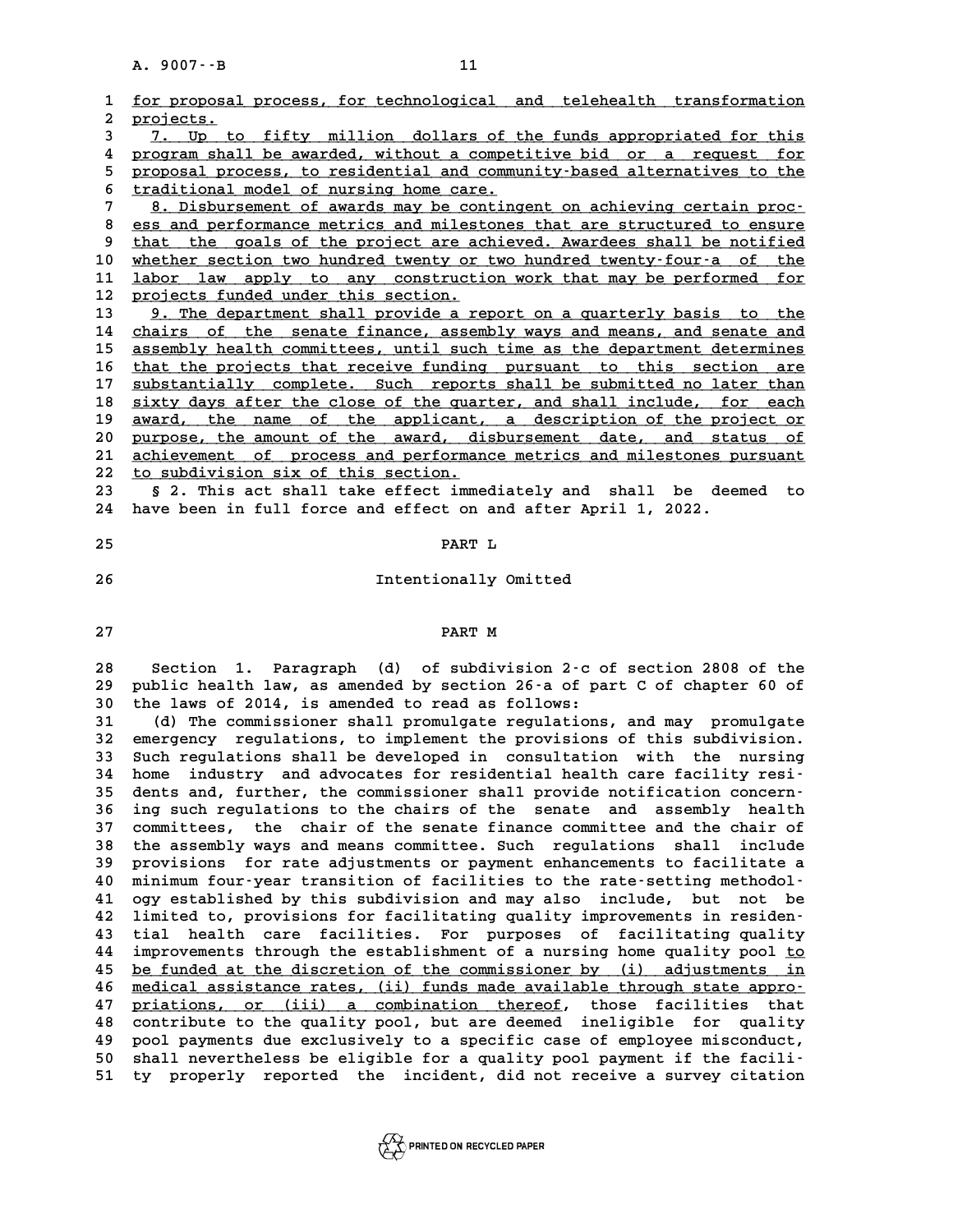|          | A. 9007 -- B<br>11                                                                                                                                |
|----------|---------------------------------------------------------------------------------------------------------------------------------------------------|
| 1        | for proposal process, for technological and telehealth transformation                                                                             |
| 2        | projects.                                                                                                                                         |
| 3        | 7. Up to fifty million dollars of the funds appropriated for this                                                                                 |
| 4        | program shall be awarded, without a competitive bid or a request for                                                                              |
| 5        | proposal process, to residential and community-based alternatives to the                                                                          |
| 6        | traditional model of nursing home care.                                                                                                           |
| 7        | 8. Disbursement of awards may be contingent on achieving certain proc-                                                                            |
| 8        | ess and performance metrics and milestones that are structured to ensure                                                                          |
| 9        | that the goals of the project are achieved. Awardees shall be notified                                                                            |
| 10       | whether section two hundred twenty or two hundred twenty-four-a of the                                                                            |
| 11       | labor law apply to any construction work that may be performed for                                                                                |
| 12       | projects funded under this section.                                                                                                               |
| 13       | 9. The department shall provide a report on a quarterly basis to the                                                                              |
| 14<br>15 | chairs of the senate finance, assembly ways and means, and senate and<br>assembly health committees, until such time as the department determines |
| 16       | that the projects that receive funding pursuant to this section are                                                                               |
| 17       | substantially complete. Such reports shall be submitted no later than                                                                             |
| 18       | sixty days after the close of the quarter, and shall include, for each                                                                            |
| 19       | award, the name of the applicant, a description of the project or                                                                                 |
| 20       | purpose, the amount of the award, disbursement date, and status of                                                                                |
| 21       | achievement of process and performance metrics and milestones pursuant                                                                            |
| 22       | to subdivision six of this section.                                                                                                               |
| 23       | § 2. This act shall take effect immediately and shall be deemed to                                                                                |
| 24       | have been in full force and effect on and after April 1, 2022.                                                                                    |
| 25       | PART L                                                                                                                                            |
|          |                                                                                                                                                   |
| 26       | Intentionally Omitted                                                                                                                             |
|          |                                                                                                                                                   |
| 27       | PART M                                                                                                                                            |
|          |                                                                                                                                                   |
| 28       | Section 1. Paragraph (d) of subdivision 2.c of section 2808 of the                                                                                |
| 29       | public health law, as amended by section 26-a of part C of chapter 60 of                                                                          |
| 30       | the laws of 2014, is amended to read as follows:                                                                                                  |
| 31       | (d) The commissioner shall promulgate regulations, and may promulgate                                                                             |
| 32       | emergency regulations, to implement the provisions of this subdivision.                                                                           |
| 33<br>34 | Such regulations shall be developed in consultation with the nursing<br>industry and advocates for residential health care facility resi-         |
| 35       | home<br>dents and, further, the commissioner shall provide notification concern-                                                                  |
| 36       | ing such regulations to the chairs of the senate and assembly health                                                                              |
| 37       | committees, the chair of the senate finance committee and the chair of                                                                            |
| 38       | the assembly ways and means committee. Such regulations<br>shall<br>include                                                                       |
| 39       | provisions for rate adjustments or payment enhancements to facilitate a                                                                           |
| 40       | minimum four-year transition of facilities to the rate-setting methodol-                                                                          |
| 41       | ogy established by this subdivision and may also include,<br>but<br>not be                                                                        |
| 42       | limited to, provisions for facilitating quality improvements in residen-                                                                          |
| 43       | health care facilities. For purposes of facilitating quality<br>tial                                                                              |
| 44       | improvements through the establishment of a nursing home quality pool to                                                                          |
| 45       | be funded at the discretion of the commissioner by (i) adjustments in                                                                             |
| 46       | medical assistance rates, (ii) funds made available through state appro-<br>priations, or (iii) a combination thereof, those facilities that      |
| 47<br>48 | contribute to the quality pool, but are deemed ineligible for quality                                                                             |
| 49       | pool payments due exclusively to a specific case of employee misconduct,                                                                          |
| 50       | shall nevertheless be eligible for a quality pool payment if the facili-                                                                          |
| 51       | ty properly reported the incident, did not receive a survey citation                                                                              |
|          |                                                                                                                                                   |

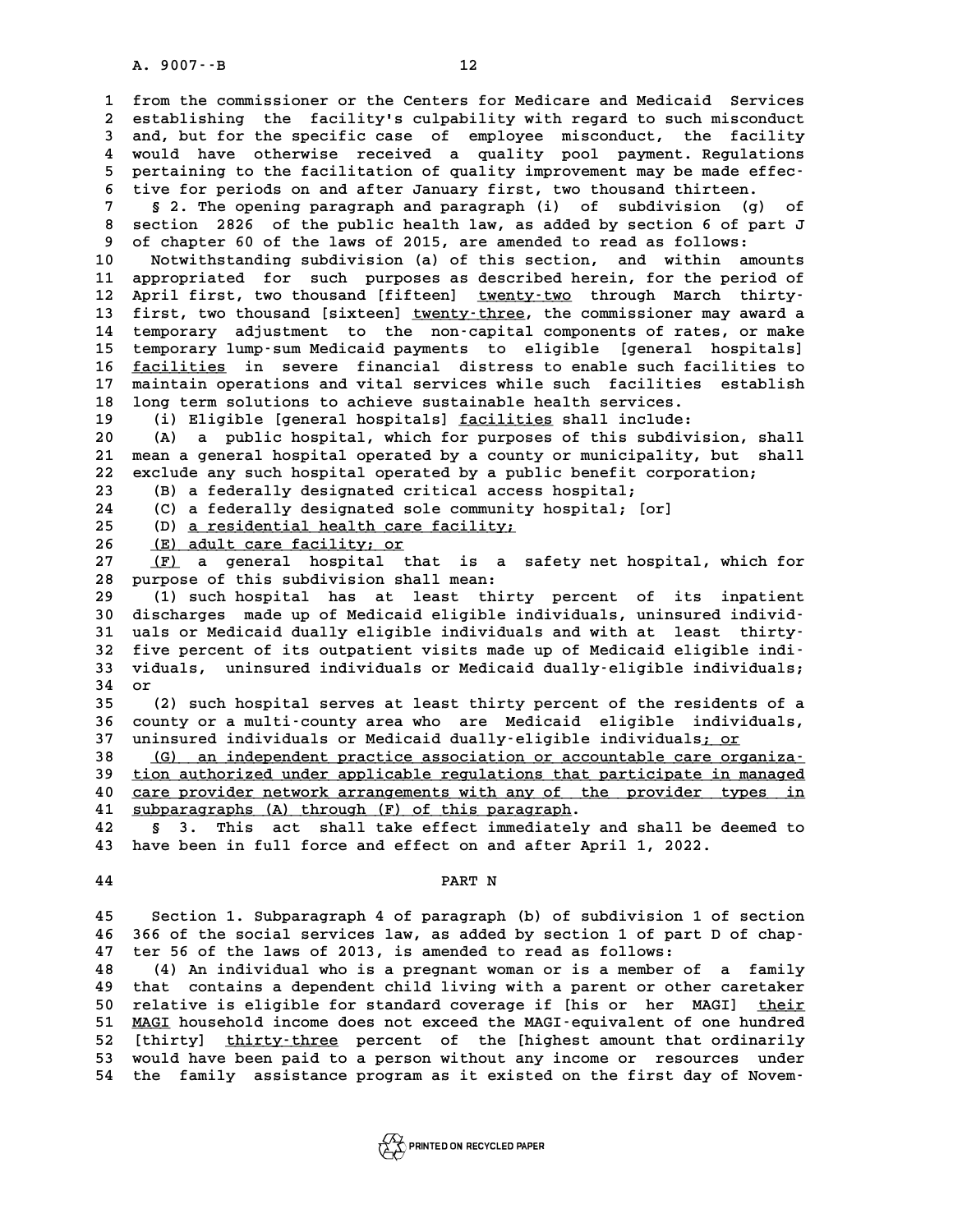**1 from the commissioner or the Centers for Medicare and Medicaid Services** 1 from the commissioner or the Centers for Medicare and Medicaid Services<br>2 establishing the facility's culpability with regard to such misconduct<br>3 and but for the specific case of employee misconduct, the facility 1 from the commissioner or the Centers for Medicare and Medicaid Services<br>2 establishing the facility's culpability with regard to such misconduct<br>3 and, but for the specific case of employee misconduct, the facility<br>2 wou 2 establishing the facility's culpability with regard to such misconduct<br>3 and, but for the specific case of employee misconduct, the facility<br>4 would have otherwise received a quality pool payment. Regulations<br>5 portainin 3 and, but for the specific case of employee misconduct, the facility<br>4 would have otherwise received a quality pool payment. Regulations<br>5 pertaining to the facilitation of quality improvement may be made effec-<br><sup>5</sup> tius 4 would have otherwise received a quality pool payment. Regulation<br>5 pertaining to the facilitation of quality improvement may be made effere<br>6 tive for periods on and after January first, two thousand thirteen. **7 5** pertaining to the facilitation of quality improvement may be made effector ive for periods on and after January first, two thousand thirteen.<br>**7** § 2. The opening paragraph and paragraph (i) of subdivision (g) of<br> 8 tive for periods on and after January first, two thousand thirteen.<br> **8 2.** The opening paragraph and paragraph (i) of subdivision (g<br> **8 section 2826** of the public health law, as added by section 6 of p<br> **9** of chapter **9 of chapter 60 of the laws of 2015, are amended to read as follows: 10 Notwithstanding subdivision (a) of this section, and within amounts 11 9 of chapter 60 of the laws of 2015, are amended to read as follows:**<br> **10 Notwithstanding subdivision (a) of this section, and within amounts**<br> **11 appropriated for such purposes as described herein, for the period of** 

11 appropriated for such purposes as described herein, for the period of<br>12 April first, two thousand [fifteen] <u>twenty-two</u> through March thirty-<br>13 first, two thousand [sixteen] twenty-three, the commissioner may award a 11 appropriated for such purposes as described herein, for the period of<br>12 April first, two thousand [fifteen] <u>twenty-two</u> through March thirty-<br>13 first, two thousand [sixteen] <u>twenty-three</u>, the commissioner may award 12 April first, two thousand [fifteen] <u>twenty-two</u> through March thirty-<br>13 first, two thousand [sixteen] <u>twenty-three</u>, the commissioner may award a<br>14 temporary adjustment to the non-capital components of rates, or mak 13 first, two thousand [sixteen] <u>twenty-three</u>, the commissioner may award a<br>14 temporary adjustment to the non-capital components of rates, or make<br>15 temporary lump-sum Medicaid payments to eligible [general hospitals]<br> 14 temporary adjustment to the non-capital components of rates, or make<br>15 temporary lump-sum Medicaid payments to eligible [general hospitals]<br>16 <u>facilities</u> in severe financial distress to enable such facilities to<br>27 m 15 temporary lump-sum Medicaid payments to eligible [general hospitals]<br>16 <u>facilities</u> in severe financial distress to enable such facilities to<br>17 maintain operations and vital services while such facilities establish<br>18 16 <u>facilities</u> in severe financial distress to enable such face 17 maintain operations and vital services while such facilities<br>18 long term solutions to achieve sustainable health services.<br>(i) Fligible [conoral begrifie 16 <u>facilities</u> in severe financial distress to enable such facilities to<br>17 maintain operations and vital services while such facilities establish<br>18 long term solutions to achieve sustainable health services.<br>19 (i) Elig

**20 (A) a public hospital, which for purposes of this subdivision, shall 21 mean a general hospital operated by a county or municipality, but shall 20** (A) a public hospital, which for purposes of this subdivision, sha<br>21 mean a general hospital operated by a county or municipality, but sha<br>22 exclude any such hospital operated by a public benefit corporation;<br><sup>23</sup> ( 21 mean a general hospital operated by a county or municipal<br>22 exclude any such hospital operated by a public benefit co<br>23 (B) a federally designated critical access hospital;<br><sup>24</sup> (C) a federally designated solo communi 22 exclude any such hospital operated by a public benefit corpor (B) a federally designated critical access hospital;<br>24 (C) a federally designated sole community hospital; [or]<br>25 (D) a regidential boath gave facility.

23 (B) a federally designated critical access<br>24 (C) a federally designated sole community<br>25 (D) <u>a residential health care facility;</u><br>26 (E) adult care facility;

24 (C) a federally designated sol<br>25 (D) <u>a residential health care<br>26 <u>(E) adult care facility; or</u><br>27 (E) a general heapital tha</u>

(D) <u>a residential health care facility;</u><br>
26 (E) adult care facility; or<br>
27 (F) a general hospital that is a safety net hospital, which for<br>
28 purpose of this subdivision shall mean: **28 purpose of this subdivision shall mean:**

**29 (1) such hospital has at least thirty percent of its inpatient 30 discharges made up of Medicaid eligible individuals, uninsured individ-**<sup>29</sup> (1) such hospital has at least thirty percent of its inpatient<br>
30 discharges made up of Medicaid eligible individuals, uninsured individ-<br>
31 uals or Medicaid dually eligible individuals and with at least thirty-<br>
<sup>2</sup> 30 discharges made up of Medicaid eligible individuals, uninsured individ-<br>31 uals or Medicaid dually eligible individuals and with at least thirty-<br>32 five percent of its outpatient visits made up of Medicaid eligible ind 31 uals or Medicaid dually eligible individuals and with at least thirty–<br>32 five percent of its outpatient visits made up of Medicaid eligible indi–<br>33 viduals, uninsured individuals or Medicaid dually–eligible individual 32 five percent of its outpatient visits made up of Medicaid eligible indi-<br>33 viduals, uninsured individuals or Medicaid dually-eligible individuals;<br>34 or<br>(2) such hospital serves at least thirty percent of the residents **33 viduals, uninsured individuals or Medicaid dually-eligible individuals;<br>34 or<br>(2) such hospital serves at least thirty percent of the residents of a<br>26 gounty or a multi-gounty area who are Medicaid aligible individual** 

**34 or**<br>35 (2) such hospital serves at least thirty percent of the residents of a<br>36 county or a multi-county area who are Medicaid eligible individuals,<br>37 uningured individuals or Medicaid dually-oligible individuals, or 35 (2) such hospital serves at least thirty percent of the residents<br>36 county or a multi-county area who are Medicaid eligible individuals; or<br>37 uninsured individuals or Medicaid dually-eligible individuals; or<br>28 (C) an 36 county or a multi-county area who are Medicaid eligible individuals,<br>37 uninsured individuals or Medicaid dually-eligible individuals<u>; or<br>38 (G) an independent practice association or accountable care organiza-<br>39 tion</u>

39 tion authorized under applicable regulations that participate in managed<br>40 care provider network arrangements with anv of the provider types in **40 care provider network arrangements with any of the provider types in \_\_\_\_\_\_\_\_\_\_\_\_\_\_\_\_\_\_\_\_\_\_\_\_\_\_\_\_\_\_\_\_\_\_\_\_\_\_\_\_\_\_\_\_\_\_\_\_\_\_\_\_\_\_\_\_\_\_\_\_\_\_\_\_\_\_\_\_\_\_\_\_ 40 care provider network arrangements with any of the provider types in subparagraphs (A) through (F) of this paragraph.<br>42 § 3. This act shall take effect immediately and shall be deemed to<br>have been in full force and** 

**41** <u>subparagraphs (A) through (F) of this paragraph</u>.<br>**42** § 3. This act shall take effect immediatel 41 **subparagraphs (A)** through (F) of this paragraph.<br>42 § 3. This act shall take effect immediately and shall be de<br>43 have been in full force and effect on and after April 1, 2022. %43 have been in full force and effect on and after April 1, 2022.<br>44<br>PART N

**44**<br>**45** Section 1. Subparagraph 4 of paragraph (b) of subdivision 1 of section<br><sup>46</sup> 366 of the secial services lay as added by section 1 of part B of shape 45 Section 1. Subparagraph 4 of paragraph (b) of subdivision 1 of section<br>46 366 of the social services law, as added by section 1 of part D of chap-**45 Section 1. Subparagraph 4 of paragraph (b) of subdivision 1**<br>**46 366 of the social services law, as added by section 1 of part**<br>**47 ter 56 of the laws of 2013, is amended to read as follows:**<br>(4) An individual who is a 46 366 of the social services law, as added by section 1 of part D of chap-<br>47 ter 56 of the laws of 2013, is amended to read as follows:<br>48 (4) An individual who is a pregnant woman or is a member of a family<br>49 that cont

**47 ter 56 of the laws of 2013, is amended to read as follows:**<br> **48** (4) An individual who is a pregnant woman or is a member of a family<br> **49** that contains a dependent child living with a parent or other caretaker<br> **50 50 relative is eligible for standard coverage if [his or her MAGI] their \_\_\_\_\_** 49 that contains a dependent child living with a parent or other caretaker<br>50 relative is eligible for standard coverage if [his or her MAGI] <u>their</u><br>51 <u>MAGI</u> household income does not exceed the MAGI-equivalent of one hu 50 relative is eligible for standard coverage if [his or her MAGI] <u>their</u><br>51 <u>MAGI</u> household income does not exceed the MAGI-equivalent of one hundred<br>52 [thirty] thirty-three percent of the [highest amount that ordinari 51 <u>MAGI</u> household income does not exceed the MAGI-equivalent of one hundred<br>52 [thirty] thirty-three percent of the [highest amount that ordinarily<br>53 would have been paid to a person without any income or resources unde 52 [thirty] <u>thirty-three</u> percent of the [highest amount that ordinarily<br>53 would have been paid to a person without any income or resources under<br>54 the family assistance program as it existed on the first day of Novem-

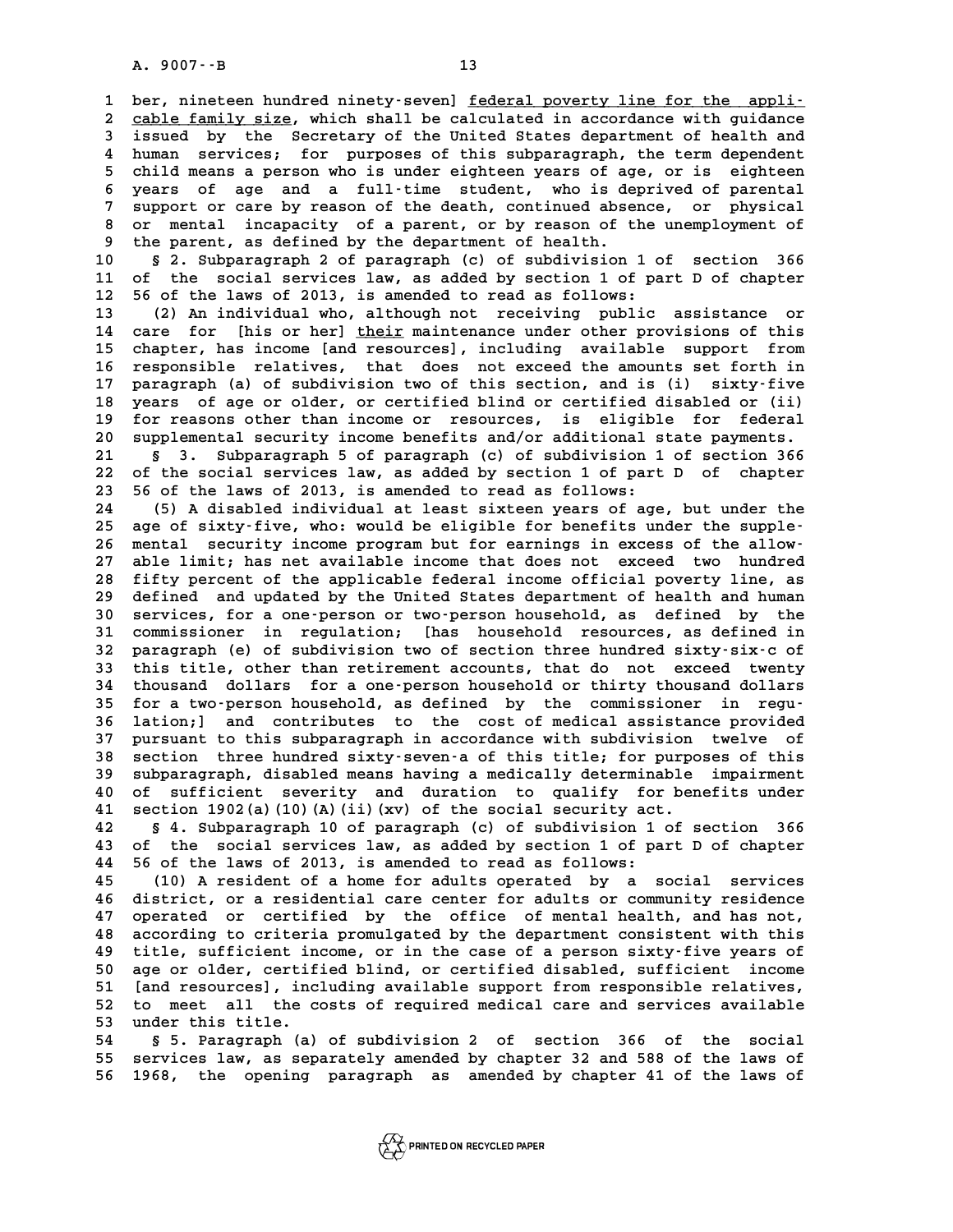A. 9007 · - B<br>1 ber, nineteen hundred ninety-seven] <u>federal poverty line for the appli-</u><br>2 sable family sige, which shall be salgulated in assessedance with guidance **2** ber, nineteen hundred ninety–seven] <u>federal poverty line for the appli-</u><br>2 <u>cable family size</u>, which shall be calculated in accordance with guidance<br>3 issued by the Secretary of the United States department of bealth **3** ber, nineteen hundred ninety-seven] <u>federal poverty line for the appli-</u><br> **3** cable family size, which shall be calculated in accordance with guidance<br> **3** issued by the Secretary of the United States department of he 2 cable family size, which shall be calculated in accordance with guidance<br>3 issued by the Secretary of the United States department of health and<br>4 human services; for purposes of this subparagraph, the term dependent<br>5 s **5** issued by the Secretary of the United States department of health and<br>4 human services; for purposes of this subparagraph, the term dependent<br>5 child means a person who is under eighteen years of age, or is eighteen<br>5 4 human services; for purposes of this subparagraph, the term dependent<br>5 child means a person who is under eighteen years of age, or is eighteen<br>6 years of age and a full-time student, who is deprived of parental<br>7 suppor 5 child means a person who is under eighteen years of age, or is eighteen<br>6 years of age and a full-time student, who is deprived of parental<br>7 support or care by reason of the death, continued absence, or physical<br>8 per p 8 years of age and a full-time student, who is deprived of parental<br>
8 or mental incapacity of a parent, or by reason of the unemployment of<br>
<sup>8</sup> the parent as defined by the department of bealth 9 support or care by reason of the death, continued absence, or physical<br>
9 or mental incapacity of a parent, or by reason of the unemployment of<br>
9 the parent, as defined by the department of health.<br>
9 10 8 2. Subparagra 8 or mental incapacity of a parent, or by reason of the unemployment of<br>
9 the parent, as defined by the department of health.<br>
10 § 2. Subparagraph 2 of paragraph (c) of subdivision 1 of section 366<br>
11 of the social serv

9 the parent, as defined by the department of health.<br>
10 § 2. Subparagraph 2 of paragraph (c) of subdivision 1 of section 366<br>
11 of the social services law, as added by section 1 of part D of chapter<br>
<sup>12 56</sup> of the laws **10** § 2. Subparagraph 2 of paragraph (c) of subdivision 1 o<br>11 of the social services law, as added by section 1 of pa<br>12 56 of the laws of 2013, is amended to read as follows:<br>(2) An individual who although not receiving 11 of the social services law, as added by section 1 of part D of chapter<br>12 56 of the laws of 2013, is amended to read as follows:<br>13 (2) An individual who, although not receiving public assistance or<br>14 care for [his or

12 56 of the laws of 2013, is amended to read as follows:<br>
13 (2) An individual who, although not receiving public assistance or<br>
14 care for [his or her] <u>their</u> maintenance under other provisions of this<br>
15 shapter has 13 (2) An individual who, although not receiving public assistance or<br>14 care for [his or her] <u>their</u> maintenance under other provisions of this<br>15 chapter, has income [and resources], including available support from<br>16 15 chapter, has income [and resources], including available support from<br>16 responsible relatives, that does not exceed the amounts set forth in<br>17 paragraph (a) of subdivision two of this section, and is (i) sixty-five **15 chapter, has income [and resources], including available support from**<br>16 responsible relatives, that does not exceed the amounts set forth in<br>17 paragraph (a) of subdivision two of this section, and is (i) sixty-five<br> 16 responsible relatives, that does not exceed the amounts set forth in<br>17 paragraph (a) of subdivision two of this section, and is (i) sixty-five<br>18 years of age or older, or certified blind or certified disabled or (ii)<br> 17 paragraph (a) of subdivision two of this section, and is (i) sixty-five<br>18 years of age or older, or certified blind or certified disabled or (ii)<br>19 for reasons other than income or resources, is eligible for federal<br>2 **20 supplemental security income or security** indicate than income or resources, is eligible for federal<br>
20 supplemental security income benefits and/or additional state payments.<br>
21 s. 3 subparagraph 5 of paragraph (c) **21 Source 3. Subplemental security income or resources, is eligible for federal**<br>
20 supplemental security income benefits and/or additional state payments.<br>
21 § 3. Subparagraph 5 of paragraph (c) of subdivision 1 of sec

20 supplemental security income benefits and/or additional state payments.<br>
21 § 3. Subparagraph 5 of paragraph (c) of subdivision 1 of section 366<br>
22 of the social services law, as added by section 1 of part D of chapter 21 § 3. Subparagraph 5 of paragraph (c) of subdivision 1<br>22 of the social services law, as added by section 1 of part<br>23 56 of the laws of 2013, is amended to read as follows:<br><sup>24</sup> (5) A displied individual at least sixtee 22 of the social services law, as added by section 1 of part D of chapter<br>23 56 of the laws of 2013, is amended to read as follows:<br>24 (5) A disabled individual at least sixteen years of age, but under the<br>25 370 of sixtu-

23 56 of the laws of 2013, is amended to read as follows:<br>
24 (5) A disabled individual at least sixteen years of age, but under the<br>
25 age of sixty-five, who: would be eligible for benefits under the supple-<br>
26 montal s (5) A disabled individual at least sixteen years of age, but under the<br>
25 age of sixty-five, who: would be eligible for benefits under the supple-<br>
26 mental security income program but for earnings in excess of the allow 25 age of sixty-five, who: would be eligible for benefits under the supple-<br>26 mental security income program but for earnings in excess of the allow-<br>27 able limit; has net available income that does not exceed two hundre **28 fifty percent of the applicable federal income official poverty line, as** 27 able limit; has net available income that does not exceed two hundred<br>28 fifty percent of the applicable federal income official poverty line, as<br>29 defined and updated by the United States department of health and huma **30 fifty percent of the applicable federal income official poverty line, as<br>29 defined and updated by the United States department of health and human<br>30 services, for a one-person or two-person household, as defined by t 31 commissioner in regulation; [has household resources, as defined in** 30 services, for a one-person or two-person household, as defined by the<br>31 commissioner in regulation; [has household resources, as defined in<br>32 paragraph (e) of subdivision two of section three hundred sixty-six-c of<br>th 31 commissioner in regulation; [has household resources, as defined in<br>32 paragraph (e) of subdivision two of section three hundred sixty-six-c of<br>33 this title, other than retirement accounts, that do not exceed twenty<br><sup>3</sup> 32 paragraph (e) of subdivision two of section three hundred sixty-six-c of<br>33 this title, other than retirement accounts, that do not exceed twenty<br>34 thousand dollars for a one-person household or thirty thousand dollars 33 this title, other than retirement accounts, that do not exceed twenty<br>34 thousand dollars for a one-person household or thirty thousand dollars<br>35 for a two-person household, as defined by the commissioner in regu-<br>26 l **34 thousand dollars for a one-person household or thirty thousand dollars**<br>35 for a two-person household, as defined by the commissioner in regu-<br>36 lation;] and contributes to the cost of medical assistance provided<br>27 n **35 for a two-person household, as defined by the commissioner in regu-**<br>**36 lation;**] and contributes to the cost of medical assistance provided<br>**37 pursuant to this subparagraph in accordance with subdivision twelve of**<br> **36 lation; and contributes to the cost of medical assistance provided**<br>**37 pursuant to this subparagraph in accordance with subdivision twelve of**<br>**38 section three hundred sixty-seven-a of this title; for purposes of thi** 37 pursuant to this subparagraph in accordance with subdivision twelve of<br>38 section three hundred sixty-seven-a of this title; for purposes of this<br>39 subparagraph, disabled means having a medically determinable impairmen **40 section three hundred sixty-seven-a of this title; for purposes of this**<br>**40 of sufficient severity and duration to qualify for benefits under**<br>**40 of sufficient severity and duration to qualify for benefits under**<br>**41** 39 subparagraph, disabled means having a medically determinable impairment<br>40 of sufficient severity and duration to qualify for benefits under<br>41 section 1902(a)(10)(A)(ii)(xv) of the social security act.<br>42 § 4. Subparag

**42 § 4. Subparagraph 10 of paragraph (c) of subdivision 1 of section 366 41 section 1902(a)(10)(A)(ii)(xv) of the social security act.**<br>**42 § 4. Subparagraph 10 of paragraph (c) of subdivision 1 of section 366**<br>**43 of the social services law, as added by section 1 of part D of chapter**<br><sup>44 56</sup> **44 56 of the laws of 2013, is amended to read as follows:** 43 of the social services law, as added by section 1 of part D of chapter<br>44 56 of the laws of 2013, is amended to read as follows:<br>45 (10) A resident of a home for adults operated by a social services<br>46 digitation of a p

**46 district, or a residential care center for adults or community residence** 45 (10) A resident of a home for adults operated by a social services<br>46 district, or a residential care center for adults or community residence<br>47 operated or certified by the office of mental health, and has not,<br>28 acc **46 district, or a residential care center for adults or community residence**<br>47 operated or certified by the office of mental health, and has not,<br>48 according to criteria promulgated by the department consistent with thi 47 operated or certified by the office of mental health, and has not,<br>48 according to criteria promulgated by the department consistent with this<br>49 title, sufficient income, or in the case of a person sixty-five years of<br> a according to criteria promulgated by the department consistent with this<br>
49 title, sufficient income, or in the case of a person sixty-five years of<br>
50 age or older, certified blind, or certified disabled, sufficient i 49 title, sufficient income, or in the case of a person sixty-five years of<br>50 age or older, certified blind, or certified disabled, sufficient income<br>51 [and resources], including available support from responsible relati 50 age or older, certified blind, or certified disabled, sufficient income<br>51 [and resources], including available support from responsible relatives,<br>52 to meet all the costs of required medical care and services availabl 51 [and resources], including available support from responsible relatives,<br>52 to meet all the costs of required medical care and services available<br>53 under this title.<br>54 \$5. Paragraph (a) of subdivision 2 of section 366

**54 § 5. Paragraph (a) of subdivision 2 of section 366 of the social** 53 under this title.<br>54 § 5. Paragraph (a) of subdivision 2 of section 366 of the social<br>55 services law, as separately amended by chapter 32 and 588 of the laws of<br>56 1968 the pooping paragraph of arounded by chapter 41 o 54 § 5. Paragraph (a) of subdivision 2 of section 366 of the social<br>55 services law, as separately amended by chapter 32 and 588 of the laws of<br>56 1968, the opening paragraph as amended by chapter 41 of the laws of

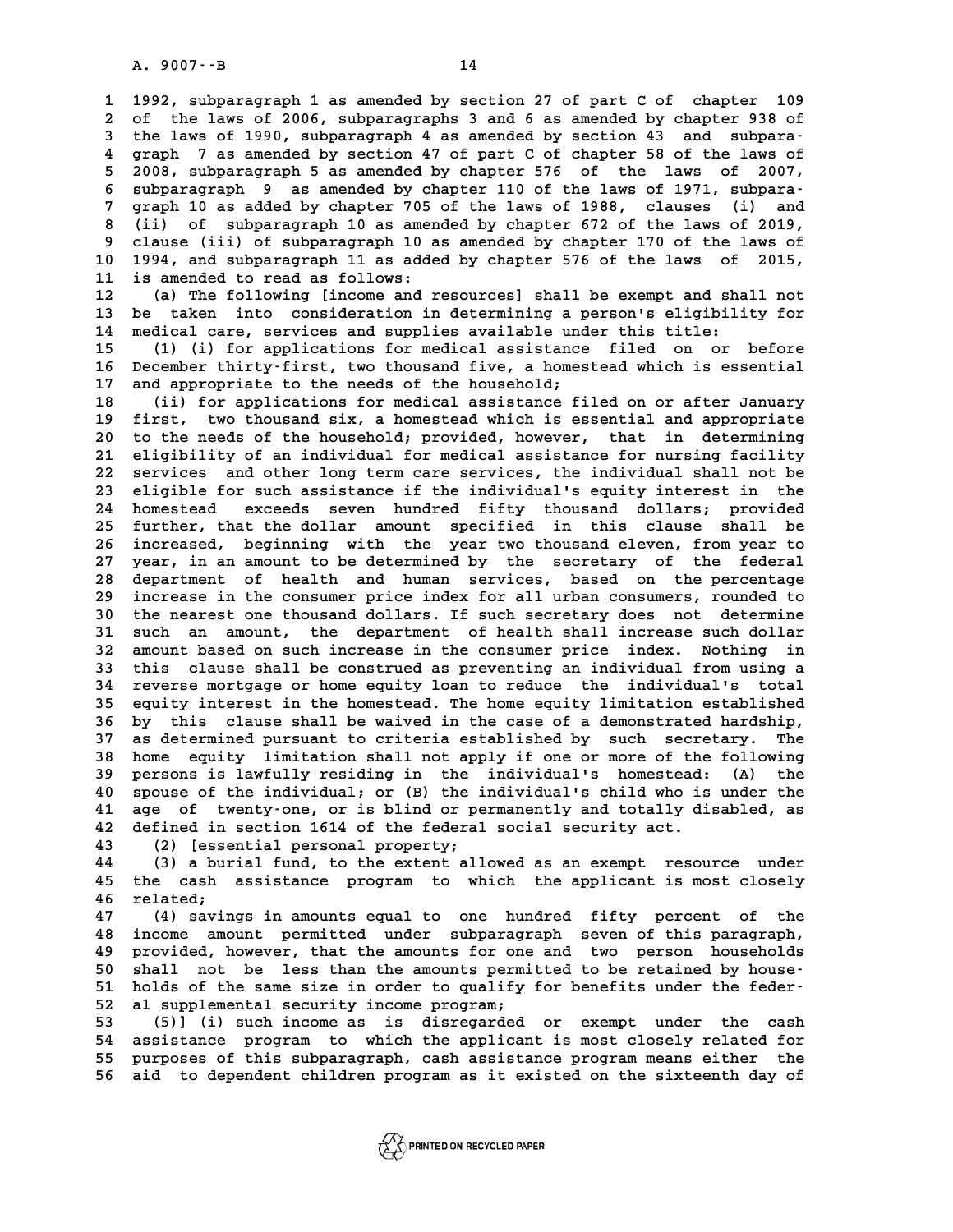**14**<br> **1992, subparagraph 1 as amended by section 27 of part C of chapter 109**<br> **1992, subparagraph 1 as amended by section 27 of part C of chapter 109 2** 1992, subparagraph 1 as amended by section 27 of part C of chapter 109<br>2 of the laws of 2006, subparagraphs 3 and 6 as amended by chapter 938 of<br>3 the laws of 1990, subparagraph 4 as amended by section 43 and subpara. 1 1992, subparagraph 1 as amended by section 27 of part C of chapter 109<br>
2 of the laws of 2006, subparagraphs 3 and 6 as amended by chapter 938 of<br>
3 the laws of 1990, subparagraph 4 as amended by section 43 and subpara-<br> 2 of the laws of 2006, subparagraphs 3 and 6 as amended by chapter 938 of<br>3 the laws of 1990, subparagraph 4 as amended by section 43 and subpara-<br>4 graph 7 as amended by section 47 of part C of chapter 58 of the laws of<br>5 the laws of 1990, subparagraph 4 as amended by section 43 and subpara-<br>4 graph 7 as amended by section 47 of part C of chapter 58 of the laws of<br>5 2008, subparagraph 5 as amended by chapter 576 of the laws of 2007,<br>6 subpa 4 graph 7 as amended by section 47 of part C of chapter 58 of the laws of 2008, subparagraph 5 as amended by chapter 576 of the laws of 2007,<br>6 subparagraph 9 as amended by chapter 110 of the laws of 1971, subpara-<br><sup>7</sup> gra <sup>2</sup> 2008, subparagraph 5 as amended by chapter 576 of the laws of 2007,<br>6 subparagraph 9 as amended by chapter 110 of the laws of 1971, subpara-<br>7 graph 10 as added by chapter 705 of the laws of 1988, clauses (i) and<br>(ii) 8 subparagraph 9 as amended by chapter 110 of the laws of 1971, subpara-<br> **8 (ii)** of subparagraph 10 as amended by chapter 672 of the laws of 2019,<br>
<sup>8</sup> (iii) of subparagraph 10 as amended by chapter 672 of the laws of 20 **9 graph 10 as added by chapter 705 of the laws of 1988, clauses (i) and<br>
8 (ii) of subparagraph 10 as amended by chapter 672 of the laws of 2019,<br>
9 clause (iii) of subparagraph 10 as amended by chapter 170 of the laws of 10 1994, and subparagraph 11 as added by chapter 576 of the laws of 2015,** 9 clause (iii) of subparagraph 10 a<br>10 1994, and subparagraph 11 as adde<br>11 is amended to read as follows: **10 1994, and subparagraph 11 as added by chapter 576 of the laws of 2015,<br>11 is amended to read as follows:**<br>12 (a) The following [income and resources] shall be exempt and shall not<br>13 be taken into consideration in dete

11 is amended to read as follows:<br>12 (a) The following [income and resources] shall be exempt and shall not<br>13 be taken into consideration in determining a person's eligibility for<br>14 modian are sorvices and supplies avail **12** (a) The following [income and resources] shall be exempt and sha<br>13 be taken into consideration in determining a person's eligibili<br>14 medical care, services and supplies available under this title:<br><sup>15</sup> (1) (i) for a 13 be taken into consideration in determining a person's eligibility for<br>14 medical care, services and supplies available under this title:<br>15 (1) (i) for applications for medical assistance filed on or before<br>16 December

14 medical care, services and supplies available under this title:<br>15 (1) (i) for applications for medical assistance filed on or before<br>16 December thirty-first, two thousand five, a homestead which is essential<br>17 and ap 15 (1) (i) for applications for medical assistance<br>16 December thirty-first, two thousand five, a homes<br>17 and appropriate to the needs of the household;<br>(ii) for applications for medical assistance fi **16 December thirty-first, two thousand five, a homestead which is essential**<br> **17 and appropriate to the needs of the household;**<br> **18** (ii) for applications for medical assistance filed on or after January<br> **19** first, t

17 and appropriate to the needs of the household;<br>18 (ii) for applications for medical assistance filed on or after January<br>19 first, two thousand six, a homestead which is essential and appropriate<br>20 to the needs of the **20 to the needs of the household; provided, however, that in determining 21 eligibility of an individual for medical assistance for nursing facility** 20 to the needs of the household; provided, however, that in determining<br>21 eligibility of an individual for medical assistance for nursing facility<br>22 services and other long term care services, the individual shall not b 21 eligibility of an individual for medical assistance for nursing facility<br>22 services and other long term care services, the individual shall not be<br>23 eligible for such assistance if the individual's equity interest in **24 homestead exceeds seven hundred fifty thousand dollars; provided** 23 eligible for such assistance if the individual's equity interest in the<br>24 homestead exceeds seven hundred fifty thousand dollars; provided<br>25 further, that the dollar amount specified in this clause shall be<br>ingressed 24 homestead exceeds seven hundred fifty thousand dollars; provided<br>25 further, that the dollar amount specified in this clause shall be<br>26 increased, beginning with the year two thousand eleven, from year to<br>27 year in an 25 further, that the dollar amount specified in this clause shall be increased, beginning with the year two thousand eleven, from year to year, in an amount to be determined by the secretary of the federal<br>22 department of 26 increased, beginning with the year two thousand eleven, from year to<br>27 year, in an amount to be determined by the secretary of the federal<br>28 department of health and human services, based on the percentage<br>increase in 27 year, in an amount to be determined by the secretary of the federal<br>28 department of health and human services, based on the percentage<br>29 increase in the consumer price index for all urban consumers, rounded to<br>20 the department of health and human services, based on the percentage<br>29 increase in the consumer price index for all urban consumers, rounded to<br>30 the nearest one thousand dollars. If such secretary does not determine<br><sup>31</sup> su 29 increase in the consumer price index for all urban consumers, rounded to<br>30 the nearest one thousand dollars. If such secretary does not determine<br>31 such an amount, the department of health shall increase such dollar 30 the nearest one thousand dollars. If such secretary does not determine<br>31 such an amount, the department of health shall increase such dollar<br>32 amount based on such increase in the consumer price index. Nothing in<br><sup>33</sup> 31 such an amount, the department of health shall increase such dollar<br>32 amount based on such increase in the consumer price index. Nothing in<br>33 this clause shall be construed as preventing an individual from using a<br><sup>34</sup> 32 amount based on such increase in the consumer price index. Nothing in<br>33 this clause shall be construed as preventing an individual from using a<br>34 reverse mortgage or home equity loan to reduce the individual's total<br>2 33 this clause shall be construed as preventing an individual from using a<br>34 reverse mortgage or home equity loan to reduce the individual's total<br>35 equity interest in the homestead. The home equity limitation establishe **34 reverse mortgage or home equity loan to reduce the individual's total**<br>35 equity interest in the homestead. The home equity limitation established<br>36 by this clause shall be waived in the case of a demonstrated hardshi 35 equity interest in the homestead. The home equity limitation established<br>36 by this clause shall be waived in the case of a demonstrated hardship,<br>37 as determined pursuant to criteria established by such secretary. The **36 by this clause shall be waived in the case of a demonstrated hardship,**<br>37 as determined pursuant to criteria established by such secretary. The<br>38 home equity limitation shall not apply if one or more of the following **37** as determined pursuant to criteria established by such secretary. The<br>38 home equity limitation shall not apply if one or more of the following<br>39 persons is lawfully residing in the individual's homestead: (A) the<br>40 **40 sponse of the individual; or (B)** to the individual's homestead: (A) the spouse of the individual; or (B) the individual's child who is under the<br>40 spouse of the individual; or (B) the individual's child who is under 39 persons is lawfully residing in the individual's homestead: (A) the<br>40 spouse of the individual; or (B) the individual's child who is under the<br>41 age of twenty-one, or is blind or permanently and totally disabled, as<br>4 40 spouse of the individual; or (B) the individual's child who is<br>41 age of twenty-one, or is blind or permanently and totally di<br>42 defined in section 1614 of the federal social security act.<br><sup>43</sup> (2) [essential personal 41 age of twenty-one, or is blind or pe<br>42 defined in section 1614 of the federal<br>43 (2) [essential personal property;<br><sup>44</sup> (3) a burial fund to the qutent all

**42 defined in section 1614 of the federal social security act.**<br>43 (2) [essential personal property;<br>44 (3) a burial fund, to the extent allowed as an exempt resource under<br>45 the sask assistance program to which the appl **43** (2) [essential personal property;<br>44 (3) a burial fund, to the extent allowed as an exempt resource under<br>45 the cash assistance program to which the applicant is most closely<br>46 related: (3) a burial fund, to the extent allowed as an exempt resource under<br>45 the cash assistance program to which the applicant is most closely<br>46 related;<br>47 (4) savings in amounts equal to one hundred fifty percent of the

**47 (4) savings in amounts equal to one hundred fifty percent of the 46 related;**<br>47 (4) savings in amounts equal to one hundred fifty percent of the<br>48 income amount permitted under subparagraph seven of this paragraph,<br>19 provided beyours, that the amounts for one and two person beysebol **47** (4) savings in amounts equal to one hundred fifty percent of the<br>48 income amount permitted under subparagraph seven of this paragraph,<br>49 provided, however, that the amounts for one and two person households<br>50 shall 48 income amount permitted under subparagraph seven of this paragraph,<br>
49 provided, however, that the amounts for one and two person households<br>
50 shall not be less than the amounts permitted to be retained by house-<br>
<sup>5</sup> 49 provided, however, that the amounts for one and two person households<br>
50 shall not be less than the amounts permitted to be retained by house-<br>
51 holds of the same size in order to qualify for benefits under the feder 50 shall not be less than the amounts permitted to be retained by house-<br>51 holds of the same size in order to qualify for benefits under the feder-<br>52 al supplemental security income program;<br>(5)] (i) such income as is di

51 holds of the same size in order to qualify for benefits under the feder-<br>52 al supplemental security income program;<br>53 (5)] (i) such income as is disregarded or exempt under the cash<br>54 assistance program to which the **52 al supplemental security income program;<br>
53 (5)] (i) such income as is disregarded or exempt under the cash**<br> **54 assistance program to which the applicant is most closely related for**<br> **55 purposes of this subparatio 53** (5)] (i) such income as is disregarded or exempt under the cash assistance program to which the applicant is most closely related for purposes of this subparagraph, cash assistance program means either the<br>55 purposes 54 assistance program to which the applicant is most closely related for<br>55 purposes of this subparagraph, cash assistance program means either the<br>56 aid to dependent children program as it existed on the sixteenth day of

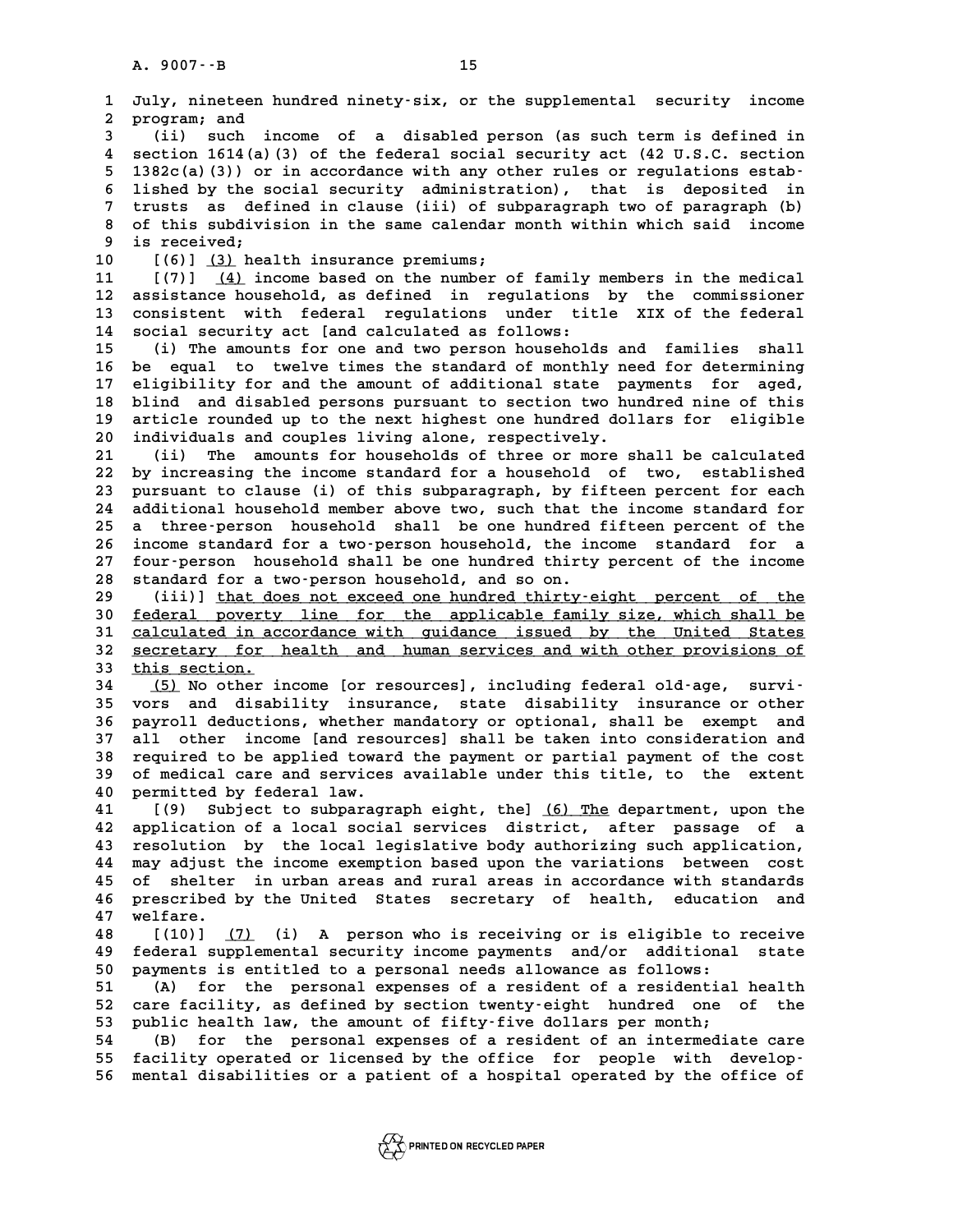**1 July, nineteen hundred ninety-six, or the supplemental security income 2** July, nineteen<br>2 program; and<br>3 (ii) such i **3 (ii)** such income of a disabled person (as such term is defined in<br> **3** (ii) such income of a disabled person (as such term is defined in<br> **4** section 1514(a)(3) of the foderal security and (42 H S C section **4** section 1614(a)(3) of the federal social security act (42 U.S.C. section<br> **4** section 1614(a)(3) of the federal social security act (42 U.S.C. section<br> **6** 13820(a)(3)) or in accordance with any other rules or regulati (ii) such income of a disabled person (as such term is defined in<br>4 section 1614(a)(3) of the federal social security act (42 U.S.C. section<br>5 1382c(a)(3)) or in accordance with any other rules or regulations estab-<br><sup>5</sup> li **6 6 6 1614(a)** (3) of the federal social security act (42 U.S.C. section<br> **6** 1382c(a)(3)) or in accordance with any other rules or regulations estab-<br> **6** lished by the social security administration), that is depo **7** 1382c(a)(3)) or in accordance with any other rules or regulations estab-<br>6 lished by the social security administration), that is deposited in<br>7 trusts as defined in clause (iii) of subparagraph two of paragraph (b)<br>0 **8 lished by the social security administration), that is deposited in trusts as defined in clause (iii) of subparagraph two of paragraph (b)**<br>**8 of this subdivision in the same calendar month within which said income**<br>is 7 trusts as defined in clause (iii) of subparagraph two of paragraph (b)<br>8 of this subdivision in the same calendar month within which said income<br>9 is received;<br>10 [(6)] <u>(3)</u> health insurance premiums; 8 of this subdivision in the same calendar month within which said income<br>9 is received;<br>10 [(6)] <u>(3)</u> health insurance premiums;<br>11 [(7)] (4) income based on the number of family members in the medical **11** [(7)] <u>(4)</u> income based on the number of family members in the medical<br>12 assistance household, as defined in regulations by the commissioner **12 assistance household, as defined in regulations by the commissioner** 11 [(7)] <u>(4)</u> income based on the number of family members in the medical<br>12 assistance household, as defined in regulations by the commissioner<br>13 consistent with federal regulations under title XIX of the federal<br>14 soc 12 assistance household, as defined in regulations<br>13 consistent with federal regulations under tit<br>14 social security act [and calculated as follows:<br><sup>15</sup> (i) The amounts for one and two person household 13 consistent with federal regulations under title XIX of the federal<br>14 social security act [and calculated as follows:<br>15 (i) The amounts for one and two person households and families shall<br>16 households and two times t 14 social security act [and calculated as follows:<br>15 (i) The amounts for one and two person households and families shall<br>16 be equal to twelve times the standard of monthly need for determining<br>17 eligibility for and the 15 (i) The amounts for one and two person households and families shall<br>16 be equal to twelve times the standard of monthly need for determining<br>17 eligibility for and the amount of additional state payments for aged,<br>18 b 16 be equal to twelve times the standard of monthly need for determining<br>17 eligibility for and the amount of additional state payments for aged,<br>18 blind and disabled persons pursuant to section two hundred nine of this<br>1 17 eligibility for and the amount of additional state payments for aged,<br>18 blind and disabled persons pursuant to section two hundred nine of this<br>19 article rounded up to the next highest one hundred dollars for eligible 18 blind and disabled persons pursuant to section two hundred nine of this<br>19 article rounded up to the next highest one hundred dollars for eligible<br>20 individuals and couples living alone, respectively.<br>21 (ii) The amoun article rounded up to the next highest one hundred dollars for eligible **22 by increasing the income standard for a household of two, established** 21 (ii) The amounts for households of three or more shall be calculated<br>22 by increasing the income standard for a household of two, established<br>23 pursuant to clause (i) of this subparagraph, by fifteen percent for each<br>2 22 by increasing the income standard for a household of two, established<br>23 pursuant to clause (i) of this subparagraph, by fifteen percent for each<br>24 additional household member above two, such that the income standard f 23 pursuant to clause (i) of this subparagraph, by fifteen percent for each<br>24 additional household member above two, such that the income standard for<br>25 a three-person household shall be one hundred fifteen percent of th 24 additional household member above two, such that the income standard for<br>25 a three-person household shall be one hundred fifteen percent of the<br>26 income standard for a two-person household, the income standard for a<br>2 25 a three-person household shall be one hundred fifteen percent of the<br>26 income standard for a two-person household, the income standard for a<br>27 four-person household shall be one hundred thirty percent of the income<br>28 26 income standard for a two-person household, the income standard for a<br>27 four-person household shall be one hundred thirty percent of the income<br>28 standard for a two-person household, and so on.<br>29 (iii)] <u>that does no</u> 27 four-person household shall be one hundred thirty percent of the income<br>28 standard for a two-person household, and so on.<br>29 (iii)] <u>that does not exceed one hundred thirty-eight percent of the</u><br>30 federal poverty line 30 <u>federal poverty line for the applicable family size, which shall be</u><br>31 calculated in accordance with guidance issued by the United States (iii)] <u>that does not exceed one hundred thirty-eight percent of the</u><br> **30 <u>federal</u>** poverty line for the applicable family size, which shall be<br>
<u>calculated in accordance with quidance issued by the United States</u><br> **32 S** 30 <u>federal poverty line for the applicable family size, which shall be<br>31 <u>calculated in accordance with guidance issued by the United States</u><br>32 <u>secretary for health and human services and with other provisions of</u><br>this</u> 31 calculated in ac.<br>32 <u>secretary for</u><br>33 this section. <u>secretary for health and human services and with other provisions of<br> **33** this section.<br> **34** (5) No other income [or resources], including federal old-age, survi-<br> **35** vors and disability insurance, state disability in</u> <sup>33</sup> <u>this section.</u><br>
<sup>34</sup> (5) No other income [or resources], including federal old-age, survi-<br>
<sup>35</sup> vors and disability insurance, state disability insurance or other<br>
<sup>36</sup> pourrall deductions whether mondatowy or optio **34 (5)** No other income [or resources], including federal old-age, survi-<br>35 vors and disability insurance, state disability insurance or other<br>36 payroll deductions, whether mandatory or optional, shall be exempt and<br>37 **35 vors and disability insurance, state disability insurance or other payroll deductions, whether mandatory or optional, shall be exempt and all other income [and resources] shall be taken into consideration and resources 36 payroll deductions, whether mandatory or optional, shall be exempt and all other income [and resources] shall be taken into consideration and required to be applied toward the payment or partial payment of the cost**<br>28 **37 all other income [and resources] shall be taken into consideration and required to be applied toward the payment or partial payment of the cost of medical care and services available under this title, to the extent 40 permitted by federal law.** of medical care and services available under this title, to the extent<br>40 permitted by federal law.<br>41 [(9) Subject to subparagraph eight, the] <u>(6) The</u> department, upon the<br>42 application of a local social services distr **40 permitted by federal law.**<br>41 [(9) Subject to subparagraph eight, the] <u>(6) The</u> department, upon the<br>42 application of a local social services district, after passage of a<br>43 resolution by the local legislative body a **41** [(9) Subject to subparagraph eight, the] <u>(6) The</u> department, upon the<br>42 application of a local social services district, after passage of a<br>43 resolution by the local legislative body authorizing such application,<br> 42 application of a local social services district, after passage of a<br>43 resolution by the local legislative body authorizing such application,<br>44 may adjust the income exemption based upon the variations between cost<br>45 **43 resolution by the local legislative body authorizing such application,<br>44 may adjust the income exemption based upon the variations between cost<br>45 of shelter in urban areas and rural areas in accordance with standards** 44 may adjust the income exemption based upon the variations between cost<br>45 of shelter in urban areas and rural areas in accordance with standards<br>46 prescribed by the United States secretary of health, education and<br><sup>47</sup> 45 of shelter in urban areas and rural areas in accordance with standards<br>46 prescribed by the United States secretary of health, education and<br>47 welfare.<br>48 [(10)] (7) (i) A person who is receiving or is eligible to rece prescribed by the United States secretary of health, education and<br>47 welfare.<br>48 [(10)] <u>(7)</u> (i) A person who is receiving or is eligible to receive<br>49 federal supplemental security income payments and/or additional stat **49 federal supplemental security income payments and/or additional state 50 payments is entitled to a personal needs allowance as follows: 50** federal supplemental security income payments and/or additional state<br>
50 payments is entitled to a personal needs allowance as follows:<br>
51 (A) for the personal expenses of a resident of a residential health<br>
52 care 50 payments is entitled to a personal needs allowance as follows:<br>51 (A) for the personal expenses of a resident of a residential health<br>52 care facility, as defined by section twenty-eight hundred one of the<br>53 public hea (A) for the personal expenses of a resident of a residential health 52 care facility, as defined by section twenty-eight hundred one of the public health law, the amount of fifty-five dollars per month;<br>(B) for the persona **54 (B) for the personal expenses of a resident of an intermediate care 55 facility operated or licensed by the office for people with develop-56 mental disabilities or a patient of a hospital operated by the office of**

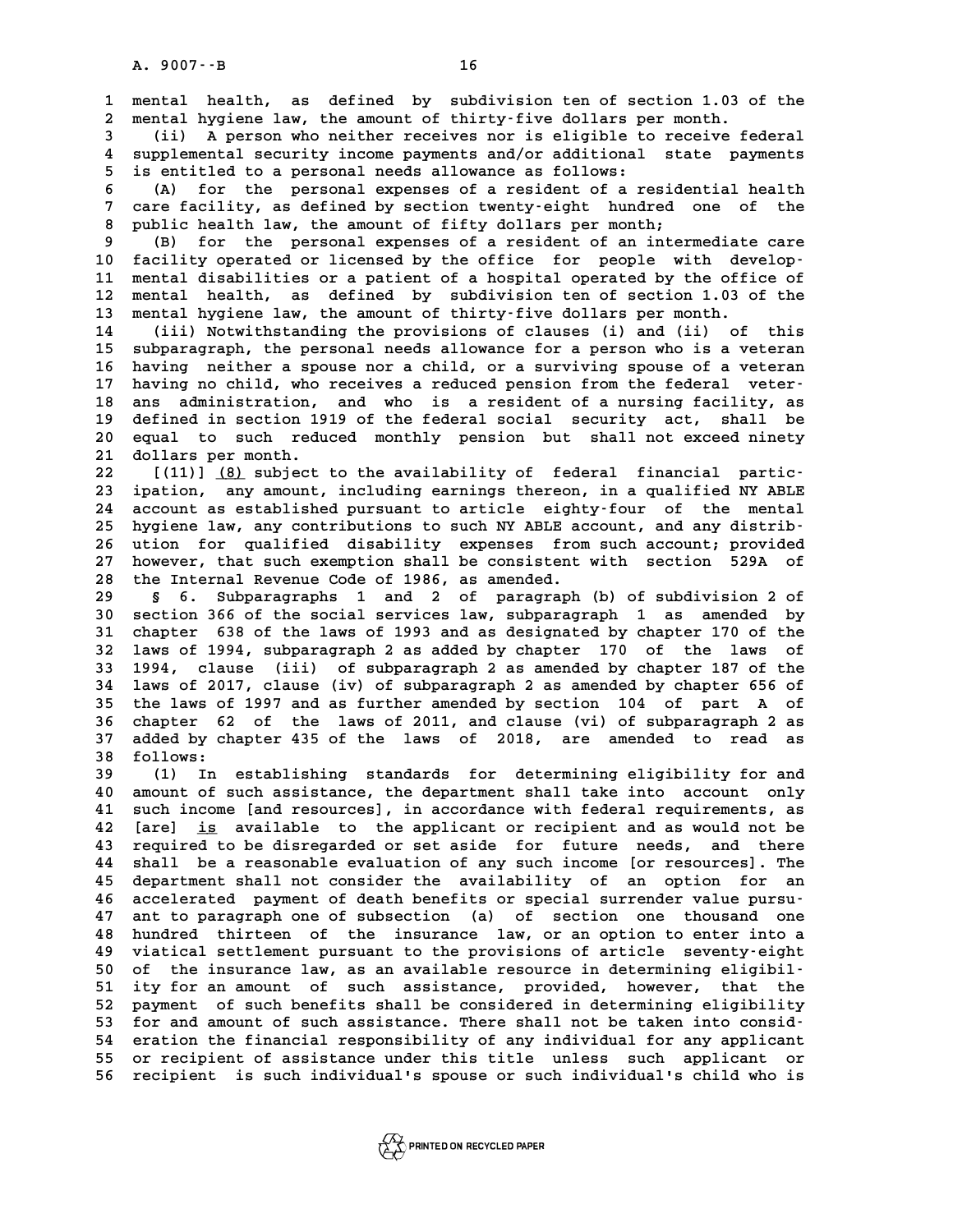**1 mental health, as defined by subdivision ten of section 1.03 of the 2** mental health, as defined by subdivision ten of section 1.03 of mental hygiene law, the amount of thirty-five dollars per month. **3** mental health, as defined by subdivision ten of section 1.03 of the<br> **2** mental hygiene law, the amount of thirty-five dollars per month.<br>
(ii) A person who neither receives nor is eligible to receive federal<br> **1** supp

a mental hygiene law, the amount of thirty-five dollars per month.<br>
4 (ii) A person who neither receives nor is eligible to receive federal<br>
4 supplemental security income payments and/or additional state payments<br>
5 is en (ii) A person who neither receives nor is eligible to<br>4 supplemental security income payments and/or additional<br>5 is entitled to a personal needs allowance as follows:<br><sup>5</sup> (2) for the personal supproces of a regident of a **6** (4) supplemental security income payments and/or additional state payments<br> **6** (A) for the personal expenses of a resident of a residential health<br> **6** (A) for the personal expenses of a resident of a residential heal

<sup>1</sup> is entitled to a personal needs allowance as follows:<br> **6** (A) for the personal expenses of a resident of a residential health<br>
7 care facility, as defined by section twenty-eight hundred one of the<br>
<sup>2</sup> mublic health **8 (A)** for the personal expenses of a resident of a reside:<br> **8 public health law, the amount of fifty dollars per month;<br>
<b>8 public health law, the amount of fifty dollars per month;**<br> **8** (B) for the personal expenses o 9 (B) for the personal expenses of a resident of an intermediate care<br>
9 (B) for the personal expenses of a resident of an intermediate care<br>
9 (B) for the personal expenses of a resident of an intermediate care<br>
10 facili

10 **10 for the and an absolut of fifty dollars per month;**<br>
10 **facility operated or licensed by the office for people with develop-**<br> **11 mental disabilities or a patient of a bospital operated by the office of 12 PM and The Second Separates of a resident of an intermediate care<br>
10 facility operated or licensed by the office for people with develop-**<br>
11 mental disabilities or a patient of a hospital operated by the office of<br> 10 facility operated or licensed by the office for people with develop-<br>11 mental disabilities or a patient of a hospital operated by the office of<br>12 mental health, as defined by subdivision ten of section 1.03 of the<br>13 11 mental disabilities or a patient of a hospital operated by the offi-<br>12 mental health, as defined by subdivision ten of section 1.03 of<br>13 mental hygiene law, the amount of thirty-five dollars per month. 12 mental health, as defined by subdivision ten of section 1.03 of the<br>13 mental hygiene law, the amount of thirty-five dollars per month.<br>14 (iii) Notwithstanding the provisions of clauses (i) and (ii) of this<br>15 subparaz

13 mental hygiene law, the amount of thirty-five dollars per month.<br>
14 (iii) Notwithstanding the provisions of clauses (i) and (ii) of this<br>
15 subparagraph, the personal needs allowance for a person who is a veteran<br>
16 14 (ii) Notwithstanding the provisions of clauses (i) and (ii) of this<br>15 subparagraph, the personal needs allowance for a person who is a veteran<br>16 having neither a spouse nor a child, or a surviving spouse of a veteran<br> 15 subparagraph, the personal needs allowance for a person who is a veteran<br>16 having neither a spouse nor a child, or a surviving spouse of a veteran<br>17 having no child, who receives a reduced pension from the federal vet 16 having neither a spouse nor a child, or a surviving spouse of a veteran<br>17 having no child, who receives a reduced pension from the federal veter-<br>18 ans administration, and who is a resident of a nursing facility, as<br>d 17 having no child, who receives a reduced pension from the federal veter-<br>18 ans administration, and who is a resident of a nursing facility, as<br>19 defined in section 1919 of the federal social security act, shall be<br>20 a 18 ans administration, and who is a resident of a nursing facility, as<br>19 defined in section 1919 of the federal social security act, shall be<br>20 equal to such reduced monthly pension but shall not exceed ninety<br>21 dollars 19 defined in section 19<br>20 equal to such redu<br>21 dollars per month.<br><sup>22</sup> [(11)] (8) subject equal to such reduced monthly pension but shall not exceed ninety<br> **21 dollars per month.**<br> **22** [(11)] <u>(8)</u> subject to the availability of federal financial partic-<br> **23** ipation, any amount, including earnings thereon,

**23 ipation, any amount, including earnings thereon, in a qualified NY ABLE 22** [(11)] <u>(8)</u> subject to the availability of federal financial partic-<br>23 ipation, any amount, including earnings thereon, in a qualified NY ABLE<br>24 account as established pursuant to article eighty-four of the mental<br> 23 ipation, any amount, including earnings thereon, in a qualified NY ABLE account as established pursuant to article eighty-four of the mental<br>
25 hygiene law, any contributions to such NY ABLE account, and any distrib-<br> 24 account as established pursuant to article eighty-four of the mental<br>25 hygiene law, any contributions to such NY ABLE account, and any distrib-<br>26 ution for qualified disability expenses from such account; provided<br>27 25 hygiene law, any contributions to such NY ABLE account, and any distrib-<br>26 ution for qualified disability expenses from such account; provided<br>27 however, that such exemption shall be consistent with section 529A of<br>28 26 ution for qualified disability expenses from such account; provided<br>27 however, that such exemption shall be consistent with section 529A of<br>28 the Internal Revenue Code of 1986, as amended.<br>29 § 6. Subparagraphs 1 and

**29 § 6. Subparagraphs 1 and 2 of paragraph (b) of subdivision 2 of 38 the Internal Revenue Code of 1986, as amended.<br>
<b>30 s 6. Subparagraphs 1 and 2 of paragraph (b) of subdivision 2 of**<br> **30 section 366 of the social services law, subparagraph 1 as amended by**<br> **31 shapter 638 of the la 30 s 6. Subparagraphs 1 and 2 of paragraph (b) of subdivision 2 of section 366 of the social services law, subparagraph 1 as amended by chapter 638 of the laws of 1993 and as designated by chapter 170 of the 1200 subparag** 30 section 366 of the social services law, subparagraph 1 as amended by chapter 638 of the laws of 1993 and as designated by chapter 170 of the laws of 1994, subparagraph 2 as added by chapter 170 of the laws of 1994 and a 31 chapter 638 of the laws of 1993 and as designated by chapter 170 of the<br>32 laws of 1994, subparagraph 2 as added by chapter 170 of the laws of<br>33 1994, clause (iii) of subparagraph 2 as amended by chapter 656 of<br>34 laws **32 laws of 1994, subparagraph 2 as added by chapter 170 of the laws of 1994, clause (iii) of subparagraph 2 as amended by chapter 187 of the laws of 2017, clause (iv) of subparagraph 2 as amended by chapter 656 of**<br>**14 la 1994, clause (iii) of subparagraph 2 as amended by chapter 187 of the laws of 2017, clause (iv) of subparagraph 2 as amended by chapter 656 of the laws of 1997 and as further amended by section 104 of part A of chapter 62 34 laws of 2017, clause (iv) of subparagraph 2 as amended by chapter 656 of the laws of 1997 and as further amended by section 104 of part A of chapter 62 of the laws of 2011, and clause (vi) of subparagraph 2 as added by** 35 the laws of 1997 and as further amended by section 104 of part A of 36 chapter 62 of the laws of 2011, and clause (vi) of subparagraph 2 as added by chapter 435 of the laws of 2018, are amended to read as follows: 36 chapter 62 of the laws of 2011, and clause (vi) of subparagraph 2 as<br>37 added by chapter 435 of the laws of 2018, are amended to read as<br>38 follows:<br>(1) In establishing standards for determining eligibility for and 37 added by chapter 435 of the laws of 2018, are amended to read as<br>38 follows:<br>(1) In establishing standards for determining eligibility for and<br>40 amount of such assistance, the department shall take into account only

**40 amount of such assistance, the department shall take into account only 41 such income [and resources], in accordance with federal requirements, as 42 [are] is available to the applicant or recipient and as would not be \_\_** 41 such income [and resources], in accordance with federal requirements, as<br>42 [are] <u>is</u> available to the applicant or recipient and as would not be<br>43 required to be disregarded or set aside for future needs, and there<br><sup></sup> **42 [are] <u>is</u> available to the applicant or recipient and as would not be required to be disregarded or set aside for future needs, and there shall be a reasonable evaluation of any such income [or resources]. The doportm 43 required to be disregarded or set aside for future needs, and there**<br>**44 shall be a reasonable evaluation of any such income [or resources]. The**<br>**45 department shall not consider the availability of an option for an**<br> 44 shall be a reasonable evaluation of any such income [or resources]. The<br>45 department shall not consider the availability of an option for an<br>46 accelerated payment of death benefits or special surrender value pursu-<br>47 department shall not consider the availability of an option for an accelerated payment of death benefits or special surrender value pursu-<br>47 ant to paragraph one of subsection (a) of section one thousand one<br>48 hundred thirteen of the insurance law, or an option to enter into a<br>19 witiga 47 ant to paragraph one of subsection (a) of section one thousand one<br>48 hundred thirteen of the insurance law, or an option to enter into a<br>49 viatical settlement pursuant to the provisions of article seventy-eight<br>50 of 48 hundred thirteen of the insurance law, or an option to enter into a<br>49 viatical settlement pursuant to the provisions of article seventy-eight<br>50 of the insurance law, as an available resource in determining eligibil-<br>5 **50 viatical settlement pursuant to the provisions of article seventy-eight**<br>
50 of the insurance law, as an available resource in determining eligibil-<br>
51 ity for an amount of such assistance, provided, however, that the 50 of the insurance law, as an available resource in determining eligibil-<br>51 ity for an amount of such assistance, provided, however, that the<br>52 payment of such benefits shall be considered in determining eligibility<br>53 51 ity for an amount of such assistance, provided, however, that the<br>
52 payment of such benefits shall be considered in determining eligibility<br>
53 for and amount of such assistance. There shall not be taken into consid-<br> 52 payment of such benefits shall be considered in determining eligibility<br>53 for and amount of such assistance. There shall not be taken into consideration the financial responsibility of any individual for any applicant<br> **53** for and amount of such assistance. There shall not be taken into consideration the financial responsibility of any individual for any applicant or recipient of assistance under this title unless such applicant or reci 55 or recipient of assistance under this title unless such applicant or<br>56 recipient is such individual's spouse or such individual's child who is

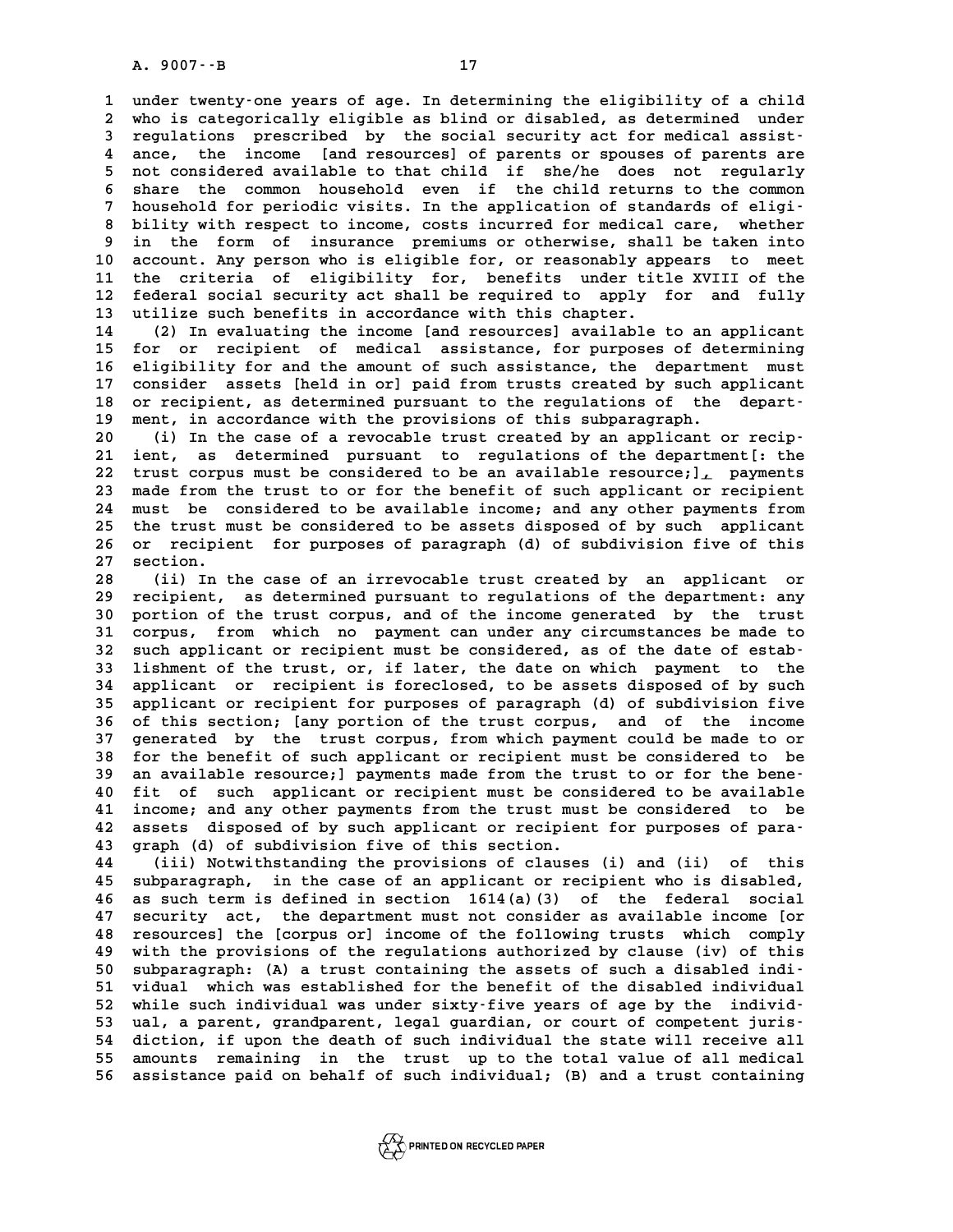A. 9007 - - B<br>1 under twenty-one years of age. In determining the eligibility of a child<br>2 who is sategorisally eligible as blind or disabled, as determined, under **2** under twenty one years of age. In determining the eligibility of a child<br>2 who is categorically eligible as blind or disabled, as determined under<br>3 regulations, prescribed, by the social sequrity act for medical assis 1 under twenty-one years of age. In determining the eligibility of a child<br>
2 who is categorically eligible as blind or disabled, as determined under<br>
3 regulations prescribed by the social security act for medical assistwho is categorically eligible as blind or disabled, as determined under<br> **4** regulations prescribed by the social security act for medical assist-<br> **4** ance, the income [and resources] of parents or spouses of parents are<br> **5 not considered available to that child if she/he does not regularly** 4 ance, the income [and resources] of parents or spouses of parents are<br>5 not considered available to that child if she/he does not regularly<br>6 share the common household even if the child returns to the common<br><sup>7</sup> househo 5 not considered available to that child if she/he does not regularly<br>
6 share the common household even if the child returns to the common<br>
7 household for periodic visits. In the application of standards of eligi-<br>
<sup>8</sup> h 8 share the common household even if the child returns to the common<br>
7 household for periodic visits. In the application of standards of eligi-<br>
8 bility with respect to income, costs incurred for medical care, whether<br>
<sup></sup> 9 household for periodic visits. In the application of standards of eligi-<br>8 bility with respect to income, costs incurred for medical care, whether<br>9 in the form of insurance premiums or otherwise, shall be taken into<br>10 8 bility with respect to income, costs incurred for medical care, whether<br>9 in the form of insurance premiums or otherwise, shall be taken into<br>10 account. Any person who is eligible for, or reasonably appears to meet<br>11 t 9 in the form of insurance premiums or otherwise, shall be taken into<br>10 account. Any person who is eligible for, or reasonably appears to meet<br>11 the criteria of eligibility for, benefits under title XVIII of the<br>12 foder 10 account. Any person who is eligible for, or reasonably appears to meet<br>11 the criteria of eligibility for, benefits under title XVIII of the<br>12 federal social security act shall be required to apply for and fully<br>13 uti 11 the criteria of eligibility for, benefits under title XVIII of the<br>12 federal social security act shall be required to apply for and fully<br>13 utilize such benefits in accordance with this chapter.<br>14 (2) In evaluating t 12 federal social security act shall be required to apply for and fully<br>13 utilize such benefits in accordance with this chapter.<br>14 (2) In evaluating the income [and resources] available to an applicant<br>15 for or recipien

**15 for or recipient of medical assistance, for purposes of determining** 14 (2) In evaluating the income [and resources] available to an applicant<br>15 for or recipient of medical assistance, for purposes of determining<br>16 eligibility for and the amount of such assistance, the department must<br>200 15 for or recipient of medical assistance, for purposes of determining<br>16 eligibility for and the amount of such assistance, the department must<br>17 consider assets [held in or] paid from trusts created by such applicant<br>28 16 eligibility for and the amount of such assistance, the department must<br>17 consider assets [held in or] paid from trusts created by such applicant<br>18 or recipient, as determined pursuant to the regulations of the depart-17 consider assets [held in or] paid from trusts created by such applicant<br>18 or recipient, as determined pursuant to the regulations of the depart-<br>19 ment, in accordance with the provisions of this subparagraph.<br>20 (i) I 18 or recipient, as determined pursuant to the regulations of the depart-<br>
19 ment, in accordance with the provisions of this subparagraph.<br>
20 (i) In the case of a revocable trust created by an applicant or recip-<br>
<sup>21</sup> i

**20** ment, in accordance with the provisions of this subparagraph.<br>
20 (i) In the case of a revocable trust created by an applicant or recip-<br>
21 ient, as determined pursuant to regulations of the department[: the<br>
22 trus (i) In the case of a revocable trust created by an applicant or recip-<br>21 ient, as determined pursuant to regulations of the department[: the<br>22 trust corpus must be considered to be an available resource;], payments<br><sup>23</sup> 21 ient, as determined pursuant to regulations of the department[: the<br>22 trust corpus must be considered to be an available resource;], payments<br>23 made from the trust to or for the benefit of such applicant or recipient<br> 22 trust corpus must be considered to be an available resource; <u>1,</u> payments<br>23 made from the trust to or for the benefit of such applicant or recipient<br>24 must be considered to be available income; and any other payments 23 made from the trust to or for the benefit of such applicant or recipient<br>24 must be considered to be available income; and any other payments from<br>25 the trust must be considered to be assets disposed of by such applica 24 must be considered to be available income; and any other payments from<br>25 the trust must be considered to be assets disposed of by such applicant<br>26 or recipient for purposes of paragraph (d) of subdivision five of this 26 or recipient for purposes of paragraph (d) of subdivision five of this<br>27 section.<br>28 (ii) In the case of an irrevocable trust created by an applicant or

**28 (ii) In the case of an irrevocable trust created by an applicant or 29 recipient, as determined pursuant to regulations of the department: any** (ii) In the case of an irrevocable trust created by an applicant or<br>29 recipient, as determined pursuant to regulations of the department: any<br>30 portion of the trust corpus, and of the income generated by the trust<br>31 cor **39 recipient, as determined pursuant to regulations of the department: any** portion of the trust corpus, and of the income generated by the trust corpus, from which no payment can under any circumstances be made to angle 30 portion of the trust corpus, and of the income generated by the trust<br>31 corpus, from which no payment can under any circumstances be made to<br>32 such applicant or recipient must be considered, as of the date of estab-<br><sup></sup> 31 corpus, from which no payment can under any circumstances be made to<br>32 such applicant or recipient must be considered, as of the date of estab-<br>33 lishment of the trust, or, if later, the date on which payment to the<br>3 32 such applicant or recipient must be considered, as of the date of estab-<br>33 lishment of the trust, or, if later, the date on which payment to the<br>34 applicant or recipient is foreclosed, to be assets disposed of by such **33 lishment of the trust, or, if later, the date on which payment to the applicant or recipient is foreclosed, to be assets disposed of by such applicant or recipient for purposes of paragraph (d) of subdivision five**<br>**35 34 applicant or recipient is foreclosed, to be assets disposed of by such applicant or recipient for purposes of paragraph (d) of subdivision five 36 of this section; [any portion of the trust corpus, and of the income ap** 35 applicant or recipient for purposes of paragraph (d) of subdivision five<br>36 of this section; [any portion of the trust corpus, and of the income<br>37 generated by the trust corpus, from which payment could be made to or<br>3 36 of this section; [any portion of the trust corpus, and of the income<br>37 generated by the trust corpus, from which payment could be made to or<br>38 for the benefit of such applicant or recipient must be considered to be<br>29 37 generated by the trust corpus, from which payment could be made to or<br>38 for the benefit of such applicant or recipient must be considered to be<br>39 an available resource; ] payments made from the trust to or for the ben **40 for the benefit of such applicant or recipient must be considered to be an available resource; ] payments made from the trust to or for the bene-<br>40 fit of such applicant or recipient must be considered to be available** 39 an available resource;] payments made from the trust to or for the bene-<br>40 fit of such applicant or recipient must be considered to be available<br>41 income; and any other payments from the trust must be considered to be 40 fit of such applicant or recipient must be considered to be available<br>41 income; and any other payments from the trust must be considered to be<br>42 assets disposed of by such applicant or recipient for purposes of para-<br> 41 income; and any other payments from the trust mus<br>42 assets disposed of by such applicant or recipien<br>43 graph (d) of subdivision five of this section.<br>14 (iii) Notwithstanding the provisions of glauses **42 assets disposed of by such applicant or recipient for purposes of para-**<br>**43 graph (d) of subdivision five of this section.**<br>**44** (iii) Notwithstanding the provisions of clauses (i) and (ii) of this<br><sup>45</sup> gubparagraph i

**43 graph (d) of subdivision five of this section.**<br> **44** (iii) Notwithstanding the provisions of clauses (i) and (ii) of this<br> **45 subparagraph, in the case of an applicant or recipient who is disabled,**<br> **46 signal term 44** (iii) Notwithstanding the provisions of clauses (i) and (ii) of this<br>45 subparagraph, in the case of an applicant or recipient who is disabled,<br>46 as such term is defined in section 1614(a)(3) of the federal social<br>47 45 subparagraph, in the case of an applicant or recipient who is disabled,<br>46 as such term is defined in section 1614(a)(3) of the federal social<br>47 security act, the department must not consider as available income [or<br>18 **46 as such term is defined in section 1614(a)(3) of the federal social**<br>**47 security act, the department must not consider as available income [or**<br>**48 resources] the [corpus or] income of the following trusts which compl 47 security act, the department must not consider as available income [or** resources] the [corpus or] income of the following trusts which comply with the provisions of the regulations authorized by clause (iv) of this su 48 resources] the [corpus or] income of the following trusts which comply<br>49 with the provisions of the regulations authorized by clause (iv) of this<br>50 subparagraph: (A) a trust containing the assets of such a disabled in with the provisions of the regulations authorized by clause (iv) of this<br>50 subparagraph: (A) a trust containing the assets of such a disabled indi-<br>51 vidual which was established for the benefit of the disabled individua 50 subparagraph: (A) a trust containing the assets of such a disabled indi-<br>
51 vidual which was established for the benefit of the disabled individual<br>
52 while such individual was under sixty-five years of age by the ind 51 vidual which was established for the benefit of the disabled individual<br>
52 while such individual was under sixty-five years of age by the individ-<br>
53 ual, a parent, grandparent, legal guardian, or court of competent j 52 while such individual was under sixty-five years of age by the individ-<br>53 ual, a parent, grandparent, legal guardian, or court of competent juris-<br>54 diction, if upon the death of such individual the state will receive 53 ual, a parent, grandparent, legal guardian, or court of competent juris-<br>54 diction, if upon the death of such individual the state will receive all<br>55 amounts remaining in the trust up to the total value of all medical 54 diction, if upon the death of such individual the state will receive all<br>55 amounts remaining in the trust up to the total value of all medical<br>56 assistance paid on behalf of such individual; (B) and a trust containing

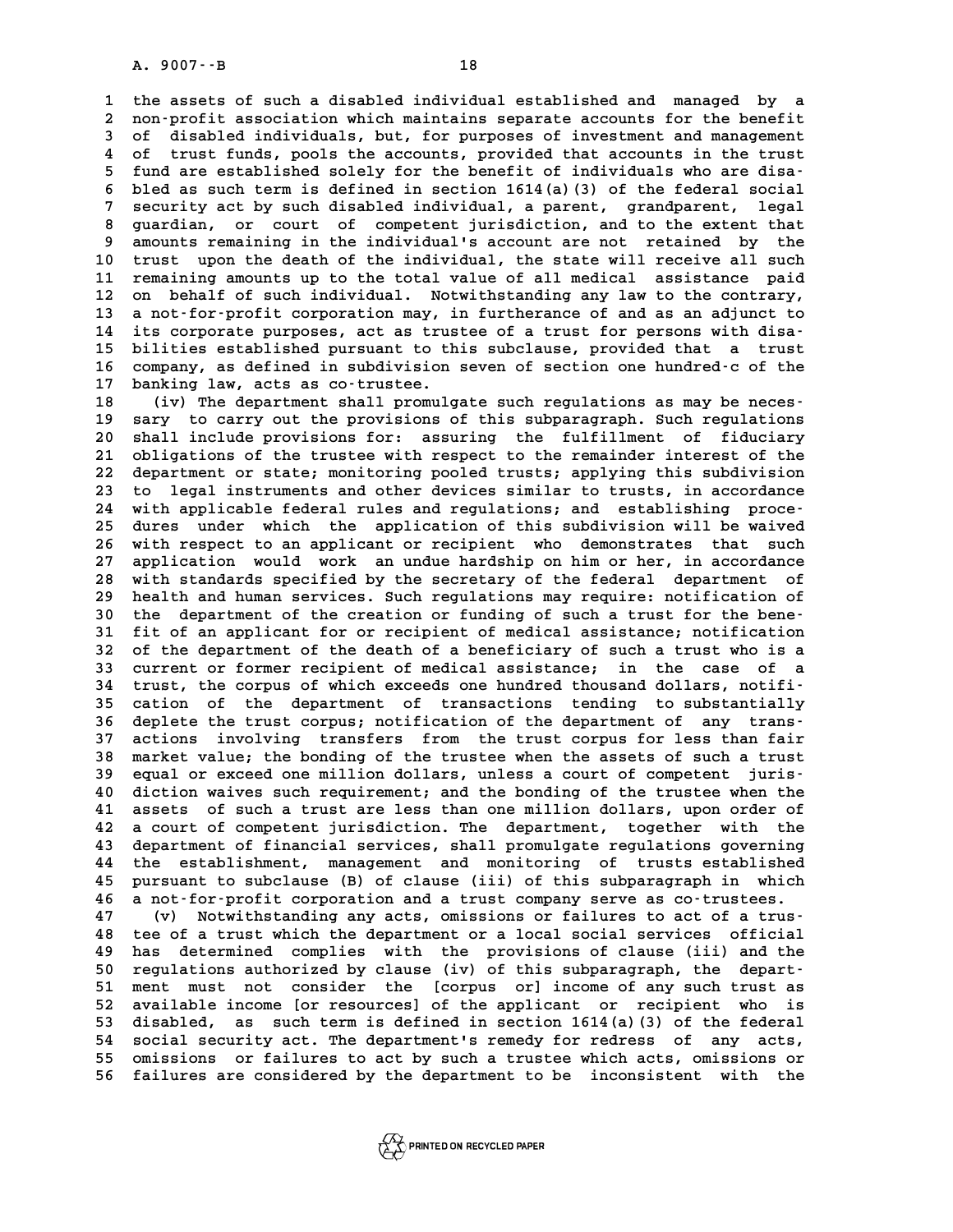**1 the assets of such a disabled individual established and managed by a** 1 the assets of such a disabled individual established and managed by a<br>2 non-profit association which maintains separate accounts for the benefit<br>3 of disabled individuals, but, for purposes of investment and management 1 the assets of such a disabled individual established and managed by a<br>2 non-profit association which maintains separate accounts for the benefit<br>3 of disabled individuals, but, for purposes of investment and management<br>4 2 non-profit association which maintains separate accounts for the benefit<br>3 of disabled individuals, but, for purposes of investment and management<br>4 of trust funds, pools the accounts, provided that accounts in the trust 3 of disabled individuals, but, for purposes of investment and management<br>4 of trust funds, pools the accounts, provided that accounts in the trust<br>5 fund are established solely for the benefit of individuals who are disa-**6 bled as such term is defined in section 1614(a)(3) of the federal social** <sup>5</sup> fund are established solely for the benefit of individuals who are disa-<br>6 bled as such term is defined in section 1614(a)(3) of the federal social<br>7 security act by such disabled individual, a parent, grandparent, leg **8 bled as such term is defined in section 1614(a)(3) of the federal social<br>7 security act by such disabled individual, a parent, grandparent, legal<br>8 guardian, or court of competent jurisdiction, and to the extent that<br>8** 9 security act by such disabled individual, a parent, grandparent, legal<br>**9 guardian, or court of competent jurisdiction**, and to the extent that<br>**9 amounts remaining in the individual's account are not retained by the**<br>**1** 8 guardian, or court of competent jurisdiction, and to the extent that<br>9 amounts remaining in the individual's account are not retained by the<br>10 trust upon the death of the individual, the state will receive all such<br>11 r 9 amounts remaining in the individual's account are not retained by the<br>10 trust upon the death of the individual, the state will receive all such<br>11 remaining amounts up to the total value of all medical assistance paid<br>2 10 trust upon the death of the individual, the state will receive all such<br>11 remaining amounts up to the total value of all medical assistance paid<br>12 on behalf of such individual. Notwithstanding any law to the contrary, 11 remaining amounts up to the total value of all medical assistance paid<br>12 on behalf of such individual. Notwithstanding any law to the contrary,<br>13 a not-for-profit corporation may, in furtherance of and as an adjunct t 12 on behalf of such individual. Notwithstanding any law to the contrary,<br>
13 a not-for-profit corporation may, in furtherance of and as an adjunct to<br>
14 its corporate purposes, act as trustee of a trust for persons with 13 a not-for-profit corporation may, in furtherance of and as an adjunct to<br>14 its corporate purposes, act as trustee of a trust for persons with disa-<br>15 bilities established pursuant to this subclause, provided that a tr 14 its corporate purposes, act as trustee of a trust for persons with disa-<br>15 bilities established pursuant to this subclause, provided that a trust<br>16 company, as defined in subdivision seven of section one hundred-c of **15 bilities established pursuant to th<br>16 company, as defined in subdivision<br>17 banking law, acts as co-trustee.**<br>19 (ii) The dopptment shall promuls

16 company, as defined in subdivision seven of section one hundred-c of the<br>17 banking law, acts as co-trustee.<br>18 (iv) The department shall promulgate such regulations as may be neces-<br>19 same to garry out the provisions 17 banking law, acts as co-trustee.<br>18 (iv) The department shall promulgate such regulations as may be neces-<br>19 sary to carry out the provisions of this subparagraph. Such regulations<br>20 shall include provisions for: assu (iv) The department shall promulgate such regulations as may be neces-<br>19 sary to carry out the provisions of this subparagraph. Such regulations<br>20 shall include provisions for: assuring the fulfillment of fiduciary<br>21 ob **20 sary to carry out the provisions of this subparagraph. Such regulations**<br>
20 shall include provisions for: assuring the fulfillment of fiduciary<br>
21 obligations of the trustee with respect to the remainder interest of 20 shall include provisions for: assuring the fulfillment of fiduciary<br>21 obligations of the trustee with respect to the remainder interest of the<br>22 department or state; monitoring pooled trusts; applying this subdivision 21 obligations of the trustee with respect to the remainder interest of the<br>22 department or state; monitoring pooled trusts; applying this subdivision<br>23 to legal instruments and other devices similar to trusts, in accord 22 department or state; monitoring pooled trusts; applying this subdivision<br>23 to legal instruments and other devices similar to trusts, in accordance<br>24 with applicable federal rules and regulations; and establishing proc 23 to legal instruments and other devices similar to trusts, in accordance<br>24 with applicable federal rules and regulations; and establishing proce-<br>25 dures under which the application of this subdivision will be waived<br>2 24 with applicable federal rules and regulations; and establishing proce-<br>25 dures under which the application of this subdivision will be waived<br>26 with respect to an applicant or recipient who demonstrates that such<br>27 a 25 dures under which the application of this subdivision will be waived<br>26 with respect to an applicant or recipient who demonstrates that such<br>27 application would work an undue hardship on him or her, in accordance<br>28 wi 26 with respect to an applicant or recipient who demonstrates that such<br>27 application would work an undue hardship on him or her, in accordance<br>28 with standards specified by the secretary of the federal department of<br>29 27 application would work an undue hardship on him or her, in accordance<br>28 with standards specified by the secretary of the federal department of<br>29 health and human services. Such regulations may require: notification of with standards specified by the secretary of the federal department of<br>
29 health and human services. Such regulations may require: notification of<br>
30 the department of the creation or funding of such a trust for the bene 29 health and human services. Such regulations may require: notification of 30 the department of the creation or funding of such a trust for the bene-<br>31 fit of an applicant for or recipient of medical assistance; notifica 30 the department of the creation or funding of such a trust for the bene-<br>31 fit of an applicant for or recipient of medical assistance; notification<br>32 of the department of the death of a beneficiary of such a trust who 31 fit of an applicant for or recipient of medical assistance; notification<br>32 of the department of the death of a beneficiary of such a trust who is a<br>33 current or former recipient of medical assistance; in the case of a 32 of the department of the death of a beneficiary of such a trust who is a<br>33 current or former recipient of medical assistance; in the case of a<br>34 trust, the corpus of which exceeds one hundred thousand dollars, notifi-33 current or former recipient of medical assistance; in the case of a<br>34 trust, the corpus of which exceeds one hundred thousand dollars, notifi-<br>35 cation of the department of transactions tending to substantially<br>26 dep 34 trust, the corpus of which exceeds one hundred thousand dollars, notification of the department of transactions tending to substantially deplete the trust corpus; notification of the department of any trans-<br>
<sup>27</sup> actio 35 cation of the department of transactions tending to substantially<br>36 deplete the trust corpus; notification of the department of any trans-<br>37 actions involving transfers from the trust corpus for less than fair<br>38 mark **36 deplete the trust corpus; notification of the department of any trans-**<br>37 actions involving transfers from the trust corpus for less than fair<br>38 market value; the bonding of the trustee when the assets of such a trus 37 actions involving transfers from the trust corpus for less than fair<br>
38 market value; the bonding of the trustee when the assets of such a trust<br>
39 equal or exceed one million dollars, unless a court of competent juri **40 a** 38 market value; the bonding of the trustee when the assets of such a trust<br> **40 diction waives such requirement; and the bonding of the trustee when the**<br> **41 assets of such a trust are less than one million dollar** 39 equal or exceed one million dollars, unless a court of competent juris-<br>40 diction waives such requirement; and the bonding of the trustee when the<br>41 assets of such a trust are less than one million dollars, upon order **40 diction waives such requirement; and the bonding of the trustee when the**<br>**41 assets of such a trust are less than one million dollars, upon order of<br><b>42 a court of competent jurisdiction. The department, together with** 41 assets of such a trust are less than one million dollars, upon order of<br>42 a court of competent jurisdiction. The department, together with the<br>43 department of financial services, shall promulgate regulations governing 42 a court of competent jurisdiction. The department, together with the<br>43 department of financial services, shall promulgate regulations governing<br>44 the establishment, management and monitoring of trusts established<br>15 n **43 department of financial services, shall promulgate regulations governing**<br>**44 the establishment, management and monitoring of trusts established**<br>**45 pursuant to subclause (B) of clause (iii) of this subparagraph in wh** 44 the establishment, management and monitoring of trusts established<br>45 pursuant to subclause (B) of clause (iii) of this subparagraph in which<br>46 a not-for-profit corporation and a trust company serve as co-trustees.<br><sup>47</sup> 45 pursuant to subclause (B) of clause (iii) of this subparagraph in which<br>46 a not-for-profit corporation and a trust company serve as co-trustees.<br>47 (v) Notwithstanding any acts, omissions or failures to act of a trus-<br>

**46 a not-for-profit corporation and a trust company serve as co-trustees.**<br>
47 (v) Notwithstanding any acts, omissions or failures to act of a trus-<br>
48 tee of a trust which the department or a local social services offic **47** (v) Notwithstanding any acts, omissions or failures to act of a trus-<br>48 tee of a trust which the department or a local social services official<br>49 has determined complies with the provisions of clause (iii) and the<br>5 49 has determined complies with the provisions of clause (iii) and the<br>50 regulations authorized by clause (iv) of this subparagraph, the depart-<br>51 ment must not consider the [corpus or] income of any such trust as As determined complies with the provisions of clause (iii) and the<br>50 regulations authorized by clause (iv) of this subparagraph, the depart-<br>51 ment must not consider the [corpus or] income of any such trust as<br>52 availab 50 regulations authorized by clause (iv) of this subparagraph, the depart-<br>51 ment must not consider the [corpus or] income of any such trust as<br>52 available income [or resources] of the applicant or recipient who is<br>53 di 51 ment must not consider the [corpus or] income of any such trust as<br>52 available income [or resources] of the applicant or recipient who is<br>53 disabled, as such term is defined in section 1614(a)(3) of the federal<br>54 aog 52 available income [or resources] of the applicant or recipient who is<br>53 disabled, as such term is defined in section 1614(a)(3) of the federal<br>54 social security act. The department's remedy for redress of any acts,<br>55 **55 omissions or failures to act by such a trustee which acts, omissions or 56 failures are considered by the department to be inconsistent with the**

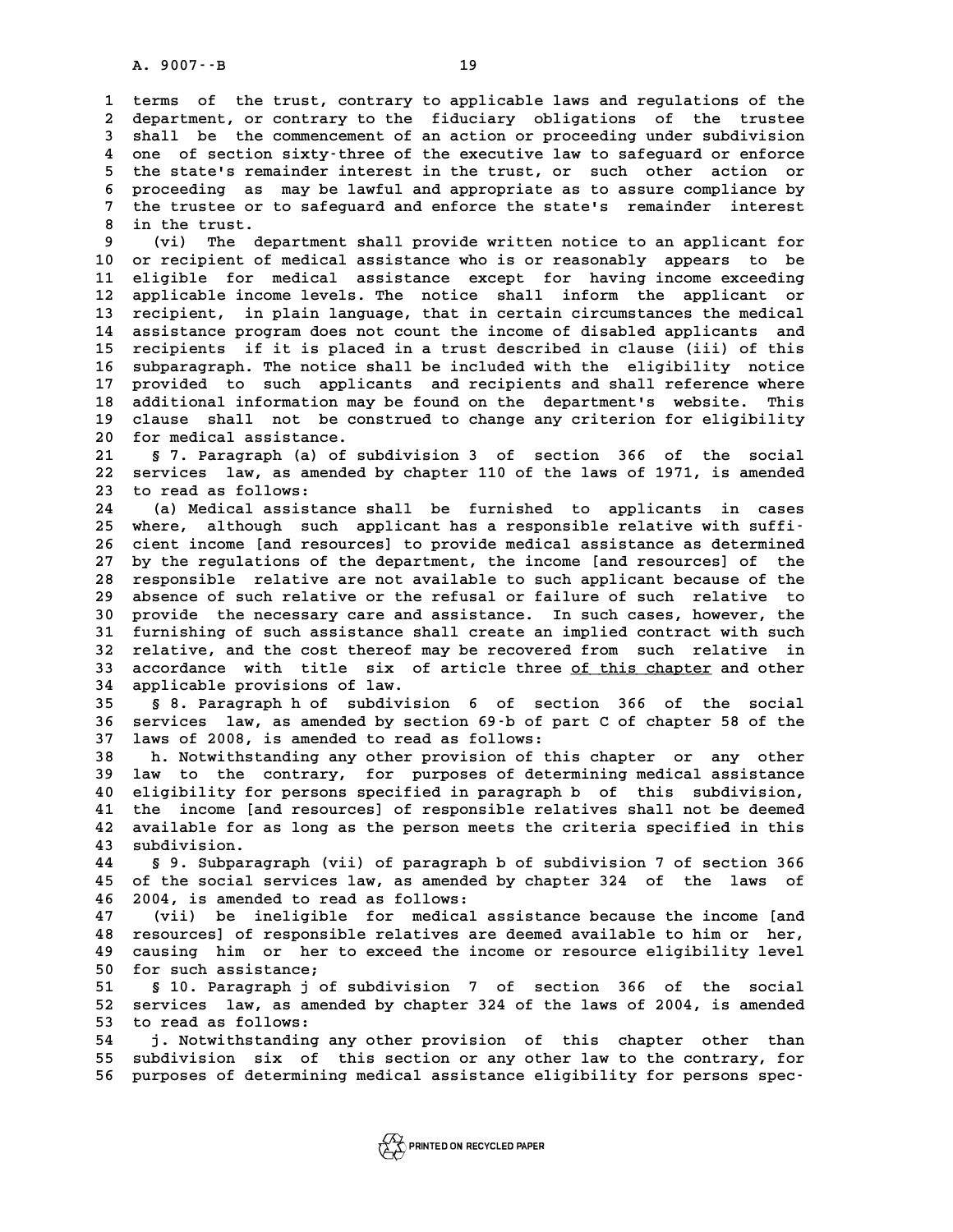A. 9007 -- B<br>1 terms of the trust, contrary to applicable laws and regulations of the<br>2 department or contrary to the fiduciary obligations of the trustee 1 terms of the trust, contrary to applicable laws and regulations of the<br>2 department, or contrary to the fiduciary obligations of the trustee<br>3 shall be the commencement of an action or proceeding under subdivision 1 terms of the trust, contrary to applicable laws and regulations of the department, or contrary to the fiduciary obligations of the trustee<br>3 shall be the commencement of an action or proceeding under subdivision<br>2000 of department, or contrary to the fiduciary obligations of the trustee<br>3 shall be the commencement of an action or proceeding under subdivision<br>4 one of section sixty-three of the executive law to safeguard or enforce<br><sup>5</sup> the **5** shall be the commencement of an action or proceeding under subdivision<br>4 one of section sixty-three of the executive law to safeguard or enforce<br>5 the state's remainder interest in the trust, or such other action or<br>5 4 one of section sixty-three of the executive law to safeguard or enforce<br>5 the state's remainder interest in the trust, or such other action or<br>6 proceeding as may be lawful and appropriate as to assure compliance by<br><sup>7</sup> 5 the state's remainder interest in the trust, or such other action or<br>6 proceeding as may be lawful and appropriate as to assure compliance by<br>7 the trustee or to safeguard and enforce the state's remainder interest<br>8 in **8** proceeding as 1<br> **8** in the trust.<br> **8** in the trust. 9 the trustee or to safeguard and enforce the state's remainder interest<br>
9 (vi) The department shall provide written notice to an applicant for<br>
10 or recipient of medical assistance who is or reasonably appears to be

**10 or recipient of medical assistance who is or reasonably appears to be** 9 (vi) The department shall provide written notice to an applicant for<br>10 or recipient of medical assistance who is or reasonably appears to be<br>11 eligible for medical assistance except for having income exceeding<br>22 appli 10 or recipient of medical assistance who is or reasonably appears to be<br>11 eligible for medical assistance except for having income exceeding<br>12 applicable income levels. The notice shall inform the applicant or<br>13 recipi 11 eligible for medical assistance except for having income exceeding<br>12 applicable income levels. The notice shall inform the applicant or<br>13 recipient, in plain language, that in certain circumstances the medical<br>14 assi 12 applicable income levels. The notice shall inform the applicant or<br>13 recipient, in plain language, that in certain circumstances the medical<br>14 assistance program does not count the income of disabled applicants and<br>15 **13 recipient, in plain language, that in certain circumstances the medical**<br>14 assistance program does not count the income of disabled applicants and<br>15 recipients if it is placed in a trust described in clause (iii) of 14 assistance program does not count the income of disabled applicants and<br>15 recipients if it is placed in a trust described in clause (iii) of this<br>16 subparagraph. The notice shall be included with the eligibility notic 15 recipients if it is placed in a trust described in clause (iii) of this<br>16 subparagraph. The notice shall be included with the eligibility notice<br>17 provided to such applicants and recipients and shall reference where<br>2 16 subparagraph. The notice shall be included with the eligibility notice<br>17 provided to such applicants and recipients and shall reference where<br>18 additional information may be found on the department's website. This<br>19 17 provided to such applicants and recipients and shall reference where<br>18 additional information may be found on the department's website. This<br>19 clause shall not be construed to change any criterion for eligibility **20 for medical assistance.** clause shall not be construed to change any criterion for eligibility

20 for medical assistance.<br>21 § 7. Paragraph (a) of subdivision 3 of section 366 of the social<br>22 services law, as amended by chapter 110 of the laws of 1971, is amended<br>23 to read as follows: 21 § 7. Paragraph (a) o<br>22 services law, as amen<br>23 to read as follows:<br><sup>24</sup> (a) Modiaal aggistan 22 services law, as amended by chapter 110 of the laws of 1971, is amended<br>23 to read as follows:<br>(a) Medical assistance shall be furnished to applicants in cases<br>25 where although such applicant has a responsible relative

23 to read as follows:<br>
24 (a) Medical assistance shall be furnished to applicants in cases<br>
25 where, although such applicant has a responsible relative with suffi-<br>
26 cient income [and resources] to provide medical assi **26 cient income [and resources] to provide medical assistance as determined 27 by the regulations of the department, the income [and resources] of the** 26 cient income [and resources] to provide medical assistance as determined<br>27 by the regulations of the department, the income [and resources] of the<br>28 responsible relative are not available to such applicant because of 27 by the regulations of the department, the income [and resources] of the<br>28 responsible relative are not available to such applicant because of the<br>29 absence of such relative or the refusal or failure of such relative t **28 responsible relative are not available to such applicant because of the absence of such relative or the refusal or failure of such relative to provide the necessary care and assistance. In such cases, however, the**<br>**30** 29 absence of such relative or the refusal or failure of such relative to<br>30 provide the necessary care and assistance. In such cases, however, the<br>31 furnishing of such assistance shall create an implied contract with suc 30 provide the necessary care and assistance. In such cases, however, the<br>31 furnishing of such assistance shall create an implied contract with such<br>32 relative, and the cost thereof may be recovered from such relative in 31 furnishing of such assistance shall create an implied contract with such<br>32 relative, and the cost thereof may be recovered from such relative in<br>33 accordance with title six of article three <u>of this chapter</u> and other 32 relative, and the cost thereof m<br>33 accordance with title six of<br>34 applicable provisions of law.<br><sup>35</sup> 5.9 Baraxanah b.9 subdivisi 33 accordance with title six of article three <u>of this chapter</u> and other<br>34 applicable provisions of law.<br>35 § 8. Paragraph h of subdivision 6 of section 366 of the social<br>36 services law, as amended by section 69 b of pa

**34 applicable provisions of law.**<br>35 § 8. Paragraph h of subdivision 6 of section 366 of the social<br>36 services law, as amended by section 69-b of part C of chapter 58 of the<br>37 laws of 2008 is amended to read as follows: 35 <sup>5</sup> 8. Paragraph h of subdivision 6 of sect<br>36 services law, as amended by section 69 b of pa<br>37 laws of 2008, is amended to read as follows: **36 services law, as amended by section 69 b of part C of chapter 58 of the**<br>**37 laws of 2008, is amended to read as follows:**<br>**38 h. Notwithstanding any other provision of this chapter or any other**<br>**39 law to the contrar** 

**1998 1998, 1998 12008, is amended to read as follows:**<br> **38** h. Notwithstanding any other provision of this chapter or any other<br> **19 law to the contrary, for purposes of determining medical assistance**<br> **10 eligibility f** At the Notwithstanding any other provision of this chapter or any other<br>
10 law to the contrary, for purposes of determining medical assistance<br>
40 eligibility for persons specified in paragraph b of this subdivision,<br>
<sup>11</sup> **40 law to the contrary, for purposes of determining medical assistance**<br>**40 eligibility for persons specified in paragraph b of this subdivision,**<br>**41 the income [and resources] of responsible relatives shall not be deeme 40 eligibility for persons specified in paragraph b of this subdivision,<br>41 the income [and resources] of responsible relatives shall not be deemed<br>42 available for as long as the person meets the criteria specified in th 41** the income [an]<br>**42** available for a<br>**43** subdivision.

are available for as long as the person meets the criteria specified in this<br>
43 subdivision.<br> **44** § 9. Subparagraph (vii) of paragraph b of subdivision 7 of section 366<br>
45 of the social services law, as amended by chapt **43 subdivision.**<br>44 § 9. Subparagraph (vii) of paragraph b of subdivision 7 of section 366<br>45 of the social services law, as amended by chapter 324 of the laws of<br>46 3004 is aroughed to read as follows: **44 S 9. Subparagraph (vii) of paragraph 145 of the social services law, as amended 146 2004, is amended to read as follows:** 45 of the social services law, as amended by chapter 324 of the laws of<br>46 2004, is amended to read as follows:<br>47 (vii) be ineligible for medical assistance because the income [and<br>18 recoursed of representile relatives a

**46 2004, is amended to read as follows:**<br>**47** (vii) be ineligible for medical assistance because the income [and<br>**48 resources] of responsible relatives are deemed available to him or her,**<br>49 gauging him or her to expect 47 (vii) be ineligible for medical assistance because the income [and resources] of responsible relatives are deemed available to him or her,<br>49 causing him or her to exceed the income or resource eligibility level<br>50 for % 48 resources] of responsible relatives are deemed available to him or her,<br>
49 causing him or her to exceed the income or resource eligibility level<br>
50 for such assistance;<br>
51 \$ 10. Paragraph i of subdivision 7 of sect **50** causing him or her to exceed the income or resource eligibility level<br>
50 for such assistance;<br>
51 § 10. Paragraph j of subdivision 7 of section 366 of the social<br>
52 services law as amended by shapter 324 of the laws

50 for such assistance;<br>51 § 10. Paragraph j of subdivision 7 of section 366 of the social<br>52 services law, as amended by chapter 324 of the laws of 2004, is amended<br>53 to read as follows: 51 § 10. Paragraph j of<br>52 services law, as amen<br>53 to read as follows:<br>54 in Notwithstanding a 52 services law, as amended by chapter 324 of the laws of 2004, is amended<br>53 to read as follows:<br>54 j. Notwithstanding any other provision of this chapter other than<br>55 subdivision six of this section or any other law to

53 to read as follows:<br>54 j. Notwithstanding any other provision of this chapter other than<br>55 subdivision six of this section or any other law to the contrary, for<br>56 purposes of determining medical assistance eligibility **56 purposes of determining medical assistance eligibility for persons spec-**

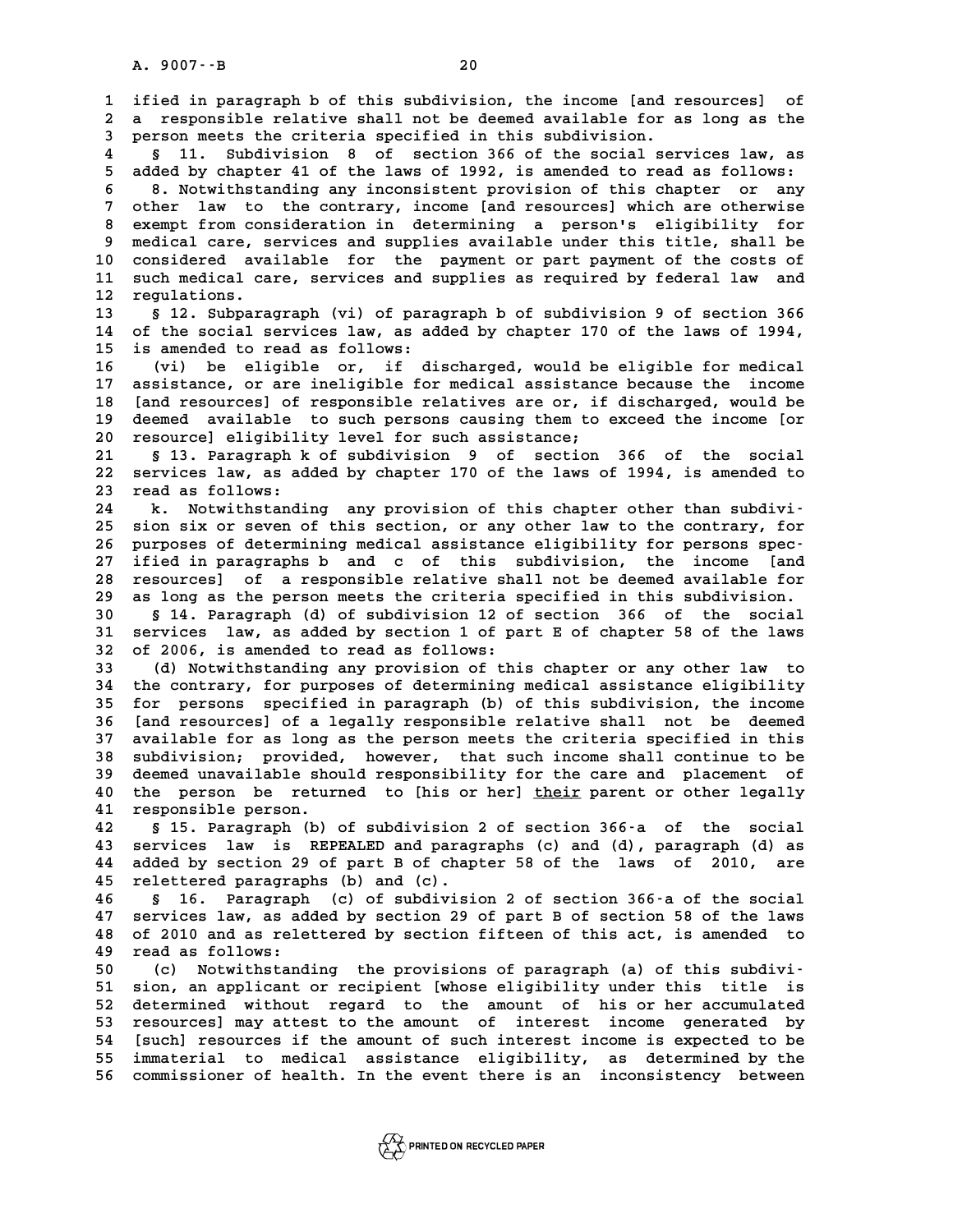**1 ified in paragraph b of this subdivision, the income [and resources] of** 1 ified in paragraph b of this subdivision, the income [and resources] of<br>2 a responsible relative shall not be deemed available for as long as the<br>3 person meets the griteria specified in this subdivision 1 ified in paragraph b of this subdivision, the income [and r<br>2 a responsible relative shall not be deemed available for a<br>3 person meets the criteria specified in this subdivision.<br>4 5 11 Subdivision 8 of sostion 366 of t **4 a** responsible relative shall not be deemed available for as long as the 3 person meets the criteria specified in this subdivision.<br>**4** § 11. Subdivision 8 of section 366 of the social services law, as<br>**5** added by ch **5** added by chapter 41 of the laws of section 366 of the social services law, as<br> **5** added by chapter 41 of the laws of 1992, is amended to read as follows:<br> **6** a Moturibation is any inconsistent provision of this shapt **6 8. 11. Subdivision 8 of section 366 of the social services law, as<br>
<b>6 added by chapter 41 of the laws of 1992, is amended to read as follows:**<br> **6 8. Notwithstanding any inconsistent provision of this chapter or any**<br> **7** added by chapter 41 of the laws of 1992, is amended to read as follows:<br>
8. Notwithstanding any inconsistent provision of this chapter or any<br>
7 other law to the contrary, income [and resources] which are otherwise<br>
2. 8. Notwithstanding any inconsistent provision of this chapter or any<br>
7 other law to the contrary, income [and resources] which are otherwise<br>
8 exempt from consideration in determining a person's eligibility for<br>
8 modica 9 other law to the contrary, income [and resources] which are otherwise<br>8 exempt from consideration in determining a person's eligibility for<br>9 medical care, services and supplies available under this title, shall be<br>20 se 8 exempt from consideration in determining a person's eligibility for<br>9 medical care, services and supplies available under this title, shall be<br>10 considered available for the payment or part payment of the costs of<br>11 su 9 medical care, services and supplies available under this title, shall be considered available for the payment or part payment of the costs of<br>11 such medical care, services and supplies as required by federal law and<br>12 10 considered ava<br>11 such medical ca<br>12 regulations.<br><sup>13 8</sub> 12 Subpara</sup> 11 such medical care, services and supplies as required by federal law and<br>12 regulations.<br>**13** § 12. Subparagraph (vi) of paragraph b of subdivision 9 of section 366<br>14 of the social services law, as added by chapter 170 12 regulations.<br>13 § 12. Subparagraph (vi) of paragraph b of subdivision 9 of section 366<br>14 of the social services law, as added by chapter 170 of the laws of 1994,<br>15 is arouded to read as follows. 13 § 12. Subparagraph (vi) of para<br>14 of the social services law, as ad<br>15 is amended to read as follows:<br><sup>16</sup> (vi) he oligible or if di 15 is amended to read as follows:<br>16 (vi) be eligible or, if discharged, would be eligible for medical<br>17 assistance, or are ineligible for medical assistance because the income 15 is amended to read as follows:<br>16 (vi) be eligible or, if discharged, would be eligible for medical<br>17 assistance, or are ineligible for medical assistance because the income<br>18 **Independent of propositional inclusion 16** (vi) be eligible or, if discharged, would be eligible for medical<br>17 assistance, or are ineligible for medical assistance because the income<br>18 [and resources] of responsible relatives are or, if discharged, would be<br> 17 assistance, or are ineligible for medical assistance because the income<br>18 [and resources] of responsible relatives are or, if discharged, would be<br>19 deemed available to such persons causing them to exceed the income [ 18 [and resources] of responsible relatives are or, if<br>19 deemed available to such persons causing them to<br>20 resource] eligibility level for such assistance;<br><sup>21</sup> 5.13 Personant b of subdivision 9 of section **20** deemed available to such persons causing them to exceed the income [or<br>
20 resource] eligibility level for such assistance;<br>
21 § 13. Paragraph k of subdivision 9 of section 366 of the social<br>
22 servises law as added 20 resource] eligibility level for such assistance;<br>21 § 13. Paragraph k of subdivision 9 of section 366 of the social<br>22 services law, as added by chapter 170 of the laws of 1994, is amended to<br>23 read as follows: 21 § 13. Paragraph k<br>22 services law, as ad<br>23 read as follows:<br><sup>24</sup> b Notwithstandi 22 services law, as added by chapter 170 of the laws of 1994, is amended to<br>
23 read as follows:<br>
24 k. Notwithstanding any provision of this chapter other than subdivi-<br>
25 sion six or source of this section or any other 23 read as follows:<br>
24 k. Notwithstanding any provision of this chapter other than subdivi-<br>
25 sion six or seven of this section, or any other law to the contrary, for<br>
26 purposes of determining medical assistance eligi **24 k. Notwithstanding any provision of this chapter other than subdivi-**<br>25 sion six or seven of this section, or any other law to the contrary, for<br>26 purposes of determining medical assistance eligibility for persons sp 25 sion six or seven of this section, or any other law to the contrary, for<br>26 purposes of determining medical assistance eligibility for persons spec-<br>27 ified in paragraphs b and c of this subdivision, the income [and<br>28 26 purposes of determining medical assistance eligibility for persons spec-<br>27 ified in paragraphs b and c of this subdivision, the income [and<br>28 resources] of a responsible relative shall not be deemed available for<br>29 2 27 ified in paragraphs b and c of this subdivision, the income [and resources] of a responsible relative shall not be deemed available for as long as the person meets the criteria specified in this subdivision. **28 resources] of a responsible relative shall not be deemed available for<br>29 as long as the person meets the criteria specified in this subdivision.<br>30 § 14. Paragraph (d) of subdivision 12 of section 366 of the social<br>31 39 as long as the person meets the criteria specified in this subdivision.**<br>**30 § 14. Paragraph (d) of subdivision 12 of section 366 of the social<br>31 services law, as added by section 1 of part E of chapter 58 of the laws 30 s** 14. Paragraph (d) of subdivision 12 of<br>31 services law, as added by section 1 of pa<br>32 of 2006, is amended to read as follows:<br>(d) Notwithstanding any provision of thi 31 services law, as added by section 1 of part E of chapter 58 of the laws<br>32 of 2006, is amended to read as follows:<br>33 (d) Notwithstanding any provision of this chapter or any other law to<br>34 the contrary, for purposes o **34 the contrary, for purposes of determining medical assistance eligibility 35 for persons specified in paragraph (b) of this subdivision, the income 34 the contrary, for purposes of determining medical assistance eligibility**<br>**35 for persons specified in paragraph** (b) of this subdivision, the income<br>**36 [and resources] of a legally responsible relative shall not be d 35 for persons specified in paragraph (b) of this subdivision, the income**<br>**36 [and resources] of a legally responsible relative shall not be deemed**<br>**37 available for as long as the person meets the criteria specified in 36 [and resources] of a legally responsible relative shall not be deemed**<br>37 available for as long as the person meets the criteria specified in this<br>38 subdivision; provided, however, that such income shall continue to b **37 available for as long as the person meets the criteria specified in this**<br>**38 subdivision; provided, however, that such income shall continue to be**<br>**39 deemed unavailable should responsibility for the care and placeme** 38 subdivision; provided, however, that such income shall continue to be deemed unavailable should responsibility for the care and placement of the person be returned to [his or her] <u>their</u> parent or other legally<br><sup>41</sup> re deemed unavailable should responsibility for the care and placement of the person be returned to [his or her] <u>their</u> parent or other legally responsible person.<br>42 § 15. Paragraph (b) of subdivision 2 of section 366-a of **42 § 15. Paragraph (b) of subdivision 2 of section 366-a of the social 41 responsible person.**<br> **42** § 15. Paragraph (b) of subdivision 2 of section 366-a of the social<br> **43 services law is REPEALED and paragraphs (c) and (d), paragraph (d) as**<br> **44 added by section 29 of part B of shapter 5 42** § 15. Paragraph (b) of subdivision 2 of section 366–a of the social<br>43 services law is REPEALED and paragraphs (c) and (d), paragraph (d) as<br>44 added by section 29 of part B of chapter 58 of the laws of 2010, are<br>45 r 43 services law is REPEALED and paragraphs 44 added by section 29 of part B of chap<br>45 relettered paragraphs (b) and (c).<br>46 September 2016 release to a set of andivision 44 added by section 29 of part B of chapter 58 of the laws of 2010, are<br>45 relettered paragraphs (b) and (c).<br>46 § 16. Paragraph (c) of subdivision 2 of section 366-a of the social<br>47 services law, as added by section 29 o **45 relettered paragraphs (b) and (c).**<br>46 § 16. Paragraph (c) of subdivision 2 of section 366-a of the social<br>47 services law, as added by section 29 of part B of section 58 of the laws<br>48 of 2010 and as relationed by sec **46** § 16. Paragraph (c) of subdivision 2 of section 366-a of the social<br>47 services law, as added by section 29 of part B of section 58 of the laws<br>48 of 2010 and as relettered by section fifteen of this act, is amended t **47 services law, as ad:**<br>**48 of 2010 and as rele<br><b>49 read as follows:**<br>50 (3) Notwithstand **50** 48 of 2010 and as relettered by section fifteen of this act, is amended to<br> **49** read as follows:<br>
(c) Notwithstanding the provisions of paragraph (a) of this subdivi-<br>
51 sion an applicant or recipient whose eligibil **50** read as follows:<br>
50 (c) Notwithstanding the provisions of paragraph (a) of this subdivi-<br>
51 sion, an applicant or recipient [whose eligibility under this title is<br>
52 determined without recard to the apount of his o 50 (c) Notwithstanding the provisions of paragraph (a) of this subdivi-<br>51 sion, an applicant or recipient [whose eligibility under this title is<br>52 determined without regard to the amount of his or her accumulated<br>53 reso 51 sion, an applicant or recipient [whose eligibility under this title is<br>52 determined without regard to the amount of his or her accumulated<br>53 resources] may attest to the amount of interest income generated by<br>54 [such 52 determined without regard to the amount of his or her accumulated<br>53 resources] may attest to the amount of interest income generated by<br>54 [such] resources if the amount of such interest income is expected to be<br>55 imm 53 resources] may attest to the amount of interest income generated by<br>54 [such] resources if the amount of such interest income is expected to be<br>55 immaterial to medical assistance eligibility, as determined by the<br>56 co 54 [such] resources if the amount of such interest income is expected to be<br>55 immaterial to medical assistance eligibility, as determined by the<br>56 commissioner of health. In the event there is an inconsistency between

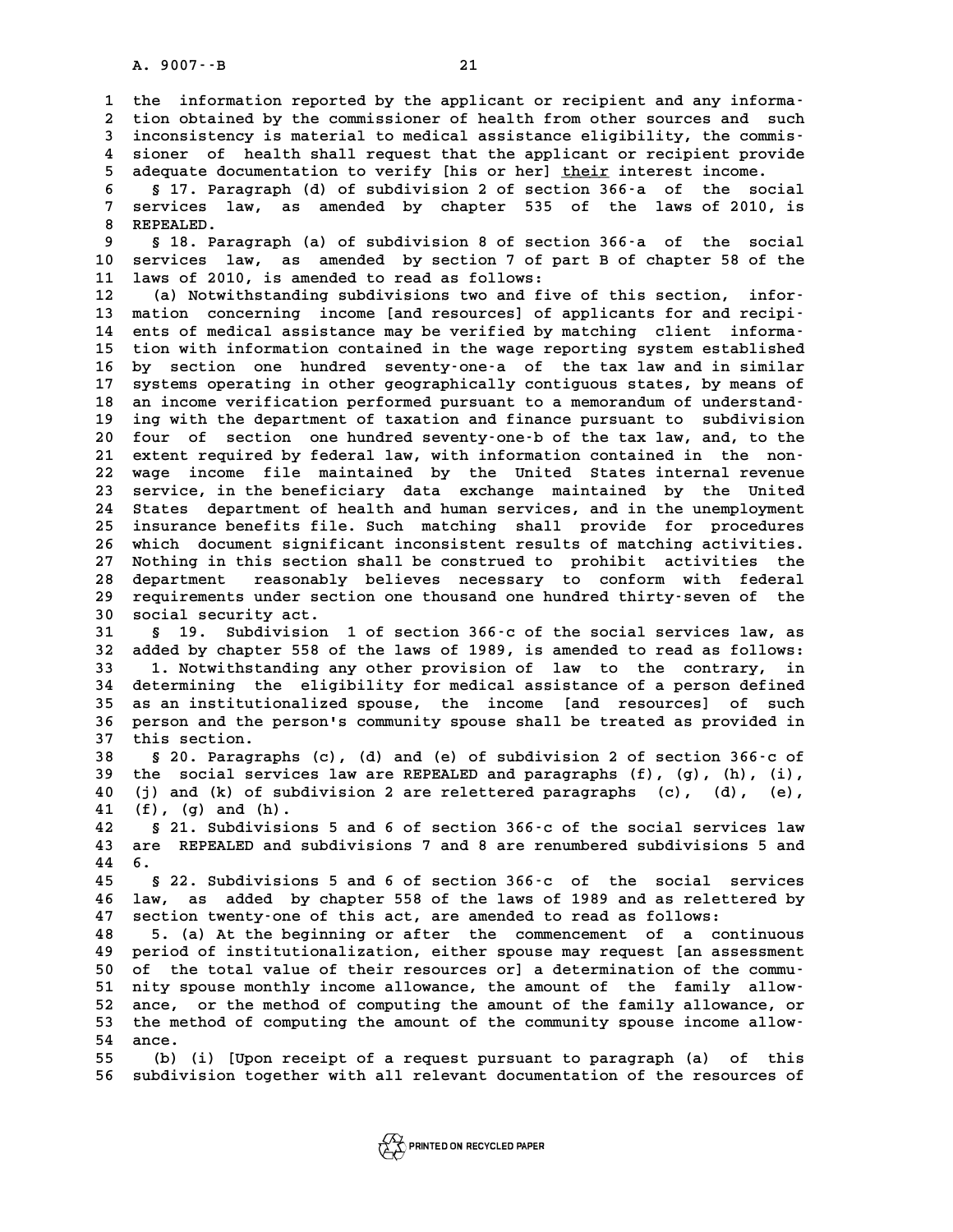A. 9007 · - B<br>1 the information reported by the applicant or recipient and any informa-<br><sup>2</sup> tion obtained by the commissioner of boalth from other sources and such **2** the information reported by the applicant or recipient and any information obtained by the commissioner of health from other sources and such<br>3 inconsistency is material to medical assistance eligibility, the commis. 1 the information reported by the applicant or recipient and any informa-<br>2 tion obtained by the commissioner of health from other sources and such<br>3 inconsistency is material to medical assistance eligibility, the commis-2 tion obtained by the commissioner of health from other sources and such<br>3 inconsistency is material to medical assistance eligibility, the commis-<br>4 sioner of health shall request that the applicant or recipient provide<br> 5 tion obtained by the commissioner of health from other sources and such<br>3 inconsistency is material to medical assistance eligibility, the commis-<br>4 sioner of health shall request that the applicant or recipient provide<br> 4 sioner of health shall request that the applicant or recipient provide<br>
5 adequate documentation to verify [his or her] <u>their</u> interest income.<br>
6 § 17. Paragraph (d) of subdivision 2 of section 366-a of the social<br>
7 S

5 adequate documentation to verify [his or her] <u>their</u> interest income.<br>6 § 17. Paragraph (d) of subdivision 2 of section 366-a of the social<br>7 services law, as amended by chapter 535 of the laws of 2010, is<br>8 BEREALED **8 8 17. Para<br>7 services la<br>8 REPEALED.<br>0 5 18 Para 9 Services law, as amended by chapter 535 of the laws of 2010, is<br>
<b>8 REPEALED.**<br> **9 § 18. Paragraph (a) of subdivision 8 of section 366-a of the social<br>
0 Services law as amended by section 7 of part B of shapter 58 of t** 

10 8 REPEALED.<br>
10 s 18. Paragraph (a) of subdivision 8 of section 366-a of the social<br>
10 services law, as amended by section 7 of part B of chapter 58 of the<br>
11 laws of 2010, is amended to read as follows: 8 18. Paragraph (a) of subdivision 8 of section<br>10 services law, as amended by section 7 of pa<br>11 laws of 2010, is amended to read as follows:<br><sup>12</sup> (a) Notwithing in subdivisions two and five 10 services law, as amended by section 7 of part B of chapter 58 of the<br>
11 laws of 2010, is amended to read as follows:<br>
(a) Notwithstanding subdivisions two and five of this section, infor-<br>
13 mation concerning income [

11 laws of 2010, is amended to read as follows:<br>
12 (a) Notwithstanding subdivisions two and five of this section, infor-<br>
13 mation concerning income [and resources] of applicants for and recipi-<br>
14 onte of modical assis 12 (a) Notwithstanding subdivisions two and five of this section, infor-<br>
13 mation concerning income [and resources] of applicants for and recipi-<br>
14 ents of medical assistance may be verified by matching client informa-13 mation concerning income [and resources] of applicants for and recipi-<br>14 ents of medical assistance may be verified by matching client informa-<br>15 tion with information contained in the wage reporting system establishe 14 ents of medical assistance may be verified by matching client informa-<br>15 tion with information contained in the wage reporting system established<br>16 by section one hundred seventy-one-a of the tax law and in similar<br>17 15 tion with information contained in the wage reporting system established<br>16 by section one hundred seventy-one-a of the tax law and in similar<br>17 systems operating in other geographically contiguous states, by means of<br> 16 by section one hundred seventy-one-a of the tax law and in similar<br>17 systems operating in other geographically contiguous states, by means of<br>18 an income verification performed pursuant to a memorandum of understand-<br> 17 systems operating in other geographically contiguous states, by means of an income verification performed pursuant to a memorandum of understand-<br>19 ing with the department of taxation and finance pursuant to subdivisio 18 an income verification performed pursuant to a memorandum of understand-<br>19 ing with the department of taxation and finance pursuant to subdivision<br>20 four of section one hundred seventy-one-b of the tax law, and, to th 19 ing with the department of taxation and finance pursuant to subdivision<br>20 four of section one hundred seventy-one-b of the tax law, and, to the<br>21 extent required by federal law, with information contained in the non-<br> 20 four of section one hundred seventy-one-b of the tax law, and, to the<br>21 extent required by federal law, with information contained in the non-<br>22 wage income file maintained by the United States internal revenue<br>23 ser 21 extent required by federal law, with information contained in the non-<br>22 wage income file maintained by the United States internal revenue<br>23 service, in the beneficiary data exchange maintained by the United<br>24 States 22 wage income file maintained by the United States internal revenue<br>23 service, in the beneficiary data exchange maintained by the United<br>24 States department of health and human services, and in the unemployment<br>25 incur 23 service, in the beneficiary data exchange maintained by the United<br>24 States department of health and human services, and in the unemployment<br>25 insurance benefits file. Such matching shall provide for procedures<br>26 whi 24 States department of health and human services, and in the unemployment<br>25 insurance benefits file. Such matching shall provide for procedures<br>26 which document significant inconsistent results of matching activities.<br>2 25 insurance benefits file. Such matching shall provide for procedures<br>26 which document significant inconsistent results of matching activities.<br>27 Nothing in this section shall be construed to prohibit activities the<br>28 which document significant inconsistent results of matching activities.<br>27 Nothing in this section shall be construed to prohibit activities the<br>28 department reasonably believes necessary to conform with federal<br>29 requir 27 Nothing in this section shall be construed to prohibit activities the<br>28 department reasonably believes necessary to conform with federal<br>29 requirements under section one thousand one hundred thirty-seven of the<br>20 soc 28 department reasonably<br>29 requirements under sect<br>30 social security act.<br><sup>31</sup> 5 19 Subdivision **39 requirements under section one thousand one hundred thirty-seven of the social security act.**<br>30 social security act.<br>31 § 19. Subdivision 1 of section 366-c of the social services law, as<br>32 added by chapter 558 of th

**30** social security act.<br> **31** § 19. Subdivision 1 of section 366-c of the social services law, as<br> **32** added by chapter 558 of the laws of 1989, is amended to read as follows:<br> **33** 1 Notwithstanding any other provision **31 § 19. Subdivision 1 of section 366-c of the social services law, as<br>32 added by chapter 558 of the laws of 1989, is amended to read as follows:<br>33 1. Notwithstanding any other provision of law to the contrary, in<br>34 de 32 added by chapter 558 of the laws of 1989, is amended to read as follows:**<br>**33 1. Notwithstanding any other provision of law to the contrary, in**<br>**34 determining the eligibility for medical assistance of a person define 1. Notwithstanding any other provision of law to the contrary, in**<br>**34 determining the eligibility for medical assistance of a person defined**<br>**35 as an institutionalized spouse, the income [and resources] of such**<br>**26 pe** 34 determining the eligibility for medical assistance of a person defined<br>35 as an institutionalized spouse, the income [and resources] of such<br>36 person and the person's community spouse shall be treated as provided in<br><sup>3</sup> 35 as an institutionalized spouse, the income [and resources] of such<br>36 person and the person's community spouse shall be treated as provided in<br>37 this section.<br>38 § 20. Paragraphs (c), (d) and (e) of subdivision 2 of se **36 person and the person's community spouse shall be treated as provided in**<br>**37 this section.**<br>**38 § 20. Paragraphs (c), (d) and (e) of subdivision 2 of section 366-c of**<br>**39** the social services law are REPEALED and par

 this section.<br> **38** § 20. Paragraphs (c), (d) and (e) of subdivision 2 of section 366-c of<br>
39 the social services law are REPEALED and paragraphs (f), (g), (h), (i),<br>
40 (i) and (b) of subdivision 2 are relattored pa **40 (j) and (k) of subdivision 2 are relettered paragraphs (c), (d), (e),** (j) and (k) of subditions (d) and (h).<br> **41** (f), (g) and (h).<br> **42** 5.21 Subdivisions (j) and (k) of subdivision 2 are relettered paragraphs (c), (d), (e),<br> **41** (f), (g) and (h).<br> **42** § 21. Subdivisions 5 and 6 of section 366-c of the social services law<br> **43** are PEPELED and subdivisions 7 and 8 are

**41 (f), (g) and (h).**<br>42 § 21. Subdivisions 5 and 6 of section 366–c of the social services law<br>43 are REPEALED and subdivisions 7 and 8 are renumbered subdivisions 5 and<br>44 6 41 (f), (g) and (h).<br>42 § 21. Subdivisions 5 and 6 of section 366 c of the social services law<br>43 are REPEALED and subdivisions 7 and 8 are renumbered subdivisions 5 and<br>44 6.<br>8 22. Subdivisions 5 and 6 of section 366 c of

**45 § 22. Subdivisions 5 and 6 of section 366-c of the social services 44 6.**<br>45 § 22. Subdivisions 5 and 6 of section 366–c of the social services<br>46 law, as added by chapter 558 of the laws of 1989 and as relettered by<br>47 section trenty one of this ast, are amorded to read as follows. **45 5** 22. Subdivisions 5 and 6 of section 366-c of the social se<br>46 law, as added by chapter 558 of the laws of 1989 and as relette<br>47 section twenty-one of this act, are amended to read as follows:<br><sup>49</sup> 5 (a) 1t the be **46 law, as added by chapter 558 of the laws of 1989 and as relettered by section twenty-one of this act, are amended to read as follows:**<br>**48 5. (a) At the beginning or after the commencement of a continuous** noried of in

47 section twenty-one of this act, are amended to read as follows:<br>48 5. (a) At the beginning or after the commencement of a continuous<br>49 period of institutionalization, either spouse may request [an assessment<br>50 of the **50 of the total value of their resources or] a determination of the commu**period of institutionalization, either spouse may request [an assessment<br>
50 of the total value of their resources or] a determination of the commu-<br>
51 nity spouse monthly income allowance, the amount of the family allow-50 of the total value of their resources or] a determination of the commu-<br>51 nity spouse monthly income allowance, the amount of the family allow-<br>52 ance, or the method of computing the amount of the community spouse inc 51 nity spouse monthly income allowance, the amount of the family allow-<br>52 ance, or the method of computing the amount of the family allowance, or<br>53 the method of computing the amount of the community spouse income allow 52 ance, or the method of computing the amount of the family allowance, or<br>53 the method of computing the amount of the community spouse income allow-<br>54 ance.<br>(b) (i) [Upon receipt of a request pursuant to paragraph (a) o 53 the method of computing the amount of the community spouse income allow-<br>54 ance.<br>55 (b) (i) [Upon receipt of a request pursuant to paragraph (a) of this<br>56 subdivision together with all relevant deguneration of the res

54 ance.<br>55 (b) (i) [Upon receipt of a request pursuant to paragraph (a) of this<br>56 subdivision together with all relevant documentation of the resources of

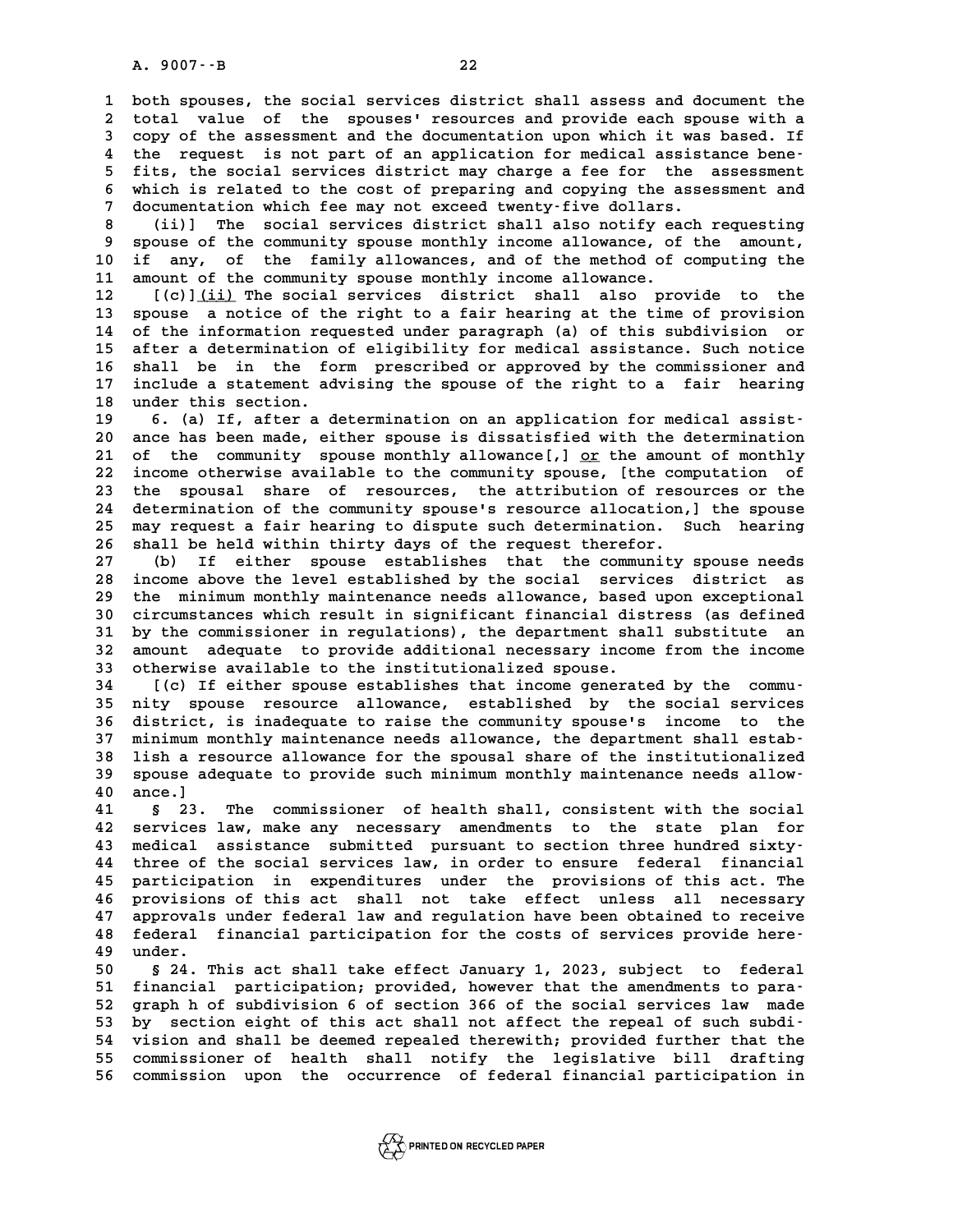**1 both spouses, the social services district shall assess and document the 2** both spouses, the social services district shall assess and document the<br>2 total value of the spouses' resources and provide each spouse with a<br>3 copy of the assessment and the documentation upon which it was based. If 1 both spouses, the social services district shall assess and document the<br>2 total value of the spouses' resources and provide each spouse with a<br>3 copy of the assessment and the documentation upon which it was based. If<br><sup></sup> total value of the spouses' resources and provide each spouse with a<br>
3 copy of the assessment and the documentation upon which it was based. If<br>
4 the request is not part of an application for medical assistance bene-<br>
<sup>5</sup> **5 fits, the assessment and the documentation upon which it was based. If**<br>4 the request is not part of an application for medical assistance bene-<br>5 fits, the social services district may charge a fee for the assessment<br>6 4 the request is not part of an application for medical assistance bene-<br>5 fits, the social services district may charge a fee for the assessment<br>6 which is related to the cost of preparing and copying the assessment and<br>7 5 fits, the social services district may charge a fee for the which is related to the cost of preparing and copying the asse<br>7 documentation which fee may not exceed twenty-five dollars.<br>(ii)] The social services district 6 which is related to the cost of preparing and copying the assessment and<br>7 documentation which fee may not exceed twenty-five dollars.<br>8 (ii)] The social services district shall also notify each requesting<br>8 spouse of th

9 documentation which fee may not exceed twenty-five dollars.<br>
8 (ii)] The social services district shall also notify each requesting<br>
9 spouse of the community spouse monthly income allowance, of the amount,<br>
10 if any, o **10 if any, of the family allowances, and of the method of computing the** 11 amount of the community spouse monthly income allowance.<br>12 [(c)]<u>(ii)</u> The social services district shall also provide to the **10 if any, of the family allowances, and of the method of computing the<br>
<b>11 amount of the community spouse monthly income allowance.**<br> **12** [(c)](ii) The social services district shall also provide to the<br> **13** spouse a

11 amount of the community spouse monthly income allowance.<br>
12 [(c)]<u>(ii)</u> The social services district shall also provide to the<br>
13 spouse a notice of the right to a fair hearing at the time of provision<br>
14 of the info 12 [(c)]<u>(ii)</u> The social services district shall also provide to the<br>13 spouse a notice of the right to a fair hearing at the time of provision<br>14 of the information requested under paragraph (a) of this subdivision or<br>15 13 spouse a notice of the right to a fair hearing at the time of provision<br>14 of the information requested under paragraph (a) of this subdivision or<br>15 after a determination of eligibility for medical assistance. Such not 14 of the information requested under paragraph (a) of this subdivision or<br>15 after a determination of eligibility for medical assistance. Such notice<br>16 shall be in the form prescribed or approved by the commissioner and<br> 15 after a determination of eligibility for medical assistance. Such notice<br>16 shall be in the form prescribed or approved by the commissioner and<br>17 include a statement advising the spouse of the right to a fair hearing<br>1 16 shall be in the fo<br>17 include a statement ad<br>18 under this section. 17 include a statement advising the spouse of the right to a fair hearing<br>
18 under this section.<br>
19 6. (a) If, after a determination on an application for medical assist-<br>
20 ance has been made, either spouse is dissatis

**20 and 18 and 18 and 18 and 18 and 18 and 18 and 18 ance has been made, either spouse is dissatisfied with the determination**<br> **20 ance has been made, either spouse is dissatisfied with the determination**<br>
21 of the commu **20** 6. (a) If, after a determination on an application for medical assist-<br>20 ance has been made, either spouse is dissatisfied with the determination<br>21 of the community spouse monthly allowance[,] <u>or</u> the amount of mon 20 ance has been made, either spouse is dissatisfied with the determination<br>21 of the community spouse monthly allowance[,] <u>or</u> the amount of monthly<br>22 income otherwise available to the community spouse, [the computation 21 of the community spouse monthly allowance[,] <u>or</u> the amount of monthly<br>22 income otherwise available to the community spouse, [the computation of<br>23 the spousal share of resources, the attribution of resources or the<br>2 22 income otherwise available to the community spouse, [the computation of<br>23 the spousal share of resources, the attribution of resources or the<br>24 determination of the community spouse's resource allocation,] the spouse<br> 23 the spousal share of resources, the attribution of resources or the determination of the community spouse's resource allocation,] the spouse 25 may request a fair hearing to dispute such determination. Such hearing 26 s 24 determination of the community spouse's resource allocation,] the spouse<br>25 may request a fair hearing to dispute such determination. Such hearing<br>26 shall be held within thirty days of the request therefor.<br>27 (b) If e 25 may request a fair hearing to dispute such determination. Such hearing<br>26 shall be held within thirty days of the request therefor.<br>27 (b) If either spouse establishes that the community spouse needs<br>28 income above the

**28 income above the level established by the social services district as** 27 (b) If either spouse establishes that the community spouse needs<br>28 income above the level established by the social services district as<br>29 the minimum monthly maintenance needs allowance, based upon exceptional<br>20 cir 28 income above the level established by the social services district as<br>29 the minimum monthly maintenance needs allowance, based upon exceptional<br>30 circumstances which result in significant financial distress (as define 29 the minimum monthly maintenance needs allowance, based upon exceptional<br>30 circumstances which result in significant financial distress (as defined<br>31 by the commissioner in regulations), the department shall substitute 30 circumstances which result in significant financial distress (as defined<br>31 by the commissioner in regulations), the department shall substitute an<br>32 amount adequate to provide additional necessary income from the inco 31 by the commissioner in regulations), the department sha<br>32 amount adequate to provide additional necessary incom<br>33 otherwise available to the institutionalized spouse.<br><sup>24</sup> [(g) If oither spouse of abblishes that incom 32 amount adequate to provide additional necessary income from the income<br>33 otherwise available to the institutionalized spouse.<br>34 [(c) If either spouse establishes that income generated by the commu-<br>35 nity spouse reso

33 otherwise available to the institutionalized spouse.<br>34 [(c) If either spouse establishes that income generated by the commu-<br>35 nity spouse resource allowance, established by the social services<br>36 digital is incleanan 14 [(c) If either spouse establishes that income generated by the commu-<br>35 nity spouse resource allowance, established by the social services<br>36 district, is inadequate to raise the community spouse's income to the<br><sup>37</sup> m 35 nity spouse resource allowance, established by the social services<br>36 district, is inadequate to raise the community spouse's income to the<br>37 minimum monthly maintenance needs allowance, the department shall estab-<br><sup>38</sup> **36 district, is inadequate to raise the community spouse's income to the minimum monthly maintenance needs allowance, the department shall establish a resource allowance for the spousal share of the institutionalized**<br>**38** 37 minimum monthly maintenance needs allowance, the department shall estab-<br>38 lish a resource allowance for the spousal share of the institutionalized<br>39 spouse adequate to provide such minimum monthly maintenance needs a **40 1ish a re**<br>**40 ance.**]<br>**41 6** 23

allow-<br>
40 ance.]<br>
41 § 23. The commissioner of health shall, consistent with the social<br>
42 services law, make any necessary amendments to the state plan for **42 services law, make any necessary amendments to the state plan for 43 medical assistance submitted pursuant to section three hundred sixty-**42 services law, make any necessary amendments to the state plan for<br>43 medical assistance submitted pursuant to section three hundred sixty-<br>44 three of the social services law, in order to ensure federal financial<br>15 par 43 medical assistance submitted pursuant to section three hundred sixty-<br>44 three of the social services law, in order to ensure federal financial<br>45 participation in expenditures under the provisions of this act. The<br>46 p 44 three of the social services law, in order to ensure federal financial<br>45 participation in expenditures under the provisions of this act. The<br>46 provisions of this act shall not take effect unless all necessary<br>47 provi 45 participation in expenditures under the provisions of this act. The<br>46 provisions of this act shall not take effect unless all necessary<br>47 approvals under federal law and regulation have been obtained to receive<br>48 fed 46 provisions of this act shall not take effect unless all necessary<br>47 approvals under federal law and regulation have been obtained to receive<br>48 federal financial participation for the costs of services provide here-<br>49 47 approvals under federal law and regulation have been obtained to receive<br>48 federal financial participation for the costs of services provide here-<br>49 under.<br>50 § 24. This act shall take effect January 1, 2023, subject **50 § 24. This act shall take effect January 1, 2023, subject to federal**

**50** s 24. This act shall take effect January 1, 2023, subject to federal<br>
51 financial participation; provided, however that the amendments to para-<br>
<sup>52</sup> graph b of subdivision 6 of sostion 366 of the sosial servises law 50 § 24. This act shall take effect January 1, 2023, subject to federal<br>51 financial participation; provided, however that the amendments to para-<br>52 graph h of subdivision 6 of section 366 of the social services law made<br> 51 financial participation; provided, however that the amendments to para-<br>
52 graph h of subdivision 6 of section 366 of the social services law made<br>
53 by section eight of this act shall not affect the repeal of such su 52 graph h of subdivision 6 of section 366 of the social services law made<br>53 by section eight of this act shall not affect the repeal of such subdi-<br>54 vision and shall be deemed repealed therewith; provided further that 53 by section eight of this act shall not affect the repeal of such subdi-<br>54 vision and shall be deemed repealed therewith; provided further that the<br>55 commissioner of health shall notify the legislative bill drafting<br>56 55 commissioner of health shall notify the legislative bill drafting<br>56 commission upon the occurrence of federal financial participation in



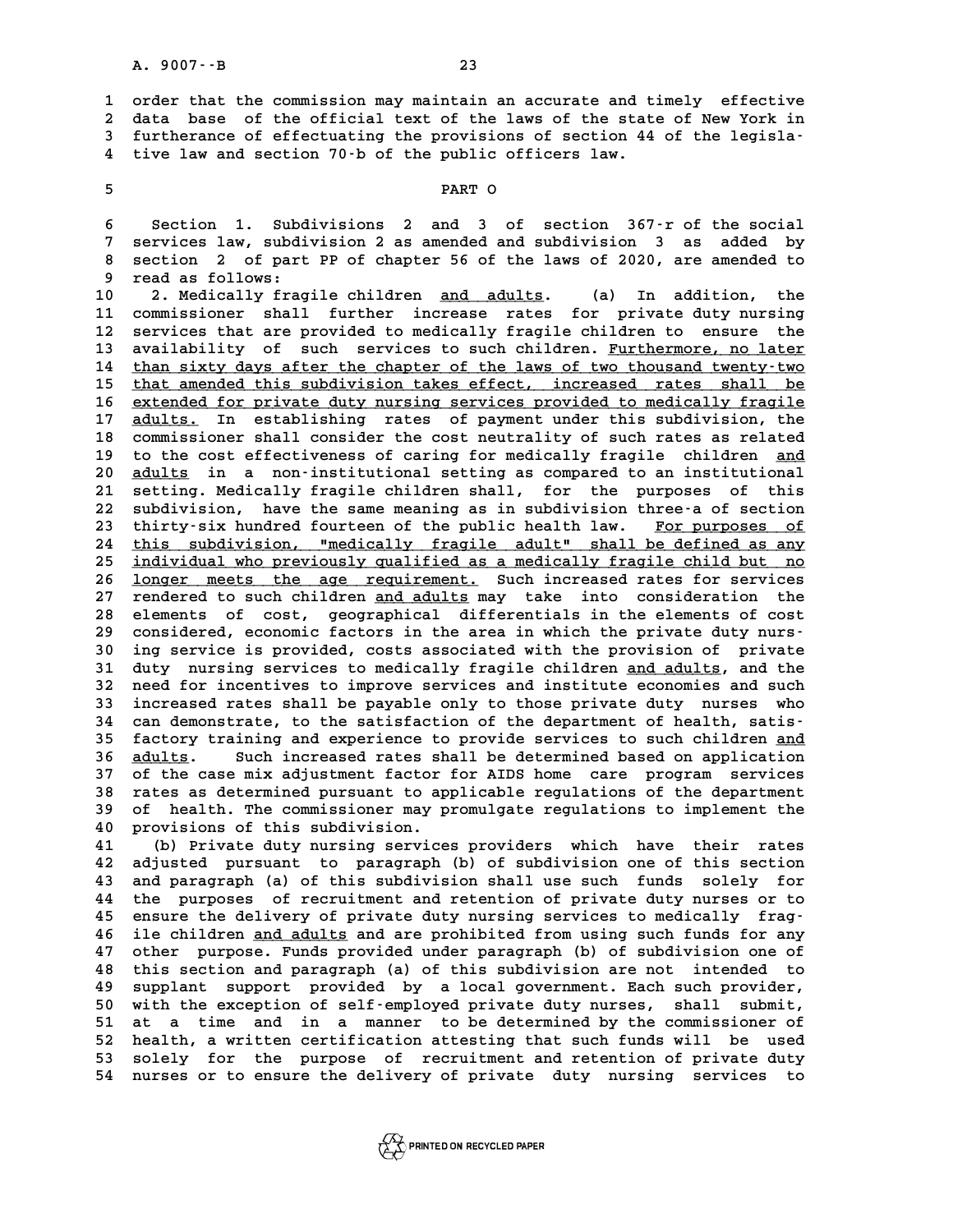**1 order that the commission may maintain an accurate and timely effective 2** order that the commission may maintain an accurate and timely effective<br>2 data base of the official text of the laws of the state of New York in<br>3 furtherance of effectuating the provisions of section 44 of the legisla 1 order that the commission may maintain an accurate and timely effective<br>
2 data base of the official text of the laws of the state of New York in<br>
3 furtherance of effectuating the provisions of section 44 of the legisla 2 data base of the official text of the laws of the stat<br>3 furtherance of effectuating the provisions of section 44<br>4 tive law and section 70<sup>-</sup>b of the public officers law. 4 tive law and section 70-b of the public of<br>5<br>PART O

**FART O**<br>**6** Section 1. Subdivisions 2 and 3 of section 367-r of the social<br>7 services law, subdivision 2 as amended and subdivision 3 as added by **7 services law, subdivision 2 as amended and subdivision 3 as added by 8 Section 1. Subdivisions 2 and 3 of section 367-r of the social<br>
<b>8 section 2 of part PP of chapter 56 of the laws of 2020, are amended to**<br> **8 section 2 of part PP of chapter 56 of the laws of 2020, are amended to**<br> **9 9 services law, subditum**<br> **9 read as follows:**<br> **9 read as follows:**<br> **9 Modically frag** 8 section 2 of part PP of chapter 56 of the laws of 2020, are amended to<br>9 read as follows:<br>10 2. Medically fragile children <u>and adults</u>. (a) In addition, the<br>11 commissioner shall further increase rates for private duty

9 read as follows:<br>10 2. Medically fragile children <u>and adults</u>. (a) In addition, the<br>11 commissioner shall further increase rates for private duty nursing<br>12 services that are provided to medically fragile children to en 10 2. Medically fragile children <u>and adults</u>. (a) In addition, the<br>11 commissioner shall further increase rates for private duty nursing<br>12 services that are provided to medically fragile children to ensure the<br>13 availab 11 commissioner shall further increase rates for private duty nursing<br>12 services that are provided to medically fragile children to ensure the<br>13 availability of such services to such children. Furthermore, no later<br>14 th 12 services that are provided to medically fragile children to ensure the<br>13 availability of such services to such children. Furthermore, no later<br>14 than sixty days after the chapter of the laws of two thousand twenty-two ar a that a thildren. Furthermore, no later<br>
14 than sixty days after the chapter of the laws of two thousand twenty-two<br>
15 that amended this subdivision takes effect, increased rates shall be<br>
cuterded for private duty p than sixty days after the chapter of the laws of two thousand twenty-two<br>
15 <u>that amended this subdivision takes effect</u>, increased rates shall be<br>
<u>extended for private duty nursing services provided to medically fragile</u> 15 that amended this subdivision takes effect, increased rates shall be<br>16 <u>extended for private duty nursing services provided to medically fragile</u><br>17 <u>adults</u>. In establishing rates of payment under this subdivision, th 16 extended for private duty nursing services provided to medically fragile<br>17 <u>adults</u>. In establishing rates of payment under this subdivision, the<br>18 commissioner shall consider the cost neutrality of such rates as rela **17 adults.** In establishing rates of payment under this subdivision, the commissioner shall consider the cost neutrality of such rates as related to the cost effectiveness of caring for medically fragile children <u>and</u> **20 20 20 adults in a non-institutional setting as compared to an institutional setting as compared to an institutional<br>
20 <u>adults</u> in a non-institutional setting as compared to an institutional<br>
21 setting Medically frac** 19 to the cost effectiveness of caring for medically fragile children <u>and</u><br>20 <u>adults</u> in a non-institutional setting as compared to an institutional<br>21 setting. Medically fragile children shall, for the purposes of this<br> 20 <u>adults</u> in a non-institutional setting as compared to an institutional<br>21 setting. Medically fragile children shall, for the purposes of this<br>22 subdivision, have the same meaning as in subdivision three-a of section<br>2 21 setting. Medically fragile children shall, for the purposes of this<br>22 subdivision, have the same meaning as in subdivision three-a of section<br>23 thirty-six hundred fourteen of the public health law. <u>For purposes of</u><br>2 24 this subdivision, "medically fragile adult" shall be defined as any<br>25 individual who previously qualified as a medically fragile child but no **25 individual who previously qualified as a medically fragile child but no \_\_\_\_\_\_\_\_\_\_\_\_\_\_\_\_\_\_\_\_\_\_\_\_\_\_\_\_\_\_\_\_\_\_\_\_\_\_\_\_\_\_\_\_\_\_\_\_\_\_\_\_\_\_\_\_\_\_\_\_\_\_\_\_\_\_\_\_\_\_\_\_** 24 this subdivision, "medically fragile adult" shall be defined as any<br>25 <u>individual who previously qualified as a medically fragile child but no</u><br>26 <u>longer meets the age requirement</u>. Such increased rates for services<br>2 individual who previously qualified as a medically fragile child but no<br>26 <u>longer meets the age requirement</u>. Such increased rates for services<br>27 rendered to such children <u>and adults</u> may take into consideration the<br>28 **26 longer meets the age requirement.** Such increased rates for services<br>27 rendered to such children and adults may take into consideration the<br>28 elements of cost, geographical differentials in the elements of cost<br>29 co 27 rendered to such children and adults may take into consideration the<br>
28 elements of cost, geographical differentials in the elements of cost<br>
29 considered, economic factors in the area in which the private duty nurs-<br> 28 elements of cost, geographical differentials in the elements of cost<br>29 considered, economic factors in the area in which the private duty nurs-<br>30 ing service is provided, costs associated with the provision of private 29 considered, economic factors in the area in which the private duty nurs-<br>30 ing service is provided, costs associated with the provision of private<br>31 duty nursing services to medically fragile children <u>and adults</u>, an **30 ing service is provided, costs associated with the provision of private**<br>**31 duty nursing services to medically fragile children <u>and adults</u>, and the<br>32 need for incentives to improve services and institute economies** 31 duty nursing services to medically fragile children <u>and adults</u>, and the<br>32 need for incentives to improve services and institute economies and such<br>33 increased rates shall be payable only to those private duty nurses 32 need for incentives to improve services and institute economies and such<br>33 increased rates shall be payable only to those private duty nurses who<br>34 can demonstrate, to the satisfaction of the department of health, sat 33 increased rates shall be payable only to those private duty nurses who<br>34 can demonstrate, to the satisfaction of the department of health, satis-<br>35 factory training and experience to provide services to such children 34 can demonstrate, to the satisfaction of the department of health, satis-<br>35 factory training and experience to provide services to such children <u>and</u><br>36 <u>adults</u>. Such increased rates shall be determined based on appli 35 factory training and experience to provide services to such children <u>and</u><br>36 <u>adults</u>. Such increased rates shall be determined based on application<br>37 of the case mix adjustment factor for AIDS home care program servi **36 <u>adults</u>. Such increased rates shall be determined based on application**<br>37 of the case mix adjustment factor for AIDS home care program services<br>38 rates as determined pursuant to applicable regulations of the departm 37 of the case mix adjustment factor for AIDS home care program services<br>38 rates as determined pursuant to applicable regulations of the department<br>39 of health. The commissioner may promulgate regulations to implement th 39 of health. The commissioner may promulgate regulations to implement the<br>40 provisions of this subdivision.<br>41 (b) Private duty nursing services providers which have their rates

**41 (b) Private duty nursing services providers which have their rates 40 provisions of this subdivision.**<br> **41** (b) Private duty nursing services providers which have their rates<br> **42 adjusted pursuant to paragraph** (b) of subdivision one of this section<br> **43 and paragraph** (a) of this subd **41** (b) Private duty nursing services providers which have their rates<br>42 adjusted pursuant to paragraph (b) of subdivision one of this section<br>43 and paragraph (a) of this subdivision shall use such funds solely for<br>44 t **42 adjusted pursuant to paragraph (b) of subdivision one of this section**<br>**43 and paragraph (a) of this subdivision shall use such funds solely for**<br>**44 the purposes of recruitment and retention of private duty nurses or** 43 and paragraph (a) of this subdivision shall use such funds solely for<br>44 the purposes of recruitment and retention of private duty nurses or to<br>45 ensure the delivery of private duty nursing services to medically frag-<br> 44 the purposes of recruitment and retention of private duty nurses or to<br>45 ensure the delivery of private duty nursing services to medically frag-<br>46 ile children <u>and adults</u> and are prohibited from using such funds for 45 ensure the delivery of private duty nursing services to medically frag-<br>46 ile children <u>and adults</u> and are prohibited from using such funds for any<br>47 other purpose. Funds provided under paragraph (b) of subdivision o **46 ile children <u>and adults</u> and are prohibited from using such funds for any other purpose. Funds provided under paragraph (b) of subdivision one of this section and paragraph (a) of this subdivision are not intended to** 47 other purpose. Funds provided under paragraph (b) of subdivision one of<br>48 this section and paragraph (a) of this subdivision are not intended to<br>49 supplant support provided by a local government. Each such provider,<br>5 this section and paragraph (a) of this subdivision are not intended to<br>49 supplant support provided by a local government. Each such provider,<br>50 with the exception of self-employed private duty nurses, shall submit,<br>51 at 49 supplant support provided by a local government. Each such provider,<br>50 with the exception of self-employed private duty nurses, shall submit,<br>51 at a time and in a manner to be determined by the commissioner of<br>52 heal 50 with the exception of self-employed private duty nurses, shall submit,<br>51 at a time and in a manner to be determined by the commissioner of<br>52 health, a written certification attesting that such funds will be used<br>53 so 51 at a time and in a manner to be determined by the commissioner of<br>52 health, a written certification attesting that such funds will be used<br>53 solely for the purpose of recruitment and retention of private duty<br>54 nurse **54 nurses or to ensure the delivery of private duty nursing services to**

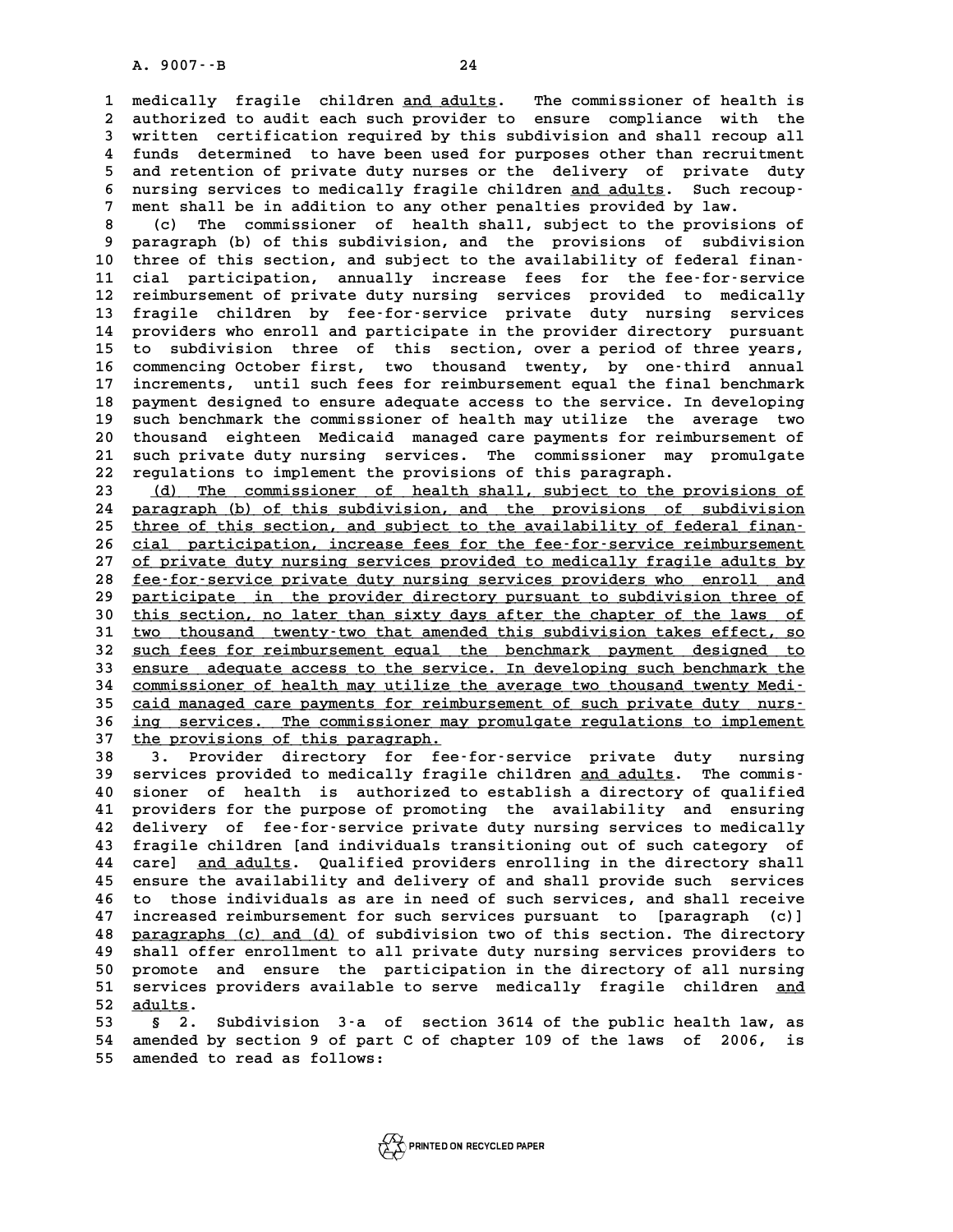A. 9007 --B<br>1 medically fragile children <u>and adults</u>. The commissioner of health is<br>2 authorized to audit each such provider to ensure compliance with the **2 authorized to audit each such provider to ensure compliance with the 3 written certification required by this subdivision and shall recoup all** 2 authorized to audit each such provider to ensure compliance with the<br>3 written certification required by this subdivision and shall recoup all<br>4 funds determined to have been used for purposes other than recruitment<br>5 an 3 written certification required by this subdivision and shall recoup all<br>4 funds determined to have been used for purposes other than recruitment<br>5 and retention of private duty nurses or the delivery of private duty<br>5 nu 4 funds determined to have been used for purposes other than recruitment<br>5 and retention of private duty nurses or the delivery of private duty<br>6 nursing services to medically fragile children <u>and adults</u>. Such recoup-<br>7 5 and retention of private duty nurses or the delivery of private shall be in addition to any other penalties provided by law.<br>7 ment shall be in addition to any other penalties provided by law.<br>2 (c) The commissioner of h 8 nursing services to medically fragile children <u>and adults</u>. Such recoup-<br>
7 ment shall be in addition to any other penalties provided by law.<br>
8 (c) The commissioner of health shall, subject to the provisions of<br>
8 narr

9 ment shall be in addition to any other penalties provided by law.<br>
8 (c) The commissioner of health shall, subject to the provisions of<br>
9 paragraph (b) of this subdivision, and the provisions of subdivision<br>
10 three of 10 (c) The commissioner of health shall, subject to the provisions of<br>
10 three of this section, and subject to the availability of federal finan-<br>
<sup>11</sup> dial participation annually increase fees for the fee-for-service 9 paragraph (b) of this subdivision, and the provisions of subdivision<br>10 three of this section, and subject to the availability of federal finan-<br>11 cial participation, annually increase fees for the fee-for-service<br>22 re **12 reimbursement of private duty nursing services provided to medically** 11 cial participation, annually increase fees for the fee-for-service<br>12 reimbursement of private duty nursing services provided to medically<br>13 fragile children by fee-for-service private duty nursing services<br>14 provider 12 reimbursement of private duty nursing services provided to medically<br>13 fragile children by fee-for-service private duty nursing services<br>14 providers who enroll and participate in the provider directory pursuant<br>15 to 13 fragile children by fee-for-service private duty nursing services<br>14 providers who enroll and participate in the provider directory pursuant<br>15 to subdivision three of this section, over a period of three years,<br>16 comp 14 providers who enroll and participate in the provider directory pursuant<br>15 to subdivision three of this section, over a period of three years,<br>16 commencing October first, two thousand twenty, by one-third annual<br>17 inc 15 to subdivision three of this section, over a period of three years,<br>16 commencing October first, two thousand twenty, by one-third annual<br>17 increments, until such fees for reimbursement equal the final benchmark<br>18 pay 16 commencing October first, two thousand twenty, by one-third annual<br>17 increments, until such fees for reimbursement equal the final benchmark<br>18 payment designed to ensure adequate access to the service. In developing<br>1 17 increments, until such fees for reimbursement equal the final benchmark<br>18 payment designed to ensure adequate access to the service. In developing<br>19 such benchmark the commissioner of health may utilize the average tw 18 payment designed to ensure adequate access to the service. In developing<br>19 such benchmark the commissioner of health may utilize the average two<br>20 thousand eighteen Medicaid managed care payments for reimbursement of<br> 19 such benchmark the commissioner of health may utilize the average two<br>20 thousand eighteen Medicaid managed care payments for reimbursement of<br>21 such private duty nursing services. The commissioner may promulgate<br>22 re **22 regulations to implement the provisions of this paragraph.**

**23 (d) The commissioner of health shall, subject to the provisions of \_\_\_\_\_\_\_\_\_\_\_\_\_\_\_\_\_\_\_\_\_\_\_\_\_\_\_\_\_\_\_\_\_\_\_\_\_\_\_\_\_\_\_\_\_\_\_\_\_\_\_\_\_\_\_\_\_\_\_\_\_\_\_\_\_\_\_\_\_\_** regulations to implement the provisions of this paragraph.<br>
23 (d) The commissioner of health shall, subject to the provisions of<br>
24 <u>paragraph (b) of this subdivision, and the provisions of subdivision</u><br>
25 three of this 23 (d) The commissioner of health shall, subject to the provisions of<br>24 paragraph (b) of this subdivision, and the provisions of subdivision<br>25 three of this section, and subject to the availability of federal finan-<br>26 s 24 paragraph (b) of this subdivision, and the provisions of subdivision<br>25 <u>three of this section, and subject to the availability of federal finance<br>26 cial participation, increase fees for the fee-for-service reimburseme</u> 25 <u>three of this section, and subject to the availability of federal finan-</u><br>26 <u>cial participation, increase fees for the fee-for-service reimbursement</u><br>27 <u>of private duty nursing services provided to medically fragile </u> 28 <u>fee-for-service private duty nursing services providers who enroll and</u><br>29 participate in the provider directory pursuant to subdivision three of of private duty nursing services provided to medically fragile adults by<br>
<u>fee-for-service private duty nursing services providers who enroll and</u><br>
<u>participate in the provider directory pursuant to subdivision three of</u><br> **30** <u>fee-for-service</u> private duty nursing services providers who enroll and participate in the provider directory pursuant to subdivision three of this section, no later than sixty days after the chapter of the laws of t **30** participate in the provider directory pursuant to subdivision three of this section, no later than sixty days after the chapter of the laws of two thousand twenty-two that amended this subdivision takes effect, so qua <sup>2</sup> 30 this section, no later than sixty days after the chapter of the laws of two thousand twenty-two that amended this subdivision takes effect, so such fees for reimbursement equal the benchmark payment designed to serv 31 <u>two thousand twenty-two that amended this subdivision takes effect, so<br>32 <u>such fees for reimbursement equal the benchmark payment designed to</u><br>33 <u>ensure adequate access to the service. In developing such benchmark th</u></u> 32 <u>such fees for reimbursement equal the benchmark payment designed to</u><br>33 <u>ensure adequate access to the service. In developing such benchmark the</u><br>25 coid managed gare nauments for reimbursement of such private duty nur 33 ensure adequate access to the service. In developing such benchmark the commissioner of health may utilize the average two thousand twenty Medi-<br>
<u>caid managed care payments for reimbursement of such private duty nurs-</u> 34 <u>commissioner of health may utilize the average two thousand twenty Medi-<br>35 caid managed care payments for reimbursement of such private duty nurs-<br>36 <u>ing services. The commissioner may promulgate regulations to imple</u></u> 35 caid managed care payments for reimbursement of such private duty nurs-<br>36 ing services. The commissioner may promulgate regulations to implement<br>37 the provisions of this paragraph.<br>38 3. Provider directory for fee-for 36 <u>ing services. The commissioner may promulgate regulations to implement</u><br>37 <u>the provisions of this paragraph.</u><br>38 3. Provider directory for fee-for-service private duty nursing<br>39 services provided to medically fragile

**1998**<br> **39 services provider directory for fee-for-service private duty nursing<br>
<b>39 services provided to medically fragile children and adults. The commis-**<br> **20 signor of boalth is authorized to ostablish a directory of** 38 3. Provider directory for fee-for-service private duty nursing<br>39 services provided to medically fragile children <u>and adults</u>. The commis-<br>40 sioner of health is authorized to establish a directory of qualified<br>41 prov **41 providers for the purpose of promoting the availability and ensuring** 40 sioner of health is authorized to establish a directory of qualified<br>41 providers for the purpose of promoting the availability and ensuring<br>42 delivery of fee-for-service private duty nursing services to medically<br><sup>43</sup> 41 providers for the purpose of promoting the availability and ensuring<br>42 delivery of fee-for-service private duty nursing services to medically<br>43 fragile children [and individuals transitioning out of such category of<br>4 **42 delivery of fee-for-service private duty nursing services to medically**<br>**43 fragile children [and individuals transitioning out of such category of**<br>**44 care]** <u>and adults</u>. Qualified providers enrolling in the directo 43 fragile children [and individuals transitioning out of such category of<br>44 care] <u>and adults</u>. Qualified providers enrolling in the directory shall<br>45 ensure the availability and delivery of and shall provide such servi **44 care] <u>and adults</u>. Qualified providers enrolling in the directory shall<br>45 ensure the availability and delivery of and shall provide such services<br>46 to those individuals as are in need of such services, and shall rec** 45 ensure the availability and delivery of and shall provide such services<br>46 to those individuals as are in need of such services, and shall receive<br>47 increased reimbursement for such services pursuant to [paragraph (c)] to those individuals as are in need of such services, and shall receive<br>47 increased reimbursement for such services pursuant to [paragraph (c)]<br>48 <u>paragraphs (c) and (d)</u> of subdivision two of this section. The directory 47 increased reimbursement for such services pursuant to [paragraph (c)]<br>48 <u>paragraphs (c) and (d)</u> of subdivision two of this section. The directory<br>49 shall offer enrollment to all private duty nursing services provider **50 paragraphs (c) and (d)** of subdivision two of this section. The directory<br> **50 promote and ensure the participation in the directory of all nursing**<br> **50 promote and ensure the participation in the directory of all nur 51 shall offer enrollment to all private duty nursing services providers to<br>50 promote and ensure the participation in the directory of all nursing<br>51 services providers available to serve medically fragile children <u>and</u>** 50 promote a:<br>51 services p<br>52 <u>adults</u>.<br>53 s 2 s 51 services providers available to serve medically fragile children <u>and</u><br>52 <u>adults</u>.<br>53 § 2. Subdivision 3-a of section 3614 of the public health law, as<br>54 amended by section 9 of part C of chapter 109 of the laws of 20

52 <u>adults</u>.<br>53 § 2. Subdivision 3-a of section 3614 of the public health law, as<br>54 amended by section 9 of part C of chapter 109 of the laws of 2006, is 53 **a** 2. Subdivision 3-a<br>54 amended by section 9 of par<br>55 amended to read as follows:

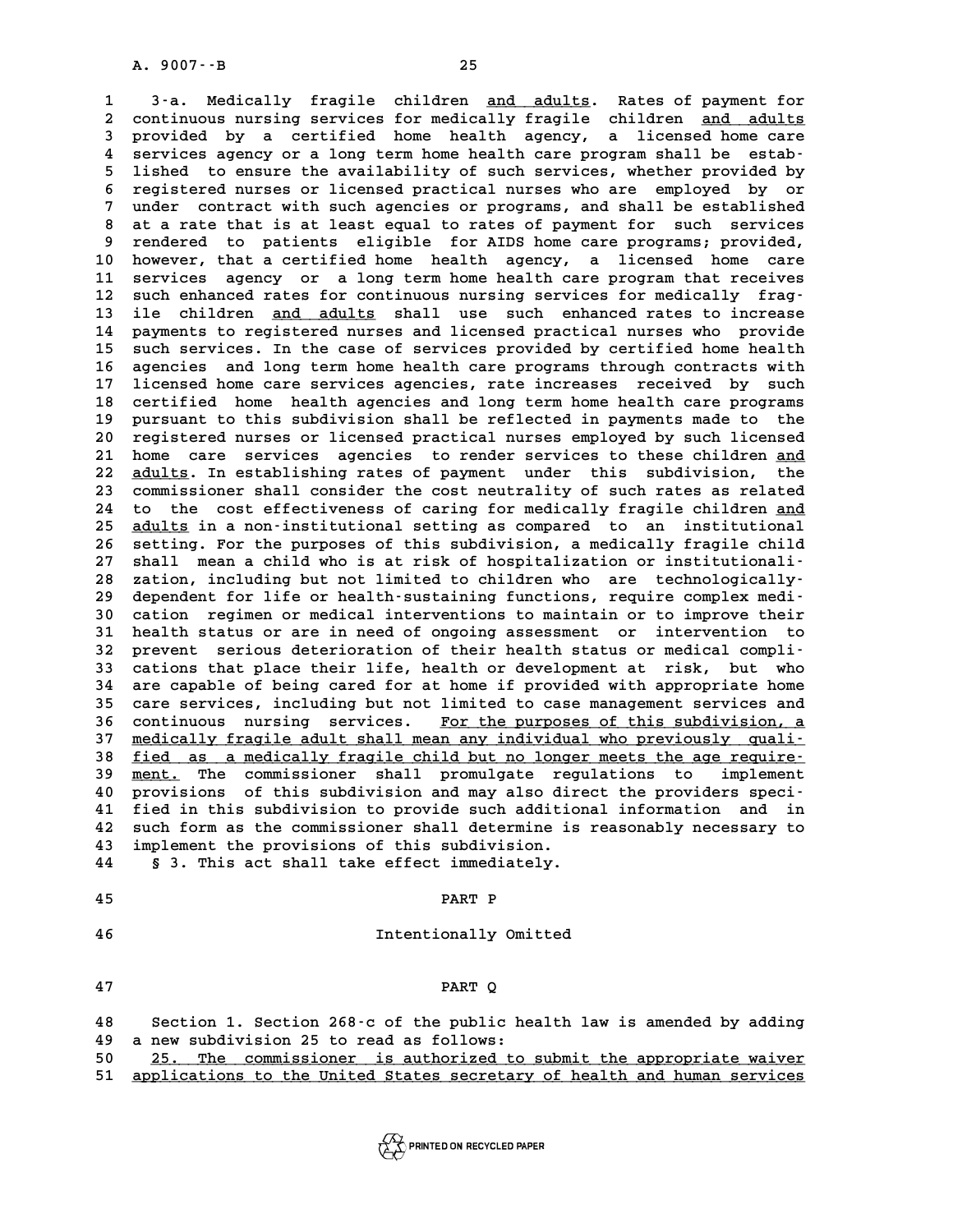A. 9007––B<br>1 3-a. Medically fragile children <u>and adults</u>. Rates of payment for<br>2 continuous nursing services for medically fragile children and adults **2 continuous nursing fragile children <u>and adults</u>. Rates of payment for<br>2 continuous nursing services for medically fragile children <u>and adults</u><br>3 provided by a certified bome bealth agency, a ligensed bome gare** 3 -a. Medically fragile children <u>and adults</u>. Rates of payment for<br>2 continuous nursing services for medically fragile children <u>and adults</u><br>3 provided by a certified home health agency, a licensed home care<br>4 services ag 2 continuous nursing services for medically fragile children <u>and adults</u><br>3 provided by a certified home health agency, a licensed home care<br>4 services agency or a long term home health care program shall be estab-<br><sup>5</sup> lig **5** provided by a certified home health agency, a licensed home care<br>4 services agency or a long term home health care program shall be estab-<br>5 lished to ensure the availability of such services, whether provided by<br>5 reg **6 4** services agency or a long term home health care program shall be estab-<br> **6** registered nurses or licensed practical nurses who are employed by or<br> **6** registered nurses or licensed practical nurses who are employe <sup>1</sup> 5 lished to ensure the availability of such services, whether provided by<br>
<sup>1</sup> registered nurses or licensed practical nurses who are employed by or<br>
<sup>1</sup> under contract with such agencies or programs, and shall be esta 8 registered nurses or licensed practical nurses who are employed by or<br>
7 under contract with such agencies or programs, and shall be established<br>
8 at a rate that is at least equal to rates of payment for such services<br> Part 19 render contract with such agencies or programs, and shall be established<br>
8 at a rate that is at least equal to rates of payment for such services<br>
9 rendered to patients eligible for AIDS home care programs; provi 8 at a rate that is at least equal to rates of payment for such services<br>9 rendered to patients eligible for AIDS home care programs; provided,<br>10 however, that a certified home health agency, a licensed home care<br>11 servi 9 rendered to patients eligible for AIDS home care programs; provided,<br>10 however, that a certified home health agency, a licensed home care<br>11 services agency or a long term home health care program that receives<br>22 such 10 however, that a certified home health agency, a licensed home care<br>
11 services agency or a long term home health care program that receives<br>
12 such enhanced rates for continuous nursing services for medically frag-<br>
<sup></sup> 11 services agency or a long term home health care program that receives<br>12 such enhanced rates for continuous nursing services for medically frag-<br>13 ile children <u>and adults</u> shall use such enhanced rates to increase 12 such enhanced rates for continuous nursing services for medically frag-<br>13 ile children <u>and adults</u> shall use such enhanced rates to increase<br>14 payments to registered nurses and licensed practical nurses who provide<br>1 13 ile children <u>and adults</u> shall use such enhanced rates to increase<br>14 payments to registered nurses and licensed practical nurses who provide<br>15 such services. In the case of services provided by certified home health<br> 14 payments to registered nurses and licensed practical nurses who provide<br>15 such services. In the case of services provided by certified home health<br>16 agencies and long term home health care programs through contracts w **15 such services. In the case of services provided by certified home health**<br>16 agencies and long term home health care programs through contracts with<br>17 licensed home care services agencies, rate increases received by s 16 agencies and long term home health care programs through contracts with<br>17 licensed home care services agencies, rate increases received by such<br>18 certified home health agencies and long term home health care programs<br> 17 licensed home care services agencies, rate increases received by such<br>18 certified home health agencies and long term home health care programs<br>19 pursuant to this subdivision shall be reflected in payments made to the<br> 20 registered nurses and long term home health care programs<br>
20 pursuant to this subdivision shall be reflected in payments made to the<br>
20 registered nurses or licensed practical nurses employed by such licensed<br>
21 home 19 pursuant to this subdivision shall be reflected in payments made to the<br>20 registered nurses or licensed practical nurses employed by such licensed<br>21 home care services agencies to render services to these children <u>an</u> registered nurses or licensed practical nurses employed by such licensed<br>21 home care services agencies to render services to these children <u>and</u><br>22 <u>adults</u>. In establishing rates of payment under this subdivision, the<br>2 21 home care services agencies to render services to these children <u>and</u><br>22 <u>adults</u>. In establishing rates of payment under this subdivision, the<br>23 commissioner shall consider the cost neutrality of such rates as relate 22 <u>adults</u>. In establishing rates of payment under this subdivision, the<br>23 commissioner shall consider the cost neutrality of such rates as related<br>24 to the cost effectiveness of caring for medically fragile children <u>a</u> 23 commissioner shall consider the cost neutrality of such rates as related<br>24 to the cost effectiveness of caring for medically fragile children <u>and</u><br>25 <u>adults</u> in a non-institutional setting as compared to an instituti 24 to the cost effectiveness of caring for medically fragile children <u>and</u><br>25 <u>adults</u> in a non-institutional setting as compared to an institutional<br>26 setting. For the purposes of this subdivision, a medically fragile c 25 <u>adults</u> in a non-institutional setting as compared to an institutional<br>26 setting. For the purposes of this subdivision, a medically fragile child<br>27 shall mean a child who is at risk of hospitalization or institutiona 26 setting. For the purposes of this subdivision, a medically fragile child<br>
27 shall mean a child who is at risk of hospitalization or institutionali-<br>
28 zation, including but not limited to children who are technologica 27 shall mean a child who is at risk of hospitalization or institutionali-<br>28 zation, including but not limited to children who are technologically-<br>29 dependent for life or health-sustaining functions, require complex med zation, including but not limited to children who are technologically-<br>29 dependent for life or health-sustaining functions, require complex medi-<br>30 cation regimen or medical interventions to maintain or to improve their<br> **31 health status or are in need of ongoing assessment or intervention to** 30 cation regimen or medical interventions to maintain or to improve their<br>
31 health status or are in need of ongoing assessment or intervention to<br>
32 prevent serious deterioration of their health status or medical compl 31 health status or are in need of ongoing assessment or intervention to<br>32 prevent serious deterioration of their health status or medical compli-<br>33 cations that place their life, health or development at risk, but who<br>3 32 prevent serious deterioration of their health status or medical compli-<br>33 cations that place their life, health or development at risk, but who<br>34 are capable of being cared for at home if provided with appropriate hom 33 cations that place their life, health or development at risk, but who<br>34 are capable of being cared for at home if provided with appropriate home<br>35 care services, including but not limited to case management services a 34 are capable of being cared for at home if provided with appropriate home<br>35 care services, including but not limited to case management services and<br>36 continuous nursing services. For the purposes of this subdivision, 35 care services, including but not limited to case management services and<br>36 continuous nursing services. For the purposes of this subdivision, a<br>37 <u>medically fragile adult shall mean any individual who previously quali</u> 36 continuous nursing services. <u>For the purposes of this subdivision, a</u><br>37 <u>medically fragile adult shall mean any individual who previously quali-</u><br><u>58 fied as a medically fragile child but no longer meets the age requi</u> **37 medically fragile adult shall mean any individual who previously quali-**<br>**38 fied as a medically fragile child but no longer meets the age require-**<br>**39 ment.** The commissioner shall promulgate regulations to implement **40 provisions of this subdivision and may also direct the providers speci-40 <u>ment</u>. The commissioner shall promulgate regulations to implement 40 provisions of this subdivision and may also direct the providers speci-**<br>41 fied in this subdivision to provide such additional information and in<br>4 **40** provisions of this subdivision and may also direct the providers speci-<br>41 fied in this subdivision to provide such additional information and in<br>42 such form as the commissioner shall determine is reasonably necessar 41 fied in this subdivision to provide such additional<br>42 such form as the commissioner shall determine is<br>43 implement the provisions of this subdivision. 42 such form as the commissioner shall determine is<br>43 implement the provisions of this subdivision.<br>44 § 3. This act shall take effect immediately. **44** § 3. This act shall take effect immediately.<br>45 PART P

# **45** PART P<br>16 Intentionally Omitted

**47 PART Q**

| 47 | PART O                                                                                                                                                                                                                                                                                                                                                    |
|----|-----------------------------------------------------------------------------------------------------------------------------------------------------------------------------------------------------------------------------------------------------------------------------------------------------------------------------------------------------------|
| 48 | Section 1. Section 268 c of the public health law is amended by adding                                                                                                                                                                                                                                                                                    |
|    | 49 a new subdivision 25 to read as follows:                                                                                                                                                                                                                                                                                                               |
|    | $50$ $25$ $\overline{25}$ $\overline{27}$ $\overline{27}$ $\overline{27}$ $\overline{27}$ $\overline{27}$ $\overline{27}$ $\overline{27}$ $\overline{27}$ $\overline{27}$ $\overline{27}$ $\overline{27}$ $\overline{27}$ $\overline{27}$ $\overline{27}$ $\overline{27}$ $\overline{27}$ $\overline{27}$ $\overline{27}$ $\overline{27}$ $\overline{27}$ |

- 50 25. The commissioner is authorized to submit the appropriate waiver
- **51 applications to the United States secretary of health and human services \_\_\_\_\_\_\_\_\_\_\_\_\_\_\_\_\_\_\_\_\_\_\_\_\_\_\_\_\_\_\_\_\_\_\_\_\_\_\_\_\_\_\_\_\_\_\_\_\_\_\_\_\_\_\_\_\_\_\_\_\_\_\_\_\_\_\_\_\_\_\_\_**

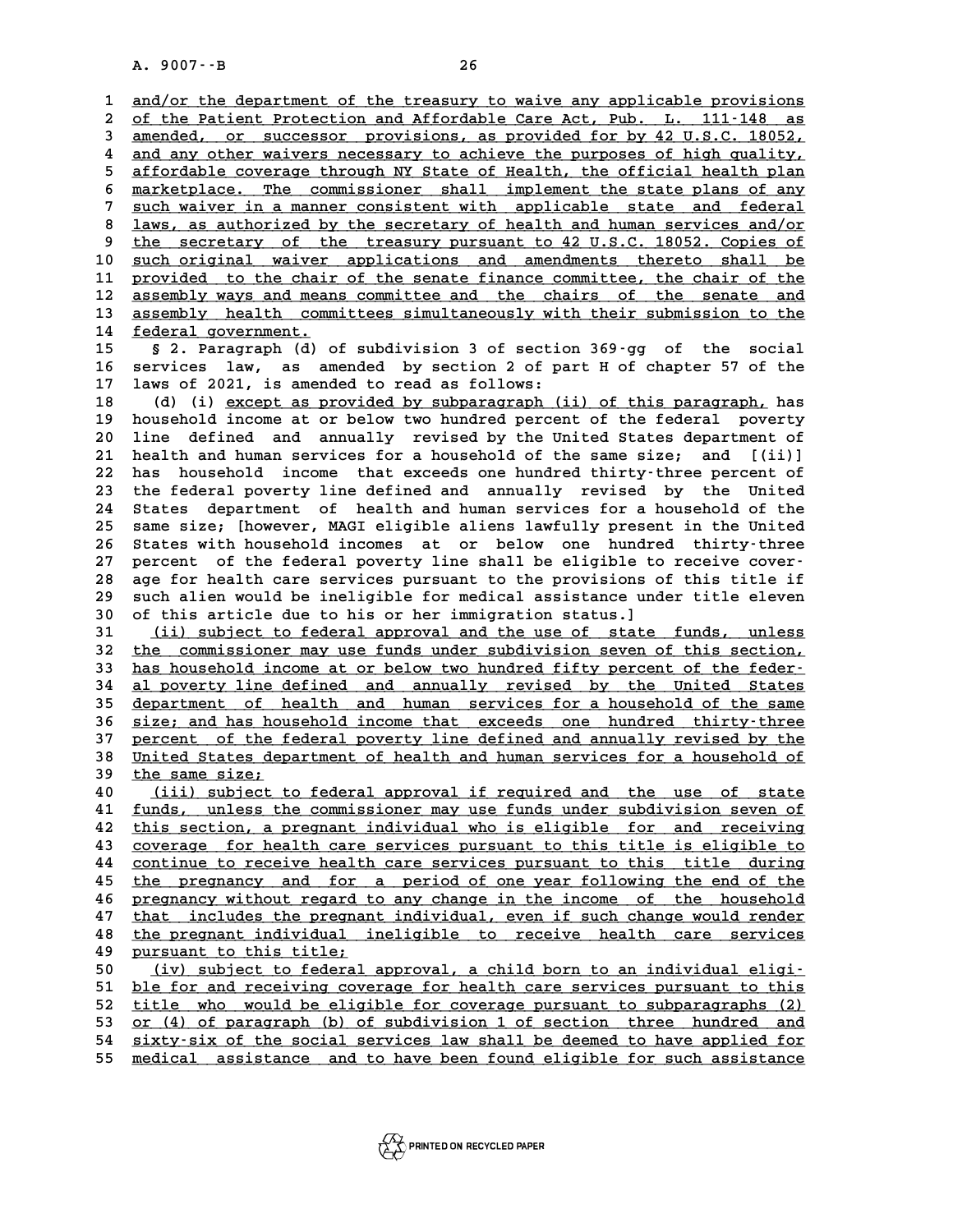A. 9007 --B<br> **1** <u>and/or the department of the treasury to waive any applicable provisions</u><br>
2 of the Patient Protection and Affordable Care Act, Pub. L. 111-148 as 2 of the Patient Protection and Affordable Care Act, Pub. L. 111-148 as<br>3 amended, or successor provisions, as provided for by 42 U.S.C. 18052, 3 and/or the department of the treasury to waive any applicable provisions<br>
3 <u>amended, or successor provisions, as provided for by 42 U.S.C. 18052,</u><br>
3 amended, or successor provisions, as provided for by 42 U.S.C. 18052, of the Patient Protection and Affordable Care Act, Pub. L. 111-148 as<br>3 <u>amended, or successor provisions, as provided for by 42 U.S.C. 18052,</u><br>4 and any other waivers necessary to achieve the purposes of high quality,<br>5 a 3 <u>amended, or successor provisions, as provided for by 42 U.S.C. 18052, and any other waivers necessary to achieve the purposes of high quality, affordable coverage through NY State of Health, the official health plan</u> 4 and any other waivers necessary to achieve the purposes of high quality,<br>
5 affordable coverage through NY State of Health, the official health plan<br>
6 marketplace. The commissioner shall implement the state plans of any 5 affordable coverage through NY State of Health, the official health plan<br>
6 marketplace. The commissioner shall implement the state plans of any<br>
<u>such waiver in a manner consistent with applicable state and federal</u><br>
la 8 <u>marketplace. The commissioner shall implement the state plans of any<br>
8 such waiver in a manner consistent with applicable state and federal<br>
<u>laws, as authorized by the secretary of health and human services and/or</u><br>
t</u> 9 such waiver in a manner consistent with applicable state and federal<br>
8 <u>laws, as authorized by the secretary of health and human services and/or</u><br>
9 the secretary of the treasury pursuant to 42 U.S.C. 18052. Copies of<br> 10 <u>such original waiver applications and amendments thereto shall be</u><br>11 provided to the chair of the senate finance committee, the chair of the <sup>9</sup> the secretary of the treasury pursuant to 42 U.S.C. 18052. Copies of<br>
10 <u>such original waiver applications and amendments thereto shall be<br>
provided to the chair of the senate finance committee, the chair of the<br>
acco</u> 10 <u>such original waiver applications and amendments thereto shall be<br>
11 provided to the chair of the senate finance committee, the chair of the<br>
12 assembly ways and means committee and the chairs of the senate and<br>
13 a</u> 11 provided to the chair of the senate finance committee, the chair of the<br>12 assembly ways and means committee and the chairs of the senate and<br>13 assembly health committees simultaneously with their submission to the<br>14 12 <u>assembly ways and means committee and the chairs of the senate and 13 assembly health committees simultaneously with their submission to the federal government.<br>15 § 2. Paragraph (d) of subdivision 3 of section 369-gg </u> 13 assembly health committees simultaneously with their submission to the<br>14 <u>federal government.</u><br>15 § 2. Paragraph (d) of subdivision 3 of section 369-gg of the social<br>16 services law, as amended by section 2 of part H o 14 <u>federal government.</u><br>15 § 2. Paragraph (d) of subdivision 3 of section 369-gg of the social<br>16 services law, as amended by section 2 of part H of chapter 57 of the<br>17 laws of 2021, is amended to read as follows: 15 § 2. Paragraph (d) of subdivision 3 of section<br>16 services law, as amended by section 2 of pa<br>17 laws of 2021, is amended to read as follows: 16 services law, as amended by section 2 of part H of chapter 57 of the<br>17 laws of 2021, is amended to read as follows:<br>(d) (i) <u>except as provided by subparagraph</u> (ii) of this paragraph, has<br>household income at or below **17 laws of 2021, is amended to read as follows:**<br> **18** (d) (i) except as provided by subparagraph (ii) of this paragraph, has<br> **19 household income at or below two hundred percent of the federal poverty**<br> **20 line defined 20 line defined and annually revised by the United States department of 22 household income at or below two hundred percent of the federal poverty**<br> **20 line defined and annually revised by the United States department of**<br> **21 health and human services for a household of the same size; and [** 20 line defined and annually revised by the United States department of health and human services for a household of the same size; and [(ii)] has household income that exceeds one hundred thirty-three percent of the feder 21 health and human services for a household of the same size; and [(ii)]<br>22 has household income that exceeds one hundred thirty-three percent of<br>23 the federal poverty line defined and annually revised by the United<br>24 S 22 has household income that exceeds one hundred thirty-three percent of<br>23 the federal poverty line defined and annually revised by the United<br>24 States department of health and human services for a household of the<br>25 sa 23 the federal poverty line defined and annually revised by the United<br>24 States department of health and human services for a household of the<br>25 same size; [however, MAGI eligible aliens lawfully present in the United<br>26 24 States department of health and human services for a household of the<br>25 same size; [however, MAGI eligible aliens lawfully present in the United<br>26 States with household incomes at or below one hundred thirty-three<br>27 25 same size; [however, MAGI eligible aliens lawfully present in the United<br>26 States with household incomes at or below one hundred thirty-three<br>27 percent of the federal poverty line shall be eligible to receive cover-<br>2 26 States with household incomes at or below one hundred thirty-three<br>27 percent of the federal poverty line shall be eligible to receive cover-<br>28 age for health care services pursuant to the provisions of this title if<br>2 27 percent of the federal poverty line shall be eligible to receive cover-<br>28 age for health care services pursuant to the provisions of this title if<br>29 such alien would be ineligible for medical assistance under title el age for health care services pursuant to the provisions of such alien would be ineligible for medical assistance und<br>30 of this article due to his or her immigration status.]<br><sup>31</sup> (ii) subject to federal approval and the u 31 such alien would be ineligible for medical assistance under title eleven<br>30 of this article due to his or her immigration status.]<br>31 <u>(ii) subject to federal approval and the use of state funds, unless</u><br>32 <u>the commiss</u> 30 of this article due to his or her immigration status.]<br>31 (ii) subject to federal approval and the use of state funds, unless<br>32 <u>the commissioner may use funds under subdivision seven of this section,</u><br>33 bas bousebold 31 (ii) subject to federal approval and the use of state funds, unless<br>32 <u>the commissioner may use funds under subdivision seven of this section,</u><br>33 <u>has household income at or below two hundred fifty percent of the fede</u> 33 <u>has household income at or below two hundred fifty percent of the feder-</u><br>34 <u>al poverty line defined and annually revised by the United States</u><br>35 department of health and human services for a household of the same has household income at or below two hundred fifty percent of the feder-<br> **al poverty line defined and annually revised by the United States**<br> **department of health and human services for a household of the same**<br> **a** sinc **34 al poverty line defined and annually revised by the United States**<br>35 <u>department of health and human services for a household of the same</u><br>36 <u>size; and has household income that exceeds one hundred thirty-three</u><br>27 p department of health and human services for a household of the same<br>36 <u>size; and has household income that exceeds</u> one hundred thirty-three<br>37 percent of the federal poverty line defined and annually revised by the<br>38 Un 36 size; and has household income that exceeds one hundred thirty-three<br>37 percent of the federal poverty line defined and annually revised by the<br>38 United States department of health and human services for a household of 37 <u>percent of the federal poverty line defined and annually revised by the United States department of health and human services for a household of the same size;<br>40 (iii) subject to federal approval if required and the u</u> United States department of health and human services for a household of<br>
<u>the same size;</u><br> **40** (iii) subject to federal approval if required and the use of state<br> **41** funds, unless the commissioner may use funds under s 41 <u>funds, unless the commissioner may use funds under subdivision seven of</u><br>42 <u>this section, a pregnant individual who is eligible for and receiving</u> 42 this section, a pregnant individual who is eligible for and receiving<br>43 coverage for health care services pursuant to this title is eligible to **43 coverage for health care services pursuant to this title is eligible to \_\_\_\_\_\_\_\_\_\_\_\_\_\_\_\_\_\_\_\_\_\_\_\_\_\_\_\_\_\_\_\_\_\_\_\_\_\_\_\_\_\_\_\_\_\_\_\_\_\_\_\_\_\_\_\_\_\_\_\_\_\_\_\_\_\_\_\_\_\_\_\_** 42 this section, a pregnant individual who is eligible for and receiving<br>43 <u>coverage for health care services</u> pursuant to this title is eligible to<br>44 continue to receive health care services pursuant to this title durin **43** coverage for health care services pursuant to this title is eligible to continue to receive health care services pursuant to this title during the pregnancy and for a period of one year following the end of the pregna 44 continue to receive health care services pursuant to this title during<br>45 <u>the pregnancy and for a period of one year following the end of the pregnancy without regard to any change in the income of the household<br>47 tha</u> the pregnancy and for a period of one year following the end of the<br>46 pregnancy without regard to any change in the income of the household<br>47 that includes the pregnant individual, even if such change would render<br>the pr **46** pregnancy without regard to any change in the income of the household<br> **47** that includes the pregnant individual, even if such change would render<br> **48** the pregnant individual ineligible to receive health care servi 47 that includes the pregnan<br>
48 the pregnant individual is<br>
<u>pursuant to this title;</u><br>  $f(x)$  (iv) qubiest to foderal the pregnant individual ineligible to receive health care services<br> **49** <u>(iv) subject to federal approval</u>, a child born to an individual eligi-<br> **50** (iv) subject to federal approval, a child born to an individual eligi-**50** <u>(iv) subject to federal approval, a child born to an individual eligi-<br>51 <u>ble for and receiving coverage for health care services pursuant to this</u><br>52 title who would be eligible for coverage pursuant to subparagrap</u> 50 (iv) subject to federal approval, a child born to an individual eligi-<br>51 <u>ble for and receiving coverage for health care services pursuant to this</u><br>52 <u>title who would be eligible for coverage pursuant to subparagraphs</u> 51 <u>ble for and receiving coverage for health care services pursuant to this</u><br>52 <u>title who would be eligible for coverage pursuant to subparagraphs (2)</u><br>53 <u>or (4) of paragraph (b) of subdivision 1 of section three hundre</u> 52 <u>title who would be eligible for coverage pursuant to subparagraphs (2)</u><br>53 <u>or (4) of paragraph (b) of subdivision 1 of section three hundred and<br>54 sixty-six of the social services law shall be deemed to have applied </u> or (4) of paragraph (b) of subdivision 1 of section three hundred and sixty-six of the social services law shall be deemed to have applied for medical assistance and to have been found eligible for such assistance

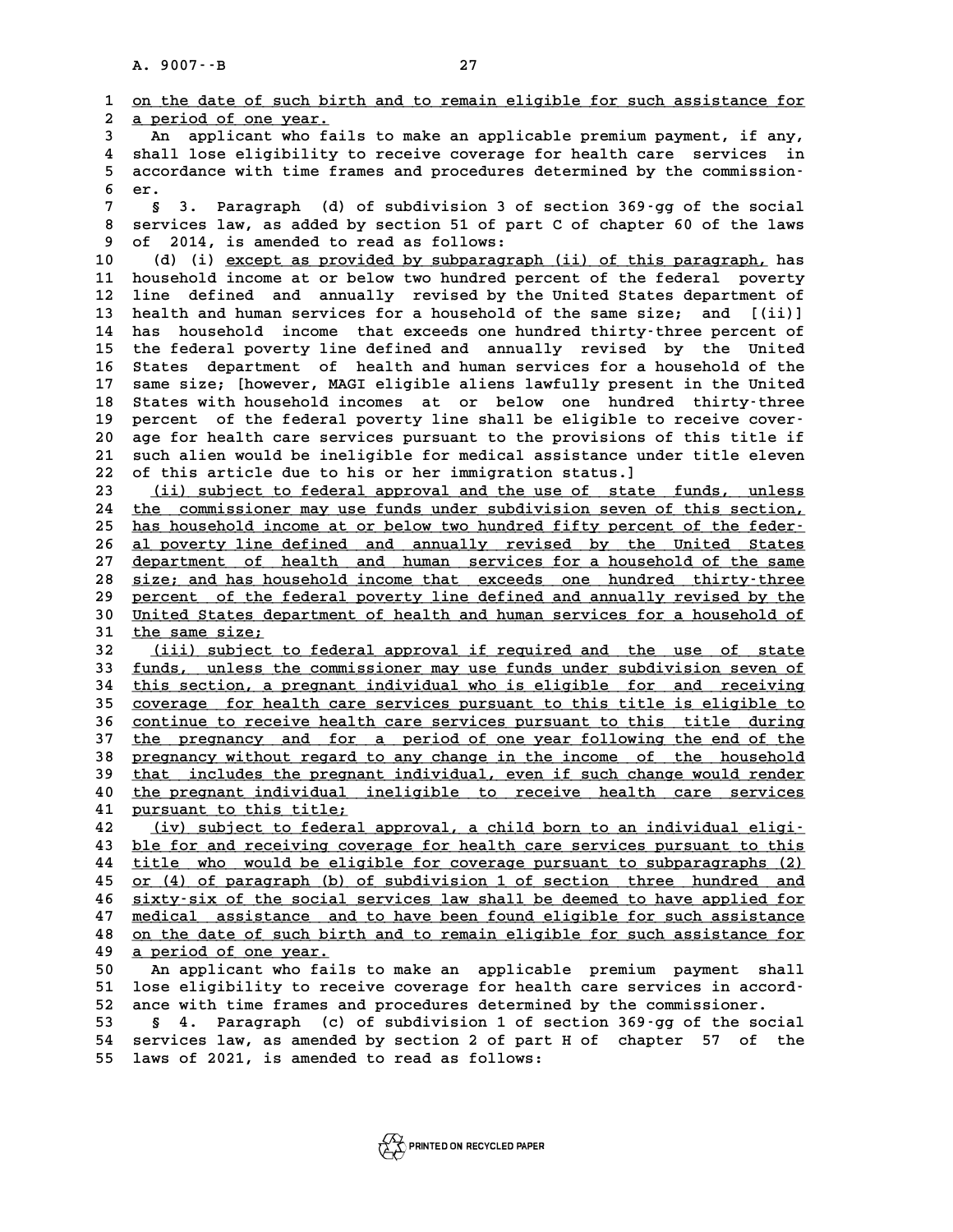**1** on the date of such birth and to remain eligible for such assistance for<br> **1** on the date of such birth and to remain eligible for such assistance for **2 a period of one year. \_\_\_\_\_\_\_\_\_\_\_\_\_\_\_\_\_\_\_\_\_ 3 An applicant who fails to make an applicable for such assistance for<br>
<b>3** An applicant who fails to make an applicable premium payment, if any,<br>
<sup>4</sup> Shall lose eligibility to reseive severage for bealth sare, services i **4 shall do the set of the shall set of the shall lose eligibility to receive coverage for health care services in**<br>4 shall lose eligibility to receive coverage for health care services in<br>5 accordance with time frames and 3 An applicant who fails to make an applicable premium payment, if any,<br>4 shall lose eligibility to receive coverage for health care services in<br>5 accordance with time frames and procedures determined by the commission-4 shall<br>5 accord<br>6 er.<br>7 s 3 **7** accordance with time frames and procedures determined by the commission-<br> **6 8** 3. Paragraph (d) of subdivision 3 of section 369-gg of the social<br> **8 accuries law as added by section** 51 of part 6 of shaptor 60 of **8 er.**<br> **8 3. Paragraph** (d) of subdivision 3 of section 369-gg of the social<br> **8 services law, as added by section 51 of part C of chapter 60 of the laws**<br> **8 of 2014 is aroughd to read as follows 9 9 3. Paragraph** (d) of subdivision 3 of<br>**8 services law, as added by section 51 of par**<br>**9 of 2014, is amended to read as follows:**<br>(d) (i) graph as provided by subparagraph) 8 services law, as added by section 51 of part C of chapter 60 of the laws<br>
9 of 2014, is amended to read as follows:<br>
10 (d) (i) <u>except as provided by subparagraph (ii) of this paragraph,</u> has<br>
11 household income at or **11 household income at or below two hundred percent of the federal poverty 10** (d) (i) except as provided by subparagraph (ii) of this paragraph, has<br>11 household income at or below two hundred percent of the federal poverty<br>12 line defined and annually revised by the United States department of 11 household income at or below two hundred percent of the federal poverty<br>12 line defined and annually revised by the United States department of<br>13 health and human services for a household of the same size; and [(ii)]<br><sup></sup> 12 line defined and annually revised by the United States department of<br>13 health and human services for a household of the same size; and [(ii)]<br>14 has household income that exceeds one hundred thirty-three percent of<br>the 13 health and human services for a household of the same size; and [(ii)]<br>14 has household income that exceeds one hundred thirty-three percent of<br>15 the federal poverty line defined and annually revised by the United<br>16 S 14 has household income that exceeds one hundred thirty-three percent of<br>15 the federal poverty line defined and annually revised by the United<br>16 States department of health and human services for a household of the<br>17 sa 15 the federal poverty line defined and annually revised by the United<br>16 States department of health and human services for a household of the<br>17 same size; [however, MAGI eligible aliens lawfully present in the United<br>18 16 States department of health and human services for a household of the<br>17 same size; [however, MAGI eligible aliens lawfully present in the United<br>18 States with household incomes at or below one hundred thirty-three<br>nor 16 States department of health and human services for a household of the<br>17 same size; [however, MAGI eligible aliens lawfully present in the United<br>18 States with household incomes at or below one hundred thirty-three<br>19 18 States with household incomes at or below one hundred thirty-three<br>19 percent of the federal poverty line shall be eligible to receive cover-<br>20 age for health care services pursuant to the provisions of this title if<br>2 19 percent of the federal poverty line shall be eligible to receive cover-<br>20 age for health care services pursuant to the provisions of this title if<br>21 such alien would be ineligible for medical assistance under title el 22 of this article due to his or her immigration status.]<br>23 <u>(ii) subject to federal approval and the use of state funds, unless</u> 21 such alien would be ineligible for medical assistance under title eleven<br>
22 of this article due to his or her immigration status.]<br>
<u>(ii) subject to federal approval and the use of state funds, unless</u><br>
24 the commissi 24 the commissioner may use funds under subdivision seven of this section,<br>25 has household income at or below two hundred fifty percent of the feder. 25 <u>has household income at or below two hundred fifty percent of the feder-</u><br>26 al poverty line defined and annually revised by the United States 24 the commissioner may use funds under subdivision seven of this section,<br>25 has household income at or below two hundred fifty percent of the feder-<br>26 <u>al poverty line defined and annually revised by the United States</u><br> has household income at or below two hundred fifty percent of the feder-<br> **al poverty line defined and annually revised by the United States**<br> **department of health and human services for a household of the same**<br> **a** sinc 26 <u>al poverty line defined and annually revised by the United States</u><br>27 <u>department of health and human services for a household of the same</u><br>28 <u>size; and has household income that exceeds one hundred thirty-three</u><br>29 p department of health and human services for a household of the same<br>
28 <u>size; and has household income that exceeds</u> one hundred thirty-three<br>
29 percent of the federal poverty line defined and annually revised by the<br>
20 30 size; and has household income that exceeds one hundred thirty-three<br>
29 percent of the federal poverty line defined and annually revised by the<br>
30 United States department of health and human services for a household 29 percent of the federal poverty line defined and annually revised by the<br>30 <u>United States department of health and human services for a household of</u><br>31 <u>the same size;</u><br>32 <u>(iii) subject to federal approval if required</u> 30 United States department of health and human services for a household of<br>
31 <u>the same size;</u><br>
32 (iii) subject to federal approval if required and the use of state<br>
33 funds, unless the commissioner may use funds under 33 <u>funds, unless the commissioner may use funds under subdivision seven of</u><br>34 this section, a pregnant individual who is eligible for and receiving 32 (iii) subject to federal approval if required and the use of state<br>33 <u>funds, unless the commissioner may use funds under subdivision seven of<br>34 this section, a pregnant individual who is eligible for and receiving<br>25 </u> **funds, unless the commissioner may use funds under subdivision seven of**<br> **25 coverage for health care services pursuant to this title is eligible to**<br> **25 continue to receive boalth care services pursuant to this title d** this section, a pregnant individual who is eligible for and receiving<br>35 <u>coverage for health care services</u> pursuant to this title is eligible to<br>36 continue to receive health care services pursuant to this title during<br>t 35 coverage for health care services pursuant to this title is eligible to<br>36 continue to receive health care services pursuant to this title during<br>37 the pregnancy and for a period of one year following the end of the<br>pr 36 <u>continue to receive health care services pursuant to this title during<br>37 <u>the pregnancy and for a period of one year following the end of the pregnancy without regard to any change in the income of the household<br>38 th</u></u> 37 the pregnancy and for a period of one year following the end of the pregnancy without regard to any change in the income of the household that includes the pregnant individual, even if such change would render the pregn 38 <u>pregnancy without regard to any change in the income of the household</u><br>
40 <u>that includes the pregnant individual</u>, even if such change would render<br>
40 the pregnant individual ineligible to receive health care service 39 that includes the pregnant individual, even if such change would render<br>40 <u>the pregnant individual ineligible to receive health care services</u><br>41 <u>jursuant to this title;</u><br>42 (iv) subject to federal approval, a child b the pregnant individual ineligible to receive health care services<br> **42** (iv) subject to federal approval, a child born to an individual eligi-<br> **43** ble for and receiving coverage for health care services pursuant to this **41 <u>pursuant to this title;</u><br>42 (iv) subject to federal approval, a child born to an individual eligi-<br><u>ble for and receiving coverage for health care services pursuant to this</u><br>14 title who would be eligible for severage 42** (iv) subject to federal approval, a child born to an individual eligi-<br> **43** ble for and receiving coverage for health care services pursuant to this<br> **44** title who would be eligible for coverage pursuant to subparag **43 ble for and receiving coverage for health care services pursuant to this**<br>**44 title who would be eligible for coverage pursuant to subparagraphs (2)**<br>**25 or (4) of paragraph (b) of subdivision 1 of section three hundre** 44 title who would be eligible for coverage pursuant to subparagraphs (2)<br>45 <u>or (4) of paragraph (b) of subdivision 1 of section three hundred and</u><br>46 <u>sixty-six of the social services law shall be deemed to have applied </u> 45 or (4) of paragraph (b) of subdivision 1 of section three hundred and<br>46 <u>sixty-six of the social services law shall be deemed to have applied for</u><br>47 <u>medical assistance and to have been found eligible for such assista</u> **46** sixty-six of the social services law shall be deemed to have applied for medical assistance and to have been found eligible for such assistance on the date of such birth and to remain eligible for such assistance for 47 <u>medical assistance and<br>48 on the date of such birt</u><br>49 <u>a period of one year.</u><br>50 an applicant who fails **50 An applicant who fails to make an applicable for such assistance for<br>
<b>50 An applicant who fails to make an applicable premium payment shall**<br> **51** lose eligibility to receive coverage for bealth gare services in accor **Example 18 a period of one year.**<br>
50 An applicant who fails to make an applicable premium payment shall<br>
51 lose eligibility to receive coverage for health care services in accord-<br>
52 ange with time frames and progedure **50** An applicant who fails to make an applicable premium payment shal<br>
51 lose eligibility to receive coverage for health care services in accord<br>
52 ance with time frames and procedures determined by the commissioner.<br>
5 51 lose eligibility to receive coverage for health care services in accord-<br>52 ance with time frames and procedures determined by the commissioner.<br>53 § 4. Paragraph (c) of subdivision 1 of section 369-gg of the social<br>54 52 ance with time frames and procedures determined by the commissioner.<br>53 § 4. Paragraph (c) of subdivision 1 of section 369 gg of the social<br>54 services law, as amended by section 2 of part H of chapter 57 of the<br>55 laws 53 § 4. Paragraph (c) of subdivision 1 of<br>54 services law, as amended by section 2 of par<br>55 laws of 2021, is amended to read as follows:

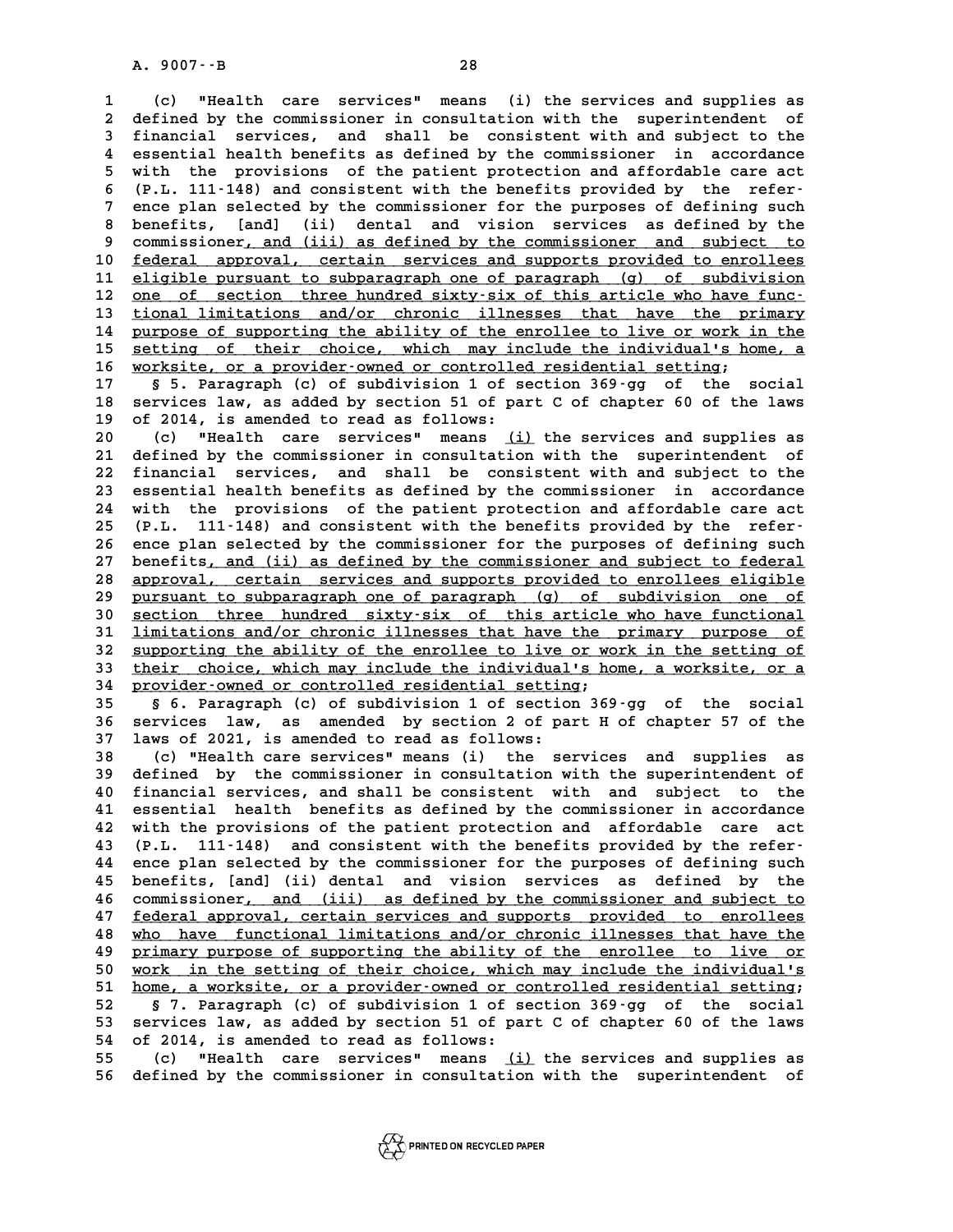**1 (c) "Health care services" means (i) the services and supplies as 2 defined by the commissioner in consultation with the superintendent of 3 financial services, and shall be consistent with and subject to the** defined by the commissioner in consultation with the superintendent of<br>
inancial services, and shall be consistent with and subject to the<br>
4 essential health benefits as defined by the commissioner in accordance<br>  $\frac{1}{2}$ **5** financial services, and shall be consistent with and subject to the<br>4 essential health benefits as defined by the commissioner in accordance<br>5 with the provisions of the patient protection and affordable care act<br>6 (B 4 essential health benefits as defined by the commissioner in accordance<br>
5 with the provisions of the patient protection and affordable care act<br>
6 (P.L. 111-148) and consistent with the benefits provided by the refer-<br>
<sup></sup> 5 with the provisions of the patient protection and affordable care act<br>6 (P.L. 111-148) and consistent with the benefits provided by the refer-<br>7 ence plan selected by the commissioner for the purposes of defining such<br>8 8 ence plan selected by the commissioner for the purposes of defining such<br>**8** benefits, [and] (ii) dental and vision services as defined by the<br>9 commissioner, and (iii) as defined by the commissioner and subject to 9 ence plan selected by the commissioner for the purposes of defining such<br>8 benefits, [and] (ii) dental and vision services as defined by the<br>9 commissioner, and (iii) as defined by the commissioner and subject to<br>6 folor 8 benefits, [and] (ii) dental and vision services as defined by the<br>9 commissioner<u>, and (iii) as defined by the commissioner and subject to</u><br>10 <u>federal approval, certain services and supports provided to enrollees</u><br>11 el 9 commissioner, and (iii) as defined by the commissioner and subject to<br>10 <u>federal approval, certain services and supports provided to enrollees</u><br>11 <u>eligible pursuant to subparagraph one of paragraph</u> (g) of subdivision<br> 10 <u>federal approval, certain services and supports provided to enrollees</u><br>11 <u>eligible pursuant to subparagraph one of paragraph (g) of subdivision</u><br>12 <u>one of section three hundred sixty-six of this article who have func</u> 11 eligible pursuant to subparagraph one of paragraph (g) of subdivision<br>12 <u>one of section three hundred sixty-six of this article who have func-</u><br>13 <u>tional limitations and/or chronic illnesses that have the primary</u><br>14 12 <u>one of section three hundred sixty-six of this article who have func-</u><br>13 <u>tional limitations and/or chronic illnesses that have the primary</u><br>14 <u>purpose of supporting the ability of the enrollee to live or work in the</u> tional limitations and/or chronic illnesses that have the primary<br>14 purpose of supporting the ability of the enrollee to live or work in the<br>15 setting of their choice, which may include the individual's home, a<br>16 verkat 14 purpose of supporting the ability of the enrollee to live or work in the<br>15 <u>setting of their choice, which may include the individual's home, a</u><br>16 <u>worksite, or a provider-owned or controlled residential setting</u>;<br>17 15 **setting of their choice, which may include the individual's home, a**<br>16 **worksite, or a provider-owned or controlled residential setting;**<br>17 § 5. Paragraph (c) of subdivision 1 of section 369-gg of the social<br>18 servi **16** worksite, or a provider-owned or controlled residential setting;<br>17 § 5. Paragraph (c) of subdivision 1 of section 369-gg of the social<br>18 services law, as added by section 51 of part C of chapter 60 of the laws<br>05 20 17 **S** 5. Paragraph (c) of subdivision 1 of s<br>18 services law, as added by section 51 of pa<br>19 of 2014, is amended to read as follows:<br>20 (c) Whealth gave services means (i) **20 (c) "Health care services" means (i) the services and supplies as \_\_\_** 20 114, is amended to read as follows:<br>
20 (c) "Health care services" means <u>(i)</u> the services and supplies as<br>
21 defined by the commissioner in consultation with the superintendent of<br>
22 financial services, and shall be 20 (c) "Health care services" means <u>(i)</u> the services and supplies as<br>21 defined by the commissioner in consultation with the superintendent of<br>22 financial services, and shall be consistent with and subject to the<br>23 ess 21 defined by the commissioner in consultation with the superintendent of<br>22 financial services, and shall be consistent with and subject to the<br>23 essential health benefits as defined by the commissioner in accordance<br>24 22 financial services, and shall be consistent with and subject to the<br>23 essential health benefits as defined by the commissioner in accordance<br>24 with the provisions of the patient protection and affordable care act<br>25 ( 23 essential health benefits as defined by the commissioner in accordance<br>
24 with the provisions of the patient protection and affordable care act<br>
25 (P.L. 111-148) and consistent with the benefits provided by the refer-24 with the provisions of the patient protection and affordable care act<br>25 (P.L. 111-148) and consistent with the benefits provided by the refer-<br>26 ence plan selected by the commissioner for the purposes of defining such 25 (P.L. 111-148) and consistent with the benefits provided by the refer-<br>26 ence plan selected by the commissioner for the purposes of defining such<br>27 benefits, and (ii) as defined by the commissioner and subject to fede 28 <u>approval, certain services and supports provided to enrollees eligible</u><br>29 pursuant to subparagraph one of paragraph (q) of subdivision one of 27 benefits<u>, and (ii) as defined by the commissioner and subject to federal<br>28 <u>approval, certain services and supports provided to enrollees eligible</u><br>29 <u>pursuant to subparagraph one of paragraph</u> (g) of subdivision one</u> **38 approval, certain services and supports provided to enrollees eligible**<br> **29 pursuant to subparagraph one of paragraph (g) of subdivision one of<br>
30 <u>section three hundred sixty-six of this article who have functional</u>** pursuant to subparagraph one of paragraph (g) of subdivision one of<br>30 <u>section three hundred sixty-six of this article</u> who have functional<br>31 <u>limitations and/or chronic illnesses that have the primary purpose of</u><br>22 sup 30 <u>section three hundred sixty-six of this article who have functional</u><br>31 <u>limitations and/or chronic illnesses that have the primary purpose of</u><br>32 <u>supporting the ability of the enrollee to live or work in the setting </u> 31 <u>limitations and/or chronic illnesses that have the primary purpose of</u><br>32 <u>supporting the ability of the enrollee to live or work in the setting of</u><br>33 <u>their choice, which may include the individual's home, a worksite</u> 34 provider-owned or controlled residential setting;<br>35 § 6. Paragraph (c) of subdivision 1 of section **33 their** choice, which may include the individual's home, a worksite, or a<br>34 provider-owned or controlled residential setting;<br>35 § 6. Paragraph (c) of subdivision 1 of section 369-gg of the social **34 provider-owned or controlled residential setting;**<br>35 § 6. Paragraph (c) of subdivision 1 of section 369-gg of the social<br>36 services law, as amended by section 2 of part H of chapter 57 of the<br>37 laws of 2021 is amend 35 § 6. Paragraph (c) of subdivision 1 of section<br>36 services law, as amended by section 2 of pa<br>37 laws of 2021, is amended to read as follows: **36 services law, as amended by section 2 of part H of chapter 57 of the 137 laws of 2021, is amended to read as follows:**<br>(c) "Health care services" means (i) the services and supplies as<br>defined by the commissioner in co **39 defined by the commissioner in consultation with the superintendent of**

**40 (c) "Health care services" means (i) the services and supplies as<br>
<b>40 financial services, and shall be consistent with and subject to the**<br> **40 financial services, and shall be consistent with and subject to the**<br> **41** 39 defined by the commissioner in consultation with the superintendent of 40 financial services, and shall be consistent with and subject to the essential health benefits as defined by the commissioner in accordance 42 wit 40 financial services, and shall be consistent with and subject to the<br>41 essential health benefits as defined by the commissioner in accordance<br>42 with the provisions of the patient protection and affordable care act<br>43 ( 41 essential health benefits as defined by the commissioner in accordance<br>42 with the provisions of the patient protection and affordable care act<br>43 (P.L. 111-148) and consistent with the benefits provided by the refer-<br><sup></sup> 42 with the provisions of the patient protection and affordable care act<br>43 (P.L. 111-148) and consistent with the benefits provided by the refer-<br>44 ence plan selected by the commissioner for the purposes of defining such **43** (P.L. 111-148) and consistent with the benefits provided by the refer-<br>44 ence plan selected by the commissioner for the purposes of defining such<br>45 benefits, [and] (ii) dental and vision services as defined by the<br>4 44 ence plan selected by the commissioner for the purposes of defining such<br>45 benefits, [and] (ii) dental and vision services as defined by the<br>46 commissioner<u>, and (ii) as defined by the commissioner and subject to</u><br>47 benefits, [and] (ii) dental and vision services as defined by the<br>46 commissioner<u>, and (iii) as defined by the commissioner and subject to</u><br>47 <u>federal approval, certain services and supports provided to enrollees</u><br>18 who 46 commissioner<u>, and (iii) as defined by the commissioner and subject to<br>47 <u>federal approval, certain services and supports</u> provided to enrollees<br>who have functional limitations and/or chronic illnesses that have the<br>pr</u> **47 <u>federal approval, certain services</u> and supports provided to enrollees<br>48 who have functional limitations and/or chronic illnesses that have the<br><u>primary purpose of supporting the ability of the enrollee to live or</u><br>5** who have functional limitations and/or chronic illnesses that have the<br> **50** primary purpose of supporting the ability of the enrollee to live or<br> **WORK** in the setting of their choice, which may include the individual's<br> 9 primary purpose of supporting the ability of the enrollee to live or<br>
50 <u>work in the setting of their choice, which may include the individual's</u><br>
51 <u>home, a worksite, or a provider-owned or controlled residential sett</u> **50** work in the setting of their choice, which may include the individual's<br>51 home, a worksite, or a provider-owned or controlled residential setting;<br>52 § 7. Paragraph (c) of subdivision 1 of section 369-gg of the socia 51 home, a worksite, or a provider-owned or controlled residential setting;<br>52 § 7. Paragraph (c) of subdivision 1 of section 369-gg of the social<br>53 services law, as added by section 51 of part C of chapter 60 of the laws 52 § 7. Paragraph (c) of subdivision 1 of s<br>53 services law, as added by section 51 of pa<br>54 of 2014, is amended to read as follows:<br>55 (c) Whealth gave services means (i) 53 services law, as added by section 51 of part C of chapter 60 of the laws<br>54 of 2014, is amended to read as follows:<br>55 (c) "Health care services" means <u>(i)</u> the services and supplies as<br>56 defined by the commissioner i

**56 defined by the commissioner in consultation with the superintendent of**

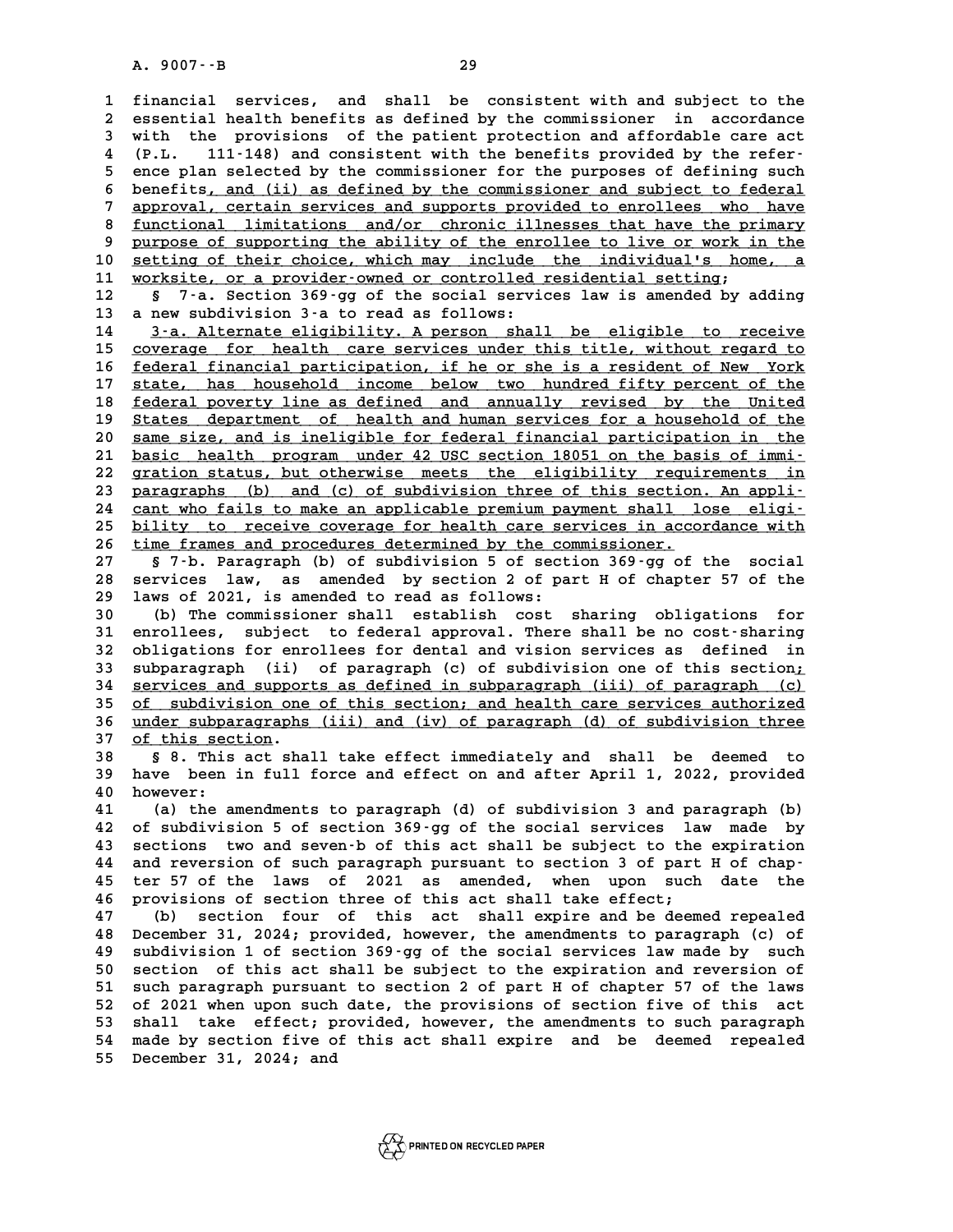**1 financial services, and shall be consistent with and subject to the** 1 financial services, and shall be consistent with and subject to the<br>2 essential health benefits as defined by the commissioner in accordance<br>3 with the provisions of the patient protection and affordable gare agt 1 financial services, and shall be consistent with and subject to the<br>2 essential health benefits as defined by the commissioner in accordance<br>3 with the provisions of the patient protection and affordable care act<br><sup>4</sup> (B. 2 essential health benefits as defined by the commissioner in accordance<br>3 with the provisions of the patient protection and affordable care act<br>4 (P.L. 111-148) and consistent with the benefits provided by the refer-<br>5 an 3 with the provisions of the patient protection and affordable care act<br>4 (P.L. 111-148) and consistent with the benefits provided by the refer-<br>5 ence plan selected by the commissioner for the purposes of defining such<br>5 4 (P.L. 111-148) and consistent with the benefits provided by the refer-<br>5 ence plan selected by the commissioner for the purposes of defining such<br>6 benefits<u>, and (ii) as defined by the commissioner and subject to federa</u> 5 ence plan selected by the commissioner for the purposes of defining such<br>6 benefits, and (ii) as defined by the commissioner and subject to federal<br>7 approval, certain services and supports provided to enrollees who have 8 benefits, and (ii) as defined by the commissioner and subject to federal<br> **2 approval, certain services and supports provided to enrollees** who have<br> **8 functional limitations and/or chronic illnesses that have the prima** approval, certain services and supports provided to enrollees who have<br> **9 functional limitations and/or chronic illnesses that have the primary**<br> **purpose of supporting the ability of the enrollee to live or work in the**<br> 8 <u>functional limitations and/or chronic illnesses that have the primary</u><br>
9 purpose of supporting the ability of the enrollee to live or work in the<br>
10 <u>setting of their choice, which may include the individual's home, a</u> 9 purpose of supporting the ability of the enrollee to live or work in setting of their choice, which may include the individual's home worksite, or a provider-owned or controlled residential setting;<br>11 worksite, or a pro **10 setting of their choice, which may include the individual's home, a**<br>11 worksite, or a provider-owned or controlled residential setting;<br>12 § 7-a. Section 369-gg of the social services law is amended by adding<br>13 a n 11 <u>worksite, or a provider-owned or controlled residential setting;<br>12 § 7-a. Section 369-gg of the social services law is amended by adding<br>13 a new subdivision 3-a to read as follows:<br>14 3-a. Alternate eligibility. A pe</u> **14 3-a. Alternate eligibility. A person shall be eligible to receive**<br>15 coverage for health care services under this title, without regard to **15** coverage for health care services under this title, without regard to 16 federal financial participation, if he or she is a resident of New York **14 1.1. 1.1. 1.1. 1.1. 1.1. 1.1. 1.1. 1.1. 1.1. 1.1. 1.1. 1.1. 1.1. 1.1. 1.1. 1.1. 1.1. 1.1. 1.1. 1.1. 1.1. 1.1. 1.1. 1.1. 1.1. 1.1. 1.1. 1.1. 1.1. 1.1. 1.1.** 15 <u>coverage for health care services under this title, without regard to</u><br>16 <u>federal financial participation</u>, if he or she is a resident of New York<br>17 state, has household income below two hundred fifty percent of the<br> **16 <u>federal financial participation</u>, if he or she is a resident of New York<br>17 state, has household income below two hundred fifty percent of the<br><u>federal poverty line as defined and annually revised by the United</u><br>State** 17 state, has household income below two hundred fifty percent of the<br>18 <u>federal poverty line as defined and annually revised by the United</u><br>19 <u>States department of health and human services for a household of the</u><br>20 <u>s</u> 18 <u>federal poverty line as defined and annually revised by the United</u><br>19 <u>States department of health and human services for a household of the</u><br>20 <u>same size, and is ineligible for federal financial participation in the</u> 19 <u>States department of health and human services for a household of the</u><br>20 <u>same size, and is ineligible for federal financial participation in the</u><br>21 <u>basic health program under 42 USC section 18051 on the basis of im</u> 20 same size, and is ineligible for federal financial participation in the<br>
21 basic health program under 42 USC section 18051 on the basis of immi-<br>
22 gration status, but otherwise meets the eligibility requirements in<br> 21 <u>basic health program under 42 USC section 18051 on the basis of immi-</u><br>22 gration status, but otherwise meets the eligibility requirements in<br>23 paragraphs (b) and (c) of subdivision three of this section. An appli-<br>24 22 gration status, but otherwise meets the eligibility requirements in<br>23 paragraphs (b) and (c) of subdivision three of this section. An appli-<br>24 cant who fails to make an applicable premium payment shall lose eligi-<br>bil **23 paragraphs** (b) and (c) of subdivision three of this section. An appli-<br>24 cant who fails to make an applicable premium payment shall lose eligi-<br>25 bility to receive coverage for health care services in accordance wit 24 cant who fails to make an applicable premium payment shall 1<br>25 bility to receive coverage for health care services in acco<br>26 time frames and procedures determined by the commissioner. **25 bility to receive coverage for health care services in accordance with**<br>26 <u>time frames and procedures determined by the commissioner.</u><br>27 § 7-b. Paragraph (b) of subdivision 5 of section 369-gg of the social **26** time frames and procedures determined by the commissioner.<br>
27 § 7-b. Paragraph (b) of subdivision 5 of section 369-gg of the social<br>
28 services law, as amended by section 2 of part H of chapter 57 of the<br>
29 laws of 87 -b. Paragraph (b) of subdivision 5 of sect<br>
28 services law, as amended by section 2 of pa<br>
29 laws of 2021, is amended to read as follows:<br>
<sup>20</sup> (b) The commissioner shall establish sect **30 Services law, as amended by section 2 of part H of chapter 57 of the 129 laws of 2021, is amended to read as follows:**<br> **30** (b) The commissioner shall establish cost sharing obligations for<br> **31 enrolles:** Subject to 1 aws of 2021, is amended to read as follows:<br>
30 (b) The commissioner shall establish cost sharing obligations for<br>
31 enrollees, subject to federal approval. There shall be no cost-sharing<br>
32 obligations for enrollees f **30** (b) The commissioner shall establish cost sharing obligations for enrollees, subject to federal approval. There shall be no cost-sharing obligations for enrollees for dental and vision services as defined in<br>32 outpar 31 enrollees, subject to federal approval. There shall be no cost-sharing<br>32 obligations for enrollees for dental and vision services as defined in<br>33 subparagraph (ii) of paragraph (c) of subdivision one of this section;<br> 32 obligations for enrollees for dental and vision services as defined in<br>33 subparagraph (ii) of paragraph (c) of subdivision one of this section;<br>34 <u>services and supports as defined in subparagraph (iii) of paragraph (c</u> 33 subparagraph (ii) of paragraph (c) of subdivision one of this section;<br>34 <u>services and supports as defined in subparagraph (iii) of paragraph (c)</u><br>35 <u>of subdivision one of this section; and health care services author</u> 34 <u>services and supports as defined in subparagraph (iii) of paragraph (c)</u><br>35 <u>of subdivision one of this section; and health care services authorized</u><br>36 <u>under subparagraphs (iii) and (iv) of paragraph (d) of subdivisi</u> <u>of subdivision one of this section; and health care services authorized</u><br>36 <u>under subparagraphs (iii) and (iv) of paragraph (d) of subdivision three</u><br>37 <u>of this section</u>.<br>38 § 8. This act shall take effect immediately a **38 § 8. This act shall take effect immediately and shall be deemed to 37** of this section.<br> **38** § 8. This act shall take effect immediately and shall be deemed to<br>
39 have been in full force and effect on and after April 1, 2022, provided<br>
<sup>40</sup> housings **40 6 8**. This<br> **40** however:<br> **41 (a)** the a **41** have been in full force and effect on and after April 1, 2022, provided<br> **40** however:<br> **41** (a) the amendments to paragraph (d) of subdivision 3 and paragraph (b)<br> **42** of subdivision 5 of sostion 260.55 of the sosia **40 however:**<br> **41** (a) the amendments to paragraph (d) of subdivision 3 and paragraph (b)<br> **42** of subdivision 5 of section 369-gg of the social services law made by<br> **43** sections two and seventh of this act shall be sub **41** (a) the amendments to paragraph (d) of subdivision 3 and paragraph (b)<br>42 of subdivision 5 of section 369-gg of the social services law made by<br>43 sections two and seven-b of this act shall be subject to the expiratio 42 of subdivision 5 of section 369-gg of the social services law made by<br>43 sections two and seven-b of this act shall be subject to the expiration<br>44 and reversion of such paragraph pursuant to section 3 of part H of chap 43 sections two and seven-b of this act shall be subject to the expiration<br>44 and reversion of such paragraph pursuant to section 3 of part H of chap-<br>45 ter 57 of the laws of 2021 as amended, when upon such date the<br>46 pr 44 and reversion of such paragraph pursuant to section 3 of part H of chap-<br>45 ter 57 of the laws of 2021 as amended, when upon such date the<br>46 provisions of section three of this act shall take effect;<br>47 (b) section fou 45 ter 57 of the laws of 2021 as amended, when upon such date the<br>46 provisions of section three of this act shall take effect;<br>47 (b) section four of this act shall expire and be deemed repealed<br>28 December 21 2024 provid **46 provisions of section three of this act shall take effect;<br>47 (b) section four of this act shall expire and be deemed repealed**<br>48 December 31, 2024; provided, however, the amendments to paragraph (c) of<br>19 subdivision **47** (b) section four of this act shall expire and be deemed repealed December 31, 2024; provided, however, the amendments to paragraph (c) of subdivision 1 of section 369-gg of the social services law made by such<br>50 soci **50 secember 31, 2024; provided, however, the amendments to paragraph (c) of subdivision 1 of section 369-gg of the social services law made by such section of this act shall be subject to the expiration and reversion of s 50** subdivision 1 of section 369-gg of the social services law made by such section of this act shall be subject to the expiration and reversion of such paragraph pursuant to section 2 of part H of chapter 57 of the laws<br> 50 section of this act shall be subject to the expiration and reversion of<br>51 such paragraph pursuant to section 2 of part H of chapter 57 of the laws<br>52 of 2021 when upon such date, the provisions of section five of this 51 such paragraph pursuant to section 2 of part H of chapter 57 of the laws<br>52 of 2021 when upon such date, the provisions of section five of this act<br>53 shall take effect; provided, however, the amendments to such paragra 52 of 2021 when upon such date, the provisions of section five of this act<br>53 shall take effect; provided, however, the amendments to such paragraph<br>54 made by section five of this act shall expire and be deemed repealed<br>5 53 shall take effect; pr<br>54 made by section five of<br>55 December 31, 2024; and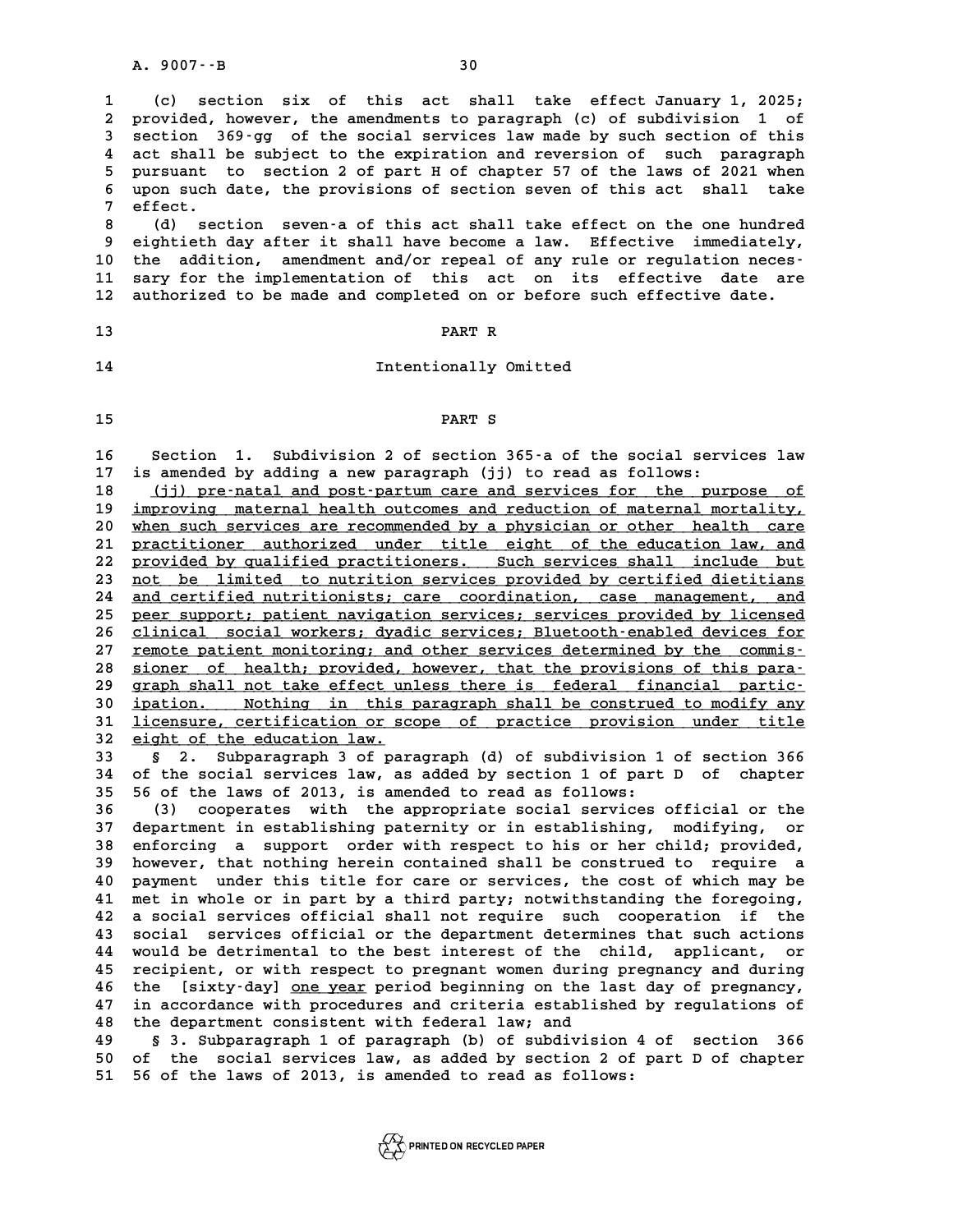**1 (c) section six of this act shall take effect January 1, 2025; 2 provided, however, the amendments to paragraph (c) of subdivision 1 of** 1 (c) section six of this act shall take effect January 1, 2025;<br>2 provided, however, the amendments to paragraph (c) of subdivision 1 of<br>3 section 369-gg of the social services law made by such section of this<br>4 act shall **4 act shall be subject to the expiration and reversion of such paragraph 5 pursuant 169-gg of the social services law made by such section of this**<br>4 act shall be subject to the expiration and reversion of such paragraph<br>5 pursuant to section 2 of part H of chapter 57 of the laws of 2021 when<br> 4 act shall be subject to the expiration and reversion of such paragraph<br>5 pursuant to section 2 of part H of chapter 57 of the laws of 2021 when<br>6 upon such date, the provisions of section seven of this act shall take 5 pursuant<br>6 upon such<br>7 effect. 8 (d) section seven-a of section seven of this act shall take effect.<br>
8 (d) section seven-a of this act shall take effect on the one hundred<br>
9 eightieth day after it shall have become a law. Effective immediately,

**9 eightieth day after it shall have become a law. Effective immediately, 10 the addition, amendment and/or repeal of any rule or regulation neces-**9 eightieth day after it shall have become a law. Effective immediately,<br>10 the addition, amendment and/or repeal of any rule or regulation neces-<br>11 sary for the implementation of this act on its effective date are<br><sup>12</sup> a 10 the addition, amendment and/or repeal of any rule or regulation neces<sup>-</sup><br>11 sary for the implementation of this act on its effective date are<br>12 authorized to be made and completed on or before such effective date. 12 authorized to be made and completed on or before such effective date.<br>13 PART R

# **13**<br> **14** Intentionally Omitted

# **15 PART S**

**15**<br>**16** Section 1. Subdivision 2 of section 365-a of the social services law<br>17 is arouded by adding a now paragraph (ii) to read as follows: 16 Section 1. Subdivision 2 of section 365–a of the social services<br>17 is amended by adding a new paragraph (jj) to read as follows:<br>18 (jj) pre-natal and post-partum care and services for the purpose **16** Section 1. Subdivision 2 of section 365-a of the social services law<br>
17 is amended by adding a new paragraph (jj) to read as follows:<br>
<u>(jj) pre-natal and post-partum care and services for the purpose of<br>
improving m</u>

18 <u>(jj) pre-natal and post-partum care and services for the purpose of</u><br>19 <u>improving maternal health outcomes and reduction of maternal mortality,</u><br>20 when such services are recommended by a physician or other health car 20 <u>when such services are recommended by a physician or other health care</u><br>21 practitioner authorized under title eight of the education law, and **20** <u>improving maternal health outcomes and reduction of maternal mortality,</u><br>20 <u>when such services are recommended by a physician or other health care</u><br>21 practitioner authorized under title eight of the education law, when such services are recommended by a physician or other health care<br>21 practitioner authorized under title eight of the education law, and<br>22 provided by qualified practitioners. Such services shall include but<br>23 pot b 21 practitioner authorized under title eight of the education law, and<br>22 provided by qualified practitioners. Such services shall include but<br>23 <u>not be limited to nutrition services provided by certified dietitians</u><br>24 a Provided by qualified practitioners. Such services shall include but<br>
23 <u>not be limited to nutrition services provided by certified dietitians</u><br>
24 <u>and certified nutritionists; care coordination, case management, and</u><br>
2 23 <u>not be limited to nutrition services provided by certified dietitians<br>24 and certified nutritionists; care coordination, case management, and<br>25 peer support; patient navigation services; services provided by licensed<br></u> 24 and certified nutritionists; care coordination, case management, and<br>
25 peer support; patient navigation services; services provided by licensed<br>
26 clinical social workers; dyadic services; Bluetooth-enabled devices f **25 peer support; patient navigation services; services provided by licensed**<br>26 clinical social workers; dyadic services; Bluetooth-enabled devices for<br>27 remote patient monitoring; and other services determined by the co 26 clinical social workers; dyadic services; Bluetooth-enabled devices for<br>27 <u>remote patient monitoring; and other services determined by the commis-</u><br><u>sioner of health; provided, however, that the provisions of this para</u> 27 <u>remote patient monitoring; and other services determined by the commis-</u><br>28 <u>sioner of health; provided, however, that the provisions of this para-</u><br>29 graph shall not take effect unless there is federal financial part **30 sioner** of health; provided, however, that the provisions of this para-<br> **qraph shall not take effect unless there is federal financial partic-**<br> **jointing** in this paragraph shall be construed to modify any<br> **ligari** 39 graph shall not take effect unless there is federal financial partic-<br>30 <u>ipation. Nothing in this paragraph shall be construed to modify any</u><br>31 licensure, certification or scope of practice provision under title<br>22 e 30 <u>ipation. Nothing in this<br>31 <u>licensure, certification or sc</u><br>32 <u>eight of the education law.</u><br>33 September 2011</u>

31 <u>licensure, certification or scope of practice provision under title</u><br>32 <u>eight of the education law.</u><br>33 § 2. Subparagraph 3 of paragraph (d) of subdivision 1 of section 366<br>34 of the social services law, as added by s **32** eight of the education law.<br> **33** § 2. Subparagraph 3 of paragraph (d) of subdivision 1 of section 366<br>
34 of the social services law, as added by section 1 of part D of chapter<br>
35 56 of the laws of 2013 is arranded **33** § 2. Subparagraph 3 of paragraph (d) of subdivision 1<br>34 of the social services law, as added by section 1 of part<br>35 56 of the laws of 2013, is amended to read as follows:<br>(3) cooperates with the appropriate social s

**36 (3) cooperates with the appropriate social services official or the 35 56 of the laws of 2013, is amended to read as follows:**<br> **37 department in establishing paternity or in establishing, modifying, or**<br> **38 enforcing a support order with respect to bis or ber child; provided 38 (3) cooperates with the appropriate social services official or the department in establishing paternity or in establishing, modifying, or an enforcing a support order with respect to his or her child; provided, 37 department in establishing paternity or in establishing, modifying, or enforcing a support order with respect to his or her child; provided, however, that nothing herein contained shall be construed to require a**<br>10 no **40 payment of the support of the service of the services, the construed to require a**<br>**40 payment under this title for care or services, the cost of which may be**<br>**41 pair in whole CE is part by a third party, potyithatin** At the set of that in thing the set of state of the construed to require a<br>
40 payment under this title for care or services, the cost of which may be<br>
41 met in whole or in part by a third party; notwithstanding the foreg 40 payment under this title for care or services, the cost of which may be<br>41 met in whole or in part by a third party; notwithstanding the foregoing,<br>42 a social services official shall not require such cooperation if the 41 met in whole or in part by a third party; notwithstanding the foregoing,<br>42 a social services official shall not require such cooperation if the<br>5 social services official or the department determines that such actions<br> **42 a social services official shall not require such cooperation if the social services official or the department determines that such actions would be detrimental to the best interest of the child, applicant, or require** 43 social services official or the department determines that such actions<br>44 would be detrimental to the best interest of the child, applicant, or<br>45 recipient, or with respect to pregnant women during pregnancy and durin would be detrimental to the best interest of the child, applicant, or<br>45 recipient, or with respect to pregnant women during pregnancy and during<br>46 the [sixty-day] <u>one year</u> period beginning on the last day of pregnancy, **45 recipient, or with respect to pregnant women during pregnancy and during**<br>**46 the [sixty-day] <u>one year</u> period beginning on the last day of pregnancy,<br>47 in accordance with procedures and criteria established by regul** the [sixty-day] <u>one year</u> period beginning on the last day of pregnancy,<br>47 in accordance with procedures and criteria established by regulations of<br>48 the department consistent with federal law; and<br>49 § 3. Subparagraph

**49 § 3. Subparagraph 1 of paragraph (b) of subdivision 4 of section 366 50 of the social services law, as added by section 2 of part D of chapter 51 56 of the laws of 2013, is amended to read as follows:**

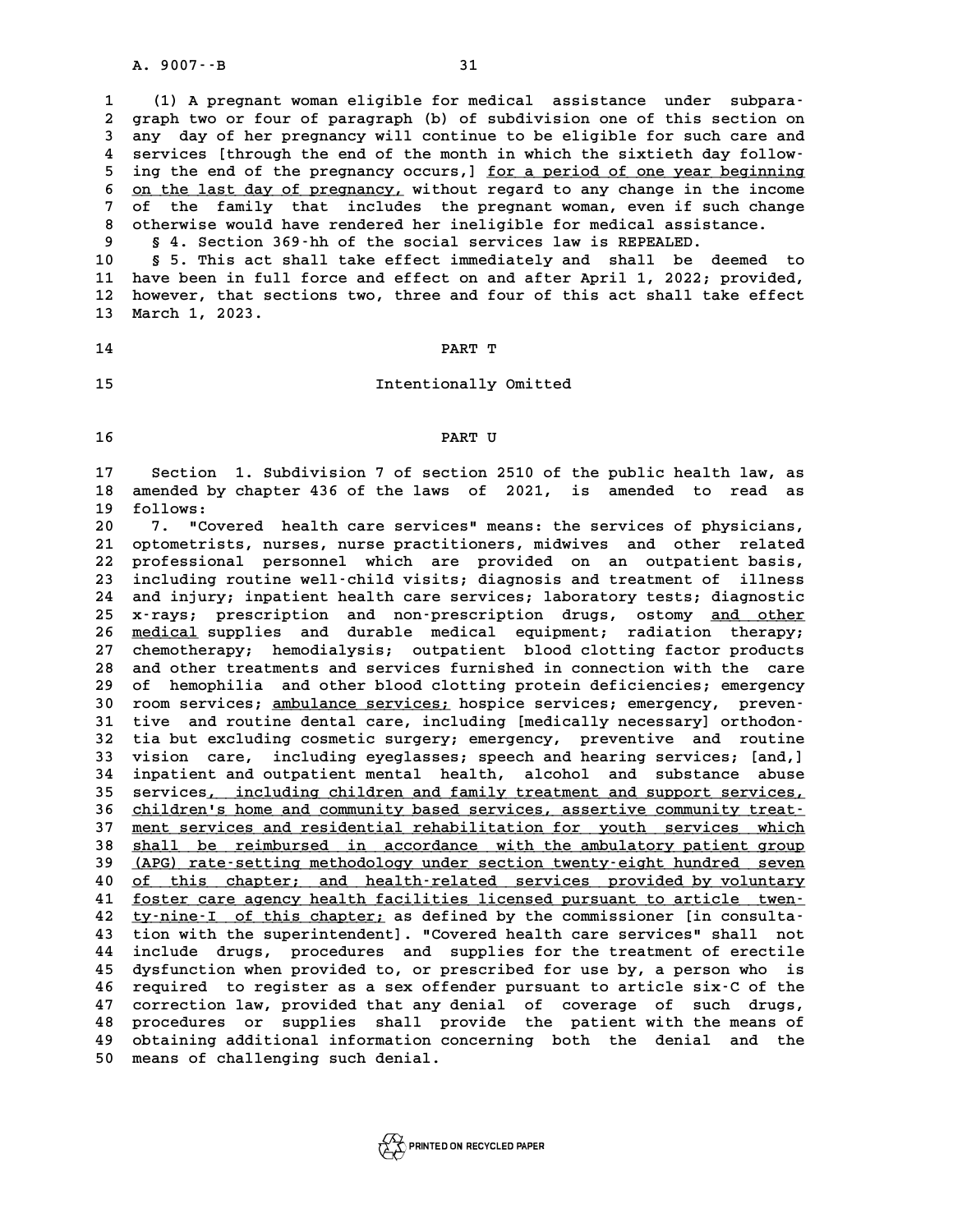A. 9007 - - B<br>
1 (1) A pregnant woman eligible for medical assistance under subpara-<br>
<sup>2</sup> graph typer four of paragraph (b) of subdivision one of this soction on **2** (1) A pregnant woman eligible for medical assistance under subpara-<br>2 graph two or four of paragraph (b) of subdivision one of this section on<br>3 any day of ber pregnangy will continue to be eligible for such gare and 1 (1) A pregnant woman eligible for medical assistance under subpara-<br>2 graph two or four of paragraph (b) of subdivision one of this section on<br>3 any day of her pregnancy will continue to be eligible for such care and<br>4 s 2 graph two or four of paragraph (b) of subdivision one of this section on<br>3 any day of her pregnancy will continue to be eligible for such care and<br>4 services [through the end of the month in which the sixtieth day follow 3 any day of her pregnancy will continue to be eligible for such care and<br>4 services [through the end of the month in which the sixtieth day follow-<br>5 ing the end of the pregnancy occurs,] <u>for a period of one year beginni</u> 4 services [through the end of the month in which the sixtieth day follow-<br>5 ing the end of the pregnancy occurs,] <u>for a period of one year beginning</u><br>6 <u>on the last day of pregnancy</u>, without regard to any change in the <sup>5</sup> ing the end of the pregnancy occurs, 1 <u>for a period of one year beginning</u><br>
<sup>6</sup> <u>on the last day of pregnancy</u>, without regard to any change in the income<br>
<sup>7</sup> of the family that includes the pregnant woman, even if s **8 on the last day of pregnancy, without regard to any change in the incom**<br>7 of the family that includes the pregnant woman, even if such chang<br>8 otherwise would have rendered her ineligible for medical assistance.<br>8 5 4 **9 § 4. Section 369-hh of the social services law is REPEALED.**

**10 § 5. This act shall take effect immediately and shall be deemed to 10 S 4. Section 369-hh of the social services law is REPEALED.**<br> **10 S 5. This act shall take effect immediately and shall be deemed to**<br> **11 have been in full force and effect on and after April 1, 2022; provided,**<br> **12 10** § 5. This act shall take effect immediately and shall be deemed to<br>11 have been in full force and effect on and after April 1, 2022; provided,<br>12 however, that sections two, three and four of this act shall take effec 11 have been in full<br>12 however, that sec<br>13 March 1, 2023. 13 March 1, 2023.<br>14 **PART T** 

# **14** PART T<br> **15** Intentionally Omitted

# **16 PART U**

**16**<br>17 Section 1. Subdivision 7 of section 2510 of the public health law, as<br>18 amended by chapter 436 of the laws of 2021, is amended to read as 17 Section 1. Subdivision 7 of section 2510 of the public health law, as<br>18 amended by chapter 436 of the laws of 2021, is amended to read as 17 Section<br>18 amended by<br>19 follows:<br><sup>20</sup> <sup>7</sup> "Cove 18 amended by chapter 436 of the laws of 2021, is amended to read as<br>19 follows:<br>20 7. "Covered health care services" means: the services of physicians,<br>21 optomobility purses purse preditioners midnings and other related

**20 1. "Covered health care services" means: the services of physicians,<br>21 optometrists, nurses, nurse practitioners, midwives and other related<br>22 professional personnal which are provided on an outpatient basis 20 2.** "Covered health care services" means: the services of physicians,<br> **21 optometrists, nurses, nurse practitioners, midwives and other related**<br> **22 professional personnel which are provided on an outpatient basis,<br>** 21 optometrists, nurses, nurse practitioners, midwives and other related<br>22 professional personnel which are provided on an outpatient basis,<br>23 including routine well-child visits; diagnosis and treatment of illness<br>24 an 22 professional personnel which are provided on an outpatient basis,<br>23 including routine well-child visits; diagnosis and treatment of illness<br>24 and injury; inpatient health care services; laboratory tests; diagnostic<br>25 Including routine well-child visits; diagnosis and treatment of illness<br>24 and injury; inpatient health care services; laboratory tests; diagnostic<br>25 x-rays; prescription and non-prescription drugs, ostomy <u>and other</u><br>26 24 and injury; inpatient health care services; laboratory tests; diagnostic<br>25 x-rays; prescription and non-prescription drugs, ostomy <u>and other</u><br>26 <u>medical</u> supplies and durable medical equipment; radiation therapy;<br>27 25 x-rays; prescription and non-prescription drugs, ostomy <u>and other</u><br>26 <u>medical</u> supplies and durable medical equipment; radiation therapy;<br>27 chemotherapy; hemodialysis; outpatient blood clotting factor products<br>28 and 26 <u>medical</u> supplies and durable medical equipment; radiation therapy;<br>27 chemotherapy; hemodialysis; outpatient blood clotting factor products<br>28 and other treatments and services furnished in connection with the care<br>29 27 chemotherapy; hemodialysis; outpatient blood clotting factor products<br>28 and other treatments and services furnished in connection with the care<br>29 of hemophilia and other blood clotting protein deficiencies; emergency and other treatments and services furnished in connection with the care<br>
29 of hemophilia and other blood clotting protein deficiencies; emergency<br>
30 room services; <u>ambulance services;</u> hospice services; emergency, preve 39 of hemophilia and other blood clotting protein deficiencies; emergency<br>30 room services; <u>ambulance services;</u> hospice services; emergency, preven-<br>31 tive and routine dental care, including [medically necessary] orthod **30 room services; ambulance services; hospice services; emergency, preventive and routine dental care, including [medically necessary] orthodon-<br>32 tia but excluding cosmetic surgery; emergency, preventive and routine<br>23** 31 tive and routine dental care, including [medically necessary] orthodon-<br>32 tia but excluding cosmetic surgery; emergency, preventive and routine<br>33 vision care, including eyeglasses; speech and hearing services; [and,]<br> 32 tia but excluding cosmetic surgery; emergency, preventive and routine<br>33 vision care, including eyeglasses; speech and hearing services; [and,]<br>34 inpatient and outpatient mental health, alcohol and substance abuse<br>25 c 33 vision care, including eyeglasses; speech and hearing services; [and,]<br>34 inpatient and outpatient mental health, alcohol and substance abuse<br>35 services<u>, including children and family treatment and support services,</u><br> 34 inpatient and outpatient mental health, alcohol and substance abuse<br>35 services, <u>including children and family treatment and support services,<br>26 children's home and community based services, assertive community treat-</u> 35 services, including children and family treatment and support services,<br>36 <u>children's home and community based services, assertive community treat-</u><br>37 <u>ment services and residential rehabilitation for youth services w</u> 36 children's home and community based services, assertive community treat-<br>37 <u>ment services and residential rehabilitation for youth services which</u><br>38 shall be reimbursed in accordance with the ambulatory patient group<br> 38 shall be reimbursed in accordance with the ambulatory patient group<br>39 (APG) rate-setting methodology under section twenty-eight hundred seven 38 shall be reimbursed in accordance with the ambulatory patient group<br>
40 <u>(APG)</u> rate-setting methodology under section twenty-eight hundred seven<br>
40 of this chapter; and health-related services provided by voluntary<br>
5 **41 (APG) rate-setting methodology under section twenty-eight hundred seven**<br> **40** of this chapter; and health-related services provided by voluntary<br> **41** foster care agency health facilities licensed pursuant to article **40** <u>of this chapter; and health-related services provided by voluntary</u><br> **41** <u>foster care agency health facilities licensed pursuant to article twen</u><br> **42** <u>ty-nine-I of this chapter</u>; as defined by the commissioner [in **41** <u>foster care agency health facilities licensed pursuant to article twen</u><br>42 <u>ty-nine-I of this chapter</u> as defined by the commissioner [in consulta-<br>43 tion with the superintendent]. "Covered health care services" sha **42** <u>ty-nine-I of this chapter</u>; as defined by the commissioner [in consulta-<br>43 tion with the superintendent]. "Covered health care services" shall not<br>44 include drugs, procedures and supplies for the treatment of erect 43 tion with the superintendent]. "Covered health care services" shall not<br>44 include drugs, procedures and supplies for the treatment of erectile<br>45 dysfunction when provided to, or prescribed for use by, a person who is<br> 44 include drugs, procedures and supplies for the treatment of erectile<br>45 dysfunction when provided to, or prescribed for use by, a person who is<br>46 required to register as a sex offender pursuant to article six-C of the<br> 45 dysfunction when provided to, or prescribed for use by, a person who is<br>46 required to register as a sex offender pursuant to article six C of the<br>47 correction law, provided that any denial of coverage of such drugs,<br>1 **46 required to register as a sex offender pursuant to article six-C of the correction law, provided that any denial of coverage of such drugs, procedures or supplies shall provide the patient with the means of abinition a** 47 correction law, provided that any denial of coverage of such drugs,<br>48 procedures or supplies shall provide the patient with the means of<br>49 obtaining additional information concerning both the denial and the<br>50 means o 48 procedures or supplies shall<br>49 obtaining additional information<br>50 means of challenging such denial.

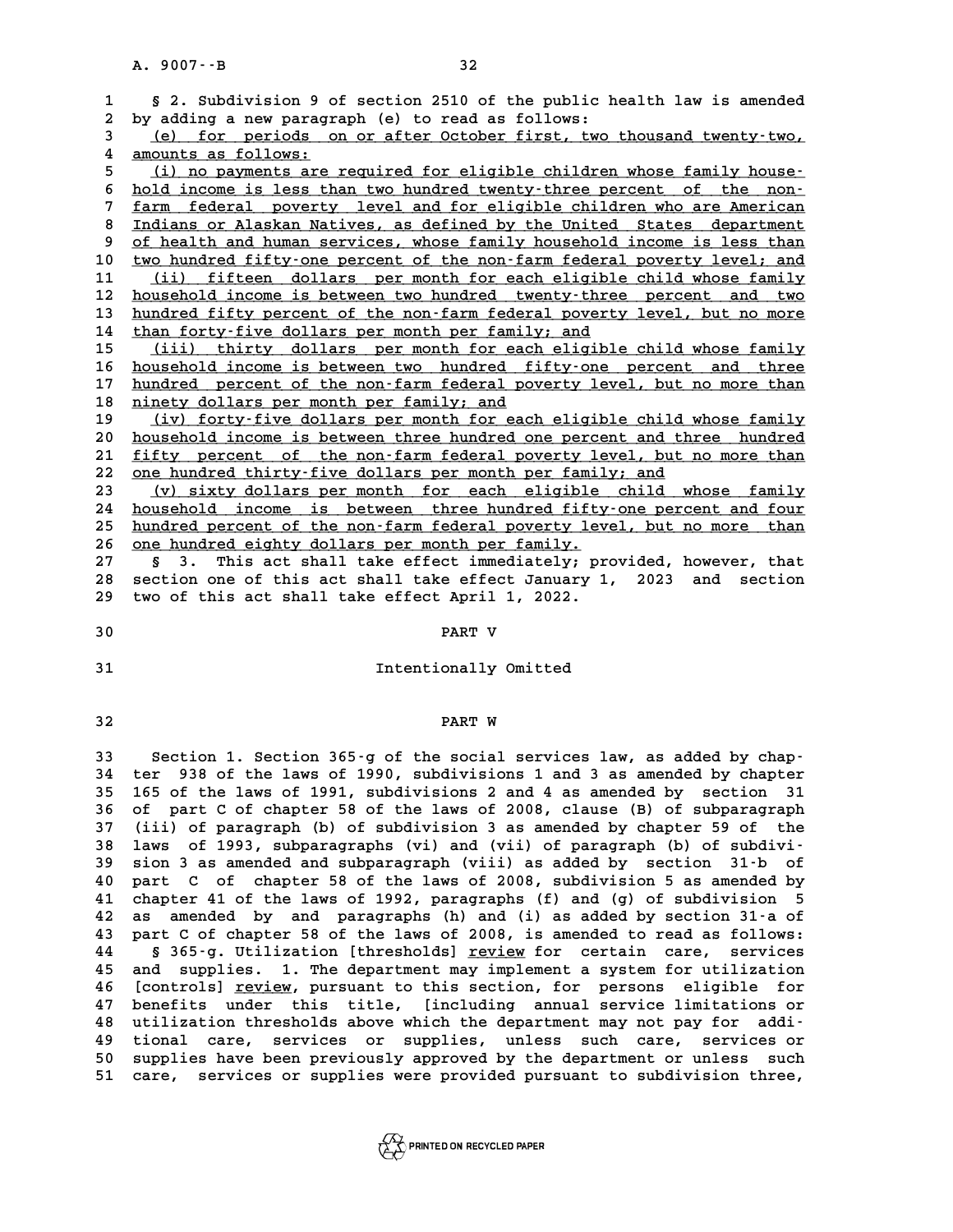|                  | A. 9007 -- B<br>32                                                                                                                                 |
|------------------|----------------------------------------------------------------------------------------------------------------------------------------------------|
|                  |                                                                                                                                                    |
| 1                | § 2. Subdivision 9 of section 2510 of the public health law is amended                                                                             |
| 2                | by adding a new paragraph (e) to read as follows:                                                                                                  |
| 3                | (e) for periods on or after October first, two thousand twenty-two,                                                                                |
| 4                | amounts as follows:                                                                                                                                |
| 5                | (i) no payments are required for eligible children whose family house-                                                                             |
| 6                | hold income is less than two hundred twenty-three percent of the non-                                                                              |
| 7                | farm federal poverty level and for eligible children who are American                                                                              |
| 8<br>9           | Indians or Alaskan Natives, as defined by the United States department<br>of health and human services, whose family household income is less than |
| 10               | two hundred fifty-one percent of the non-farm federal poverty level; and                                                                           |
| 11               | (ii) fifteen dollars per month for each eligible child whose family                                                                                |
| 12               | household income is between two hundred twenty-three percent and two                                                                               |
| 13               | hundred fifty percent of the non-farm federal poverty level, but no more                                                                           |
| 14               | than forty-five dollars per month per family; and                                                                                                  |
| 15               | (iii) thirty dollars per month for each eligible child whose family                                                                                |
| 16               | household income is between two hundred fifty-one percent and three                                                                                |
| 17               | hundred percent of the non-farm federal poverty level, but no more than                                                                            |
| 18               | ninety dollars per month per family; and                                                                                                           |
| 19               | (iv) forty-five dollars per month for each eligible child whose family                                                                             |
| 20               | household income is between three hundred one percent and three hundred                                                                            |
| 21               | fifty percent of the non-farm federal poverty level, but no more than                                                                              |
| 22               | one hundred thirty-five dollars per month per family; and                                                                                          |
| 23               | (v) sixty dollars per month for each eligible child whose family                                                                                   |
| 24               | household income is between three hundred fifty-one percent and four                                                                               |
| 25               | hundred percent of the non-farm federal poverty level, but no more than                                                                            |
| 26               | one hundred eighty dollars per month per family.                                                                                                   |
| 27               | This act shall take effect immediately; provided, however, that<br>3.<br>Ş.                                                                        |
| 28               | section one of this act shall take effect January 1, 2023 and section                                                                              |
| 29               | two of this act shall take effect April 1, 2022.                                                                                                   |
| 30               | PART V                                                                                                                                             |
|                  |                                                                                                                                                    |
| 31               | Intentionally Omitted                                                                                                                              |
|                  |                                                                                                                                                    |
|                  |                                                                                                                                                    |
| 32               | PART W                                                                                                                                             |
| 33               | Section 1. Section 365-g of the social services law, as added by chap-                                                                             |
| 34               | 938 of the laws of 1990, subdivisions 1 and 3 as amended by chapter<br>ter                                                                         |
| 35               | 165 of the laws of 1991, subdivisions 2 and 4 as amended by section 31                                                                             |
| 36               | of part C of chapter 58 of the laws of 2008, clause (B) of subparagraph                                                                            |
| 37               | (iii) of paragraph (b) of subdivision 3 as amended by chapter 59 of the                                                                            |
| 38               | of 1993, subparagraphs (vi) and (vii) of paragraph (b) of subdivi-<br>laws                                                                         |
| 39               | sion 3 as amended and subparagraph (viii) as added by section 31-b of                                                                              |
| 40               | part C of chapter 58 of the laws of 2008, subdivision 5 as amended by                                                                              |
| 41               | chapter 41 of the laws of 1992, paragraphs (f) and (g) of subdivision 5                                                                            |
| 42               | amended by and paragraphs (h) and (i) as added by section 31-a of<br>as                                                                            |
| 43               | part C of chapter 58 of the laws of 2008, is amended to read as follows:                                                                           |
| 44               | § 365-g. Utilization [thresholds] review for certain care,<br>services                                                                             |
| 45               | supplies. 1. The department may implement a system for utilization<br>and                                                                          |
| 46               | [controls] review, pursuant to this section, for persons eligible for                                                                              |
| 47               | benefits under this title, [including annual service limitations or                                                                                |
| 48               | utilization thresholds above which the department may not pay for addi-                                                                            |
| 49<br><b>E 0</b> | tional care, services or supplies, unless such care,<br>services or<br>dupplied have been proviously approved by the department or unless such     |

48 utilization thresholds above which the department may not pay for addi-<br>49 tional care, services or supplies, unless such care, services or<br>50 supplies have been previously approved by the department or unless such<br>51 s 49 tional care, services or supplies, unless such care, services or<br>50 supplies have been previously approved by the department or unless such<br>51 care, services or supplies were provided pursuant to subdivision three,

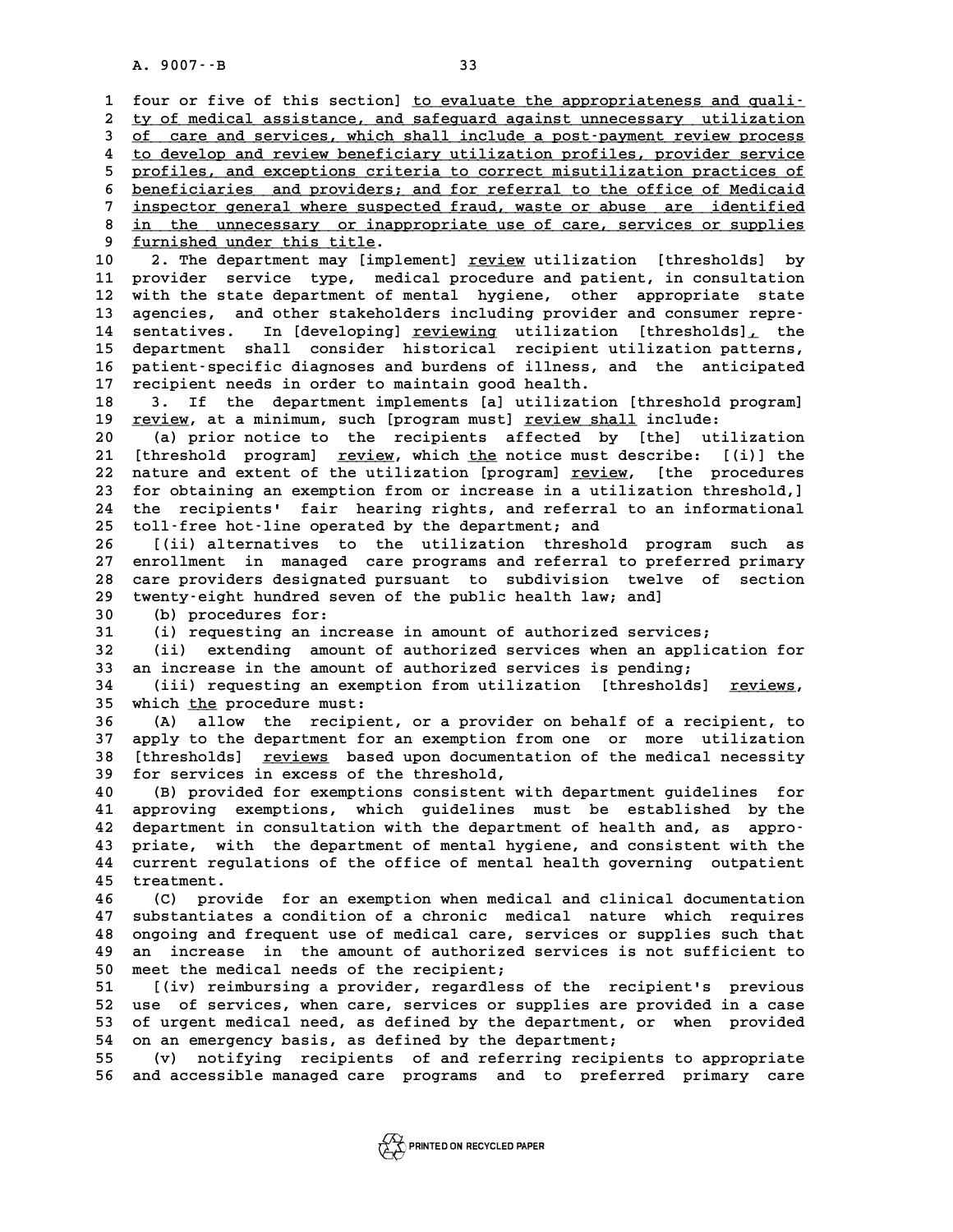A. 9007 · -B<br>**1** four or five of this section] <u>to evaluate the appropriateness and quali-</u> **2 ty of medical assistance, and safeguard against unnecessary utilization \_\_\_\_\_\_\_\_\_\_\_\_\_\_\_\_\_\_\_\_\_\_\_\_\_\_\_\_\_\_\_\_\_\_\_\_\_\_\_\_\_\_\_\_\_\_\_\_\_\_\_\_\_\_\_\_\_\_\_\_\_\_\_\_\_\_\_\_\_\_\_\_** four or five of this section] <u>to evaluate the appropriateness and quali-</u><br>2 <u>ty of medical assistance, and safequard against unnecessary utilization</u><br>3 <u>of care and services, which shall include a post-payment review proc</u> 4 ty of medical assistance, and safeguard against unnecessary utilization<br>
4 <u>to develop and review beneficiary utilization profiles, provider service</u><br> **profiles, and exactions criteria to serve this illustion profiles** 5 of care and services, which shall include a post-payment review process<br>
to develop and review beneficiary utilization profiles, provider service<br>
5 profiles, and exceptions criteria to correct misutilization practices o 4 <u>to develop and review beneficiary utilization profiles, provider service</u><br>5 <u>profiles, and exceptions criteria to correct misutilization practices of</u><br>6 <u>beneficiaries and providers; and for referral to the office of Me</u> 5 profiles, and exceptions criteria to correct misutilization practices of<br>6 <u>beneficiaries and providers; and for referral to the office of Medicaid</u><br>7 <u>inspector general where suspected fraud</u>, waste or abuse are identif 8 <u>beneficiaries and providers; and for referral to the office of Medicaid</u><br>7 <u>inspector general where suspected fraud, waste or abuse are identified</u><br>8 <u>in the unnecessary or inappropriate use of care, services or supplie</u> The suspector deneral where suspector of the unnecessary or inapp<br> **9 furnished under this title.**<br> **2** The denertment may limple: 8 in the unnecessary or inappropriate use of care, services or supplies<br>
9 <u>furnished under this title</u>.<br>
10 2. The department may [implement] <u>review</u> utilization [thresholds] by<br>
11 provider service type medical procedur <sup>9</sup> <u>furnished under this title</u>.<br>
10 2. The department may [implement] <u>review</u> utilization [thresholds] by<br>
11 provider service type, medical procedure and patient, in consultation<br>
12 with the state department of mental 10 2. The department may [implement] <u>review</u> utilization [thresholds] by<br>11 provider service type, medical procedure and patient, in consultation<br>12 with the state department of mental hygiene, other appropriate state<br>13 11 provider service type, medical procedure and patient, in consultation<br>
12 with the state department of mental hygiene, other appropriate state<br>
13 agencies, and other stakeholders including provider and consumer repre-<br> **12** with the state department of mental hygiene, other appropriate state<br>13 agencies, and other stakeholders including provider and consumer repre-<br>14 sentatives. In [developing] <u>reviewing</u> utilization [thresholds], the<br> 13 agencies, and other stakeholders including provider and consumer repre-<br>14 sentatives. In [developing] <u>reviewing</u> utilization [thresholds], the<br>15 department shall consider historical recipient utilization patterns,<br>16 14 sentatives. In [developing] <u>reviewing</u> utilization [thresholds], the<br>15 department shall consider historical recipient utilization patterns,<br>16 patient-specific diagnoses and burdens of illness, and the anticipated<br>17 15 department shall consider historical recipient u<br>16 patient-specific diagnoses and burdens of illness, a<br>17 recipient needs in order to maintain good health.<br>19 <sup>2</sup> <sup>15</sup> the department implements [al utilization 16 patient specific diagnoses and burdens of illness, and the anticipated<br>17 recipient needs in order to maintain good health.<br>18 3. If the department implements [a] utilization [threshold program]<br>19 review at a minimum q **17** recipient needs in order to maintain good health.<br>18 3. If the department implements [a] utilization [threshold pr<br>19 <u>review</u>, at a minimum, such [program must] <u>review shall</u> include:<br>20 (a) prior potice to the reci **20 (a) prior notice to the recipients affected by [the] utilization 21 19 <u>review</u>, at a minimum, such [program must] <u>review shall</u> include:<br>
20 (a) prior notice to the recipients affected by [the] utilization<br>
21 [threshold program] <u>review</u>, which <u>the</u> notice must describe: [(i)] the** 20 (a) prior notice to the recipients affected by [the] utilization 21 [threshold program] <u>review</u>, which <u>the</u> notice must describe: [(i)] the nature and extent of the utilization [program] <u>review</u>, [the procedures for 21 [threshold program] <u>review</u>, which <u>the</u> notice must describe: [(i)] the<br>22 nature and extent of the utilization [program] <u>review</u>, [the procedures<br>23 for obtaining an exemption from or increase in a utilization thres 22 nature and extent of the utilization [program] <u>review</u>, [the procedures<br>23 for obtaining an exemption from or increase in a utilization threshold,]<br>24 the recipients' fair hearing rights, and referral to an information 23 for obtaining an exemption from or increase in a utilization threshold,]<br>24 the recipients' fair hearing rights, and referral to an informational<br>25 toll-free hot-line operated by the department; and<br>26 [(ii) alternativ **26 [(ii) alternatives to the utilization threshold program such as 27 enrollment in managed care programs and referral to preferred primary** 26 [(ii) alternatives to the utilization threshold program such as<br>27 enrollment in managed care programs and referral to preferred primary<br>28 care providers designated pursuant to subdivision twelve of section<br>29 twortu-o 27 enrollment in managed care programs and referral to prefe<br>28 care providers designated pursuant to subdivision twelve<br>29 twenty-eight hundred seven of the public health law; and]<br>20 (b) procedures for: 28 care providers designate<br>29 twenty-eight hundred sev<br>30 (b) procedures for:<br><sup>31</sup> (i) requesting an incr 29 twenty-eight hundred seven of the public health law; and]<br>30 (b) procedures for:<br>31 (i) requesting an increase in amount of authorized services;<br>32 (ii) extending amount of authorized services when an appli **30** (b) procedures for:<br>
31 (i) requesting an increase in amount of authorized services;<br>
32 (ii) extending amount of authorized services when an application for<br>
33 an increase in the amount of authorized services is pen **31** (i) requesting an increase in amount of authorized services;<br>32 (ii) extending amount of authorized services when an applic<br>33 an increase in the amount of authorized services is pending;<br><sup>24</sup> (iii) requesting an exem **32** (ii) extending amount of authorized services when an application for<br>33 an increase in the amount of authorized services is pending;<br>(iii) requesting an exemption from utilization [thresholds] <u>reviews</u>,<br><sup>35</sup> which th 33 an increase in the amount of<br>34 (iii) requesting an exempt<br>35 which <u>the</u> procedure must:<br><sup>26</sup> (2) allow the regimient **34** (ii) requesting an exemption from utilization [thresholds] <u>reviews</u>,<br>35 which <u>the</u> procedure must:<br>36 (A) allow the recipient, or a provider on behalf of a recipient, to<br>37 apply to the department for an exemption f 35 which <u>the</u> procedure must:<br>36 (A) allow the recipient, or a provider on behalf of a recipient, to<br>37 apply to the department for an exemption from one or more utilization<br>38 [thresholds] reviews based upon documentatio **36** (A) allow the recipient, or a provider on behalf of a recipient, to apply to the department for an exemption from one or more utilization 38 [thresholds] <u>reviews</u> based upon documentation of the medical necessity 37 apply to the department for an exemption fr<br>38 [thresholds] <u>reviews</u> based upon documenta<br>39 for services in excess of the threshold,<br>40 (B) provided for exemptions consistent wi **40 (thresholds) <u>reviews</u> based upon documentation of the medical necessity<br>
40 (B) provided for exemptions consistent with department guidelines for<br>
40 (B) provided for exemptions consistent with department guidelines f 40** (B) provided for exemptions consistent with department guidelines for approving exemptions, which guidelines must be established by the department in consultation with the department of health and, as appro-**42 department in consultation with the department of health and, as appro-**41 approving exemptions, which guidelines must be established by the<br>42 department in consultation with the department of health and, as appro-<br>43 priate, with the department of mental hygiene, and consistent with the<br>44 c 42 department in consultation with the department of health and, as appro-<br>43 priate, with the department of mental hygiene, and consistent with the<br>44 current regulations of the office of mental health governing outpatien 43 priate, with<br>44 current regul<br>45 treatment.<br>46 (C) provid 44 current regulations of the office of mental health governing outpatient<br>45 treatment.<br>46 (C) provide for an exemption when medical and clinical documentation<br>47 substantiates a condition of a chronic medical nature whic **45 treatment.**<br>46 (C) provide for an exemption when medical and clinical documentation<br>47 substantiates a condition of a chronic medical nature which requires<br>28 sections and frequent use of medical care, servises ar supp **46 (C)** provide for an exemption when medical and clinical documentation<br>47 substantiates a condition of a chronic medical nature which requires<br>48 ongoing and frequent use of medical care, services or supplies such that<br> 47 substantiates a condition of a chronic medical nature which requires<br>48 ongoing and frequent use of medical care, services or supplies such that<br>49 an increase in the amount of authorized services is not sufficient to<br>5 % ongoing and frequent use of medical care, services or supplies such that<br>
49 an increase in the amount of authorized services is not sufficient to<br>
50 meet the medical needs of the recipient;<br>
51 ((iv) reimbursing a prov 49 an increase in the amount of authorized services is not sufficient to<br>50 meet the medical needs of the recipient;<br>51 [(iv) reimbursing a provider, regardless of the recipient's previous<br>52 use of services when same serv 50 meet the medical needs of the recipient;<br>51 [(iv) reimbursing a provider, regardless of the recipient's previous<br>52 use of services, when care, services or supplies are provided in a case<br>53 of urgent medical need as de 51 [(iv) reimbursing a provider, regardless of the recipient's previous<br>52 use of services, when care, services or supplies are provided in a case<br>53 of urgent medical need, as defined by the department, or when provided<br>5 52 use of services, when care, services or supplies are provided in a case<br>53 of urgent medical need, as defined by the department, or when provided<br>54 on an emergency basis, as defined by the department;<br>(v) notifying rec **55 (v) notifying recipients of and referring recipients to appropriate 56 and accessible managed care programs and to preferred primary care**

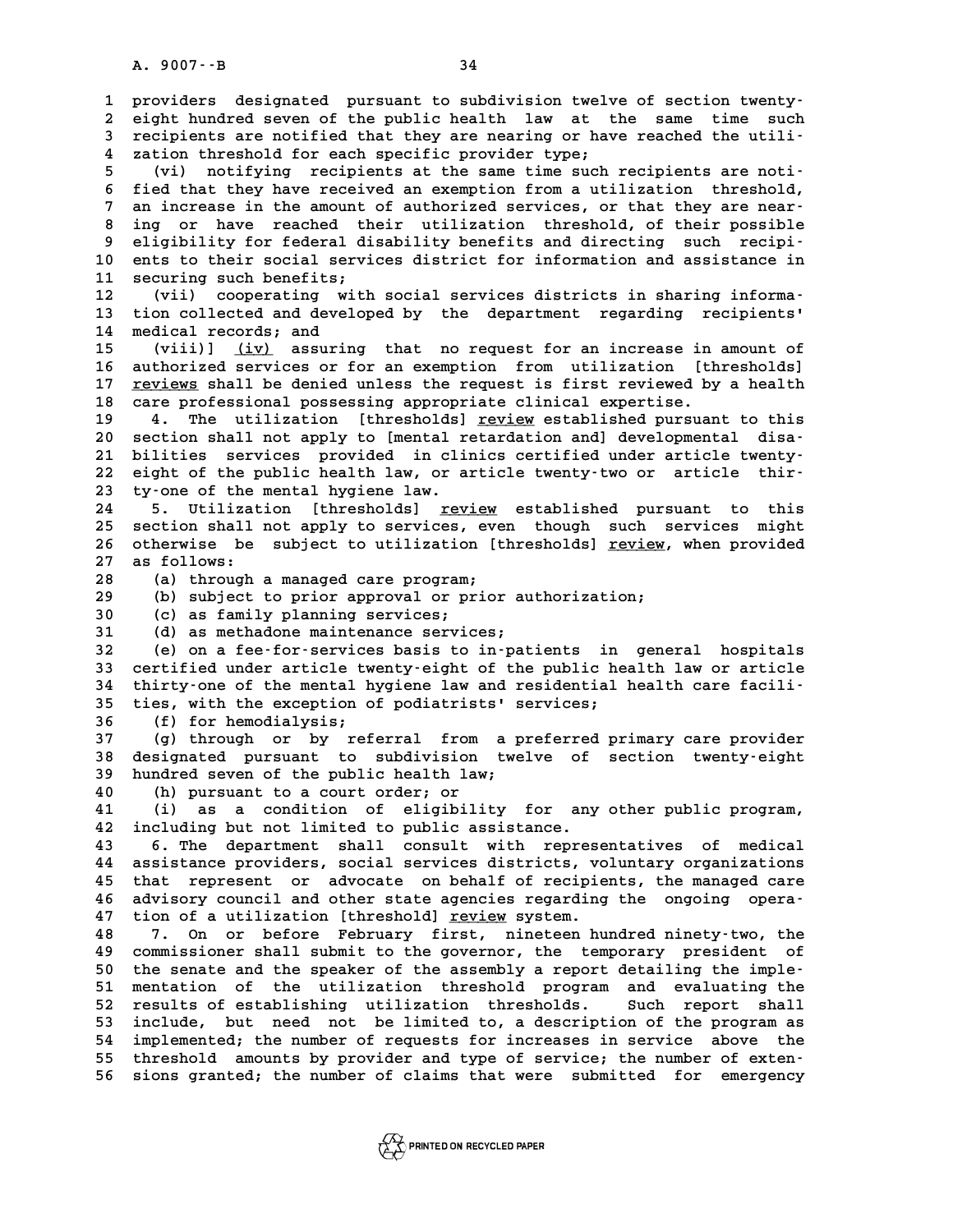A. 9007 - - B<br>1 providers designated pursuant to subdivision twelve of section twenty-<br>2 cight hundred sover of the public bealth law at the same time such **2** providers designated pursuant to subdivision twelve of section twenty-<br>2 eight hundred seven of the public health law at the same time such<br>3 recipients are potified that they are pearing or have reached the utili-1 providers designated pursuant to subdivision twelve of section twenty-<br>
2 eight hundred seven of the public health law at the same time such<br>
3 recipients are notified that they are nearing or have reached the utili-<br>
<sup>4</sup> 2 eight hundred seven of the public health law at the recipients are notified that they are nearing or have zation threshold for each specific provider type;<br><sup>4</sup> zation threshold for each specific provider type;<br><sup>5</sup> **5** find the same interpretation threshold for each specific provider type;<br> **5** (vi) notifying recipients at the same time such recipients are noti-<br> **5** field that they have received an exerction from a utilization thres 4 zation threshold for each specific provider type;<br>
5 (vi) notifying recipients at the same time such recipients are noti-<br>
6 fied that they have received an exemption from a utilization threshold,<br>
7 an increase in the a **7** (vi) notifying recipients at the same time such recipients are noti-<br> **6** fied that they have received an exemption from a utilization threshold,<br> **7** an increase in the amount of authorized services, or that they are 6 fied that they have received an exemption from a utilization threshold,<br>7 an increase in the amount of authorized services, or that they are near-<br>8 ing or have reached their utilization threshold, of their possible<br>2 al 9 an increase in the amount of authorized services, or that they are near-<br>
8 ing or have reached their utilization threshold, of their possible<br>
9 eligibility for federal disability benefits and directing such recipi-<br>
10 8 ing or have reached their utilization threshold, of their possible<br>9 eligibility for federal disability benefits and directing such recipi-<br>10 ents to their social services district for information and assistance in<br><sup>11</sup> 9 eligibility for federal di<br>10 ents to their social servi<br>11 securing such benefits;<br><sup>12</sup> (vii) seconorating with 10 ents to their social services district for information and assistance in<br>
11 securing such benefits;<br>
12 (vii) cooperating with social services districts in sharing informa-<br>
<sup>13</sup> tion collected and developed by the dep 11 securing such benefits;<br>12 (vii) cooperating with social services districts in sharing informa<sup>.</sup><br>13 tion collected and developed by the department regarding recipients'<br><sup>14 modical reserds, and</sup> 12 (vii) cooperating w<br>13 tion collected and deve<br>14 medical records; and<br>15 (viii)) (iv) agguri 13 tion collected and developed by the department regarding recipients'<br>14 medical records; and<br>15 (viii)] <u>(iv)</u> assuring that no request for an increase in amount of<br>16 putboring services or for an evention from utilizat 14 medical records; and<br>
15 (viii)] <u>(iv)</u> assuring that no request for an increase in amount of<br>
16 authorized services or for an exemption from utilization [thresholds]<br>
17 reviews shall be denied unless the request is f (viii)] <u>(iv)</u> assuring that no request for an increase in amount of<br>16 authorized services or for an exemption from utilization [thresholds]<br>17 <u>reviews</u> shall be denied unless the request is first reviewed by a health<br>20 16 authorized services or for an exemption from utilization [th]<br>17 <u>reviews</u> shall be denied unless the request is first reviewed by<br>18 care professional possessing appropriate clinical expertise.<br>19 december 11: The util 17 <u>reviews</u> shall be denied unless the request is first reviewed by a health<br>18 care professional possessing appropriate clinical expertise.<br>19 4. The utilization [thresholds] <u>review</u> established pursuant to this<br>20 sect 20 section shall possessing appropriate clinical expertise.<br>
20 section shall not apply to [mental retardation and] developmental disa-<br>
21 bilities services provided in clinics certified under article typety. 19 4. The utilization [thresholds] <u>review</u> established pursuant to this<br>
20 section shall not apply to [mental retardation and] developmental disa-<br>
21 bilities services provided in clinics certified under article twenty-20 section shall not apply to [mental retardation and] developmental disa-<br>21 bilities services provided in clinics certified under article twenty-<br>22 eight of the public health law, or article twenty-two or article thir-<br> 21 bilities services provided in climate 22 eight of the public health law, or a<br>23 ty-one of the mental hygiene law.<br>24 5 Thiligation [throsholds] row 22 eight of the public health law, or article twenty-two or article thir-<br>23 ty-one of the mental hygiene law.<br>24 5. Utilization [thresholds] <u>review</u> established pursuant to this<br>25 section shall not apply to sexuises eve 23 ty-one of the mental hygiene law.<br>24 5. Utilization [thresholds] <u>review</u> established pursuant to this<br>25 section shall not apply to services, even though such services might<br>26 stherwice be subject to utilization [thre 24 5. Utilization [thresholds] <u>review</u> established pursuant to this<br>25 section shall not apply to services, even though such services might<br>26 otherwise be subject to utilization [thresholds] <u>review</u>, when provided<br>27 25 25 section shall:<br>26 otherwise be<br>27 as follows:<br>28 (2) through composity of the subject to utilization [thresholds] <u>review</u>, when provided<br>
28 (a) through a managed care program;<br>
29 (b) subject to prior approval or prior authorization; **27 as follows:**<br> **28** (a) through a managed care program;<br> **29** (b) subject to prior approval or prior authorization;<br> **20** (a) as family planning services; **38** (a) through a managed care program;<br>**29** (b) subject to prior approval or pr<br>30 (c) as family planning services;<br><sup>31</sup> (d) as methadore maintenance services **39** (b) subject to prior approval or prior au<br>30 (c) as family planning services;<br>31 (d) as methadone maintenance services;<br>22 (e) on a foo-for-services basis to in-pat **30** (c) as family planning services;<br> **31** (d) as methadone maintenance services;<br> **32** (e) on a fee-for-services basis to in-patients in general hospitals<br> **33** certified under article twenty-eight of the public bealth l **31 (d) as methadone maintenance services;<br>32 (e) on a fee-for-services basis to in-patients in general hospitals<br>33 certified under article twenty-eight of the public health law or article<br>34 thirty-one of the montal hugi 32** (e) on a fee-for-services basis to in-patients in general hospitals<br>
33 certified under article twenty-eight of the public health law or article<br>
34 thirty-one of the mental hygiene law and residential health care fac 33 certified under article twenty-eight of the public he<br>34 thirty-one of the mental hygiene law and residential 35<br>35 ties, with the exception of podiatrists' services;<br><sup>26</sup> (5) for boredialysis. 34 thirty-one of the mental here it is the security of the second of the second of the second of the second of the second of the second of the second of the second of the second of the second of the second of the second of 35 ties, with the exception of podiatrists' services;<br>36 (f) for hemodialysis;<br>37 (g) through or by referral from a preferred primary care provider<br>28 decignated pursuant to subdivision treation frontrolection treation tre **36** (f) for hemodialysis;<br>37 (g) through or by referral from a preferred primary care provider<br>38 designated pursuant to subdivision twelve of section twenty-eight<br>39 hundred souse of the public boalth law. **37** (g) through or by referral from a p<br>38 designated pursuant to subdivision twe<br>39 hundred seven of the public health law;<br>40 (b) pursuant to a sourt order or designated pursuant to subdivision twelve of section twenty-eight<br>
40 (h) pursuant to a court order; or<br>
41 (i) as a condition of eligibility for any other public program, **41 (i) as a condition of eligibility for any other public program, 42 including but not limited to public assistance. 43 6. The department shall consult with representatives of medical** 42 including but not limited to public assistance.<br>43 6. The department shall consult with representatives of medical<br>44 assistance providers, social services districts, voluntary organizations<br><sup>45</sup> that represent or adves 43 6. The department shall consult with representatives of medical<br>44 assistance providers, social services districts, voluntary organizations<br>45 that represent or advocate on behalf of recipients, the managed care<br>46 advi 44 assistance providers, social services districts, voluntary organizations<br>45 that represent or advocate on behalf of recipients, the managed care<br>46 advisory council and other state agencies regarding the ongoing opera-<br> that represent or advocate on behalf of recipients, the managed care<br>46 advisory council and other state agencies regarding the ongoing opera-<br>47 tion of a utilization [threshold] <u>review</u> system.<br>48 7. On or before Februa advisory council and other state agencies regarding the ongoing opera-<br>47 tion of a utilization [threshold] <u>review</u> system.<br>48 7. On or before February first, nineteen hundred ninety-two, the<br>49 commissioner shall submit **49 commissioner shall submit to the governor, the temporary president of 50 the senate and the speaker of the assembly a report detailing the imple-50** commissioner shall submit to the governor, the temporary president of<br>50 the senate and the speaker of the assembly a report detailing the imple-<br>51 mentation of the utilization threshold program and evaluating the<br>52 50 the senate and the speaker of the assembly a report detailing the imple-<br>51 mentation of the utilization threshold program and evaluating the<br>52 results of establishing utilization thresholds. Such report shall<br>include 51 mentation of the utilization threshold program and evaluating the<br>52 results of establishing utilization thresholds. Such report shall<br>53 include, but need not be limited to, a description of the program as<br>54 implement 52 results of establishing utilization thresholds. Such report shall<br>53 include, but need not be limited to, a description of the program as<br>54 implemented; the number of requests for increases in service above the<br>55 thre include, but need not be limited to, a description of the program as



**56 sions granted; the number of claims that were submitted for emergency**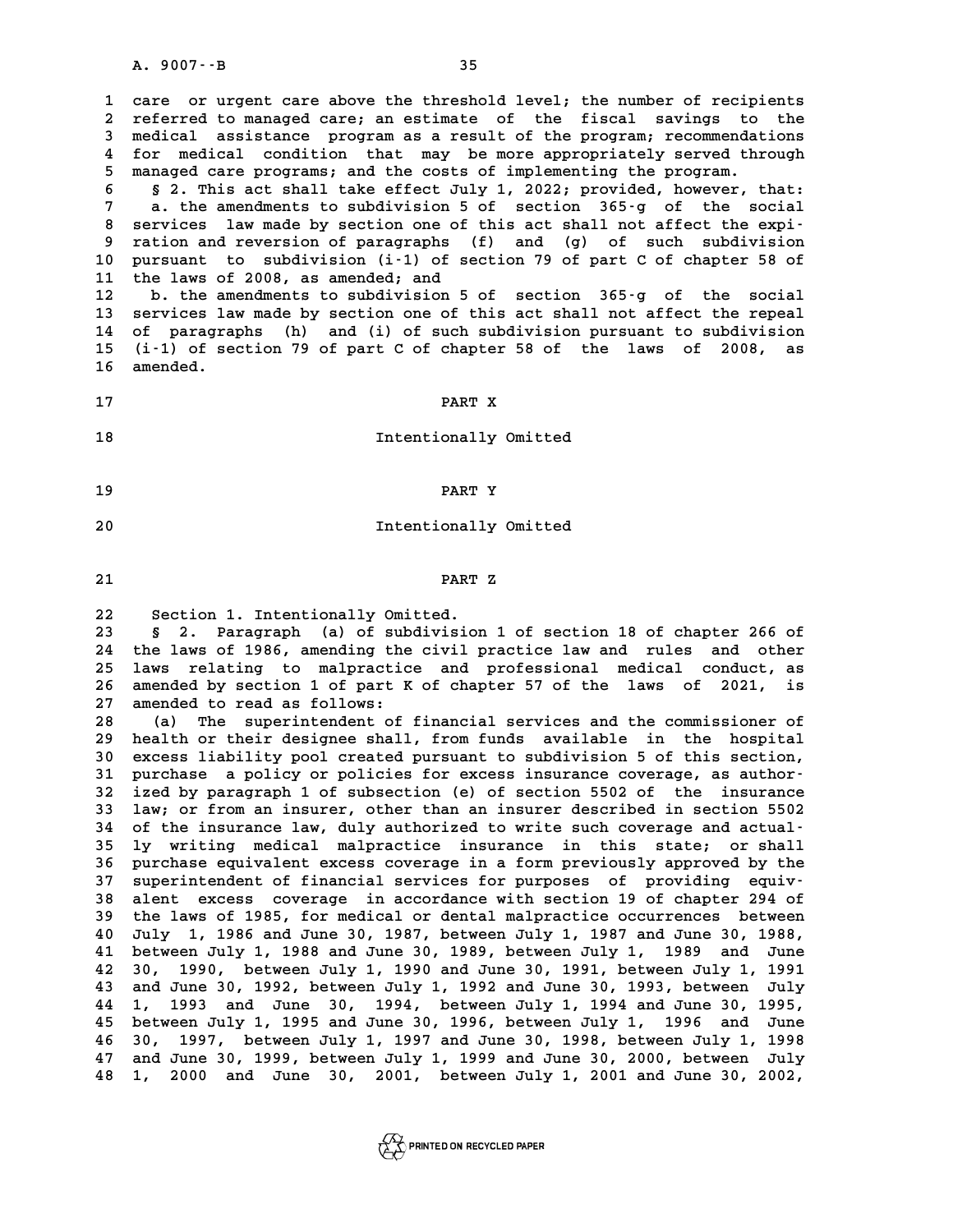**1 care or urgent care above the threshold level; the number of recipients 2** care or urgent care above the threshold level; the number of recipients<br>2 referred to managed care; an estimate of the fiscal savings to the<br>3 medical assistance program as a result of the program: recommendations 2 referred to managed care; an estimate of the fiscal savings to the<br>3 medical assistance program as a result of the program; recommendations<br>4 for medical condition that may be more appropriately served through 2 referred to managed care; an estimate of the fiscal savings to the<br>3 medical assistance program as a result of the program; recommendations<br>4 for medical condition that may be more appropriately served through<br>5 managed **5** medical assistance program as a result of the program; recommendat<br>4 for medical condition that may be more appropriately served thr<br>5 managed care programs; and the costs of implementing the program. **6 § 2. This act shall take effect July 1, 2022; provided, however, that:**

5 managed care programs; and the costs of implementing the program.<br>
§ 2. This act shall take effect July 1, 2022; provided, however, that:<br>
a. the amendments to subdivision 5 of section 365-g of the social<br>
sorriess law m 8 **8 2.** This act shall take effect July 1, 2022; provided, however, that:<br>
7 a. the amendments to subdivision 5 of section 365-g of the social<br>
8 services law made by section one of this act shall not affect the expi-<br>
8 **a. the amendments to subdivision 5 of section 365-g of the social<br>
8 services law made by section one of this act shall not affect the expiration and reversion of paragraphs (f) and (g) of such subdivision<br>
9 nursuant to** 8 services law made by section one of this act shall not affect the expi-<br>
9 ration and reversion of paragraphs (f) and (g) of such subdivision<br>
10 pursuant to subdivision (i-1) of section 79 of part C of chapter 58 of<br>
<sup>1</sup> 9 ration and reversion of paragraphs<br>10 pursuant to subdivision (i-1) of s<br>11 the laws of 2008, as amended; and<br><sup>12</sup> h<sup>the amendments to subdivision 5</sup> 10 pursuant to subdivision (i-1) of section 79 of part C of chapter 58 of<br>11 the laws of 2008, as amended; and<br>12 b. the amendments to subdivision 5 of section 365-g of the social<br>13 services law made by section one of thi

11 the laws of 2008, as amended; and<br>12 b. the amendments to subdivision 5 of section 365-g of the social<br>13 services law made by section one of this act shall not affect the repeal<br>14 of paragraphs (b) and (i) of such sub **12** b. the amendments to subdivision 5 of section 365-g of the social<br>13 services law made by section one of this act shall not affect the repeal<br>14 of paragraphs (h) and (i) of such subdivision pursuant to subdivision<br>15 13 services law made by section one of this act shall not affect the repeal<br>14 of paragraphs (h) and (i) of such subdivision pursuant to subdivision<br>15 (i-1) of section 79 of part C of chapter 58 of the laws of 2008, as<br>16 14 of paragraphs (h) and (i) of such subdivision pursuant to subdivision<br>15 (i-1) of section 79 of part C of chapter 58 of the laws of 2008, as<br>16 amended. 16 amended.<br>17 PART X

**17**<br> **18**<br> **18**<br> **18**<br> **18**<br> **18** 

- **19 PART Y**
- **20** Intentionally Omitted<br> **20** Intentionally Omitted
- **21 PART Z**

PART Z<br>
22 Section 1. Intentionally Omitted.<br>
23 § 2. Paragraph (a) of subdivision **23 § 2. Paragraph (a) of subdivision 1 of section 18 of chapter 266 of 22 Section 1. Intentionally Omitted.**<br> **23 § 2. Paragraph (a) of subdivision 1 of section 18 of chapter 266 of**<br> **24 the laws of 1986, amending the civil practice law and rules and other**<br> **25 laws relating to malpragtice** 8 2. Paragraph (a) of subdivision 1 of section 18 of chapter 266 of<br>24 the laws of 1986, amending the civil practice law and rules and other<br>25 laws relating to malpractice and professional medical conduct, as<br>26 amended b 24 the laws of 1986, amending the civil practice law and rules and other<br>25 laws relating to malpractice and professional medical conduct, as<br>26 amended by section 1 of part K of chapter 57 of the laws of 2021, is<br><sup>27</sup> ame 25 laws relating to malpractic<br>26 amended by section 1 of part K<br>27 amended to read as follows:<br><sup>28</sup> (2) The superintedent of 26 amended by section 1 of part K of chapter 57 of the laws of 2021, is<br>27 amended to read as follows:<br>28 (a) The superintendent of financial services and the commissioner of<br>29 holth or their designee shall from funds ava

27 amended to read as follows:<br>
28 (a) The superintendent of financial services and the commissioner of<br>
29 health or their designee shall, from funds available in the hospital<br>
30 excess liability pool created pursuant to **30 (a)** The superintendent of financial services and the commissioner of<br> **30 health or their designee shall, from funds available in the hospital**<br> **30 excess liability pool created pursuant to subdivision 5 of this sect 39 health or their designee shall, from funds available in the hospital excess liability pool created pursuant to subdivision 5 of this section, purchase a policy or policies for excess insurance coverage, as author-<br>
<b>31 30 excess liability pool created pursuant to subdivision 5 of this section,<br>31 purchase a policy or policies for excess insurance coverage, as author-<br>32 ized by paragraph 1 of subsection (e) of section 5502 of the insura** 31 purchase a policy or policies for excess insurance coverage, as author-<br>32 ized by paragraph 1 of subsection (e) of section 5502 of the insurance<br>33 law; or from an insurer, other than an insurer described in section 55 ized by paragraph 1 of subsection (e) of section 5502 of the insurance<br>
33 law; or from an insurer, other than an insurer described in section 5502<br>
34 of the insurance law, duly authorized to write such coverage and actua **33 law; or from an insurer, other than an insurer described in section 5502**<br>**34 of the insurance law, duly authorized to write such coverage and actual-**<br>**35 ly writing medical malpractice insurance in this state; or sha** 34 of the insurance law, duly authorized to write such coverage and actual-<br>35 ly writing medical malpractice insurance in this state; or shall<br>36 purchase equivalent excess coverage in a form previously approved by the<br><sup>3</sup> **19 state; or shall manufacture in surance in this state; or shall<br>
<b>36 purchase equivalent excess coverage in a form previously approved by the**<br> **37 superintendent of financial services for purposes of providing equiv-**<br> **36 purchase equivalent excess coverage in a form previously approved by the**<br>37 superintendent of financial services for purposes of providing equiv-<br>38 alent excess coverage in accordance with section 19 of chapter 294 o 37 superintendent of financial services for purposes of providing equiv-<br>38 alent excess coverage in accordance with section 19 of chapter 294 of<br>39 the laws of 1985, for medical or dental malpractice occurrences between<br><sup></sup> alent excess coverage in accordance with section 19 of chapter 294 of<br>
40 July 1, 1986 and June 30, 1987, between July 1, 1987 and June 30, 1988,<br>
41 between July 1, 1988 and June 30, 1987, between July 1, 1987 and June 30 **41 between 1985, for medical or dental malpractice occurrences between**<br> **40 July 1, 1986 and June 30, 1987, between July 1, 1987 and June 30, 1988,<br>
41 between July 1, 1988 and June 30, 1989, between July 1, 1989 and Jun 42 30, 1990, between July 1, 1990 and June 30, 1991, between July 1, 1991 41 between July 1, 1988 and June 30, 1989, between July 1, 1989 and June 42 30, 1990, between July 1, 1990 and June 30, 1991, between July 1, 1991 and June 30, 1992, between July 1, 1992 and June 30, 1993, between July<br>43 42 30, 1990, between July 1, 1990 and June 30, 1991, between July 1, 1991**<br>**43 and June 30, 1992, between July 1, 1992 and June 30, 1993, between July 1, 1993 and June 30, 1994, between July 1, 1994 and June 30, 1995, <br><b>4 43 and June 30, 1992, between July 1, 1992 and June 30, 1993, between July 1, 1993 and June 30, 1994, between July 1, 1996 and June<br>44 1, 1993 and June 30, 1994, between July 1, 1994 and June 30, 1995, between July 1, 199 44 1, 1993 and June 30, 1994, between July 1, 1994 and June 30, 1995, between July 1, 1995 and June 30, 1996, between July 1, 1996 and June 30, 1997, between July 1, 1997 and June 30, 1998, between July 1, 1998**<br>**46 30, 1 45 between July 1, 1995 and June 30, 1996, between July 1, 1996 and June 30, 1997, between July 1, 1997 and June 30, 1998, between July 1, 1998 and June 30, 1999, between July 1, 1999 and June 30, 2000, between July**<br>**47** 46 30, 1997, between July 1, 1997 and June 30, 1998, between July 1, 1998<br>47 and June 30, 1999, between July 1, 1999 and June 30, 2000, between July<br>48 1, 2000 and June 30, 2001, between July 1, 2001 and June 30, 2002,

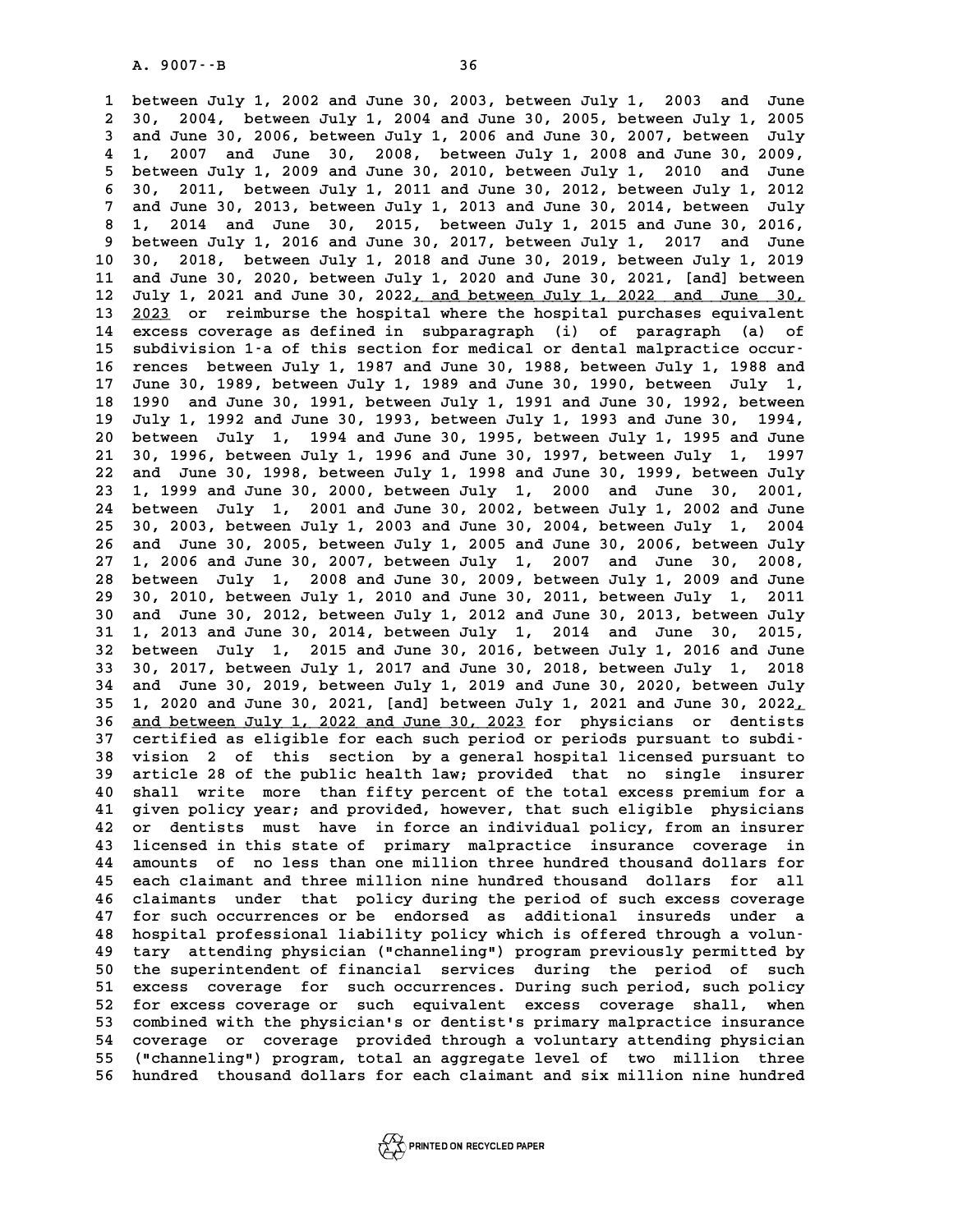**1 between July 1, 2002 and June 30, 2003, between July 1, 2003 and June 2** 1 between July 1, 2002 and June 30, 2003, between July 1, 2003 and June<br>2 30, 2004, between July 1, 2004 and June 30, 2005, between July 1, 2005<br>3 and June 30, 2006, between July 1, 2006 and June 30, 2007, between, Jul **3 and June 30, 2006, between July 1, 2006 and June 30, 2007, between July 4 1, 2007 and June 30, 2008, between July 1, 2008 and June 30, 2009, 5** and June 30, 2006, between July 1, 2006 and June 30, 2007, between July 1, 2007 and June 30, 2008, between July 1, 2008 and June 30, 2009, between July 1, 2010 and June<br>5 between July 1, 2009 and June 30, 2010, between **6 30, 2007 and June 30, 2008, between July 1, 2008 and June 30, 2009, <br>
<b>6 30, 2011, between July 1, 2011 and June 30, 2012, between July 1, 2012**<br> **6 30, 2011, between July 1, 2011 and June 30, 2012, between July 1, 2012 7 between July 1, 2009 and June 30, 2010, between July 1, 2010 and June 30, 2011, between July 1, 2011 and June 30, 2012, between July 1, 2012**<br>**7 and June 30, 2013, between July 1, 2013 and June 30, 2014, between July**<br> **8 1, 2014 and June 30, 2015, between July 1, 2015 and June 30, 2016,** 7 and June 30, 2013, between July 1, 2013 and June 30, 2014, between July 8 1, 2014 and June 30, 2015, between July 1, 2015 and June 30, 2016, 9 between July 1, 2016 and June 30, 2017, between July 1, 2017 and June 10 30, **10 30, 2018, between July 1, 2018 and June 30, 2019, between July 1, 2019 11 and June 30, 2020, between July 1, 2020 and June 30, 2021, [and] between 10** 30, 2018, between July 1, 2018 and June 30, 2019, between July 1, 2019<br> **11** and June 30, 2020, between July 1, 2020 and June 30, 2021, [and] between<br> **12** July 1, 2021 and June 30, 2022, and between July 1, 2022 and 11 and June 30, 2020, between July 1, 2020 and June 30, 2021, [and] between<br>12 July 1, 2021 and June 30, 2022<u>, and between July 1, 2022 and June 30,</u><br>13 <u>2023</u> or reimburse the hospital where the hospital purchases equiva **12 July 1, 2021 and June 30, 2022, and between July 1, 2022 and June 30, 13 2023 or reimburse the hospital where the hospital purchases equivalent excess coverage as defined in subparagraph (i) of paragraph (a) of<br>15 guid** 13 2023 or reimburse the hospital where the hospital purchases equivalent<br>14 excess coverage as defined in subparagraph (i) of paragraph (a) of<br>15 subdivision 1-a of this section for medical or dental malpractice occur-<br>16 **14 excess coverage as defined in subparagraph (i) of paragraph (a) of subdivision 1-a of this section for medical or dental malpractice occur-**<br>**16 rences between July 1, 1987 and June 30, 1988, between July 1, 1988 and**<br> **15 subdivision 1-a of this section for medical or dental malpractice occur-**<br>16 rences between July 1, 1987 and June 30, 1988, between July 1, 1988 and<br>17 June 30, 1989, between July 1, 1989 and June 30, 1990, between Jul **16 rences between July 1, 1987 and June 30, 1988, between July 1, 1988 and<br>17 June 30, 1989, between July 1, 1989 and June 30, 1990, between July 1,<br>18 1990 and June 30, 1991, between July 1, 1991 and June 30, 1992, betwe 17 June 30, 1989, between July 1, 1989 and June 30, 1990, between July 1, 18 1990 and June 30, 1991, between July 1, 1991 and June 30, 1992, between July 1, 1992 and June 30, 1993, between July 1, 1993 and June 30, 1994, 20 1990 and June 30, 1991, between July 1, 1991 and June 30, 1992, between**<br>**20 between July 1, 1994 and June 30, 1995, between July 1, 1995 and June**<br>**20 between July 1, 1994 and June 30, 1995, between July 1, 1995 and J 21 30, 1996, 1996, 1996, 1996, 1996, 1996, 1996, 1996, 1996, 1996, 1996, 1996, 1996, 1996, between July 1, 1996 and June 30, 1995, between July 1, 1997**<br> **21 30, 1996, between July 1, 1996 and June 30, 1997, between July** 20 between July 1, 1994 and June 30, 1995, between July 1, 1995 and June 21 30, 1996, between July 1, 1996 and June 30, 1997, between July 1, 1997 and June 30, 1998, between July 1, 1998 and June 30, 1999 and June 30, 2000 21 30, 1996, between July 1, 1996 and June 30, 1997, between July 1, 1997<br>22 and June 30, 1998, between July 1, 1998 and June 30, 1999, between July<br>23 1, 1999 and June 30, 2000, between July 1, 2000 and June 30, 2001,<br>24 22 and June 30, 1998, between July 1, 1998 and June 30, 1999, between July<br>23 1, 1999 and June 30, 2000, between July 1, 2000 and June 30, 2001,<br>24 between July 1, 2001 and June 30, 2002, between July 1, 2002 and June<br>25 3 **23 1, 1999 and June 30, 2000, between July 1, 2000 and June 30, 2001, <br>24 between July 1, 2001 and June 30, 2002, between July 1, 2002 and June 25 30, 2003, between July 1, 2003 and June 30, 2004, between July 1, 2004<br>25** 24 between July 1, 2001 and June 30, 2002, between July 1, 2002 and June<br>25 30, 2003, between July 1, 2003 and June 30, 2004, between July 1, 2004<br>26 and June 30, 2005, between July 1, 2005 and June 30, 2006, between July<br> 25 30, 2003, between July 1, 2003 and June 30, 2004, between July 1, 2004<br>26 and June 30, 2005, between July 1, 2005 and June 30, 2006, between July<br>27 1, 2006 and June 30, 2007, between July 1, 2007 and June 30, 2008, 26 and June 30, 2005, between July 1, 2005 and June 30, 2006, between July 27 1, 2006 and June 30, 2007, between July 1, 2007 and June 30, 2008, 28 between July 1, 2008 and June 30, 2009, between July 1, 2010 and June 30, **29 30, 2010, between July 1, 2010 and June 30, 2011, between July 1, 2011 28 between July 1, 2008 and June 30, 2009, between July 1, 2009 and June 29 30, 2010, between July 1, 2010 and June 30, 2011, between July 1, 2011 and June 30, 2012, between July 1, 2012 and June 30, 2013, between July<br>
<b> 30, 2010, between July 1, 2010 and June 30, 2011, between July 1, 2011**<br> **30 and June 30, 2012, between July 1, 2012 and June 30, 2013, between July 1, 2013 and June 30, 2014, between July 1, 2014 and June 30, 2015, betwe 30 and June 30, 2012, between July 1, 2012 and June 30, 2013, between July 1, 2013 and June 30, 2014, between July 1, 2014 and June 30, 2015, between July 1, 2015 and June 30, 2016, between July 1, 2016 and June<br>32 betwee 1, 2013 and June 30, 2014, between July 1, 2014 and June 30, 2015, between July 1, 2015 and June 30, 2016, between July 1, 2018**<br>**32 between July 1, 2015 and June 30, 2016, between July 1, 2018**<br>**30, 2017, between July 1, 32 between July 1, 2015 and June 30, 2016, between July 1, 2016 and June 30, 2017, between July 1, 2017 and June 30, 2018, between July 1, 2018 and June 30, 2019, between July 1, 2019 and June 30, 2020, between July**<br>**34** 32 between July 1, 2015 and June 30, 2016, between July 1, 2016 and June 30, 2017, between July 1, 2017 and June 30, 2018, between July 1, 2018 and June 30, 2019, between July 1, 2019 and June 30, 2020, between July 1, 20 34 and June 30, 2019, between July 1, 2019 and June 30, 2020, between July<br>35 1, 2020 and June 30, 2021, [and] between July 1, 2021 and June 30, 2022,<br>36 <u>and between July 1, 2022 and June 30, 2023</u> for physicians or denti **35 1, 2020 and June 30, 2021, [and] between July 1, 2021 and June 30, 2022<sub>1</sub><br>
<b>36 and between July 1, 2022 and June 30, 2023** for physicians or dentists<br>
37 certified as eligible for each such period or periods pursuant **36 and between July 1, 2022 and June 30, 2023 for physicians or dentists**<br>37 certified as eligible for each such period or periods pursuant to subdi-<br>38 vision 2 of this section by a general hospital licensed pursuant to<br> **37** certified as eligible for each such period or periods pursuant to subdivision 2 of this section by a general hospital licensed pursuant to article 28 of the public health law; provided that no single insurer<br>20 abili **40 shall write more than the section is a seneral hospital licensed pursuant to**<br>**40 shall write more than fifty percent of the total excess premium for a**<br>**41 siyer policy wear, and provided boyever** that such eligible p 39 article 28 of the public health law; provided that no single insurer<br>40 shall write more than fifty percent of the total excess premium for a<br>41 given policy year; and provided, however, that such eligible physicians<br>22 40 shall write more than fifty percent of the total excess premium for a<br>41 given policy year; and provided, however, that such eligible physicians<br>42 or dentists must have in force an individual policy, from an insurer<br>43 41 given policy year; and provided, however, that such eligible physicians<br>42 or dentists must have in force an individual policy, from an insurer<br>43 licensed in this state of primary malpractice insurance coverage in<br>44 a 42 or dentists must have in force an individual policy, from an insurer<br>43 licensed in this state of primary malpractice insurance coverage in<br>44 amounts of no less than one million three hundred thousand dollars for<br>45 ea 43 licensed in this state of primary malpractice insurance coverage in<br>44 amounts of no less than one million three hundred thousand dollars for<br>45 each claimant and three million nine hundred thousand dollars for all<br>46 e 44 amounts of no less than one million three hundred thousand dollars for<br>45 each claimant and three million nine hundred thousand dollars for all<br>46 claimants under that policy during the period of such excess coverage<br>47 45 each claimant and three million nine hundred thousand dollars for all<br>46 claimants under that policy during the period of such excess coverage<br>47 for such occurrences or be endorsed as additional insureds under a<br>48 hos 46 claimants under that policy during the period of such excess coverage<br>47 for such occurrences or be endorsed as additional insureds under a<br>48 hospital professional liability policy which is offered through a volun-<br>19 47 for such occurrences or be endorsed as additional insureds under a<br>48 hospital professional liability policy which is offered through a volun-<br>49 tary attending physician ("channeling") program previously permitted by<br>5 **50 the superintendent of financial services during the period of such 50 tary attending physician ("channeling") program previously permitted by**<br>
50 the superintendent of financial services during the period of such<br>
51 excess coverage for such occurrences. During such period, such policy<br> 50 the superintendent of financial services during the period of such<br>51 excess coverage for such occurrences. During such period, such policy<br>52 for excess coverage or such equivalent excess coverage shall, when<br>53 combin 51 excess coverage for such occurrences. During such period, such policy<br>52 for excess coverage or such equivalent excess coverage shall, when<br>53 combined with the physician's or dentist's primary malpractice insurance<br>54 52 for excess coverage or such equivalent excess coverage shall, when<br>53 combined with the physician's or dentist's primary malpractice insurance<br>54 coverage or coverage provided through a voluntary attending physician<br>55 53 combined with the physician's or dentist's primary malpractice insurance<br>54 coverage or coverage provided through a voluntary attending physician<br>55 ("channeling") program, total an aggregate level of two million three<br> 54 coverage or coverage provided through a voluntary attending physician<br>55 ("channeling") program, total an aggregate level of two million three<br>56 hundred thousand dollars for each claimant and six million nine hundred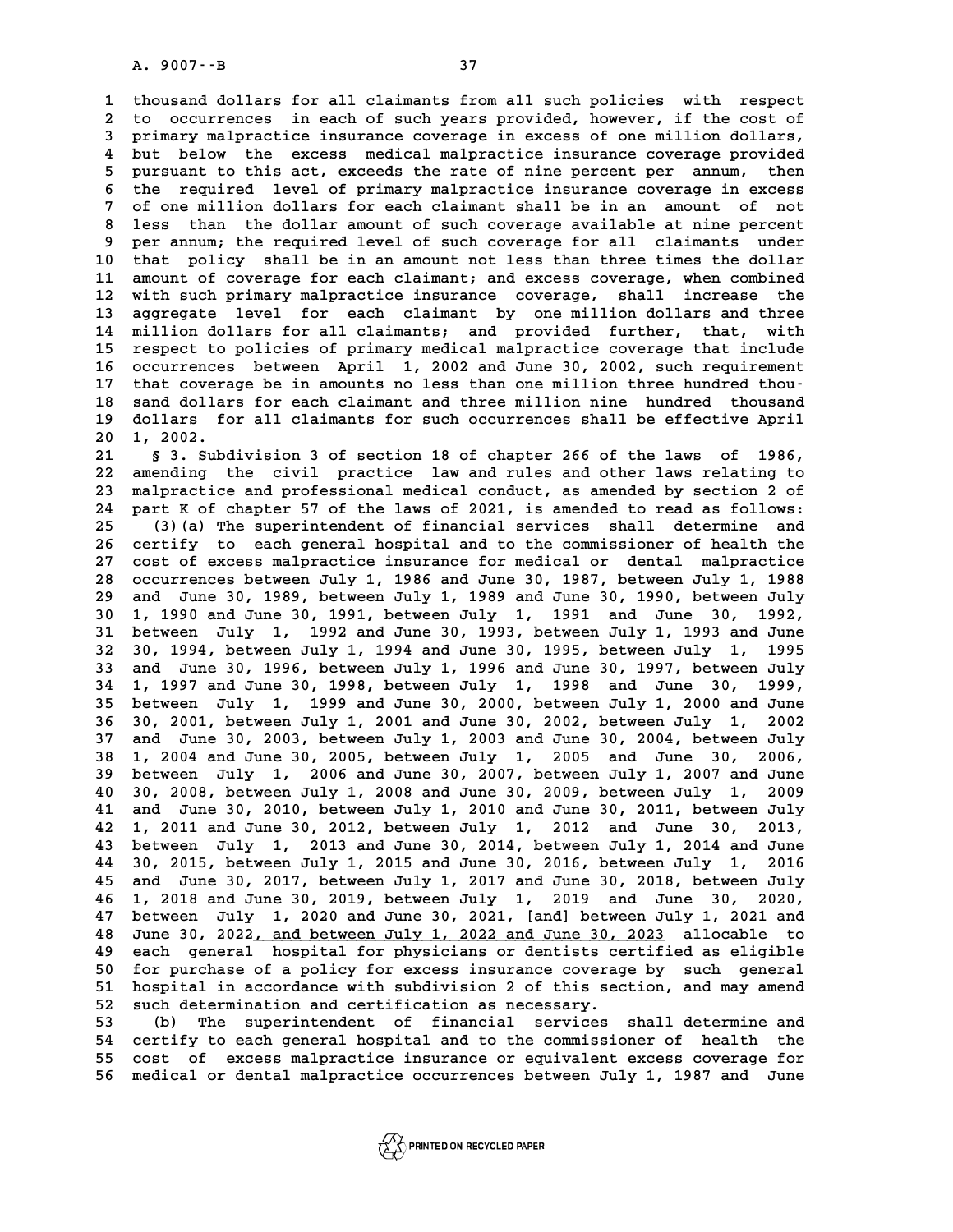**1 thousand dollars for all claimants from all such policies with respect** 1 thousand dollars for all claimants from all such policies with respect<br>2 to occurrences in each of such years provided, however, if the cost of<br>3 primary malpragtice insurance coverage in excess of one million dollars 1 thousand dollars for all claimants from all such policies with respect<br>2 to occurrences in each of such years provided, however, if the cost of<br>3 primary malpractice insurance coverage in excess of one million dollars,<br><sup></sup> 2 to occurrences in each of such years provided, however, if the cost of<br>3 primary malpractice insurance coverage in excess of one million dollars,<br>4 but below the excess medical malpractice insurance coverage provided<br>5 p 3 primary malpractice insurance coverage in excess of one million dollars,<br>4 but below the excess medical malpractice insurance coverage provided<br>5 pursuant to this act, exceeds the rate of nine percent per annum, then<br>5 t 4 but below the excess medical malpractice insurance coverage provided<br>5 pursuant to this act, exceeds the rate of nine percent per annum, then<br>6 the required level of primary malpractice insurance coverage in excess<br>7 of 5 pursuant to this act, exceeds the rate of nine percent per annum, then<br>6 the required level of primary malpractice insurance coverage in excess<br>7 of one million dollars for each claimant shall be in an amount of not<br>1955 **8 the required level of primary malpractice insurance coverage in excess**<br> **8 desired than the dollar amount of such coverage available at nine percent**<br> **8 nor annum, the required lovel of such coverage for all claimants** 9 of one million dollars for each claimant shall be in an amount of not<br>8 less than the dollar amount of such coverage available at nine percent<br>9 per annum; the required level of such coverage for all claimants under<br>8 th **10 that policy shall be in an amount not less than three times the dollar** 9 per annum; the required level of such coverage for all claimants under<br>10 that policy shall be in an amount not less than three times the dollar<br>11 amount of coverage for each claimant; and excess coverage, when combined that policy shall be in an amount not less than three times the dollar<br>11 amount of coverage for each claimant; and excess coverage, when combined<br>12 with such primary malpractice insurance coverage, shall increase the<br>13 11 amount of coverage for each claimant; and excess coverage, when combined<br>12 with such primary malpractice insurance coverage, shall increase the<br>13 aggregate level for each claimant by one million dollars and three<br>14 m 12 with such primary malpractice insurance coverage, shall increase the<br>13 aggregate level for each claimant by one million dollars and three<br>14 million dollars for all claimants; and provided further, that, with<br>15 regnes 13 aggregate level for each claimant by one million dollars and three<br>14 million dollars for all claimants; and provided further, that, with<br>15 respect to policies of primary medical malpractice coverage that include<br>16 co 14 million dollars for all claimants; and provided further, that, with<br>15 respect to policies of primary medical malpractice coverage that include<br>16 occurrences between April 1, 2002 and June 30, 2002, such requirement<br>17 15 respect to policies of primary medical malpractice coverage that include<br>16 occurrences between April 1, 2002 and June 30, 2002, such requirement<br>17 that coverage be in amounts no less than one million three hundred tho **16 occurrences between April 1, 2002 and June 30, 2002, such requirement**<br>17 that coverage be in amounts no less than one million three hundred thousand<br>18 dollars for all glaimants for such equipments can be affective Ap 17 that coverage be in amounts no less than one million three hundred thou-<br>18 sand dollars for each claimant and three million nine hundred thousand<br>19 dollars for all claimants for such occurrences shall be effective Apr 18 sand dollar<br>19 dollars fo<br>20 1, 2002.<br>21 8 3 Subd **21 \$1. Subdivision 3 of section 18 of chapter 266 of the laws of 1986,<br>
21 \$3. Subdivision 3 of section 18 of chapter 266 of the laws of 1986,<br>
22. Subdivision in practice, law and rules and other laws relating to** 

**20 1, 2002.**<br> **21 § 3. Subdivision 3 of section 18 of chapter 266 of the laws of 1986,<br>
<b>22 amending the civil practice law and rules and other laws relating to**<br> **23 malgraphs and professional medical conduct** as amended 8 3. Subdivision 3 of section 18 of chapter 266 of the laws of 1986,<br>22 amending the civil practice law and rules and other laws relating to<br>23 malpractice and professional medical conduct, as amended by section 2 of<br>24 pa 22 amending the civil practice law and rules and other laws relating to<br>23 malpractice and professional medical conduct, as amended by section 2 of<br>24 part K of chapter 57 of the laws of 2021, is amended to read as follows 23 malpractice and professional medical conduct, as amended by section 2 of part K of chapter 57 of the laws of 2021, is amended to read as follows:<br>25 (3)(a) The superintendent of financial services shall determine and<br>26 24 part K of chapter 57 of the laws of 2021, is amended to read as follows:<br>25 (3) (a) The superintendent of financial services shall determine and<br>26 certify to each general hospital and to the commissioner of health the<br> 25 (3) (a) The superintendent of financial services shall determine and<br>26 certify to each general hospital and to the commissioner of health the<br>27 cost of excess malpractice insurance for medical or dental malpractice<br>28 **28 occurrences between July 1, 1986 and June 30, 1987, between July 1, 1988 29 and June 30, 1989, between July 1, 1989 and June 30, 1990, between July 30 1, 1990 and June 30, 1991, between July 1, 1991 and June 30, 1992, 39 and June 30, 1989, between July 1, 1989 and June 30, 1990, between July 1, 1990 and June 30, 1991, between July 1, 1991 and June 30, 1992, between July 1, 1992 and June 30, 1993, between July 1, 1993 and June<br>31 betwee 1, 1990 and June 30, 1991, between July 1, 1991 and June 30, 1992, between July 1, 1992 and June 30, 1993, between July 1, 1993 and June 30, 1994, between July 1, 1994 and June 30, 1995, between July 1, 1995**<br>**32 30, 1994 31 between July 1, 1992 and June 30, 1993, between July 1, 1993 and June 30, 1994, between July 1, 1994 and June 30, 1995, between July 1, 1995 and June 30, 1996, between July 1, 1996 and June 30, 1997, between July**<br> **33 34 1, 1997 and June 30, 1998, between July 1, 1998 and June 30, 1999, 33 and June 30, 1996, between July 1, 1996 and June 30, 1997, between July 1, 1997 and June 30, 1998, between July 1, 1998 and June 30, 1999, between July 1, 1999 and June 30, 2000, between July 1, 2000 and June<br>35 betwee 1, 1997 and June 30, 1998, between July 1, 1998 and June 30, 1999, between July 1, 1999 and June 30, 2000, between July 1, 2002**<br>**35 between July 1, 1999 and June 30, 2000, between July 1, 2002**<br>**36 30, 2001, between July 35 between July 1, 1999 and June 30, 2000, between July 1, 2000 and June 30, 2001, between July 1, 2001 and June 30, 2002, between July 1, 2002**<br>**37 and June 30, 2003, between July 1, 2003 and June 30, 2004, between July 38 1, 2004 and June 30, 2005, between July 1, 2005 and June 30, 2006, 37 and June 30, 2003, between July 1, 2003 and June 30, 2004, between July 1, 2004 and June 30, 2005, between July 1, 2005 and June 30, 2006, between July 1, 2006 and June 30, 2007, between July 1, 2007 and June<br>39 betwee 40 30 30 30 30 30 30 4 40 30, 2005, between July 1, 2005 and June 30, 2006, 39 between July 1, 2006 and June 30, 2007, between July 1, 2009**<br>**40 30, 2008, between July 1, 2008 and June 30, 2009, between July 1, 2009**<br>**41** 39 between July 1, 2006 and June 30, 2007, between July 1, 2007 and June 40 30, 2008, between July 1, 2008 and June 30, 2010, between July 1, 2010 and June 30, 2011, between July 1, 2012 and June 30, 2013, between July 1, **42 1, 2011 and June 30, 2012, between July 1, 2012 and June 30, 2013, 43 between July 1, 2013 and June 30, 2014, between July 1, 2014 and June 42 1, 2011 and June 30, 2012, between July 1, 2012 and June 30, 2013,<br>
<b>43 between July 1, 2013 and June 30, 2014, between July 1, 2014 and June 30, 2015, between July 1, 2015**<br> **44 30, 2015, between July 1, 2015 and June 43 between July 1, 2013 and June 30, 2014, between July 1, 2014 and June 30, 2015, between July 1, 2015 and June 30, 2016, between July 1, 2016 and June 30, 2017, between July 1, 2017 and June 30, 2018, between July**<br>**45 44 30, 2015, between July 1, 2015 and June 30, 2016, between July 1, 2016<br>
45 and June 30, 2017, between July 1, 2017 and June 30, 2018, between July<br>
46 1, 2018 and June 30, 2019, between July 1, 2019 and June 30, 2020,<br> 45 and June 30, 2017, between July 1, 2017 and June 30, 2018, between July 1, 2018 and June 30, 2020, <br>46 1, 2018 and June 30, 2019, between July 1, 2019 and June 30, 2020, <br>47 between July 1, 2020 and June 30, 2021, [and 46 1, 2018 and June 30, 2019, between July 1, 2019 and June 30, 2020, between July 1, 2020 and June 30, 2021, [and] between July 1, 2021 and 30 and 50, 2021, [and] between July 1, 2021 and 48 June 30, 2022, and between Ju 47 between July 1, 2020 and June 30, 2021, [and] between July 1, 2021 and<br>48 June 30, 2022<u>, and between July 1, 2022 and June 30, 2023</u> allocable to<br>49 each general hospital for physicians or dentists certified as eligib 50 for purchase of a policy in the Solution Solution 19 for purchase of a policy for excess insurance coverage by such general**<br> **50** for purchase of a policy for excess insurance coverage by such general<br> **51** hospital i **50** each general hospital for physicians or dentists certified as eligible<br>50 for purchase of a policy for excess insurance coverage by such general<br>51 hospital in accordance with subdivision 2 of this section, and may am 50 for purchase of a policy for excess insurance coverage hospital in accordance with subdivision 2 of this sec<br>52 such determination and certification as necessary.<br>53 (b) The superintendent of financial services 51 hospital in accordance with subdivision 2 of this section, and may amend<br>52 such determination and certification as necessary.<br>53 (b) The superintendent of financial services shall determine and<br>54 certify to each gener

52 such determination and certification as necessary.<br>
53 (b) The superintendent of financial services shall determine and<br>
54 certify to each general hospital and to the commissioner of health the<br>
55 cert of excess malar 53 (b) The superintendent of financial services shall determine and<br>54 certify to each general hospital and to the commissioner of health the<br>55 cost of excess malpractice insurance or equivalent excess coverage for<br>56 mod **56 medical or dental malpractice occurrences between July 1, 1987 and June**

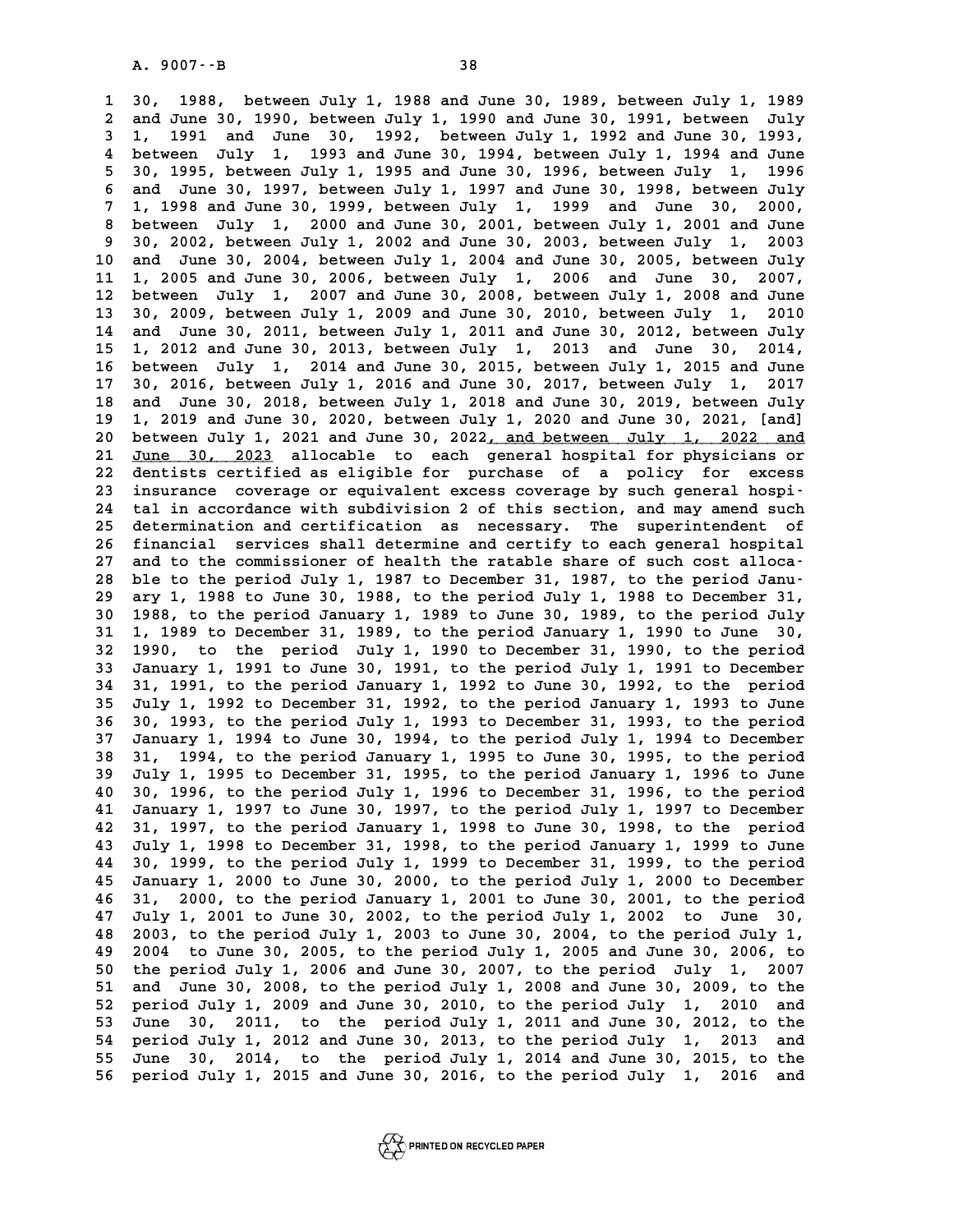**1 30, 1988, between July 1, 1988 and June 30, 1989, between July 1, 1989 2 2 and June 30, 2 and June 30, 1989, between July 1, 1989**<br>**2 and June 30, 1990, between July 1, 1990 and June 30, 1991, between July<br>2 1, 1991, and June 30, 1992, between July 1, 1992 and June 30, 1993 30, 1988, between July 1, 1988 and June 30, 1989, between July 1, 1989**<br> **2 and June 30, 1990, between July 1, 1990 and June 30, 1991, between July 1, 1991 and June 30, 1992, between July 1, 1992 and June 30, 1993,<br>
<b>4 be 4 and June 30, 1990, between July 1, 1990 and June 30, 1991, between July 1, 1991 and June 30, 1992, between July 1, 1992 and June 30, 1993, between July 1, 1993 and June<br>4 between July 1, 1993 and June 30, 1994, between 5 1, 1991 and June 30, 1992, between July 1, 1992 and June 30, 1993, <br>
4 between July 1, 1993 and June 30, 1994, between July 1, 1994 and June 5 30, 1995, between July 1, 1995<br>
5 30, 1995, between July 1, 1995 and June 30 6 4 and July 1, 1993 and June 30, 1994, between July 1, 1994 and June 30, 1995, between July 1, 1995 and June 30, 1996, between July 1, 1996 and June 30, 1997, between July 1, 1997 and June 30, 1998, between July<br>
<b>6 and 7 1, 1998 and June 30, 1999, between July 1, 1999 and June 30, 2000, 8 and June 30, 1997, between July 1, 1997 and June 30, 1998, between July 1, 1998 and June 30, 1999, between July 1, 1999 and June 30, 2000, between July 1, 2000 and June 30, 2001, between July 1, 2003 30, 2002, between J** 1, 1998 and June 30, 1999, between July 1, 1999 and June 30, 2000,<br>8 between July 1, 2000 and June 30, 2001, between July 1, 2001 and June<br>9 30, 2002, between July 1, 2002 and June 30, 2003, between July 1, 2003<br>10 and Jun **10 and June 30, 2004, between July 1, 2004 and June 30, 2005, between July 11 1, 2002, between July 1, 2002 and June 30, 2003, between July 1, 2003**<br> **10 and June 30, 2004, between July 1, 2004 and June 30, 2005, between July 1, 2005 and June 30, 2006, between July 1, 2006 and June 30, 2007,<br>
<b>1 10** and June 30, 2004, between July 1, 2004 and June 30, 2005, between July 1, 2005 and June 30, 2006, between July 1, 2006 and June 30, 2007, <br>12 between July 1, 2007 and June 30, 2008, between July 1, 2008 and June<br>13 3 11 1, 2005 and June 30, 2006, between July 1, 2006 and June 30, 2007,<br>12 between July 1, 2007 and June 30, 2008, between July 1, 2008 and June<br>13 30, 2009, between July 1, 2009 and June 30, 2010, between July 1, 2010<br>14 an 12 between July 1, 2007 and June 30, 2008, between July 1, 2008 and June 13 30, 2009, between July 1, 2009 and June 30, 2010, between July 1, 2010 and June 30, 2011, between July 1, 2011 and June 30, 2012, between July 1, **13 30, 2009, between July 1, 2009 and June 30, 2010, between July 1, 2010**<br>**14 and June 30, 2011, between July 1, 2011 and June 30, 2012, between July 1, 2012 and June 30, 2013, between July 1, 2013 and June 30, 2014,<br><b>15 14 and June 30, 2011, between July 1, 2011 and June 30, 2012, between July 1, 2012 and June 30, 2013, between July 1, 2013 and June 30, 2014, <br>16 between July 1, 2014 and June 30, 2015, between July 1, 2015 and June<br>17 30 15 1, 2012 and June 30, 2013, between July 1, 2013 and June 30, 2014, 16 between July 1, 2014 and June 30, 2015, between July 1, 2015 and June 30, 2016, between July 1, 2016 and June 30, 2017, between July 1, 2017**<br>**17 30 16 between July 1, 2014 and June 30, 2015, between July 1, 2015 and June 17 30, 2016, between July 1, 2016 and June 30, 2017, between July 1, 2017 and June 30, 2018, between July 1, 2018 and June 30, 2019, between July<br>18 17 30, 2016, between July 1, 2016 and June 30, 2017, between July 1, 2017**<br>**18 and June 30, 2018, between July 1, 2018 and June 30, 2019, between July 1, 2019 and June 30, 2020, between July 1, 2020 and June 30, 2021, [an 20 and June 30, 2018, between July 1, 2018 and June 30, 2019, between July 1, 2019 and June 30, 2020, between July 1, 2020 and June 30, 2021, [and]<br>20 between July 1, 2021 and June 30, 2022<u>, and between July 1, 2022 and</u>** 19 1, 2019 and June 30, 2020, between July 1, 2020 and June 30, 2021, [and]<br>20 between July 1, 2021 and June 30, 2022<u>, and between July 1, 2022 and</u><br>21 <u>June 30, 2023</u> allocable to each general hospital for physicians or<br> 20 between July 1, 2021 and June 30, 2022<u>, and between July 1, 2022 and</u><br>21 <u>June 30, 2023</u> allocable to each general hospital for physicians or<br>22 dentists certified as eligible for purchase of a policy for excess<br>23 ins 21 June 30, 2023 allocable to each general hospital for physicians or<br>
22 dentists certified as eligible for purchase of a policy for excess<br>
23 insurance coverage or equivalent excess coverage by such general hospi-<br>
24 t 22 dentists certified as eligible for purchase of a policy for excess<br>23 insurance coverage or equivalent excess coverage by such general hospi-<br>24 tal in accordance with subdivision 2 of this section, and may amend such<br>2 23 insurance coverage or equivalent excess coverage by such general hospi-<br>24 tal in accordance with subdivision 2 of this section, and may amend such<br>25 determination and certification as necessary. The superintendent of<br> 24 tal in accordance with subdivision 2 of this section, and may amend such<br>25 determination and certification as necessary. The superintendent of<br>26 financial services shall determine and certify to each general hospital<br> 25 determination and certification as necessary. The superintendent of<br>
26 financial services shall determine and certify to each general hospital<br>
27 and to the commissioner of health the ratable share of such cost alloca 26 financial services shall determine and certify to each general hospital<br>
27 and to the commissioner of health the ratable share of such cost alloca-<br>
28 ble to the period July 1, 1987 to December 31, 1987, to the period **29 ary 1, 1988 to June 30, 1988, to the period July 1, 1988 to December 31, 30 1988, to the period January 1, 1989 to June 30, 1989, to the period July 39 ary 1, 1988 to June 30, 1988, to the period July 1, 1988 to December 31, 1988, to the period January 1, 1989 to June 30, 1989, to the period July 1, 1989 to December 31, 1989, to the period January 1, 1990 to June 30, 1988, to the period January 1, 1989 to June 30, 1989, to the period July 1, 1989 to December 31, 1989, to the period January 1, 1990 to June 30, 1990, to the period July 1, 1990 to December 31, 1990, to the period**<br>**32 19 31 1, 1989 to December 31, 1989, to the period January 1, 1990 to June 30, 1990, to the period July 1, 1990 to December 31, 1990, to the period 33 January 1, 1991 to June 30, 1991, to the period July 1, 1991 to December**<br> **34 31, 1991, to the period January 1, 1992 to June 30, 1992, to the period 33 January 1, 1991 to June 30, 1991, to the period July 1, 1991 to December 31, 1991, to the period January 1, 1992 to June 30, 1992, to the period January 1, 1992 to December 31, 1992, to the period January 1, 1993 to Ju 34 31, 1991, to the period January 1, 1992 to June 30, 1992, to the period**<br>**35 July 1, 1992 to December 31, 1992, to the period January 1, 1993 to June 36 30, 1993, to the period July 1, 1993 to December 31, 1993, to the 35 July 1, 1992 to December 31, 1992, to the period January 1, 1993 to June 36 30, 1993, to the period July 1, 1993 to December 31, 1993, to the period 37 January 1, 1994 to June 30, 1994, to the period January 1, 1995 to 36 30, 1993, to the period July 1, 1993 to December 31, 1993, to the period**<br>**37 January 1, 1994 to June 30, 1994, to the period July 1, 1994 to December 38 31, 1994, to the period January 1, 1995 to June 30, 1995, to the 37 January 1, 1994 to June 30, 1994, to the period July 1, 1994 to December 38 31, 1994, to the period January 1, 1995 to June 30, 1995, to the period January 1, 1996 to June<br>39 July 1, 1995 to December 31, 1995, to the p 40 31, 1994, to the period January 1, 1995 to June 30, 1995, to the period**<br>**40 30, 1996, to the period July 1, 1996 to December 31, 1996, to the period**<br>**40 30, 1996, to the period July 1, 1996 to December 31, 1996, to t** 39 July 1, 1995 to December 31, 1995, to the period January 1, 1996 to June 40 30, 1996, to the period July 1, 1996 to December 31, 1996, to the period 41 January 1, 1997 to June 30, 1997, to the period July 1, 1997 to Dec **40 30, 1996, to the period July 1, 1996 to December 31, 1996, to the period**<br>**41 January 1, 1997 to June 30, 1997, to the period July 1, 1997 to December<br>42 31, 1997, to the period January 1, 1998 to June 30, 1998, to the 41 January 1, 1997 to June 30, 1997, to the period July 1, 1997 to December 42 31, 1997, to the period January 1, 1998 to June 30, 1998, to the period January 1, 1998 to December 31, 1998, to the period January 1, 1999 to 42 31, 1997, to the period January 1, 1998 to June 30, 1998, to the period**<br>**43 July 1, 1998 to December 31, 1998, to the period January 1, 1999 to June 30, 1999, to the period July 1, 1999 to December 31, 1999, to the pe 43 July 1, 1998 to December 31, 1998, to the period January 1, 1999 to June 30, 1999, to the period July 1, 1999 to December 31, 1999, to the period January 1, 2000 to June 30, 2000, to the period July 1, 2000 to December 44 30, 1999, to the period July 1, 1999 to December 31, 1999, to the period**<br>**45 January 1, 2000 to June 30, 2000, to the period July 1, 2000 to December**<br>**46 31, 2000, to the period January 1, 2001 to June 30, 2001, to t** 45 January 1, 2000 to June 30, 2000, to the period July 1, 2000 to December 46 31, 2000, to the period January 1, 2001 to June 30, 2001, to the period 47 July 1, 2001 to June 30, 2002, to the period July 1, 2002 to June 30 **48 2003, to the period July 1, 2003 to June 30, 2004, to the period July 1, 47 July 1, 2001 to June 30, 2002, to the period July 1, 2002 to June 30, 2003, to the period July 1, 2003 to June 30, 2004, to the period July 1, 2004 to June 30, 2005, to the period July 1, 2005 and June 30, 2006, to**<br>**4 50 10000 10000 10000 10000 10000 10000 10000 10000 10000 10000 10000 10000 10000 100000 100000 100000 100000 100000 100000 100000 100000 100000 100000 100000 100000 100000 100000 100000 100000 100000 100000 100000 100000 49 2004 to June 30, 2005, to the period July 1, 2005 and June 30, 2006, to the period July 1, 2006 and June 30, 2007, to the period July 1, 2007 and June 30, 2008, to the period July 1, 2008 and June 30, 2009, to the peri** 50 the period July 1, 2006 and June 30, 2007, to the period July 1, 2007<br>51 and June 30, 2008, to the period July 1, 2008 and June 30, 2009, to the<br>52 period July 1, 2009 and June 30, 2010, to the period July 1, 2010 and<br>5 51 and June 30, 2008, to the period July 1, 2008 and June 30, 2009, to the<br>52 period July 1, 2009 and June 30, 2010, to the period July 1, 2010 and<br>53 June 30, 2011, to the period July 1, 2011 and June 30, 2012, to the<br>54 **52 period July 1, 2009 and June 30, 2010, to the period July 1, 2010 and<br>53 June 30, 2011, to the period July 1, 2011 and June 30, 2012, to the<br>54 period July 1, 2012 and June 30, 2013, to the period July 1, 2013 and<br>55 J 53** June 30, 2011, to the period July 1, 2011 and June 30, 2012, to the<br>54 period July 1, 2012 and June 30, 2013, to the period July 1, 2013 and<br>55 June 30, 2014, to the period July 1, 2014 and June 30, 2015, to the<br>56 pe **56 period July 1, 2015 and June 30, 2016, to the period July 1, 2016 and**

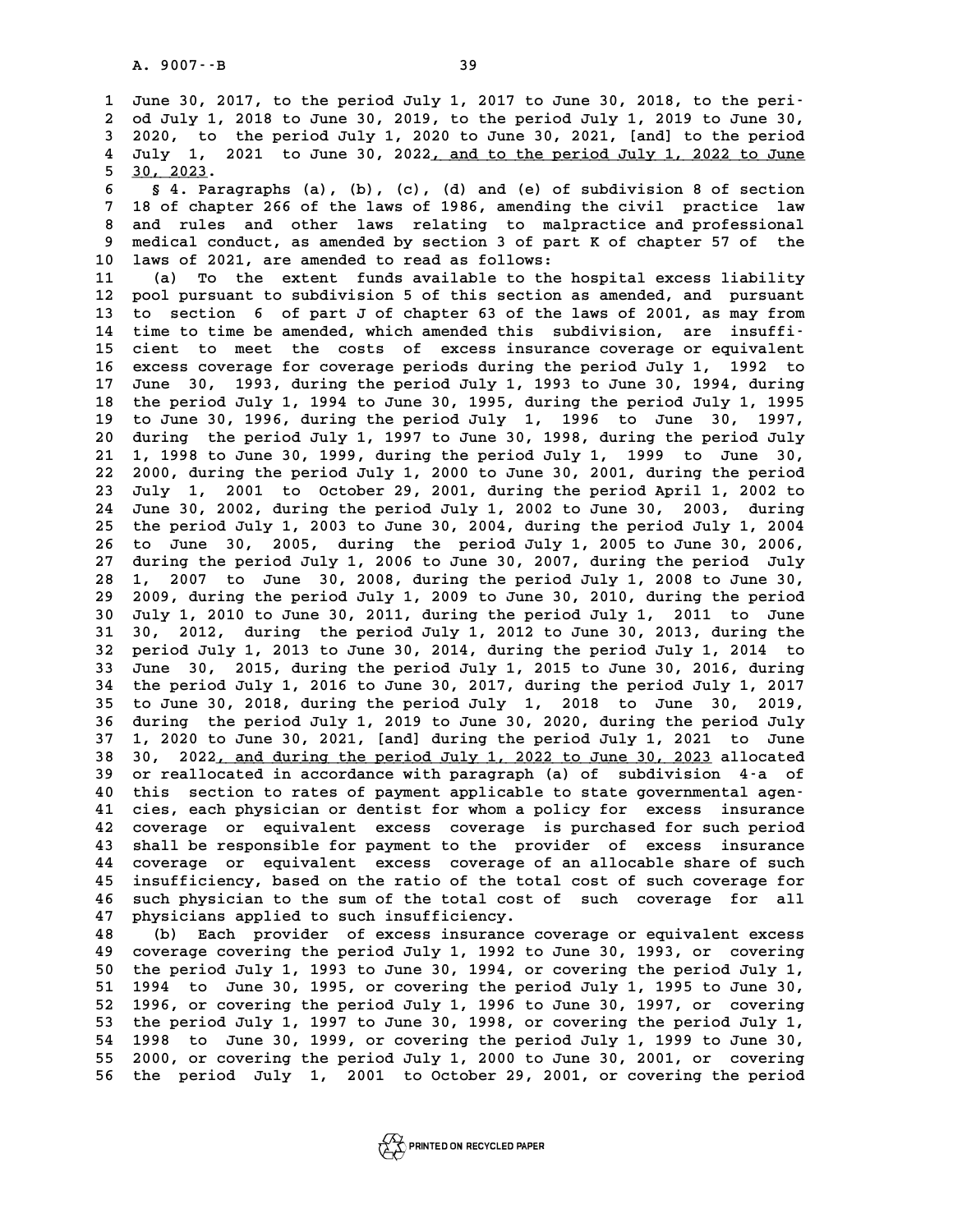**1** June 30, 2017, to the period July 1, 2017 to June 30, 2018, to the peri-<br> **1** June 30, 2017, to the period July 1, 2017 to June 30, 2018, to the peri-**2** June 30, 2017, to the period July 1, 2017 to June 30, 2018, to the peri-<br>2 od July 1, 2018 to June 30, 2019, to the period July 1, 2019 to June 30,<br>3 2020, to the period July 1, 2020 to June 30, 2021, [and] to the peri **3 3 2020, 10 3020 11 3020 11:** June 30, 2018, to the period July 1, 2018 to June 30, 2019, to the period July 1, 2019 to June 30, 2020, to the period July 1, 2020 to June 30, 2021, [and] to the period<br> **3 2020, to the per** 2 od July 1, 2018 to June 30, 2019, to the period July 1, 2019 to June 30,<br>3 2020, to the period July 1, 2020 to June 30, 2021, [and] to the period<br>4 July 1, 2021 to June 30, 2022<u>, and to the period July 1, 2022 to June</u><br> d July 1, 2018 to June 30, 2019, to the period July 1, 2019 to June 30, 2020, to the period July 1, 2020 to June 30, 2021, [and] to the period 4 July 1, 2021 to June 30, 2022<u>, and to the period July 1, 2022 to June</u> 5 30, **6 § 4. Paragraphs (a), 2022, and to the period July 1, 2022 to June<br>
<u>5 30, 2023</u>.<br>
6 § 4. Paragraphs (a), (b), (c), (d) and (e) of subdivision 8 of section<br>
7 <sup>18</sup> of shantor 266 of the laws of 1986, amonding the givil p** 

**7 18 of 2023.**<br> **8 4. Paragraphs (a), (b), (c), (d) and (e) of subdivision 8 of section<br>
<b>7 18 of chapter 266 of the laws of 1986, amending the civil practice law**<br> **8** and write and other laws relating to malanceti **8 4. Paragraphs (a), (b), (c), (d) and (e) of subdivision 8 of section**<br> **8 and rules and other laws relating to malpractice and professional**<br> **8 and rules and other laws relating to malpractice and professional**<br> **9 and 9 medical conducts** and other laws of 1986, amending the civil practice law<br> **9 and rules and other laws relating to malpractice and professional<br>
<b>9 medical conduct, as amended by section 3 of part K of chapter 57 of the** 8 and rules and other laws relating to malpractice and professional<br>
9 medical conduct, as amended by section 3 of part K of chapter 57 of the<br>
10 laws of 2021, are amended to read as follows:<br>
11 (a) To the extent funds a 9 medical conduct, as amended by section 3 of part K of chapter 57 of the 10 laws of 2021, are amended to read as follows:<br>11 (a) To the extent funds available to the hospital excess liability<br>12 pool pursuant to subdivisi

**10 laws of 2021, are amended to read as follows:**<br> **11** (a) To the extent funds available to the hospital excess liability<br> **12** pool pursuant to subdivision 5 of this section as amended, and pursuant<br> **13** to section 6 o 11 (a) To the extent funds available to the hospital excess liability<br>12 pool pursuant to subdivision 5 of this section as amended, and pursuant<br>13 to section 6 of part J of chapter 63 of the laws of 2001, as may from<br>14 t 12 pool pursuant to subdivision 5 of this section as amended, and pursuant<br>
13 to section 6 of part J of chapter 63 of the laws of 2001, as may from<br>
14 time to time be amended, which amended this subdivision, are insuffi-13 to section 6 of part J of chapter 63 of the laws of 2001, as may from<br>14 time to time be amended, which amended this subdivision, are insuffi-<br>15 cient to meet the costs of excess insurance coverage or equivalent<br>16 exc **16 excess coverage for coverage periods during the period July 1, 1992 to** 15 cient to meet the costs of excess insurance coverage or equivalent<br>16 excess coverage for coverage periods during the period July 1, 1992 to<br>17 June 30, 1993, during the period July 1, 1993 to June 30, 1994, during<br>the **16 excess coverage for coverage periods during the period July 1, 1992 to June 30, 1993, during the period July 1, 1993 to June 30, 1994, during the period July 1, 1994 to June 30, 1995, during the period July 1, 1995**<br>**1 17** June 30, 1993, during the period July 1, 1993 to June 30, 1994, during<br>18 the period July 1, 1994 to June 30, 1995, during the period July 1, 1995<br>19 to June 30, 1996, during the period July 1, 1996 to June 30, 1997,<br> 18 the period July 1, 1994 to June 30, 1995, during the period July 1, 1995<br>19 to June 30, 1996, during the period July 1, 1996 to June 30, 1997,<br>20 during the period July 1, 1997 to June 30, 1998, during the period July<br>2 19 to June 30, 1996, during the period July 1, 1996 to June 30, 1997,<br>20 during the period July 1, 1997 to June 30, 1998, during the period July<br>21 1, 1998 to June 30, 1999, during the period July 1, 1999 to June 30,<br>22, 2 **20 during the period July 1, 1997 to June 30, 1998, during the period July 1, 1998 to June 30, 1999, during the period July 1, 1999 to June 30, 2000, during the period July 1, 2000 to June 30, 2001, during the period**<br>22 **21 1, 1998 to June 30, 1999, during the period July 1, 1999 to June 30, 2000, during the period July 1, 2000 to June 30, 2001, during the period 3 July 1, 2001 to October 29, 2001, during the period April 1, 2002 to**  $\frac{$ 22 2000, during the period July 1, 2000 to June 30, 2001, during the period<br>23 July 1, 2001 to October 29, 2001, during the period April 1, 2002 to<br>24 June 30, 2002, during the period July 1, 2002 to June 30, 2003, during<br> **23 July 1, 2001 to October 29, 2001, during the period April 1, 2002 to June 30, 2002, during the period July 1, 2002 to June 30, 2003, during the period July 1, 2003 to June 30, 2004, during the period July 1, 2004<br>25 th** 24 June 30, 2002, during the period July 1, 2002 to June 30, 2003, during<br>25 the period July 1, 2003 to June 30, 2004, during the period July 1, 2004<br>26 to June 30, 2005, during the period July 1, 2005 to June 30, 2006,<br>27 25 the period July 1, 2003 to June 30, 2004, during the period July 1, 2004<br>26 to June 30, 2005, during the period July 1, 2005 to June 30, 2006,<br>27 during the period July 1, 2006 to June 30, 2007, during the period July<br>2 26 to June 30, 2005, during the period July 1, 2005 to June 30, 2006, 27 during the period July 1, 2006 to June 30, 2007, during the period July 28 1, 2007 to June 30, 2008, during the period July 1, 2008 to June 30, 2010, **29 2009, during the period July 1, 2009 to June 30, 2010, during the period 30 1, 2007 to June 30, 2008, during the period July 1, 2008 to June 30, 2010, during the period July 1, 2010 to June 30, 2011, during the period July 1, 2011 to June<br>30 July 1, 2010 to June 30, 2011, during the period Jul 29 2009, during the period July 1, 2009 to June 30, 2010, during the period July 1, 2010 to June 30, 2011, during the period July 1, 2011 to June 31 30, 2012, during the period July 1, 2012 to June 30, 2013, during the pe 30 July 1, 2010 to June 30, 2011, during the period July 1, 2011 to June 31 30, 2012, during the period July 1, 2012 to June 30, 2013, during the period July 1, 2013 to June 30, 2014, during the period July 1, 2014 to \frac** 31 30, 2012, during the period July 1, 2012 to June 30, 2013, during the period July 1, 2013 to June 30, 2014, during the period July 1, 2014 to 33 June 30, 2015, during the period July 1, 2015 to June 30, 2016, during<br>34 32 period July 1, 2013 to June 30, 2014, during the period July 1, 2014 to 33 June 30, 2015, during the period July 1, 2015 to June 30, 2016, during the period July 1, 2016 to June 30, 2017, during the period July 1, 2017<br> **35 to June 30, 2018, during the period July 1, 2018 to June 30, 2019, 34 the period July 1, 2016 to June 30, 2017, during the period July 1, 2017**<br>**35 to June 30, 2018, during the period July 1, 2018 to June 30, 2019,<br>36 during the period July 1, 2019 to June 30, 2020, during the period Jul 35 to June 30, 2018, during the period July 1, 2018 to June 30, 2019,<br>36 during the period July 1, 2019 to June 30, 2020, during the period July<br>37 1, 2020 to June 30, 2021, [and] during the period July 1, 2021 to June<br>28** 36 during the period July 1, 2019 to June 30, 2020, during the period July 1, 2020 to June 30, 2021, [and] during the period July 1, 2021 to June 30, 2022, and during the period July 1, 2022 to June 30, 2023 allocated or r 37 1, 2020 to June 30, 2021, [and] during the period July 1, 2021 to June 30, 2022, and during the period July 1, 2022 to June 30, 2023 allocated or reallocated in accordance with paragraph (a) of subdivision 4-a of this s 30 30, 2022<u>, and during the period July 1, 2022 to June 30, 2023</u> allocated<br>39 or reallocated in accordance with paragraph (a) of subdivision 4-a of<br>40 this section to rates of payment applicable to state governmental age **41 cies, each physician or dentist for whom a policy for excess insurance** 40 this section to rates of payment applicable to state governmental agen-<br>41 cies, each physician or dentist for whom a policy for excess insurance<br>42 coverage or equivalent excess coverage is purchased for such period<br>43 41 cies, each physician or dentist for whom a policy for excess insurance<br>42 coverage or equivalent excess coverage is purchased for such period<br>43 shall be responsible for payment to the provider of excess insurance<br>44 co 42 coverage or equivalent excess coverage is purchased for such period<br>43 shall be responsible for payment to the provider of excess insurance<br>44 coverage or equivalent excess coverage of an allocable share of such<br>15 inqu 43 shall be responsible for payment to the provider of excess insurance<br>44 coverage or equivalent excess coverage of an allocable share of such<br>45 insufficiency, based on the ratio of the total cost of such coverage for<br>46 44 coverage or equivalent excess coverage of an allocable share of such<br>45 insufficiency, based on the ratio of the total cost of such coverage for<br>46 such physician to the sum of the total cost of such coverage for all<br>47 45 insufficiency, based on the ratio of the total cost of such coverage for<br>46 such physician to the sum of the total cost of such coverage for all<br>47 physicians applied to such insufficiency.<br>48 (b) Each provider of exces

46 such physician to the sum of the total cost of such coverage for all<br>47 physicians applied to such insufficiency.<br>48 (b) Each provider of excess insurance coverage or equivalent excess<br>49 coverage covering the period Ju **49 coverage covering the period July 1, 1992 to June 30, 1993, or covering** (b) Each provider of excess insurance coverage or equivalent excess<br>49 coverage covering the period July 1, 1992 to June 30, 1993, or covering<br>50 the period July 1, 1993 to June 30, 1994, or covering the period July 1,<br>51 **50 coverage covering the period July 1, 1992 to June 30, 1993, or covering the period July 1, 1993 to June 30, 1994, or covering the period July 1, 1994 to June 30, 1995, or covering the period July 1, 1995 to June 30, 19 50** the period July 1, 1993 to June 30, 1994, or covering the period July 1, 1994 to June 30, 1995, or covering the period July 1, 1995 to June 30, 1996, or covering the period July 1, 1996 to June 30, 1997, or covering<br>5 1994 to June 30, 1995, or covering the period July 1, 1995 to June 30, 1996, or covering the period July 1, 1996 to June 30, 1997, or covering the period July 1, 1997 to June 30, 1998, or covering the period July 1, 1998 t **54 1998 to June 30, 1999, or covering the period July 1, 1999 to June 30, 53 the period July 1, 1997 to June 30, 1998, or covering the period July 1, 1998 to June 30, 1999, or covering the period July 1, 1999 to June 30, 2000, or covering the period July 1, 2000 to June 30, 2001, or covering<br>55** 54 1998 to June 30, 1999, or covering the period July 1, 1999 to June 30,<br>55 2000, or covering the period July 1, 2000 to June 30, 2001, or covering<br>56 the period July 1, 2001 to October 29, 2001, or covering the period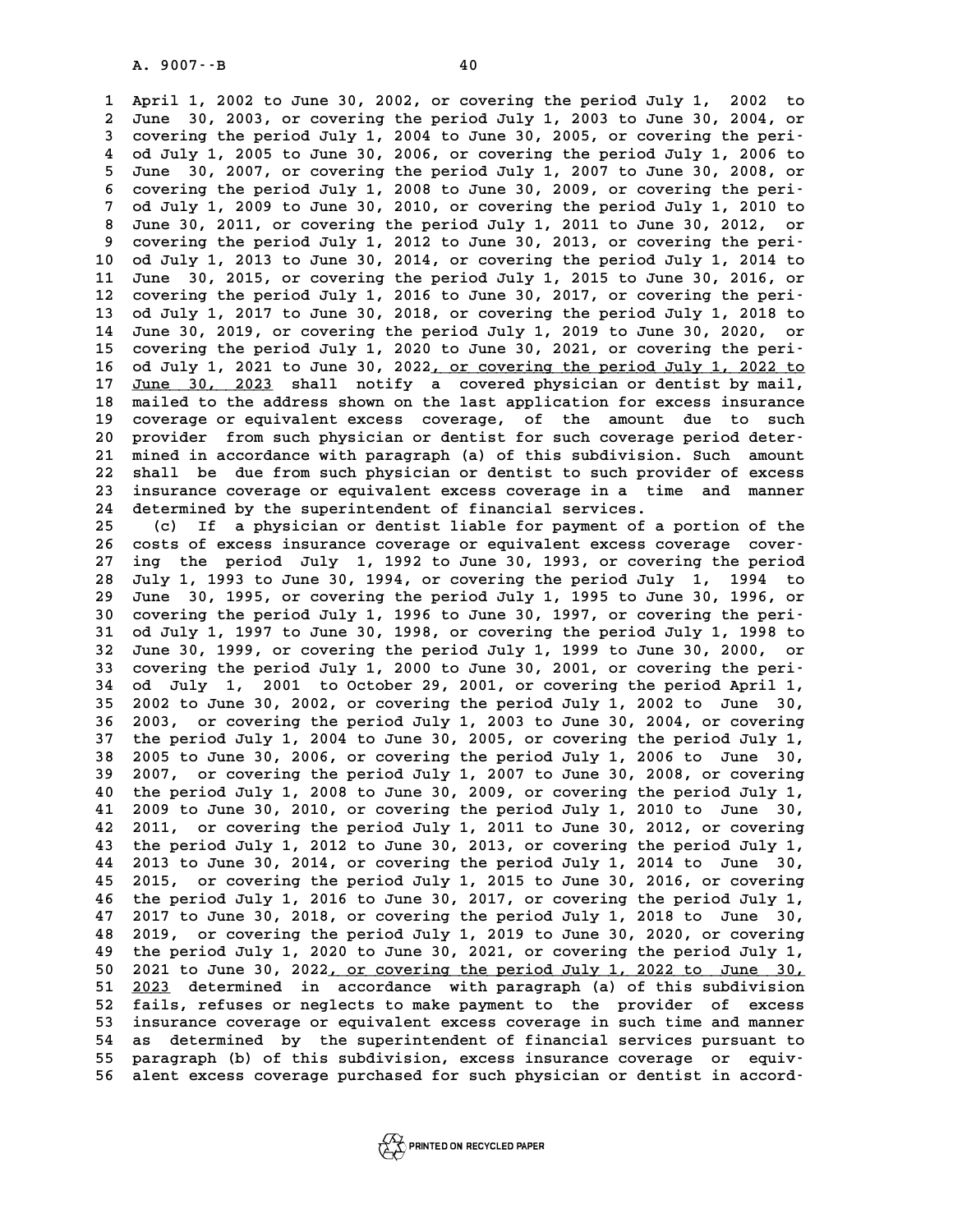**1 April 1, 2002 to June 30, 2002, or covering the period July 1, 2002 to 2** April 1, 2002 to June 30, 2002, or covering the period July 1, 2002 to June 30, 2003, or covering the period July 1, 2003 to June 30, 2004, or **3** April 1, 2002 to June 30, 2002, or covering the period July 1, 2002 to June 30, 2003, or covering the period July 1, 2003 to June 30, 2004, or covering the period July 1, 2004 to June 30, 2005, or covering the peri-<br> **4** June 30, 2003, or covering the period July 1, 2003 to June 30, 2004, or covering the period July 1, 2004 to June 30, 2005, or covering the period July 1, 2005 to June 30, 2006, or covering the period July 1, 2006 to Ju **5 Supering the period July 1, 2004 to June 30, 2005, or covering the peri-**<br>**4 Od July 1, 2005 to June 30, 2006, or covering the period July 1, 2006 to<br><b>5 June 30, 2007, or covering the period July 1, 2007 to June 30, 200 6 July 1, 2005 to June 30, 2006, or covering the period July 1, 2006 to June 30, 2007, or covering the period July 1, 2007 to June 30, 2008, or covering the period July 1, 2008 to June 30, 2009, or covering the peri-<br>
<b>6 7** June 30, 2007, or covering the period July 1, 2007 to June 30, 2008, or covering the period July 1, 2008 to June 30, 2009, or covering the period July 1, 2009 to June 30, 2010, or covering the period July 1, 2010 to<br>7 **8 covering the period July 1, 2008 to June 30, 2009, or covering the peri-<br>
7 od July 1, 2009 to June 30, 2010, or covering the period July 1, 2010 to<br>
8 June 30, 2011, or covering the period July 1, 2011 to June 30, 2012** 7 od July 1, 2009 to June 30, 2010, or covering the period July 1, 2010 to 3 June 30, 2011, or covering the period July 1, 2011 to June 30, 2012, or covering the period July 1, 2012 to June 30, 2013, or covering the peri-<br> 8 June 30, 2011, or covering the period July 1, 2011 to June 30, 2012, or<br>9 covering the period July 1, 2012 to June 30, 2013, or covering the peri-<br>10 od July 1, 2013 to June 30, 2014, or covering the period July 1, 2014 9 covering the period July 1, 2012 to June 30, 2013, or covering the peri-<br>10 od July 1, 2013 to June 30, 2014, or covering the period July 1, 2014 to<br>11 June 30, 2015, or covering the period July 1, 2015 to June 30, 2016, 10 od July 1, 2013 to June 30, 2014, or covering the period July 1, 2014 to June 30, 2015, or covering the period July 1, 2015 to June 30, 2016, or covering the period July 1, 2016 to June 30, 2017, or covering the peri-<br> **11** June 30, 2015, or covering the period July 1, 2015 to June 30, 2016, or<br>12 covering the period July 1, 2016 to June 30, 2017, or covering the peri-<br>13 od July 1, 2017 to June 30, 2018, or covering the period July 1, 2 12 covering the period July 1, 2016 to June 30, 2017, or covering the peri-<br>13 od July 1, 2017 to June 30, 2018, or covering the period July 1, 2018 to<br>14 June 30, 2019, or covering the period July 1, 2019 to June 30, 2020 13 od July 1, 2017 to June 30, 2018, or covering the period July 1, 2018 to 14 June 30, 2019, or covering the period July 1, 2021 to June 30, 2021, or covering the peri-<br>15 covering the period July 1, 2020 to June 30, 2021 **16** od July 1, 2021 to June 30, 2022, or covering the period July 1, 2022 to <br>17 June 30, 2023 shall notify a covered physician or dentist by mail, covering the period July 1, 2020 to June 30, 2021, or covering the peri-<br>16 od July 1, 2021 to June 30, 2022<u>, or covering the period July 1, 2022 to</u><br>17 <u>June 30, 2023</u> shall notify a covered physician or dentist by mail, **16 od July 1, 2021 to June 30, 2022<u>, or covering the period July 1, 2022 to</u><br>17 <u>June 30, 2023</u> shall notify a covered physician or dentist by mail,<br>18 mailed to the address shown on the last application for excess insur 17 June 30, 2023 shall notify a covered physician or dentist by mail,**<br>18 mailed to the address shown on the last application for excess insurance<br>19 coverage or equivalent excess coverage, of the amount due to such<br>20 pr 18 mailed to the address shown on the last application for excess insurance<br>
20 coverage or equivalent excess coverage, of the amount due to such<br>
20 provider from such physician or dentist for such coverage period deter-<br> 21 coverage or equivalent excess coverage, of the amount due to such<br>20 provider from such physician or dentist for such coverage period deter-<br>21 mined in accordance with paragraph (a) of this subdivision. Such amount<br>22 20 provider from such physician or dentist for such coverage period deter-<br>21 mined in accordance with paragraph (a) of this subdivision. Such amount<br>22 shall be due from such physician or dentist to such provider of exces 21 mined in accordance with paragraph (a) of this subdivision. Such amount<br>22 shall be due from such physician or dentist to such provider of excess<br>23 insurance coverage or equivalent excess coverage in a time and manner<br> 22 shall be due from such physician or dentist to such prov<br>23 insurance coverage or equivalent excess coverage in a time<br>24 determined by the superintendent of financial services.<br>25 (a) If a physician or dentist liable f 23 insurance coverage or equivalent excess coverage in a time and manner<br>24 determined by the superintendent of financial services.<br>25 (c) If a physician or dentist liable for payment of a portion of the<br>26 costs of excess **26 costs of excess insurance coverage or equivalent excess coverage cover-27 ing the period July 1, 1992 to June 30, 1993, or covering the period 28 July 1, 1993 to June 30, 1994, or covering the period July 1, 1994 to** 27 ing the period July 1, 1992 to June 30, 1993, or covering the period<br>28 July 1, 1993 to June 30, 1994, or covering the period July 1, 1994 to<br>29 June 30, 1995, or covering the period July 1, 1995 to June 30, 1996, or<br>20 **30 July 1, 1993 to June 30, 1994, or covering the period July 1, 1994 to June 30, 1995, or covering the period July 1, 1995 to June 30, 1996, or covering the period July 1, 1996 to June 30, 1997, or covering the peri-<br>
<b>3 30 June 30, 1995, or covering the period July 1, 1995 to June 30, 1996, or covering the period July 1, 1996 to June 30, 1997, or covering the period July 1, 1997 to June 30, 1998, or covering the period July 1, 1998 to<br>31** 30 covering the period July 1, 1996 to June 30, 1997, or covering the peri<sup>31</sup> od July 1, 1997 to June 30, 1998, or covering the period July 1, 1998 to June 30, 1999, or covering the period July 1, 1999 to June 30, 2000, o 31 od July 1, 1997 to June 30, 1998, or covering the period July 1, 1998 to 32 June 30, 1999, or covering the period July 1, 1999 to June 30, 2000, or covering the period July 1, 2000 to June 30, 2001, or covering the peri 32 June 30, 1999, or covering the period July 1, 1999 to June 30, 2000, or covering the period July 1, 2000 to June 30, 2001, or covering the period April 1, 35 2002 to June 30, 2002, or covering the period July 1, 2002 to **35 2002 to June 30, 2002, or covering the period July 1, 2002 to June 30, 34 od July 1, 2001 to October 29, 2001, or covering the period April 1, 2002 to June 30, 2002 to June 30, 2003, or covering the period July 1, 2003 to June 30, 2003, or covering the period July 1, 2003 to June 30, 2004, o 35 2002 to June 30, 2002, or covering the period July 1, 2002 to June 30, 2003, or covering the period July 1, 2003 to June 30, 2004, or covering the period July 1, 2004 to June 30, 2005, or covering the period July 1, 20** 

**36 2003, or covering the period July 1, 2003 to June 30, 2004, or covering the period July 1, 2004 to June 30, 2005, or covering the period July 1, 2005 to June 30, 2006, or covering the period July 1, 2006 to June 30, 20** 37 the period July 1, 2004 to June 30, 2005, or covering the period July 1, 38 2005 to June 30, 2006, or covering the period July 1, 2006 to June 30, 2007, or covering the period July 1, 2007 to June 30, 2008, or covering 2005 to June 30, 2006, or covering the period July 1, 2006 to June 30, 2007, or covering the period July 1, 2007 to June 30, 2008, or covering the period July 1, 2008 to June 30, 2009, or covering the period July 1, 2009 t **41 2009 to June 30, 2010, or covering the period July 1, 2010 to June 30, 42 2011, or covering the period July 1, 2011 to June 30, 2012, or covering 41 2009 to June 30, 2010, or covering the period July 1, 2010 to June 30, 2011, or covering the period July 1, 2011 to June 30, 2012, or covering the period July 1, 2012 to June 30, 2013, or covering the period July 1, 20** 42 2011, or covering the period July 1, 2011 to June 30, 2012, or covering<br>43 the period July 1, 2012 to June 30, 2013, or covering the period July 1,<br>44 2013 to June 30, 2014, or covering the period July 1, 2014 to June 3 **43 the period July 1, 2012 to June 30, 2013, or covering the period July 1, 2013 to June 30, 2014, or covering the period July 1, 2014 to June 30, 2015, or covering the period July 1, 2015 to June 30, 2016, or covering<br>45 44 2013 to June 30, 2014, or covering the period July 1, 2014 to June 30, 2015, or covering the period July 1, 2015 to June 30, 2016, or covering the period July 1, 2016 to June 30, 2017, or covering the period July 1, 20** 45 2015, or covering the period July 1, 2015 to June 30, 2016, or covering<br>46 the period July 1, 2016 to June 30, 2017, or covering the period July 1,<br>47 2017 to June 30, 2018, or covering the period July 1, 2018 to June 3 **46 the period July 1, 2016 to June 30, 2017, or covering the period July 1, 2017 to June 30, 2018, or covering the period July 1, 2018 to June 30, 2019, or covering the period July 1, 2019 to June 30, 2020, or covering<br>48 47 2017 to June 30, 2018, or covering the period July 1, 2018 to June 30, 2020, or covering the period July 1, 2019 to June 30, 2020, or covering the period July 1, 2020 to June 30, 2021, or covering the period July 1, 20** 2019, or covering the period July 1, 2019 to June 30, 2020, or covering<br>
49 the period July 1, 2020 to June 30, 2021, or covering the period July 1,<br>
50 2021 to June 30, 2022<u>, or covering the period July 1, 2022 to June 3</u> **50 2021 to June 30, 2021, or covering the period July 1, 2021 to June 30, 2022 comparagraph (a) of this subdivision**<br> **51 2023** determined in accordance with paragraph (a) of this subdivision<br> **52 5315 refuses or periods 50 2021 to June 30, 2022, or covering the period July 1, 2022 to June 30, 2023 determined in accordance with paragraph (a) of this subdivision fails, refuses or neglects to make payment to the provider of excess insurance** 51 <u>2023</u> determined in accordance with paragraph (a) of this subdivision<br>52 fails, refuses or neglects to make payment to the provider of excess<br>53 insurance coverage or equivalent excess coverage in such time and manner<br> **54 as determined by the superintendent of financial services pursuant to 55 paragraph (b) of this subdivision, excess insurance coverage or equiv-**



**56 alent excess coverage purchased for such physician or dentist in accord-**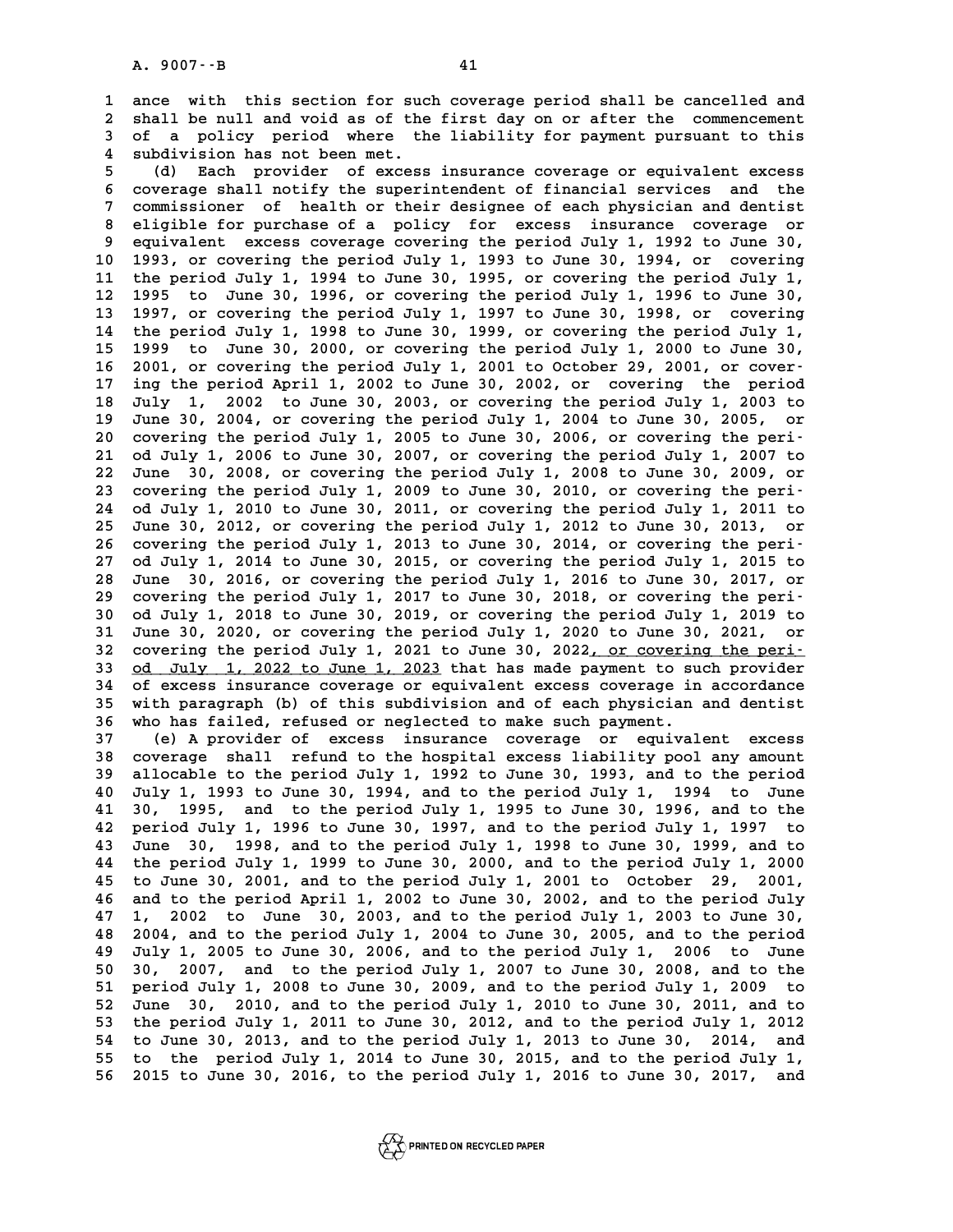**1 ance with this section for such coverage period shall be cancelled and 2** ance with this section for such coverage period shall be cancelled and<br>2 shall be null and void as of the first day on or after the commencement<br>3 of a policy period where the lishility for payment pursuant to this **3** ance with this section for such coverage period shall be cancelled and shall be null and void as of the first day on or after the commencement of a policy period where the liability for payment pursuant to this 2 shall be null and void as of the<br>3 of a policy period where the<br>4 subdivision has not been met.<br>5 (d) Fach provider of excess **5** of a policy period where the liability for payment pursuant to this<br>
4 subdivision has not been met.<br>
5 (d) Each provider of excess insurance coverage or equivalent excess<br>
5 separate shall potify the superintendent of

**6 coverage shall notify the superintendent of excess insurance coverage or equivalent excess<br>
6 coverage shall notify the superintendent of financial services and the<br>
<b>6 commissions** of boalth or their dogines of each ph **7** (d) Each provider of excess insurance coverage or equivalent excess<br>6 coverage shall notify the superintendent of financial services and the<br>7 commissioner of health or their designee of each physician and dentist<br>alig **8 coverage shall notify the superintendent of financial services and the commissioner of health or their designee of each physician and dentist<br>
8 eligible for purchase of a policy for excess insurance coverage or<br>
8 equi** 9 commissioner of health or their designee of each physician and dentist<br>8 eligible for purchase of a policy for excess insurance coverage or<br>9 equivalent excess coverage covering the period July 1, 1992 to June 30,<br>10 199 8 eligible for purchase of a policy for excess insurance coverage or<br>9 equivalent excess coverage covering the period July 1, 1992 to June 30,<br>10 1993, or covering the period July 1, 1993 to June 30, 1994, or covering<br><sup>11</sup> 9 equivalent excess coverage covering the period July 1, 1992 to June 30, 1993, or covering the period July 1, 1993 to June 30, 1994, or covering the period July 1, 1994 to June 30, 1995, or covering the period July 1, 199 10 1993, or covering the period July 1, 1993 to June 30, 1994, or covering<br>11 the period July 1, 1994 to June 30, 1995, or covering the period July 1,<br>12 1995 to June 30, 1996, or covering the period July 1, 1996 to June 3 11 the period July 1, 1994 to June 30, 1995, or covering the period July 1,<br>12 1995 to June 30, 1996, or covering the period July 1, 1996 to June 30,<br>13 1997, or covering the period July 1, 1997 to June 30, 1998, or coveri 12 1995 to June 30, 1996, or covering the period July 1, 1996 to June 30,<br>13 1997, or covering the period July 1, 1997 to June 30, 1998, or covering<br>14 the period July 1, 1998 to June 30, 1999, or covering the period July 13 1997, or covering the period July 1, 1997 to June 30, 1998, or covering<br>14 the period July 1, 1998 to June 30, 1999, or covering the period July 1,<br>15 1999 to June 30, 2000, or covering the period July 1, 2000 to June 3 14 the period July 1, 1998 to June 30, 1999, or covering the period July 1, 15 1999 to June 30, 2000, or covering the period July 1, 2000 to June 30, 16 2001, or covering the period July 1, 2001 to October 29, 2001, or cov 15 1999 to June 30, 2000, or covering the period July 1, 2000 to June 30,<br>16 2001, or covering the period July 1, 2001 to October 29, 2001, or cover-<br>17 ing the period April 1, 2002 to June 30, 2002, or covering the period **16 2001, or covering the period July 1, 2001 to October 29, 2001, or cover-<br>17 ing the period April 1, 2002 to June 30, 2002, or covering the period<br>18 July 1, 2002 to June 30, 2003, or covering the period July 1, 2003 to 17 ing the period April 1, 2002 to June 30, 2002, or covering the period July 1, 2002 to June 30, 2003, or covering the period July 1, 2003 to June 30, 2004, or covering the period July 1, 2004 to June 30, 2005, or coveri** 18 July 1, 2002 to June 30, 2003, or covering the period July 1, 2003 to June 30, 2004, or covering the period July 1, 2006 to June 30, 2006, or covering the peri-<br>
20 covering the period July 1, 2005 to June 30, 2006, or **21 June 30, 2004, or covering the period July 1, 2004 to June 30, 2005, or covering the period July 1, 2005 to June 30, 2006, or covering the period July 1, 2006 to June 30, 2007, or covering the period July 1, 2007 to Ju 22 June 30, 2008, or covering the period July 1, 2008 to June 30, 2009, or** 21 od July 1, 2006 to June 30, 2007, or covering the period July 1, 2007 to 22 June 30, 2008, or covering the period July 1, 2008 to June 30, 2009, or covering the period July 1, 2009 to June 30, 2010, or covering the peri **22 June 30, 2008, or covering the period July 1, 2008 to June 30, 2009, or covering the period July 1, 2009 to June 30, 2010, or covering the period July 1, 2010 to June 30, 2011, or covering the period July 1, 2011 to<br>24** 23 covering the period July 1, 2009 to June 30, 2010, or covering the peri-<br>24 od July 1, 2010 to June 30, 2011, or covering the period July 1, 2011 to<br>25 June 30, 2012, or covering the period July 1, 2012 to June 30, 2013 24 od July 1, 2010 to June 30, 2011, or covering the period July 1, 2011 to June 30, 2012, or covering the period July 1, 2012 to June 30, 2013, or covering the period July 1, 2013 to June 30, 2014, or covering the peri-<br> **25 June 30, 2012, or covering the period July 1, 2012 to June 30, 2013, or covering the period July 1, 2013 to June 30, 2014, or covering the period July 1, 2014 to June 30, 2015, or covering the period July 1, 2015 to<br>27** 26 covering the period July 1, 2013 to June 30, 2014, or covering the peri-<br>27 od July 1, 2014 to June 30, 2015, or covering the period July 1, 2015 to<br>28 June 30, 2016, or covering the period July 1, 2016 to June 30, 2017 27 od July 1, 2014 to June 30, 2015, or covering the period July 1, 2015 to 28 June 30, 2016, or covering the period July 1, 2016 to June 30, 2017, or covering the period July 1, 2017 to June 30, 2018, or covering the peri **30 dune 30, 2016, or covering the period July 1, 2016 to June 30, 2017, or covering the period July 1, 2017 to June 30, 2018, or covering the period July 1, 2018 to June 30, 2019, or covering the period July 1, 2019 to<br>30 29 covering the period July 1, 2017 to June 30, 2018, or covering the peri-**<br>30 od July 1, 2018 to June 30, 2019, or covering the period July 1, 2019 to<br>31 June 30, 2020, or covering the period July 1, 2020 to June 30, 20 30 od July 1, 2018 to June 30, 2019, or covering the period July 1, 2019 to<br>31 June 30, 2020, or covering the period July 1, 2020 to June 30, 2021, or<br>32 covering the period July 1, 2021 to June 30, 2022<u>, or covering the </u> June 30, 2020, or covering the period July 1, 2020 to June 30, 2021, or<br>covering the period July 1, 2021 to June 30, 2022, <u>or covering the peri-</u><br>33 <u>od July 1, 2022 to June 1, 2023</u> that has made payment to such provider 32 covering the period July 1, 2021 to June 30, 2022<u>, or covering the peri-</u><br>33 <u>od July 1, 2022 to June 1, 2023</u> that has made payment to such provider<br>34 of excess insurance coverage or equivalent excess coverage in acc 33 <u>od July 1, 2022 to June 1, 2023</u> that has made payment to such provider<br>34 of excess insurance coverage or equivalent excess coverage in accordance<br>35 with paragraph (b) of this subdivision and of each physician and de 34 of excess insurance coverage or equivalent excess coverage in<br>35 with paragraph (b) of this subdivision and of each physician<br>36 who has failed, refused or neglected to make such payment.<br><sup>37</sup> (c) deprovided as expresse 35 with paragraph (b) of this subdivision and of each physician and dentist<br>36 who has failed, refused or neglected to make such payment.<br>37 (e) A provider of excess insurance coverage or equivalent excess<br>38 coverage shal

**36 who has failed, refused or neglected to make such payment.**<br> **37** (e) A provider of excess insurance coverage or equivalent excess<br> **38 coverage shall refund to the hospital excess liability pool any amount**<br> **39 alloc 37** (e) A provider of excess insurance coverage or equivalent excess<br>38 coverage shall refund to the hospital excess liability pool any amount<br>39 allocable to the period July 1, 1992 to June 30, 1993, and to the period<br><sup>4</sup> **40 38 coverage shall refund to the hospital excess liability pool any amount**<br>**40 July 1, 1993 to June 30, 1994, and to the period July 1, 1994 to June**<br>**40 July 1, 1993 to June 30, 1994, and to the period July 1, 1994 to 41 30, 1993 to June 30, 1992 to June 30, 1993, and to the period July 1, 1993 to June 30, 1994, and to the period July 1, 1994 to June 41 30, 1995, and to the period July 1, 1995 to June 30, 1996, and to the period July 1 42 period July 1, 1996 to June 30, 1997, and to the period July 1, 1997 to 41 30, 1995, and to the period July 1, 1995 to June 30, 1996, and to the period July 1, 1996 to June 30, 1997, and to the period July 1, 1997 to June 30, 1998, and to the period July 1, 1998 to June 30, 1999, and to the p 42 period July 1, 1996 to June 30, 1997, and to the period July 1, 1997 to June 30, 1998, and to the period July 1, 1998 to June 30, 1999, and to the period July 1, 1999 to June 30, 2000, and to the period July 1, 2000<br><b>4 43** June 30, 1998, and to the period July 1, 1998 to June 30, 1999, and to<br>44 the period July 1, 1999 to June 30, 2000, and to the period July 1, 2000<br>45 to June 30, 2001, and to the period July 1, 2001 to October 29, 200 44 the period July 1, 1999 to June 30, 2000, and to the period July 1, 2000<br>45 to June 30, 2001, and to the period July 1, 2001 to October 29, 2001,<br>46 and to the period April 1, 2002 to June 30, 2002, and to the period Ju **45 to June 30, 2001, and to the period July 1, 2001 to October 29, 2001,<br>46 and to the period April 1, 2002 to June 30, 2002, and to the period July<br>47 1, 2002 to June 30, 2003, and to the period July 1, 2003 to June 30,<br> 46 and to the period April 1, 2002 to June 30, 2002, and to the period July 1, 2002 to June 30, 2003, and to the period July 1, 2003 to June 30, 2004, and to the period July 1, 2004 to June 30, 2005, and to the period**<br>**4 47 1, 2002 to June 30, 2003, and to the period July 1, 2003 to June 30, 2004, and to the period July 1, 2004 to June 30, 2005, and to the period July 1, 2005 to June 30, 2006, and to the period July 1, 2006 to June<br><b>49 Ju 48 2004, and to the period July 1, 2004 to June 30, 2005, and to the period**<br>**49 July 1, 2005 to June 30, 2006, and to the period July 1, 2006 to June 50 30, 2007, and to the period July 1, 2007 to June 30, 2008, and to t 50 July 1, 2005 to June 30, 2006, and to the period July 1, 2006 to June 50 30, 2007, and to the period July 1, 2007 to June 30, 2008, and to the period July 1, 2009 to June 30, 2009, and to the period July 1, 2009 to Jun 50 30, 2007, and to the period July 1, 2007 to June 30, 2008, and to the period July 1, 2008 to June 30, 2010, and to the period July 1, 2009 to June 30, 2010, and to the period July 1, 2010 to June 30, 2011, and to the p** 51 period July 1, 2008 to June 30, 2009, and to the period July 1, 2009 to June 30, 2010, and to the period July 1, 2010 to June 30, 2011, and to the period July 1, 2011 to June 30, 2012, and to the period July 1, 2012<br>
54 52 June 30, 2010, and to the period July 1, 2010 to June 30, 2011, and to<br>53 the period July 1, 2011 to June 30, 2012, and to the period July 1, 2012<br>54 to June 30, 2013, and to the period July 1, 2013 to June 30, 2014, a **53 the period July 1, 2011 to June 30, 2012, and to the period July 1, 2012**<br>**54 to June 30, 2013, and to the period July 1, 2013 to June 30, 2014, and to the period July 1, 2014 to June 30, 2015, and to the period July 1 56 2015 to June 30, 2016, to the period July 1, 2016 to June 30, 2017, and**

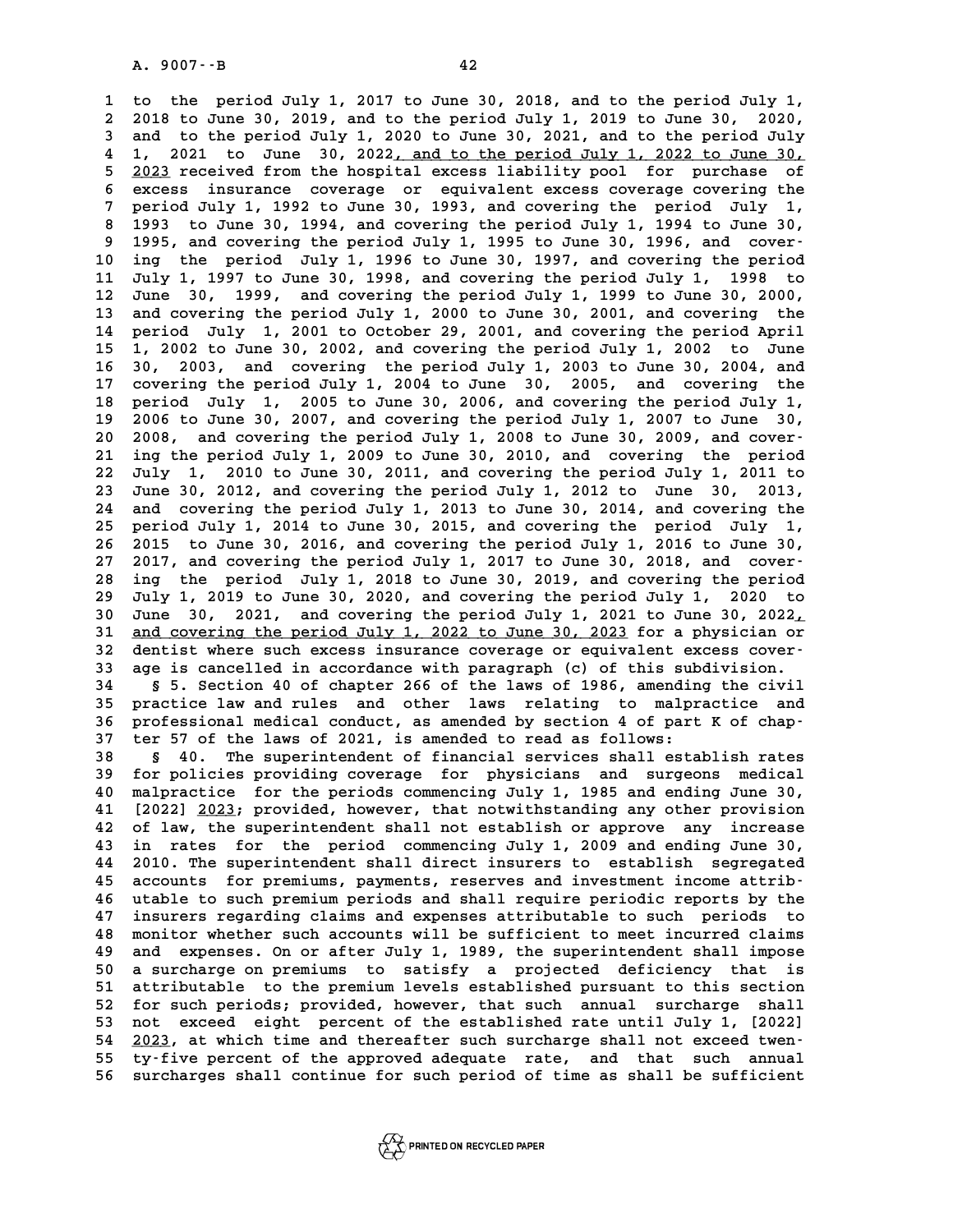**1 to the period July 1, 2017 to June 30, 2018, and to the period July 1, 2 2018 to June 30, 2019, and to the period July 1, 2019 to June 30, 2020, 3 and to the period July 1, 2020 to June 30, 2021, and to the period July** 2 2018 to June 30, 2019, and to the period July 1, 2019 to June 30, 2020,<br>3 and to the period July 1, 2020 to June 30, 2021, and to the period July<br>4 1, 2021 to June 30, 2022<u>, and to the period July 1, 2022 to June 30,</u><br>5 3 and to the period July 1, 2020 to June 30, 2021, and to the period July<br>4 1, 2021 to June 30, 2022<u>, and to the period July 1, 2022 to June 30,</u><br>5 <u>2023</u> received from the hospital excess liability pool for purchase of<br>6 4 1, 2021 to June 30, 2022<u>, and to the period July 1, 2022 to June 30,</u><br>
5 <u>2023</u> received from the hospital excess liability pool for purchase of<br>
6 excess insurance coverage or equivalent excess coverage covering the<br>
7 <sup>2023</sup> received from the hospital excess liability pool for purchase of<br> **6** excess insurance coverage or equivalent excess coverage covering the<br>
period July 1, 1992 to June 30, 1993, and covering the period July 1,<br>
<sup>200</sup> **8 excess insurance coverage or equivalent excess coverage covering the<br>
<b>8 1993 to June 30, 1994, and covering the period July 1, 1994 to June 30,<br>
1993 to June 30, 1994, and covering the period July 1, 1994 to June 30,<br>** 9 1993 to July 1, 1992 to June 30, 1993, and covering the period July 1, 1993 to June 30, 1994, and covering the period July 1, 1994 to June 30, 1995, and covering the period July 1, 1995 to June 30, 1996, and cover-<br> **10** 1993 to June 30, 1994, and covering the period July 1, 1994 to June 30,<br>
9 1995, and covering the period July 1, 1995 to June 30, 1996, and cover-<br>
10 ing the period July 1, 1996 to June 30, 1997, and covering the period<br> **1995, and covering the period July 1, 1995 to June 30, 1996, and cover-<br>
10 ing the period July 1, 1996 to June 30, 1997, and covering the period<br>
11 July 1, 1997 to June 30, 1998, and covering the period July 1, 1998 to<br> 10** ing the period July 1, 1996 to June 30, 1997, and covering the period 11 July 1, 1997 to June 30, 1998, and covering the period July 1, 1998 to 12 June 30, 1999, and covering the period July 1, 1999 to June 30, 2000, **11 July 1, 1997 to June 30, 1998, and covering the period July 1, 1998 to June 30, 1999, and covering the period July 1, 1999 to June 30, 2000, and covering the period July 1, 2000 to June 30, 2001, and covering the perio 12 June 30, 1999, and covering the period July 1, 1999 to June 30, 2000, and covering the period July 1, 2000 to June 30, 2001, and covering the period July 1, 2001 to October 29, 2001, and covering the period April**<br>**14 13 and covering the period July 1, 2000 to June 30, 2001, and covering the period July 1, 2001 to October 29, 2001, and covering the period April 15 1, 2002 to June 30, 2002, and covering the period July 1, 2002 to June<br>1** 14 period July 1, 2001 to October 29, 2001, and covering the period April<br>15 1, 2002 to June 30, 2002, and covering the period July 1, 2002 to June<br>16 30, 2003, and covering the period July 1, 2003 to June 30, 2004, and<br>17 **17 covering the period July 1, 2004 to June 30, 2005, and covering the 16 30, 2003, and covering the period July 1, 2003 to June 30, 2004, and covering the period July 1, 2004 to June 30, 2005, and covering the period July 1, 2005 to June 30, 2006, and covering the period July 1, 2005 to Jun** 17 covering the period July 1, 2004 to June 30, 2005, and covering the<br>18 period July 1, 2005 to June 30, 2006, and covering the period July 1,<br>19 2006 to June 30, 2007, and covering the period July 1, 2007 to June 30,<br>200 18 period July 1, 2005 to June 30, 2006, and covering the period July 1, 2006 to June 30, 2007, and covering the period July 1, 2007 to June 30, 2008, and covering the period July 1, 2008 to June 30, 2009, and cover-<br><sup>21</sup> 2006 to June 30, 2007, and covering the period July 1, 2007 to June 30, 2008, and covering the period July 1, 2008 to June 30, 2009, and cover-<br>21 ing the period July 1, 2009 to June 30, 2010, and covering the period<br>22 Ju **22 July 1, 2010 to June 30, 2011, and covering the period July 1, 2011 to** 21 ing the period July 1, 2009 to June 30, 2010, and covering the period<br>22 July 1, 2010 to June 30, 2011, and covering the period July 1, 2011 to<br>23 June 30, 2012, and covering the period July 1, 2012 to June 30, 2013,<br>24 **22 July 1, 2010 to June 30, 2011, and covering the period July 1, 2011 to June 30, 2012, and covering the period July 1, 2012 to June 30, 2013, and covering the period July 1, 2013 to June 30, 2014, and covering the perio 23 June 30, 2012, and covering the period July 1, 2012 to June 30, 2013,<br>24 and covering the period July 1, 2013 to June 30, 2014, and covering the<br>25 period July 1, 2014 to June 30, 2015, and covering the period July 1,<br>** 24 and covering the period July 1, 2013 to June 30, 2014, and covering the<br>25 period July 1, 2014 to June 30, 2015, and covering the period July 1,<br>26 2015 to June 30, 2016, and covering the period July 1, 2016 to June 30, 25 period July 1, 2014 to June 30, 2015, and covering the period July 1, 2015 to June 30, 2016, and covering the period July 1, 2016 to June 30, 2017, and covering the period July 1, 2017 to June 30, 2018, and cover-<br><sup>27</sup> 26 2015 to June 30, 2016, and covering the period July 1, 2016 to June 30, 2017, and covering the period July 1, 2017 to June 30, 2018, and cover-<br>28 ing the period July 1, 2018 to June 30, 2019, and covering the period<br>29 27 2017, and covering the period July 1, 2017 to June 30, 2018, and cover-<br>28 ing the period July 1, 2018 to June 30, 2019, and covering the period<br>29 July 1, 2019 to June 30, 2020, and covering the period July 1, 2020 to<br> **30 ing the period July 1, 2018 to June 30, 2019, and covering the period 30 July 1, 2019 to June 30, 2020, and covering the period July 1, 2020 to June 30, 2021, and covering the period July 1, 2021 to June 30, 2022, and 30 July 1, 2019 to June 30, 2020, and covering the period July 1, 2020 to June 30, 2021, and covering the period July 1, 2021 to June 30, 2022, and covering the period July 1, 2022 to June 30, 2023 for a physician or any** June 30, 2021, and covering the period July 1, 2021 to June 30, 2022<sub>1</sub><br>31 <u>and covering the period July 1, 2022 to June 30, 2023</u> for a physician or<br>32 dentist where such excess insurance coverage or equivalent excess cov 31 <u>and covering the period July 1, 2022 to June 30, 2023</u> for a physician or<br>32 dentist where such excess insurance coverage or equivalent excess cover-<br>33 age is cancelled in accordance with paragraph (c) of this subdivi 32 dentist where such excess insurance coverage or equivalent excess cover-<br>33 age is cancelled in accordance with paragraph (c) of this subdivision.<br>34 § 5. Section 40 of chapter 266 of the laws of 1986, amending the civi **33 age is cancelled in accordance with paragraph (c) of this subdivision.**<br> **85. Section 40 of chapter 266 of the laws of 1986, amending the civil<br>
35 practice law and rules and other laws relating to malpractice and<br>
26** 

**34** § 5. Section 40 of chapter 266 of the laws of 1986, amending the civil<br>
35 practice law and rules and other laws relating to malpractice and<br>
36 professional medical conduct, as amended by section 4 of part K of chap-35 practice law and rules and other laws relating to malpr<br>36 professional medical conduct, as amended by section 4 of part<br>37 ter 57 of the laws of 2021, is amended to read as follows: **36 professional medical conduct, as amended by section 4 of part K of chap-**<br>37 ter 57 of the laws of 2021, is amended to read as follows:<br>38 § 40. The superintendent of financial services shall establish rates<br>for polici

**39 for policies providing coverage for physicians and surgeons medical** 8 § 40. The superintendent of financial services shall establish rates<br>
39 for policies providing coverage for physicians and surgeons medical<br>
40 malpractice for the periods commencing July 1, 1985 and ending June 30,<br>
41 39 for policies providing coverage for physicians and surgeons medical<br>40 malpractice for the periods commencing July 1, 1985 and ending June 30,<br>41 [2022] <u>2023</u>; provided, however, that notwithstanding any other provisio **42 of law, the superintendent shall not establish or approve any increase 41 [2022] <u>2023</u>; provided, however, that notwithstanding any other provision<br>42 of law, the superintendent shall not establish or approve any increase<br>43 in rates for the period commencing July 1, 2009 and ending June 30** 42 of law, the superintendent shall not establish or approve any increase<br>43 in rates for the period commencing July 1, 2009 and ending June 30,<br>44 2010. The superintendent shall direct insurers to establish segregated<br>45 43 in rates for the period commencing July 1, 2009 and ending June 30,<br>44 2010. The superintendent shall direct insurers to establish segregated<br>45 accounts for premiums, payments, reserves and investment income attrib-<br>46 **44 2010. The superintendent shall direct insurers to establish segregated**<br>**45 accounts for premiums, payments, reserves and investment income attrib-**<br>**46 utable to such premium periods and shall require periodic reports** 45 accounts for premiums, payments, reserves and investment income attrib-<br>46 utable to such premium periods and shall require periodic reports by the<br>47 insurers regarding claims and expenses attributable to such periods 46 utable to such premium periods and shall require periodic reports by the<br>47 insurers regarding claims and expenses attributable to such periods to<br>48 monitor whether such accounts will be sufficient to meet incurred cla **49 and expenses. On or after July 1, 1989, the superintendent shall impose 50 a surcharge on premiums 10 and expenses.** On or after July 1, 1989, the superintendent shall impose<br>50 a surcharge on premiums to satisfy a projected deficiency that is<br>51 attributable to the premium levels established **50 and expenses. On or after July 1, 1989, the superintendent shall impose**<br> **50 a surcharge on premiums to satisfy a projected deficiency that is<br>
51 attributable to the premium levels established pursuant to this sectio** 50 a surcharge on premiums to satisfy a projected deficiency that is<br>51 attributable to the premium levels established pursuant to this section<br>52 for such periods; provided, however, that such annual surcharge shall<br>53 no 51 attributable to the premium levels established pursuant to this section<br>52 for such periods; provided, however, that such annual surcharge shall<br>53 not exceed eight percent of the established rate until July 1, [2022]<br>5 52 for such periods; provided, however, that such annual surcharge shall<br>53 not exceed eight percent of the established rate until July 1, [2022]<br>54 <u>2023</u>, at which time and thereafter such surcharge shall not exceed twen 53 not exceed eight percent of the established rate until July 1, [2022]<br>54 <u>2023</u>, at which time and thereafter such surcharge shall not exceed twen-<br>55 ty-five percent of the approved adequate rate, and that such annual<br> **56 surcharges shall continue for such period of time as shall be sufficient**

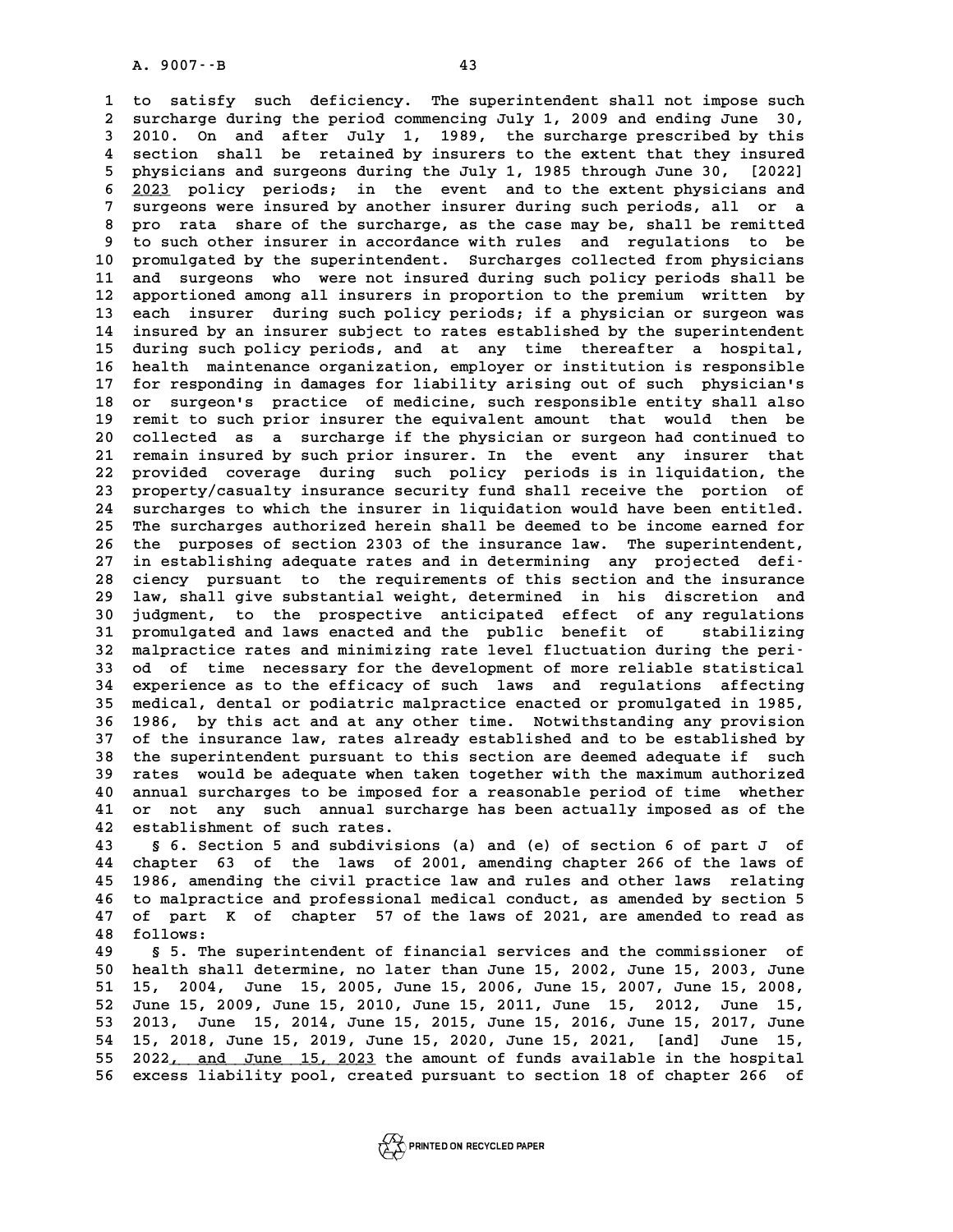A. 9007 - B<br>1 to satisfy such deficiency. The superintendent shall not impose such<br>2 surcharge during the period commencing July 1, 2009 and ending June 30, **2 surcharge during the period commencing July 1, 2009 and ending June 30, 3 2010. On and after July 1, 1989, the surcharge prescribed by this** 2 surcharge during the period commencing July 1, 2009 and ending June 30,<br>3 2010. On and after July 1, 1989, the surcharge prescribed by this<br>4 section shall be retained by insurers to the extent that they insured<br>5 physic 2010. On and after July 1, 1989, the surcharge prescribed by this<br>4 section shall be retained by insurers to the extent that they insured<br>5 physicians and surgeons during the July 1, 1985 through June 30, [2022]<br>6 2023 pol 4 section shall be retained by insurers to the extent that they insured<br>5 physicians and surgeons during the July 1, 1985 through June 30, [2022]<br>6 <u>2023</u> policy periods; in the event and to the extent physicians and<br>7 gur **7 surper insurgeons during the July 1, 1985 through June 30, [2022]**<br> **6 2023** policy periods; in the event and to the extent physicians and<br> **7 surgeons were insured by another insurer during such periods, all or a**<br> **1 8 2023** policy periods; in the event and to the extent physicians and<br> **8 pro rata share of the surcharge, as the case may be, shall be remitted**<br> **8 pro rata share of the surcharge, as the case may be, shall be remitted** 9 surgeons were insured by another insurer during such periods, all or a<br>**9** to such other insurer in accordance with rules and regulations to be<br>10 promulgated by the superintendent. Surcharges collected from physicians 8 promuta share of the surcharge, as the case may be, shall be remitted<br>
9 to such other insurer in accordance with rules and regulations to be<br>
10 promulgated by the superintendent. Surcharges collected from physicians<br>
<sup></sup> <sup>9</sup> to such other insurer in accordance with rules and regulations to be<br>
10 promulgated by the superintendent. Surcharges collected from physicians<br>
11 and surgeons who were not insured during such policy periods shall be 10 promulgated by the superintendent. Surcharges collected from physicians<br>11 and surgeons who were not insured during such policy periods shall be<br>12 apportioned among all insurers in proportion to the premium written by<br> 11 and surgeons who were not insured during such policy periods shall be<br>12 apportioned among all insurers in proportion to the premium written by<br>13 each insurer during such policy periods; if a physician or surgeon was<br>1 12 apportioned among all insurers in proportion to the premium written by<br>13 each insurer during such policy periods; if a physician or surgeon was<br>14 insured by an insurer subject to rates established by the superintenden 13 each insurer during such policy periods; if a physician or surgeon was<br>14 insured by an insurer subject to rates established by the superintendent<br>15 during such policy periods, and at any time thereafter a hospital,<br>16 14 insured by an insurer subject to rates established by the superintendent<br>15 during such policy periods, and at any time thereafter a hospital,<br>16 health maintenance organization, employer or institution is responsible<br>1 **15 during such policy periods, and at any time thereafter a hospital,<br>16 health maintenance organization, employer or institution is responsible<br>17 for responding in damages for liability arising out of such physician's<br>2** 16 health maintenance organization, employer or institution is responsible<br>17 for responding in damages for liability arising out of such physician's<br>18 or surgeon's practice of medicine, such responsible entity shall also 17 for responding in damages for liability arising out of such physician's<br>18 or surgeon's practice of medicine, such responsible entity shall also<br>19 remit to such prior insurer the equivalent amount that would then be<br>20 18 or surgeon's practice of medicine, such responsible entity shall also<br>19 remit to such prior insurer the equivalent amount that would then be<br>20 collected as a surcharge if the physician or surgeon had continued to<br>21 r 19 remit to such prior insurer the equivalent amount that would then be<br>20 collected as a surcharge if the physician or surgeon had continued to<br>21 remain insured by such prior insurer. In the event any insurer that<br>22 pro 20 collected as a surcharge if the physician or surgeon had continued to<br>21 remain insured by such prior insurer. In the event any insurer that<br>22 provided coverage during such policy periods is in liquidation, the<br>23 prop 21 remain insured by such prior insurer. In the event any insurer that<br>22 provided coverage during such policy periods is in liquidation, the<br>23 property/casualty insurance security fund shall receive the portion of<br>24 sur 22 provided coverage during such policy periods is in liquidation, the<br>23 property/casualty insurance security fund shall receive the portion of<br>24 surcharges to which the insurer in liquidation would have been entitled.<br>2 Property/casualty insurance security fund shall receive the portion of<br>24 surcharges to which the insurer in liquidation would have been entitled.<br>25 The surcharges authorized herein shall be deemed to be income earned for 24 surcharges to which the insurer in liquidation would have been entitled.<br>25 The surcharges authorized herein shall be deemed to be income earned for<br>26 the purposes of section 2303 of the insurance law. The superintende The surcharges authorized herein shall be deemed to be income earned for<br>
26 the purposes of section 2303 of the insurance law. The superintendent,<br>
27 in establishing adequate rates and in determining any projected defi-<br> 26 the purposes of section 2303 of the insurance law. The superintendent,<br>27 in establishing adequate rates and in determining any projected defi-<br>28 ciency pursuant to the requirements of this section and the insurance<br>29 **29 law, shall give substantial weight, determined in his discretion and** 28 ciency pursuant to the requirements of this section and the insurance<br>29 law, shall give substantial weight, determined in his discretion and<br>30 judgment, to the prospective anticipated effect of any regulations<br>31 prom 1 aw, shall give substantial weight, determined in his discretion and<br>30 judgment, to the prospective anticipated effect of any regulations<br>31 promulgated and laws enacted and the public benefit of stabilizing<br><sup>32</sup> malpras 30 judgment, to the prospective anticipated effect of any regulations<br>
31 promulgated and laws enacted and the public benefit of stabilizing<br>
32 malpractice rates and minimizing rate level fluctuation during the peri-<br>
33 31 promulgated and laws enacted and the public benefit of stabilizing<br>32 malpractice rates and minimizing rate level fluctuation during the peri-<br>33 od of time necessary for the development of more reliable statistical<br><sup>34</sup> 32 malpractice rates and minimizing rate level fluctuation during the peri-<br>33 od of time necessary for the development of more reliable statistical<br>34 experience as to the efficacy of such laws and regulations affecting<br>2 33 od of time necessary for the development of more reliable statistical<br>34 experience as to the efficacy of such laws and regulations affecting<br>35 medical, dental or podiatric malpractice enacted or promulgated in 1985,<br>3 34 experience as to the efficacy of such laws and regulations affecting<br>35 medical, dental or podiatric malpractice enacted or promulgated in 1985,<br>36 1986, by this act and at any other time. Notwithstanding any provision<br> 35 medical, dental or podiatric malpractice enacted or promulgated in 1985, 36 1986, by this act and at any other time. Notwithstanding any provision of the insurance law, rates already established and to be established by **36 1986, by this act and at any other time. Notwithstanding any provision**<br>37 of the insurance law, rates already established and to be established by<br>38 the superintendent pursuant to this section are deemed adequate if 37 of the insurance law, rates already established and to be established by<br>38 the superintendent pursuant to this section are deemed adequate if such<br>39 rates would be adequate when taken together with the maximum authori the superintendent pursuant to this section are deemed adequate if such<br>39 rates would be adequate when taken together with the maximum authorized<br>40 annual surcharges to be imposed for a reasonable period of time whether<br> 39 rates would be adequate when taken together with the maximum authorized 40 annual surcharges to be imposed for a reasonable period of time whether 41 or not any such annual surcharge has been actually imposed as of the 41 or not any such annual surcharge has been actually imposed as of the<br>42 establishment of such rates.<br>43 § 6. Section 5 and subdivisions (a) and (e) of section 6 of part J of

**43 § 6. Section 5 and subdivisions (a) and (e) of section 6 of part J of** 42 establishment of such rates.<br>43 § 6. Section 5 and subdivisions (a) and (e) of section 6 of part J of<br>44 chapter 63 of the laws of 2001, amending chapter 266 of the laws of<br>45 1996 smonding the civil prostige law and ru **43 6.** Section 5 and subdivisions (a) and (e) of section 6 of part J of<br>44 chapter 63 of the laws of 2001, amending chapter 266 of the laws of<br>45 1986, amending the civil practice law and rules and other laws relating<br>4 44 chapter 63 of the laws of 2001, amending chapter 266 of the laws of<br>45 1986, amending the civil practice law and rules and other laws relating<br>46 to malpractice and professional medical conduct, as amended by section 5<br> 45 1986, amending the civil practice law and rules and other laws relating<br>46 to malpractice and professional medical conduct, as amended by section 5<br>47 of part K of chapter 57 of the laws of 2021, are amended to read as<br> **46** to malpract<br>**47** of part K<br>**48** follows: **47 of part K of chapter 57 of the laws of 2021, are amended to read as<br>
<b>48 follows:**<br> **59. The superintendent of financial services and the commissioner of<br>
<b>69. ho**rth shall determine and later than June 15, 2002, June

**50 health shall determine, no later than June 15, 2002, June 15, 2003, June 51 15, 2004, June 15, 2006, June 15, 2007, June 15, 2003, June 15, 2003, June 15, 2004, June 15, 2005, June 15, 2006, June 15, 2007, June 15, 2008, Tune 15, 2009, Tune 15, 2009, Tune 15, 2009, Tune 15, 2009, Tune 15, 2009 50** health shall determine, no later than June 15, 2002, June 15, 2003, June 15, 2004, June 15, 2005, June 15, 2006, June 15, 2007, June 15, 2008, June 15, 2009, June 15, 2010, June 15, 2011, June 15, 2012, June 15, 2013, **51 15, 2004, June 15, 2005, June 15, 2006, June 15, 2007, June 15, 2008,<br>
52 June 15, 2009, June 15, 2010, June 15, 2011, June 15, 2012, June 15,<br>
53 2013, June 15, 2014, June 15, 2015, June 15, 2016, June 15, 2017, June<br>** 52 June 15, 2009, June 15, 2010, June 15, 2011, June 15, 2012, June 15, 3013, June 15, 2014, June 15, 2015, June 15, 2016, June 15, 2017, June 15, 2018, June 15, 2019, June 15, 2020, June 15, 2021, [and] June 15, 2022, and **53 2013, June 15, 2014, June 15, 2015, June 15, 2016, June 15, 2017, June 15, 2018, June 15, 2019, June 15, 2020, June 15, 2021, [and] June 15, 2022, and June 15, 2023 the amount of funds available in the hospital<br>
<b>55 20** 54 15, 2018, June 15, 2019, June 15, 2020, June 15, 2021, [and] June 15,<br>55 2022<u>, and June 15, 2023</u> the amount of funds available in the hospital<br>56 excess liability pool, created pursuant to section 18 of chapter 266 of

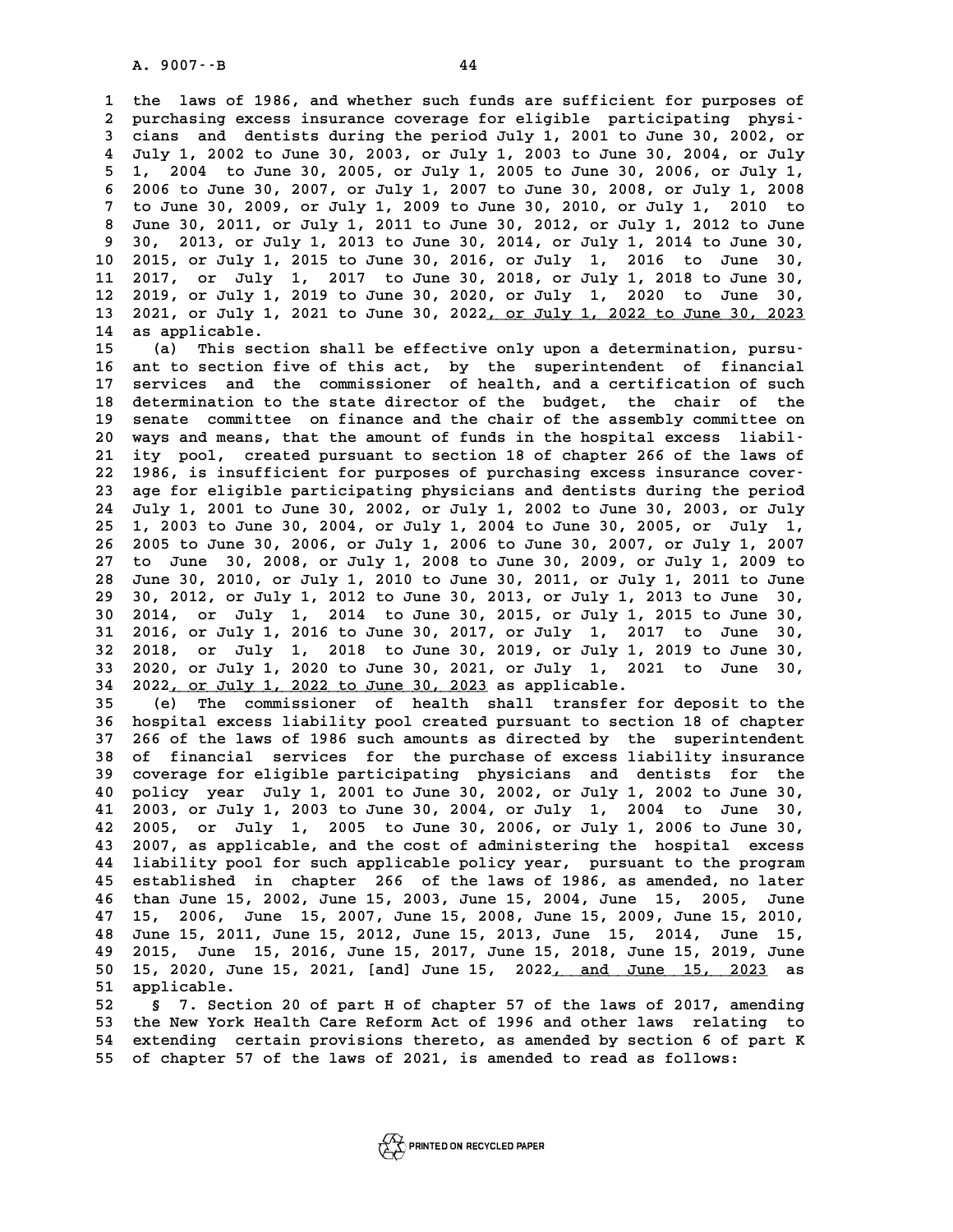**1 the laws of 1986, and whether such funds are sufficient for purposes of** 1 the laws of 1986, and whether such funds are sufficient for purposes of<br>2 purchasing excess insurance coverage for eligible participating physi-<br>3 cians, and dentists during the period July 1, 2001 to June 30, 2002, or **1 the laws of 1986, and whether such funds are sufficient for purposes of<br>2 purchasing excess insurance coverage for eligible participating physicians and dentists during the period July 1, 2001 to June 30, 2002, or<br>4 Jul** purchasing excess insurance coverage for eligible participating physi-<br>3 cians and dentists during the period July 1, 2001 to June 30, 2002, or<br>4 July 1, 2002 to June 30, 2003, or July 1, 2003 to June 30, 2004, or July<br>5 1 **5 1, 2004 to June 30, 2003, or July 1, 2001 to June 30, 2002, or** July 1, 2002 to June 30, 2003, or July 1, 2003 to June 30, 2004, or July 1, 2004 to June 30, 2005, or July 1, 2005 to June 30, 2006, or July 1, 2006 to Tun **6 201y 1, 2002 to June 30, 2003, or July 1, 2003 to June 30, 2004, or July 1, 2004 to June 30, 2005, or July 1, 2005 to June 30, 2006, or July 1, 2008<br>6 2006 to June 30, 2007, or July 1, 2007 to June 30, 2008, or July 1,** 1, 2004 to June 30, 2005, or July 1, 2005 to June 30, 2006, or July 1, 6 2006 to June 30, 2007, or July 1, 2007 to June 30, 2008, or July 1, 2008<br>7 to June 30, 2009, or July 1, 2009 to June 30, 2010, or July 1, 2010 to<br>8 J 8 2006 to June 30, 2007, or July 1, 2007 to June 30, 2008, or July 1, 2008<br>
7 to June 30, 2009, or July 1, 2009 to June 30, 2010, or July 1, 2010 to<br>
8 June 30, 2011, or July 1, 2011 to June 30, 2012, or July 1, 2012 to Ju **9 30, 2013, or July 1, 2013 to June 30, 2014, or July 1, 2014 to June 30, 10 2015, or July 1, 2015 to June 30, 2016, or July 1, 2016 to June 30, 11 2017, or July 1, 2013 to June 30, 2014, or July 1, 2014 to June 30, 10 2015, or July 1, 2015 to June 30, 2016, or July 1, 2016 to June 30, 11 2017, or July 1, 2017 to June 30, 2018, or July 1, 2018 to June 30, 11 2017,** 10 2015, or July 1, 2015 to June 30, 2016, or July 1, 2016 to June 30,<br>11 2017, or July 1, 2017 to June 30, 2018, or July 1, 2018 to June 30,<br>12 2019, or July 1, 2019 to June 30, 2020, or July 1, 2020 to June 30,<br>13 2021 o 11 2017, or July 1, 2017 to June 30, 2018, or July 1, 2018 to June 30,<br>12 2019, or July 1, 2019 to June 30, 2020, or July 1, 2020 to June 30,<br>13 2021, or July 1, 2021 to June 30, 2022<u>, or July 1, 2022 to June 30, 2023</u> **12 2019, or July 1,<br>
<b>13 2021, or July 1,**<br> **14 as applicable.**<br> **15 (a)** This sosti

13 2021, or July 1, 2021 to June 30, 2022<u>, or July 1, 2022 to June 30, 2023</u><br>14 as applicable.<br>15 (a) This section shall be effective only upon a determination, pursu-<br>16 ant to section five of this act, by the superinten **16 ant to section five of this act, by the superintendent of financial 15** (a) This section shall be effective only upon a determination, pursu-<br>16 ant to section five of this act, by the superintendent of financial<br>17 services and the commissioner of health, and a certification of such<br>dete 16 ant to section five of this act, by the superintendent of financial<br>17 services and the commissioner of health, and a certification of such<br>18 determination to the state director of the budget, the chair of the<br>2021 ser 17 services and the commissioner of health, and a certification of such<br>18 determination to the state director of the budget, the chair of the<br>19 senate committee on finance and the chair of the assembly committee on<br>20 yo 18 determination to the state director of the budget, the chair of the senate committee on finance and the chair of the assembly committee on 20 ways and means, that the amount of funds in the hospital excess liabil-<br> **21** 21 senate committee on finance and the chair of the assembly committee on 20 ways and means, that the amount of funds in the hospital excess liabil-<br>21 ity pool, created pursuant to section 18 of chapter 266 of the laws of 20 ways and means, that the amount of funds in the hospital excess liabil-<br>
21 ity pool, created pursuant to section 18 of chapter 266 of the laws of<br>
22 1986, is insufficient for purposes of purchasing excess insurance co 21 ity pool, created pursuant to section 18 of chapter 266 of the laws of<br>22 1986, is insufficient for purposes of purchasing excess insurance cover-<br>23 age for eligible participating physicians and dentists during the per **22 1986, is insufficient for purposes of purchasing excess insurance cover-<br>23 age for eligible participating physicians and dentists during the period<br>24 July 1, 2001 to June 30, 2002, or July 1, 2002 to June 30, 2003, o** age for eligible participating physicians and dentists during the period<br>24 July 1, 2001 to June 30, 2002, or July 1, 2002 to June 30, 2003, or July<br>25 1, 2003 to June 30, 2004, or July 1, 2004 to June 30, 2005, or July 1, **24 July 1, 2001 to June 30, 2002, or July 1, 2002 to June 30, 2003, or July 1, 25 1, 2003 to June 30, 2004, or July 1, 2004 to June 30, 2005, or July 1, 2007**<br>26 2005 to June 30, 2006, or July 1, 2006 to June 30, 2007, or **27 to June 30, 2008, or July 1, 2008 to June 30, 2009, or July 1, 2009 to** 26 2005 to June 30, 2006, or July 1, 2006 to June 30, 2007, or July 1, 2007<br>27 to June 30, 2008, or July 1, 2008 to June 30, 2009, or July 1, 2009 to<br>28 June 30, 2010, or July 1, 2010 to June 30, 2011, or July 1, 2011 to J 27 to June 30, 2008, or July 1, 2008 to June 30, 2009, or July 1, 2009 to 30 June 30, 2010, or July 1, 2010 to June 30, 2011, or July 1, 2011 to June 29 30, 2012, or July 1, 2012 to June 30, 2013, or July 1, 2013 to June 3 **30 June 30, 2010, or July 1, 2010 to June 30, 2011, or July 1, 2011 to June 29 30, 2012, or July 1, 2012 to June 30, 2013, or July 1, 2013 to June 30, 2014, or July 1, 2014 to June 30, 2015, or July 1, 2015 to June 30, 20 30 30, 2012, or July 1, 2012 to June 30, 2013, or July 1, 2013 to June 30, 2014, or July 1, 2014 to June 30, 2015, or July 1, 2015 to June 30, 2016, or July 1, 2016 to June 30, 2017, or July 1, 2017 to June 30, 2018 or Ju 30 2014, or July 1, 2014 to June 30, 2015, or July 1, 2015 to June 30, 2016, or July 1, 2016 to June 30, 2017, or July 1, 2017 to June 30, 2018, or July 1, 2018 to June 30, 2019, or July 1, 2019 to June 30, 2020 or July 1 31 2016, or July 1, 2016 to June 30, 2017, or July 1, 2017 to June 30, 2020, or July 1, 2018 to June 30, 2021, or July 1, 2020 to June 30, 2021, or July 1, 2021 to June 30, 2020, or July 1, 2020 to June 30, 2021, or July** 32 2018, or July 1, 2018 to June 30, 2019, or July 1, 2019 to June 30, 33 2020, or July 1, 2020 to June 30, 2021, or July 1, 2021 to June 30, 2022, or July 1, 2022 to June 30, 2023 as applicable.<br> **35** (e) The commissioner **33 2020, or July 1, 2020 to June 30, 2021, or July 1, 2021 to June 30, 2022, or July 1, 2022 to June 30, 2023 as applicable.**<br>**35** (e) The commissioner of health shall transfer for deposit to the<br>**36** hospital excess liab

**34 2022, or July 1, 2022 to June 30, 2023 as applicable.**<br> **35** (e) The commissioner of health shall transfer for deposit to the<br> **36 hospital excess liability pool created pursuant to section 18 of chapter**<br> **37 256 of t 35** (e) The commissioner of health shall transfer for deposit to the hospital excess liability pool created pursuant to section 18 of chapter 266 of the laws of 1986 such amounts as directed by the superintendent of finan **36 hospital excess liability pool created pursuant to section 18 of chapter**<br>**37 266 of the laws of 1986 such amounts as directed by the superintendent**<br>**38 of financial services for the purchase of excess liability insur 37 266 of the laws of 1986 such amounts as directed by the superintendent**<br>**38 of financial services for the purchase of excess liability insurance**<br>**39 coverage for eligible participating physicians and dentists for the 40 38 of financial services for the purchase of excess liability insurance**<br> **40 policy year July 1, 2001 to June 30, 2002, or July 1, 2002 to June 30,**<br> **41 2003 or July 1, 2003 to June 30, 2004 or July 1, 2004 to June 3** 39 coverage for eligible participating physicians and dentists for the 40 policy year July 1, 2001 to June 30, 2002, or July 1, 2002 to June 30, 41 2003, or July 1, 2003 to June 30, 2004, or July 1, 2006 to June 30, 42 200 **40 policy year July 1, 2001 to June 30, 2002, or July 1, 2002 to June 30, 41 2003, or July 1, 2003 to June 30, 2004, or July 1, 2004 to June 30, 2005, or July 1, 2005 to June 30, 2006, or July 1, 2006 to June 30, 2005, or 41 2003, or July 1, 2003 to June 30, 2004, or July 1, 2004 to June 30, 42 2005, or July 1, 2005 to June 30, 2006, or July 1, 2006 to June 30, 2007, as applicable, and the cost of administering the hospital excess 42 2005, or July 1, 2005 to June 30, 2006, or July 1, 2006 to June 30, 2007, as applicable, and the cost of administering the hospital excess 14 liability pool for such applicable policy year, pursuant to the program**<br>A<sup>5</sup> **43 2007, as applicable, and the cost of administering the hospital excess**<br>**44 liability pool for such applicable policy year, pursuant to the program**<br>**45 established in chapter 266 of the laws of 1986, as amended, no la** 44 liability pool for such applicable policy year, pursuant to the program<br>45 established in chapter 266 of the laws of 1986, as amended, no later<br>46 than June 15, 2002, June 15, 2003, June 15, 2004, June 15, 2005, June<br>47 45 established in chapter 266 of the laws of 1986, as amended, no later than June 15, 2002, June 15, 2003, June 15, 2004, June 15, 2005, June 15, 2010, June 15, 2011, June 15, 2012, June 15, 2013, June 15, 2014, June 15, 2 **48 June 15, 2011, June 15, 2012, June 15, 2013, June 15, 2014, June 15, 47 15, 2006, June 15, 2007, June 15, 2008, June 15, 2009, June 15, 2010,<br>48 June 15, 2011, June 15, 2012, June 15, 2013, June 15, 2014, June 15,<br>49 2015, June 15, 2016, June 15, 2017, June 15, 2018, June 15, 2019, June<br>50 48 June 15, 2011, June 15, 2012, June 15, 2013, June 15, 2014, June 15, 2015, June 15, 2016, June 15, 2017, June 15, 2015, June 15, 2020, June 15, 2021, [and] June 15, 2022<u>, and June 15, 2023</u> as <br><b>50 15, 2020, June 15, 49 2015, June 1<br>50 15, 2020, June<br>51 applicable.<br>52 5 7 Sostion 50 15, 2020, June 15, 2021, [and] June 15, 2022<u>, and June 15, 2023</u> as<br>
<b>51 applicable.**<br> **52** § 7. Section 20 of part H of chapter 57 of the laws of 2017, amending<br> **53** the New York Health Care Reform Act of 1996 and o

**53 the New York Health Care Reform Act of 1996 and other laws relating to 54 extending certain provisions thereto, as amended by section 6 of part K 55 of chapter 57 of the laws of 2021, is amended to read as follows:**

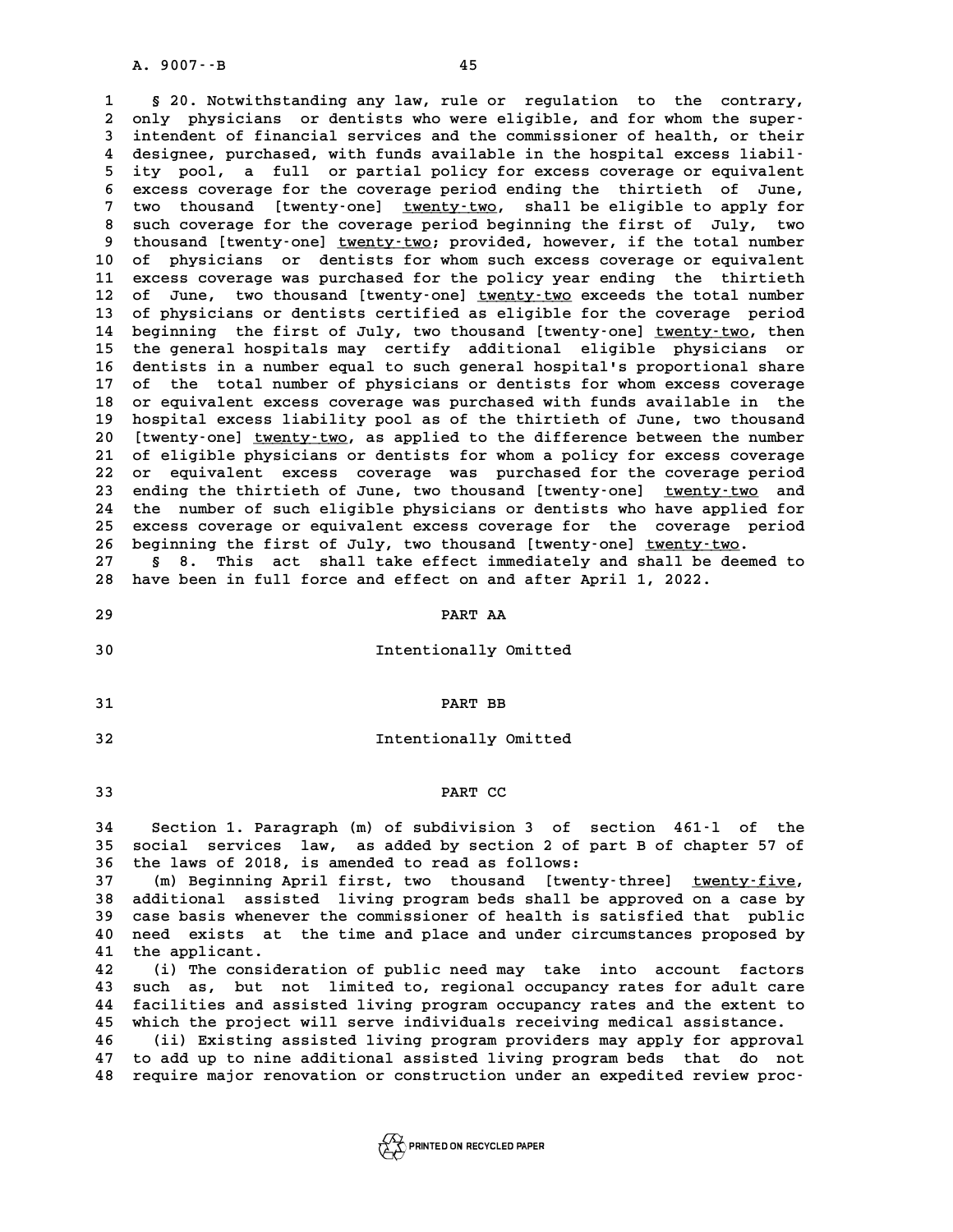**1 § 20. Notwithstanding any law, rule or regulation to the contrary,** 1 § 20. Notwithstanding any law, rule or regulation to the contrary,<br>2 only physicians or dentists who were eligible, and for whom the super-<br>3 intendent of financial services and the commissioner of bealth or their 8 20. Notwithstanding any law, rule or regulation to the contrary,<br>2 only physicians or dentists who were eligible, and for whom the super-<br>3 intendent of financial services and the commissioner of health, or their<br>4 decia only physicians or dentists who were eligible, and for whom the super-<br>
intendent of financial services and the commissioner of health, or their<br>
4 designee, purchased, with funds available in the hospital excess liabil-<br> 3 intendent of financial services and the commissioner of health, or their<br>4 designee, purchased, with funds available in the hospital excess liabil-<br>5 ity pool, a full or partial policy for excess coverage or equivalent<br>6 4 designee, purchased, with funds available in the hospital excess liabil-<br>5 ity pool, a full or partial policy for excess coverage or equivalent<br>6 excess coverage for the coverage period ending the thirtieth of June,<br>7 tw 5 ity pool, a full or partial policy for excess coverage or equivalent<br>6 excess coverage for the coverage period ending the thirtieth of June,<br>7 two thousand [twenty-one] <u>twenty-two</u>, shall be eligible to apply for<br>2 quar **8 excess coverage for the coverage period ending the thirtieth of June,<br>
7 two thousand [twenty-one] <u>twenty-two</u>, shall be eligible to apply for<br>
8 such coverage for the coverage period beginning the first of July, two<br> 9 two thousand [twenty-one] <u>twenty-two</u>, shall be eligible to apply for<br>8 such coverage for the coverage period beginning the first of July, two<br>9 thousand [twenty-one] <u>twenty-two</u>; provided, however, if the total numbe** 8 such coverage for the coverage period beginning the first of July, two<br>9 thousand [twenty-one] <u>twenty-two</u>; provided, however, if the total number<br>10 of physicians or dentists for whom such excess coverage or equivalent 9 thousand [twenty-one] <u>twenty-two</u>; provided, however, if the total number<br>10 of physicians or dentists for whom such excess coverage or equivalent<br>11 excess coverage was purchased for the policy year ending the thirtiet 10 of physicians or dentists for whom such excess coverage or equivalent<br>11 excess coverage was purchased for the policy year ending the thirtieth<br>12 of June, two thousand [twenty-one] <u>twenty-two</u> exceeds the total number 11 excess coverage was purchased for the policy year ending the thirtieth<br>12 of June, two thousand [twenty-one] <u>twenty-two</u> exceeds the total number<br>13 of physicians or dentists certified as eligible for the coverage peri 14 beginning the first of July, two thousand [twenty-one] <u>twenty-two</u>, then<br>15 the general hospitals may certify additional eligible physicians or 13 of physicians or dentists certified as eligible for the coverage period<br>14 beginning the first of July, two thousand [twenty-one] <u>twenty-two</u>, then<br>15 the general hospitals may certify additional eligible physicians or 14 beginning the first of July, two thousand [twenty-one] <u>twenty-two</u>, then<br>15 the general hospitals may certify additional eligible physicians or<br>16 dentists in a number equal to such general hospital's proportional shar 15 the general hospitals may certify additional eligible physicians or<br>16 dentists in a number equal to such general hospital's proportional share<br>17 of the total number of physicians or dentists for whom excess coverage<br>1 **16 dentists in a number equal to such general hospital's proportional share**<br>17 of the total number of physicians or dentists for whom excess coverage<br>18 or equivalent excess coverage was purchased with funds available in 17 of the total number of physicians or dentists for whom excess coverage<br>18 or equivalent excess coverage was purchased with funds available in the<br>19 hospital excess liability pool as of the thirtieth of June, two thousa 20 18 18 18 19 are unitaryted was purchased with funds available in the hospital excess liability pool as of the thirtieth of June, two thousand 10 [twenty-one] <u>twenty-two</u>, as applied to the difference between the number 19 hospital excess liability pool as of the thirtieth of June, two thousand<br>20 [twenty-one] <u>twenty-two</u>, as applied to the difference between the number<br>21 of eligible physicians or dentists for whom a policy for excess c 20 [twenty-one] <u>twenty-two</u>, as applied to the difference between the number<br>21 of eligible physicians or dentists for whom a policy for excess coverage<br>22 or equivalent excess coverage was purchased for the coverage peri 21 of eligible physicians or dentists for whom a policy for excess coverage<br>22 or equivalent excess coverage was purchased for the coverage period<br>23 ending the thirtieth of June, two thousand [twenty-one] <u>twenty-two</u> and 22 or equivalent excess coverage was purchased for the coverage period<br>23 ending the thirtieth of June, two thousand [twenty-one] <u>twenty-two</u> and<br>24 the number of such eligible physicians or dentists who have applied for<br> 23 ending the thirtieth of June, two thousand [twenty-one] <u>twenty-two</u> and<br>24 the number of such eligible physicians or dentists who have applied for<br>25 excess coverage or equivalent excess coverage for the coverage perio the number of such eligible physicians or dentists who have applied<br>25 excess coverage or equivalent excess coverage for the coverage per<br>26 beginning the first of July, two thousand [twenty-one] <u>twenty-two</u>.<br>27 ... 25 excess coverage or equivalent excess coverage for the coverage period<br>26 beginning the first of July, two thousand [twenty-one] <u>twenty-two</u>.<br>27 § 8. This act shall take effect immediately and shall be deemed to<br>28 have

26 beginning the first of July, two thousand [twenty-one] <u>twenty-two</u><br>27 § 8. This act shall take effect immediately and shall be de<br>28 have been in full force and effect on and after April 1, 2022. 28 have been in full force and effect on and after April 1, 2022.<br>29 **PART AA** 

- 
- PART AA<br> **30** Intentionally Omitted
- **31 PART BB**
- **31** PART BB<br>**32** Intentionally Omitted
- **33** PART CC

<sup>33</sup> PART CC<br>34 Section 1. Paragraph (m) of subdivision 3 of section 461-1 of the<br>35 social services law, as added by section 2 of part B of chapter 57 of **35 social services law, as added by section 2 of part B of chapter 57 of** 34 Section 1. Paragraph (m) of subdivision 3 of se<br>35 social services law, as added by section 2 of pa<br>36 the laws of 2018, is amended to read as follows:<br><sup>27</sup> (m) Boginning April first, two thousand liventur 35 social services law, as added by section 2 of part B of chapter 57 of<br>36 the laws of 2018, is amended to read as follows:<br>37 (m) Beginning April first, two thousand [twenty-three] <u>twenty-five</u>,<br>28 additional aggisted l

36 the laws of 2018, is amended to read as follows:<br>37 (m) Beginning April first, two thousand [twenty-three] <u>twenty-five</u>,<br>38 additional assisted living program beds shall be approved on a case by<br>39 case basis whenever **37** (m) Beginning April first, two thousand [twenty-three] <u>twenty-five</u>,<br>38 additional assisted living program beds shall be approved on a case by<br>39 case basis whenever the commissioner of health is satisfied that publi **40 additional assisted living program beds shall be approved on a case by**<br>**40 need exists at the time and place and under circumstances proposed by**<br>**41 the applicant** 39 case basis whenev<br>40 need exists at<br>41 the applicant.<br><sup>42</sup> (i) The conside A meed exists at the time and place and under circumstances proposed by<br>
41 the applicant.<br>
42 (i) The consideration of public need may take into account factors<br>
<sup>43</sup> such as but not limited to regional occupancy rates fo

<sup>1</sup><br>
42 (i) The consideration of public need may take into account factors<br>
43 such as, but not limited to, regional occupancy rates for adult care<br>
44 facilities and assisted living pregram essuperay rates and the extent 42 (i) The consideration of public need may take into account factors<br>43 such as, but not limited to, regional occupancy rates for adult care<br>44 facilities and assisted living program occupancy rates and the extent to<br>45 w 43 such as, but not limited to, regional occupancy rates for adult care<br>44 facilities and assisted living program occupancy rates and the extent to<br>45 which the project will serve individuals receiving medical assistance.<br>

45 which the project will serve individuals receiving medical assistance.<br>46 (ii) Existing assisted living program providers may apply for approv<br>47 to add up to nine additional assisted living program beds that do n **47 to add up to nine additional assisted living program beds that do not 48 require major renovation or construction under an expedited review proc-**

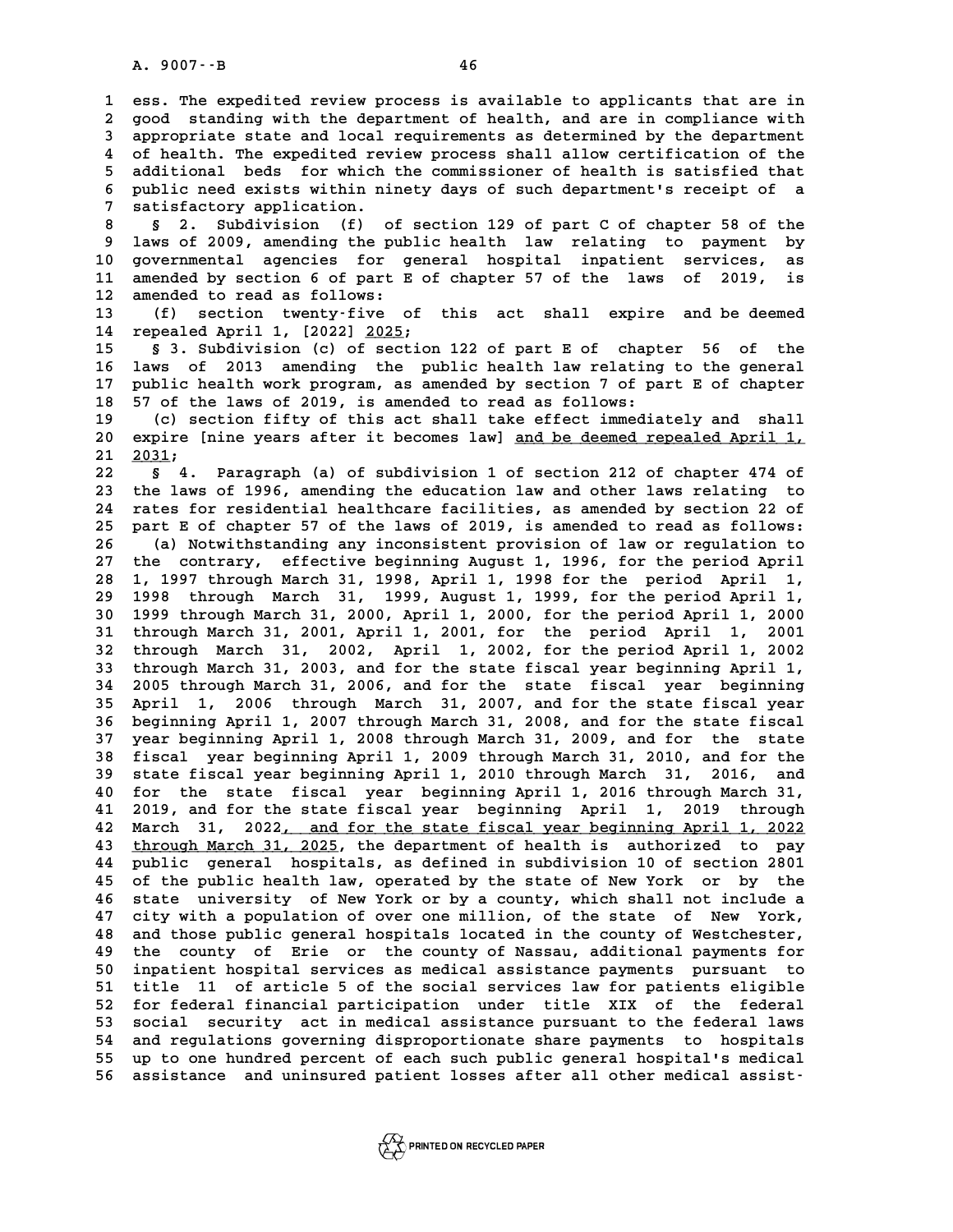**1 ess. The expedited review process is available to applicants that are in 2** ess. The expedited review process is available to applicants that are in<br>2 good standing with the department of health, and are in compliance with<br>3 appropriate state and local requirements as determined by the departm **3 appropriate state and local requirements as determined by the department**<br>**3 appropriate state and local requirements as determined by the department**<br>**4** of boalth, who expedited review process shall allow sertificatio 4 good standing with the department of health, and are in compliance with<br>3 appropriate state and local requirements as determined by the department<br>4 of health. The expedited review process shall allow certification of th 3 appropriate state and local requirements as determined by the department<br>4 of health. The expedited review process shall allow certification of the<br>5 additional beds for which the commissioner of health is satisfied that 4 of health. The expedited review process shall allow certification of the<br>5 additional beds for which the commissioner of health is satisfied that<br>6 public need exists within ninety days of such department's receipt of a<br> 5 additional beds for which the commissioner of health is satisfied that<br>6 public need exists within ninety days of such department's receipt of a<br>7 satisfactory application.<br>8 \$ 2. Subdivision (f) of section 129 of part C **8 § 2. Subdivision (f) of section 129 of part C of chapter 58 of the**

**9 laws of 2009, amending the public health law relating to payment by** 8 § 2. Subdivision (f) of section 129 of part C of chapter 58 of the<br>9 laws of 2009, amending the public health law relating to payment by<br>10 governmental agencies for general hospital inpatient services, as<br>11 amended by 9 laws of 2009, amending the public health law relating to payment by<br>10 governmental agencies for general hospital inpatient services, as<br>11 amended by section 6 of part E of chapter 57 of the laws of 2019, is<br><sup>12</sup> amende 10 governmental agencies for g<br>11 amended by section 6 of part E<br>12 amended to read as follows:<br><sup>13</sup> (f) section twenty-five 2 11 amended by section 6 of part E of chapter 57 of the laws of 2019, is<br>12 amended to read as follows:<br>13 (f) section twenty-five of this act shall expire and be deemed<br>14 repealed April 1, [2022] 2025;

**14 repealed April 1, [2022] 2025; \_\_\_\_**

**15 § 3. Subdivision (c) of section 122 of part E of chapter 56 of the 16 laws of 2013 amending the public health law relating to the general 17 public health work program, as amended by section 7 of part E of chapter** 16 laws of 2013 amending the public health law relating<br>17 public health work program, as amended by section 7 of pa<br>18 57 of the laws of 2019, is amended to read as follows:<br>(c) section fifty of this ast shall take offect 17 public health work program, as amended by section 7 of part E of chapter<br>18 57 of the laws of 2019, is amended to read as follows:<br>(c) section fifty of this act shall take effect immediately and shall<br>20 evening languag

20 18 2019, is amended to read as follows:<br>
20 (c) section fifty of this act shall take effect immediately and shall<br>
20 expire [nine years after it becomes law] <u>and be deemed repealed April 1,</u><br>
21 2031; 20 expire [nine years after it becomes law] <u>and be deemed repealed April 1,</u><br>21 <u>2031</u>;<br>22 § 4. Paragraph (a) of subdivision 1 of section 212 of chapter 474 of **20 expire [nine years after it becomes law] <u>and be deemed repealed April 1,</u><br>21 <u>2031</u>;<br>22 § 4. Paragraph (a) of subdivision 1 of section 212 of chapter 474 of<br>23 the laws of 1996, amending the education law and other la** 

**21 2031;**<br> **22 § 4. Paragraph (a) of subdivision 1 of section 212 of chapter 474 of**<br> **23 the laws of 1996, amending the education law and other laws relating to**<br> **24 rates for residential boalthsare fasilities, as amend 22 8** 4. Paragraph (a) of subdivision 1 of section 212 of chapter 474 of<br> **23** the laws of 1996, amending the education law and other laws relating to<br> **24** rates for residential healthcare facilities, as amended by sec 23 the laws of 1996, amending the education law and other laws relating to<br>24 rates for residential healthcare facilities, as amended by section 22 of<br>25 part E of chapter 57 of the laws of 2019, is amended to read as foll 24 rates for residential healthcare facilities, as amended by section 22 of<br>25 part E of chapter 57 of the laws of 2019, is amended to read as follows:<br>26 (a) Notwithstanding any inconsistent provision of law or regulation **25 part E of chapter 57 of the laws of 2019, is amended to read as follows:**<br> **26** (a) Notwithstanding any inconsistent provision of law or regulation to<br>
27 the contrary, effective beginning August 1, 1996, for the perio **28 (a) Notwithstanding any inconsistent provision of law or regulation to the contrary, effective beginning August 1, 1996, for the period April 28 1, 1997 through March 31, 1998, April 1, 1998 for the period April 1, 199** 27 the contrary, effective beginning August 1, 1996, for the period April<br>28 1, 1997 through March 31, 1998, April 1, 1998 for the period April 1,<br>29 1998 through March 31, 1999, August 1, 1999, for the period April 1,<br>20 **30 1999 through March 31, 2000, April 1, 2000, for the period April 1, 2000 1998** through March 31, 1999, August 1, 1999, for the period April 1, 1999 through March 31, 2000, April 1, 2000, for the period April 1, 2000<br>31 through March 31, 2001, April 1, 2001, for the period April 1, 2001<br>23 thro **1999 through March 31, 2000, April 1, 2000, for the period April 1, 2000**<br>**31 through March 31, 2001, April 1, 2001, for the period April 1, 2001**<br>**32 through March 31, 2002, April 1, 2002, for the period April 1, 2002**<br> **31 through March 31, 2001, April 1, 2001, for the period April 1, 2001**<br>**32 through March 31, 2002, April 1, 2002, for the period April 1, 2002**<br>**33 through March 31, 2003, and for the state fiscal year beginning April 1,** 32 through March 31, 2002, April 1, 2002, for the period April 1, 2002<br>33 through March 31, 2003, and for the state fiscal year beginning April 1,<br>34 2005 through March 31, 2006, and for the state fiscal year beginning<br>35 **33 through March 31, 2003, and for the state fiscal year beginning April 1, 2005 through March 31, 2006, and for the state fiscal year beginning April 1, 2006 through March 31, 2007, and for the state fiscal year heginnin 34 2005 through March 31, 2006, and for the state fiscal year beginning<br>35 April 1, 2006 through March 31, 2007, and for the state fiscal year<br>36 beginning April 1, 2007 through March 31, 2008, and for the state fiscal<br>37 35 April 1, 2006 through March 31, 2007, and for the state fiscal year<br>36 beginning April 1, 2007 through March 31, 2008, and for the state fiscal<br>37 year beginning April 1, 2008 through March 31, 2009, and for the state<br> 36 beginning April 1, 2007 through March 31, 2008, and for the state fiscal<br>37 year beginning April 1, 2008 through March 31, 2009, and for the state<br>38 fiscal year beginning April 1, 2009 through March 31, 2010, and for 37 year beginning April 1, 2008 through March 31, 2009, and for the state fiscal year beginning April 1, 2009 through March 31, 2010, and for the state fiscal year beginning April 1, 2010 through March 31, 2016, and<br>39 st** fiscal year beginning April 1, 2009 through March 31, 2010, and for the state fiscal year beginning April 1, 2010 through March 31, 2016, and for the state fiscal year beginning April 1, 2016 through March 31, 2019 and for 39 state fiscal year beginning April 1, 2010 through March 31, 2016, and<br>40 for the state fiscal year beginning April 1, 2016 through March 31,<br>41 2019, and for the state fiscal year beginning April 1, 2019 through<br>42 Marc **42 March 31, 2022<u>, and for the state fiscal year beginning April 1, 2022**<br>43 through March 31, 2025, the department of health is authorized to pay</u> **41 2019, and for the state fiscal year beginning April 1, 2019 through<br>42 March 31, 2022<u>, and for the state fiscal year beginning April 1, 2022</u><br>43 <u>through March 31, 2025</u>, the department of health is authorized to pay<br> 42 March 31, 2022<u>, and for the state fiscal year beginning April 1, 2022**<br>**43 <u>through March 31, 2025</u>, the department of health is authorized to pay<br>44 public general hospitals, as defined in subdivision 10 of section 2**</u> **43 through March 31, 2025, the department of health is authorized to pay**<br>**44 public general hospitals, as defined in subdivision 10 of section 2801**<br>**45 of the public health law, operated by the state of New York or by t 44 public general hospitals, as defined in subdivision 10 of section 2801**<br>45 of the public health law, operated by the state of New York or by the<br>46 state university of New York or by a county, which shall not include a 45 of the public health law, operated by the state of New York or by the<br>46 state university of New York or by a county, which shall not include a<br>47 city with a population of over one million, of the state of New York,<br>28 46 state university of New York or by a county, which shall not include a<br>47 city with a population of over one million, of the state of New York,<br>48 and those public general hospitals located in the county of Westchester, 47 city with a population of over one million, of the state of New York,<br>48 and those public general hospitals located in the county of Westchester,<br>49 the county of Erie or the county of Nassau, additional payments for<br>50 and those public general hospitals located in the county of Westchester,<br>
49 the county of Erie or the county of Nassau, additional payments for<br>
50 inpatient hospital services as medical assistance payments pursuant to<br>
5 49 the county of Erie or the county of Nassau, additional payments for<br>50 inpatient hospital services as medical assistance payments pursuant to<br>51 title 11 of article 5 of the social services law for patients eligible<br>52 50 inpatient hospital services as medical assistance payments pursuant to<br>51 title 11 of article 5 of the social services law for patients eligible<br>52 for federal financial participation under title XIX of the federal<br>53 s 51 title 11 of article 5 of the social services law for patients eligible<br>52 for federal financial participation under title XIX of the federal<br>53 social security act in medical assistance pursuant to the federal laws<br>54 a 52 for federal financial participation under title XIX of the federal<br>53 social security act in medical assistance pursuant to the federal laws<br>54 and regulations governing disproportionate share payments to hospitals<br>55 u 53 social security act in medical assistance pursuant to the federal laws<br>54 and regulations governing disproportionate share payments to hospitals<br>55 up to one hundred percent of each such public general hospital's medica 54 and regulations governing disproportionate share payments to hospitals<br>55 up to one hundred percent of each such public general hospital's medical<br>56 assistance and uninsured patient losses after all other medical assis

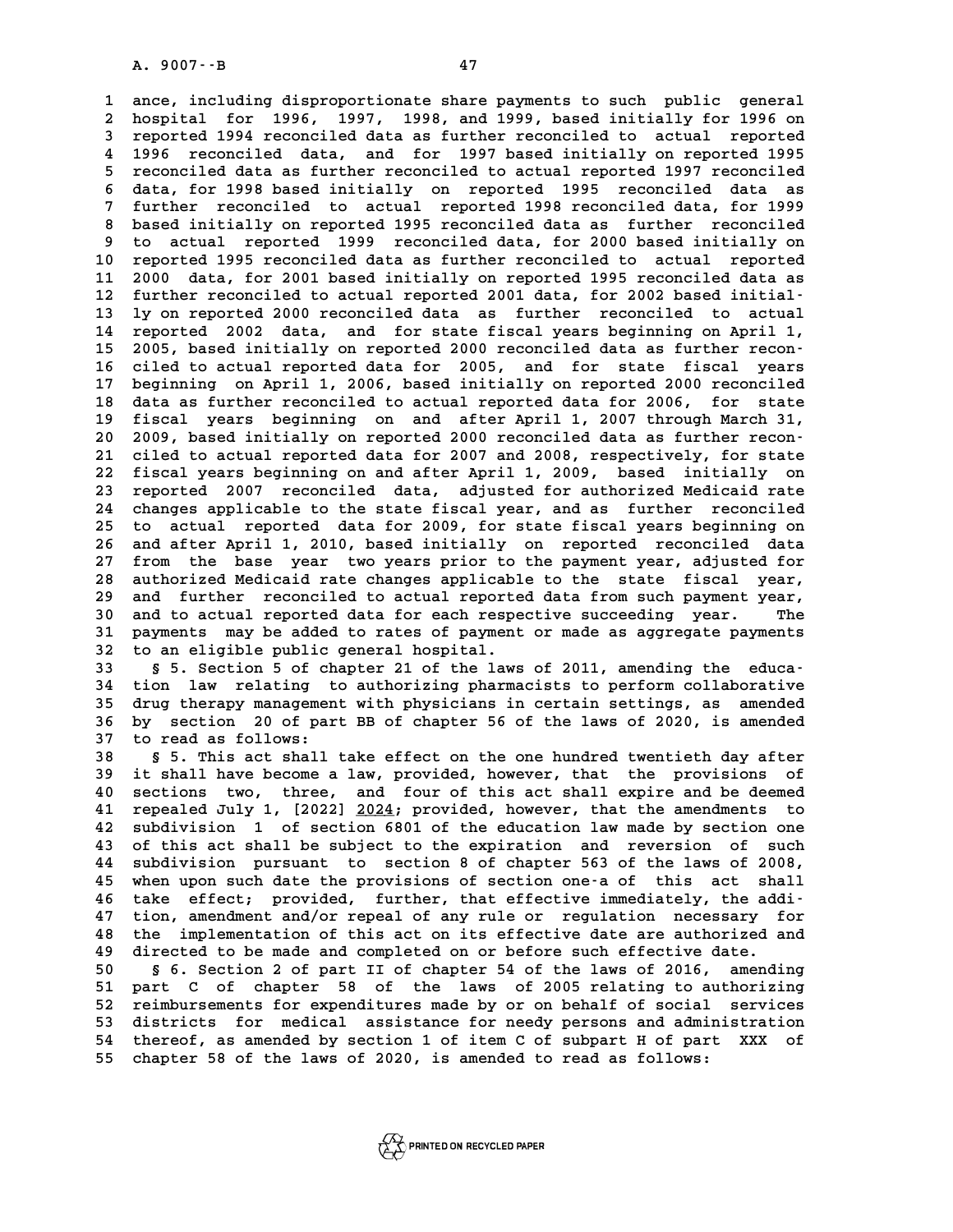**1 ance, including disproportionate share payments to such public general 2** ance, including disproportionate share payments to such public general<br>2 hospital for 1996, 1997, 1998, and 1999, based initially for 1996 on<br>3 reported 1994 reconciled data as further reconciled to actual reported **3 ance, including disproportionate share payments to such public general<br>
2 hospital for 1996, 1997, 1998, and 1999, based initially for 1996 on<br>
3 reported 1994 reconciled data as further reconciled to actual reported<br>
4** 2 hospital for 1996, 1997, 1998, and 1999, based initially for 1996 on<br>3 reported 1994 reconciled data as further reconciled to actual reported<br>4 1996 reconciled data, and for 1997 based initially on reported 1995<br>5 reconc **5 reported 1994 reconciled data as further reconciled to actual reported 1995**<br>**4 1996 reconciled data, and for 1997 based initially on reported 1995**<br>**5 reconciled data as further reconciled to actual reported 1997 recon** 4 1996 reconciled data, and for 1997 based initially on reported 1995<br>5 reconciled data as further reconciled to actual reported 1997 reconciled<br>6 data, for 1998 based initially on reported 1995 reconciled data as<br>5 furthe 5 reconciled data as further reconciled to actual reported 1997 reconciled<br>6 data, for 1998 based initially on reported 1995 reconciled data as<br>7 further reconciled to actual reported 1998 reconciled data, for 1999<br>based i 6 data, for 1998 based initially on reported 1995 reconciled data as<br>7 further reconciled to actual reported 1998 reconciled data, for 1999<br>8 based initially on reported 1995 reconciled data as further reconciled<br>1998 reco 9 further reconciled to actual reported 1998 reconciled data, for 1999<br>8 based initially on reported 1995 reconciled data as further reconciled<br>9 to actual reported 1999 reconciled data, for 2000 based initially on<br>10 repo 8 based initially on reported 1995 reconciled data as further reconciled<br>9 to actual reported 1999 reconciled data, for 2000 based initially on<br>10 reported 1995 reconciled data as further reconciled to actual reported<br>11 2 9 to actual reported 1999 reconciled data, for 2000 based initially on<br>10 reported 1995 reconciled data as further reconciled to actual reported<br>11 2000 data, for 2001 based initially on reported 1995 reconciled data as<br><sup>1</sup> 10 reported 1995 reconciled data as further reconciled to actual reported<br>11 2000 data, for 2001 based initially on reported 1995 reconciled data as<br>12 further reconciled to actual reported 2001 data, for 2002 based initia 11 2000 data, for 2001 based initially on reported 1995 reconciled data as<br>12 further reconciled to actual reported 2001 data, for 2002 based initial-<br>13 ly on reported 2000 reconciled data as further reconciled to actual<br> 12 further reconciled to actual reported 2001 data, for 2002 based initial-<br>13 ly on reported 2000 reconciled data as further reconciled to actual<br>14 reported 2002 data, and for state fiscal years beginning on April 1,<br>15 13 ly on reported 2000 reconciled data as further reconciled to actual<br>
14 reported 2002 data, and for state fiscal years beginning on April 1,<br>
15 2005, based initially on reported 2000 reconciled data as further recon-**16 ciled to actual reported data for 2005, and for state fiscal years** 15 2005, based initially on reported 2000 reconciled data as further recon-<br>16 ciled to actual reported data for 2005, and for state fiscal years<br>17 beginning on April 1, 2006, based initially on reported 2000 reconciled<br>1 16 ciled to actual reported data for 2005, and for state fiscal years<br>17 beginning on April 1, 2006, based initially on reported 2000 reconciled<br>18 data as further reconciled to actual reported data for 2006, for state<br>19 17 beginning on April 1, 2006, based initially on reported 2000 reconciled<br>18 data as further reconciled to actual reported data for 2006, for state<br>19 fiscal years beginning on and after April 1, 2007 through March 31,<br>20 18 data as further reconciled to actual reported data for 2006, for state<br>
19 fiscal years beginning on and after April 1, 2007 through March 31,<br>
20 2009, based initially on reported 2000 reconciled data as further recon-19 fiscal years beginning on and after April 1, 2007 through March 31,<br>20 2009, based initially on reported 2000 reconciled data as further recon-<br>21 ciled to actual reported data for 2007 and 2008, respectively, for state 20 2009, based initially on reported 2000 reconciled data as further recon-<br>21 ciled to actual reported data for 2007 and 2008, respectively, for state<br>22 fiscal years beginning on and after April 1, 2009, based initially 21 ciled to actual reported data for 2007 and 2008, respectively, for state<br>22 fiscal years beginning on and after April 1, 2009, based initially on<br>23 reported 2007 reconciled data, adjusted for authorized Medicaid rate<br>2 22 fiscal years beginning on and after April 1, 2009, based initially on<br>23 reported 2007 reconciled data, adjusted for authorized Medicaid rate<br>24 changes applicable to the state fiscal year, and as further reconciled<br>25 23 reported 2007 reconciled data, adjusted for authorized Medicaid rate<br>24 changes applicable to the state fiscal year, and as further reconciled<br>25 to actual reported data for 2009, for state fiscal years beginning on<br>26 24 changes applicable to the state fiscal year, and as further reconciled<br>25 to actual reported data for 2009, for state fiscal years beginning on<br>26 and after April 1, 2010, based initially on reported reconciled data<br>27 25 to actual reported data for 2009, for state fiscal years beginning on<br>26 and after April 1, 2010, based initially on reported reconciled data<br>27 from the base year two years prior to the payment year, adjusted for<br>28 su 26 and after April 1, 2010, based initially on reported reconciled data<br>27 from the base year two years prior to the payment year, adjusted for<br>28 authorized Medicaid rate changes applicable to the state fiscal year,<br>29 an 27 from the base year two years prior to the payment year, adjusted for<br>28 authorized Medicaid rate changes applicable to the state fiscal year,<br>29 and further reconciled to actual reported data from such payment year,<br>20 and further reconciled to actual reported data from such payment year,<br>
30 and to actual reported data for each respective succeeding year. The<br>
31 narments may be added to rates of payment or made as aggregate payments 29 and further reconciled to actual reported data from such payment year,<br>30 and to actual reported data for each respective succeeding year. The<br>31 payments may be added to rates of payment or made as aggregate payments<br>3 and further reconciled to actual reported data from such payment year,<br>30 and to actual reported data for each respective succeeding year. The<br>31 payments may be added to rates of payment or made as aggregate payments<br>32 t 31 payments may be added to rates of payment or made as aggregate payments<br>32 to an eligible public general hospital.<br>33 § 5. Section 5 of chapter 21 of the laws of 2011, amending the educa-<br><sup>34</sup> tion, law relating to auth

**34 tion law relating to authorizing pharmacists to perform collaborative 55. Section 5 of chapter 21 of the laws of 2011, amending the educa-**<br>**34 tion law relating to authorizing pharmacists to perform collaborative**<br>**35 drug therapy management with physicians in certain settings, as amended** 34 tion law relating to authorizing pharmacists to perform collaborative<br>35 drug therapy management with physicians in certain settings, as amended<br>36 by section 20 of part BB of chapter 56 of the laws of 2020, is amended<br> 35 drug therapy managemen<br>36 by section 20 of par<br>37 to read as follows:<br><sup>39</sup> 55 mbis 25t abll **36 by section 20 of part BB of chapter 56 of the laws of 2020, is amended**<br>37 to read as follows:<br>38 § 5. This act shall take effect on the one hundred twentieth day after<br>it shall have become a law provided beyoner, that

**37 to read as follows:**<br> **38 S 5. This act shall take effect on the one hundred twentieth day after**<br> **39 it shall have become a law, provided, however, that the provisions of**<br> **10 Soctions two three and four of this ast** 8 s 5. This act shall take effect on the one hundred twentieth day after<br>
40 sections two, three, and four of this act shall expire and be deemed<br>
40 sections two, three, and four of this act shall expire and be deemed<br>
41 39 it shall have become a law, provided, however, that the provisions of 40 sections two, three, and four of this act shall expire and be deemed 11 repealed July 1, [2022]  $\frac{2024}{100}$ ; provided, however, that the amendm **42 subdivision 1 of section 6801 of the education law made by section one 41 repealed July 1, [2022] <u>2024</u>; provided, however, that the amendments to subdivision 1 of section 6801 of the education law made by section one 43 of this act shall be subject to the expiration and reversion of such**<br> 42 subdivision 1 of section 6801 of the education law made by section one<br>43 of this act shall be subject to the expiration and reversion of such<br>44 subdivision pursuant to section 8 of chapter 563 of the laws of 2008,<br>45 43 of this act shall be subject to the expiration and reversion of such<br>44 subdivision pursuant to section 8 of chapter 563 of the laws of 2008,<br>45 when upon such date the provisions of section one-a of this act shall<br>16 t 44 subdivision pursuant to section 8 of chapter 563 of the laws of 2008,<br>45 when upon such date the provisions of section one-a of this act shall<br>46 take effect; provided, further, that effective immediately, the addi-<br>47 when upon such date the provisions of section one-a of this act shall<br>46 take effect; provided, further, that effective immediately, the addi-<br>47 tion, amendment and/or repeal of any rule or regulation necessary for<br>the im **46 take effect; provided, further, that effective immediately, the addi-**<br>47 tion, amendment and/or repeal of any rule or regulation necessary for<br>48 the implementation of this act on its effective date are authorized and 47 tion, amendment and/or repeal of any rule or regulation necessary for the implementation of this act on its effective date are authorized and directed to be made and completed on or before such effective date.<br>
50 5 5 6 48 the implementation of this act on its effective date are authorized and<br>49 directed to be made and completed on or before such effective date.<br>50 § 6. Section 2 of part II of chapter 54 of the laws of 2016, amending<br>51

49 directed to be made and completed on or before such effective date.<br>50 § 6. Section 2 of part II of chapter 54 of the laws of 2016, amending<br>51 part C of chapter 58 of the laws of 2005 relating to authorizing<br>52 reimbur 50 § 6. Section 2 of part II of chapter 54 of the laws of 2016, amending<br>51 part C of chapter 58 of the laws of 2005 relating to authorizing<br>52 reimbursements for expenditures made by or on behalf of social services<br>53 dis 51 part C of chapter 58 of the laws of 2005 relating to authorizing<br>52 reimbursements for expenditures made by or on behalf of social services<br>53 districts for medical assistance for needy persons and administration<br>54 the 52 reimbursements for expenditures made by or on behalf of social services<br>53 districts for medical assistance for needy persons and administration<br>54 thereof, as amended by section 1 of item C of subpart H of part XXX of<br> 53 districts for medical assistance for needy persons and admi<br>54 thereof, as amended by section 1 of item C of subpart H of par<br>55 chapter 58 of the laws of 2020, is amended to read as follows: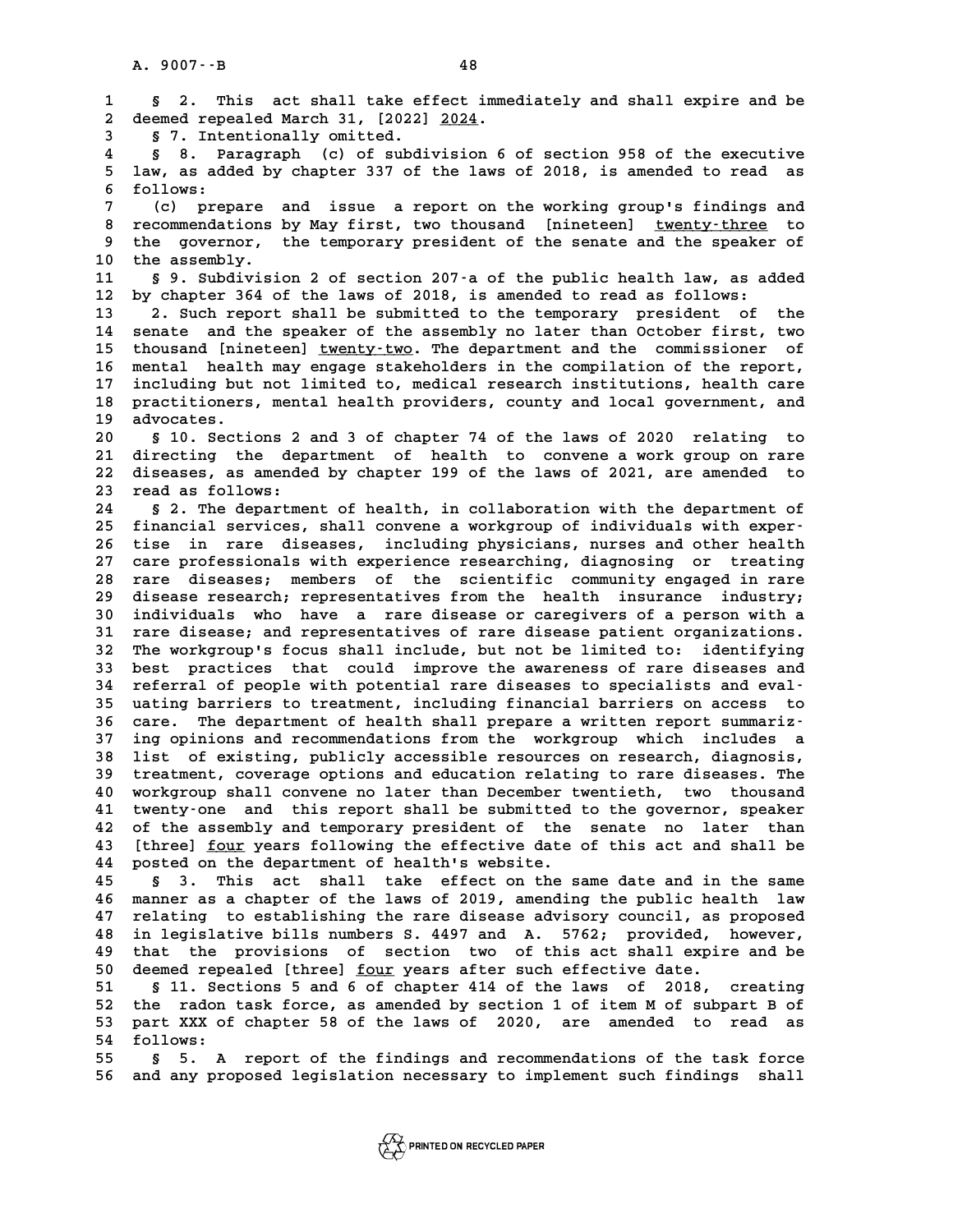**1 § 2. This act shall take effect immediately and shall expire and be 2** Sumplement Sumplement Sumplement Sumplement Sumplement Sumplement Sumplement Sumplement Sumplement Sumplement Sumplement Sumplement Sumplement Sumplement Sumplement Sumplement Sumplement Sumplement Sumplement Sumplemen **3 3.** This act shall take ef<br> **2** deemed repealed March 31, [2022]<br> **3 5 7.** Intentionally omitted. **4 § 8. Paragraph (c) of subdivision 6 of section 958 of the executive** 5 7. Intentionally omitted.<br>4 § 8. Paragraph (c) of subdivision 6 of section 958 of the executive<br>5 law, as added by chapter 337 of the laws of 2018, is amended to read as<br>5 follows: **6 follows: 7** law, as added by chapter 337 of the laws of 2018, is amended to read as<br>6 follows:<br>7 (c) prepare and issue a report on the working group's findings and<br>8 recommendations by May first, two thousand [pinoteon], typety, t 8 follows:<br>
8 recommendations by May first, two thousand [nineteen] <u>twenty-three</u> to<br>
8 recommendations by May first, two thousand [nineteen] <u>twenty-three</u> to<br>
9 the governor, the temporary president of the senate and th (c) prepare and issue a report on the working group's findings and<br>8 recommendations by May first, two thousand [nineteen] <u>twenty-three</u> to<br>9 the aggembly 8 recommendations **10**<br>9 the governor,<br>10 the assembly. 9 the governor, the temporary president of the senate and the speaker of<br>10 the assembly.<br>11 § 9. Subdivision 2 of section 207-a of the public health law, as added<br>12 by chapter 364 of the laws of 2018, is amended to read <sup>1</sup><br>
12 by chapter 364 of the laws of 2018, is amended to read as follows:<br>
12 by chapter 364 of the laws of 2018, is amended to read as follows:<br>
13 <sup>2</sup> Such report shall be submitted to the terporary president of **11 S 9. Subdivision 2 of section 207-a of the public health law, as added**<br> **12 by chapter 364 of the laws of 2018, is amended to read as follows:**<br> **2. Such report shall be submitted to the temporary president of the**<br> 12 by chapter 364 of the laws of 2018, is amended to read as follows:<br>13 2. Such report shall be submitted to the temporary president of the<br>14 senate and the speaker of the assembly no later than October first, two<br>15 tho 13 <sup>2</sup> 2. Such report shall be submitted to the temporary president of the<br>14 senate and the speaker of the assembly no later than October first, two<br>15 thousand [nineteen] <u>twenty-two</u>. The department and the commissioner 14 senate and the speaker of the assembly no later than October first, two<br>15 thousand [nineteen] <u>twenty-two</u>. The department and the commissioner of<br>16 mental health may engage stakeholders in the compilation of the repo 15 thousand [nineteen] <u>twenty-two</u>. The department and the commissioner of 16 mental health may engage stakeholders in the compilation of the report, including but not limited to, medical research institutions, health car 16 mental health may engage stakeholders in the compilation of the report,<br>17 including but not limited to, medical research institutions, health care<br>18 practitioners, mental health providers, county and local government, including but not limited to, medical research institutions, health care<br>18 practitioners, mental health providers, county and local government, and<br>19 advocates.<br>20 § 10. Sections 2 and 3 of chapter 74 of the laws of 2020 18 practitioners, mental health providers, county and local government, and<br>19 advocates.<br>20 § 10. Sections 2 and 3 of chapter 74 of the laws of 2020 relating to<br>21 directing the department of health to convene a work grou **21 directing the department of health to convene a work group on rare** 8 10. Sections 2 and 3 of chapter 74 of the laws of 2020 relating to<br>21 directing the department of health to convene a work group on rare<br>22 diseases, as amended by chapter 199 of the laws of 2021, are amended to 21 directing the dep<br>22 diseases, as amende<br>23 read as follows:<br><sup>24</sup> 5.<sup>2</sup> The department 22 diseases, as amended by chapter 199 of the laws of 2021, are amended to<br>23 read as follows:<br>8 2. The department of health, in collaboration with the department of<br>25 financial services, shall convene a verkersup of indi 23 read as follows:<br>
24 § 2. The department of health, in collaboration with the department of<br>
25 financial services, shall convene a workgroup of individuals with exper-<br>
26 tise, in, rare, diseases, including physicians **24 S 2. The department of health, in collaboration with the department of<br>25 financial services, shall convene a workgroup of individuals with exper-<br>26 tise in rare diseases, including physicians, nurses and other health** 25 financial services, shall convene a workgroup of individuals with exper-<br>26 tise in rare diseases, including physicians, nurses and other health<br>27 care professionals with experience researching, diagnosing or treating<br> 26 tise in rare diseases, including physicians, nurses and other health<br>27 care professionals with experience researching, diagnosing or treating<br>28 rare diseases; members of the scientific community engaged in rare<br>diseas 27 care professionals with experience researching, diagnosing or treating<br>28 rare diseases; members of the scientific community engaged in rare<br>29 disease research; representatives from the health insurance industry;<br>indiv 28 rare diseases; members of the scientific community engaged in rare<br>29 disease research; representatives from the health insurance industry;<br>30 individuals who have a rare disease or caregivers of a person with a<br>31 rare disease research; representatives from the health insurance industry;<br>30 individuals who have a rare disease or caregivers of a person with a<br>31 rare disease; and representatives of rare disease patient organizations.<br><sup>32</sup> 30 individuals who have a rare disease or caregivers of a person with a<br>31 rare disease; and representatives of rare disease patient organizations.<br>32 The workgroup's focus shall include, but not be limited to: identifying 31 rare disease; and representatives of rare disease patient organizations.<br>32 The workgroup's focus shall include, but not be limited to: identifying<br>33 best practices that could improve the awareness of rare diseases and 32 The workgroup's focus shall include, but not be limited to: identifying<br>33 best practices that could improve the awareness of rare diseases and<br>34 referral of people with potential rare diseases to specialists and eval-**33 best practices that could improve the awareness of rare diseases and referral of people with potential rare diseases to specialists and eval-**<br>**35 uating barriers to treatment, including financial barriers on access to** 34 referral of people with potential rare diseases to specialists and eval-<br>35 uating barriers to treatment, including financial barriers on access to<br>36 care. The department of health shall prepare a written report summar 35 uating barriers to treatment, including financial barriers on access to<br>36 care. The department of health shall prepare a written report summariz-<br>37 ing opinions and recommendations from the workgroup which includes a<br> 36 care. The department of health shall prepare a written report summariz-<br>37 ing opinions and recommendations from the workgroup which includes a<br>38 list of existing, publicly accessible resources on research, diagnosis,<br> 37 ing opinions and recommendations from the workgroup which includes a<br>38 list of existing, publicly accessible resources on research, diagnosis,<br>39 treatment, coverage options and education relating to rare diseases. The 10 1 ist of existing, publicly accessible resources on research, diagnosis,<br>
40 workgroup shall convene no later than December twentieth, two thousand<br>
41 twenty.ore, and this report shall be submitted to the covernor, spe 39 treatment, coverage options and education relating to rare diseases. The<br>40 workgroup shall convene no later than December twentieth, two thousand<br>41 twenty-one and this report shall be submitted to the governor, speake 40 workgroup shall convene no later than December twentieth, two thousand<br>41 twenty-one and this report shall be submitted to the governor, speaker<br>42 of the assembly and temporary president of the senate no later than<br>43 41 twenty-one and this report shall be submitted to the governor, speaker<br>42 of the assembly and temporary president of the senate no later than<br>43 [three] <u>four</u> years following the effective date of this act and shall be 42 of the assembly and temporary president of the<br>43 [three] <u>four</u> years following the effective date<br>44 posted on the department of health's website.<br><sup>45</sup> 5<sup>2</sup> mbis 20th shall take offect on the 5 43 [three] <u>four</u> years following the effective date of this act and shall be<br>44 posted on the department of health's website.<br>45 § 3. This act shall take effect on the same date and in the same<br>46 manner as a chapter of t

**46 manner as a chapter of the laws of 2019, amending the public health law** 45 § 3. This act shall take effect on the same date and in the same<br>46 manner as a chapter of the laws of 2019, amending the public health law<br>47 relating to establishing the rare disease advisory council, as proposed<br>in l **46 manner as a chapter of the laws of 2019, amending the public health law**<br>**47 relating to establishing the rare disease advisory council, as proposed<br>48 in legislative bills numbers S. 4497 and A. 5762; provided, howeve** 47 relating to establishing the rare disease advisory council, as proposed<br>48 in legislative bills numbers S. 4497 and A. 5762; provided, however,<br>49 that the provisions of section two of this act shall expire and be<br>50 de in legislative bills numbers S. 4497 and A. 5762; provided, however, 49 that the provisions of section two of this act shall expire and be deemed repealed [three] <u>four</u> years after such effective date.<br>51 \$ 11. Sections 5 49 that the provisions of section two of this act shall expire and be<br>50 deemed repealed [three] <u>four</u> years after such effective date.<br>51 § 11. Sections 5 and 6 of chapter 414 of the laws of 2018, creating<br>52 the rador t

50 deemed repealed [three] <u>four</u> years after such effective date.<br>51 § 11. Sections 5 and 6 of chapter 414 of the laws of 2018, creating<br>52 the radon task force, as amended by section 1 of item M of subpart B of<br>53 part X 51 § 11. Sections 5 and 6 of chapter 414 of the laws of 2018, creating<br>52 the radon task force, as amended by section 1 of item M of subpart B of<br>53 part XXX of chapter 58 of the laws of 2020, are amended to read as<br>54 fol 53 part XXX of chapter 58 of the laws of 2020, are amended to read as<br>54 follows:<br>55 § 5. A report of the findings and recommendations of the task force

**55 § 5. A report of the findings and recommendations of the task force 56 and any proposed legislation necessary to implement such findings shall**

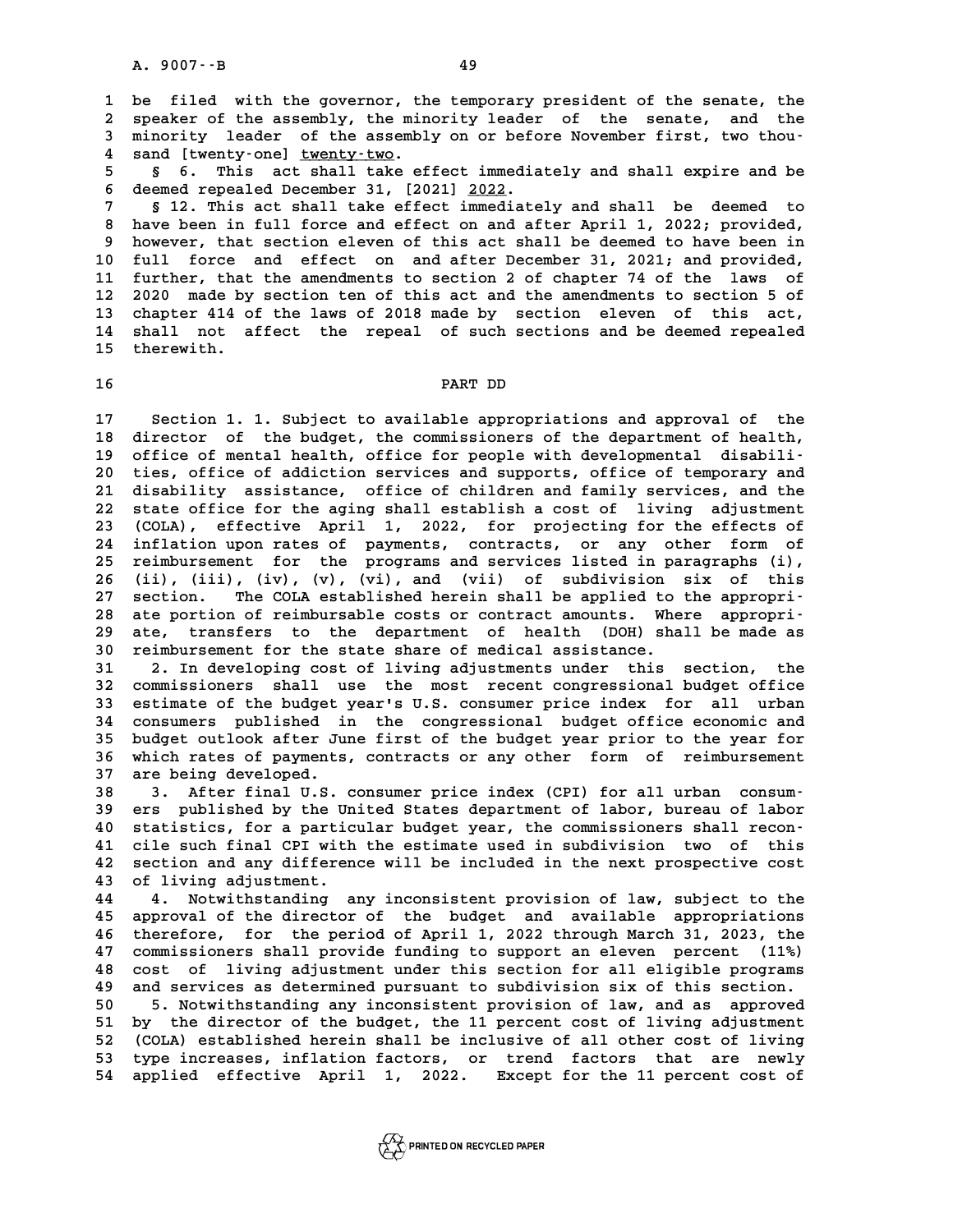**1 be filed with the governor, the temporary president of the senate, the** 1 be filed with the governor, the temporary president of the senate, the<br>2 speaker of the assembly, the minority leader of the senate, and the<br>3 minority leader of the assembly on or before November first, two thou. 1 be filed with the governor, the temporary president of the senate, the speaker of the assembly, the minority leader of the senate, and the minority leader of the assembly on or before November first, two thou-2 speaker of the assembly, the minority leader of the senate, and the<br>3 minority leader of the assembly on or before November first, two thou-<br>4 sand [twenty-one] <u>twenty-two</u>.<br>5 § 6. This act shall take effect immediately **5 § 6. This act shall take effect immediately and shall expire and be**

**6 deemed repealed December 31, [2021] 2022.**<br> **6 deemed repealed December 31, [2021] 2022.**<br> **6 deemed repealed December 31, [2021] 2022.**<br> **12** mbig ast shall take offert immediate **8 § 6. This act shall take effect immediately and shall expire and be deemed repealed December 31, [2021] <u>2022</u>.<br><b>8 12. This act shall take effect immediately and shall be deemed to**<br>be here been in full forge and effect

**8 deemed repealed December 31, [2021] <u>2022</u>.<br>
<b>8 12. This act shall take effect immediately and shall be deemed to**<br> **8 have been in full force and effect on and after April 1, 2022; provided,**<br> **8 hoveour** that soction **9 12. This act shall take effect immediately and shall be deemed to<br>
8 however, that section eleven of this act shall be deemed to have been in**<br>
9 however, that section eleven of this act shall be deemed to have been in<br> 8 have been in full force and effect on and after April 1, 2022; provided,<br>9 however, that section eleven of this act shall be deemed to have been in<br>10 full force and effect on and after December 31, 2021; and provided,<br><sup></sup> 9 however, that section eleven of this act shall be deemed to have been in<br>10 full force and effect on and after December 31, 2021; and provided,<br>11 further, that the amendments to section 2 of chapter 74 of the laws of<br>12 **10 full force and effect on and after December 31, 2021; and provided,<br>11 further, that the amendments to section 2 of chapter 74 of the laws of<br>12 2020 made by section ten of this act and the amendments to section 5 of<br>1** 11 further, that the amendments to section 2 of chapter 74 of the laws of<br>12 2020 made by section ten of this act and the amendments to section 5 of<br>13 chapter 414 of the laws of 2018 made by section eleven of this act,<br>14 12 2020 made by section ten of this act and the amendments to section 5 of<br>13 chapter 414 of the laws of 2018 made by section eleven of this act,<br>14 shall not affect the repeal of such sections and be deemed repealed<br>15 th 13 chapter 414 of the laws of 2018 made by section eleven of this act,<br>14 shall not affect the repeal of such sections and be deemed repealed<br>15 therewith. 15 therewith.<br>16 **PART DD** 

PART DD<br>17 Section 1. 1. Subject to available appropriations and approval of the<br>18 director of the budget, the commissioners of the department of health, **17** Section 1. 1. Subject to available appropriations and approval of the<br>18 director of the budget, the commissioners of the department of health,<br>19 office of mental bealth, office for people with developmental disabili 17 Section 1. 1. Subject to available appropriations and approval of the<br>
18 director of the budget, the commissioners of the department of health,<br>
19 office of mental health, office for people with developmental disabili 18 director of the budget, the commissioners of the department of health,<br>19 office of mental health, office for people with developmental disabili-<br>20 ties, office of addiction services and supports, office of temporary a **21 office of mental health, office for people with developmental disabili-**<br>20 ties, office of addiction services and supports, office of temporary and<br>21 disability assistance, office of children and family services, and 20 ties, office of addiction services and supports, office of temporary and<br>21 disability assistance, office of children and family services, and the<br>22 state office for the aging shall establish a cost of living adjustmen 21 disability assistance, office of children and family services, and the<br>22 state office for the aging shall establish a cost of living adjustment<br>23 (COLA), effective April 1, 2022, for projecting for the effects of<br><sup>24</sup> 22 state office for the aging shall establish a cost of living adjustment<br>23 (COLA), effective April 1, 2022, for projecting for the effects of<br>24 inflation upon rates of payments, contracts, or any other form of<br>25 reimbu **23 (COLA), effective April 1, 2022, for projecting for the effects of inflation upon rates of payments, contracts, or any other form of reimbursement for the programs and services listed in paragraphs (i),**<br>25 reimburseme 24 inflation upon rates of payments, contracts, or any other form of<br>25 reimbursement for the programs and services listed in paragraphs (i),<br>26 (ii), (iii), (iv), (v), (vi), and (vii) of subdivision six of this<br>27 section 25 reimbursement for the programs and services listed in paragraphs (i),<br>
26 (ii), (iii), (iv), (v), (vi), and (vii) of subdivision six of this<br>
27 section. The COLA established herein shall be applied to the appropri-<br>
<sup>2</sup> 26 (ii), (iii), (iv), (v), (vi), and (vii) of subdivision six of this<br>27 section. The COLA established herein shall be applied to the appropri-<br>28 ate portion of reimbursable costs or contract amounts. Where appropri-27 section. The COLA established herein shall be applied to the appropri-<br>28 ate portion of reimbursable costs or contract amounts. Where appropri-<br>29 ate, transfers to the department of health (DOH) shall be made as<br>20 re 28 ate portion of reimbursable costs or contract amounts. Whe<br>29 ate, transfers to the department of health (DOH) sha<br>30 reimbursement for the state share of medical assistance.<br><sup>31</sup> <sup>2</sup> In developing cost of living adjust 29 ate, transfers to the department of health (DOH) shall be made as<br>30 reimbursement for the state share of medical assistance.<br>31 2. In developing cost of living adjustments under this section, the<br><sup>32</sup> commissioners sha

30 reimbursement for the state share of medical assistance.<br>31 2. In developing cost of living adjustments under this section, the<br>32 commissioners shall use the most recent congressional budget office<br>33 cotimate of the b **31 2. In developing cost of living adjustments under this section, the commissioners shall use the most recent congressional budget office**<br>**33 estimate of the budget year's U.S. consumer price index for all urban**<br>**24 en** 32 commissioners shall use the most recent congressional budget office<br>33 estimate of the budget year's U.S. consumer price index for all urban<br>34 consumers published in the congressional budget office economic and<br><sup>35</sup> bu 33 estimate of the budget year's U.S. consumer price index for all urban<br>34 consumers published in the congressional budget office economic and<br>35 budget outlook after June first of the budget year prior to the year for<br>36 34 consumers published in the congressional budget office economic and<br>35 budget outlook after June first of the budget year prior to the year for<br>36 which rates of payments, contracts or any other form of reimbursement<br>37 35 budget outlook after June first of the budget year prior to the year for<br>36 which rates of payments, contracts or any other form of reimbursement<br>37 are being developed.<br>38 3. After final U.S. consumer price index (CPI) 36 which rates of payments, contracts or any other form of reimbursement<br>37 are being developed.<br>38 3. After final U.S. consumer price index (CPI) for all urban consum-<br>39 ers published by the United States department of l

**39 ers published by the United States department of labor, bureau of labor 40 statistics, for a particular budget year, the commissioners shall recon-41 cile such final CPI with the estimate used in subdivision two of this** 40 statistics, for a particular budget year, the commissioners shall recon-<br>41 cile such final CPI with the estimate used in subdivision two of this<br>42 section and any difference will be included in the next prospective co 41 cile such final CPI with<br>42 section and any differen<br>43 of living adjustment. **42 section and any difference will be included in the next prospective cost**<br>**43 of living adjustment.**<br>**44 4. Notwithstanding any inconsistent provision of law, subject to the**<br>**45** 

43 of living adjustment.<br>44 4. Notwithstanding any inconsistent provision of law, subject to the<br>45 approval of the director of the budget and available appropriations<br>46 therefore, for the period of April 1, 2022 through **44 4. Notwithstanding any inconsistent provision of law, subject to the approval of the director of the budget and available appropriations therefore, for the period of April 1, 2022 through March 31, 2023, the commission** 45 approval of the director of the budget and available appropriations<br>46 therefore, for the period of April 1, 2022 through March 31, 2023, the<br>47 commissioners shall provide funding to support an eleven percent (11%)<br>200 **46 therefore, for the period of April 1, 2022 through March 31, 2023, the commissioners shall provide funding to support an eleven percent (11%)**<br>48 cost of living adjustment under this section for all eligible programs<br>a 47 commissioners shall provide funding to support an eleven percent (11%)<br>48 cost of living adjustment under this section for all eligible programs<br>49 and services as determined pursuant to subdivision six of this section. **50** 48 cost of living adjustment under this section for all eligible programs<br> **49** and services as determined pursuant to subdivision six of this section.<br>
50 5. Notwithstanding any inconsistent provision of law, and as

**51 by the director of the budget, the 11 percent cost of this section.**<br> **51 by the director of the budget, the 11 percent cost of living adjustment**<br> **52 (COLA) established herein shall be inclusive of all other cost of** 50 5. Notwithstanding any inconsistent provision of law, and as approved<br>
51 by the director of the budget, the 11 percent cost of living adjustment<br>
52 (COLA) established herein shall be inclusive of all other cost of liv 51 by the director of the budget, the 11 percent cost of living adjustment<br>52 (COLA) established herein shall be inclusive of all other cost of living<br>53 type increases, inflation factors, or trend factors that are newly<br>5 **54 applied effective April 1, 2022. Except for the 11 percent cost of**

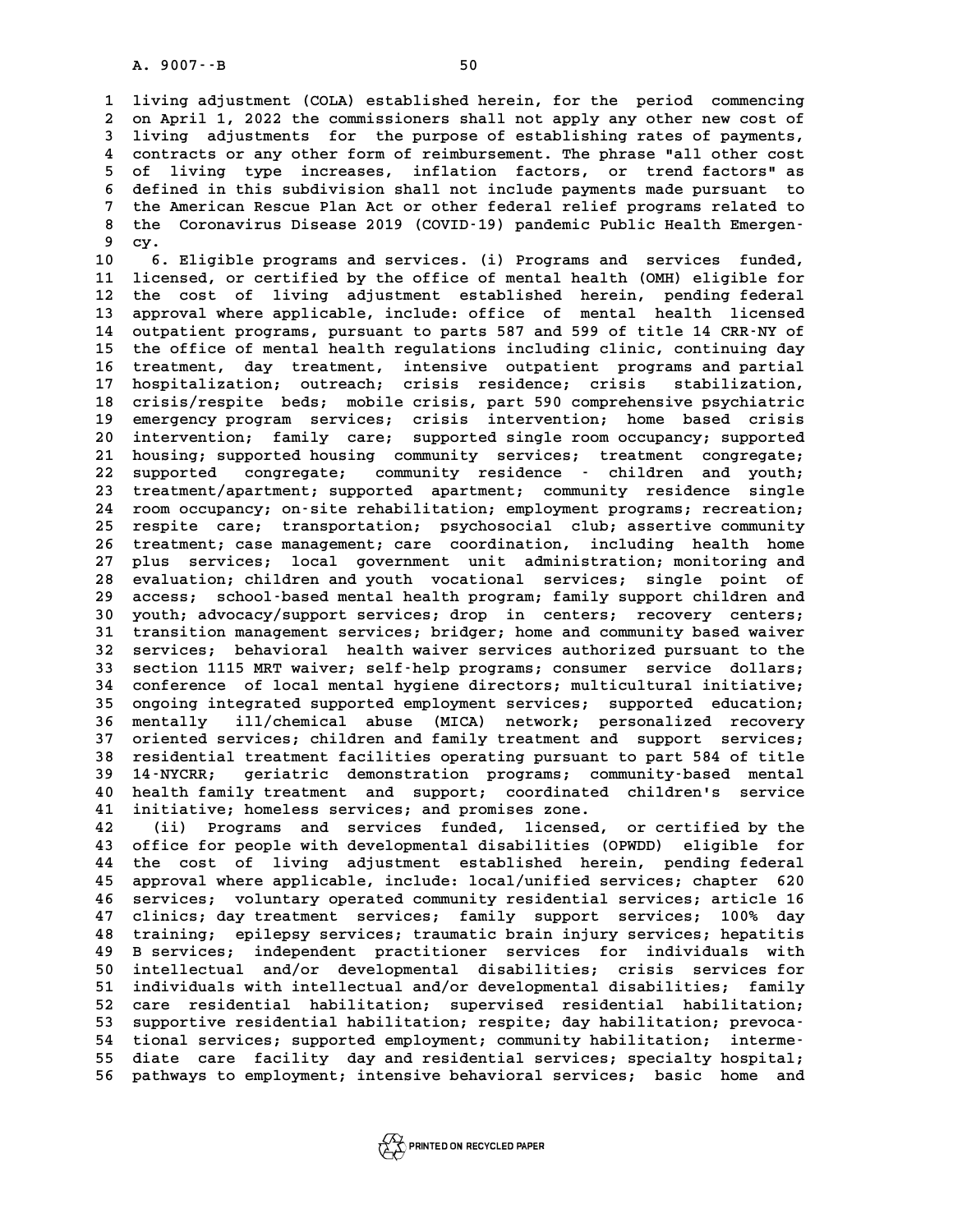**1 living adjustment (COLA) established herein, for the period commencing** 1 living adjustment (COLA) established herein, for the period commencing<br>2 on April 1, 2022 the commissioners shall not apply any other new cost of<br>3 living adjustments, for the purpose of establishing rates of payments 1 living adjustment (COLA) established herein, for the period commencing<br>2 on April 1, 2022 the commissioners shall not apply any other new cost of<br>3 living adjustments for the purpose of establishing rates of payments,<br>2 2 on April 1, 2022 the commissioners shall not apply any other new cost of<br>3 living adjustments for the purpose of establishing rates of payments,<br>4 contracts or any other form of reimbursement. The phrase "all other cost<br> 3 living adjustments for the purpose of establishing rates of payments,<br>4 contracts or any other form of reimbursement. The phrase "all other cost<br>5 of living type increases, inflation factors, or trend factors" as<br>6 defin 4 contracts or any other form of reimbursement. The phrase "all other cost<br>5 of living type increases, inflation factors, or trend factors" as<br>6 defined in this subdivision shall not include payments made pursuant to<br><sup>7</sup> t 5 of living type increases, inflation factors, or trend factors" as<br>6 defined in this subdivision shall not include payments made pursuant to<br>7 the American Rescue Plan Act or other federal relief programs related to<br>8 the 6 defined in this subdivision shall not include payments made pursuant to<br>7 the American Rescue Plan Act or other federal relief programs related to<br>8 the Coronavirus Disease 2019 (COVID-19) pandemic Public Health Emergen-The American Rescue Plan Act or other federal relief programs related to<br>8 the Coronavirus Disease 2019 (COVID-19) pandemic Public Health Emergen-<br>9 cy.<br>8. Eligible programs and services. (i) Programs and services funded, 10 6. Eligible programs and services. (i) Programs and services funded,<br>
10 6. Eligible programs and services. (i) Programs and services funded,<br>
11 ligensed or certified by the office of mental bealth (OMH) eligible for

<sup>9</sup> cy.<br>
10 6. Eligible programs and services. (i) Programs and services funded,<br>
11 licensed, or certified by the office of mental health (OMH) eligible for<br>
<sup>12</sup> the sest of living adjustment established berein, pending 10 <sup>6</sup> 6. Eligible programs and services. (i) Programs and services funded,<br>11 licensed, or certified by the office of mental health (OMH) eligible for<br>12 the cost of living adjustment established herein, pending federal<br>1 11 licensed, or certified by the office of mental health (OMH) eligible for<br>12 the cost of living adjustment established herein, pending federal<br>13 approval where applicable, include: office of mental health licensed<br>14 au 12 the cost of living adjustment established herein, pending federal<br>13 approval where applicable, include: office of mental health licensed<br>14 outpatient programs, pursuant to parts 587 and 599 of title 14 CRR-NY of<br>the o 13 approval where applicable, include: office of mental health licensed<br>14 outpatient programs, pursuant to parts 587 and 599 of title 14 CRR-NY of<br>15 the office of mental health regulations including clinic, continuing da 14 outpatient programs, pursuant to parts 587 and 599 of title 14 CRR-NY of<br>15 the office of mental health regulations including clinic, continuing day<br>16 treatment, day treatment, intensive outpatient programs and partial 15 the office of mental health regulations including clinic, continuing day<br>16 treatment, day treatment, intensive outpatient programs and partial<br>17 hospitalization, outreach; crisis residence; crisis stabilization,<br>20 cr 16 treatment, day treatment, intensive outpatient programs and partial<br>17 hospitalization; outreach; crisis residence; crisis stabilization,<br>18 crisis/respite beds; mobile crisis, part 590 comprehensive psychiatric<br>20 cont 17 hospitalization; outreach; crisis residence; crisis stabilization,<br>18 crisis/respite beds; mobile crisis, part 590 comprehensive psychiatric<br>19 emergency program services; crisis intervention; home based crisis<br>interven 18 crisis/respite beds; mobile crisis, part 590 comprehensive psychiatric<br>19 emergency program services; crisis intervention; home based crisis<br>20 intervention; family care; supported single room occupancy; supported<br>21 bo 19 emergency program services; crisis intervention; home based crisis<br>20 intervention; family care; supported single room occupancy; supported<br>21 housing; supported housing community services; treatment congregate; **22 supported congregate; community residence - children and youth;** 21 housing; supported housing community services; treatment congregate;<br>22 supported congregate; community residence - children and youth;<br>23 treatment/apartment; supported apartment; community residence single<br>24 room occ 22 supported congregate; community residence - children and youth;<br>23 treatment/apartment; supported apartment; community residence single<br>24 room occupancy; on-site rehabilitation; employment programs; recreation;<br>25 room 23 treatment/apartment; supported apartment; community residence single<br>24 room occupancy; on-site rehabilitation; employment programs; recreation;<br>25 respite care; transportation; psychosocial club; assertive community<br>16 24 room occupancy; on-site rehabilitation; employment programs; recreation;<br>25 respite care; transportation; psychosocial club; assertive community<br>26 treatment; case management; care coordination, including health home<br>27 **25 respite care; transportation; psychosocial club; assertive community**<br>26 treatment; case management; care coordination, including health home<br>27 plus services; local government unit administration; monitoring and<br>28 cu 26 treatment; case management; care coordination, including health home<br>27 plus services; local government unit administration; monitoring and<br>28 evaluation; children and youth vocational services; single point of<br>29 eggss plus services; local government unit administration; monitoring and<br>28 evaluation; children and youth vocational services; single point of<br>29 access; school-based mental health program; family support children and<br>20 uouth **30 evaluation; children and youth vocational services; single point of access; school-based mental health program; family support children and youth; advocacy/support services; drop in centers; recovery centers; transitio** 29 access; school-based mental health program; family support children and<br>30 youth; advocacy/support services; drop in centers; recovery centers;<br>31 transition management services; bridger; home and community based waiver 30 youth; advocacy/support services; drop in centers; recovery centers;<br>31 transition management services; bridger; home and community based waiver<br>32 services; behavioral health waiver services authorized pursuant to the<br> **follow 113 section 1115 MRT waiverservices; bridger; home and community based waiver**<br>32 services; behavioral health waiver services authorized pursuant to the<br>33 section 1115 MRT waiver; self-help programs; consumer serv 32 services; behavioral health waiver services authorized pursuant to the<br>33 section 1115 MRT waiver; self-help programs; consumer service dollars;<br>34 conference of local mental hygiene directors; multicultural initiative; 33 section 1115 MRT waiver; self-help programs; consumer service dollars;<br>34 conference of local mental hygiene directors; multicultural initiative;<br>35 ongoing integrated supported employment services; supported education; 34 conference of local mental hygiene directors; multicultural initiative;<br>35 ongoing integrated supported employment services; supported education;<br>36 mentally ill/chemical abuse (MICA) network; personalized recovery<br>27 o 35 ongoing integrated supported employment services; supported education;<br>36 mentally ill/chemical abuse (MICA) network; personalized recovery<br>37 oriented services; children and family treatment and support services;<br>28 po **36 mentally ill/chemical abuse (MICA) network; personalized recovery**<br>37 oriented services; children and family treatment and support services;<br>38 residential treatment facilities operating pursuant to part 584 of title<br>3 37 oriented services; children and family treatment and support services;<br>38 residential treatment facilities operating pursuant to part 584 of title<br>39 14-NYCRR; geriatric demonstration programs; community-based mental<br>10 **40 and SE health family treatment facilities operating pursuant to part 584 of title<br>
40 health family treatment and support; coordinated children's service<br>
41 initiative: bomeless services: and promises zone** 14 NYCRR; geriatric demonstration programs; community-based mental<br>
40 health family treatment and support; coordinated children's service<br>
41 initiative; homeless services; and promises zone.<br>
42 (ii) Programs and service

**42 (ii) Programs and services funded, licensed, or certified by the 43 office for people with developmental disabilities (OPWDD) eligible for 42 (ii) Programs and services funded, licensed, or certified by the office for people with developmental disabilities (OPWDD) eligible for the cost of living adjustment established herein, pending federal<br>15 approvel wher** 43 office for people with developmental disabilities (OPWDD) eligible for<br>44 the cost of living adjustment established herein, pending federal<br>45 approval where applicable, include: local/unified services; chapter 620<br>46 a 44 the cost of living adjustment established herein, pending federal<br>45 approval where applicable, include: local/unified services; chapter 620<br>46 services; voluntary operated community residential services; article 16<br>47 45 approval where applicable, include: local/unified services; chapter 620<br>46 services; voluntary operated community residential services; article 16<br>47 clinics; day treatment services; family support services; 100% day<br>48 **46 services; voluntary operated community residential services; article 16**<br>**47 clinics; day treatment services; family support services; 100% day**<br>**48 training; epilepsy services; traumatic brain injury services; hepatit 47 clinics; day treatment services; family support services; 100% day<br>48 training; epilepsy services; traumatic brain injury services; hepatitis<br>49 B services; independent practitioner services for individuals with<br>50 int 50 intellectual and/or developmental disabilities; crisis services for 51 B services; independent practitioner services for individuals with<br>
50 intellectual and/or developmental disabilities; crisis services for<br>
51 individuals with intellectual and/or developmental disabilities; family<br>
52** 50 intellectual and/or developmental disabilities; crisis services for<br>51 individuals with intellectual and/or developmental disabilities; family<br>52 care residential habilitation; supervised residential habilitation;<br>53 su 51 individuals with intellectual and/or developmental disabilities; family<br>52 care residential habilitation; supervised residential habilitation;<br>53 supportive residential habilitation; respite; day habilitation; prevoca-<br> 52 care residential habilitation; supervised residential habilitation;<br>53 supportive residential habilitation; respite; day habilitation; prevoca-<br>54 tional services; supported employment; community habilitation; interme-<br> 53 supportive residential habilitation; respite; day habilitation; prevoca-<br>54 tional services; supported employment; community habilitation; interme-<br>55 diate care facility day and residential services; specialty hospital 54 tional services; supported employment; community habilitation; interme-<br>55 diate care facility day and residential services; specialty hospital;<br>56 pathways to employment; intensive behavioral services; basic home and

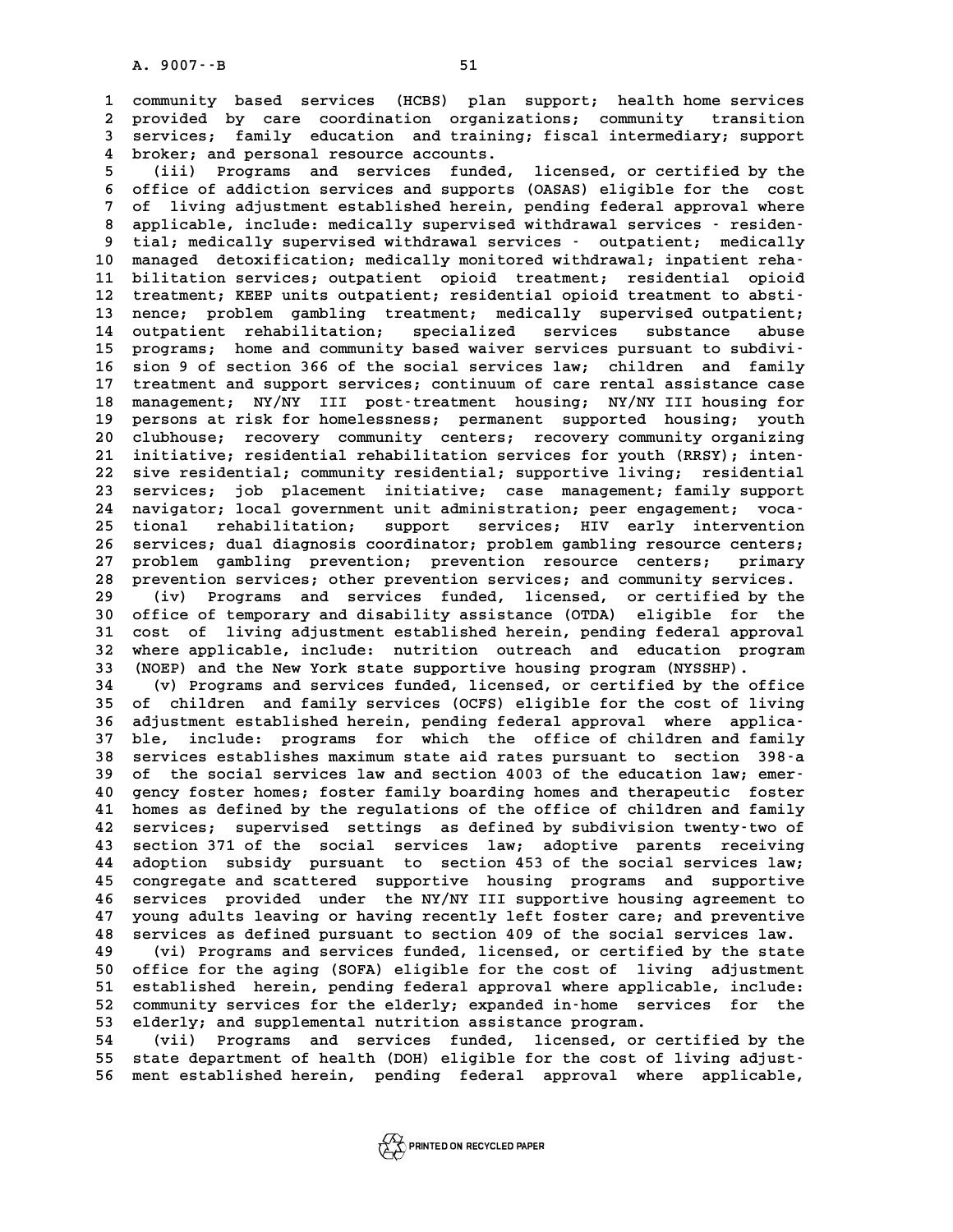**1 community based services (HCBS) plan support; health home services** 1 community based services (HCBS) plan support; health-home-services<br>2 provided by care coordination organizations; community transition<br>3 services: family education and training: fiscal intermediary, support 1 community based services (HCBS) plan support; health home services<br>2 provided by care coordination organizations; community transition<br>3 services; family education and training; fiscal intermediary; support<br>4 broker: and 2 provided by care coordination organiza<br>3 services; family education and training<br>4 broker; and personal resource accounts.<br>5 (iii) Programs and services funded **5** (i) Services; family education and training; fiscal intermediary; support<br>
4 broker; and personal resource accounts.<br>
5 (iii) Programs and services funded, licensed, or certified by the<br>
5 office of addiction corriers

**6 of the set of addiction services**<br> **6 of fice of addiction services and supports (OASAS) eligible for the cost**<br> **6 of living adjustment ostablished bergin pending foderal approval where Fig. 2018** (iii) Programs and services funded, licensed, or certified by the<br>6 office of addiction services and supports (OASAS) eligible for the cost<br>7 of living adjustment established herein, pending federal approval wh 6 office of addiction services and supports (OASAS) eligible for the cost<br>7 of living adjustment established herein, pending federal approval where<br>8 applicable, include: medically supervised withdrawal services - residen-9 of living adjustment established herein, pending federal approval where<br>**9 applicable, include: medically** supervised withdrawal services - residen-<br>9 tial; medically supervised withdrawal services - outpatient; medicall 8 applicable, include: medically supervised withdrawal services - residen-<br>
9 tial; medically supervised withdrawal services - outpatient; medically<br>
10 managed detoxification; medically monitored withdrawal; inpatient reh 9 tial; medically supervised withdrawal services - outpatient; medically<br>10 managed detoxification; medically monitored withdrawal; inpatient reha-<br>11 bilitation services; outpatient opioid treatment; residential opioid<br>tr 10 managed detoxification; medically monitored withdrawal; inpatient reha-<br>
11 bilitation services; outpatient opioid treatment; residential opioid<br>
12 treatment; KEEP units outpatient; residential opioid treatment to abst 11 bilitation services; outpatient opioid treatment; residential opioid<br>12 treatment; KEEP units outpatient; residential opioid treatment to absti-<br>13 nence; problem gambling treatment; medically supervised outpatient;<br>14 12 treatment; KEEP units outpatient; residential opioid treatment to absti-<br>13 nence; problem gambling treatment; medically supervised outpatient;<br>14 outpatient rehabilitation; specialized services substance abuse<br>15 progr 13 nence; problem gambling treatment; medically supervised outpatient;<br>14 outpatient rehabilitation; specialized services substance abuse<br>15 programs; home and community based waiver services pursuant to subdivi-<br>16 sion 9 14 outpatient rehabilitation; specialized services substance abuse<br>15 programs; home and community based waiver services pursuant to subdivi-<br>16 sion 9 of section 366 of the social services law; children and family<br>17 trea 15 programs; home and community based waiver services pursuant to subdivi-<br>16 sion 9 of section 366 of the social services law; children and family<br>17 treatment and support services; continuum of care rental assistance cas 16 sion 9 of section 366 of the social services law; children and family<br>17 treatment and support services; continuum of care rental assistance case<br>18 management; NY/NY III post-treatment housing; NY/NY III housing for<br>19 17 treatment and support services; continuum of care rental assistance case<br>18 management; NY/NY III post-treatment housing; NY/NY III housing for<br>19 persons at risk for homelessness; permanent supported housing; youth<br>20 18 management; NY/NY III post-treatment housing; NY/NY III housing for<br>19 persons at risk for homelessness; permanent supported housing; youth<br>20 clubhouse; recovery community centers; recovery community organizing<br><sup>21</sup> in 19 persons at risk for homelessness; permanent supported housing; youth<br>20 clubhouse; recovery community centers; recovery community organizing<br>21 initiative; residential rehabilitation services for youth (RRSY); inten-20 clubhouse; recovery community centers; recovery community organizing<br>21 initiative; residential rehabilitation services for youth (RRSY); inten-<br>22 sive residential; community residential; supportive living; residential 21 initiative; residential rehabilitation services for youth (RRSY); inten-<br>22 sive residential; community residential; supportive living; residential<br>23 services; job placement initiative; case management; family support<br> 22 sive residential; community residential; supportive living; residential<br>23 services; job placement initiative; case management; family support<br>24 navigator; local government unit administration; peer engagement; voca-<br>2 23 services; job placement initiative; case management; family support<br>24 navigator; local government unit administration; peer engagement; voca-<br>25 tional rehabilitation; support services; HIV early intervention<br>26 servic 24 navigator; local government unit administration; peer engagement; voca-<br>25 tional rehabilitation; support services; HIV early intervention<br>26 services; dual diagnosis coordinator; problem gambling resource centers;<br>27 p 25 tional rehabilitation; support services; HIV early intervention<br>26 services; dual-diagnosis-coordinator; problem gambling resource centers;<br>27 problem gambling prevention; prevention resource centers; primary<br>28 provent 26 services; dual diagnosis coordinator; problem gambling resource centers;<br>27 problem gambling prevention; prevention resource centers; primary<br>28 prevention services; other prevention services; and community services.<br>(i 27 problem gambling prevention; prevention resource centers; primary<br>28 prevention services; other prevention services; and community services.<br>29 (iv) Programs and services funded, licensed, or certified by the<br>30 office

**30 prevention services; other prevention services; and community services.**<br> **30 (iv) Programs and services funded, licensed, or certified by the**<br> **30 office of temporary and disability assistance (OTDA) eligible for the** <sup>29</sup> (iv) Programs and services funded, licensed, or certified by the<br>30 office of temporary and disability assistance (OTDA) eligible for the<br>31 cost of living adjustment established herein, pending federal approval<br><sup>32</sup> 30 office of temporary and disability assistance (OTDA) eligible for the<br>31 cost of living adjustment established herein, pending federal approval<br>32 where applicable, include: nutrition outreach and education program<br>33 ( 31 cost of living adjustment established herein, pending federal approval<br>32 where applicable, include: nutrition outreach and education program<br>33 (NOEP) and the New York state supportive housing program (NYSSHP).<br>(v) Pro 32 where applicable, include: nutrition outreach and education program<br>33 (NOEP) and the New York state supportive housing program (NYSSHP).<br>34 (v) Programs and services funded, licensed, or certified by the office<br>35 of c

**33 (NOEP)** and the New York state supportive housing program (NYSSHP).<br> **34** (v) Programs and services funded, licensed, or certified by the office<br> **35** of children and family services (OCFS) eligible for the cost of liv (v) Programs and services funded, licensed, or certified by the office<br>
35 of children and family services (OCFS) eligible for the cost of living<br>
36 adjustment established herein, pending federal approval where applica-<br> **35 of children and family services (OCFS) eligible for the cost of living<br>36 adjustment established herein, pending federal approval where applica-<br>37 ble, include: programs for which the office of children and family<br>28 36 adjustment established herein, pending federal approval where applica-**<br>37 ble, include: programs for which the office of children and family<br>38 services establishes maximum state aid rates pursuant to section 398-a<br>29 37 ble, include: programs for which the office of children and family<br>38 services establishes maximum state aid rates pursuant to section 398-a<br>39 of the social services law and section 4003 of the education law; emer-<br>40 **40 services establishes maximum state aid rates pursuant to section 398-a**<br>**40 of the social services law and section 4003 of the education law; emer-**<br>**40 gency foster homes; foster family boarding homes and therapeutic** 39 of the social services law and section 4003 of the education law; emer-<br>40 gency foster homes; foster family boarding homes and therapeutic foster<br>41 homes as defined by the regulations of the office of children and fam **42 services; supervised settings as defined by subdivision twenty-two of** 41 homes as defined by the regulations of the office of children and family<br>42 services; supervised settings as defined by subdivision twenty-two of<br>43 section 371 of the social services law; adoptive parents receiving<br>44 42 services; supervised settings as defined by subdivision twenty-two of<br>43 section 371 of the social services law; adoptive parents receiving<br>44 adoption subsidy pursuant to section 453 of the social services law;<br>45 cong 43 section 371 of the social services law; adoptive parents receiving<br>44 adoption subsidy pursuant to section 453 of the social services law;<br>45 congregate and scattered supportive housing programs and supportive<br>46 corrig **44 adoption subsidy pursuant to section 453 of the social services law;**<br>45 congregate and scattered supportive housing programs and supportive<br>46 services provided under the NY/NY III supportive housing agreement to<br>47 y 45 congregate and scattered supportive housing programs and supportive<br>46 services provided under the NY/NY III supportive housing agreement to<br>47 young adults leaving or having recently left foster care; and preventive<br>28 46 services provided under the NY/NY III supportive housing agreement to<br>47 young adults leaving or having recently left foster care; and preventive<br>48 services as defined pursuant to section 409 of the social services law **47 young adults leaving or having recently left foster care; and preventive**<br>**48 services as defined pursuant to section 409 of the social services law.**<br>(vi) Programs and services funded, licensed, or certified by the st

**50 of the social services as defined pursuant to section 409 of the social services law.**<br> **49** (vi) Programs and services funded, licensed, or certified by the state<br>
50 office for the aging (SOFA) eligible for the cost (vi) Programs and services funded, licensed, or certified by the state<br>50 office for the aging (SOFA) eligible for the cost of living adjustment<br>51 established herein, pending federal approval where applicable, include:<br>52 50 office for the aging (SOFA) eligible for the cost of living adjustment<br>51 established herein, pending federal approval where applicable, include:<br>52 community services for the elderly; expanded in-home services for the<br> 51 established herein, pending federal approval where applicable, include:<br>52 community services for the elderly; expanded in-home services for the<br>53 elderly; and supplemental nutrition assistance program.<br>54 (vii) Progra

**54 (vii) Programs and services funded, licensed, or certified by the 55 state department of health (DOH) eligible for the cost of living adjust-56 ment established herein, pending federal approval where applicable,**

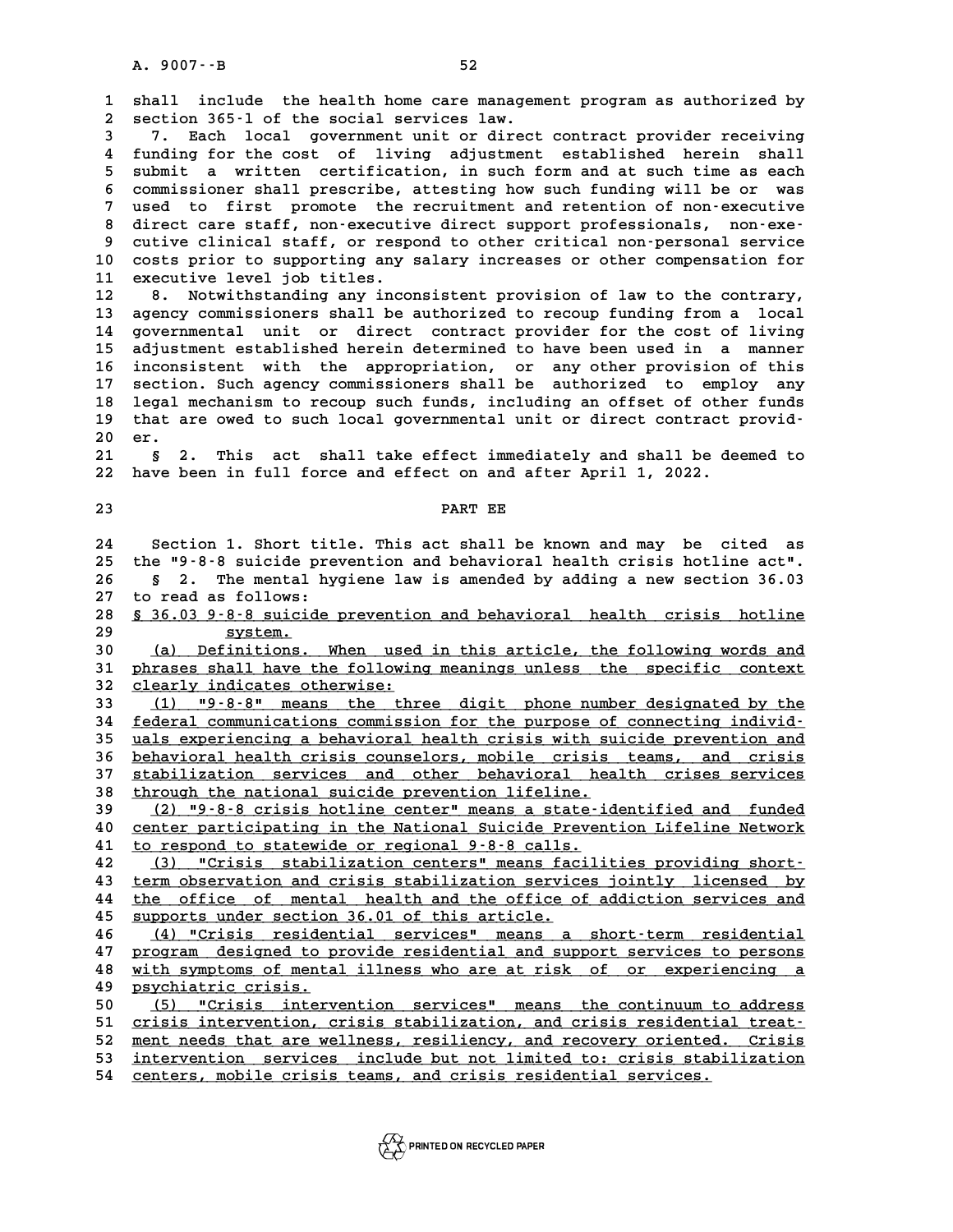**1 shall include the health home care management program as authorized by** 1 shall include the health home care managem<br>2 section 365-1 of the social services law.<br>3 3 Teach logal government unit or direct **3** 1 shall include the health home care management program as authorized by<br>
2 section 365-1 of the social services law.<br>
3 7. Each local government unit or direct contract provider receiving<br>
4 funding for the sost of li **4 funding for the cost of living adjustment established herein shall 5 3 3 3 3 submit a submit a written certification, in such form and at such time as each**<br>**5 submit a written certification, in such form and at such time as each**<br>**6 semminationar shall prescripe attention boy such fundi** 4 funding for the cost of living adjustment established herein shall<br>5 submit a written certification, in such form and at such time as each<br>6 commissioner shall prescribe, attesting how such funding will be or was<br>7 used 5 submit a written certification, in such form and at such time as each<br>6 commissioner shall prescribe, attesting how such funding will be or was<br>7 used to first promote the recruitment and retention of non-executive<br>8 dir 8 commissioner shall prescribe, attesting how such funding will be or was<br>
7 used to first promote the recruitment and retention of non-executive<br>
8 direct care staff, non-executive direct support professionals, non-exe-<br> used to first promote the recruitment and retention of non-executive 8 direct care staff, non-executive direct support professionals, non-exe-<br>9 cutive clinical staff, or respond to other critical non-personal service<br>10 costs prior to supporting any salary increases or other compensation f 9 cutive clinical staff, or resp<br>10 costs prior to supporting any<br>11 executive level job titles. 10 costs prior to supporting any salary increases or other compensation for<br>11 executive level job titles.<br>12 8. Notwithstanding any inconsistent provision of law to the contrary,<br>13 exercy commissioners shall be authorize 11 executive level job titles.<br>12 8. Notwithstanding any inconsistent provision of law to the contrary,<br>13 agency commissioners shall be authorized to recoup funding from a local 12 8. Notwithstanding any inconsistent provision of law to the contrary,<br>13 agency commissioners shall be authorized to recoup funding from a local<br>14 governmental unit or direct contract provider for the cost of living<br>15 13 agency commissioners shall be authorized to recoup funding from a local<br>14 governmental unit or direct contract provider for the cost of living<br>15 adjustment established herein determined to have been used in a manner<br>1 14 governmental unit or direct contract provider for the cost of living<br>15 adjustment established herein determined to have been used in a manner<br>16 inconsistent with the appropriation, or any other provision of this<br>17 se **15 adjustment established herein determined to have been used in a manner**<br>16 inconsistent with the appropriation, or any other provision of this<br>17 section. Such agency commissioners shall be authorized to employ any<br>18 16 inconsistent with the appropriation, or any other provision of this<br>17 section. Such agency commissioners shall be authorized to employ any<br>18 legal mechanism to recoup such funds, including an offset of other funds<br>tha 17 section. Such agency commissioners shall be authorized to employ any legal mechanism to recoup such funds, including an offset of other funds that are owed to such local governmental unit or direct contract provid-<br>
<sup>20</sup> 18 legal mechanism to recoup such funds, including an offset of other funds<br>19 that are owed to such local governmental unit or direct contract provid-<br>20 er.<br>21 § 2. This act shall take effect immediately and shall be dee **21 but are owed to such local governmental unit or direct contract providents.**<br> **21 § 2.** This act shall take effect immediately and shall be deemed to<br> **22** have been in full force and effect on and after April 1, 2022. 20 er.<br>21 § 2. This act shall take effect immediately and shall be de<br>22 have been in full force and effect on and after April 1, 2022. **23 PART EE 23**<br>**24** Section 1. Short title. This act shall be known and may be cited as<br>25 the 50.8.8 quigide prevention and behavioral bealth grisis betline ast. **25 the "9-8-8 suicide prevention and behavioral health crisis hotline act".** Section 1. Short title. This act shall be known and may be cited as<br>25 the "9-8-8 suicide prevention and behavioral health crisis hotline act".<br>26 § 2. The mental hygiene law is amended by adding a new section 36.03<br>27 to 25 the "9-8-8 suicide prevention and behavioral health crisis hotline act".<br>26 § 2. The mental hygiene law is amended by adding a new section 36.03<br>27 to read as follows:<br>28 § 36.03 9-8-8 suicide prevention and behavioral **8 § 2. The mental hygiene law is amended by adding a new section 36.03**<br>27 to read as follows:<br>28 <u>§ 36.03 9-8-8 suicide prevention and behavioral health crisis hotline</u><br>29 surstem 27 to read as follows:<br>
28 <u>\$ 36.03 9-8-8 suicid</u><br>
29 5ystem.<br>
20 (2) Dofinitions **30 8 36.03 9-8-8 suicide prevention and behavioral health crisis hotline<br>
29 30 (a) Definitions. When used in this article, the following words and<br>
31 phrases shall have the following meanings unless, the specific contex 30** system.<br> **30** (a) Definitions. When used in this article, the following words and<br> **phrases shall have the following meanings unless** the specific context<br> **22** cloarly indicated otherwise: **30** (a) Definitions. When used<br>31 phrases shall have the followine<br>32 clearly indicates otherwise:<br>23 (1) US-2-2U moong the thr 10 (a) Definitions. When used in this article, the following words and<br>
11 phrases shall have the following meanings unless the specific context<br>
22 clearly indicates otherwise:<br>
13 (1) "9-8-8" means the three digit phone 32 clearly indicates otherwise:<br>
33 (1) "9-8-8" means the three digit phone number designated by the<br>
<u>federal communications commission for the purpose of connecting individence</u><br>
25 uple exportencing a behavioral boalth **33** (1) "9-8-8" means the three digit phone number designated by the<br>34 <u>federal communications commission for the purpose of connecting individ-<br>35 uals experiencing a behavioral health crisis with suicide prevention and</u> **14 <u>federal</u> communications commission for the purpose of connecting individ-<br>
<b>15 uals experiencing a behavioral health crisis with suicide prevention and<br>
<u>16 behavioral health crisis counselors, mobile crisis teams, an**</u> 35 uals experiencing a behavioral health crisis with suicide prevention and<br>36 <u>behavioral health crisis counselors, mobile crisis teams, and crisis</u><br>37 <u>stabilization services and other behavioral health crises services</u><br> 36 <u>behavioral health crisis counselors, mobile crisis teams, and crisis</u><br>37 <u>stabilization services and other behavioral health crises services</u><br>38 <u>through the national suicide prevention lifeline.</u><br>(2) "9-8-8 crisis hot **39** (2) "9-8-8 crisis hotline center" means a state-identified and funded<br>40 center participating in the National Suicide Prevention Lifeline Network through the national suicide prevention lifeline.<br>  $\frac{(2) - 9 - 8 - 8 \text{ crisis hotline center} \text{ means a state-identified and funded}}{\text{center partition in the National Suite Prevention lifetime Network}}$ **40** (2)  $\textbf{M}9 - 8 - 8$  crisis hotline center" means a state-i-<br> **40** center participating in the National Suicide Preven<br> **41** to respond to statewide or regional 9-8-8 calls.<br> **42** (3) UCrisis atobilization contoral mea **40** center participating in the National Suicide Prevention Lifeline Network<br> **41** to respond to statewide or regional 9-8-8 calls.<br> **42** (3) "Crisis stabilization centers" means facilities providing short-<br> **42** torm obs **41** to respond to statewide or regional 9-8-8 calls.<br> **42** (3) "Crisis stabilization centers" means facilities providing short-<br> **43** term observation and crisis stabilization services jointly licensed by<br>
the office of m **42** (3) "Crisis stabilization centers" means facilities providing short-<br>43 term observation and crisis stabilization services jointly licensed by<br>the office of mental health and the office of addiction services and<br>45 su 43 <u>term observation and crisis stabilization services jointly licensed by<br>44 the office of mental health and the office of addiction services and<br>45 supports under section 36.01 of this article.<br>46 (4) "Crisis residential</u> **44** the office of mental health and the office of addiction services and<br>45 supports under section 36.01 of this article.<br>46 (4) "Crisis residential services" means a short-term residential<br>17 program designed to provide 45 supports under section 36.01 of this article.<br>
46 (4) "Crisis residential services" means a short-term residential<br>
47 program designed to provide residential and support services to persons<br>
with sumptoms of montal ill **46** (4) "Crisis residential services" means a short-term residential<br>47 program designed to provide residential and support services to persons<br>with symptoms of mental illness who are at risk of or experiencing a<br>nevertia **47 program designed to p**<br>**48 with symptoms of menta**<br>**49 psychiatric crisis.**<br>50 (5) UCrisis interv **50 48 (5)** With symptoms of mental illness who are at risk of or experiencing a<br> **49 psychiatric crisis.**<br>
<u>50 (5) "Crisis intervention services" means the continuum to address</u><br>
51 crisis intervention crisis stabilizatio 90 psychiatric crisis.<br>
50 <u>(5) "Crisis intervention services" means the continuum to address</u><br>
51 <u>crisis intervention, crisis stabilization, and crisis residential treat-</u><br>
52 ment needs that are wellness, resiliency, an 50 (5) "Crisis intervention services" means the continuum to address<br>
51 <u>crisis intervention, crisis stabilization</u>, and crisis residential treat-<br>
<u>52</u> ment needs that are wellness, resiliency, and recovery oriented. Cri 51 <u>crisis intervention, crisis stabilization, and crisis residential treat-</u><br>52 <u>ment needs that are wellness, resiliency, and recovery oriented. Crisis<br>53 intervention services include but not limited to: crisis stabiliz</u> 53 <u>intervention services include but not limited to: crisis stabilization</u><br>54 <u>centers, mobile crisis teams, and crisis residential services.</u>

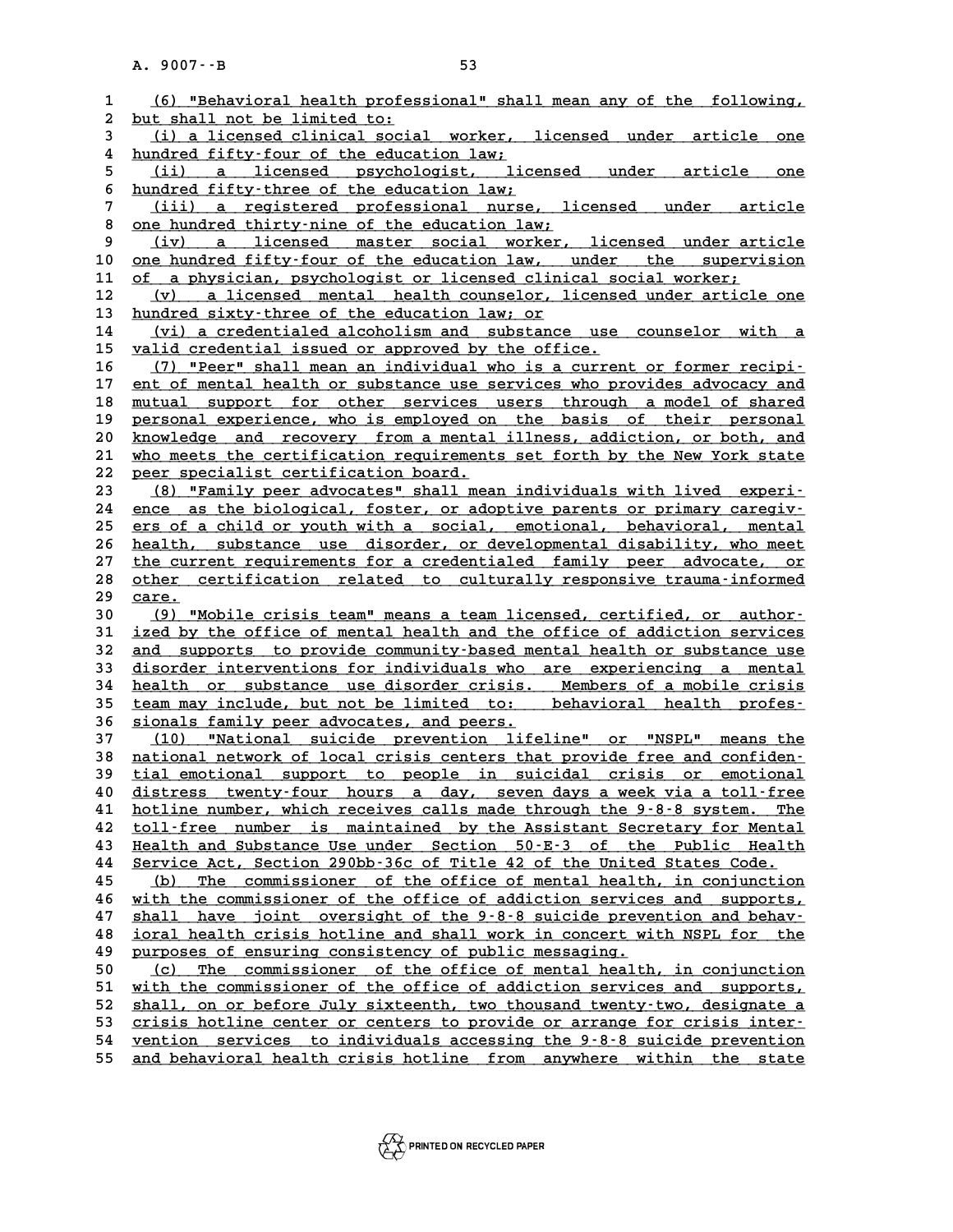|                   | A. 9007 -- B<br>53                                                                                                                            |
|-------------------|-----------------------------------------------------------------------------------------------------------------------------------------------|
|                   |                                                                                                                                               |
| $\mathbf{1}$<br>2 | (6) "Behavioral health professional" shall mean any of the following,<br>but shall not be limited to:                                         |
| 3                 | (i) a licensed clinical social worker, licensed under article one                                                                             |
| 4                 | hundred fifty-four of the education law;                                                                                                      |
| 5                 | (ii) a licensed psychologist, licensed under<br>article<br>one                                                                                |
| 6                 | hundred fifty-three of the education law;                                                                                                     |
| 7                 | (iii) a registered professional nurse, licensed under article                                                                                 |
| 8                 | one hundred thirty-nine of the education law;                                                                                                 |
| 9                 | a licensed master social worker, licensed under article<br>(iv)                                                                               |
| 10                | one hundred fifty-four of the education law, under the supervision                                                                            |
| 11                | of a physician, psychologist or licensed clinical social worker;                                                                              |
| 12                | (v) a licensed mental health counselor, licensed under article one                                                                            |
| 13                | hundred sixty-three of the education law; or                                                                                                  |
| 14<br>15          | (vi) a credentialed alcoholism and substance use counselor with a<br>valid credential issued or approved by the office.                       |
| 16                | (7) "Peer" shall mean an individual who is a current or former recipi-                                                                        |
| 17                | ent of mental health or substance use services who provides advocacy and                                                                      |
| 18                | mutual support for other services users through a model of shared                                                                             |
| 19                | personal experience, who is employed on the basis of their personal                                                                           |
| 20                | knowledge and recovery from a mental illness, addiction, or both, and                                                                         |
| 21                | who meets the certification requirements set forth by the New York state                                                                      |
| 22                | peer specialist certification board.                                                                                                          |
| 23                | (8) "Family peer advocates" shall mean individuals with lived experi-                                                                         |
| 24                | ence as the biological, foster, or adoptive parents or primary caregiv-                                                                       |
| 25                | ers of a child or youth with a social, emotional, behavioral, mental                                                                          |
| 26<br>27          | health, substance use disorder, or developmental disability, who meet<br>the current requirements for a credentialed family peer advocate, or |
| 28                | other certification related to culturally responsive trauma-informed                                                                          |
| 29                | care.                                                                                                                                         |
| 30                | (9) "Mobile crisis team" means a team licensed, certified, or author-                                                                         |
| 31                | ized by the office of mental health and the office of addiction services                                                                      |
| 32                | and supports to provide community-based mental health or substance use                                                                        |
| 33                | disorder interventions for individuals who are experiencing a mental                                                                          |
| 34                | health or substance use disorder crisis. Members of a mobile crisis                                                                           |
| 35                | team may include, but not be limited to: behavioral health profes-                                                                            |
| 36                | sionals family peer advocates, and peers.                                                                                                     |
| 37                | (10) "National suicide prevention lifeline" or "NSPL" means the<br>national network of local crisis centers that provide free and confiden-   |
| 38<br>39          | tial emotional support to people in suicidal crisis or emotional                                                                              |
| 40                | distress twenty-four hours a day, seven days a week via a toll-free                                                                           |
| 41                | hotline number, which receives calls made through the 9-8-8 system.<br>The                                                                    |
| 42                | toll-free number is maintained by the Assistant Secretary for Mental                                                                          |
| 43                | Health and Substance Use under Section 50-E-3 of the Public Health                                                                            |
| 44                | Service Act, Section 290bb-36c of Title 42 of the United States Code.                                                                         |
| 45                | The commissioner of the office of mental health, in conjunction<br>(b)                                                                        |
| 46                | with the commissioner of the office of addiction services and supports,                                                                       |
| 47                | shall have joint oversight of the 9-8-8 suicide prevention and behav-                                                                         |
| 48                | ioral health crisis hotline and shall work in concert with NSPL for the<br>purposes of ensuring consistency of public messaging.              |
| 49<br>50          | The commissioner of the office of mental health, in conjunction<br>(c)                                                                        |
| 51                | with the commissioner of the office of addiction services and supports,                                                                       |
| 52                | shall, on or before July sixteenth, two thousand twenty-two, designate a                                                                      |
| 53                | crisis hotline center or centers to provide or arrange for crisis inter-                                                                      |
| 54                | vention services to individuals accessing the 9-8-8 suicide prevention                                                                        |
| 55                | and behavioral health crisis hotline from anywhere within the<br>state                                                                        |
|                   |                                                                                                                                               |

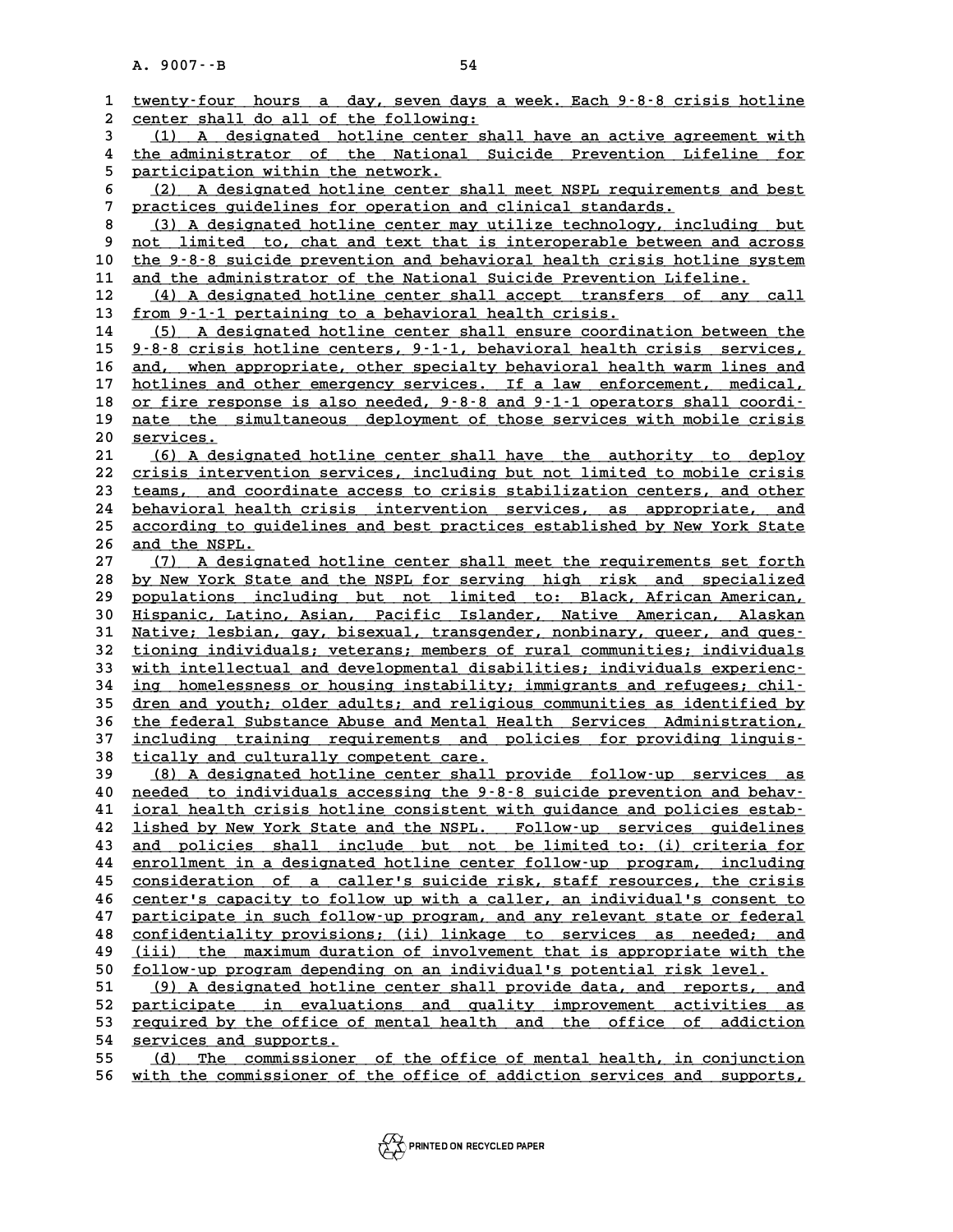|                   | A. 9007 -- B<br>54                                                                                                                                   |
|-------------------|------------------------------------------------------------------------------------------------------------------------------------------------------|
|                   |                                                                                                                                                      |
| $\mathbf{1}$<br>2 | twenty-four hours a day, seven days a week. Each 9-8-8 crisis hotline<br>center shall do all of the following:                                       |
| 3                 | (1) A designated hotline center shall have an active agreement with                                                                                  |
| 4                 | the administrator of the National Suicide Prevention Lifeline for                                                                                    |
| 5                 | participation within the network.                                                                                                                    |
| 6                 | (2) A designated hotline center shall meet NSPL requirements and best                                                                                |
| 7                 | practices guidelines for operation and clinical standards.                                                                                           |
| 8                 | (3) A designated hotline center may utilize technology, including but                                                                                |
| 9                 | not limited to, chat and text that is interoperable between and across                                                                               |
| 10                | the 9-8-8 suicide prevention and behavioral health crisis hotline system                                                                             |
| 11                | and the administrator of the National Suicide Prevention Lifeline.                                                                                   |
| 12                | (4) A designated hotline center shall accept transfers of any call                                                                                   |
| 13                | from 9-1-1 pertaining to a behavioral health crisis.                                                                                                 |
| 14                | (5) A designated hotline center shall ensure coordination between the                                                                                |
| 15                | 9-8-8 crisis hotline centers, 9-1-1, behavioral health crisis services,                                                                              |
| 16                | and, when appropriate, other specialty behavioral health warm lines and                                                                              |
| 17                | hotlines and other emergency services. If a law enforcement, medical,                                                                                |
| 18<br>19          | or fire response is also needed, 9-8-8 and 9-1-1 operators shall coordi-<br>nate the simultaneous deployment of those services with mobile crisis    |
| 20                | services.                                                                                                                                            |
| 21                | (6) A designated hotline center shall have the authority to deploy                                                                                   |
| 22                | crisis intervention services, including but not limited to mobile crisis                                                                             |
| 23                | teams, and coordinate access to crisis stabilization centers, and other                                                                              |
| 24                | behavioral health crisis intervention services, as appropriate, and                                                                                  |
| 25                | according to guidelines and best practices established by New York State                                                                             |
| 26                | and the NSPL.                                                                                                                                        |
| 27                | A designated hotline center shall meet the requirements set forth<br>(7)                                                                             |
| 28                | by New York State and the NSPL for serving high risk and specialized                                                                                 |
| 29                | populations including but not limited to: Black, African American,                                                                                   |
| 30                | Hispanic, Latino, Asian, Pacific Islander, Native American, Alaskan                                                                                  |
| 31                | Native; lesbian, gay, bisexual, transgender, nonbinary, queer, and ques-                                                                             |
| 32<br>33          | tioning individuals; veterans; members of rural communities; individuals<br>with intellectual and developmental disabilities; individuals experienc- |
| 34                | ing homelessness or housing instability; immigrants and refugees; chil-                                                                              |
| 35                | dren and youth; older adults; and religious communities as identified by                                                                             |
| 36                | the federal Substance Abuse and Mental Health Services Administration,                                                                               |
| 37                | including training requirements and policies for providing linguis-                                                                                  |
| 38                | <u>tically and culturally competent care.</u>                                                                                                        |
| 39                | (8) A designated hotline center shall provide follow-up services as                                                                                  |
| 40                | needed to individuals accessing the 9-8-8 suicide prevention and behav-                                                                              |
| 41                | ioral health crisis hotline consistent with guidance and policies estab-                                                                             |
| 42                | lished by New York State and the NSPL. Follow-up services guidelines                                                                                 |
| 43                | and policies shall include but not be limited to: (i) criteria for                                                                                   |
| 44<br>45          | enrollment in a designated hotline center follow-up program, including<br>consideration of a caller's suicide risk, staff resources, the crisis      |
| 46                | center's capacity to follow up with a caller, an individual's consent to                                                                             |
| 47                | participate in such follow-up program, and any relevant state or federal                                                                             |
| 48                | confidentiality provisions; (ii) linkage to services as needed; and                                                                                  |
| 49                | (iii) the maximum duration of involvement that is appropriate with the                                                                               |
| 50                | follow-up program depending on an individual's potential risk level.                                                                                 |
| 51                | (9) A designated hotline center shall provide data, and reports, and                                                                                 |
| 52                | participate in evaluations and quality improvement activities as                                                                                     |
| 53                | required by the office of mental health and the office of addiction                                                                                  |
| 54                | services and supports.                                                                                                                               |
| 55                | The commissioner of the office of mental health, in conjunction<br>(d)                                                                               |
| 56                | with the commissioner of the office of addiction services and supports,                                                                              |

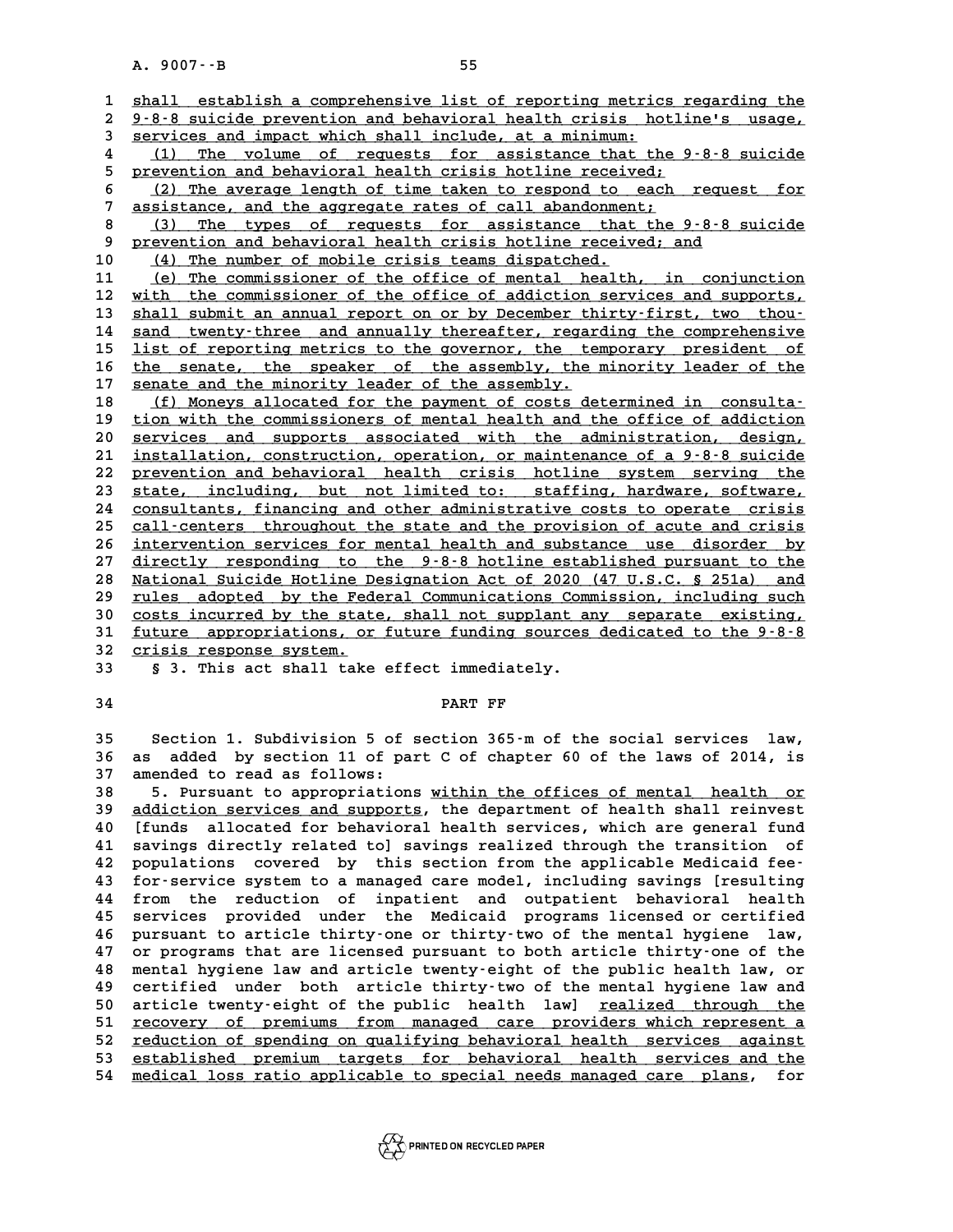A. 9007 · - B<br>1 <u>shall establish a comprehensive list of reporting metrics regarding the</u><br>2 9-8-8 quigide prevention and behavioral bealth grisis, betlinels, usage 2 <u>shall establish a comprehensive list of reporting metrics regarding the <br>2 9-8-8 suicide prevention and behavioral health crisis hotline's usage,<br>3 services and impact which shall include, at a minimum.</u> **3 shall establish a comprehensive list of reporting metric<br>
<u>2 9.8.8 suicide prevention and behavioral health crisis ho<br>
3 services and impact which shall include, at a minimum:**<br>
<sup>1</sup> (1) The volume of requests for aggist</u> 9-8-8 suicide prevention and behavioral health crisis hotline's usage,<br>
services and impact which shall include, at a minimum:<br>
(1) The volume of requests for assistance that the 9-8-8 suicide<br>
proud and health crisis hotl **5 previces and impact which shall include, at a minimum:**<br> **4** (1) The volume of requests for assistance that the 9<br>
<u>prevention and behavioral health crisis hotline received;</u><br>
(2) The prevents length of time taken to re 4 (1) The volume of requests for assistance that the 9-8-8 suicide<br>
5 prevention and behavioral health crisis hotline received;<br>
6 (2) The average length of time taken to respond to each request for<br>
7 assistance and the a 9 prevention and behavioral health crisis hotline received;<br> **7** (2) The average length of time taken to respond to each request for<br> **7** assistance, and the aggregate rates of call abandonment;<br> **8** (3) The types of reque 8 (2) The average length of time taken to respond to each request for<br> **8** (3) The types of requests for assistance that the 9-8-8 suicide<br>
9 prevention and behavioral health crisis hotline received; and 9 assistance, and the aggregate rates of call abandonment;<br>8 (3) The types of requests for assistance that the<br>9 prevention and behavioral health crisis hotline received;<br>10 (4) The number of mobile crisis teams dispatched 9 <u>prevention and behavioral health crisis hotline received; and</u><br>10 <u>(4) The number of mobile crisis teams dispatched.</u><br>11 (e) The commissioner of the office of mental health, in **11** (e) The commissioner of the office of mental health, in conjunction<br>**12** with the commissioner of the office of addiction services and supports, 10 (4) The number of mobile crisis teams dispatched.<br>
11 (e) The commissioner of the office of mental health, in conjunction<br>
12 with the commissioner of the office of addiction services and supports,<br>
13 shall submit an a 11 (e) The commissioner of the office of mental health, in conjunction<br>
12 with the commissioner of the office of addiction services and supports,<br>
<u>shall submit an annual report on or by December thirty-first, two thou-</u><br> **12** with the commissioner of the office of addiction services and supports,<br> **13** shall submit an annual report on or by December thirty-first, two thou-<br> **214** sand twenty-three and annually thereafter, regarding the com **13** shall submit an annual report on or by December thirty-first, two thou-<br>14 sand twenty-three and annually thereafter, regarding the comprehensive<br>15 list of reporting metrics to the governor, the temporary president o 14 sand twenty-three and annually thereafter, regarding the comprehensive<br>15 <u>list of reporting metrics to the governor, the temporary president of</u><br>16 <u>the senate, the speaker of the assembly</u>, the minority leader of the<br> 15 list of reporting metrics to the governor, the text<br>16 <u>the senate, the speaker of the assembly, the</u><br>17 <u>senate and the minority leader of the assembly.</u><br>(5) Monour allocated for the payment of social the senate, the speaker of the assembly, the minority leader of the senate and the minority leader of the assembly.<br>
18 (f) Moneys allocated for the payment of costs determined in consulta-<br>
<sup>19</sup> tion with the commissioner **17** senate and the minority leader of the assembly.<br> **18** (f) Moneys allocated for the payment of costs determined in consulta-<br>
<u>tion with the commissioners of mental health and the office of addiction</u><br> **CONTIFICAL CONT** 18 (f) Moneys allocated for the payment of costs determined in consulta-<br>
20 <u>services and supports associated with the administration, design,</u><br>
21 installation construction operation or maintenance of a 9.8.8 suicide <sup>19</sup> tion with the commissioners of mental health and the office of addiction<br>
<sup>20</sup> services and supports associated with the administration, design,<br>
<sup>21</sup> installation, construction, operation, or maintenance of a 9-8-8 s **20** services and supports associated with the administration, design,<br>
21 <u>installation, construction, operation, or maintenance of a 9-8-8 suicide</u><br>
22 prevention and behavioral health crisis hotline system serving the<br> 21 <u>installation, construction, operation, or maintenance of a 9-8-8 suicide</u><br>22 prevention and behavioral health crisis hotline system serving the<br>23 state, including, but not limited to: staffing, hardware, software,<br>24 22 prevention and behavioral health crisis hotline system serving the<br>23 <u>state, including, but not limited to: staffing, hardware, software,</u><br>24 <u>consultants, financing and other administrative costs to operate crisis</u><br>25 23 state, including, but not limited to: staffing, hardware, software, consultants, financing and other administrative costs to operate crisis<br>
25 call-centers throughout the state and the provision of acute and crisis<br>
26 24 <u>consultants, financing and other administrative costs to operate crisis<br>25 call-centers throughout the state and the provision of acute and crisis<br>26 <u>intervention services for mental health and substance use disorder </u></u> <u>call-centers throughout the state and the provision of acute and crisis</u><br>26 <u>intervention services for mental health and substance use disorder by<br>27 directly responding to the 9-8-8 hotline established pursuant to the<br>Na</u> 26 <u>intervention services for mental health and substance use disorder by<br>27 directly responding to the 9-8-8 hotline established pursuant to the<br>28 National Suicide Hotline Designation Act of 2020 (47 U.S.C. § 251a) and<br>2</u> directly responding to the 9-8-8 hotline established pursuant to the<br>
28 National Suicide Hotline Designation Act of 2020 (47 U.S.C. § 251a) and<br>
<u>rules adopted by the Federal Communications Commission, including such</u><br>
20 **38 National Suicide Hotline Designation Act of 2020 (47 U.S.C. § 251a) and<br>29 rules adopted by the Federal Communications Commission, including such<br>30 costs incurred by the state, shall not supplant any separate existing** The state of the state communications Commission, including such<br>30 costs incurred by the state, shall not supplant any separate existing,<br>31 <u>future appropriations, or future funding sources dedicated to the 9-8-8</u><br>22 cri 30 costs incurred by the stat.<br>31 <u>future appropriations, or</u><br>32 crisis response system. 31 <u>future appropriations, or future funding sources</u><br>32 crisis response system.<br>33 § 3. This act shall take effect immediately. 32 <u>crisis response system.</u><br>33 § 3. This act shall take effect immediately.<br>34 **PART FF** 

**35 Section 1. Subdivision 5 of section 365-m of the social services law,** 35 Section 1. Subdivision 5 of section 365<sup>-</sup>m of the social services law,<br>36 as added by section 11 of part C of chapter 60 of the laws of 2014, is 35 Section 1. Subdivision 5 of<br>36 as added by section 11 of pa<br>37 amended to read as follows: **36 as added by section 11 of part C of chapter 60 of the laws of 2014, is<br>37 amended to read as follows:**<br>5. Pursuant to appropriations within the offices of mental health or<br>39 addiction services and supports the departm

37 amended to read as follows:<br>
38 5. Pursuant to appropriations <u>within the offices of mental health or</u><br>
39 <u>addiction services and supports</u>, the department of health shall reinvest<br>
40 [funds allocated for behavioral h **5. Pursuant to appropriations <u>within the offices of mental health or</u><br>
<b>40** <u>[funds allocated for behavioral health</u> services, which are general fund<br> **40** [funds allocated for behavioral health services, which are gener **41 and Supports, the department of health shall reinvest**<br>
40 [funds allocated for behavioral health services, which are general fund<br>
41 savings directly related to] savings realized through the transition of<br>
12 populat 40 [funds allocated for behavioral health services, which are general fund<br>41 savings directly related to] savings realized through the transition of<br>42 populations covered by this section from the applicable Medicaid fee-41 savings directly related to] savings realized through the transition of<br>42 populations covered by this section from the applicable Medicaid fee-<br>43 for-service system to a managed care model, including savings [resultin 42 populations covered by this section from the applicable Medicaid fee-<br>43 for-service system to a managed care model, including savings [resulting<br>44 from the reduction of inpatient and outpatient behavioral health<br>45 se 43 for-service system to a managed care model, including savings [resulting<br>44 from the reduction of inpatient and outpatient behavioral health<br>45 services provided under the Medicaid programs licensed or certified<br>46 purs 44 from the reduction of inpatient and outpatient behavioral health<br>45 services provided under the Medicaid programs licensed or certified<br>46 pursuant to article thirty-one or thirty-two of the mental hygiene law,<br>47 or pr **45 services provided under the Medicaid programs licensed or certified**<br>46 pursuant to article thirty-one or thirty-two of the mental hygiene law,<br>47 or programs that are licensed pursuant to both article thirty-one of th **48 mental hygiene law and article twenty-eight of the public health law, or 47 or programs that are licensed pursuant to both article thirty-one of the mental hygiene law and article twenty-eight of the public health law, or certified under both article thirty-two of the mental hygiene law and ar** As mental hygiene law and article twenty-eight of the public health law, or<br>
49 certified under both article thirty-two of the mental hygiene law and<br>
50 article twenty-eight of the public health law] <u>realized through the</u> 49 certified under both article thirty-two of the mental hygiene law and<br>50 article twenty-eight of the public health law] <u>realized through the<br>51 recovery of premiums from managed care providers which represent a<br>52 redu</u> 50 article twenty-eight of the public health law] <u>realized through the</u><br>51 <u>recovery of premiums from managed care providers which represent a</u><br>52 <u>reduction of spending on qualifying behavioral health services against</u><br>5 51 <u>recovery of premiums from managed care providers which represent a</u><br>52 <u>reduction of spending on qualifying behavioral health services against</u><br>53 <u>established premium targets for behavioral health services and the</u><br>54 52 <u>reduction of spending on qualifying behavioral health services against</u><br>53 <u>established premium targets for behavioral health services and the</u><br>54 <u>medical loss ratio applicable to special needs managed care plans</u>, fo

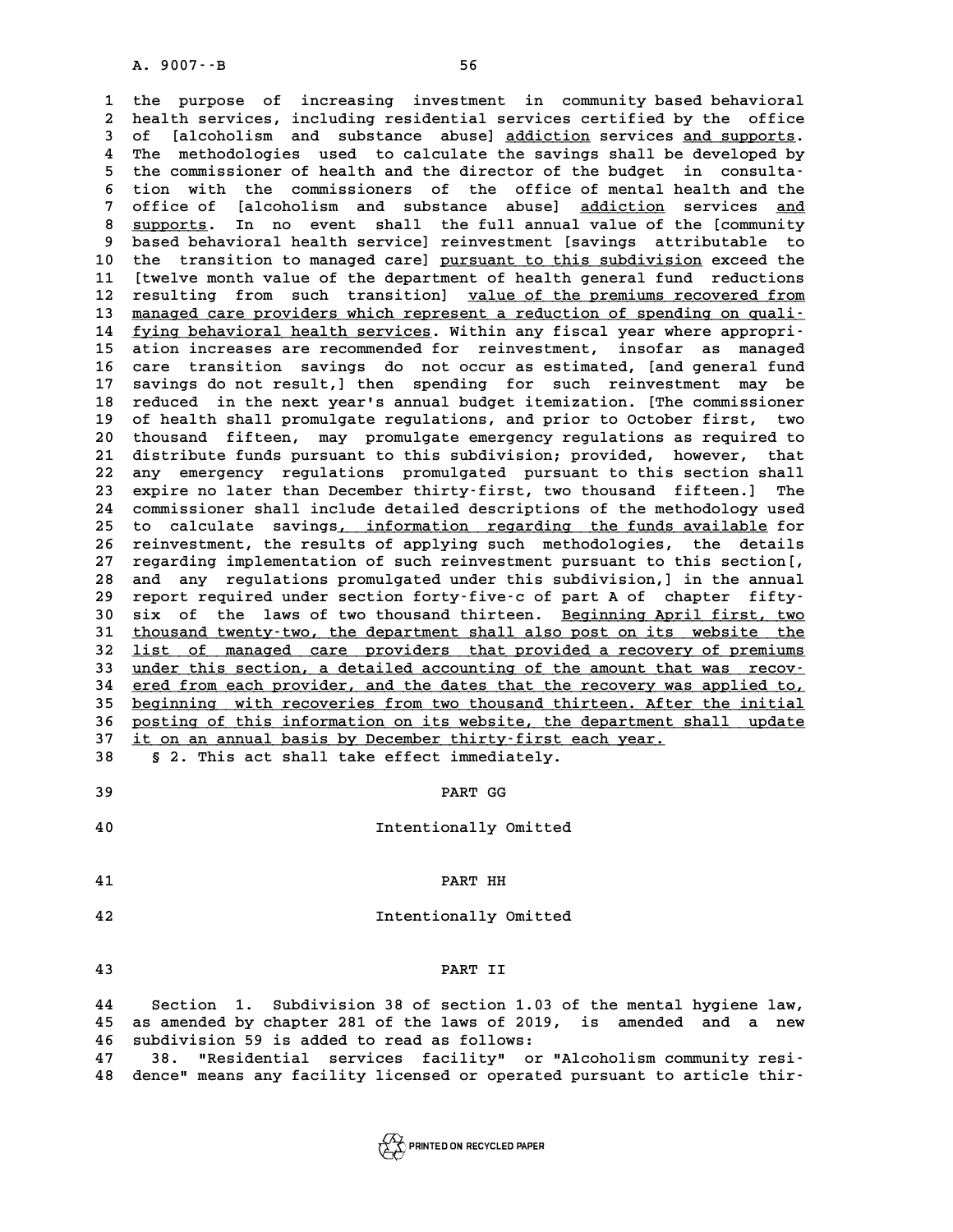**1 the purpose of increasing investment in community based behavioral** 1 the purpose of increasing investment in community-based-behavioral<br>2 health-services, including residential services certified by the office<br>3 of [alsobolism and substance abuse] addiction-services and supports the purpose of increasing investment in community based behavioral<br>2 health services, including residential services certified by the office<br>3 of [alcoholism and substance abuse] <u>addiction</u> services and supports.<br><sup>4</sup> The 2 health services, including residential services certified by the office<br>3 of [alcoholism and substance abuse] <u>addiction</u> services <u>and supports</u>.<br>4 The methodologies used to calculate the savings shall be developed by<br>5 3 of [alcoholism and substance abuse] <u>addiction</u> services and supports.<br>
4 The methodologies used to calculate the savings shall be developed by<br>
5 the commissioner of health and the director of the budget in consulta-<br>
<sup></sup> The methodologies used to calculate the savings shall be developed by<br>
5 the commissioner of health and the director of the budget in consulta-<br>
6 tion with the commissioners of the office of mental health and the<br>
<sup>7</sup> off 5 the commissioner of health and the director of the budget in consulta-<br>6 tion with the commissioners of the office of mental health and the<br>7 office of [alcoholism and substance abuse] <u>addiction</u> services <u>and</u><br>2 suppor 6 tion with the commissioners of the office of mental health and the<br>7 office of [alcoholism and substance abuse] <u>addiction</u> services <u>and</u><br>8 <u>supports</u>. In no event shall the full annual value of the [community<br>based beh 9 based behavioral health services and substance abuse] addiction services and supports. In no event shall the full annual value of the [community based behavioral health service] reinvestment [savings attributable to the 8 <u>supports</u>. In no event shall the full annual value of the [community<br>9 based behavioral health service] reinvestment [savings attributable to<br>10 the transition to managed care] <u>pursuant to this subdivision</u> exceed the<br> 9 based behavioral health service] reinvestment [savings attributable to<br>10 the transition to managed care] <u>pursuant to this subdivision</u> exceed the<br>11 [twelve month value of the department of health general fund reductio 10 the transition to managed care] <u>pursuant to this subdivision</u> exceed the<br>11 [twelve month value of the department of health general fund reductions<br>12 resulting from such transition] <u>value of the premiums recovered fr</u> 11 [twelve month value of the department of health general fund reductions<br>12 resulting from such transition] <u>value of the premiums recovered from</u><br>13 <u>managed care providers which represent a reduction of spending on qua</u> 12 resulting from such transition] <u>value of the premiums recovered from</u><br>13 <u>managed care providers which represent a reduction of spending on quali-</u><br>14 <u>fying behavioral health services</u>. Within any fiscal year where ap 13 <u>managed care providers which represent a reduction of spending on quali-</u><br>14 <u>fying behavioral health services</u>. Within any fiscal year where appropri-<br>15 ation increases are recommended for reinvestment, insofar as ma **16 care transition savings do not occur as estimated, [and general fund** ation increases are recommended for reinvestment, insofar as managed<br>16 care transition savings do not occur as estimated, [and general fund<br>17 savings do not result,] then spending for such reinvestment may be<br>18 reduced 16 care transition savings do not occur as estimated, [and general fund<br>17 savings do not result,] then spending for such reinvestment may be<br>18 reduced in the next year's annual budget itemization. [The commissioner<br>19 of 17 savings do not result, then spending for such reinvestment may be<br>18 reduced in the next year's annual budget itemization. [The commissioner<br>19 of health shall promulgate regulations, and prior to October first, two<br>20 18 reduced in the next year's annual budget itemization. [The commissioner 19 of health shall promulgate regulations, and prior to October first, two 20 thousand fifteen, may promulgate emergency regulations as required to of health shall promulgate regulations, and prior to October first, two 20 thousand fifteen, may promulgate emergency regulations as required to<br>21 distribute funds pursuant to this subdivision; provided, however, that<br>22 any emergency regulations promulgated pursuant to this section shall<br>23 21 distribute funds pursuant to this subdivision; provided, however, that<br>22 any emergency regulations promulgated pursuant to this section shall<br>23 expire no later than December thirty-first, two thousand fifteen.] The<br>24 22 any emergency regulations promulgated pursuant to this section shall<br>23 expire no later than December thirty-first, two thousand fifteen.] The<br>24 commissioner shall include detailed descriptions of the methodology used<br> 23 expire no later than December thirty-first, two thousand fifteen.] The<br>24 commissioner shall include detailed descriptions of the methodology used<br>25 to calculate savings<u>, information regarding the funds available</u> for 24 commissioner shall include detailed descriptions of the methodology used<br>25 to calculate savings<u>, information regarding the funds available</u> for<br>26 reinvestment, the results of applying such methodologies, the details<br> 25 to calculate savings<u>, information regarding the funds available</u> for<br>26 reinvestment, the results of applying such methodologies, the details<br>27 regarding implementation of such reinvestment pursuant to this section[,<br> **26 reinvestment, the results of applying such methodologies, the details**<br>27 regarding implementation of such reinvestment pursuant to this section[,<br>28 and any regulations promulgated under this subdivision,] in the annu 27 regarding implementation of such reinvestment pursuant to this section [, 28 and any regulations promulgated under this subdivision,] in the annual report required under section forty-five-c of part A of chapter fifty-<br> and any regulations promulgated under this subdivision, in the annual<br>
29 report required under section forty-five-c of part A of chapter fifty-<br>
30 six of the laws of two thousand thirteen. <u>Beginning April first, two</u><br>
3 29 report required under section forty-five-c of part A of chapter fifty-<br>30 six of the laws of two thousand thirteen. <u>Beginning April first, two</u><br>31 <u>thousand twenty-two, the department shall also post on its website the</u> 30 six of the laws of two thousand thirteen. <u>Beginning April first, two</u><br>31 <u>thousand twenty-two, the department shall also post on its website the</u><br>32 <u>list of managed care providers that provided a recovery of premiums</u> 31 <u>thousand twenty-two, the department shall also post on its website the</u><br>32 <u>list of managed care providers that provided a recovery of premiums</u><br>33 <u>under this section, a detailed accounting of the amount that was reco</u> **12 list of managed care providers that provided a recovery of premiums**<br> **33** <u>under this section</u>, a detailed accounting of the amount that was recov-<br> **ered from each provider, and the dates that the recovery was applie** 33 under this section, a detailed accounting of the amount that was recov-<br>34 ered from each provider, and the dates that the recovery was applied to,<br>35 beginning with recoveries from two thousand thirteen. After the init 34 <u>ered from each provider, and the dates that the recovery was applied to,<br>35 <u>beginning with recoveries from two thousand thirteen. After the initial</u><br>36 <u>posting of this information on its website, the department shall</u></u> **35 <u>beginning with recoveries from two thousand thirteen. After the initial**<br>36 <u>posting of this information on its website, the department shall update</u><br>37 <u>it on an annual basis by December thirty-first each year.</u><br>38 <sup></u></sup> 36 <u>posting of this information on its website</u>, the department shall update **5 2. This act shall take effect immediately.**<br>**39** PART GG

**40** Intentionally Omitted Execution of the Contract of the Contract of the Contract of the Contract of the Contract of the Contract of the Contract of the Contract of the Contract of the Contract of the Contract of the Co **41 PART HH 41** PART HH<br> **42** Intentionally Omitted **43 PART II** PART II<br>44 Section 1. Subdivision 38 of section 1.03 of the mental hygiene law,<br>45 as amended by chapter 281 of the laws of 2019, is amended and a new

**44** Section 1. Subdivision 38 of section 1.03 of the mental hygiene law,<br>45 as amended by chapter 281 of the laws of 2019, is amended and a new **44** Section 1. Subdivision 38 of section 1.03<br> **45** as amended by chapter 281 of the laws of 2019,<br> **46** subdivision 59 is added to read as follows:<br> **47** 38 **UPosidential services facility!** or " 45 as amended by chapter 281 of the laws of 2019, is amended and a new<br>46 subdivision 59 is added to read as follows:<br>47 38. "Residential services facility" or "Alcoholism community resi-<br><sup>49</sup> densel means any facility lig 46 subdivision 59 is added to read as follows:<br>47 38. "Residential services facility" or "Alcoholism community resi<sup>.</sup><br>48 dence" means any facility licensed or operated pursuant to article thir<sup>.</sup>

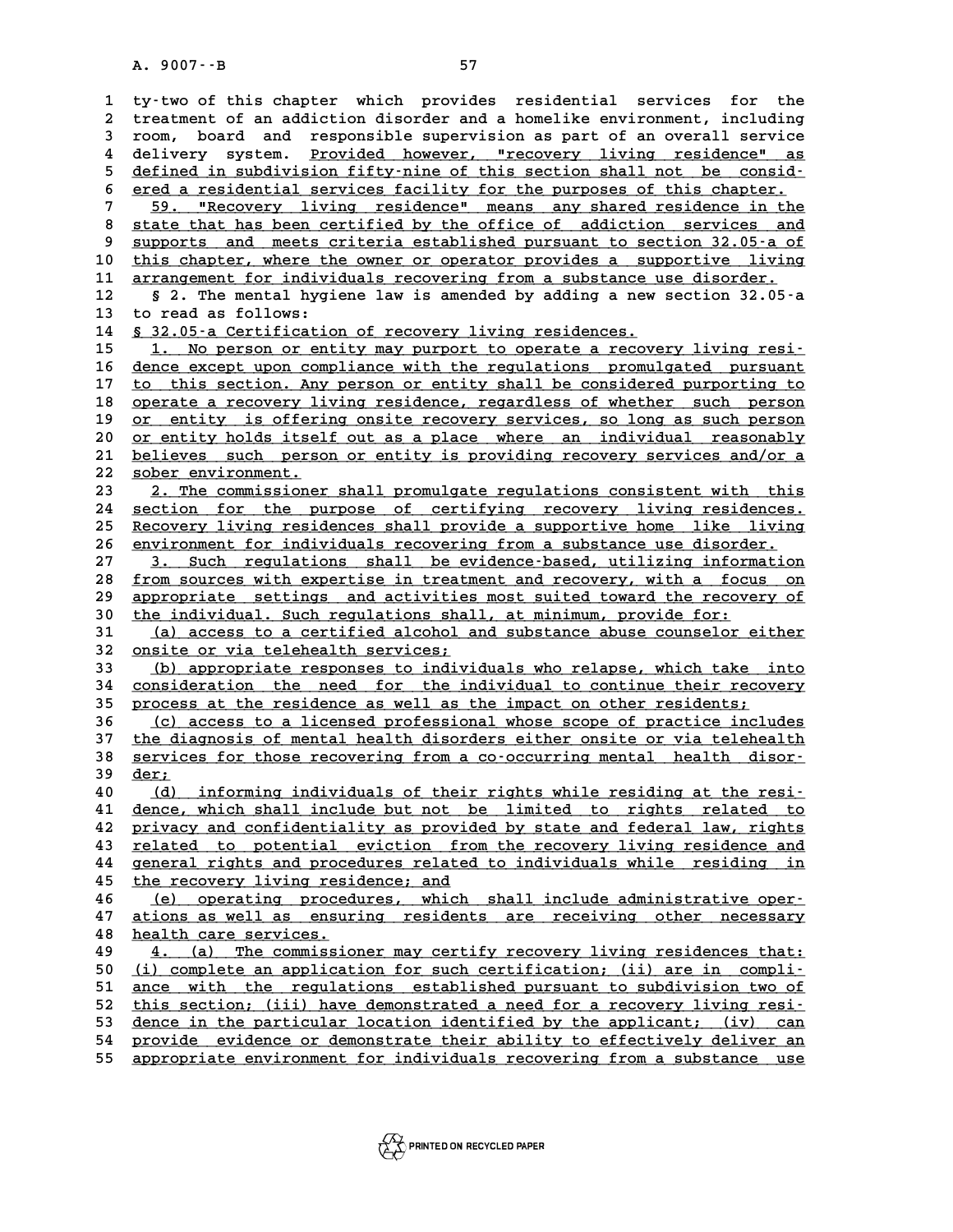**1 ty-two of this chapter which provides residential services for the 2** ty-two of this chapter which provides residential services for the<br>2 treatment of an addiction disorder and a homelike environment, including<br>3 room, board, and responsible supervision as part of an overall service 1 ty-two of this chapter which provides residential services for the<br>2 treatment of an addiction disorder and a homelike environment, including<br>3 room, board and responsible supervision as part of an overall service<br>4 deli a treatment of an addiction disorder and a homelike environment, including<br>3 room, board and responsible supervision as part of an overall service<br>4 delivery system. <u>Provided however, "recovery living residence" as</u><br>5 def 5 room, board and responsible supervision as part of an overall service<br>
4 delivery system. <u>Provided however, "recovery living residence" as</u><br>
5 <u>defined in subdivision fifty-nine of this section shall not be consid-</u><br>
5 delivery system. <u>Provided however, "recovery living residence" as</u><br>
5 <u>defined in subdivision fifty-nine of this section shall not be considered</u><br>
<u>ered a residential services facility for the purposes of this chapter.</u><br> 5 defined in subdivision fifty-nine of this section shall not be consid-<br>6 <u>ered a residential services facility for the purposes of this chapter.</u><br>7 59. "Recovery living residence" means any shared residence in the<br>8 stat 8 <u>ered a residential services facility for the purposes of this chapter.</u><br>
8 <u>state that has been certified by the office of addiction services and</u><br>
8 supports and meets criteria established pursuant to section 32.05-a 9 state that has been certified by the office of addiction services and<br>8 state that has been certified by the office of addiction services and<br>9 supports and meets criteria established pursuant to section 32.05-a of<br>10 th 8 state that has been certified by the office of addiction services and<br>9 supports and meets criteria established pursuant to section 32.05 a of<br>10 this chapter, where the owner or operator provides a supportive living<br>11 9 <u>supports and meets criteria established pursuant to section 32.05-a of</u><br>10 <u>this chapter, where the owner or operator provides a supportive living</u><br>11 <u>arrangement for individuals recovering from a substance use disorde</u> **10** this chapter, where the owner or operator provides a supportive living<br>11 <u>arrangement for individuals recovering from a substance use disorder.</u><br>12 § 2. The mental hygiene law is amended by adding a new section 32.05 11 <u>arrangement for individuals recovering from a substance use disorder.</u><br>12 § 2. The mental hygiene law is amended by adding a new section 32.0!<br>13 to read as follows:<br>14 <u>§ 32.05-a Certification of recovery living resid</u> § 2. The mental hygiene law is amended by adding a new section 32.05 a<br>13 to read as follows:<br><u>§ 32.05 a Certification of recovery living residences.</u><br>15 1. No person or entity may purport to operate a recovery living resi 15 1. No person or entity may purport to operate a recovery living resi-<br>16 dence except upon compliance with the requlations promulgated pursuant **14 § 32.05 a Certification of recovery living residences.**<br> **15 1. No person or entity may purport to operate a recovery living resi-**<br> **16 dence except upon compliance with the regulations promulgated pursuant**<br> **17 to t** 15 1. No person or entity may purport to operate a recovery living resi-<br>
16 <u>dence except upon compliance with the regulations</u> promulgated pursuant<br>
17 to this section. Any person or entity shall be considered purporting dence except upon compliance with the regulations promulgated pursuant<br>
17 to this section. Any person or entity shall be considered purporting to<br>
18 operate a recovery living residence, regardless of whether such person<br> to this section. Any person or entity shall be considered purporting to<br>18 operate a recovery living residence, regardless of whether such person<br>20 or entity is offering onsite recovery services, so long as such person<br>20 **20 or entity is offering onsite recovery services, so long as such person**<br> **20 or entity holds itself out as a place where an individual reasonably**<br> **21 believes** such person or entity is providing requery services and/ 19 or entity is offering onsite recovery services, so long as such person 20 or entity holds itself out as a place where an individual reasonably 21 believes such person or entity is providing recovery services and/or a so 20 <u>or entity holds itsel<br>
21 <u>believes such perso:</u><br>
22 <u>sober environment.</u><br>
23 2 The commissioner</u> 21 <u>believes such person or entity is providing recovery services and/or a</u><br>
22 <u>sober environment.</u><br>
23 <u>2. The commissioner shall promulgate regulations consistent with this</u><br>
24 section for the purpose of cortifiung rec 22 <u>sober environment.</u><br>
23 <u>2. The commissioner shall promulgate regulations consistent with this</u><br>
24 <u>section for the purpose of certifying recovery living residences.</u><br>
25 Becaucuu living residences shall provide a sup 23 2. The commissioner shall promulgate regulations consistent with this<br>
24 <u>section</u> for the purpose of certifying recovery living residences.<br>
25 Recovery living residences shall provide a supportive home like living<br>
2 24 <u>section for the purpose of certifying recovery living residences.</u><br>25 <u>Recovery living residences shall provide a supportive home like living</u><br>26 <u>environment for individuals recovering from a substance use disorder.</u><br> <u>Recovery living residences shall provide a supportive home like living</u><br>26 <u>environment for individuals recovering from a substance use disorder.</u><br>27 3. Such regulations shall be evidence-based, utilizing information<br>28 f 28 <u>from sources with expertise in treatment and recovery, with a focus on</u><br>29 appropriate settings and activities most suited toward the recovery of 3. Such regulations shall be evidence-based, utilizing information<br>
28 <u>from sources with expertise in treatment and recovery, with a focus on</u><br>
29 appropriate settings and activities most suited toward the recovery of<br>
20 **38 from sources with expertise in treatment and recovery, with a focu**<br> **29 appropriate settings and activities most suited toward the recove**<br> **30** the individual. Such regulations shall, at minimum, provide for:<br>
(a) ac 39 appropriate settings and activities most suited toward the recovery of<br>30 <u>the individual. Such regulations shall</u>, at minimum, provide for:<br>31 (a) access to a certified alcohol and substance abuse counselor either<br>32 o 30 the individual. Such regulations shal<br>
31 (a) access to a certified alcohol a<br>
32 <u>onsite or via telehealth services;</u><br>
(b) appropriate responses to indivi-**31** (a) access to a certified alcohol and substance abuse counselor either<br> **32** <u>(b)</u> appropriate responses to individuals who relapse, which take into<br> **34** consideration the need for the individual to continue their re 32 <u>onsite or via telehealth services;</u><br>33 (b) appropriate responses to individuals who relapse, which take into<br>34 consideration the need for the individual to continue their recovery<br>35 process at the residence as well a 32 <u>onsite or via telehealth services;</u><br>
33 (b) appropriate responses to individuals who relapse, which take into<br>
34 <u>consideration the need for the individual to continue their recovery</u><br>
35 process at the residence as w consideration the need for the individual to continue their recovery<br>
35 process at the residence as well as the impact on other residents;<br>
<u>(c)</u> access to a licensed professional whose scope of practice includes<br>
<sup>37</sup> th 37 the diagnosis of mental health disorders either onsite or via telehealth<br>38 services for those recovering from a co-occurring mental health disor-36 (c) access to a licensed professional whose scope of practice includes<br>37 <u>the diagnosis of mental health disorders either onsite or via telehealth</u><br>38 services for those recovering from a co-occurring mental health dis **37** <u>the dia</u><br>38 <u>service</u><br>39 <u>der;</u><br>40 (4) **48 services for those recovering from a co-occurring mental health disor-**<br> **40** (d) informing individuals of their rights while residing at the resi-<br> **41** dence which shall include but not be limited to rights related t **40** <u>(d) informing individuals of their rights while residing at the resi-</u><br>41 <u>dence, which shall include but not be limited to rights related to</u><br>42 <u>privacy and confidentiality as provided by state and federal law, rig</u> 40 (d) informing individuals of their rights while residing at the resi-<br>41 <u>dence, which shall include but not be limited to rights related to</u><br>22 privacy and confidentiality as provided by state and federal law, rights<br>2 41 <u>dence, which shall include but not be limited to rights related to</u><br>42 <u>privacy and confidentiality as provided by state and federal law, rights</u><br>43 <u>related to potential eviction from the recovery living residence and</u> **42 privacy and confidentiality as provided by state and federal law, rights**<br>43 <u>related to potential eviction from the recovery living residence and<br>44 general rights and procedures related to individuals while residing </u> 43 **related to potential eviction from 44**<br>44 **deneral rights and procedures related**<br>45 **the recovery living residence; and**<br>46 (c) considers procedures which **44** general rights and procedures related to individuals while residing in<br> **45** the recovery living residence; and<br> **46** (e) operating procedures, which shall include administrative oper-<br> **47** ations as voll as opsuring **45** <u>the recovery living residence; and</u><br>46 (e) operating procedures, which shall include administrative oper-<br>47 ations as well as ensuring residents are receiving other necessary<br>health are corrises 46 <u>(e) operating proced</u><br>47 <u>ations as well as ensur</u><br>48 <u>health care services.</u> **47 ations as well as ensuring residents are receiving other necessary**<br> **48 health care services.**<br> **49 <u>4.</u> (a) The commissioner may certify recovery living residences that:**<br> **60 (i) complete an application for such cor 50 (i) complete an application for such certification; (ii) are in compli- \_\_\_\_\_\_\_\_\_\_\_\_\_\_\_\_\_\_\_\_\_\_\_\_\_\_\_\_\_\_\_\_\_\_\_\_\_\_\_\_\_\_\_\_\_\_\_\_\_\_\_\_\_\_\_\_\_\_\_\_\_\_\_\_\_\_\_\_\_\_\_\_** 49 4. (a) The commissioner may certify recovery living residences that:<br>
50 (i) complete an application for such certification; (ii) are in compli-<br>
51 <u>ance with the regulations established pursuant to subdivision two of</u> 50 (i) complete an application for such certification; (ii) are in compli-<br>51 ance with the regulations established pursuant to subdivision two of<br>this section; (iii) have demonstrated a need for a recovery living resi-<br>de 51 <u>ance with the regulations established pursuant to subdivision two of this section; (ii) have demonstrated a need for a recovery living resi-<br>53 <u>dence in the particular location identified by the applicant; (iv) can</u><br>5</u> **52 this section; (ii) have demonstrated a need for a recovery living resi-**<br>53 <u>dence in the particular location identified by the applicant; (iv) can<br>provide evidence or demonstrate their ability to effectively deliver a</u> dence in the particular location identified by the applicant; (iv) can<br>54 provide evidence or demonstrate their ability to effectively deliver an<br>55 appropriate environment for individuals recovering from a substance use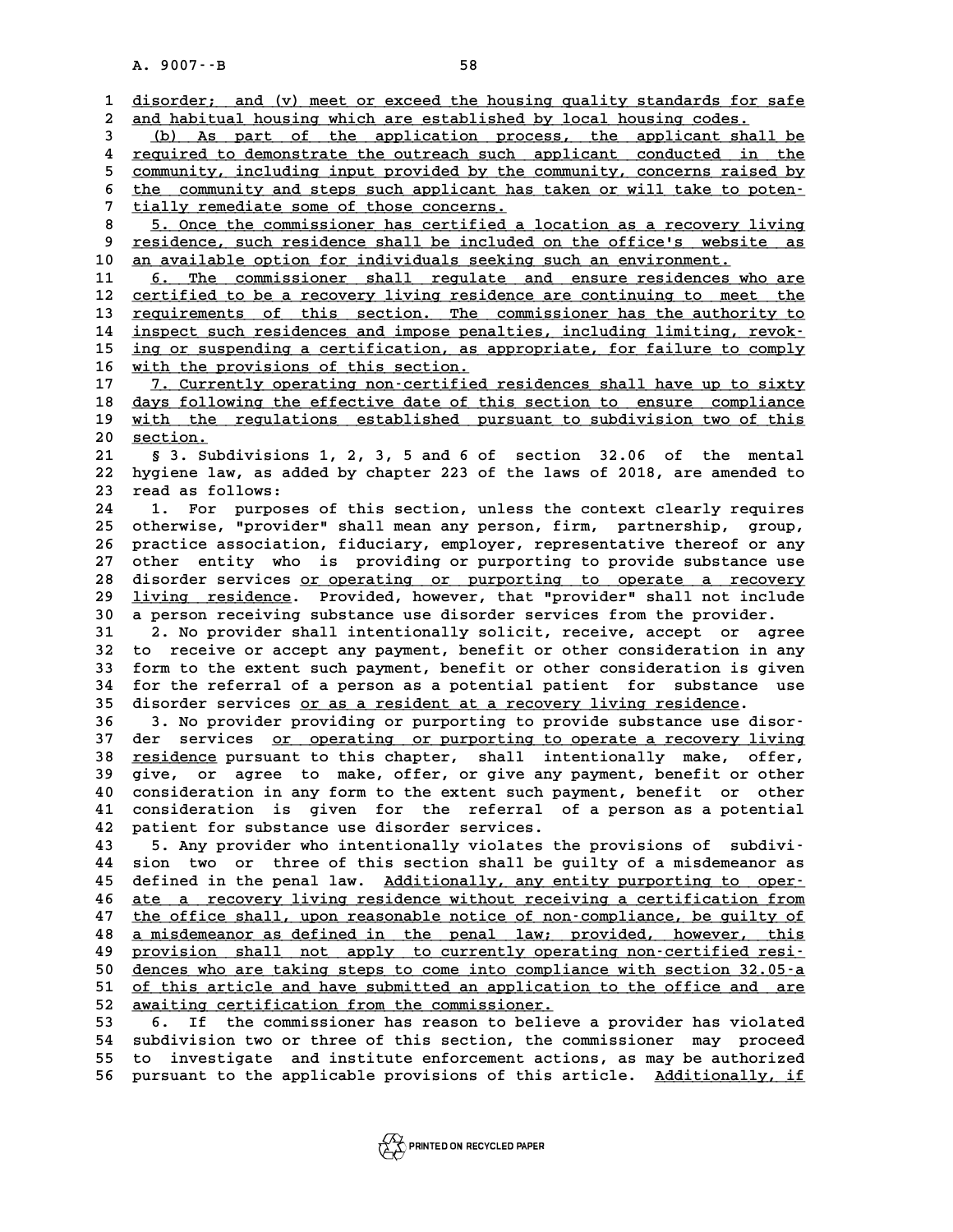A. 9007 · - B<br>1 <u>disorder; and (v) meet or exceed the housing quality standards for safe</u><br>2 and babitual bouging which are established by legal bouging godes **2** disorder; and (v) meet or exceed the housing quality standards for s<br>2 and habitual housing which are established by local housing codes.<br>(b) As part of the application process, the applicant shall disorder; and (v) meet or exceed the housing quality standards for safe<br>
<u>and habitual housing which are established by local housing codes.</u><br>
<u>(b) As part of the application process, the applicant shall be</u><br> **a** required and habitual housing which are established by local housing codes.<br>
4 <u>required to demonstrate the outreach such applicant conducted in the</u><br>
<u>community</u> including input provided by the community concerns raised by (b) As part of the application process, the applicant shall be<br>required to demonstrate the outreach such applicant conducted in the<br>sommunity, including input provided by the community, concerns raised by<br>the community and for the community, including input provided by the community, concerns raised by the community, including input provided by the community, concerns raised by the community and steps such applicant has taken or will take to 5 <u>community, including input provided by the community, concerns raised by<br>
6 the community and steps such applicant has taken or will take to poten-<br>
7 tially remediate some of those concerns.<br>
8 5. Once the commissioner</u> 8 the community and steps such applicant has taken or will take to poten-<br> **8** 5. Once the commissioner has certified a location as a recovery living<br>
9 residence, such residence shall be included on the office's website a 9 **tially remediate some of those concerns.**<br>
8 5. Once the commissioner has certified a location as a recovery living<br>
9 residence, such residence shall be included on the office's website as<br>
2 an available ontion for in 10 <u>an available option for individuals seeking such an environment.</u><br>11 6. The commissioner shall regulate and ensure residences who are 9 <u>residence, such residence shall be included on the office's website as</u><br>10 <u>an available option for individuals seeking such an environment.</u><br>11 <u>6. The commissioner shall regulate and ensure residences who are</u><br>22 cont 12 <u>certified to be a recovery living residence are continuing to meet the</u><br>13 requirements of this section. The commissioner has the authority to 11 6. The commissioner shall regulate and ensure residences who are<br>
12 <u>certified to be a recovery living residence are continuing to meet the</u><br>
13 <u>requirements of this section. The commissioner has the authority to</u><br>
14 12 <u>certified to be a recovery living residence are continuing to meet the requirements of this section. The commissioner has the authority to inspect such residences and impose penalties, including limiting, revok-<br>inspec</u> **13** requirements of this section. The commissioner has the authority to inspect such residences and impose penalties, including limiting, revok-<br> **15** <u>ing or suspending a certification</u>, as appropriate, for failure to co **14** inspect such residences and impose pena<br> **15** ing or suspending a certification, as a<br> **16** with the provisions of this section.<br> **17** 7 Currently operating poperatified **15** ing or suspending a certification, as appropriate, for failure to comply<br> **16** with the provisions of this section.<br> **17** 7. Currently operating non-certified residences shall have up to sixty<br>
days following the offe **16** with the provisions of this section.<br>
17 1. Currently operating non-certified residences shall have up to sixty<br>
18 days following the effective date of this section to ensure compliance<br>
with the regulations establis 17 7. Currently operating non-certified residences shall have up to sixty<br>18 days following the effective date of this section to ensure compliance<br>with the regulations established pursuant to subdivision two of this<br>20 se 18 <u>days follow</u><br>19 <u>with the</u><br>20 <u>section.</u><br>21 & 3 Subd **20 19 19 10 20 11 20 20 20 20 20 21 5** 3. Subdivisions 1, 2, 3, 5 and 6 of section 32.06 of the mental<br>**21 5** 3. Subdivisions 1, 2, 3, 5 and 6 of section 32.06 of the mental **20 <u>section.</u><br>21 § 3. Subdivisions 1, 2, 3, 5 and 6 of section 32.06 of the mental<br>22 hygiene law, as added by chapter 223 of the laws of 2018, are amended to<br>23 read as follows:** 21 § 3. Subdivisions<br>
22 hygiene law, as add<br>
23 read as follows:<br>
<sup>24</sup> <sup>1</sup> For nurnosos 12 hygiene law, as added by chapter 223 of the laws of 2018, are amended to<br>23 read as follows:<br>24 1. For purposes of this section, unless the context clearly requires<br>25 ctherwise "provider" shall mean any person firm, pa <sup>23</sup> read as follows:<br>
24 1. For purposes of this section, unless the context clearly requires<br>
25 otherwise, "provider" shall mean any person, firm, partnership, group,<br>
26 prostige aggesiation, fidugiary, appleuse, repre **24 1. For purposes of this section, unless the context clearly requires**<br>25 otherwise, "provider" shall mean any person, firm, partnership, group,<br>26 practice association, fiduciary, employer, representative thereof or an 25 otherwise, "provider" shall mean any person, firm, partnership, group,<br>26 practice association, fiduciary, employer, representative thereof or any<br>27 other entity who is providing or purporting to provide substance use<br> 26 practice association, fiduciary, employer, representative thereof or any<br>27 other entity who is providing or purporting to provide substance use<br>28 disorder services <u>or operating or purporting to operate a recovery</u><br>29 27 other entity who is providing or purporting to provide substance use<br>28 disorder services <u>or operating or purporting to operate a recovery</u><br>29 <u>living residence</u>. Provided, however, that "provider" shall not include<br>20 disorder services <u>or operating or purporting to operate a recovery</u><br>29 <u>living residence</u>. Provided, however, that "provider" shall not include<br>30 a person receiving substance use disorder services from the provider.<br>31 2 **31 2. No provider shall intentionally solicit, receive, accept or agree a person receiving substance use disorder services from the provider.**<br> **31** 2. No provider shall intentionally solicit, receive, accept or agree<br> **32** to receive or accept any payment, benefit or other consideration in a **31 2. No provider shall intentionally solicit, receive, accept or agree**<br> **32 to receive or accept any payment, benefit or other consideration in any**<br> **33 form to the extent such payment, benefit or other consideration i** 32 to receive or accept any payment, benefit or other consideration in any<br>33 form to the extent such payment, benefit or other consideration is given<br>34 for the referral of a person as a potential patient for substance us 35 disorder services <u>or as a resident at a recovery living residence</u>.<br>36 3. No provider providing or purporting to provide substance use disor-34 for the referral of a person as a potential patient for substance use<br>35 disorder services <u>or as a resident at a recovery living residence</u>.<br>36 3. No provider providing or purporting to provide substance use disor-<br>37 35 disorder services <u>or as a resident at a recovery living residence</u>.<br>36 3. No provider providing or purporting to provide substance use disor-<br>37 der services <u>or operating or purporting to operate a recovery living</u><br>28 36 3. No provider providing or purporting to provide substance use disorder services <u>or operating or purporting to operate a recovery living</u><br>38 <u>residence</u> pursuant to this chapter, shall intentionally make, offer,<br><sup>29</sup> 37 der services <u>or operating or purporting to operate a recovery living</u><br>38 <u>residence</u> pursuant to this chapter, shall intentionally make, offer,<br>39 give, or agree to make, offer, or give any payment, benefit or other<br>40 **40 30 sesidence pursuant to this chapter, shall intentionally make, offer,**<br>**40 consideration in any form to the extent such payment, benefit or other**<br>**41 consideration is given for the referral of a person as a potentia** 39 give, or agree to make, offer, or give any payment, benefit or other<br>40 consideration in any form to the extent such payment, benefit or other<br>41 consideration is given for the referral of a person as a potential<br>42 pat 41 consideration is given for the referral of a person as a potential<br>42 patient for substance use disorder services.<br>43 5. Any provider who intentionally violates the provisions of subdivi<sup>.</sup> **43 5. Any provider who intentionally violates the provisions of subdivi-42 patient for substance use disorder services.**<br> **43 5. Any provider who intentionally violates the provisions of subdivi-**<br> **44 sion two or three of this section shall be guilty of a misdemeanor as**<br> **45 defined in the 43** 5. Any provider who intentionally violates the provisions of subdivi-<br>44 sion two or three of this section shall be guilty of a misdemeanor as<br>45 defined in the penal law. <u>Additionally, any entity purporting to oper-</u> 44 sion two or three of this section shall be guilty of a misdemeanor as<br>45 defined in the penal law. <u>Additionally, any entity purporting to oper-</u><br>46 <u>ate a recovery living residence without receiving a certification fro</u> defined in the penal law. <u>Additionally, any entity purporting to oper-</u><br>46 <u>ate a recovery living residence without receiving a certification from</u><br>47 <u>the office shall, upon reasonable notice of non-compliance, be guilty</u> A ate a recovery living residence without receiving a certification from<br>
47 the office shall, upon reasonable notice of non-compliance, be guilty of<br>
48 a misdemeanor as defined in the penal law; provided, however, this<br> the office shall, upon reasonable notice of non-compliance, be guilty of<br> **48** a misdemeanor as defined in the penal law; provided, however, this<br>
<u>provision shall not apply to currently operating non-certified resi-</u><br>
den **50 dences are the step in the penal law; provided, however, this**<br> **50 dences who are taking steps to come into compliance with section 32.05-a**<br> **provision are taking steps to come into compliance with section 32.05-a**<br> 9 provision shall not apply to currently operating non-certified resi-<br>50 <u>dences who are taking steps to come into compliance with section 32.05-a</u><br>51 <u>of this article and have submitted an application to the office and a</u> dences who are taking steps to come into compliance with section 32.05 a<br>
<u>of this article and have submitted an application to the office and are</u><br> **32** awaiting certification from the commissioner.<br> **6.** If the commissio 51 of this article and have submitted an application to the office and are<br>52 <u>awaiting certification from the commissioner.</u><br>53 6. If the commissioner has reason to believe a provider has violated<br>54 subdivision two or th **52** <u>awaiting certification from the commissioner.</u><br>53 6. If the commissioner has reason to believe a provider has violated<br>54 subdivision two or three of this section, the commissioner may proceed<br>55 to investigate and i 53 6. If the commissioner has reason to believe a provider has violated<br>54 subdivision two or three of this section, the commissioner may proceed<br>55 to investigate and institute enforcement actions, as may be authorized<br>56 54 subdivision two or three of this section, the commissioner may proceed<br>55 to investigate and institute enforcement actions, as may be authorized<br>56 pursuant to the applicable provisions of this article. <u>Additionally, i</u>

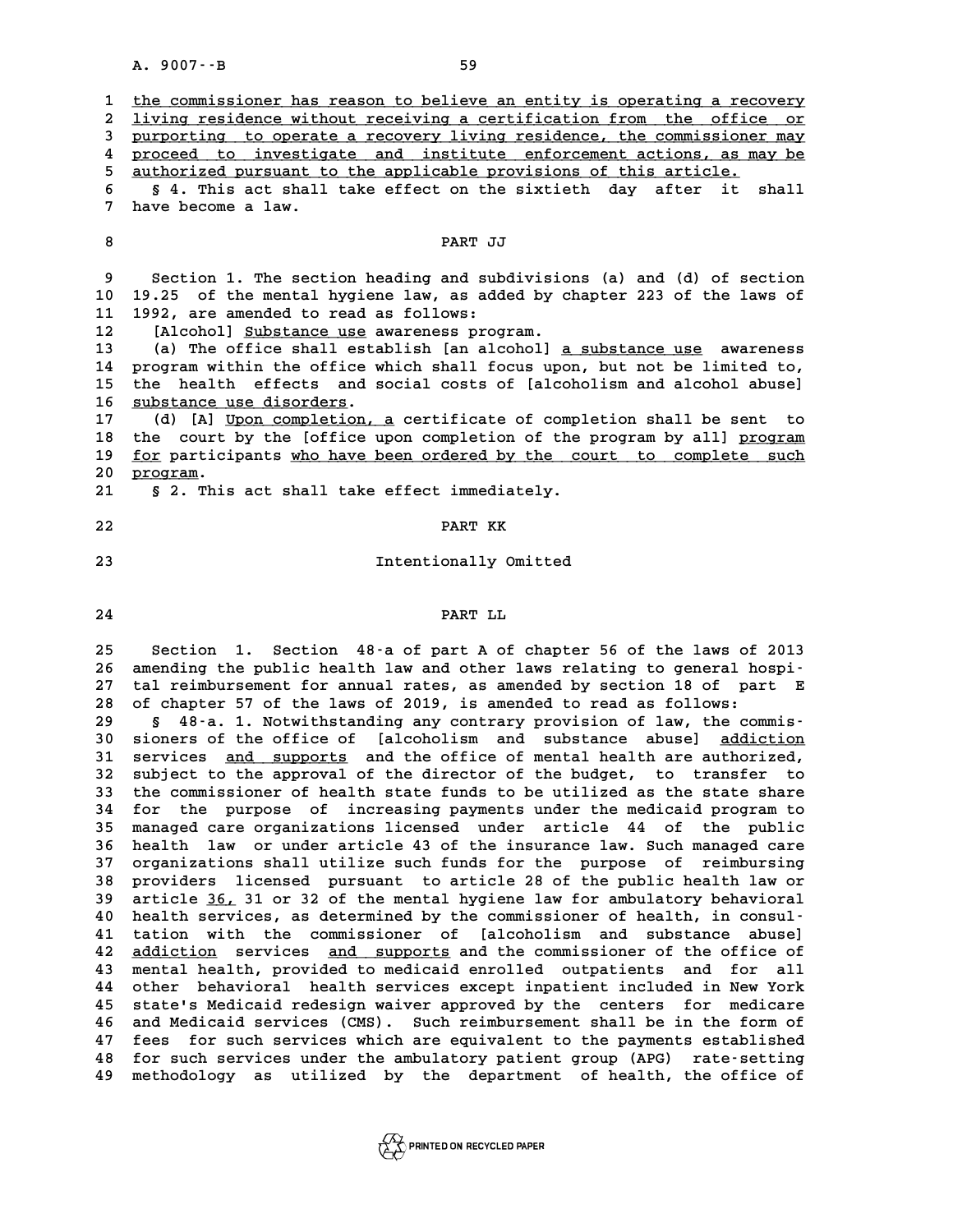|                                                                                                                                                    | A. 9007 -- B<br>59                                                                                                                                                                                                                                                                                                                                                                                                                                                                                                                                                                                                                                                                                                                                                                                                                                                                                                                                                                                                                                                                                                                                                                                                                                                                                                                                                                                                                                                                                                                                                                                                                                                                                                                                                                                                                                                                                                |
|----------------------------------------------------------------------------------------------------------------------------------------------------|-------------------------------------------------------------------------------------------------------------------------------------------------------------------------------------------------------------------------------------------------------------------------------------------------------------------------------------------------------------------------------------------------------------------------------------------------------------------------------------------------------------------------------------------------------------------------------------------------------------------------------------------------------------------------------------------------------------------------------------------------------------------------------------------------------------------------------------------------------------------------------------------------------------------------------------------------------------------------------------------------------------------------------------------------------------------------------------------------------------------------------------------------------------------------------------------------------------------------------------------------------------------------------------------------------------------------------------------------------------------------------------------------------------------------------------------------------------------------------------------------------------------------------------------------------------------------------------------------------------------------------------------------------------------------------------------------------------------------------------------------------------------------------------------------------------------------------------------------------------------------------------------------------------------|
| 1<br>2<br>3<br>4<br>5<br>6<br>7                                                                                                                    | the commissioner has reason to believe an entity is operating a recovery<br>living residence without receiving a certification from the office or<br>purporting to operate a recovery living residence, the commissioner may<br>proceed to investigate and institute enforcement actions, as may be<br>authorized pursuant to the applicable provisions of this article.<br>§ 4. This act shall take effect on the sixtieth day after<br>it<br>shall<br>have become a law.                                                                                                                                                                                                                                                                                                                                                                                                                                                                                                                                                                                                                                                                                                                                                                                                                                                                                                                                                                                                                                                                                                                                                                                                                                                                                                                                                                                                                                        |
| 8                                                                                                                                                  | PART JJ                                                                                                                                                                                                                                                                                                                                                                                                                                                                                                                                                                                                                                                                                                                                                                                                                                                                                                                                                                                                                                                                                                                                                                                                                                                                                                                                                                                                                                                                                                                                                                                                                                                                                                                                                                                                                                                                                                           |
| 9<br>10<br>11<br>12<br>13<br>14<br>15<br>16<br>17<br>18<br>19<br>20<br>21                                                                          | Section 1. The section heading and subdivisions (a) and (d) of section<br>19.25 of the mental hygiene law, as added by chapter 223 of the laws of<br>1992, are amended to read as follows:<br>[Alcohol] Substance use awareness program.<br>(a) The office shall establish [an alcohol] a substance use awareness<br>program within the office which shall focus upon, but not be limited to,<br>the health effects and social costs of [alcoholism and alcohol abuse]<br>substance use disorders.<br>(d) [A] Upon completion, a certificate of completion shall be sent<br>to<br>the court by the [office upon completion of the program by all] program<br>for participants who have been ordered by the court to complete such<br>program.<br>§ 2. This act shall take effect immediately.                                                                                                                                                                                                                                                                                                                                                                                                                                                                                                                                                                                                                                                                                                                                                                                                                                                                                                                                                                                                                                                                                                                     |
| 22                                                                                                                                                 | PART KK                                                                                                                                                                                                                                                                                                                                                                                                                                                                                                                                                                                                                                                                                                                                                                                                                                                                                                                                                                                                                                                                                                                                                                                                                                                                                                                                                                                                                                                                                                                                                                                                                                                                                                                                                                                                                                                                                                           |
| 23                                                                                                                                                 | Intentionally Omitted                                                                                                                                                                                                                                                                                                                                                                                                                                                                                                                                                                                                                                                                                                                                                                                                                                                                                                                                                                                                                                                                                                                                                                                                                                                                                                                                                                                                                                                                                                                                                                                                                                                                                                                                                                                                                                                                                             |
| 24                                                                                                                                                 | PART LL                                                                                                                                                                                                                                                                                                                                                                                                                                                                                                                                                                                                                                                                                                                                                                                                                                                                                                                                                                                                                                                                                                                                                                                                                                                                                                                                                                                                                                                                                                                                                                                                                                                                                                                                                                                                                                                                                                           |
| 25<br>26<br>27<br>28<br>29<br>30<br>31<br>32<br>33<br>34<br>35<br>36<br>37<br>38<br>39<br>40<br>41<br>42<br>43<br>44<br>45<br>46<br>47<br>48<br>49 | Section 1. Section 48-a of part A of chapter 56 of the laws of 2013<br>amending the public health law and other laws relating to general hospi-<br>tal reimbursement for annual rates, as amended by section 18 of part E<br>of chapter 57 of the laws of 2019, is amended to read as follows:<br>48-a. 1. Notwithstanding any contrary provision of law, the commis-<br>Ş.<br>sioners of the office of [alcoholism and substance abuse] addiction<br>services<br>and supports and the office of mental health are authorized,<br>subject to the approval of the director of the budget, to transfer<br>to.<br>the commissioner of health state funds to be utilized as the state share<br>for the purpose of increasing payments under the medicaid program to<br>managed care organizations licensed under article 44 of the public<br>health law or under article 43 of the insurance law. Such managed care<br>organizations shall utilize such funds for the purpose of<br>reimbursing<br>providers licensed pursuant to article 28 of the public health law or<br>article 36, 31 or 32 of the mental hygiene law for ambulatory behavioral<br>health services, as determined by the commissioner of health, in consul-<br>tation with the commissioner of [alcoholism and substance abuse]<br>services and supports and the commissioner of the office of<br>addiction<br>mental health, provided to medicaid enrolled outpatients and for all<br>other behavioral health services except inpatient included in New York<br>state's Medicaid redesign waiver approved by the centers for medicare<br>and Medicaid services (CMS). Such reimbursement shall be in the form of<br>for such services which are equivalent to the payments established<br>fees<br>for such services under the ambulatory patient group (APG) rate-setting<br>methodology as utilized by the department of health, the office of |

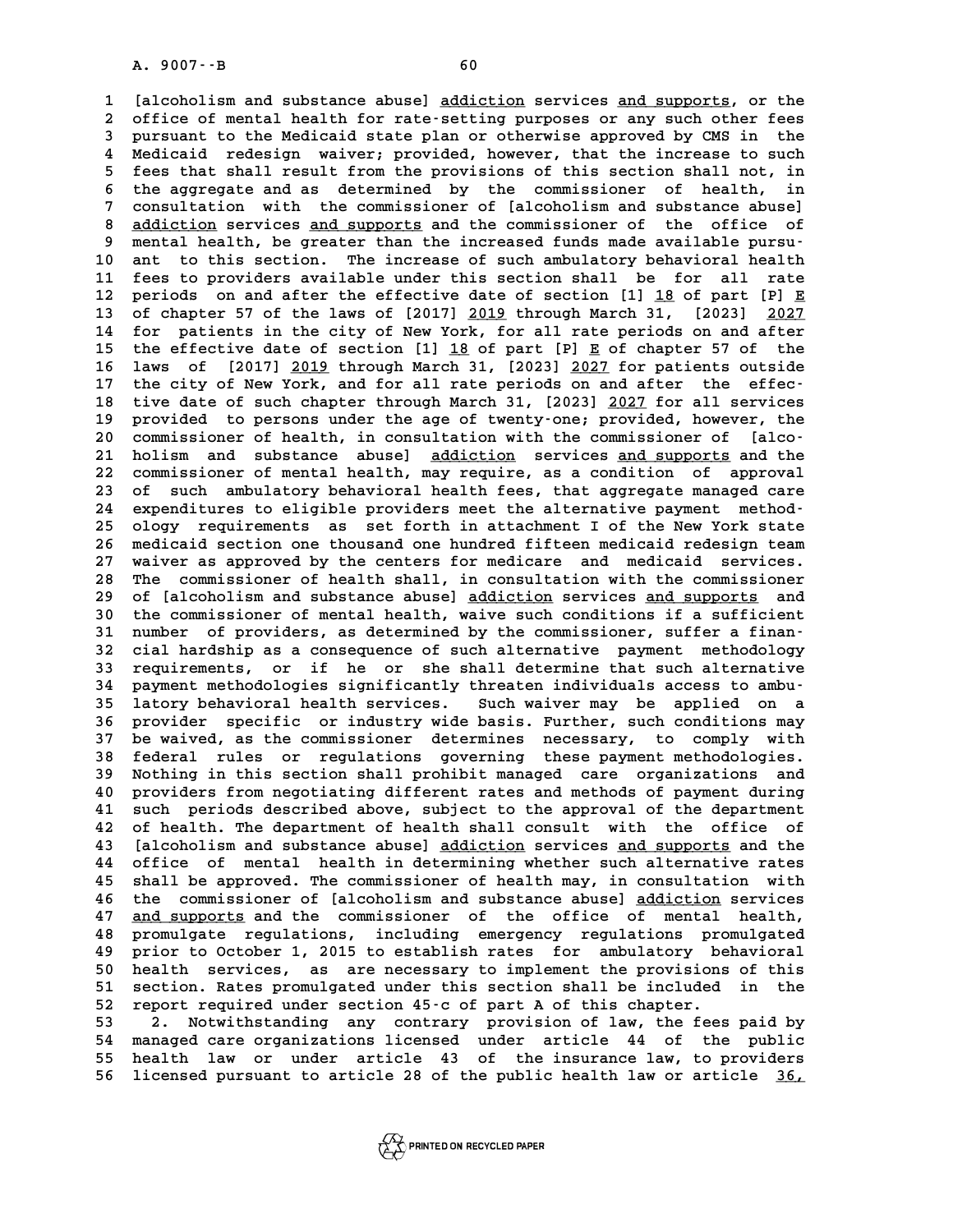A. 9007 --B<br>
1 [alcoholism and substance abuse] <u>addiction</u> services <u>and supports</u>, or the<br>
2 office of montal boalth for rate-setting purposes or any such other foos 1 [alcoholism and substance abuse] <u>addiction</u> services <u>and supports</u>, or the<br>2 office of mental health for rate-setting purposes or any such other fees<br>3 pursuant to the Medicaid state plan or otherwise approved by CMS i 1 [alcoholism and substance abuse] <u>addiction</u> services <u>and supports</u>, or the<br>2 office of mental health for rate-setting purposes or any such other fees<br>3 pursuant to the Medicaid state plan or otherwise approved by CMS i 2 office of mental health for rate-setting purposes or any such other fees<br>3 pursuant to the Medicaid state plan or otherwise approved by CMS in the<br>4 Medicaid redesign waiver; provided, however, that the increase to such<br> 3 pursuant to the Medicaid state plan or otherwise approved by CMS in the<br>4 Medicaid redesign waiver; provided, however, that the increase to such<br>5 fees that shall result from the provisions of this section shall not, in<br> **6** Medicaid redesign waiver; provided, however, that the increase to such<br>5 fees that shall result from the provisions of this section shall not, in<br>6 the aggregate and as determined by the commissioner of health, in<br>2 co 5 fees that shall result from the provisions of this section shall not, in<br>6 the aggregate and as determined by the commissioner of health, in<br>7 consultation with the commissioner of [alcoholism and substance abuse]<br>8 addi 6 the aggregate and as determined by the commissioner of health, in<br>
7 consultation with the commissioner of [alcoholism and substance abuse]<br>
8 <u>addiction</u> services and supports and the commissioner of the office of<br>
mont 9 consultation with the commissioner of [alcoholism and substance abuse]<br>
<u>addiction</u> services <u>and supports</u> and the commissioner of the office of<br>
9 mental health, be greater than the increased funds made available pursu 8 <u>addiction</u> services <u>and supports</u> and the commissioner of the office of<br>9 mental health, be greater than the increased funds made available pursu-<br>10 ant to this section. The increase of such ambulatory behavioral heal 9 mental health, be greater than the increased funds made available pursu-<br>10 ant to this section. The increase of such ambulatory behavioral health<br>11 fees to providers available under this section shall be for all rate<br>1 **10** ant to this section. The increase of such ambulatory behavioral health<br>11 fees to providers available under this section shall be for all rate<br>12 periods on and after the effective date of section [1] <u>18</u> of part [P] **11** fees to providers available under this section shall be for all rate<br>12 periods on and after the effective date of section [1] <u>18</u> of part [P] <u>E</u><br>13 of chapter 57 of the laws of [2017] <u>2019</u> through March 31, [2023 12 periods on and after the effective date of section [1] <u>18</u> of part [P] <u>E</u><br>13 of chapter 57 of the laws of [2017] <u>2019</u> through March 31, [2023] 2027<br>14 for patients in the city of New York, for all rate periods on an 13 of chapter 57 of the laws of [2017] <u>2019</u> through March 31, [2023]  $\frac{2027}{2027}$ <br>14 for patients in the city of New York, for all rate periods on and after<br>15 the effective date of section [1] <u>18</u> of part [P] <u>E</u> o **14** for patients in the city of New York, for all rate periods on and after<br>15 the effective date of section [1] <u>18</u> of part [P] <u>E</u> of chapter 57 of the<br>16 laws of [2017] <u>2019</u> through March 31, [2023] <u>2027</u> for patie 15 the effective date of section [1] <u>18</u> of part [P] <u>E</u> of chapter 57 of the<br>16 laws of [2017] <u>2019</u> through March 31, [2023] <u>2027</u> for patients outside<br>17 the city of New York, and for all rate periods on and after th **16 laws of [2017] <u>2019</u> through March 31, [2023] <u>2027</u> for patients outside<br>17 the city of New York, and for all rate periods on and after the effec-<br>18 tive date of such chapter through March 31, [2023] <u>2027</u> for all** 17 the city of New York, and for all rate periods on and after the effec-<br>18 tive date of such chapter through March 31, [2023] <u>2027</u> for all services<br>19 provided to persons under the age of twenty-one; provided, however, 18 tive date of such chapter through March 31, [2023] <u>2027</u> for all services<br>19 provided to persons under the age of twenty-one; provided, however, the<br>20 commissioner of health, in consultation with the commissioner of [ provided to persons under the age of twenty-one; provided, however, the<br>20 commissioner of health, in consultation with the commissioner of [alco-<br>21 holism and substance abuse] <u>addiction</u> services and supports and the<br>22 **20 commissioner of health, in consultation with the commissioner of [alco-**<br>21 holism and substance abuse] <u>addiction</u> services and supports and the<br>22 commissioner of mental health, may require, as a condition of approva 21 holism and substance abuse] <u>addiction</u> services <u>and supports</u> and the<br>22 commissioner of mental health, may require, as a condition of approval<br>23 of such ambulatory behavioral health fees, that aggregate managed care 22 commissioner of mental health, may require, as a condition of approval<br>
23 of such ambulatory behavioral health fees, that aggregate managed care<br>
24 expenditures to eligible providers meet the alternative payment metho 23 of such ambulatory behavioral health fees, that aggregate managed care<br>24 expenditures to eligible providers meet the alternative payment method-<br>25 ology requirements as set forth in attachment I of the New York state<br> 24 expenditures to eligible providers meet the alternative payment method-<br>25 ology requirements as set forth in attachment I of the New York state<br>26 medicaid section one thousand one hundred fifteen medicaid redesign tea 25 ology requirements as set forth in attachment I of the New York state<br>26 medicaid section one thousand one hundred fifteen medicaid redesign team<br>27 waiver as approved by the centers for medicare and medicaid services.<br> 27 waiver as approved by the centers for medicare and medicaid services.<br>28 The commissioner of health shall, in consultation with the commissioner<br>29 of [alcoholism and substance abuse] addiction services and supports and 27 waiver as approved by the centers for medicare and medicaid services.<br>28 The commissioner of health shall, in consultation with the commissioner<br>29 of [alcoholism and substance abuse] <u>addiction</u> services <u>and supports</u> The commissioner of health shall, in consultation with the commissioner<br>29 of [alcoholism and substance abuse] <u>addiction</u> services <u>and supports</u> and<br>30 the commissioner of mental health, waive such conditions if a suffic 30 the commissioner of mental health, waive such conditions if a sufficient<br>31 number of providers, as determined by the commissioner, suffer a finan-<br>32 cial hardship as a consequence of such alternative payment methodolo **30 the commissioner of mental health, waive such conditions if a sufficient**<br>31 number of providers, as determined by the commissioner, suffer a finan-<br>32 cial hardship as a consequence of such alternative payment methodo 31 number of providers, as determined by the commissioner, suffer a finan-<br>32 cial hardship as a consequence of such alternative payment methodology<br>33 requirements, or if he or she shall determine that such alternative<br>34 32 cial hardship as a consequence of such alternative payment methodology<br>
33 requirements, or if he or she shall determine that such alternative<br>
34 payment methodologies significantly threaten individuals access to ambu-33 requirements, or if he or she shall determine that such alternative<br>34 payment methodologies significantly threaten individuals access to ambu-<br>35 latory behavioral health services. Such waiver may be applied on a<br>36 pr **34 payment methodologies significantly threaten individuals access to ambu-**<br>35 latory behavioral health services. Such waiver may be applied on a<br>36 provider specific or industry wide basis. Further, such conditions may<br> **135 latory behavioral health services.** Such waiver may be applied on a<br>36 provider specific or industry wide basis. Further, such conditions may<br>37 be waived, as the commissioner determines necessary, to comply with<br>58 f 36 provider specific or industry wide basis. Further, such conditions may<br>37 be waived, as the commissioner determines necessary, to comply with<br>38 federal rules or regulations governing these payment methodologies.<br>29 Met 37 be waived, as the commissioner determines necessary, to comply with<br>38 federal rules or regulations governing these payment methodologies.<br>39 Nothing in this section shall prohibit managed care organizations and<br>40 prov 38 federal rules or regulations governing these payment methodologies.<br>39 Nothing in this section shall prohibit managed care organizations and<br>40 providers from negotiating different rates and methods of payment during<br>41 39 Nothing in this section shall prohibit managed care organizations and<br>40 providers from negotiating different rates and methods of payment during<br>41 such periods described above, subject to the approval of the departmen **40 providers from negotiating different rates and methods of payment during<br>41 such periods described above, subject to the approval of the department<br>42 of health. The department of health shall consult with the office o** 41 such periods described above, subject to the approval of the department<br>42 of health. The department of health shall consult with the office of<br>43 [alcoholism and substance abuse] <u>addiction</u> services <u>and supports</u> and 42 of health. The department of health shall consult with the office of<br>43 [alcoholism and substance abuse] <u>addiction</u> services <u>and supports</u> and the<br>44 office of mental health in determining whether such alternative rat 43 [alcoholism and substance abuse] <u>addiction</u> services <u>and supports</u> and the<br>44 office of mental health in determining whether such alternative rates<br>45 shall be approved. The commissioner of health may, in consultation office of mental health in determining whether such alternative rates<br>45 shall be approved. The commissioner of health may, in consultation with<br>46 the commissioner of [alcoholism and substance abuse] <u>addiction</u> services<br> 45 shall be approved. The commissioner of health may, in consultation with<br>46 the commissioner of [alcoholism and substance abuse] <u>addiction</u> services<br>47 <u>and supports</u> and the commissioner of the office of mental health, 46 the commissioner of [alcoholism and substance abuse] <u>addiction</u> services<br>47 <u>and supports</u> and the commissioner of the office of mental health,<br>48 promulgate regulations, including emergency regulations promulgated<br>19 47 <u>and supports</u> and the commissioner of the office of mental health,<br>48 promulgate regulations, including emergency regulations promulgated<br>49 prior to October 1, 2015 to establish rates for ambulatory behavioral<br>50 boak **50 and Services are services, as are necessary to implement the provisions of this**<br>50 health services, as are necessary to implement the provisions of this<br>51 section Pates promulgated under this section shall be include **51** prior to October 1, 2015 to establish rates for ambulatory behavioral<br>50 health services, as are necessary to implement the provisions of this<br>51 section. Rates promulgated under this section shall be included in the<br> prior to October 1, 2015 to establish rates for ambulatory behavioral<br>50 health services, as are necessary to implement the provisions of this<br>51 section. Rates promulgated under this section shall be included in the<br>52 re 51 section. Rates promulgated under this section shall be included in the<br>52 report required under section 45 c of part A of this chapter.<br>53 2. Notwithstanding any contrary provision of law, the fees paid by<br>54 managed ga

52 report required under section 45-c of part A of this chapter.<br>53 2. Notwithstanding any contrary provision of law, the fees paid by<br>54 managed care organizations licensed under article 44 of the public<br>55 hoalth law or <sup>53</sup> <sup>2</sup>. Notwithstanding any contrary provision of law, the fees paid by<br>
<sup>54</sup> managed care organizations licensed under article 44 of the public<br>
<sup>55</sup> health law or under article 43 of the insurance law, to providers<br>
<sup>5</sup> 54 managed care organizations licensed under article 44 of the public<br>55 health law or under article 43 of the insurance law, to providers<br>56 licensed pursuant to article 28 of the public health law or article 36,

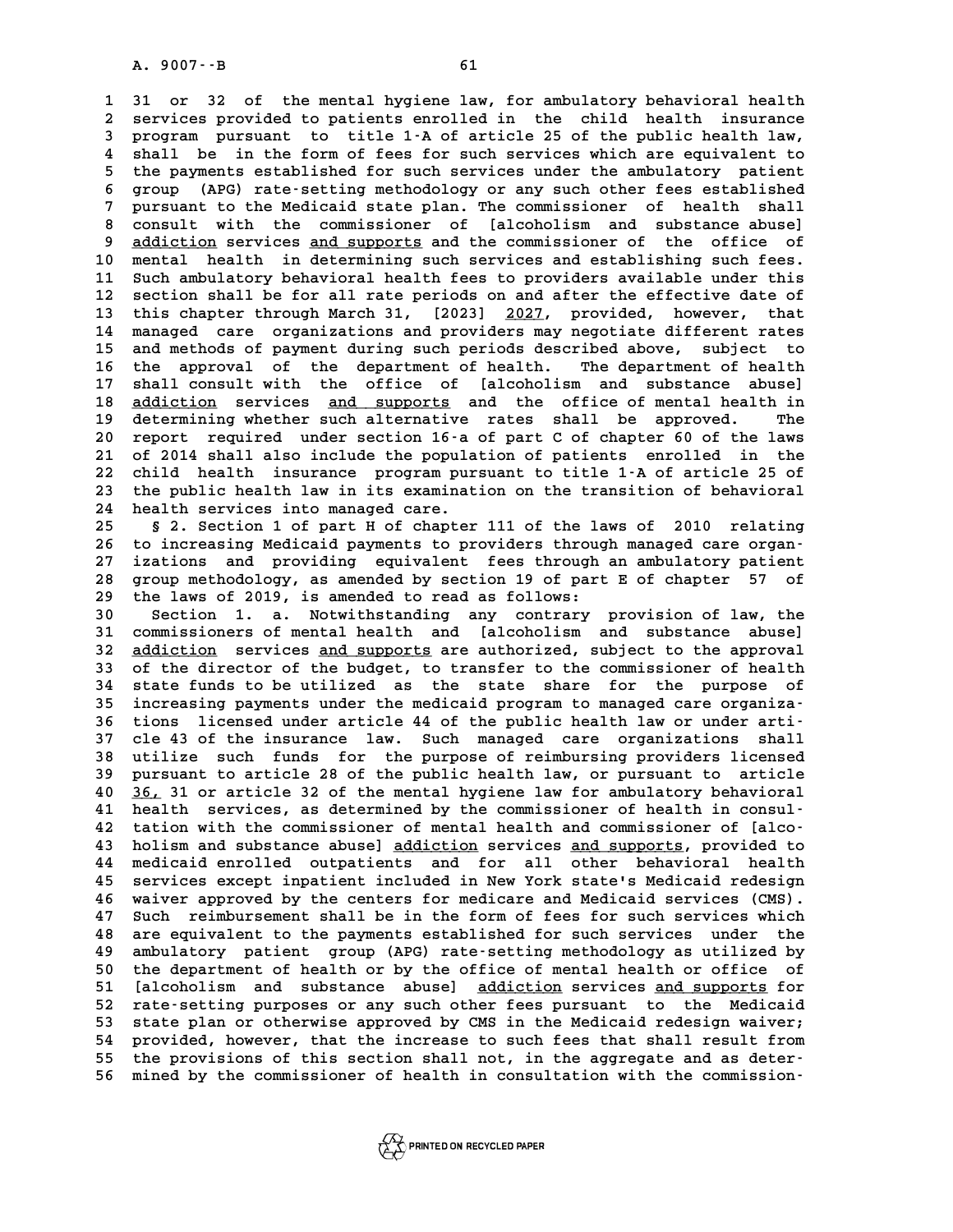**1 31 or 32 of the mental hygiene law, for ambulatory behavioral health 2** 31 or 32 of the mental hygiene law, for ambulatory behavioral health<br>2 services provided to patients enrolled in the child health insurance<br>3 program pursuant to title 1.2 of artigle 25 of the public bealth law **31 or 32 of the mental hygiene law, for ambulatory behavioral health**<br>**2 services provided to patients enrolled in the child health insurance**<br>**3 program pursuant to title 1-A of article 25 of the public health law,**<br> **4 4** services provided to patients enrolled in the child health insurance<br> **4 shall be in the form of fees for such services which are equivalent to**<br> **4 shall be in the form of fees for such services which are equivalent t 5 program pursuant to title 1-A of article 25 of the public health law,**<br>4 shall be in the form of fees for such services which are equivalent to<br>5 the payments established for such services under the ambulatory patient 4 shall be in the form of fees for such services which are equivalent to<br>5 the payments established for such services under the ambulatory patient<br>6 group (APG) rate-setting methodology or any such other fees established<br>7 5 the payments established for such services under the ambulatory patient<br>6 group (APG) rate-setting methodology or any such other fees established<br>7 pursuant to the Medicaid state plan. The commissioner of health shall<br>8 8 group (APG) rate-setting methodology or any such other fees established<br>
8 pursuant to the Medicaid state plan. The commissioner of health shall<br>
8 consult with the commissioner of [alcoholism and substance abuse]<br>
9 add pursuant to the Medicaid state plan. The commissioner of health shall 8 consult with the commissioner of [alcoholism and substance abuse]<br>
9 <u>addiction</u> services <u>and supports</u> and the commissioner of the office of<br>
10 mental health in determining such services and establishing such fees.<br>
1 9 <u>addiction</u> services <u>and supports</u> and the commissioner of the office of<br>10 mental health in determining such services and establishing such fees.<br>11 Such ambulatory behavioral health fees to providers available under t **10** mental health in determining such services and establishing such fees.<br>
11 Such ambulatory behavioral health fees to providers available under this<br>
12 section shall be for all rate periods on and after the effective 11 Such ambulatory behavioral health fees to providers available under this<br>12 section shall be for all rate periods on and after the effective date of<br>13 this chapter through March 31, [2023] 2027, provided, however, that 12 section shall be for all rate periods on and after the effective date of<br>13 this chapter through March 31, [2023] <u>2027</u>, provided, however, that<br>14 managed care organizations and providers may negotiate different rates **13 this chapter through March 31, [2023] <u>2027</u>, provided, however, that<br>14 managed care organizations and providers may negotiate different rates<br>15 and methods of payment during such periods described above, subject to<br>** 14 managed care organizations and providers may negotiate different rates<br>15 and methods of payment during such periods described above, subject to<br>16 the approval of the department of health. The department of health<br>17 s 15 and methods of payment during such periods described above, subject to<br>16 the approval of the department of health. The department of health<br>17 shall consult with the office of [alcoholism and substance abuse]<br>18 addict 16 the approval of the department of health. The department of health<br>17 shall consult with the office of [alcoholism and substance abuse]<br>18 <u>addiction</u> services <u>and supports</u> and the office of mental health in<br>determini 17 shall consult with the office of [alcoholism and substance abuse]<br>18 <u>addiction</u> services <u>and supports</u> and the office of mental health in<br>19 determining whether such alternative rates shall be approved. The<br>20 report **20 addiction services and supports and the office of mental health in**<br> **20 report required under section 16-a of part C of chapter 60 of the laws**<br> **21 of 2014 shall also include the population of patients enrolled in th** 19 determining whether such alternative rates shall be approved. The<br>20 report required under section 16-a of part C of chapter 60 of the laws<br>21 of 2014 shall also include the population of patients enrolled in the<br>22 chi **20 report required under section 16-a of part C of chapter 60 of the laws**<br>21 of 2014 shall also include the population of patients enrolled in the<br>22 child health insurance program pursuant to title 1-A of article 25 of<br> 21 of 2014 shall also include the population of patients enrolled in the<br>22 child health insurance program pursuant to title 1-A of article 25 of<br>23 the public health law in its examination on the transition of behavioral<br> 22 child health insurance program pur<br>23 the public health law in its examinat<br>24 health services into managed care.<br>25 5 2 Sotion 1 of part H of ghaptor 23 the public health law in its examination on the transition of behavioral<br>24 health services into managed care.<br>25 § 2. Section 1 of part H of chapter 111 of the laws of 2010 relating<br>26 to increasing Medicaid parments t

24 health services into managed care.<br>25 § 2. Section 1 of part H of chapter 111 of the laws of 2010 relating<br>26 to increasing Medicaid payments to providers through managed care organ-<br>27 inctions and providing equivalent **25 § 2. Section 1 of part H of chapter 111 of the laws of 2010 relating<br>26 to increasing Medicaid payments to providers through managed care organ-**<br>27 izations and providing equivalent fees through an ambulatory patient<br> 26 to increasing Medicaid payments to providers through managed care organ-<br>27 izations and providing equivalent fees through an ambulatory patient<br>28 group methodology, as amended by section 19 of part E of chapter 57 of<br> 27 izations and providing equivalent fees through<br>28 group methodology, as amended by section 19 of part<br>29 the laws of 2019, is amended to read as follows:<br>20 section 1 a Motwithstanding any contrary **30 Section 19 Section 19 Section 19 Section 19 Section 19 Section 1. a. Notwithstanding any contrary provision of law, the**<br>30 Section 1. a. Notwithstanding any contrary provision of law, the<br>31 Section of mental balis an

the laws of 2019, is amended to read as follows:<br>30 Section 1. a. Notwithstanding any contrary provision of law, the<br>31 commissioners of mental health and [alcoholism and substance abuse]<br>32 addiction corriece and supports 30 Section 1. a. Notwithstanding any contrary provision of law, the<br>31 commissioners of mental health and [alcoholism and substance abuse]<br>32 <u>addiction</u> services <u>and supports</u> are authorized, subject to the approval<br>33 o 31 commissioners of mental health and [alcoholism and substance abuse]<br>32 <u>addiction</u> services <u>and supports</u> are authorized, subject to the approval<br>33 of the director of the budget, to transfer to the commissioner of hea **32** <u>addiction</u> services <u>and supports</u> are authorized, subject to the approval<br>33 of the director of the budget, to transfer to the commissioner of health<br>34 state funds to be utilized as the state share for the purpose 33 of the director of the budget, to transfer to the commissioner of health<br>34 state funds to be utilized as the state share for the purpose of<br>35 increasing payments under the medicaid program to managed care organiza-<br><sup>3</sup> 34 state funds to be utilized as the state share for the purpose of<br>
35 increasing payments under the medicaid program to managed care organiza-<br>
36 tions licensed under article 44 of the public health law or under arti-<br> 35 increasing payments under the medicaid program to managed care organiza-<br>36 tions licensed under article 44 of the public health law or under arti-<br>37 cle 43 of the insurance law. Such managed care organizations shall<br>3 36 tions licensed under article 44 of the public health law or under arti-<br>37 cle 43 of the insurance law. Such managed care organizations shall<br>38 utilize such funds for the purpose of reimbursing providers licensed<br>purgu 37 cle 43 of the insurance law. Such managed care organizations shall<br>38 utilize such funds for the purpose of reimbursing providers licensed<br>39 pursuant to article 28 of the public health law, or pursuant to article<br>40 36 38 utilize such funds for the purpose of reimbursing providers licensed<br>39 pursuant to article 28 of the public health law, or pursuant to article<br>40 <u>36,</u> 31 or article 32 of the mental hygiene law for ambulatory behavior 39 pursuant to article 28 of the public health law, or pursuant to article<br>40 <u>36,</u> 31 or article 32 of the mental hygiene law for ambulatory behavioral<br>41 health services, as determined by the commissioner of health in co 40 36, 31 or article 32 of the mental hygiene law for ambulatory behavioral<br>41 health services, as determined by the commissioner of health in consul-<br>42 tation with the commissioner of mental health and commissioner of [a 41 health services, as determined by the commissioner of health in consul-<br>42 tation with the commissioner of mental health and commissioner of [alco-<br>43 holism and substance abuse] <u>addiction</u> services <u>and supports</u>, pro 42 tation with the commissioner of mental health and commissioner of [alco-<br>43 holism and substance abuse] <u>addiction</u> services <u>and supports</u>, provided to<br>44 medicaid enrolled outpatients and for all other behavioral heal A solism and substance abuse] <u>addiction</u> services <u>and supports</u>, provided to<br>44 medicaid enrolled outpatients and for all other behavioral health<br>45 services except inpatient included in New York state's Medicaid redesig medicaid enrolled outpatients and for all other behavioral health<br>45 services except inpatient included in New York state's Medicaid redesign<br>46 waiver approved by the centers for medicare and Medicaid services (CMS).<br>47 S **45 services except inpatient included in New York state's Medicaid redesign<br>46 waiver approved by the centers for medicare and Medicaid services (CMS).<br>47 Such reimbursement shall be in the form of fees for such services 46 waiver approved by the centers for medicare and Medicaid services (CMS).**<br>47 Such reimbursement shall be in the form of fees for such services which<br>48 are equivalent to the payments established for such services under 47 Such reimbursement shall be in the form of fees for such services which<br>48 are equivalent to the payments established for such services under the<br>49 ambulatory patient group (APG) rate-setting methodology as utilized by are equivalent to the payments established for such services under the<br>49 ambulatory patient group (APG) rate-setting methodology as utilized by<br>50 the department of health or by the office of mental health or office of<br>51 49 ambulatory patient group (APG) rate-setting methodology as utilized by<br>50 the department of health or by the office of mental health or office of<br>51 [alcoholism and substance abuse] <u>addiction</u> services <u>and supports</u> f 50 the department of health or by the office of mental health or office of<br>51 [alcoholism and substance abuse] <u>addiction</u> services <u>and supports</u> for<br>52 rate-setting purposes or any such other fees pursuant to the Medicai 51 [alcoholism and substance abuse] <u>addiction</u> services <u>and supports</u> for<br>52 rate-setting purposes or any such other fees pursuant to the Medicaid<br>53 state plan or otherwise approved by CMS in the Medicaid redesign waive 52 rate-setting purposes or any such other fees pursuant to the Medicaid<br>53 state plan or otherwise approved by CMS in the Medicaid redesign waiver;<br>54 provided, however, that the increase to such fees that shall result fr 53 state plan or otherwise approved by CMS in the Medicaid redesign waiver;<br>54 provided, however, that the increase to such fees that shall result from<br>55 the provisions of this section shall not, in the aggregate and as d 54 provided, however, that the increase to such fees that shall result from<br>55 the provisions of this section shall not, in the aggregate and as deter-<br>56 mined by the commissioner of health in consultation with the commis

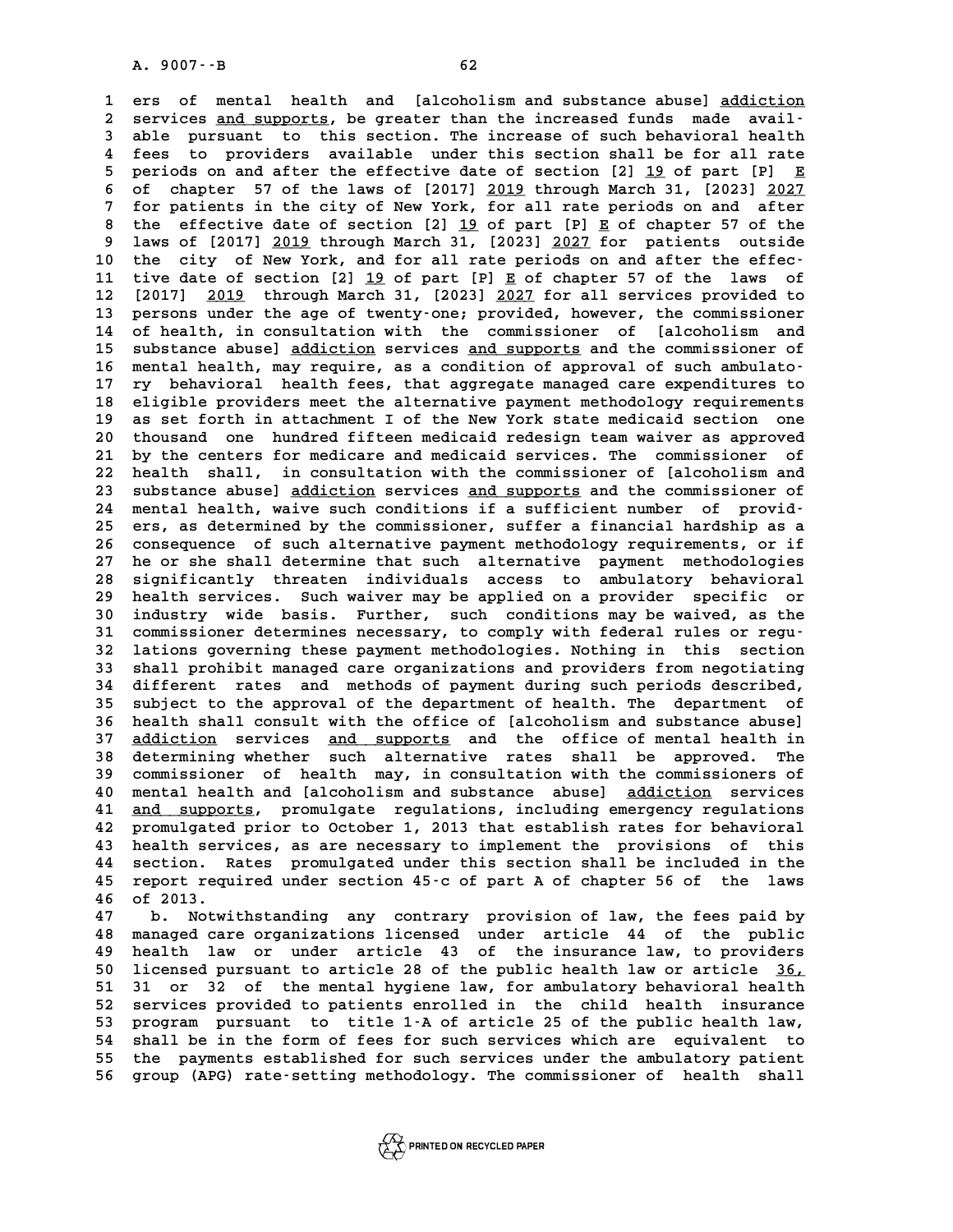**1** ers of mental health and [alcoholism and substance abuse] <u>addiction</u><br>1 ers of mental health and [alcoholism and substance abuse] <u>addiction</u> **2** ers of mental health and [alcoholism and substance abuse] <u>addiction</u><br>2 services <u>and supports</u>, be greater than the increased funds made avail-<br>3 able pursuant to this section. The increase of such behavioral bealth 1 ers of mental health and [alcoholism and substance abuse] <u>addiction</u><br>2 services <u>and supports</u>, be greater than the increased funds made avail-<br>3 able pursuant to this section. The increase of such behavioral health<br>4 f 2 services <u>and supports</u>, be greater than the increased funds made available pursuant to this section. The increase of such behavioral health fees to providers available under this section shall be for all rate<br>a poriods **5** able pursuant to this section. The increase of such behavioral health<br>4 fees to providers available under this section shall be for all rate<br>5 periods on and after the effective date of section [2] <u>19</u> of part [P] <u>E</u> **6 4 fees to providers available under this section shall be for all rate**<br>**6 of chapter 57 of the laws of [2017] <u>2019</u> through March 31, [2023] 2027<br><b>6 of chapter 57 of the laws of [2017] 2019 through March 31, [2023] 20 7 periods on and after the effective date of section [2] <u>19</u> of part [P] <u>E</u><br>6 of chapter 57 of the laws of [2017] <u>2019</u> through March 31, [2023] <u>2027</u><br>7 for patients in the city of New York, for all rate periods on an 8** of chapter 57 of the laws of  $[2017]$   $\underline{2019}$  through March 31,  $[2023]$   $\underline{2027}$ <br> **8** the effective date of section  $[2]$   $\underline{19}$  of part  $[P]$   $\underline{E}$  of chapter 57 of the<br> **8** laws of  $[2017]$  2019 through **9 laws of [2017] 2019 through March 31, [2023] 2027 for patients outside \_\_\_\_ \_\_\_\_** 8 the effective date of section [2] <u>19</u> of part [P] **E** of chapter 57 of the<br>
9 laws of [2017] <u>2019</u> through March 31, [2023] <u>2027</u> for patients outside<br>
10 the city of New York, and for all rate periods on and after th **11 tive date of section [2] 19 of part [P] E of chapter 57 of the laws of \_\_ \_** 10 the city of New York, and for all rate periods on and after the effec-<br>11 tive date of section [2] <u>19</u> of part [P] <u>E</u> of chapter 57 of the laws of<br>12 [2017] <u>2019</u> through March 31, [2023] <u>2027</u> for all services prov 11 tive date of section [2] <u>19</u> of part [P] **E** of chapter 57 of the laws of<br>12 [2017] <u>2019</u> through March 31, [2023] <u>2027</u> for all services provided to<br>13 persons under the age of twenty-one; provided, however, the com 12 [2017] <u>2019</u> through March 31, [2023] <u>2027</u> for all services provided to<br>13 persons under the age of twenty-one; provided, however, the commissioner<br>14 of health, in consultation with the commissioner of [alcoholism a 13 persons under the age of twenty-one; provided, however, the commissioner<br>14 of health, in consultation with the commissioner of [alcoholism and<br>15 substance abuse] <u>addiction</u> services <u>and supports</u> and the commissione 13 persons under the age of twenty-one; provided, however, the commissioner<br>14 of health, in consultation with the commissioner of [alcoholism and<br>15 substance abuse] <u>addiction</u> services <u>and supports</u> and the commissione **15 substance abuse] <u>addiction</u> services <u>and supports</u> and the commissioner of<br>16 mental health, may require, as a condition of approval of such ambulato-<br>17 ry behavioral health fees, that aggregate managed care expendi** 16 mental health, may require, as a condition of approval of such ambulato-<br>17 ry behavioral health fees, that aggregate managed care expenditures to<br>18 eligible providers meet the alternative payment methodology requireme **17 ry behavioral health fees, that aggregate managed care expenditures to**<br>18 eligible providers meet the alternative payment methodology requirements<br>19 as set forth in attachment I of the New York state medicaid section 20 eligible providers meet the alternative payment methodology requirements<br>20 thousand one hundred fifteen medicaid redesign team waiver as approved<br>21 by the centers for medicare and medicaid services. The commissioner o 19 as set forth in attachment I of the New York state medicaid section one<br>20 thousand one hundred fifteen medicaid redesign team waiver as approved<br>21 by the centers for medicare and medicaid services. The commissioner of 20 thousand one hundred fifteen medicaid redesign team waiver as approved<br>21 by the centers for medicare and medicaid services. The commissioner of<br>22 health shall, in consultation with the commissioner of [alcoholism and<br> 21 by the centers for medicare and medicaid services. The commissioner of<br>22 health shall, in consultation with the commissioner of [alcoholism and<br>23 substance abuse] <u>addiction</u> services <u>and supports</u> and the commission 22 health shall, in consultation with the commissioner of [alcoholism and<br>
23 substance abuse] <u>addiction</u> services <u>and supports</u> and the commissioner of<br>
24 mental health, waive such conditions if a sufficient number of 23 substance abuse] <u>addiction</u> services <u>and supports</u> and the commissioner of<br>24 mental health, waive such conditions if a sufficient number of provid-<br>25 exaces as determined by the commissioner, suffer a financial hard 24 mental health, waive such conditions if a sufficient number of provid-<br>25 ers, as determined by the commissioner, suffer a financial hardship as a<br>26 consequence of such alternative payment methodology requirements, or 25 ers, as determined by the commissioner, suffer a financial hardship as a<br>26 consequence of such alternative payment methodology requirements, or if<br>27 he or she shall determine that such alternative payment methodologie 26 consequence of such alternative payment methodology requirements, or if<br>27 he or she shall determine that such alternative payment methodologies<br>28 significantly threaten individuals access to ambulatory behavioral<br>29 h 27 he or she shall determine that such alternative payment methodologies<br>28 significantly threaten individuals access to ambulatory behavioral<br>29 health services. Such waiver may be applied on a provider specific or<br><sup>20</sup> i 28 significantly threaten individuals access to ambulatory behavioral<br>29 health services. Such waiver may be applied on a provider specific or<br>30 industry wide basis. Further, such conditions may be waived, as the<br>31 commi 29 health services. Such waiver may be applied on a provider specific or<br>30 industry wide basis. Further, such conditions may be waived, as the<br>31 commissioner determines necessary, to comply with federal rules or regu-<br><sup>3</sup> 30 industry wide basis. Further, such conditions may be waived, as the<br>31 commissioner determines necessary, to comply with federal rules or regu-<br>32 lations governing these payment methodologies. Nothing in this section<br>3 31 commissioner determines necessary, to comply with federal rules or regu-<br>32 lations governing these payment methodologies. Nothing in this section<br>33 shall prohibit managed care organizations and providers from negotiat 32 lations governing these payment methodologies. Nothing in this section<br>33 shall prohibit managed care organizations and providers from negotiating<br>34 different rates and methods of payment during such periods described, 33 shall prohibit managed care organizations and providers from negotiating<br>34 different rates and methods of payment during such periods described,<br>35 subject to the approval of the department of health. The department of **34 different rates and methods of payment during such periods described,**<br>35 subject to the approval of the department of health. The department of<br>36 health shall consult with the office of [alcoholism and substance abus 35 subject to the approval of the department of health. The department of<br>36 health shall consult with the office of [alcoholism and substance abuse]<br>37 <u>addiction</u> services <u>and supports</u> and the office of mental health i **36 health shall consult with the office of [alcoholism and substance abuse]**<br>**37 <u>addiction</u> services <u>and supports</u> and the office of mental health in<br><b>38 determining whether** such alternative rates shall be approved. Th **37 <u>addiction</u> services <u>and supports</u> and the office of mental health in<br>38 determining whether such alternative rates shall be approved. The<br>39 commissioner of health may, in consultation with the commissioners of<br>40 me 40 determining whether such alternative rates shall be approved. The commissioner of health may, in consultation with the commissioners of mental health and [alcoholism and substance abuse] <u>addiction</u> services** 39 commissioner of health may, in consultation with the commissioners of<br>40 mental health and [alcoholism and substance abuse] <u>addiction</u> services<br>41 <u>and supports</u>, promulgate regulations, including emergency regulations 40 mental health and [alcoholism and substance abuse] <u>addiction</u> services<br>41 <u>and supports</u>, promulgate regulations, including emergency regulations<br>42 promulgated prior to October 1, 2013 that establish rates for behavio 41 <u>and supports</u>, promulgate regulations, including emergency regulations<br>42 promulgated prior to October 1, 2013 that establish rates for behavioral<br>43 health services, as are necessary to implement the provisions of thi **42 promulgated prior to October 1, 2013 that establish rates for behavioral**<br>**43 health services, as are necessary to implement the provisions of this section. Rates promulgated under this section shall be included in the 43** health services, as are necessary to implement the provisions of this<br>44 section. Rates promulgated under this section shall be included in the<br>45 report required under section 45-c of part A of chapter 56 of the laws **44** section. R<br>**45** report requ<br>**46** of 2013. **45 report required under section 45-c of part A of chapter 56 of the laws<br>46 of 2013.**<br>47 b. Notwithstanding any contrary provision of law, the fees paid by<br>48 managed gave examinations ligensed under article 44 of the pu

**46 of 2013.**<br>47 b. Notwithstanding any contrary provision of law, the fees paid by<br>48 managed care organizations licensed under article 44 of the public<br>19 hostth law or under article 43 of the ingurance law to providers **47 b. Notwithstanding any contrary provision of law, the fees paid by<br>48 managed care organizations licensed under article 44 of the public<br>49 health law or under article 43 of the insurance law, to providers<br>50 licensed** 90 managed care organizations licensed under article 44 of the public health law or under article 43 of the insurance law, to providers 10 licensed pursuant to article 28 of the public health law or article  $\frac{36}{51}$  31 49 health law or under article 43 of the insurance law, to providers<br>50 licensed pursuant to article 28 of the public health law or article <u>36,</u><br>51 31 or 32 of the mental hygiene law, for ambulatory behavioral health<br>52 s 50 licensed pursuant to article 28 of the public health law or article 36,<br>51 31 or 32 of the mental hygiene law, for ambulatory behavioral health<br>52 services provided to patients enrolled in the child health insurance<br>53 51 31 or 32 of the mental hygiene law, for ambulatory behavioral health<br>52 services provided to patients enrolled in the child health insurance<br>53 program pursuant to title 1-A of article 25 of the public health law,<br>54 sh 52 services provided to patients enrolled in the child health insurance<br>53 program pursuant to title 1-A of article 25 of the public health law,<br>54 shall be in the form of fees for such services which are equivalent to<br>55 53 program pursuant to title 1-A of article 25 of the public health law,<br>54 shall be in the form of fees for such services which are equivalent to<br>55 the payments established for such services under the ambulatory patient<br> 54 shall be in the form of fees for such services which are equivalent to<br>55 the payments established for such services under the ambulatory patient<br>56 group (APG) rate-setting methodology. The commissioner of health shall

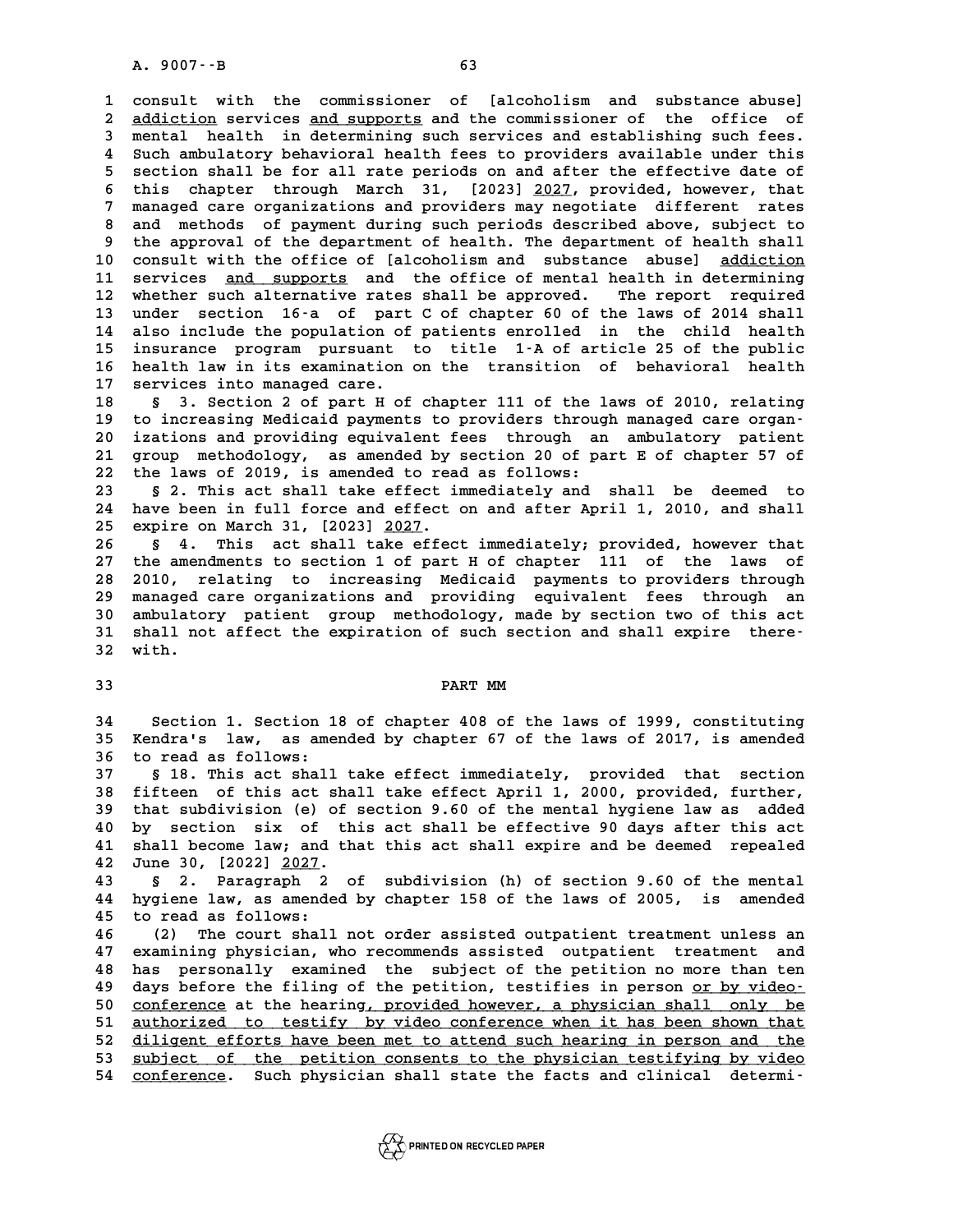**1 consult with the commissioner of [alcoholism and substance abuse]** 2 consult with the commissioner of [alcoholism and substance abuse]<br>2 <u>addiction</u> services <u>and supports</u> and the commissioner of the office of<br>3 mental bealth in determining such services and establishing such fees 2 consult with the commissioner of [alcoholism and substance abuse]<br>
2 <u>addiction</u> services <u>and supports</u> and the commissioner of the office of<br>
3 mental health in determining such services and establishing such fees.<br>
4 and addiction services and supports and the commissioner of the office of<br> **4 Such ambulatory behavioral health fees to providers available under this**<br> **4 Such ambulatory behavioral health fees to providers available unde 5** such a mental health in determining such services and establishing such fees.<br> **4** Such ambulatory behavioral health fees to providers available under this<br> **5** section shall be for all rate periods on and after the ef 8 Such ambulatory behavioral health fees to providers available under this<br>5 section shall be for all rate periods on and after the effective date of<br>6 this chapter through March 31, [2023] 2027, provided, however, that<br>7 5 section shall be for all rate periods on and after the effective date of<br>6 this chapter through March 31, [2023] <u>2027</u>, provided, however, that<br>7 managed care organizations and providers may negotiate different rates<br>2 6 this chapter through March 31, [2023] <u>2027</u>, provided, however, that<br>7 managed care organizations and providers may negotiate different rates<br>8 and methods of payment during such periods described above, subject to<br>the 9 managed care organizations and providers may negotiate different rates<br>8 and methods of payment during such periods described above, subject to<br>9 the approval of the department of health. The department of health shall 8 and methods of payment during such periods described above, subject to<br>9 the approval of the department of health. The department of health shall<br>10 consult with the office of [alcoholism and substance abuse] <u>addiction</u> 9 the approval of the department of health. The department of health shall<br>10 consult with the office of [alcoholism and substance abuse] <u>addiction</u><br>11 services <u>and supports</u> and the office of mental health in determinin 10 consult with the office of [alcoholism and substance abuse] <u>addiction</u><br>11 services <u>and supports</u> and the office of mental health in determining<br>12 whether such alternative rates shall be approved. The report required<br> 11 services <u>and supports</u> and the office of mental health in determining<br>12 whether such alternative rates shall be approved. The report required<br>13 under section 16-a of part C of chapter 60 of the laws of 2014 shall **12 whether such alternative rates shall be approved.** The report required<br> **13 under section 16-a of part C of chapter 60 of the laws of 2014 shall**<br> **14 also include the population of patients enrolled in the child healt** 13 under section 16-a of part C of chapter 60 of the laws of 2014 shall<br>14 also include the population of patients enrolled in the child health<br>15 insurance program pursuant to title 1-A of article 25 of the public<br>health 14 also include the population of patients enrolled in the child health<br>15 insurance program pursuant to title 1-A of article 25 of the public<br>16 health law in its examination on the transition of behavioral health<br>17 serv 15 insurance program pursuant<br>16 health law in its examination<br>17 services into managed care.<br><sup>19</sup> services and the services **16 health law in its examination on the transition of behavioral health**<br>17 services into managed care.<br>18 § 3. Section 2 of part H of chapter 111 of the laws of 2010, relating<br>to increasing Modicaid payments to providers

17 services into managed care.<br>18 § 3. Section 2 of part H of chapter 111 of the laws of 2010, relating<br>19 to increasing Medicaid payments to providers through managed care organ-<br>20 inctions and providing equivalent fees, 18 § 3. Section 2 of part H of chapter 111 of the laws of 2010, relating<br>19 to increasing Medicaid payments to providers through managed care organ-<br>20 izations and providing equivalent fees through an ambulatory patient<br>2 19 to increasing Medicaid payments to providers through managed care organ-<br>20 izations and providing equivalent fees through an ambulatory patient<br>21 group methodology, as amended by section 20 of part E of chapter 57 of<br> 20 izations and providing equivalent fees through an<br>21 group methodology, as amended by section 20 of pa<br>22 the laws of 2019, is amended to read as follows:<br><sup>23</sup> 5.2 This 20t shall take effect immediately and 21 group methodology, as amended by section 20 of part E of chapter 57 of<br>22 the laws of 2019, is amended to read as follows:<br>3 § 2. This act shall take effect immediately and shall be deemed to<br>24 have been in full force

22 the laws of 2019, is amended to read as follows:<br>23 § 2. This act shall take effect immediately and shall be deemed to<br>24 have been in full force and effect on and after April 1, 2010, and shall 8 2. This act shall take effect is<br>
24 have been in full force and effect<br>
25 expire on March 31, [2023] <u>2027</u>. 24 have been in full force and effect on and after April 1, 2010, and shall<br>25 expire on March 31, [2023] <u>2027</u>.<br>26 § 4. This act shall take effect immediately; provided, however that<br>27 the amendments to section 1 of par

**25 expire on March 31, [2023] <u>2027</u>.<br>26 § 4. This act shall take effect immediately; provided, however that<br>27 the amendments to section 1 of part H of chapter 111 of the laws of<br>28 2010 relating to ingressing Medigaid p 28 2010, relating to increasing Medicaid payments to providers through** 27 the amendments to section 1 of part H of chapter 111 of the laws of<br>28 2010, relating to increasing Medicaid payments to providers through<br>29 managed care organizations and providing equivalent fees through an<br>20 ambula 28 2010, relating to increasing Medicaid payments to providers through<br>29 managed care organizations and providing equivalent fees through an<br>30 ambulatory patient group methodology, made by section two of this act<br>31 shal 29 managed care organizations and providing equivalent fees through an ambulatory patient group methodology, made by section two of this act shall not affect the expiration of such section and shall expire there-<br><sup>32</sup> with 30 ambulatory patient group methodology, made by section two of this act shall not affect the expiration of such section and shall expire there-<br>32 with. 32 with.<br>33 **PART MM** 

PART MM<br>34 Section 1. Section 18 of chapter 408 of the laws of 1999, constituting<br>35 Kendra's law, as amended by chapter 67 of the laws of 2017, is amended **35 Kendra's law, as amended by chapter 67 of the laws of 2017, is amended 34 Section 1. Section 1**<br>**35 Kendra's law, as ame:**<br>**36 to read as follows:**<br>**37 5.19 This act shall 35 Kendra's law, as amended by chapter 67 of the laws of 2017, is amended**<br>36 to read as follows:<br>37 § 18. This act shall take effect immediately, provided that section<br>28. fifteen of this ast shall take effect April 1, 2

**58 follows:**<br>**38 fifteen of this act shall take effect immediately, provided that section**<br>**38 fifteen of this act shall take effect April 1, 2000, provided, further,**<br>**39 that subdivision (e) of section 9.60 of the menta 39 that subdivision (e) of section 9.60 of the mental hygiene law as added 40 by section six of this act shall take effect April 1, 2000, provided, further,**<br> **40 by section six of this act shall be effective 90 days after this act**<br> **41 shall become law, and that this act shall expire and be de 40 by section six of section 9.60 of the mental hygiene law as added**<br>**40 by section six of this act shall be effective 90 days after this act shall become law; and that this act shall expire and be deemed repealed**<br>**42 J 40 by section six of th<br>
<b>41 shall become law; and th**<br> **42 June 30, [2022] <u>2027</u>.**<br> **43** S. Raragraph 2 41 shall become law; and that this act shall expire and be deemed repealed<br>42 June 30, [2022] <u>2027</u>.<br>43 § 2. Paragraph 2 of subdivision (h) of section 9.60 of the mental<br>44 hygiene law, as amended by chapter 158 of the la

**44 hygiene law, as amended by chapter 158 of the laws of 2005, is amended** 43 § 2. Paragraph 2<br>44 hygiene law, as amende<br>45 to read as follows:<br><sup>46</sup> (2) The seurt shall **44 hygiene law, as amended by chapter 158 of the laws of 2005, is amended<br>45 to read as follows:**<br>46 (2) The court shall not order assisted outpatient treatment unless an<br>47 examining physician who recommonde assisted out

**47 examining physician, who recommends assisted outpatient treatment and 46** (2) The court shall not order assisted outpatient treatment unless an examining physician, who recommends assisted outpatient treatment and has personally examined the subject of the petition no more than ten<br>days bef 47 examining physician, who recommends assisted outpatient treatment and<br>48 has personally examined the subject of the petition no more than ten<br>49 days before the filing of the petition, testifies in person <u>or by video-</u> As has personally examined the subject of the petition no more than ten<br>
49 days before the filing of the petition, testifies in person <u>or by video</u>-<br>
50 <u>conference</u> at the hearing, provided however, a physician shall on days before the filing of the petition, testifies in person <u>or by video-</u><br>50 <u>conference</u> at the hearing, provided however, a physician shall only be<br>51 <u>authorized to testify by video conference when it has been shown th</u> 50 <u>conference</u> at the hearing, provided however, a physician shall only be<br>51 <u>authorized to testify by video conference when it has been shown that</u><br>52 diligent efforts have been met to attend such hearing in person and 51 authorized to testify by video conference when it has been shown that<br>52 <u>diligent efforts have been met to attend such hearing in person and the<br>53 subject of the petition consents to the physician testifying by video<br></u> 53 <u>subject of the petition consents to the physician testifying by video</u><br>54 <u>conference</u>. Such physician shall state the facts and clinical determi-

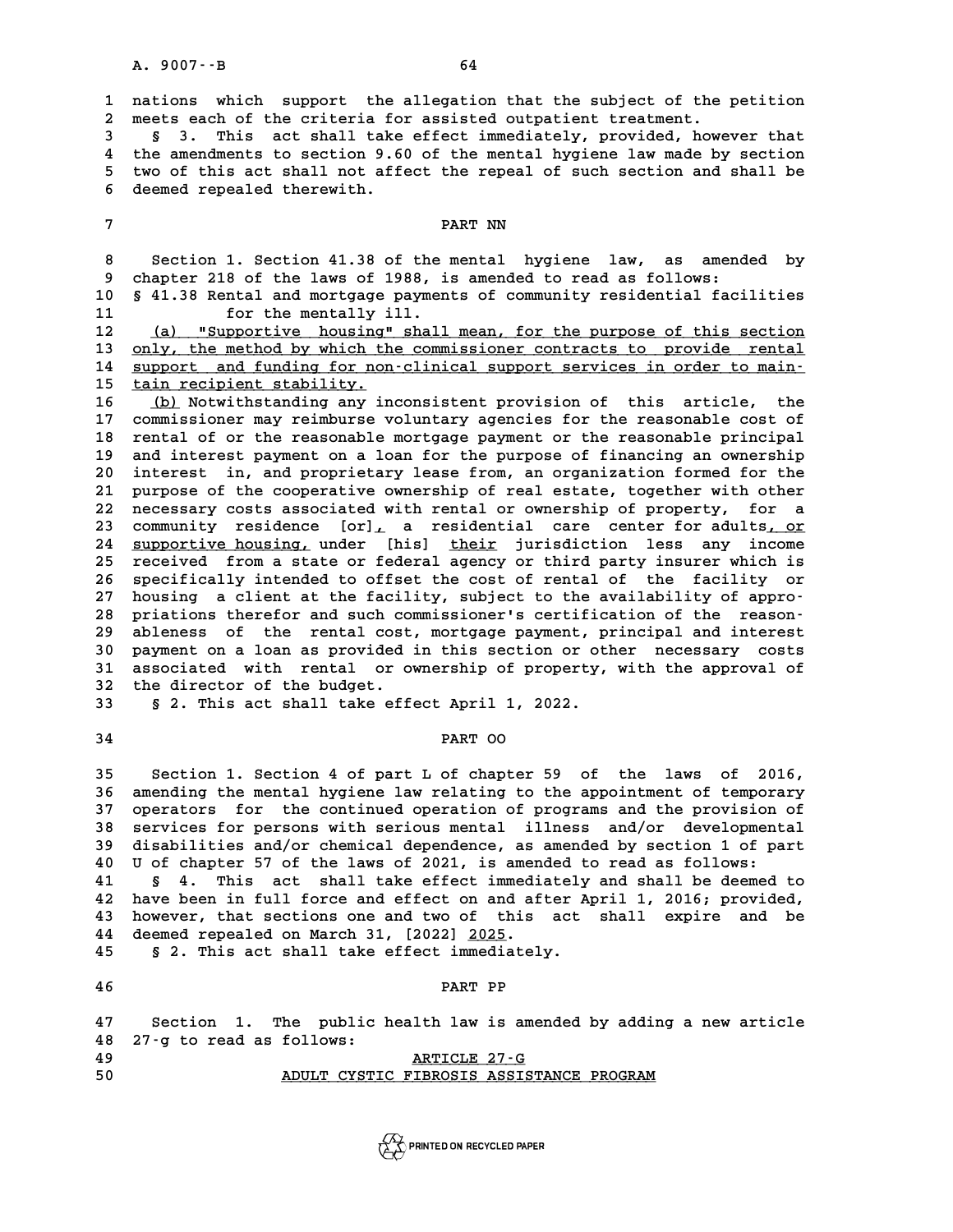**1 nations which support the allegation that the subject of the petition** 1 nations which support the allegation that the subject of the 1<br>2 meets each of the criteria for assisted outpatient treatment.<br>3 5 3 This ast shall take effect immediately provided boys: **1 nations which support the allegation that the subject of the petition<br>
2 meets each of the criteria for assisted outpatient treatment.<br>
3 \$ 3. This act shall take effect immediately, provided, however that<br>
<sup>4</sup> the amon** 

a meets each of the criteria for assisted outpatient treatment.<br> **4 6 3.** This act shall take effect immediately, provided, however that<br> **4** the amendments to section 9.60 of the mental hygiene law made by section<br> **5** 5 3. This act shall take effect immediately, provided, however that<br>4 the amendments to section 9.60 of the mental hygiene law made by section<br>5 two of this act shall not affect the repeal of such section and shall be<br>6 de 4 the amendments to section 9.6<br>5 two of this act shall not aff<br>6 deemed repealed therewith. 5 two of this act shall not affect the repeal of such section and shall be<br>6 deemed repealed therewith.<br>7 PART NN

**8** PART NN<br>8 Section 1. Section 41.38 of the mental hygiene law, as amended by<br>8 shapter 218 of the laws of 1988, is amended to read as follows: **8** Section 1. Section 41.38 of the mental hygiene law, as amend<br>9 chapter 218 of the laws of 1988, is amended to read as follows:<br>0 5.41.38 Bental and mertages parments of community regidential faci 8 Section 1. Section 41.38 of the mental hygiene law, as amended by<br>9 chapter 218 of the laws of 1988, is amended to read as follows:<br>10 § 41.38 Rental and mortgage payments of community residential facilities<br>for the ment

9 chapter 218 of the laws of 1988, is amended to read as follows:<br>10 § 41.38 Rental and mortgage payments of community residential facilities<br>11 for the mentally ill.<br>12 (a) "Supportive housing" shall mean, for the purpose

10 § 41.38 Rental and mortgage payments of community residential facilities<br>
11 for the mentally ill.<br>
12 <u>(a) "Supportive housing" shall mean, for the purpose of this section</u><br>
13 only, the method by which the commissione 13 only, the method by which the commissioner contracts to provide rental<br>14 support and funding for non-clinical support services in order to main-12 (a) "Supportive housing" shall mean, for the purpose of this section<br>13 <u>only, the method by which the commissioner contracts to provide rental</u><br>14 support and funding for non-clinical support services in order to main-13 only, the method by which th<br>14 support and funding for non<br>15 tain recipient stability.<br><sup>16</sup> (b) Notwithatogling one in **14 support and funding for non-clinical support services in order to main-<br>
<b>15 tain recipient stability.**<br> **16** (b) Notwithstanding any inconsistent provision of this article, the<br> **17 commissioner may reimburge voluntar** 

**15 cain recipient stability.**<br> **16 (b)** Notwithstanding any inconsistent provision of this article, the<br>
17 commissioner may reimburse voluntary agencies for the reasonable cost of<br>
18 rental of artho reasonable martsage **16 (b)** Notwithstanding any inconsistent provision of this article, the<br>17 commissioner may reimburse voluntary agencies for the reasonable cost of<br>18 rental of or the reasonable mortgage payment or the reasonable princip 17 commissioner may reimburse voluntary agencies for the reasonable cost of<br>18 rental of or the reasonable mortgage payment or the reasonable principal<br>19 and interest payment on a loan for the purpose of financing an owne 18 rental of or the reasonable mortgage payment or the reasonable principal<br>19 and interest payment on a loan for the purpose of financing an ownership<br>20 interest in, and proprietary lease from, an organization formed for 20 and interest payment on a loan for the purpose of financing an ownership<br>20 interest in, and proprietary lease from, an organization formed for the<br>21 purpose of the cooperative ownership of real estate, together with o 20 interest in, and proprietary lease from, an organization formed for the<br>21 purpose of the cooperative ownership of real estate, together with other<br>22 necessary costs associated with rental or ownership of property, for 21 purpose of the cooperative ownership of real estate, together with other<br>22 necessary costs associated with rental or ownership of property, for a<br>23 community residence [or], a residential care center for adults, or<br>24 recessary costs associated with rental or ownership of property, for a<br>23 community residence [or], a residential care center for adults, or<br>24 <u>supportive housing,</u> under [his] <u>their</u> jurisdiction less any income<br>25 rece 23 community residence [or], a residential care center for adults, or<br>24 <u>supportive housing,</u> under [his] <u>their</u> jurisdiction less any income<br>25 received from a state or federal agency or third party insurer which is<br>26 24 supportive housing, under [his] their jurisdiction less any income<br>25 received from a state or federal agency or third party insurer which is<br>26 specifically intended to offset the cost of rental of the facility or **25 received from a state or federal agency or third party insurer which is<br>
26 specifically intended to offset the cost of rental of the facility or<br>
27 housing a client at the facility, subject to the availability of app** 26 specifically intended to offset the cost of rental of the facility or<br>27 housing a client at the facility, subject to the availability of appro-<br>28 priations therefor and such commissioner's certification of the reason-27 housing a client at the facility, subject to the availability of appro-<br>28 priations therefor and such commissioner's certification of the reason-<br>29 ableness of the rental cost, mortgage payment, principal and interest priations therefor and such commissioner's certification of the reason-<br>29 ableness of the rental cost, mortgage payment, principal and interest<br>30 payment on a loan as provided in this section or other necessary costs<br>31 29 ableness of the rental cost, mortgage payment, principal and interest<br>30 payment on a loan as provided in this section or other necessary costs<br>31 associated with rental or ownership of property, with the approval of<br><sup>3</sup> 30 payment on a loan as provided in this section or other necessary costs<br>31 associated with rental or ownership of property, with the approval of<br>32 the director of the budget.<br>33 § 2. This act shall take effect April 1, **associated with rental or ownership of property,**<br>32 the director of the budget.<br>33 § 2. This act shall take effect April 1, 2022.

**5** 2. This act shall take effect April 1,<br>34 PART OO

**PART 00**<br>35 Section 1. Section 4 of part L of chapter 59 of the laws of 2016,<br>36 aponding the mental hygione law relating to the appeintment of temperary. **35 Section 1. Section 4 of part L of chapter 59 of the laws of 2016,<br>36 amending the mental hygiene law relating to the appointment of temporary**<br>37 operators, for the continued operation of programs and the provision of **35 Section 1. Section 4 of part L of chapter 59 of the laws of 2016,<br>36 amending the mental hygiene law relating to the appointment of temporary<br>37 operators for the continued operation of programs and the provision of<br>38** 36 amending the mental hygiene law relating to the appointment of temporary<br>37 operators for the continued operation of programs and the provision of<br>38 services for persons with serious mental illness and/or developmental 37 operators for the continued operation of programs and the provision of<br>38 services for persons with serious mental illness and/or developmental<br>39 disabilities and/or chemical dependence, as amended by section 1 of part **40 Services for persons with serious mental illness and/or development**<br> **40 U of chapter 57 of the laws of 2021, is amended to read as follows:**<br> **40 U of chapter 57 of the laws of 2021, is amended to read as follows:**<br> disabilities and/or chemical dependence, as amended by section 1 of part<br>40 U of chapter 57 of the laws of 2021, is amended to read as follows:<br>41 § 4. This act shall take effect immediately and shall be deemed to<br>here bee

**40 U of chapter 57 of the laws of 2021, is amended to read as follows:**<br>**41 § 4. This act shall take effect immediately and shall be deemed to**<br>**42 hourier that soctions one and two of this actually and provided,** 41 § 4. This act shall take effect immediately and shall be deemed to<br>42 have been in full force and effect on and after April 1, 2016; provided,<br>43 however, that sections one and two of this act shall expire and be<br>44 dee A have been in full force and effect on and after April 1, 2016; provided, however, that sections one and two of this act shall expire and be deemed repealed on March 31, [2022] <u>2025</u>.<br>**45** § 2. This act shall take effect however, that sections one and two of this act shall expire and be

**45** § 2. This act shall take effect immediately.<br>**46** PART PP

**47 Section 1. The public health law is amended by adding a new article 48 27-g to read as follows: 47** Section 1. The public health law is amene 48 27-g to read as follows:<br> **ARTICLE 27-G**<br> **ARTICLE 27-G**<br> **ADULT CYCTIC EIRPOSIS ASSISTED 50 ADULT CYSTIC FIBROSIS ASSISTANCE PROGRAM \_\_\_\_\_\_\_\_\_\_\_\_\_\_\_\_\_\_\_\_\_\_\_\_\_\_\_\_\_\_\_\_\_\_\_\_\_\_\_\_**

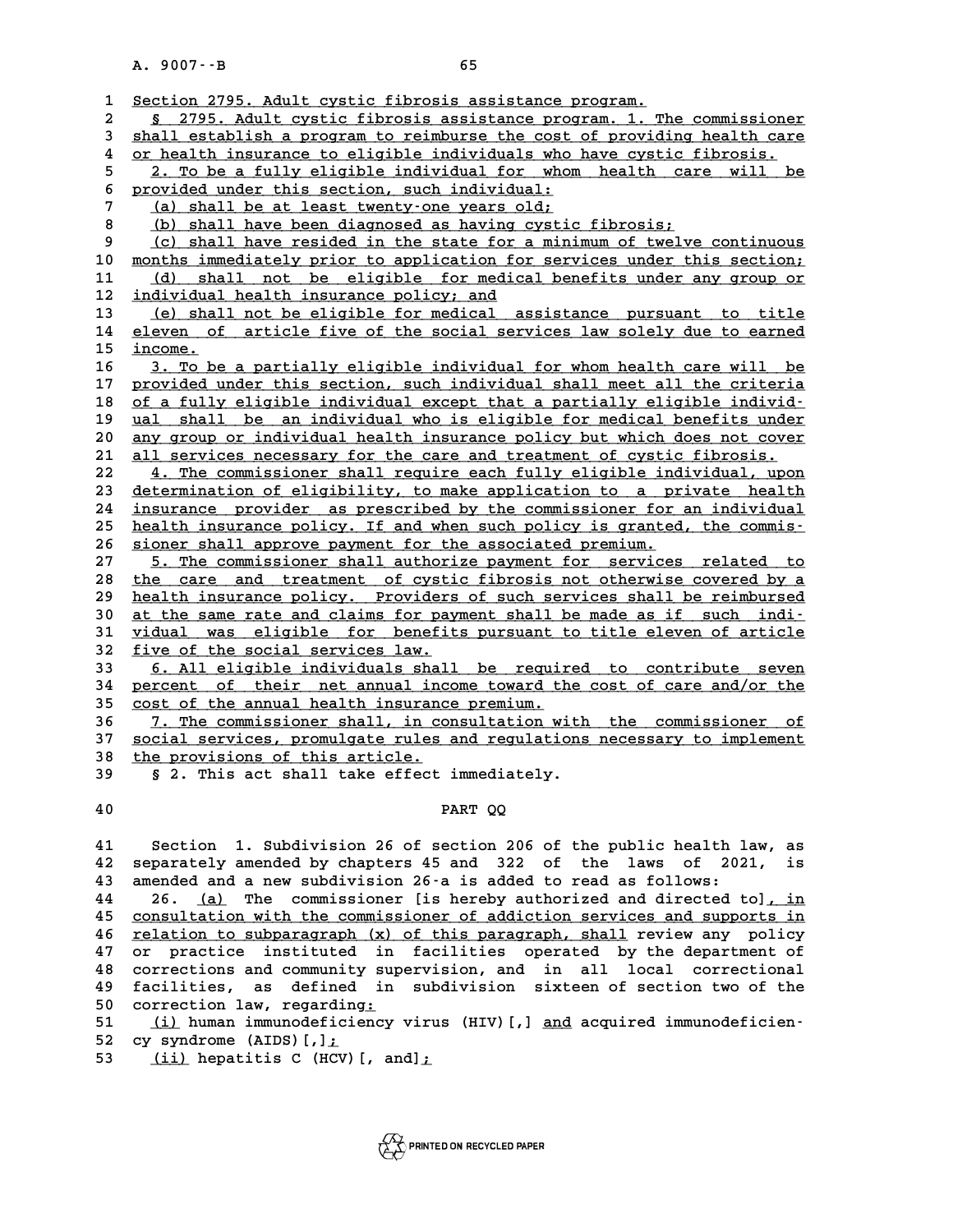|              | A. 9007 -- B<br>65                                                                                                                                |
|--------------|---------------------------------------------------------------------------------------------------------------------------------------------------|
|              |                                                                                                                                                   |
| 1            | Section 2795. Adult cystic fibrosis assistance program.                                                                                           |
| $\mathbf{2}$ | § 2795. Adult cystic fibrosis assistance program. 1. The commissioner                                                                             |
| 3            | shall establish a program to reimburse the cost of providing health care                                                                          |
| 4            | or health insurance to eligible individuals who have cystic fibrosis.                                                                             |
| 5            | 2. To be a fully eligible individual for whom health care<br>will<br>be                                                                           |
| 6            | provided under this section, such individual:                                                                                                     |
| 7            | (a) shall be at least twenty-one years old;                                                                                                       |
| 8            | (b) shall have been diagnosed as having cystic fibrosis;                                                                                          |
| 9            | (c) shall have resided in the state for a minimum of twelve continuous                                                                            |
| 10           | months immediately prior to application for services under this section;                                                                          |
| 11           | (d) shall not be eligible for medical benefits under any group or                                                                                 |
| 12           | individual health insurance policy; and                                                                                                           |
| 13           | (e) shall not be eligible for medical assistance pursuant to title                                                                                |
| 14           | eleven of article five of the social services law solely due to earned                                                                            |
| 15           | income.                                                                                                                                           |
| 16           | 3. To be a partially eligible individual for whom health care will be                                                                             |
| 17           | provided under this section, such individual shall meet all the criteria                                                                          |
| 18<br>19     | of a fully eligible individual except that a partially eligible individ-<br>ual shall be an individual who is eligible for medical benefits under |
| 20           | any group or individual health insurance policy but which does not cover                                                                          |
| 21           | all services necessary for the care and treatment of cystic fibrosis.                                                                             |
| 22           | 4. The commissioner shall require each fully eligible individual, upon                                                                            |
| 23           | determination of eligibility, to make application to a private health                                                                             |
| 24           | insurance provider as prescribed by the commissioner for an individual                                                                            |
| 25           | health insurance policy. If and when such policy is granted, the commis-                                                                          |
| 26           | sioner shall approve payment for the associated premium.                                                                                          |
| 27           | 5. The commissioner shall authorize payment for services related to                                                                               |
| 28           | the care and treatment of cystic fibrosis not otherwise covered by a                                                                              |
| 29           | health insurance policy. Providers of such services shall be reimbursed                                                                           |
| 30           | at the same rate and claims for payment shall be made as if such indi-                                                                            |
| 31           | vidual was eligible for benefits pursuant to title eleven of article                                                                              |
| 32           | five of the social services law.                                                                                                                  |
| 33           | 6. All eligible individuals shall be required to contribute seven                                                                                 |
| 34           | percent of their net annual income toward the cost of care and/or the                                                                             |
| 35           | cost of the annual health insurance premium.                                                                                                      |
| 36           | 7. The commissioner shall, in consultation with the commissioner of                                                                               |
| 37           | social services, promulgate rules and regulations necessary to implement                                                                          |
| 38           | the provisions of this article.                                                                                                                   |
| 39           | § 2. This act shall take effect immediately.                                                                                                      |
|              |                                                                                                                                                   |
| 40           | PART QQ                                                                                                                                           |
|              |                                                                                                                                                   |
| 41           | Section 1. Subdivision 26 of section 206 of the public health law, as                                                                             |
| 42           | separately amended by chapters 45 and 322 of the laws of<br>2021,<br>is<br>amended and a new subdivision 26-a is added to read as follows:        |
| 43<br>44     | 26. (a) The commissioner [is hereby authorized and directed to], in                                                                               |
| 45           | consultation with the commissioner of addiction services and supports in                                                                          |
| 46           | relation to subparagraph (x) of this paragraph, shall review any policy                                                                           |
| 47           | or practice instituted in facilities operated by the department of                                                                                |
| 48           | corrections and community supervision, and in all local correctional                                                                              |
| 49           | facilities, as defined in subdivision sixteen of section two of the                                                                               |
| 50           | correction law, regarding:                                                                                                                        |
| 51           | (i) human immunodeficiency virus (HIV) [,] and acquired immunodeficien-                                                                           |
| E O.         | $\frac{1}{2}$                                                                                                                                     |

50 correction law, regarding<br>51 (i) human immunodeficie:<br>52 cy syndrome (AIDS)[,]<u>;</u><br>53 (ii) bonatitie C (HCV)[ 51 (<u>i)</u> human immunodeficiency virus<br>52 cy syndrome (AIDS)[,]<u>;</u><br>53 (<u>ii)</u> hepatitis C (HCV)[, and];

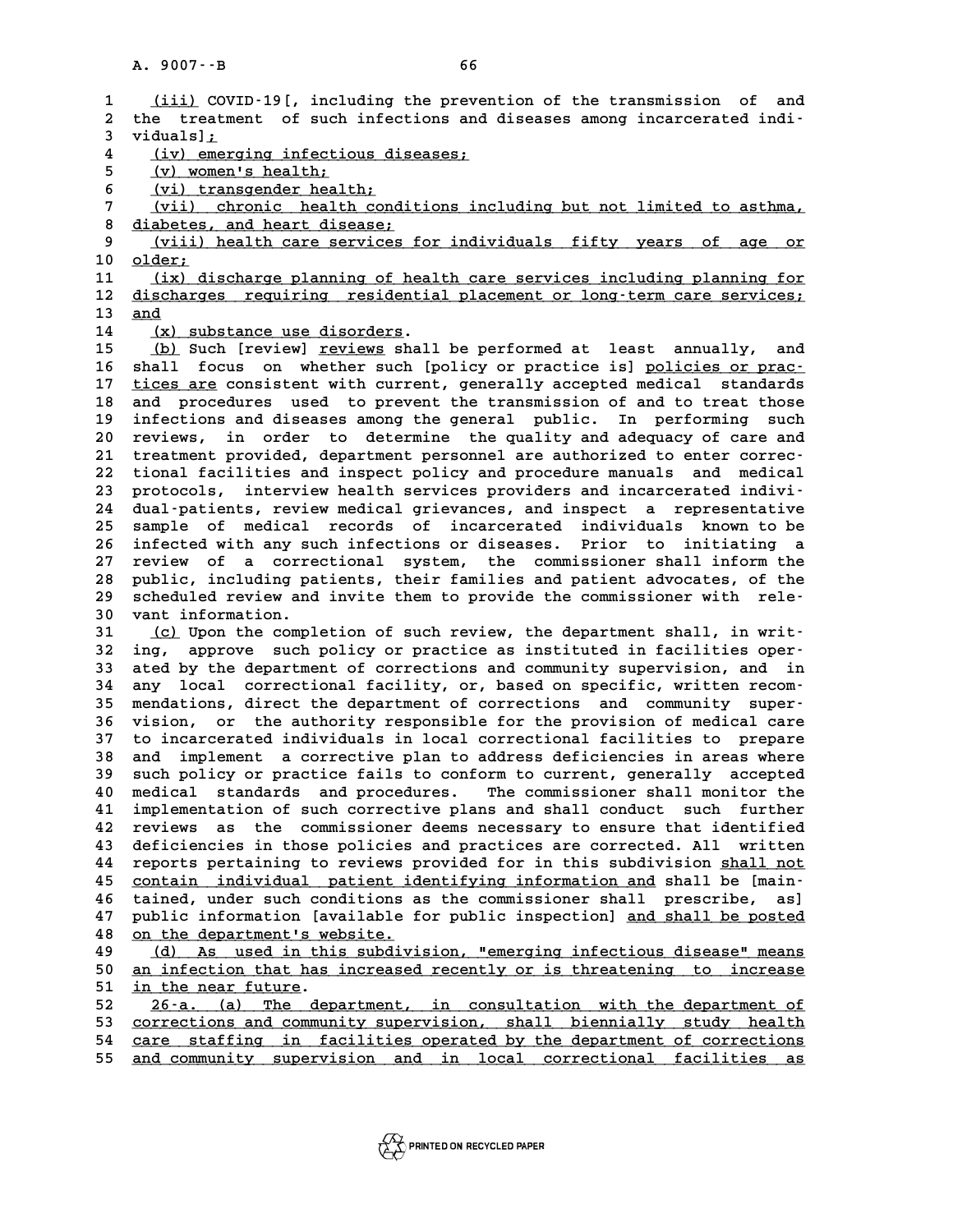|                   | A. 9007 - - B<br>66                                                                                                                             |
|-------------------|-------------------------------------------------------------------------------------------------------------------------------------------------|
|                   |                                                                                                                                                 |
| $\mathbf{1}$<br>2 | (iii) COVID-19 [, including the prevention of the transmission of and<br>the treatment of such infections and diseases among incarcerated indi- |
| 3                 | viduals];                                                                                                                                       |
| 4                 | (iv) emerging infectious diseases;                                                                                                              |
| 5                 | (v) women's health;                                                                                                                             |
| 6                 | (vi) transgender health;                                                                                                                        |
| 7                 | (vii) chronic health conditions including but not limited to asthma,                                                                            |
| 8                 | diabetes, and heart disease;                                                                                                                    |
| 9                 | (viii) health care services for individuals fifty years of age or                                                                               |
| 10                | older;                                                                                                                                          |
| 11                | (ix) discharge planning of health care services including planning for                                                                          |
| 12<br>13          | discharges requiring residential placement or long-term care services;                                                                          |
| 14                | and<br>(x) substance use disorders.                                                                                                             |
| 15                | (b) Such [review] reviews shall be performed at least annually,<br>and                                                                          |
| 16                | shall focus on whether such [policy or practice is] policies or prac-                                                                           |
| 17                | tices are consistent with current, generally accepted medical<br>standards                                                                      |
| 18                | and procedures used to prevent the transmission of and to treat those                                                                           |
| 19                | infections and diseases among the general public. In performing such                                                                            |
| 20                | reviews, in order to determine the quality and adequacy of care and                                                                             |
| 21                | treatment provided, department personnel are authorized to enter correc-                                                                        |
| 22                | tional facilities and inspect policy and procedure manuals and medical                                                                          |
| 23                | interview health services providers and incarcerated indivi-<br>protocols,                                                                      |
| 24<br>25          | dual-patients, review medical grievances, and inspect a representative<br>sample of medical records of incarcerated<br>individuals known to be  |
| 26                | infected with any such infections or diseases. Prior to<br>initiating a                                                                         |
| 27                | review of a correctional<br>system, the commissioner shall inform the                                                                           |
| 28                | public, including patients, their families and patient advocates, of the                                                                        |
| 29                | scheduled review and invite them to provide the commissioner with rele-                                                                         |
| 30                | vant information.                                                                                                                               |
| 31                | (c) Upon the completion of such review, the department shall, in writ-                                                                          |
| 32                | ing, approve such policy or practice as instituted in facilities oper-                                                                          |
| 33                | ated by the department of corrections and community supervision, and in                                                                         |
| 34                | local correctional facility, or, based on specific, written recom-<br>any                                                                       |
| 35<br>36          | mendations, direct the department of corrections and community super-<br>vision, or the authority responsible for the provision of medical care |
| 37                | to incarcerated individuals in local correctional facilities to prepare                                                                         |
| 38                | and<br>implement a corrective plan to address deficiencies in areas where                                                                       |
| 39                | such policy or practice fails to conform to current, generally accepted                                                                         |
| 40                | standards and procedures.<br>The commissioner shall monitor the<br>medical                                                                      |
| 41                | implementation of such corrective plans and shall conduct such further                                                                          |
| 42                | the commissioner deems necessary to ensure that identified<br>reviews<br>as                                                                     |
| 43                | deficiencies in those policies and practices are corrected. All written                                                                         |
| 44                | reports pertaining to reviews provided for in this subdivision shall not                                                                        |
| 45                | contain individual patient identifying information and shall be [main-<br>tained, under such conditions as the commissioner shall prescribe,    |
| 46<br>47          | as]<br>public information [available for public inspection] and shall be posted                                                                 |
| 48                | on the department's website.                                                                                                                    |
| 49                | (d) As used in this subdivision, "emerging infectious disease" means                                                                            |
| 50                | an infection that has increased recently or is threatening to increase                                                                          |
| 51                | in the near future.                                                                                                                             |
| 52                | 26-a. (a) The department, in consultation with the department of                                                                                |
| 53                | corrections and community supervision, shall biennially study health                                                                            |
| 54                | care staffing in facilities operated by the department of corrections                                                                           |
| 55                | and community supervision and in local correctional facilities<br>as                                                                            |

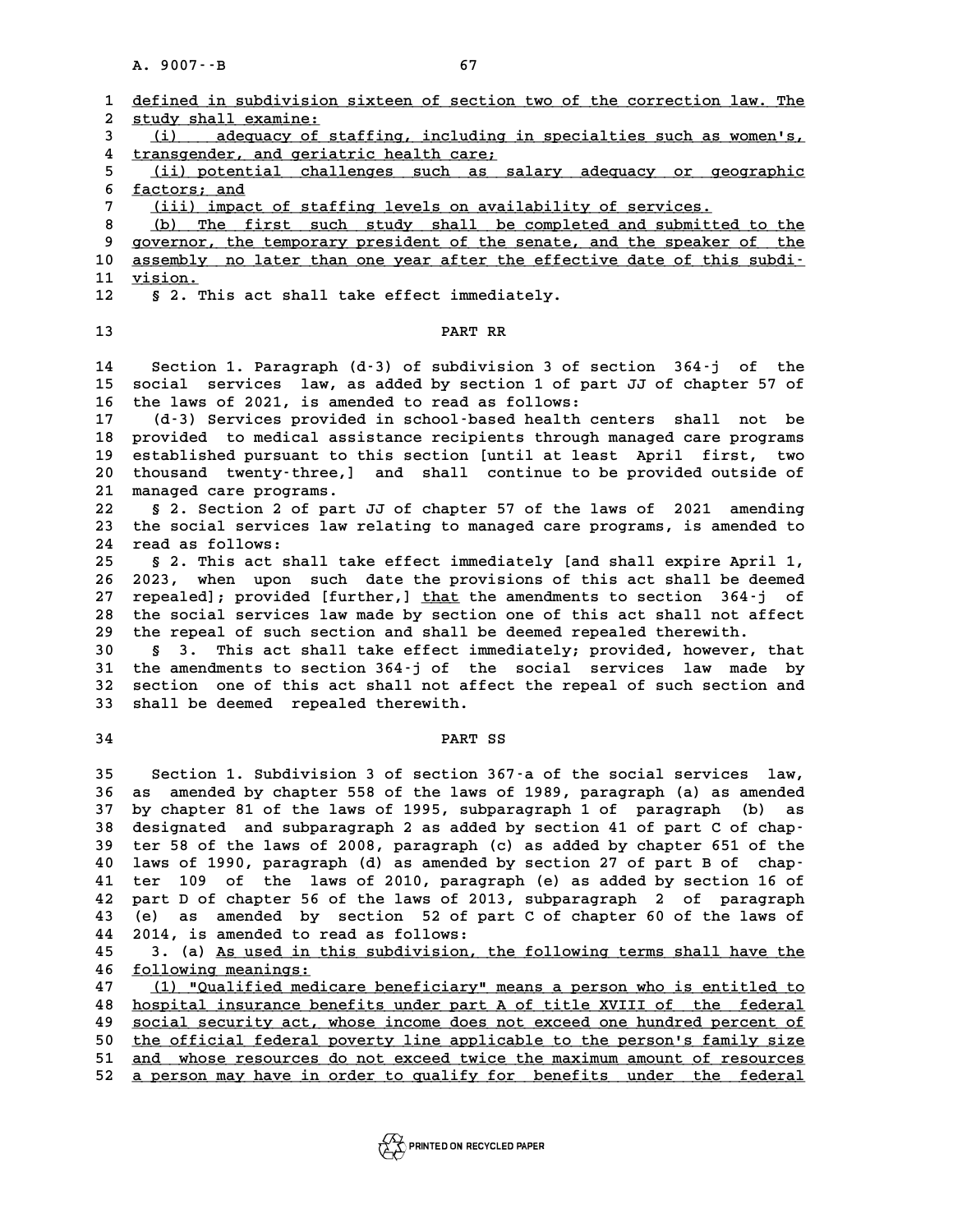|                     | A. 9007 -- B<br>67                                                                                                 |
|---------------------|--------------------------------------------------------------------------------------------------------------------|
| 1<br>$\overline{a}$ | defined in subdivision sixteen of section two of the correction law. The<br>study shall examine:                   |
| 3                   | (i) adequacy of staffing, including in specialties such as women's,                                                |
| 4                   | transgender, and geriatric health care;                                                                            |
| 5                   | (ii) potential challenges such as salary adequacy or geographic                                                    |
| 6                   | factors; and                                                                                                       |
| 7                   | (iii) impact of staffing levels on availability of services.                                                       |
| 8                   | The first such study shall be completed and submitted to the<br>(b)                                                |
| 9                   | governor, the temporary president of the senate, and the speaker of the                                            |
| 10<br>11            | assembly no later than one year after the effective date of this subdi-<br>vision.                                 |
| 12                  | § 2. This act shall take effect immediately.                                                                       |
|                     |                                                                                                                    |
| 13                  | PART RR                                                                                                            |
| 14                  | Section 1. Paragraph (d-3) of subdivision 3 of section 364-j of the                                                |
| 15                  | services law, as added by section 1 of part JJ of chapter 57 of<br>social                                          |
| 16                  | the laws of 2021, is amended to read as follows:                                                                   |
| 17                  | (d-3) Services provided in school-based health centers shall not be                                                |
| 18                  | provided to medical assistance recipients through managed care programs                                            |
| 19                  | established pursuant to this section [until at least April first, two                                              |
| 20                  | thousand twenty-three,] and shall continue to be provided outside of                                               |
| 21<br>22            | managed care programs.<br>§ 2. Section 2 of part JJ of chapter 57 of the laws of 2021 amending                     |
| 23                  | the social services law relating to managed care programs, is amended to                                           |
| 24                  | read as follows:                                                                                                   |
| 25                  | § 2. This act shall take effect immediately [and shall expire April 1,                                             |
| 26                  | 2023, when upon such date the provisions of this act shall be deemed                                               |
| 27                  | repealed]; provided [further,] that the amendments to section 364-j of                                             |
| 28                  | the social services law made by section one of this act shall not affect                                           |
| 29                  | the repeal of such section and shall be deemed repealed therewith.                                                 |
| 30                  | This act shall take effect immediately; provided, however, that<br>Ş.<br>3.                                        |
| 31                  | the amendments to section 364-j of the social services law made by                                                 |
| 32<br>33            | section one of this act shall not affect the repeal of such section and<br>shall be deemed repealed therewith.     |
|                     |                                                                                                                    |
| 34                  | PART SS                                                                                                            |
| 35                  | Section 1. Subdivision 3 of section 367-a of the social services law,                                              |
| 36                  | amended by chapter 558 of the laws of 1989, paragraph (a) as amended<br>as                                         |
| 37                  | by chapter 81 of the laws of 1995, subparagraph 1 of paragraph (b)<br>as                                           |
| 38                  | designated and subparagraph 2 as added by section 41 of part C of chap-                                            |
| 39                  | ter 58 of the laws of 2008, paragraph (c) as added by chapter 651 of the                                           |
| 40                  | laws of 1990, paragraph (d) as amended by section 27 of part B of chap-                                            |
| 41                  | of the laws of 2010, paragraph (e) as added by section 16 of<br>109<br>ter                                         |
| 42                  | part D of chapter 56 of the laws of 2013, subparagraph 2 of paragraph                                              |
| 43<br>44            | amended by section 52 of part C of chapter 60 of the laws of<br>(e).<br>as<br>2014, is amended to read as follows: |
| 45                  | 3. (a) As used in this subdivision, the following terms shall have the                                             |
| 46                  | following meanings:                                                                                                |
| 47                  | (1) "Qualified medicare beneficiary" means a person who is entitled to                                             |
| 48                  | hospital insurance benefits under part A of title XVIII of the federal                                             |
| 49                  | social security act, whose income does not exceed one hundred percent of                                           |
| 50                  | the official federal poverty line applicable to the person's family size                                           |
| 51                  | and whose resources do not exceed twice the maximum amount of resources                                            |
| 52                  | a person may have in order to qualify for benefits under the federal                                               |

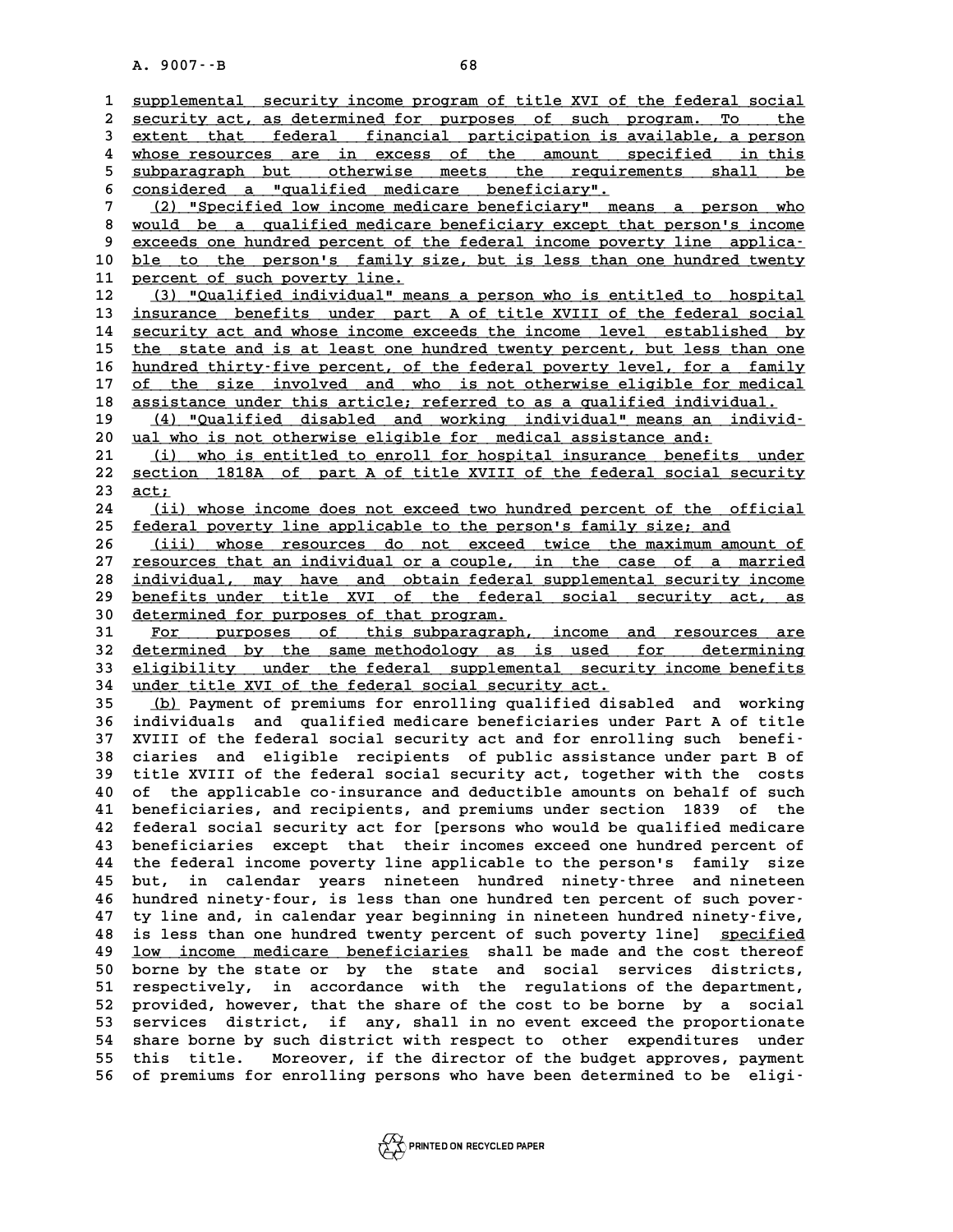|              | A. 9007 -- B<br>68                                                                                                                                |
|--------------|---------------------------------------------------------------------------------------------------------------------------------------------------|
|              |                                                                                                                                                   |
| $\mathbf{1}$ | supplemental security income program of title XVI of the federal social                                                                           |
| 2            | security act, as determined for purposes of such program. To the                                                                                  |
| 3            | extent that federal financial participation is available, a person                                                                                |
| 4            | whose resources are in excess of the amount specified in this                                                                                     |
| 5            | subparagraph but otherwise meets the requirements shall<br>be                                                                                     |
| 6            | considered a "qualified medicare beneficiary".                                                                                                    |
| 7            | (2) "Specified low income medicare beneficiary" means a person who                                                                                |
| 8<br>9       | would be a qualified medicare beneficiary except that person's income                                                                             |
| 10           | exceeds one hundred percent of the federal income poverty line applica-<br>ble to the person's family size, but is less than one hundred twenty   |
| 11           | percent of such poverty line.                                                                                                                     |
| 12           | (3) "Qualified individual" means a person who is entitled to hospital                                                                             |
| 13           | insurance benefits under part A of title XVIII of the federal social                                                                              |
| 14           | security act and whose income exceeds the income level established by                                                                             |
| 15           | the state and is at least one hundred twenty percent, but less than one                                                                           |
| 16           | hundred thirty-five percent, of the federal poverty level, for a family                                                                           |
| 17           | of the size involved and who is not otherwise eligible for medical                                                                                |
| 18           | assistance under this article; referred to as a qualified individual.                                                                             |
| 19           | (4) "Qualified disabled and working individual" means an individ-                                                                                 |
| 20           | ual who is not otherwise eligible for medical assistance and:                                                                                     |
| 21           | (i) who is entitled to enroll for hospital insurance benefits under                                                                               |
| 22           | section 1818A of part A of title XVIII of the federal social security                                                                             |
| 23           | act;                                                                                                                                              |
| 24           | (ii) whose income does not exceed two hundred percent of the official                                                                             |
| 25           | federal poverty line applicable to the person's family size; and                                                                                  |
| 26           | (iii) whose resources do not exceed twice the maximum amount of                                                                                   |
| 27           | resources that an individual or a couple, in the case of a married                                                                                |
| 28           | individual, may have and obtain federal supplemental security income                                                                              |
| 29           | benefits under title XVI of the federal social security act, as                                                                                   |
| 30           | determined for purposes of that program.                                                                                                          |
| 31           | For purposes of this subparagraph, income and resources are                                                                                       |
| 32           | determined by the same methodology as is used for determining                                                                                     |
| 33           | eligibility under the federal supplemental security income benefits                                                                               |
| 34           | under title XVI of the federal social security act.                                                                                               |
| 35           | (b) Payment of premiums for enrolling qualified disabled and working                                                                              |
| 36<br>37     | individuals and qualified medicare beneficiaries under Part A of title<br>XVIII of the federal social security act and for enrolling such benefi- |
|              | ciaries<br>and eligible recipients of public assistance under part B of                                                                           |
| 38<br>39     | title XVIII of the federal social security act, together with the costs                                                                           |
| 40           | of the applicable co-insurance and deductible amounts on behalf of such                                                                           |
| 41           | beneficiaries, and recipients, and premiums under section<br>1839 of the                                                                          |
| 42           | federal social security act for [persons who would be qualified medicare                                                                          |
| 43           | beneficiaries except that their incomes exceed one hundred percent of                                                                             |
| 44           | the federal income poverty line applicable to the person's<br>family size                                                                         |
| 45           | in calendar years nineteen hundred ninety-three and nineteen<br>but,                                                                              |
| 46           | hundred ninety-four, is less than one hundred ten percent of such pover-                                                                          |
| 47           | ty line and, in calendar year beginning in nineteen hundred ninety-five,                                                                          |
| 48           | is less than one hundred twenty percent of such poverty line] specified                                                                           |
| 49           | low income medicare beneficiaries shall be made and the cost thereof                                                                              |
| 50           | borne by the state or by the state and social services districts,                                                                                 |
| 51           | respectively, in accordance with the regulations of the department,                                                                               |
| 52           | provided, however, that the share of the cost to be borne by a social                                                                             |
| 53           | services district, if any, shall in no event exceed the proportionate                                                                             |
| 54           | share borne by such district with respect to other expenditures<br>under                                                                          |
| 55           | Moreover, if the director of the budget approves, payment<br>this title.                                                                          |
| 56           | of premiums for enrolling persons who have been determined to be<br>eligi-                                                                        |
|              |                                                                                                                                                   |

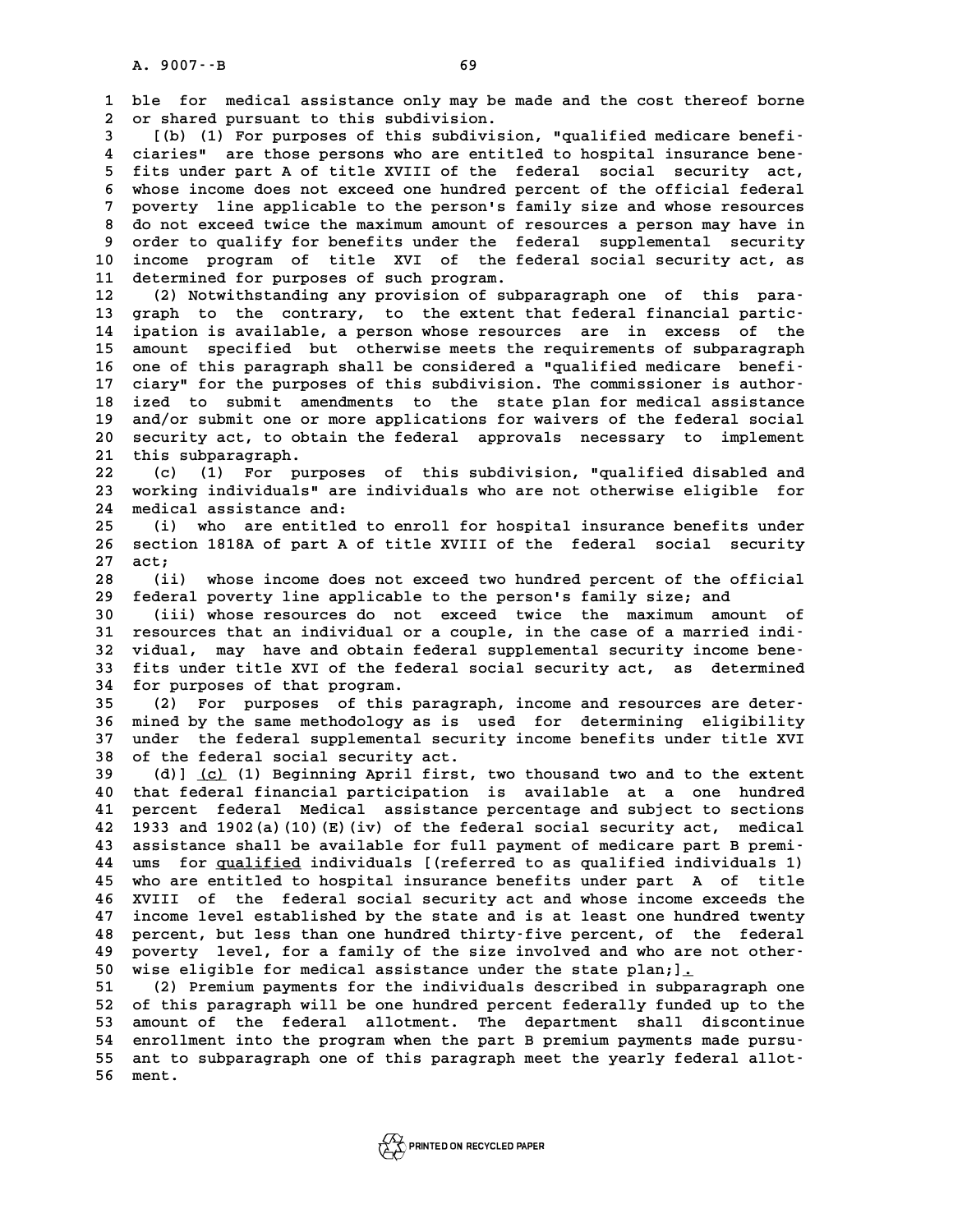**1 ble for medical assistance only may be made and the cost thereof borne** 1 ble for medical assistance only may be m<br>2 or shared pursuant to this subdivision.<br>3 ((b) (1) For purposes of this subdivision. **3** ble for medical assistance only may be made and the cost thereof borne<br>
2 or shared pursuant to this subdivision.<br>
(b) (1) For purposes of this subdivision, "qualified medicare benefi-<br>
<sup>1</sup> siarios", are these persons

**4 ciaries are those persons who are entitled in the medicare beneficance of this subdivision, "qualified medicare benefical insurance bene-**<br>**4 ciaries"** are those persons who are entitled to hospital insurance bene-<br>**5 f 5 fixture 1 for the fits in the fits subdivision, "qualified medicare benefication"**<br>4 ciaries" are those persons who are entitled to hospital insurance bene-<br>5 fits under part A of title XVIII of the federal social secur **6** ciaries" are those persons who are entitled to hospital insurance bene-<br>
5 fits under part A of title XVIII of the federal social security act,<br>
6 whose income does not exceed one hundred percent of the official federa 5 fits under part A of title XVIII of the federal social security act,<br>6 whose income does not exceed one hundred percent of the official federal<br>7 poverty line applicable to the person's family size and whose resources<br>3 **8 whose income does not exceed one hundred percent of the official federal<br>
7 poverty line applicable to the person's family size and whose resources<br>
8 do not exceed twice the maximum amount of resources a person may hav** poverty line applicable to the person's family size and whose resources<br>8 do not exceed twice the maximum amount of resources a person may have in<br>9 order to qualify for benefits under the federal supplemental security<br>10 8 do not exceed twice the maximum amount of resources a person may have in<br>9 order to qualify for benefits under the federal supplemental security<br>10 income program of title XVI of the federal social security act, as<br><sup>11</sup> 9 order to qualify for benefits under the fe<br>10 income program of title XVI of the fe<br>11 determined for purposes of such program.<br>12 (2) Notwithstanding any provision of subp 10 income program of title XVI of the federal social security act, as<br>
11 determined for purposes of such program.<br>
12 (2) Notwithstanding any provision of subparagraph one of this para-<br>
13 graph to the contrary to the ex

11 determined for purposes of such program.<br>
12 (2) Notwithstanding any provision of subparagraph one of this para-<br>
13 graph to the contrary, to the extent that federal financial partic-<br>
14 ipation is available, a person 12 (2) Notwithstanding any provision of subparagraph one of this para-<br>13 graph to the contrary, to the extent that federal financial partic-<br>14 ipation is available, a person whose resources are in excess of the<br>15 apount 13 graph to the contrary, to the extent that federal financial partic-<br>14 ipation is available, a person whose resources are in excess of the<br>15 amount specified but otherwise meets the requirements of subparagraph<br>16 apo 14 ipation is available, a person whose resources are in excess of the<br>
15 amount specified but otherwise meets the requirements of subparagraph<br>
16 one of this paragraph shall be considered a "qualified medicare benefi-<br> 15 amount specified but otherwise meets the requirements of subparagraph<br>16 one of this paragraph shall be considered a "qualified medicare benefi-<br>17 ciary" for the purposes of this subdivision. The commissioner is author **16 one of this paragraph shall be considered a "qualified medicare benefi-**<br>17 ciary" for the purposes of this subdivision. The commissioner is author-<br>18 ized to submit amendments to the state plan for medical assistance 17 ciary" for the purposes of this subdivision. The commissioner is author-<br>18 ized to submit amendments to the state plan for medical assistance<br>19 and/or submit one or more applications for waivers of the federal social<br> 18 ized to submit amendments to the state plan for medical assistance<br>19 and/or submit one or more applications for waivers of the federal social<br>20 security act, to obtain the federal approvals necessary to implement<br>21 t and/or submit one or more applications for waivers of the federal social<br>
20 security act, to obtain the federal approvals necessary to implement<br>
21 this subparagraph.<br>
22 (c) (1) For purposes of this subdivision, "qualif 20 security act, to obtain the federal approvals necessary to implement<br>21 this subparagraph.<br>22 (c) (1) For purposes of this subdivision, "qualified disabled and<br>23 working individuals" are individuals who are not otherwi

21 this subparagraph.<br>22 (c) (1) For purposes of this subdivision, "qualified disabled and<br>23 working individuals" are individuals who are not otherwise eligible for<br>24 modiael aggistance and: 22 (c) (1) For purposes<br>23 working individuals" are implied assistance and:<br>24 medical assistance and:<br><sup>25</sup> (i) reportantials in 23 working individuals" are individuals who are not otherwise eligible for<br>24 medical assistance and:<br>25 (i) who are entitled to enroll for hospital insurance benefits under<br>26 decise 1919 of part 1 of title WIII of the fo

24 medical assistance and:<br>25 (i) who are entitled to enroll for hospital insurance benefits under<br>26 section 1818A of part A of title XVIII of the federal social security<br>27 adt. 25 (i)<br>26 section<br>27 act;<br><sup>29 (ii)</sup> **26 section 1818A of part A of title XVIII of the federal social security**<br>27 act;<br>(ii) whose income does not exceed two hundred percent of the official<br>28 foderal poverty line applicable to the personis family size: and

**27 act;**<br>28 (ii) whose income does not exceed two hundred percent of the off<br>29 federal poverty line applicable to the person's family size; and<br>20 (iii) whose resources do not exceed twise the maximum amoun (ii) whose income does not exceed two hundred percent of the official<br>29 federal poverty line applicable to the person's family size; and<br>30 (iii) whose resources do not exceed twice the maximum amount of<br>31 resources that

**39 federal poverty line applicable to the person's family size; and<br>
30 (iii) whose resources do not exceed twice the maximum amount of<br>
31 resources that an individual or a couple, in the case of a married indi-<br>
<sup>32</sup> vi** 30 (ii) whose resources do not exceed twice the maximum amount of resources that an individual or a couple, in the case of a married indi-<br>32 vidual, may have and obtain federal supplemental security income bene-<br><sup>33</sup> fits 31 resources that an individual or a couple, in the case of a married indi-<br>32 vidual, may have and obtain federal supplemental security income bene-<br>33 fits under title XVI of the federal social security act, as determine 32 vidual, may have and obtain fe<br>33 fits under title XVI of the fede<br>34 for purposes of that program.<br><sup>35</sup> (2) For purposes of this pa 33 fits under title XVI of the federal social security act, as determined<br>34 for purposes of that program.<br>35 (2) For purposes of this paragraph, income and resources are deter-<br><sup>36</sup> mined by the same methodology as is use

**34 for purposes of that program.**<br> **35** (2) For purposes of this paragraph, income and resources are deter-<br> **36 mined by the same methodology as is used for determining eligibility**<br> **37 under the foderal surplemental so 35** (2) For purposes of this paragraph, income and resources are deter-<br>36 mined by the same methodology as is used for determining eligibility<br>37 under the federal supplemental security income benefits under title XVI<br>28 36 mined by the same methodology as is used for determining eligibility<br>37 under the federal supplemental security income benefits under title XVI<br>38 of the federal social security act.<br>39 (d) (c) (1) Beginning April first 37 under the federal supplemental security income benefits under title XVI<br>38 of the federal social security act.<br>39 (d)] <u>(c)</u> (1) Beginning April first, two thousand two and to the extent<br>40 that federal financial partic

(d)] <u>(c)</u> (1) Beginning April first, two thousand two and to the extent **41 percent federal Medical assistance percentage and subject to sections 40 that federal financial participation is available at a one hundred**<br>**41 percent federal Medical assistance percentage and subject to sections**<br>**42 1933 and 1902(a)(10)(E)(iv) of the federal social security act, medical** 41 percent federal Medical assistance percentage and subject to sections<br>42 1933 and 1902(a)(10)(E)(iv) of the federal social security act, medical<br>43 assistance shall be available for full payment of medicare part B premi **42** 1933 and 1902(a)(10)(E)(iv) of the federal social security act, medical<br>43 assistance shall be available for full payment of medicare part B premi-<br>44 ums for <u>qualified</u> individuals [(referred to as qualified individ 43 assistance shall be available for full payment of medicare part B premi-<br>44 ums for <u>qualified</u> individuals [(referred to as qualified individuals 1)<br>45 who are entitled to hospital insurance benefits under part A of ti 44 ums for <u>qualified</u> individuals [(referred to as qualified individuals 1)<br>45 who are entitled to hospital insurance benefits under part A of title<br>46 XVIII of the federal social security act and whose income exceeds the who are entitled to hospital insurance benefits under part A of title XVIII of the federal social security act and whose income exceeds the income level established by the state and is at least one hundred twenty<br>As person **46 XVIII of the federal social security act and whose income exceeds the**<br>47 income level established by the state and is at least one hundred twenty<br>48 percent, but less than one hundred thirty-five percent, of the feder 47 income level established by the state and is at least one hundred twenty<br>48 percent, but less than one hundred thirty-five percent, of the federal<br>49 poverty level, for a family of the size involved and who are not othe 90 percent, but less than one hundred thirty-five percent, of the federal<br>49 poverty level, for a family of the size involved and who are not other-<br>50 wise eligible for medical assistance under the state plan; 1.<br>51 (2) P **50** poverty level, for a family of the size involved and who are not other-<br>50 wise eligible for medical assistance under the state plan; <u>1.</u><br>51 (2) Premium payments for the individuals described in subparagraph one<br>52 o

**50** wise eligible for medical assistance under the state plan; 1.<br>
51 (2) Premium payments for the individuals described in subparagraph one<br>
52 of this paragraph will be one hundred percent federally funded up to the<br>
53 52 of this paragraph will be one hundred percent federally funded up to the<br>53 amount of the federal allotment. The department shall discontinue<br>54 enrollment into the program when the part B premium payments made pursu-52 of this paragraph will be one hundred percent federally funded up to the<br>
53 amount of the federal allotment. The department shall discontinue<br>
54 enrollment into the program when the part B premium payments made pursu-53 amount of the federal allotment. The department shall discontinue<br>54 enrollment into the program when the part B premium payments made pursu-<br>55 mont<br>56 mont 55 ant to subparagraph one of this paragraph meet the yearly federal allot<sup>1</sup><br>56 ment.

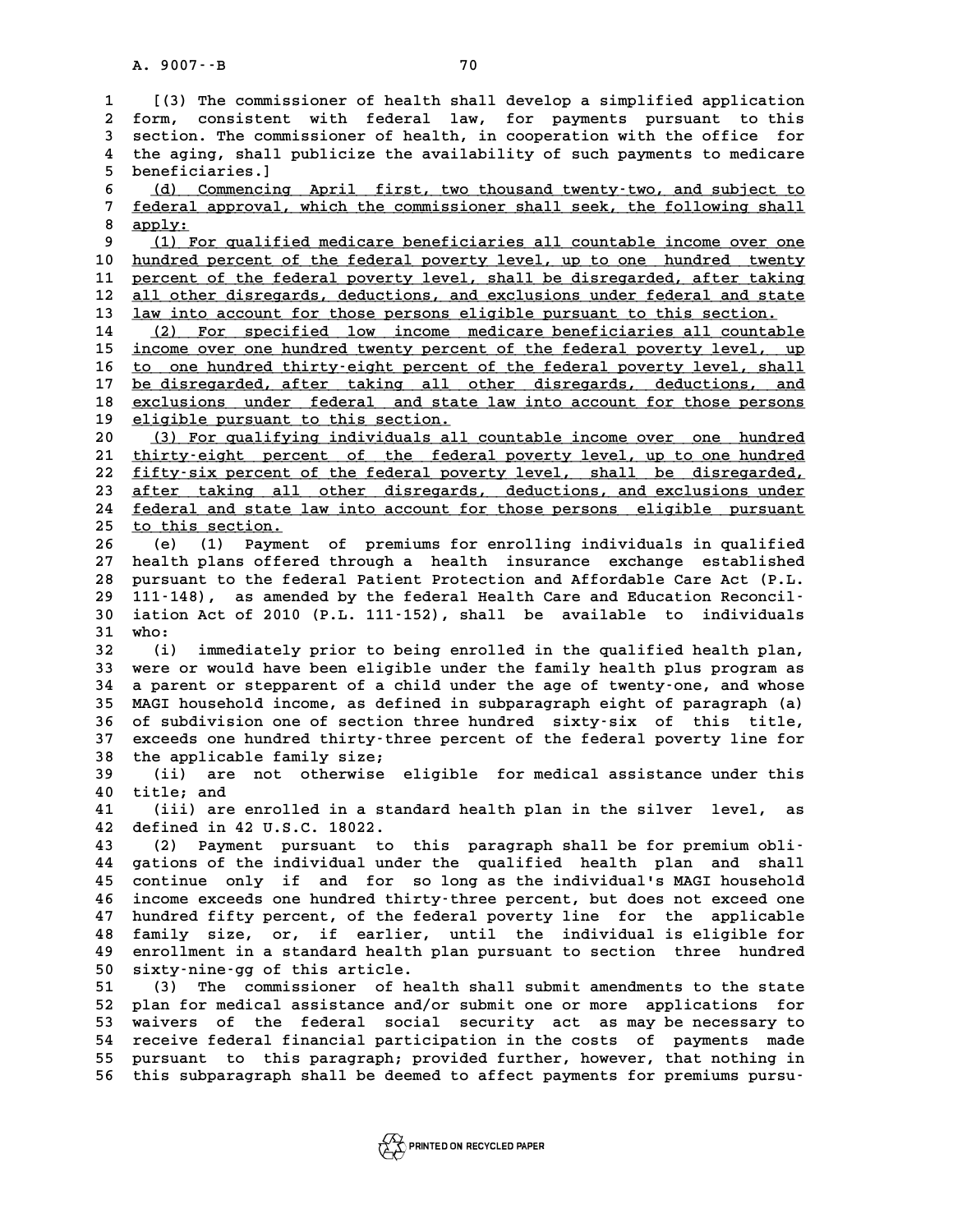A. 9007 - B<br>
1 [(3) The commissioner of health shall develop a simplified application<br>
<sup>2</sup> form consistent with federal law for payments pursuant to this **2 form, consistent with federal law, for payments pursuant to this** I (3) The commissioner of health shall develop a simplified application<br>2 form, consistent with federal law, for payments pursuant to this<br>3 section. The commissioner of health, in cooperation with the office for<br>4 the agi 2 form, consistent with federal law, for payments pursuant to this<br>3 section. The commissioner of health, in cooperation with the office for<br>4 the aging, shall publicize the availability of such payments to medicare<br>5 hono 3 section. The commi<br>4 the aging, shall p<br>5 beneficiaries.] 4 the aging, shall publicize the availability of such payments to medicare<br>5 beneficiaries.]<br>6 (d) Commencing April first, two thousand twenty-two, and subject to<br>7 federal approval which the commissioner shall seek, the f 5 beneficiaries.]<br>6 <u>(d) Commencing April first, two thousand twenty-two, and subject to</u><br>7 <u>federal approval, which the commissioner shall seek, the following shall</u><br>8 continu **8** <u>(d) Co</u><br>7 <u>federal a</u><br>8 <u>apply:</u><br>0 (1) For Federal approval, which the commissioner shall seek, the following shall<br>apply:<br>9 (1) For qualified medicare beneficiaries all countable income over one<br>pundred persont of the federal powerty lovel, up to one, hundred, two 8 <u>apply:</u><br>
9 (1) For qualified medicare beneficiaries all countable income over one<br>
10 hundred percent of the federal poverty level, shall be disregarded after taking 10 (1) For qualified medicare beneficiaries all countable income over one<br>
10 hundred percent of the federal poverty level, up to one hundred twenty<br>
11 percent of the federal poverty level, shall be disregarded, after tak 10 <u>hundred percent of the federal poverty level, up to one hundred twenty</u><br>11 <u>percent of the federal poverty level</u>, shall be disregarded, after taking<br>12 <u>all other disregards, deductions, and exclusions under federal a</u> 11 percent of the federal poverty level, shall be disregarded, after taking<br>
12 all other disregards, deductions, and exclusions under federal and state<br>
13 <u>law into account for those persons eligible pursuant to this sec</u> 12 all other disregards, deductions, and exclusions under federal and state<br>
13 <u>law into account for those persons eligible pursuant to this section.</u><br>
14 (2) For specified low income medicare beneficiaries all countable<br> 12 <u>all other disregards, deductions, and exclusions under federal and state</u><br>13 <u>law into account for those persons eligible pursuant to this section.</u><br>14 (2) For specified low income medicare beneficiaries all countable<br> 16 to one hundred thirty-eight percent of the federal poverty level, shall<br>17 be disregarded, after taking all other disregards, deductions, and is income over one hundred twenty percent of the federal poverty level, up<br>16 <u>to one hundred thirty-eight percent of the federal poverty level, shall</u><br>17 <u>be disregarded, after taking all other disregards, deductions, and</u> 16 to one hundred thirty-eight percent of the federal poverty level, shall<br>17 <u>be disregarded, after taking all other disregards, deductions, and<br>exclusions under federal and state law into account for those persons<br>aligni</u> 17 <u>be disregarded, after taking all offered and state</u><br>18 <u>eligible pursuant to this section.</u><br>20 (3) For gualifying individuals all 20 <u>eligible pursuant to this section.</u><br>
20 (3) For qualifying individuals all countable income over one hundred<br>
21 thirty-eight percent of the federal poverty level, up to one hundred **21 thirty-eight percent of the federal poverty level, up to one hundred \_\_\_\_\_\_\_\_\_\_\_\_\_\_\_\_\_\_\_\_\_\_\_\_\_\_\_\_\_\_\_\_\_\_\_\_\_\_\_\_\_\_\_\_\_\_\_\_\_\_\_\_\_\_\_\_\_\_\_\_\_\_\_\_\_\_\_\_\_\_\_\_** 20 (3) For qualifying individuals all countable income over one hundred<br>
21 thirty-eight percent of the federal poverty level, up to one hundred<br>
22 fifty-six percent of the federal poverty level, shall be disregarded,<br>
23 21 thirty-eight percent of the federal poverty level, up to one hundred<br>22 fifty-six percent of the federal poverty level, shall be disregarded,<br>23 <u>after taking all other disregards, deductions, and exclusions under</u><br>24 f 22 <u>fifty-six percent of the federal poverty level, shall be disregarded,<br>23 <u>after taking all other disregards, deductions, and exclusions under</u><br><u>16 federal and state law into account for those persons eligible pursuant</u></u> after taking all other disregards, deductions, and exclusions under<br> **24 federal and state law into account for those persons eligible pursuant**<br>
25 to this section.<br>
26 (e) (1) Payment of premiums for enrolling individual 24 <u>federal and state law into account for those persons eligible pursuant</u><br>25 <u>to this section.</u><br>26 (e) (1) Payment of premiums for enrolling individuals in qualified<br>27 health plans offered through a health insurance exc **27 health plans offered through a health insurance exchange established 26 (e) (1) Payment of premiums for enrolling individuals in qualified**<br>27 health plans offered through a health insurance exchange established<br>28 pursuant to the federal Patient Protection and Affordable Care Act (P.L.<br>2 27 health plans offered through a health insurance exchange established<br>
28 pursuant to the federal Patient Protection and Affordable Care Act (P.L.<br>
29 111-148), as amended by the federal Health Care and Education Reconci 28 pursuant to the federal Patient Protection and Affordable Care Act (P.L.<br>29 111-148), as amended by the federal Health Care and Education Reconcil-<br>30 iation Act of 2010 (P.L. 111-152), shall be available to individuals 111-148), as amended by the federal Health Care and Education Reconcil-<br>30 iation Act of 2010 (P.L. 111-152), shall be available to individuals<br>31 who:<br>(i) immediately prior to being enrolled in the qualified health plan, 30 iation Act of 2010 (P.L. 111-152), shall be available to individuals<br>31 who:<br>32 (i) immediately prior to being enrolled in the qualified health plan,<br>33 were or would have been eligible under the family health plus prog **33 were or would have been eligible under the family health plus program as 34 a parent or stepparent of a child under the age of twenty-one, and whose 33 were or would have been eligible under the family health plus program as<br>34 a parent or stepparent of a child under the age of twenty-one, and whose<br>35 MAGI household income, as defined in subparagraph eight of paragra 34 a parent or stepparent of a child under the age of twenty-one, and whose**<br>**35 MAGI household income, as defined in subparagraph eight of paragraph (a)**<br>36 of subdivision one of section three hundred sixty-six of this t **35 MAGI household income, as defined in subparagraph eight of paragraph (a)**<br>36 of subdivision one of section three hundred sixty-six of this title,<br>37 exceeds one hundred thirty-three percent of the federal poverty line 36 of subdivision one of section three hundred sixty-six of this title,<br>37 exceeds one hundred thirty-three percent of the federal poverty line for<br>38 the applicable family size;<br>39 (ii) are not otherwise eligible for medi 37 exceeds one hundred thirty-three percent of the federal poverty line for<br>38 the applicable family size;<br>(ii) are not otherwise eligible for medical assistance under this<br>40 title; and 38 the applicable family size;<br>39 (ii) are not otherwise<br>40 title; and<br>41 (iii) are enrolled in a s **41 (iii) are enrolled in a standard health plan in the silver level, as 42 defined in 42 U.S.C. 18022. 43 (2) Payment pursuant to this paragraph shall be for premium obli-44 gations of the individual under the qualified health plan and shall** 43 (2) Payment pursuant to this paragraph shall be for premium obli-<br>44 gations of the individual under the qualified health plan and shall<br>45 continue only if and for so long as the individual's MAGI household<br>46 income e 44 gations of the individual under the qualified health plan and shall<br>45 continue only if and for so long as the individual's MAGI household<br>46 income exceeds one hundred thirty-three percent, but does not exceed one<br>47 h 45 continue only if and for so long as the individual's MAGI household<br>46 income exceeds one hundred thirty-three percent, but does not exceed one<br>47 hundred fifty percent, of the federal poverty line for the applicable<br><sup>4</sup> **46 income exceeds one hundred thirty-three percent, but does not exceed one**<br>**47 hundred fifty percent, of the federal poverty line for the applicable**<br>**48 family size, or, if earlier, until the individual is eligible for 47 hundred fifty percent, of the federal poverty line for the applicable family size, or, if earlier, until the individual is eligible for enrollment in a standard health plan pursuant to section three hundred**<br>50 givty-p 48 family size, or, if earlier, until the individual is eligible for<br>49 enrollment in a standard health plan pursuant to section three hundred<br>50 sixty-nine-gg of this article.<br>51 (3) The commissioner of health shall submi **50 enrollment in a standard health plan pursuant to section three hundred**<br>
50 sixty-nine-gg of this article.<br>
51 (3) The commissioner of health shall submit amendments to the state<br>
52 plan for modical aggistance and/or 50 sixty-nine-gg of this article.<br>
51 (3) The commissioner of health shall submit amendments to the state<br>
52 plan for medical assistance and/or submit one or more applications for<br>
53 vaivers of the federal social sequrit 51 (3) The commissioner of health shall submit amendments to the state<br>52 plan for medical assistance and/or submit one or more applications for<br>53 waivers of the federal social security act as may be necessary to<br>54 requi 52 plan for medical assistance and/or submit one or more applications for<br>53 waivers of the federal social security act as may be necessary to<br>54 receive federal financial participation in the costs of payments made<br>55 pur **53 waivers of the federal social security act as may be necessary to**<br>54 receive federal financial participation in the costs of payments made<br>55 pursuant to this paragraph; provided further, however, that nothing in<br>56 t 53 waivers of the federal social security act as may be necessary to<br>54 receive federal financial participation in the costs of payments made<br>55 pursuant to this paragraph; provided further, however, that nothing in<br>56 thi

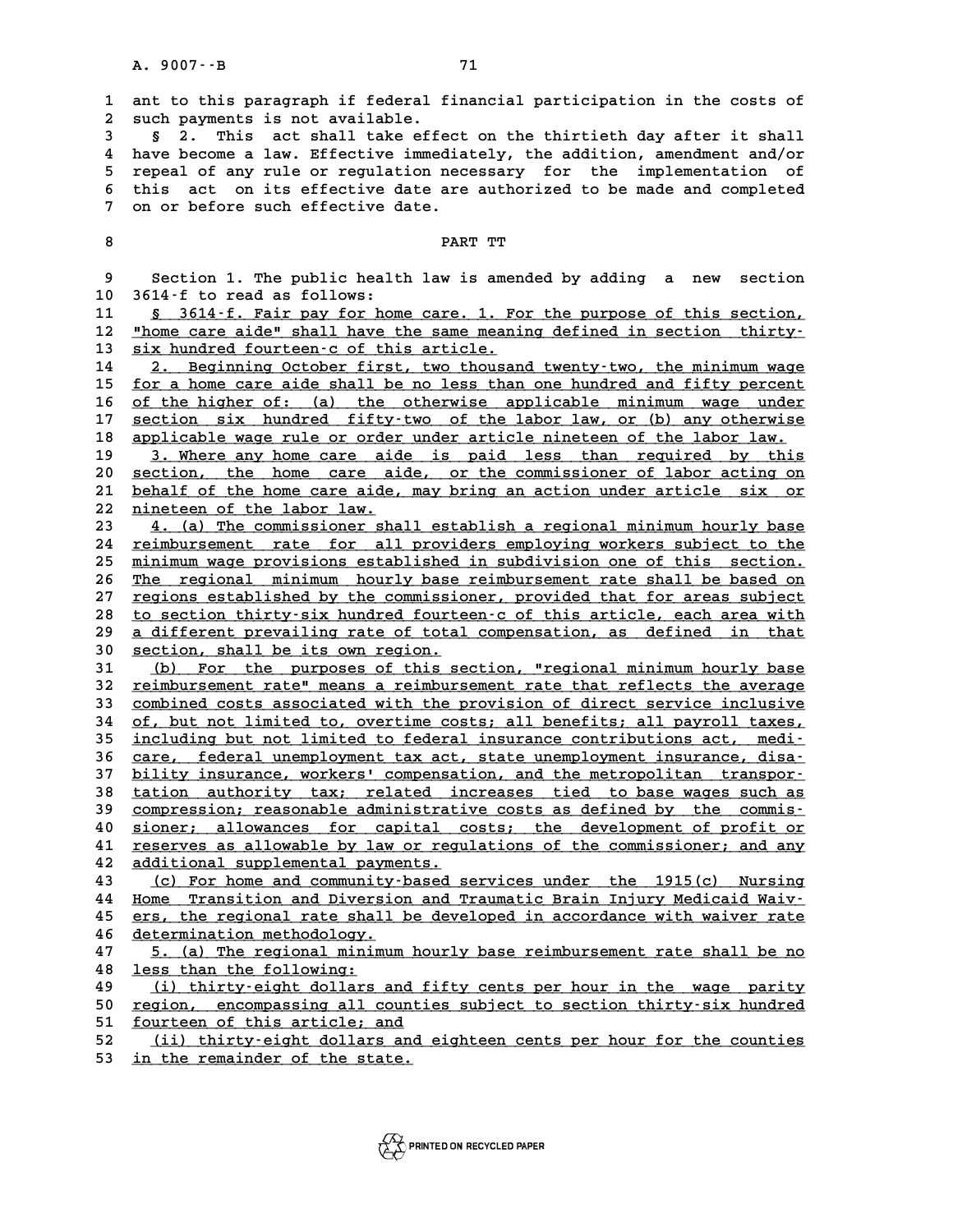**1 ant to this paragraph if federal financial participation in the costs of 2** ant to this paragraph if federal f<br>2 such payments is not available.<br>3 5 2 This ast shall take offe **3 1** ant to this paragraph if federal financial participation in the costs of<br>2 such payments is not available.<br>3 § 2. This act shall take effect on the thirtieth day after it shall<br>4 have become a law Effective immedia

a such payments is not available.<br>
4 have become a law. Effective immediately, the addition, amendment and/or<br>
5 repeal of any rule or requision pecessary, for the implementation of **5 2.** This act shall take effect on the thirtieth day after it shall<br>4 have become a law. Effective immediately, the addition, amendment and/or<br>5 repeal of any rule or regulation necessary for the implementation of<br>this a 4 have become a law. Effective immediately, the addition, amendment and/or<br>5 repeal of any rule or regulation necessary for the implementation of<br>6 this act on its effective date are authorized to be made and completed<br>7 o 5 repeal of any rule or regulation nec<br>6 this act on its effective date are<br>7 on or before such effective date. <sup>7</sup> on or before such effective date.<br>8 PART TT

**9 Section 1. The public health law is amended by adding a new section<br>Property Section 1. The public health law is amended by adding a new section 9 Section 1. The public healt**<br>**10 3614-f to read as follows:**<br>11 8 3614-f Fair pay for hom Section 1. The public health law is amended by adding a new section<br>
10 3614-f to read as follows:<br>
<u>S 3614-f. Fair pay for home care. 1. For the purpose of this section,</u><br>
12 "home care aide" shall have the same meaning d

12 <u>"home care aide" shall have the same meaning defined in section thirty-</u><br>13 six hundred fourteen-c of this article. 13 <u>six hundred fourteen-c of this article.</u><br>14 2. Beginning October first, two thous **12** <u>"home care aide" shall have the same meaning defined in section thirty-</u><br> **13** <u>six hundred fourteen-c of this article</u>.<br> **14** <u>2. Beginning October first, two thousand twenty-two, the minimum wage</u><br> **15** for a home

**13** six hundred fourteen-c of this article.<br> **14** 2. Beginning October first, two thousand twenty-two, the minimum wage<br>
<u>for a home care aide shall be no less than one hundred and fifty percent</u><br>
of the bigher of (c) the 14 2. Beginning October first, two thousand twenty-two, the minimum wage<br>
15 <u>for a home care aide shall be no less than one hundred and fifty percent</u><br>
16 <u>of the higher of: (a) the otherwise applicable minimum wage under</u> for a home care aide shall be no less than one hundred and fifty percent<br>
of the higher of: (a) the otherwise applicable minimum wage under<br> **Example 2018 Example 2018 Example 2018 Example 2018 Example 2019 Examp** of the higher of: (a) the otherwise applicable minimum wage under<br>
17 <u>section six hundred fifty-two of the labor law, or (b) any otherwise</u><br>
18 applicable wage rule or order under article nineteen of the labor law.<br>
19 3 17 <u>section six hundred fifty-two of the labor law, or (b) any otherwise</u><br>18 <u>applicable wage rule or order under article nineteen of the labor law.</u><br>19 3. Where any home care aide is paid less than required by this<br>20 sec

applicable wage rule or order under article nineteen of the labor law.<br>
20 <u>section, the home care aide, or the commissioner of labor acting on</u><br>
21 behalf of the home care aide, may bring an action under article six or 3. Where any home care aide is paid less than required by this<br>
20 <u>section, the home care aide, or the commissioner of labor acting on</u><br>
21 <u>behalf of the home care aide, may bring an action under article six or</u><br>
22 nine 20 <u>section, the home care aide</u><br>21 <u>behalf of the home care aide,</u><br>22 <u>nineteen of the labor law.</u><br>23 *A* (a) The commissioner sha 21 behalf of the home care aide, may bring an action under article six or<br>
22 <u>nineteen of the labor law.</u><br>
23 4. (a) The commissioner shall establish a regional minimum hourly base<br>
24 reimbursement rate for all providers

22 <u>nineteen of the labor law.</u><br>23 4. (a) The commissioner shall establish a regional minimum hourly base<br>24 reimbursement rate for all providers employing workers subject to the<br>25 minimum wage providens established in su 23 4. (a) The commissioner shall establish a regional minimum hourly base<br>24 <u>reimbursement rate for all providers employing workers subject to the</u><br>25 minimum wage provisions established in subdivision one of this section 24 <u>reimbursement rate for all providers employing workers subject to the<br>25 <u>minimum wage provisions established in subdivision one of this section.</u><br>26 <u>The regional minimum hourly base reimbursement rate shall be based </u></u> 25 <u>minimum wage provisions established in subdivision one of this section.<br>26 The regional minimum hourly base reimbursement rate shall be based on<br>27 regions established by the commissioner, provided that for areas subje</u> The regional minimum hourly base reimbursement rate shall be based on<br>
27 regions established by the commissioner, provided that for areas subject<br>
28 <u>to section thirty-six hundred fourteen-c of this article, each area wi</u> 27 <u>regions established by the commissioner, provided that for areas subject</u><br>28 <u>to section thirty six hundred fourteen c of this article, each area with</u><br>29 <u>a different prevailing rate of total compensation, as defined </u> **38 to section thirty-six hundred fourte**<br> **30 <u>section, shall be its own region.</u><br>
<b>31** (b) For the nurposes of this se **30** <u>a different prevailing rate of total compensation, as defined in that</u><br>30 <u>section, shall be its own region.</u><br>31 (b) For the purposes of this section, "regional minimum hourly base<br>22 reimburgsment ratel means a reim

31 (b) For the purposes of this section, "regional minimum hourly base<br>32 <u>reimbursement rate" means a reimbursement rate that reflects the average</u><br>33 combined costs associated with the provision of direct service inclusi 31 (b) For the purposes of this section, "regional minimum hourly base<br>32 <u>reimbursement rate"</u> means a reimbursement rate that reflects the average<br>33 <u>combined costs associated with the provision of direct service inclus</u> 32 <u>reimbursement rate" means a reimbursement rate that reflects the average<br>33 combined costs associated with the provision of direct service inclusive<br>34 of, but not limited to, overtime costs; all benefits; all payroll </u> 33 combined costs associated with the provision of direct service inclusive<br>34 of, but not limited to, overtime costs; all benefits; all payroll taxes,<br>35 <u>including but not limited to federal insurance contributions act, </u> 34 of, but not limited to, overtime costs; all benefits; all payroll taxes,<br>35 <u>including but not limited to federal insurance contributions act, medi-</u><br>36 <u>care, federal unemployment tax act, state unemployment insurance,</u> including but not limited to federal insurance contributions act, medi-<br>36 <u>care, federal unemployment tax act, state unemployment insurance, disa-</u><br><u>bility insurance, workers' compensation, and the metropolitan transpor-</u> 36 care, federal unemployment tax act, state unemployment insurance, disa-<br>37 bility insurance, workers' compensation, and the metropolitan transpor-<br>38 tation authority tax; related increases tied to base wages such as<br>39 37 bility insurance, workers' compensation, and the metropolitan transpor-<br>38 tation authority tax; related increases tied to base wages such as<br><u>compression; reasonable administrative costs as defined by the commis-</u><br>cont <sup>4</sup> 38 <br> **40** <u>compression;</u> reasonable administrative costs as defined by the commis-<br> **40** sioner; allowances for capital costs; the development of profit or<br> **41** reserves as allowable by law or requisions of the commis compression; reasonable administrative costs as defined by the commis-<br>40 <u>sioner; allowances for capital costs; the development of profit or</u><br>41 <u>reserves as allowable by law or regulations of the commissioner; and any</u><br>a 40 <u>sioner; allowances for capital c</u><br>41 <u>reserves as allowable by law or regu</u><br>42 <u>additional supplemental payments.</u><br>43 (9) For bore and community-based 3 **41** Teserves as allowable by law or regulations of the commissioner; and any additional supplemental payments.<br>43 (c) For home and community-based services under the 1915(c) Nursing<br>44 Une Example: and Diversion and Examp

additional supplemental payments.<br>
43 (c) For home and community-based services under the 1915(c) Nursing<br>
44 Home Transition and Diversion and Traumatic Brain Injury Medicaid Waiv-<br>
45 ers, the regional rate shall be deve 43 (c) For home and community-based services under the 1915(c) Nursing<br>44 <u>Home Transition and Diversion and Traumatic Brain Injury Medicaid Waiv-<br>ers, the regional rate shall be developed in accordance with waiver rate<br>de</u> **44 Home Transition and Diversion 45 ers, the regional rate shall 146 determination methodology.**<br>46 determination methodology. 45 ers, the regional rate shall be developed in accordance with waiver rate<br>46 determination methodology.<br>47 5. (a) The regional minimum hourly base reimbursement rate shall be no<br>1955 than the following.

determination methodology.<br> **48** <u>less than the following:</u><br> **48** <u>less than the following:</u><br>
<u>**49** (i) thirty-eight dollars and fifty cents per hour in the wage parity</u> **5. (a) The regional minimum hourly base reimbursement rate shall be no<br>
<u>18 Less than the following:</u><br>
<b>49** <u>(i) thirty-eight dollars and fifty cents per hour in the wage parity</u><br> **60** region, encompassing all counties **18** <u>less than the following:</u><br> **49** (i) thirty-eight dollars and fifty cents per hour in the wage parity<br>
<u>region, encompassing all counties subject to section thirty-six hundred</u><br> **51** fourteen of this artigle: and

49 (i) thirty-eight dollars and f<br>50 <u>region, encompassing all counti</u><br>51 <u>fourteen of this article; and</u><br>52 (ii) thirty-oight dollars and

50 <u>region, encompassing all counties subject to section thirty-six hundred</u><br>51 <u>fourteen of this article; and</u><br>52 (ii) thirty-eight dollars and eighteen cents per hour for the counties<br>in the remainder of the state 51 <u>fourteen of this article; and</u><br>52 <u>(ii) thirty-eight dollars and eighteen cents per hour for the counties</u><br>53 <u>in the remainder of the state.</u>

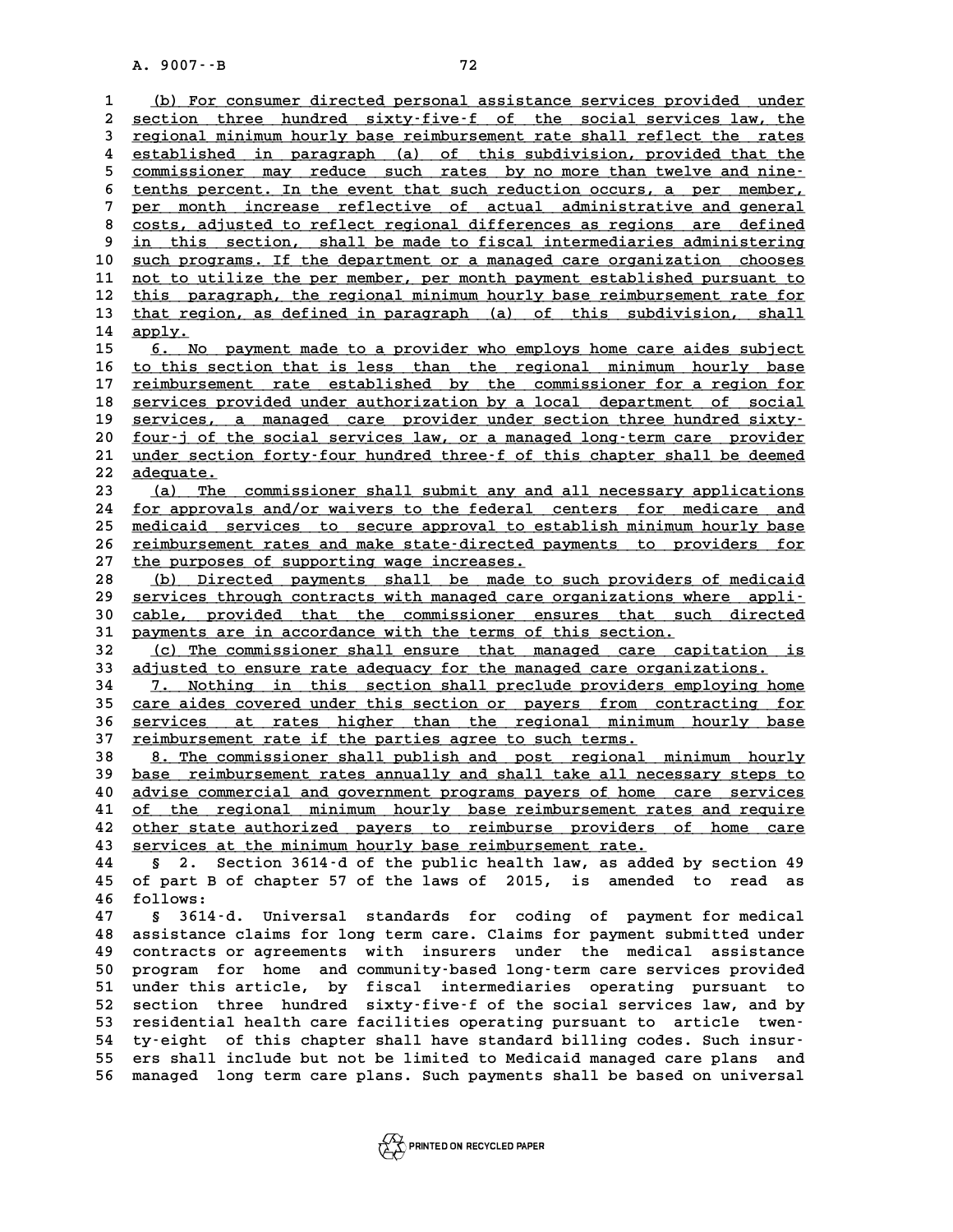A. 9007 · - B<br>
1 <u>(b) For consumer directed personal assistance services provided under</u><br>
2 section three bundred givty-five-f of the secial services law the <u>(b) For consumer directed personal assistance services provided under section three hundred sixty-five-f of the social services law, the<br>2 section three hundred sixty-five-f of the social services law, the rates</u> (b) For consumer directed personal assistance services provided under<br>
<u>section three hundred sixty-five-f of the social services law, the</u><br> **propertional minimum hourly base reimbursement rate shall reflect the rates**<br> **p** 4 section three hundred sixty-five-f of the social services law, the<br>
4 <u>regional minimum hourly base reimbursement</u> rate shall reflect the rates<br>
4 established in paragraph (a) of this subdivision, provided that the<br>
comm **Fegional minimum hourly base reimbursement rate shall reflect the rates<br>
established in paragraph (a) of this subdivision, provided that the<br>
<u>commissioner may reduce such rates by no more than twelve and nine-</u><br>
top-top-**4 established in paragraph (a) of this subdivision, provided that the commissioner may reduce such rates by no more than twelve and nine-<br>6 tenths percent. In the event that such reduction occurs, a per member,<br>por month i 5 commissioner may reduce such rates by no more than twelve and nine-<br>
tenths percent. In the event that such reduction occurs, a per member,<br>
<u>per month increase reflective of actual administrative and general</u><br>
costs adj 8 tenths percent. In the event that such reduction occurs, a per member,<br> **8 costs, adjusted to reflect regional differences as regions are defined**<br> **2 in this section, shall be made to fiscal intermediaries administering** 9 per month increase reflective of actual administrative and general<br>8 costs, adjusted to reflect regional differences as regions are defined<br>9 <u>in this section, shall be made to fiscal intermediaries administering</u><br>10 suc 8 costs, adjusted to reflect regional differences as regions are defined<br>
9 <u>in this section, shall be made to fiscal intermediaries administering</u><br>
10 <u>such programs. If the department or a managed care organization choos</u> <sup>9</sup> in this section, shall be made to fiscal intermediaries administering<br>
10 <u>such programs. If the department or a managed care organization chooses</u><br>
11 <u>not to utilize the per member, per month payment established purs</u> 10 <u>such programs. If the department or a managed care organization chooses</u><br>11 <u>not to utilize the per member, per month payment established pursuant to</u><br>12 <u>this paragraph, the regional minimum hourly base reimbursement </u> 11 <u>not to utilize the per member, per month payment established pursuant to this paragraph, the regional minimum hourly base reimbursement rate for that region, as defined in paragraph (a) of this subdivision, shall</u> 12 <u>this par</u><br>13 <u>that regi</u><br>14 <u>apply.</u> that region, as defined in paragraph (a) of this subdivision, shall<br>
14 apply.<br>
15 <u>6. No payment made to a provider who employs home care aides subject</u><br>
16 this section that is loss than the regional minimum hourly base 14 apply.<br>15 <u>6. No payment made to a provider who employs home care aides subject</u><br>16 <u>to this section that is less than the regional minimum hourly base</u><br>17 reimbursement rate established by the commissioner for a region 15 6. No payment made to a provider who employs home care aides subject<br>
16 to this section that is less than the regional minimum hourly base<br>
<u>reimbursement rate established by the commissioner for a region for</u><br>
commiss 16 <u>to this section that is less than the regional minimum hourly base</u><br>17 <u>reimbursement rate established by the commissioner for a region for</u><br>18 <u>services provided under authorization by a local department of social</u><br>20 reimbursement rate established by the commissioner for a region for<br>
18 services provided under authorization by a local department of social<br>
19 services, a managed care provider under section three hundred sixty-<br>
20 fou 18 <u>services provided under authorization by a local department of social</u><br>19 <u>services, a managed care provider under section three hundred sixty</u><br>20 <u>four-j of the social services law, or a managed long-term care provide</u> 19 services, a managed care provider under section three hundred sixty-<br>20 <u>four-j of the social services law, or a managed long-term care provider</u><br>21 <u>under section forty-four hundred three-f of this chapter shall be dee</u> <u>four-j of the social services law, or a managed long-term care provider<br>
21 under section forty-four hundred three-f of this chapter shall be deemed<br>
22 <u>dequate.</u><br>
<u>(a)</u> The commissioner shall submit any and all necessar</u> 21 <u>under section forty-four hundred three-f of this chapter shall be deemed<br>22 <u>adequate.</u><br>23 (a) The commissioner shall submit any and all necessary applications<br>24 for approvals and/or waivers to the federal centers for</u> **24 for approvals and/or waivers to the federal centers for medicare and \_\_\_\_\_\_\_\_\_\_\_\_\_\_\_\_\_\_\_\_\_\_\_\_\_\_\_\_\_\_\_\_\_\_\_\_\_\_\_\_\_\_\_\_\_\_\_\_\_\_\_\_\_\_\_\_\_\_\_\_\_\_\_\_\_\_\_\_\_\_\_\_ 23** (a) The commissioner shall submit any and all necessary applications<br>24 for approvals and/or waivers to the federal centers for medicare and<br>25 medicaid services to secure approval to establish minimum hourly base<br>26 24 <u>for approvals and/or waivers to the federal centers for medicare and</u><br>25 <u>medicaid services to secure approval to establish minimum hourly base</u><br>26 <u>reimbursement rates and make state-directed payments to providers for</u> 25 <u>medicaid services to secure approval to es</u><br>26 <u>reimbursement rates and make state-directed p</u><br>27 <u>the purposes of supporting wage increases.</u><br>(b) Directed porments shall be made to 26 <u>reimbursement rates and make state-directed payments to providers for</u><br>
28 (b) Directed payments shall be made to such providers of medicaid<br>
29 services through contracts with managed care organizations where appli-<sup>27</sup> the purposes of supporting wage increases.<br>
<sup>28</sup> (b) Directed payments shall be made to such providers of medicaid<br>
<sup>29</sup> services through contracts with managed care organizations where appli-<br>
<sup>20</sup> sable provided tha (b) Directed payments shall be made to such providers of medicaid<br>
29 <u>services through contracts with managed</u> care organizations where appli-<br>
30 cable, provided that the commissioner ensures that such directed<br>
31 payme **39** services through contracts with managed care organizations wh<br> **30** cable, provided that the commissioner ensures that such<br> **31** payments are in accordance with the terms of this section.<br> **32** (a) The commissioner s 30 cable, provided that the commissioner ensures that such directed<br>31 payments are in accordance with the terms of this section.<br>32 (c) The commissioner shall ensure that managed care capitation is<br>33 adjusted to ensure r 31 payments are in accordance with the terms of this section.<br>
32 (c) The commissioner shall ensure that managed care capitation is<br>
33 <u>adjusted to ensure rate adequacy for the managed care organizations.</u><br>
34 7 Nothing i **32** (c) The commissioner shall ensure that managed care capitation is<br> **33** <u>adjusted to ensure rate adequacy for the managed care organizations.</u><br> **34** 7. Nothing in this section shall preclude providers employing home<br> <u>(c) The commissioner shall ensure that managed care capitation is<br>
33 adjusted to ensure rate adequacy for the managed care organizations.<br>
34 7. Nothing in this section shall preclude providers employing home<br>
35 care ai</u> 34 7. Nothing in this section shall preclude providers employing home<br>35 <u>care aides covered under this section or payers from contracting for</u><br>36 <u>services at rates higher than the regional minimum hourly</u> base<br>27 reimbur 35 <u>care aides covered under this section or payers from containing terms are services at rates higher than the regional minimum<br>37 <u>reimbursement rate if the parties agree to such terms.</u><br>38 **and the commissioner shall pu</u>** 36 <u>services at rates higher than the regional minimum hourly base</u><br>37 <u>reimbursement rate if the parties agree to such terms.</u><br>38 <u>8. The commissioner shall publish and post regional minimum hourly</u><br>base reimbursement rat **39 base reimbursement rates annually and shall take all necessary steps to \_\_\_\_\_\_\_\_\_\_\_\_\_\_\_\_\_\_\_\_\_\_\_\_\_\_\_\_\_\_\_\_\_\_\_\_\_\_\_\_\_\_\_\_\_\_\_\_\_\_\_\_\_\_\_\_\_\_\_\_\_\_\_\_\_\_\_\_\_\_\_\_** 8. The commissioner shall publish and post regional minimum hourly<br>
<u>base reimbursement rates annually and shall take all necessary steps to</u><br> **40** <u>advise commercial and government programs payers of home care services</u><br> base reimbursement rates annually and shall take all necessary steps to<br>
40 advise commercial and government programs payers of home care services<br>
41 of the regional minimum hourly base reimbursement rates and require<br>
42 A advise commercial and government programs payers of home care services<br>
of the regional minimum hourly base reimbursement rates and require<br>
the state authorized payers to reimburse providers of home care<br>
services at th 41 <u>of the regional minimum hourly base reimbursement rate</u><br>42 <u>other state authorized payers to reimburse providers</u><br>43 <u>services at the minimum hourly base reimbursement rate.</u><br>44 5 2 Sostion 3614-4 of the publis boalth **42** <u>other state authorized</u> payers to reimburse providers of home care<br> **43** <u>services at the minimum hourly base reimbursement rate.</u><br> **44** § 2. Section 3614-d of the public health law, as added by section 49<br> **45** of p **42** other state authorized payers to reimburse providers of home care<br> **43** services at the minimum hourly base reimbursement rate.<br> **44** § 2. Section 3614 d of the public health law, as added by section 49<br> **45** of part **44 6** 2. Se<br> **45** of part B o<br> **46** follows: **45 of part B of chapter 57 of the laws of 2015, is amended to read as<br>46 follows:<br>47 § 3614-d. Universal standards for coding of payment for medical<br>18 aggistance claims for lang term gave. Claims for payment submitted un 46 follows:**<br>47 § 3614-d. Universal standards for coding of payment for medical<br>48 assistance claims for long term care. Claims for payment submitted under<br>49 contracts or agreements with insurers under the medical assist **47** § 3614-d. Universal standards for coding of payment for medical<br>48 assistance claims for long term care. Claims for payment submitted under<br>49 contracts or agreements with insurers under the medical assistance<br>50 prog 48 assistance claims for long term care. Claims for payment submitted under<br>49 contracts or agreements with insurers under the medical assistance<br>50 program for home and community-based long-term care services provided 49 contracts or agreements with insurers under the medical assistance<br>50 program for home and community-based long-term care services provided<br>51 under this article, by fiscal intermediaries operating pursuant to<br>52 sectio 50 program for home and community-based long-term care services provided<br>51 under this article, by fiscal intermediaries operating pursuant to<br>52 section three hundred sixty-five-f of the social services law, and by<br>53 res 51 under this article, by fiscal intermediaries operating pursuant to section three hundred sixty-five-f of the social services law, and by residential health care facilities operating pursuant to article twen-<br>
<sup>54</sup> type 52 section three hundred sixty-five-f of the social services law, and by<br>
53 residential health care facilities operating pursuant to article twen-<br>
54 ty-eight of this chapter shall have standard billing codes. Such insur **53 residential health care facilities operating pursuant to article twen-**<br>54 ty-eight of this chapter shall have standard billing codes. Such insur-<br>55 ers shall include but not be limited to Medicaid managed care plans 54 ty-eight of this chapter shall have standard billing codes. Such insur-<br>55 ers shall include but not be limited to Medicaid managed care plans and<br>56 managed long term care plans. Such payments shall be based on univers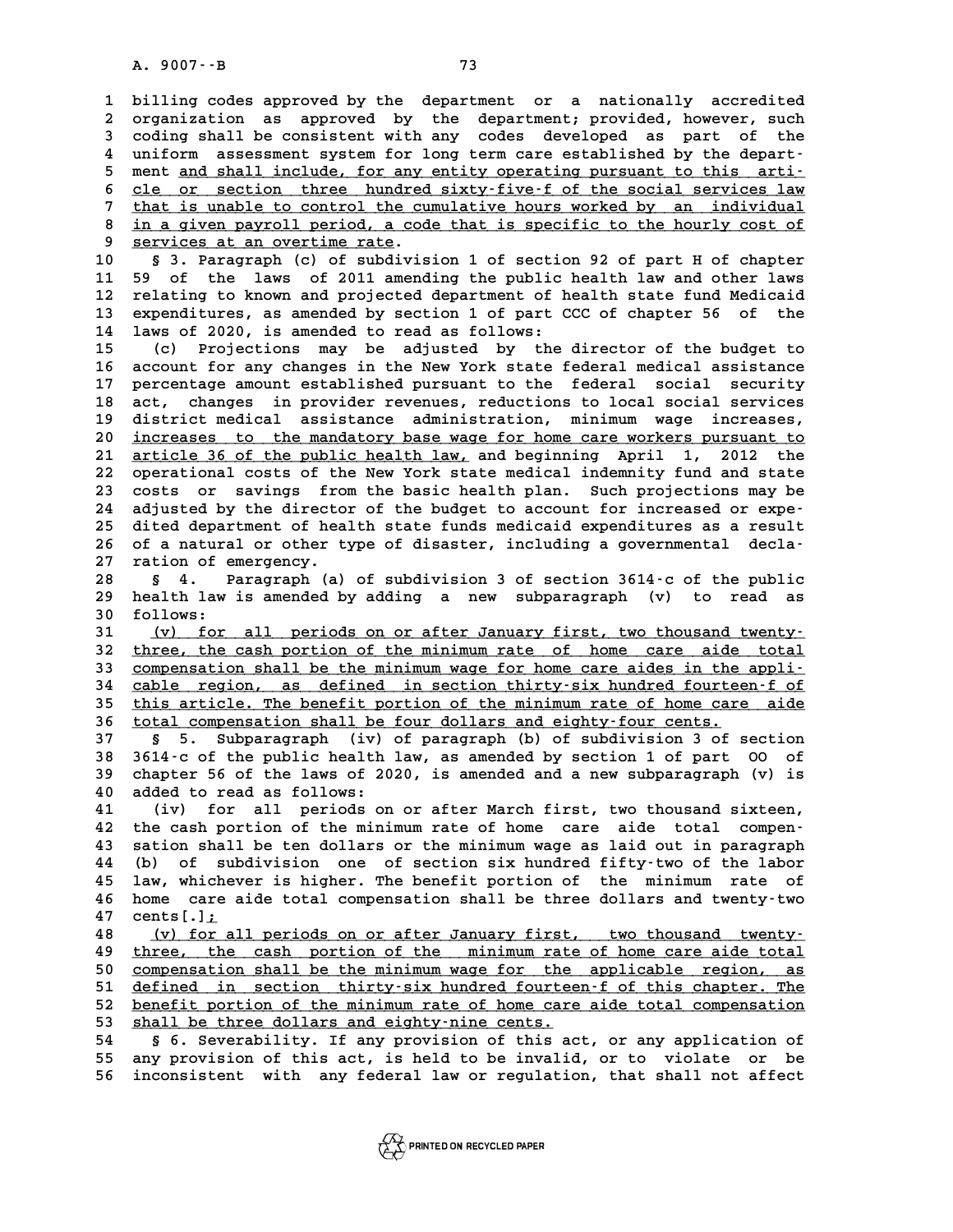**1 billing codes approved by the department or a nationally accredited** 1 billing codes approved by the department or a nationally accredited<br>2 organization as approved by the department; provided, however, such<br>3 soding shall be consistent with any sodes developed as part of the 1 billing codes approved by the department or a nationally accredited<br>2 organization as approved by the department; provided, however, such<br>3 coding shall be consistent with any codes developed as part of the<br>4 uniform ass 2 organization as approved by the department; provided, however, such<br>3 coding shall be consistent with any codes developed as part of the<br>4 uniform assessment system for long term care established by the depart-<br>5 montion 3 coding shall be consistent with any codes developed as part of the<br>4 uniform assessment system for long term care established by the depart-<br>5 ment <u>and shall include, for any entity operating pursuant to this arti-</u><br><sup>5</sup> 4 uniform assessment system for long term care established by the depart-<br>5 ment <u>and shall include, for any entity operating pursuant to this arti-</u><br>6 <u>cle or section three hundred sixty-five-f of the social services law</u> 5 ment <u>and shall include, for any entity operating pursuant to this arti-</u><br>6 <u>cle or section three hundred sixty-five-f of the social services law</u><br>that is unable to control the cumulative hours worked by an individual<br>in 6 <u>cle or section three hundred sixty-five-f of the social services law</u><br>
7 that is unable to control the cumulative hours worked by an individual<br>
8 in a given payroll period, a code that is specific to the hourly cost of 9 **chat is unable to control the cup**<br>8 <u>in a given payroll period, a code</u><br>9 **services at an overtime rate.**<br>0 **5** <sup>2</sup> **Paragraph** (c) of subdivis **10 § 3. Paragraph (c) of subdivision 1 of section 92 of part H of chapter 10 9 services at an overtime rate.**<br> **10** § 3. Paragraph (c) of subdivision 1 of section 92 of part H of chapter<br> **11** 59 of the laws of 2011 amending the public health law and other laws<br> **12** relating to known and proje **10 5** 3. Paragraph (c) of subdivision 1 of section 92 of part H of chapter<br>11 59 of the laws of 2011 amending the public health law and other laws<br>12 relating to known and projected department of health state fund Medic 11 59 of the laws of 2011 amending the public health law and other laws<br>12 relating to known and projected department of health state fund Medicaid<br>13 expenditures, as amended by section 1 of part CCC of chapter 56 of the<br> 11 59 of the laws of 2011 amending the public health law and other laws<br>12 relating to known and projected department of health state fund Medicaid<br>13 expenditures, as amended by section 1 of part CCC of chapter 56 of the<br> 13 expenditures, as amended by section 1 of part CCC of chapter 56 of the<br>14 laws of 2020, is amended to read as follows:<br>(c) Projections may be adjusted by the director of the budget to<br>16 aggiunt for any chapter in the N **16 account for any changes in the New York state federal medical assistance** 15 (c) Projections may be adjusted by the director of the budget to<br>16 account for any changes in the New York state federal medical assistance<br>17 percentage amount established pursuant to the federal social security<br>18 ac 16 account for any changes in the New York state federal medical assistance<br>17 percentage amount established pursuant to the federal social security<br>18 act, changes in provider revenues, reductions to local social services 17 percentage amount established pursuant to the federal social security<br>18 act, changes in provider revenues, reductions to local social services<br>19 district medical assistance administration, minimum wage increases,<br>20 i act, changes in provider revenues, reductions to local social services<br>19 district medical assistance administration, minimum wage increases,<br>20 <u>increases to the mandatory base wage for home care workers pursuant to</u><br>21 <u></u> district medical assistance administration, minimum wage increases, **22 operational costs of the New York state medical indemnity fund and state** 21 <u>article 36 of the public health law</u>, and beginning April 1, 2012 the<br>22 operational costs of the New York state medical indemnity fund and state<br>23 costs or savings from the basic health plan. Such projections may be<br> 22 operational costs of the New York state medical indemnity fund and state<br>23 costs or savings from the basic health plan. Such projections may be<br>24 adjusted by the director of the budget to account for increased or expe 23 costs or savings from the basic health plan. Such projections may be<br>24 adjusted by the director of the budget to account for increased or expe-<br>25 dited department of health state funds medicaid expenditures as a resul 24 adjusted by the director of the budget to account for increased or expe-<br>25 dited department of health state funds medicaid expenditures as a result<br>26 of a natural or other type of disaster, including a governmental de 25 dited department of hea<br>26 of a natural or other the<br>27 ration of emergency. % 26 of a natural or other type of disaster, including a governmental decla-<br>
27 ration of emergency.<br>
28 § 4. Paragraph (a) of subdivision 3 of section 3614 c of the public<br>
29 health law is amended by adding a new subpar 27 ration of emergency.<br>28 § 4. Paragraph (a) of subdivision 3 of section 3614–c of the public<br>29 health law is amended by adding a new subparagraph (v) to read as<br><sup>20</sup> follows: 28 **s** 4. **P**<br>29 health law<br>30 follows:<br>31 (v) for bealth law is amended by adding a new subparagraph (v) to read as<br>30 follows:<br>31 (v) for all periods on or after January first, two thousand twenty-<br><sup>32</sup> three the 33sh pertien of the minimum rate of home gare aide total 50 follows:<br>
31 (v) for all periods on or after January first, two thousand twenty-<br>
32 three, the cash portion of the minimum rate of home care aide total<br> **Rube Components on the second to the minimum** wage for home care **31** (v) for all periods on or after January first, two thousand twenty-<br> **32** three, the cash portion of the minimum rate of home care aide total<br> **33** compensation shall be the minimum wage for home care aides in the app 32 three, the cash portion of the minimum rate of home care aide total<br>33 <u>compensation shall be the minimum wage for home care aides in the appli-</u><br>34 cable region, as defined in section thirty-six hundred fourteen-f of<br>3 33 compensation shall be the minimum wage for home care aides in the appli-<br>34 cable region, as defined in section thirty-six hundred fourteen-f of<br>this article. The benefit portion of the minimum rate of home care aide<br>to 34 cable region, as defined in section thirty-six hundred fourtee:<br>35 this article. The benefit portion of the minimum rate of home care<br>36 total compensation shall be four dollars and eighty-four cents.<br><sup>27</sup> 5 Subbaragary **135 Example 11 Start Containst Exercise 136**<br> **37** § 5. Subparagraph (iv) of paragraph (b) of subdivision 3 of section<br> **37** § 5. Subparagraph (iv) of paragraph (b) of subdivision 3 of section<br> **38** 3614 a of the public **36 <u>total compensation shall be four dollars and eighty-four cents.</u><br>37 § 5. Subparagraph (iv) of paragraph (b) of subdivision 3 of section<br>38 3614-c of the public health law, as amended by section 1 of part 00 of<br>29 sh 37 s** 5. Subparagraph (iv) of paragraph (b) of subdivision 3 of section 38 3614-c of the public health law, as amended by section 1 of part 00 of chapter 56 of the laws of 2020, is amended and a new subparagraph (v) is **40 added to read as follows:**<br>**40 added to read as follows:**<br>**40 added to read as follows:** ded to read as follows:<br>
41 (iv) for all periods on or after March first, two thousand sixteen,<br>
42 the cash portion of the minimum rate of home care aide total compen-**42 the cash portion of the minimum rate of home care aide total compen-43 sation shall be ten dollars or the minimum wage as laid out in paragraph 44 (b) of subdivision one of section six hundred fifty-two of the labor 43 sation shall be ten dollars or the minimum wage as laid out in paragraph**<br>**44 (b) of subdivision one of section six hundred fifty-two of the labor**<br>**45 law, whichever is higher. The benefit portion of the minimum rate 44 (b)** of subdivision one of section six hundred fifty-two of the labor<br>45 law, whichever is higher. The benefit portion of the minimum rate of<br>46 home care aide total compensation shall be three dollars and twenty-two<br>4 **45** law, whichev<br>**46** home care a<br>**47** cents[.]<u>;</u><br><sup>49</sup> (x) for al At the care aide total compensation shall be three dollars and twenty-two<br>
47 cents[.]<u>;</u><br>
<u>(v) for all periods on or after January first, two thousand twenty-</u><br>
49 three, the cash portion of the minimum rate of home care 49 three, the cash portion of the minimum rate of home care aide total 49 compensation shall be the minimum wage for the applicable region, as 48 (v) for all periods on or after January first, two thousand twenty-<br>49 <u>three, the cash portion of the minimum rate of home care aide total</u><br>50 <u>compensation shall be the minimum wage for the applicable region, as</u><br>51 d three, the cash portion of the minimum rate of home care aide total<br>50 <u>compensation shall be the minimum wage for the applicable region, as<br>51 <u>defined in section thirty-six hundred fourteen-f of this chapter. The</u><br>52 bon</u> compensation shall be the minimum wage for the applicable region, as<br>51 <u>defined in section thirty-six hundred fourteen-f of this chapter. The<br>52 benefit portion of the minimum rate of home care aide total compensation<br>53 </u> 51 <u>defined in section thirty-six hundred fourteen-f of this chapter. The</u><br>52 <u>benefit portion of the minimum rate of home care aide total compensation</u><br>53 <u>shall be three dollars and eighty-nine cents.</u><br>54 § 6. Severabili **52 benefit portion of the minimum rate of home care aide total compensation**<br>53 shall be three dollars and eighty-nine cents.<br>54 § 6. Severability. If any provision of this act, or any application of<br>55 any provision of t **55 any provision of this act, is held to be invalid, or to violate or be 56 inconsistent with any federal law or regulation, that shall not affect**

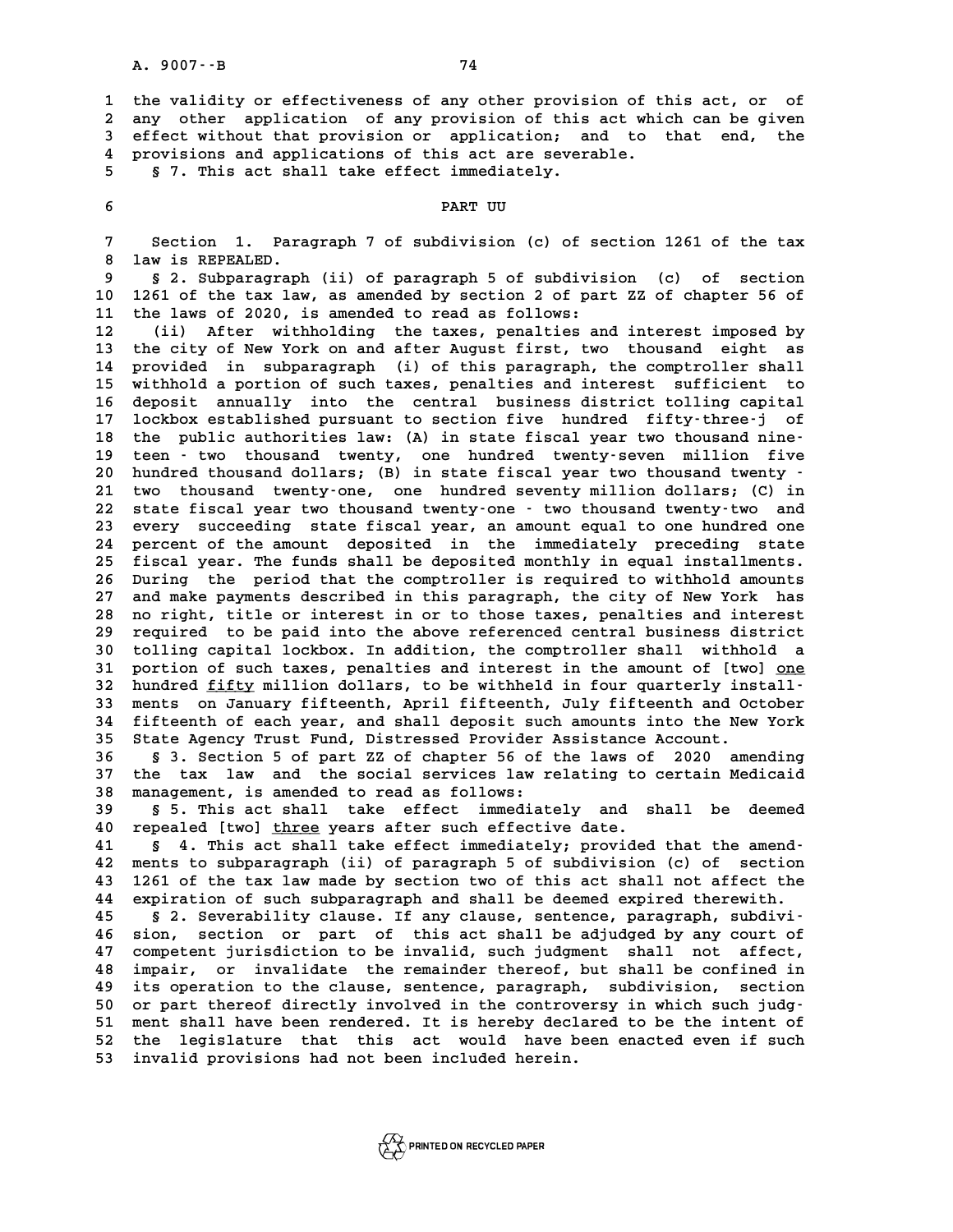**1 the validity or effectiveness of any other provision of this act, or of** 1 the validity or effectiveness of any other provision of this act, or of<br>2 any other application of any provision of this act which can be given<br>3 effect without that provision or, application, and to that end, the 1 the validity or effectiveness of any other provision of this act, or of<br>2 any other application of any provision of this act which can be given<br>3 effect without that provision or application; and to that end, the<br><sup>4</sup> pro 2 any other application of any provision of this act whi<br>3 effect without that provision or application; and to<br>4 provisions and applications of this act are severable.<br>5 5 7 mbig 20t shall take offect immediately **5** effect without that provision or application; and applications of this act are sever.<br> **5 5** 7. This act shall take effect immediately. **6 PART UU**

**7 Section 1. Paragraph 7 of subdivision (c) of section 1261 of the tax 8 Section 1. Paramy**<br>**8 law is REPEALED.**<br>0 5 2 Subparagraph **9 § 2. Subparagraph (ii) of paragraph 5 of subdivision (c) of section**

10 1261 of the tax law is REPEALED.<br>
10 1261 of the tax law, as amended by section 2 of part ZZ of chapter 56 of<br>
11 the laws of 2020, is amended to read as follows: **11 the laws of 2020, is amended to read as follows:**

**12 (ii) After withholding the taxes, penalties and interest imposed by 13 the city of New York on and after August first, two thousand eight as 12** (ii) After withholding the taxes, penalties and interest imposed by<br>
13 the city of New York on and after August first, two thousand eight as<br>
14 provided in subparagraph (i) of this paragraph, the comptroller shall<br> 13 the city of New York on and after August first, two thousand eight as<br>14 provided in subparagraph (i) of this paragraph, the comptroller shall<br>15 withhold a portion of such taxes, penalties and interest sufficient to<br>16 14 provided in subparagraph (i) of this paragraph, the comptroller shall<br>15 withhold a portion of such taxes, penalties and interest sufficient to<br>16 deposit annually into the central business district tolling capital<br>17 l 15 withhold a portion of such taxes, penalties and interest sufficient to 16 deposit annually into the central business district tolling capital 17 lockbox established pursuant to section five hundred fifty-three-j of the 16 deposit annually into the central business district tolling capital<br>17 lockbox established pursuant to section five hundred fifty-three-j of<br>18 the public authorities law: (A) in state fiscal year two thousand nine-<br>19 lockbox established pursuant to section five hundred fifty-three-j of 18 the public authorities law: (A) in state fiscal year two thousand nine-<br>19 teen - two thousand twenty, one hundred twenty-seven million five<br>20 hundred thousand dollars; (B) in state fiscal year two thousand twenty -<br><sup>2</sup> 19 teen - two thousand twenty, one hundred twenty-seven million five<br>20 hundred thousand dollars; (B) in state fiscal year two thousand twenty -<br>21 two thousand twenty-one, one hundred seventy million dollars; (C) in<br>22 st 20 hundred thousand dollars; (B) in state fiscal year two thousand twenty -<br>21 two thousand twenty-one, one hundred seventy million dollars; (C) in<br>22 state fiscal year two thousand twenty-one - two thousand twenty-two and 21 two thousand twenty-one, one hundred seventy million dollars; (C) in<br>22 state fiscal year two thousand twenty-one - two thousand twenty-two and<br>23 every succeeding state fiscal year, an amount equal to one hundred one 22 state fiscal year two thousand twenty-one - two thousand twenty-two and<br>23 every succeeding state fiscal year, an amount equal to one hundred one<br>24 percent of the amount deposited in the immediately preceding state<br>25 23 every succeeding state fiscal year, an amount equal to one hundred one<br>24 percent of the amount deposited in the immediately preceding state<br>25 fiscal year. The funds shall be deposited monthly in equal installments.<br>26 24 percent of the amount deposited in the immediately preceding state<br>25 fiscal year. The funds shall be deposited monthly in equal installments.<br>26 During the period that the comptroller is required to withhold amounts<br>27 <sup>25</sup> fiscal year. The funds shall be deposited monthly in equal installments.<br>26 During the period that the comptroller is required to withhold amounts<br>27 and make payments described in this paragraph, the city of New York 26 During the period that the comptroller is required to withhold amounts<br>27 and make payments described in this paragraph, the city of New York has<br>28 no right, title or interest in or to those taxes, penalties and intere 27 and make payments described in this paragraph, the city of New York has<br>28 no right, title or interest in or to those taxes, penalties and interest<br>29 required to be paid into the above referenced central business distr 28 no right, title or interest in or to those taxes, penalties and interest<br>29 required to be paid into the above referenced central business district<br>30 tolling capital lockbox. In addition, the comptroller shall withhold **39 required to be paid into the above referenced central business district**<br>30 tolling capital lockbox. In addition, the comptroller shall withhold a<br>31 portion of such taxes, penalties and interest in the amount of [two] 30 tolling capital lockbox. In addition, the comptroller shall withhold a<br>31 portion of such taxes, penalties and interest in the amount of [two] <u>one</u><br>32 hundred <u>fifty</u> million dollars, to be withheld in four quarterly i 31 portion of such taxes, penalties and interest in the amount of [two] <u>one</u><br>32 hundred <u>fifty</u> million dollars, to be withheld in four quarterly install-<br>33 ments on January fifteenth, April fifteenth, July fifteenth and **32 hundred <u>fifty</u> million dollars, to be withheld in four quarterly install-<br>33 ments on January fifteenth, April fifteenth, July fifteenth and October<br>34 fifteenth of each year, and shall deposit such amounts into the N** 33 ments on January fifteenth, April fifteenth, July fifteenth and Oc<br>34 fifteenth of each year, and shall deposit such amounts into the New<br>35 State Agency Trust Fund, Distressed Provider Assistance Account. **34 fifteenth of each year, and shall deposit such amounts into the New York**<br>**35 State Agency Trust Fund, Distressed Provider Assistance Account.**<br>**36** § 3. Section 5 of part ZZ of chapter 56 of the laws of 2020 amending<br>

35 State Agency Trust Fund, Distressed Provider Assistance Account.<br>36 § 3. Section 5 of part ZZ of chapter 56 of the laws of 2020 amending<br>37 the tax law and the social services law relating to certain Medicaid<br>38 managem 36 § 3. Section 5 of part ZZ of chapter 56 of<br>37 the tax law and the social services law r<br>38 management, is amended to read as follows:<br>39 § 5 This 39t shall take effect immediation 37 the tax law and the social services law relating to certain Medicaid<br>38 management, is amended to read as follows:<br>39 § 5. This act shall take effect immediately and shall be deemed<br>40 repealed [two] three years after s

**40 repealed [two] three years after such effective date. \_\_\_\_\_**

**41 § 4. This act shall take effect immediately; provided that the amend-40 repealed [two] three years after such effective date.**<br> **41** § 4. This act shall take effect immediately; provided that the amend-<br> **42** ments to subparagraph (ii) of paragraph 5 of subdivision (c) of section<br> **43** 126 **41** § 4. This act shall take effect immediately; provided that the amend-<br>42 ments to subparagraph (ii) of paragraph 5 of subdivision (c) of section<br>43 1261 of the tax law made by section two of this act shall not affect 42 ments to subparagraph (ii) of paragraph 5 of subdivision (c) of section<br>43 1261 of the tax law made by section two of this act shall not affect the<br>44 expiration of such subparagraph and shall be deemed expired therewit 1261 of the tax law made by section two of this act shall not affect the<br>
44 expiration of such subparagraph and shall be deemed expired therewith.<br>
45 § 2. Severability clause. If any clause, sentence, paragraph, subdivi-

**44 expiration of such subparagraph and shall be deemed expired therewith.**<br> **45** § 2. Severability clause. If any clause, sentence, paragraph, subdivi-<br> **46 sion, section or part of this act shall be adjudged by any court 45 5** 2. Severability clause. If any clause, sentence, paragraph, subdivi-<br>46 sion, section or part of this act shall be adjudged by any court of<br>47 competent jurisdiction to be invalid, such judgment shall not affect,<br> 46 sion, section or part of this act shall be adjudged by any court of<br>47 competent jurisdiction to be invalid, such judgment shall not affect,<br>48 impair, or invalidate the remainder thereof, but shall be confined in<br>19 it 47 competent jurisdiction to be invalid, such judgment shall not affect,<br>48 impair, or invalidate the remainder thereof, but shall be confined in<br>49 its operation to the clause, sentence, paragraph, subdivision, section<br>50 48 impair, or invalidate the remainder thereof, but shall be confined in<br>49 its operation to the clause, sentence, paragraph, subdivision, section<br>50 or part thereof directly involved in the controversy in which such judg-49 its operation to the clause, sentence, paragraph, subdivision, section<br>50 or part thereof directly involved in the controversy in which such judg-<br>51 ment shall have been rendered. It is hereby declared to be the intent 50 or part thereof directly involved in the controversy in which such judg-<br>51 ment shall have been rendered. It is hereby declared to be the intent of<br>52 the legislature that this act would have been enacted even if such<br> 51 ment shall have been rendered. It is hereby decl<br>52 the legislature that this act would have b<br>53 invalid provisions had not been included herein.